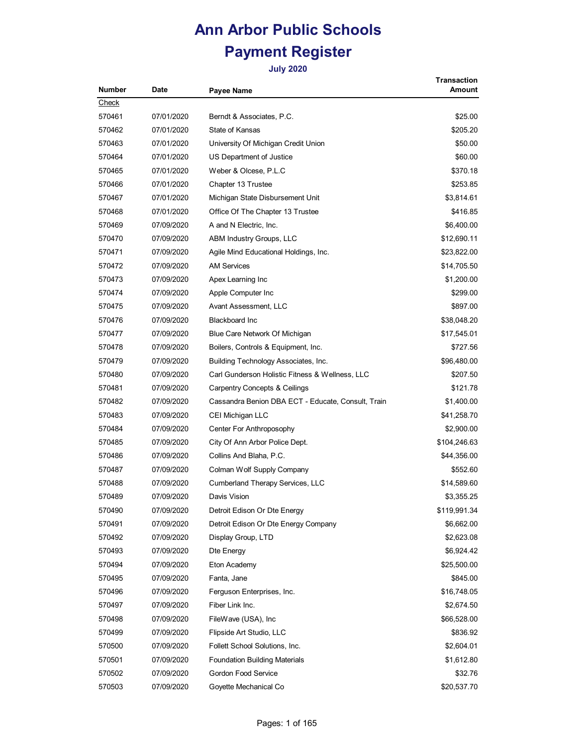| <b>Number</b> | Date       | Payee Name                                         | Transaction<br>Amount |
|---------------|------------|----------------------------------------------------|-----------------------|
| Check         |            |                                                    |                       |
| 570461        | 07/01/2020 | Berndt & Associates, P.C.                          | \$25.00               |
| 570462        | 07/01/2020 | State of Kansas                                    | \$205.20              |
| 570463        | 07/01/2020 | University Of Michigan Credit Union                | \$50.00               |
| 570464        | 07/01/2020 | US Department of Justice                           | \$60.00               |
| 570465        | 07/01/2020 | Weber & Olcese, P.L.C                              | \$370.18              |
| 570466        | 07/01/2020 | Chapter 13 Trustee                                 | \$253.85              |
| 570467        | 07/01/2020 | Michigan State Disbursement Unit                   | \$3,814.61            |
| 570468        | 07/01/2020 | Office Of The Chapter 13 Trustee                   | \$416.85              |
| 570469        | 07/09/2020 | A and N Electric, Inc.                             | \$6,400.00            |
| 570470        | 07/09/2020 | ABM Industry Groups, LLC                           | \$12,690.11           |
| 570471        | 07/09/2020 | Agile Mind Educational Holdings, Inc.              | \$23,822.00           |
| 570472        | 07/09/2020 | <b>AM Services</b>                                 | \$14,705.50           |
| 570473        | 07/09/2020 | Apex Learning Inc                                  | \$1,200.00            |
| 570474        | 07/09/2020 | Apple Computer Inc                                 | \$299.00              |
| 570475        | 07/09/2020 | Avant Assessment, LLC                              | \$897.00              |
| 570476        | 07/09/2020 | <b>Blackboard Inc</b>                              | \$38,048.20           |
| 570477        | 07/09/2020 | Blue Care Network Of Michigan                      | \$17,545.01           |
| 570478        | 07/09/2020 | Boilers, Controls & Equipment, Inc.                | \$727.56              |
| 570479        | 07/09/2020 | Building Technology Associates, Inc.               | \$96,480.00           |
| 570480        | 07/09/2020 | Carl Gunderson Holistic Fitness & Wellness, LLC    | \$207.50              |
| 570481        | 07/09/2020 | <b>Carpentry Concepts &amp; Ceilings</b>           | \$121.78              |
| 570482        | 07/09/2020 | Cassandra Benion DBA ECT - Educate, Consult, Train | \$1,400.00            |
| 570483        | 07/09/2020 | CEI Michigan LLC                                   | \$41,258.70           |
| 570484        | 07/09/2020 | Center For Anthroposophy                           | \$2,900.00            |
| 570485        | 07/09/2020 | City Of Ann Arbor Police Dept.                     | \$104,246.63          |
| 570486        | 07/09/2020 | Collins And Blaha, P.C.                            | \$44,356.00           |
| 570487        | 07/09/2020 | Colman Wolf Supply Company                         | \$552.60              |
| 570488        | 07/09/2020 | Cumberland Therapy Services, LLC                   | \$14,589.60           |
| 570489        | 07/09/2020 | Davis Vision                                       | \$3,355.25            |
| 570490        | 07/09/2020 | Detroit Edison Or Dte Energy                       | \$119,991.34          |
| 570491        | 07/09/2020 | Detroit Edison Or Dte Energy Company               | \$6,662.00            |
| 570492        | 07/09/2020 | Display Group, LTD                                 | \$2,623.08            |
| 570493        | 07/09/2020 | Dte Energy                                         | \$6,924.42            |
| 570494        | 07/09/2020 | Eton Academy                                       | \$25,500.00           |
| 570495        | 07/09/2020 | Fanta, Jane                                        | \$845.00              |
| 570496        | 07/09/2020 | Ferguson Enterprises, Inc.                         | \$16,748.05           |
| 570497        | 07/09/2020 | Fiber Link Inc.                                    | \$2,674.50            |
| 570498        | 07/09/2020 | FileWave (USA), Inc.                               | \$66,528.00           |
| 570499        | 07/09/2020 | Flipside Art Studio, LLC                           | \$836.92              |
| 570500        | 07/09/2020 | Follett School Solutions, Inc.                     | \$2,604.01            |
| 570501        | 07/09/2020 | <b>Foundation Building Materials</b>               | \$1,612.80            |
| 570502        | 07/09/2020 | Gordon Food Service                                | \$32.76               |
| 570503        | 07/09/2020 | Goyette Mechanical Co                              | \$20,537.70           |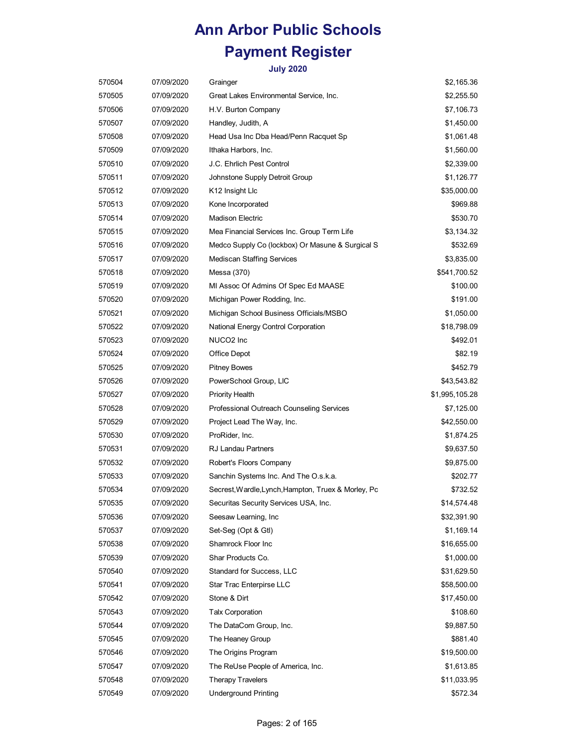| 570504 | 07/09/2020 | Grainger                                            | \$2,165.36     |
|--------|------------|-----------------------------------------------------|----------------|
| 570505 | 07/09/2020 | Great Lakes Environmental Service, Inc.             | \$2,255.50     |
| 570506 | 07/09/2020 | H.V. Burton Company                                 | \$7,106.73     |
| 570507 | 07/09/2020 | Handley, Judith, A                                  | \$1,450.00     |
| 570508 | 07/09/2020 | Head Usa Inc Dba Head/Penn Racquet Sp               | \$1,061.48     |
| 570509 | 07/09/2020 | Ithaka Harbors, Inc.                                | \$1,560.00     |
| 570510 | 07/09/2020 | J.C. Ehrlich Pest Control                           | \$2,339.00     |
| 570511 | 07/09/2020 | Johnstone Supply Detroit Group                      | \$1,126.77     |
| 570512 | 07/09/2020 | K12 Insight Llc                                     | \$35,000.00    |
| 570513 | 07/09/2020 | Kone Incorporated                                   | \$969.88       |
| 570514 | 07/09/2020 | <b>Madison Electric</b>                             | \$530.70       |
| 570515 | 07/09/2020 | Mea Financial Services Inc. Group Term Life         | \$3,134.32     |
| 570516 | 07/09/2020 | Medco Supply Co (lockbox) Or Masune & Surgical S    | \$532.69       |
| 570517 | 07/09/2020 | <b>Mediscan Staffing Services</b>                   | \$3,835.00     |
| 570518 | 07/09/2020 | Messa (370)                                         | \$541,700.52   |
| 570519 | 07/09/2020 | MI Assoc Of Admins Of Spec Ed MAASE                 | \$100.00       |
| 570520 | 07/09/2020 | Michigan Power Rodding, Inc.                        | \$191.00       |
| 570521 | 07/09/2020 | Michigan School Business Officials/MSBO             | \$1,050.00     |
| 570522 | 07/09/2020 | National Energy Control Corporation                 | \$18,798.09    |
| 570523 | 07/09/2020 | NUCO2 Inc                                           | \$492.01       |
| 570524 | 07/09/2020 | Office Depot                                        | \$82.19        |
| 570525 | 07/09/2020 | <b>Pitney Bowes</b>                                 | \$452.79       |
| 570526 | 07/09/2020 | PowerSchool Group, LIC                              | \$43,543.82    |
| 570527 | 07/09/2020 | <b>Priority Health</b>                              | \$1,995,105.28 |
| 570528 | 07/09/2020 | Professional Outreach Counseling Services           | \$7,125.00     |
| 570529 | 07/09/2020 | Project Lead The Way, Inc.                          | \$42,550.00    |
| 570530 | 07/09/2020 | ProRider, Inc.                                      | \$1,874.25     |
| 570531 | 07/09/2020 | <b>RJ Landau Partners</b>                           | \$9,637.50     |
| 570532 | 07/09/2020 | Robert's Floors Company                             | \$9,875.00     |
| 570533 | 07/09/2020 | Sanchin Systems Inc. And The O.s.k.a.               | \$202.77       |
| 570534 | 07/09/2020 | Secrest, Wardle, Lynch, Hampton, Truex & Morley, Pc | \$732.52       |
| 570535 | 07/09/2020 | Securitas Security Services USA, Inc.               | \$14,574.48    |
| 570536 | 07/09/2020 | Seesaw Learning, Inc                                | \$32,391.90    |
| 570537 | 07/09/2020 | Set-Seg (Opt & Gtl)                                 | \$1,169.14     |
| 570538 | 07/09/2020 | Shamrock Floor Inc                                  | \$16,655.00    |
| 570539 | 07/09/2020 | Shar Products Co.                                   | \$1,000.00     |
| 570540 | 07/09/2020 | Standard for Success, LLC                           | \$31,629.50    |
| 570541 | 07/09/2020 | Star Trac Enterpirse LLC                            | \$58,500.00    |
| 570542 | 07/09/2020 | Stone & Dirt                                        | \$17,450.00    |
| 570543 | 07/09/2020 | <b>Talx Corporation</b>                             | \$108.60       |
| 570544 | 07/09/2020 | The DataCom Group, Inc.                             | \$9,887.50     |
| 570545 | 07/09/2020 | The Heaney Group                                    | \$881.40       |
| 570546 | 07/09/2020 | The Origins Program                                 | \$19,500.00    |
| 570547 | 07/09/2020 | The ReUse People of America, Inc.                   | \$1,613.85     |
| 570548 | 07/09/2020 | <b>Therapy Travelers</b>                            | \$11,033.95    |
| 570549 | 07/09/2020 | <b>Underground Printing</b>                         | \$572.34       |
|        |            |                                                     |                |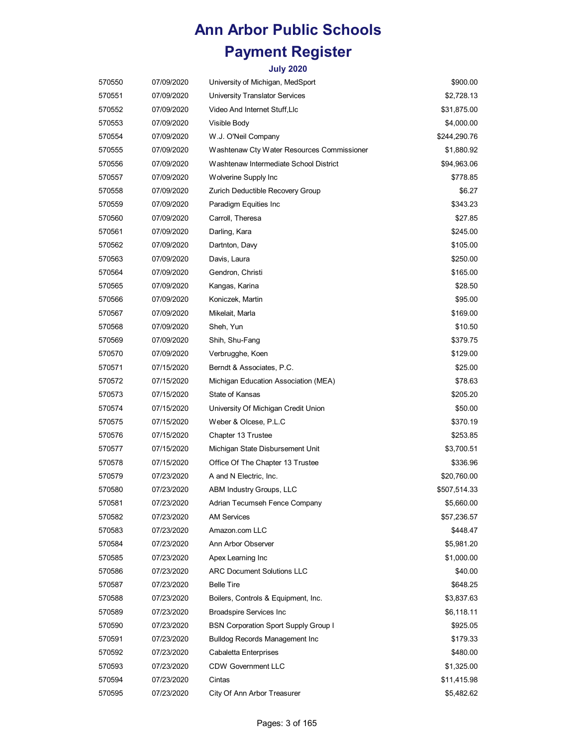| 570550 | 07/09/2020 | University of Michigan, MedSport            | \$900.00     |
|--------|------------|---------------------------------------------|--------------|
| 570551 | 07/09/2020 | University Translator Services              | \$2,728.13   |
| 570552 | 07/09/2020 | Video And Internet Stuff, Llc               | \$31,875.00  |
| 570553 | 07/09/2020 | Visible Body                                | \$4,000.00   |
| 570554 | 07/09/2020 | W.J. O'Neil Company                         | \$244,290.76 |
| 570555 | 07/09/2020 | Washtenaw Cty Water Resources Commissioner  | \$1,880.92   |
| 570556 | 07/09/2020 | Washtenaw Intermediate School District      | \$94,963.06  |
| 570557 | 07/09/2020 | Wolverine Supply Inc                        | \$778.85     |
| 570558 | 07/09/2020 | Zurich Deductible Recovery Group            | \$6.27       |
| 570559 | 07/09/2020 | Paradigm Equities Inc                       | \$343.23     |
| 570560 | 07/09/2020 | Carroll, Theresa                            | \$27.85      |
| 570561 | 07/09/2020 | Darling, Kara                               | \$245.00     |
| 570562 | 07/09/2020 | Dartnton, Davy                              | \$105.00     |
| 570563 | 07/09/2020 | Davis, Laura                                | \$250.00     |
| 570564 | 07/09/2020 | Gendron, Christi                            | \$165.00     |
| 570565 | 07/09/2020 | Kangas, Karina                              | \$28.50      |
| 570566 | 07/09/2020 | Koniczek, Martin                            | \$95.00      |
| 570567 | 07/09/2020 | Mikelait, Marla                             | \$169.00     |
| 570568 | 07/09/2020 | Sheh, Yun                                   | \$10.50      |
| 570569 | 07/09/2020 | Shih, Shu-Fang                              | \$379.75     |
| 570570 | 07/09/2020 | Verbrugghe, Koen                            | \$129.00     |
| 570571 | 07/15/2020 | Berndt & Associates, P.C.                   | \$25.00      |
| 570572 | 07/15/2020 | Michigan Education Association (MEA)        | \$78.63      |
| 570573 | 07/15/2020 | State of Kansas                             | \$205.20     |
| 570574 | 07/15/2020 | University Of Michigan Credit Union         | \$50.00      |
| 570575 | 07/15/2020 | Weber & Olcese, P.L.C                       | \$370.19     |
| 570576 | 07/15/2020 | Chapter 13 Trustee                          | \$253.85     |
| 570577 | 07/15/2020 | Michigan State Disbursement Unit            | \$3,700.51   |
| 570578 | 07/15/2020 | Office Of The Chapter 13 Trustee            | \$336.96     |
| 570579 | 07/23/2020 | A and N Electric, Inc.                      | \$20,760.00  |
| 570580 | 07/23/2020 | ABM Industry Groups, LLC                    | \$507,514.33 |
| 570581 | 07/23/2020 | Adrian Tecumseh Fence Company               | \$5,660.00   |
| 570582 | 07/23/2020 | <b>AM Services</b>                          | \$57,236.57  |
| 570583 | 07/23/2020 | Amazon.com LLC                              | \$448.47     |
| 570584 | 07/23/2020 | Ann Arbor Observer                          | \$5,981.20   |
| 570585 | 07/23/2020 | Apex Learning Inc                           | \$1,000.00   |
| 570586 | 07/23/2020 | <b>ARC Document Solutions LLC</b>           | \$40.00      |
| 570587 | 07/23/2020 | <b>Belle Tire</b>                           | \$648.25     |
| 570588 | 07/23/2020 | Boilers, Controls & Equipment, Inc.         | \$3,837.63   |
| 570589 | 07/23/2020 | <b>Broadspire Services Inc</b>              | \$6,118.11   |
| 570590 | 07/23/2020 | <b>BSN Corporation Sport Supply Group I</b> | \$925.05     |
| 570591 | 07/23/2020 | <b>Bulldog Records Management Inc</b>       | \$179.33     |
| 570592 | 07/23/2020 | Cabaletta Enterprises                       | \$480.00     |
| 570593 | 07/23/2020 | <b>CDW Government LLC</b>                   | \$1,325.00   |
| 570594 | 07/23/2020 | Cintas                                      | \$11,415.98  |
| 570595 | 07/23/2020 | City Of Ann Arbor Treasurer                 | \$5,482.62   |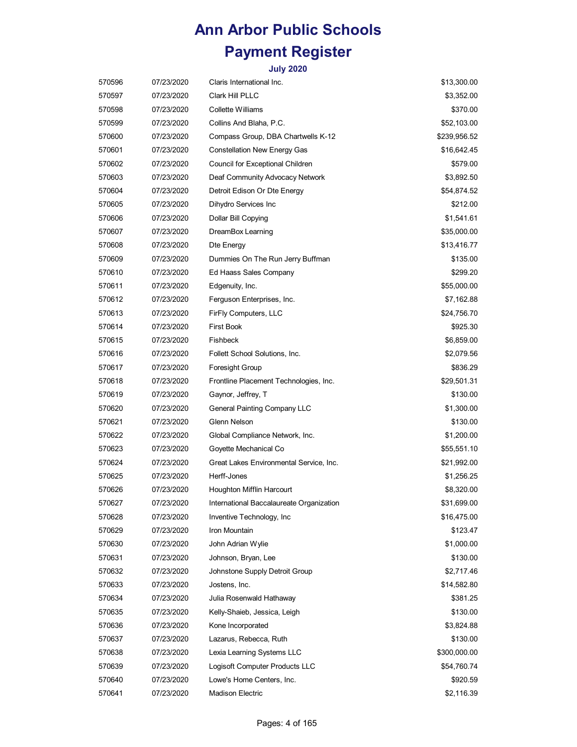| 570596 | 07/23/2020 | Claris International Inc.                | \$13,300.00  |
|--------|------------|------------------------------------------|--------------|
| 570597 | 07/23/2020 | Clark Hill PLLC                          | \$3,352.00   |
| 570598 | 07/23/2020 | Collette Williams                        | \$370.00     |
| 570599 | 07/23/2020 | Collins And Blaha, P.C.                  | \$52,103.00  |
| 570600 | 07/23/2020 | Compass Group, DBA Chartwells K-12       | \$239,956.52 |
| 570601 | 07/23/2020 | <b>Constellation New Energy Gas</b>      | \$16,642.45  |
| 570602 | 07/23/2020 | Council for Exceptional Children         | \$579.00     |
| 570603 | 07/23/2020 | Deaf Community Advocacy Network          | \$3,892.50   |
| 570604 | 07/23/2020 | Detroit Edison Or Dte Energy             | \$54,874.52  |
| 570605 | 07/23/2020 | Dihydro Services Inc                     | \$212.00     |
| 570606 | 07/23/2020 | Dollar Bill Copying                      | \$1,541.61   |
| 570607 | 07/23/2020 | DreamBox Learning                        | \$35,000.00  |
| 570608 | 07/23/2020 | Dte Energy                               | \$13,416.77  |
| 570609 | 07/23/2020 | Dummies On The Run Jerry Buffman         | \$135.00     |
| 570610 | 07/23/2020 | Ed Haass Sales Company                   | \$299.20     |
| 570611 | 07/23/2020 | Edgenuity, Inc.                          | \$55,000.00  |
| 570612 | 07/23/2020 | Ferguson Enterprises, Inc.               | \$7,162.88   |
| 570613 | 07/23/2020 | FirFly Computers, LLC                    | \$24,756.70  |
| 570614 | 07/23/2020 | <b>First Book</b>                        | \$925.30     |
| 570615 | 07/23/2020 | Fishbeck                                 | \$6,859.00   |
| 570616 | 07/23/2020 | Follett School Solutions, Inc.           | \$2,079.56   |
| 570617 | 07/23/2020 | <b>Foresight Group</b>                   | \$836.29     |
| 570618 | 07/23/2020 | Frontline Placement Technologies, Inc.   | \$29,501.31  |
| 570619 | 07/23/2020 | Gaynor, Jeffrey, T                       | \$130.00     |
| 570620 | 07/23/2020 | General Painting Company LLC             | \$1,300.00   |
| 570621 | 07/23/2020 | Glenn Nelson                             | \$130.00     |
| 570622 | 07/23/2020 | Global Compliance Network, Inc.          | \$1,200.00   |
| 570623 | 07/23/2020 | Goyette Mechanical Co                    | \$55,551.10  |
| 570624 | 07/23/2020 | Great Lakes Environmental Service, Inc.  | \$21,992.00  |
| 570625 | 07/23/2020 | Herff-Jones                              | \$1,256.25   |
| 570626 | 07/23/2020 | Houghton Mifflin Harcourt                | \$8,320.00   |
| 570627 | 07/23/2020 | International Baccalaureate Organization | \$31,699.00  |
| 570628 | 07/23/2020 | Inventive Technology, Inc.               | \$16,475.00  |
| 570629 | 07/23/2020 | Iron Mountain                            | \$123.47     |
| 570630 | 07/23/2020 | John Adrian Wylie                        | \$1,000.00   |
| 570631 | 07/23/2020 | Johnson, Bryan, Lee                      | \$130.00     |
| 570632 | 07/23/2020 | Johnstone Supply Detroit Group           | \$2,717.46   |
| 570633 | 07/23/2020 | Jostens, Inc.                            | \$14,582.80  |
| 570634 | 07/23/2020 | Julia Rosenwald Hathaway                 | \$381.25     |
| 570635 | 07/23/2020 | Kelly-Shaieb, Jessica, Leigh             | \$130.00     |
| 570636 | 07/23/2020 | Kone Incorporated                        | \$3,824.88   |
| 570637 | 07/23/2020 | Lazarus, Rebecca, Ruth                   | \$130.00     |
| 570638 | 07/23/2020 | Lexia Learning Systems LLC               | \$300,000.00 |
| 570639 | 07/23/2020 | Logisoft Computer Products LLC           | \$54,760.74  |
| 570640 | 07/23/2020 | Lowe's Home Centers, Inc.                | \$920.59     |
| 570641 | 07/23/2020 | <b>Madison Electric</b>                  | \$2,116.39   |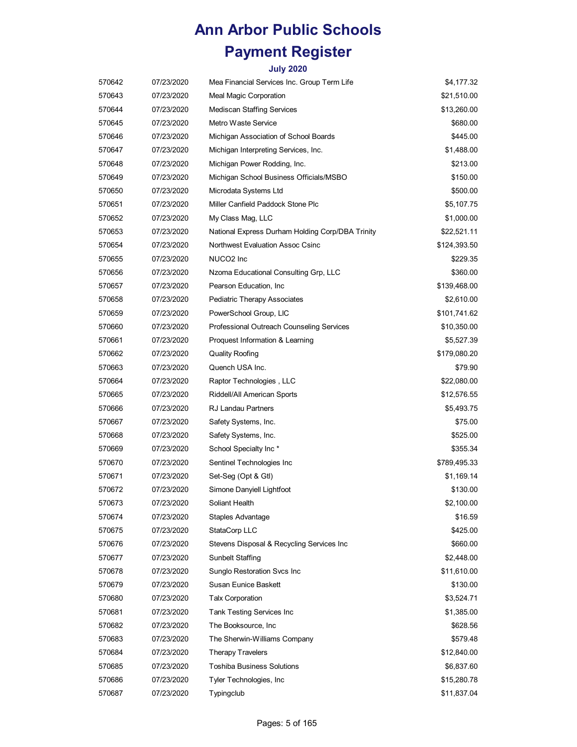| 570642 | 07/23/2020 | Mea Financial Services Inc. Group Term Life      | \$4,177.32   |
|--------|------------|--------------------------------------------------|--------------|
| 570643 | 07/23/2020 | Meal Magic Corporation                           | \$21,510.00  |
| 570644 | 07/23/2020 | <b>Mediscan Staffing Services</b>                | \$13,260.00  |
| 570645 | 07/23/2020 | Metro Waste Service                              | \$680.00     |
| 570646 | 07/23/2020 | Michigan Association of School Boards            | \$445.00     |
| 570647 | 07/23/2020 | Michigan Interpreting Services, Inc.             | \$1,488.00   |
| 570648 | 07/23/2020 | Michigan Power Rodding, Inc.                     | \$213.00     |
| 570649 | 07/23/2020 | Michigan School Business Officials/MSBO          | \$150.00     |
| 570650 | 07/23/2020 | Microdata Systems Ltd                            | \$500.00     |
| 570651 | 07/23/2020 | Miller Canfield Paddock Stone Plc                | \$5,107.75   |
| 570652 | 07/23/2020 | My Class Mag, LLC                                | \$1,000.00   |
| 570653 | 07/23/2020 | National Express Durham Holding Corp/DBA Trinity | \$22,521.11  |
| 570654 | 07/23/2020 | Northwest Evaluation Assoc Csinc                 | \$124,393.50 |
| 570655 | 07/23/2020 | NUCO <sub>2</sub> Inc                            | \$229.35     |
| 570656 | 07/23/2020 | Nzoma Educational Consulting Grp, LLC            | \$360.00     |
| 570657 | 07/23/2020 | Pearson Education, Inc.                          | \$139,468.00 |
| 570658 | 07/23/2020 | Pediatric Therapy Associates                     | \$2,610.00   |
| 570659 | 07/23/2020 | PowerSchool Group, LIC                           | \$101,741.62 |
| 570660 | 07/23/2020 | Professional Outreach Counseling Services        | \$10,350.00  |
| 570661 | 07/23/2020 | Proquest Information & Learning                  | \$5,527.39   |
| 570662 | 07/23/2020 | <b>Quality Roofing</b>                           | \$179,080.20 |
| 570663 | 07/23/2020 | Quench USA Inc.                                  | \$79.90      |
| 570664 | 07/23/2020 | Raptor Technologies, LLC                         | \$22,080.00  |
| 570665 | 07/23/2020 | Riddell/All American Sports                      | \$12,576.55  |
| 570666 | 07/23/2020 | <b>RJ Landau Partners</b>                        | \$5,493.75   |
| 570667 | 07/23/2020 | Safety Systems, Inc.                             | \$75.00      |
| 570668 | 07/23/2020 | Safety Systems, Inc.                             | \$525.00     |
| 570669 | 07/23/2020 | School Specialty Inc *                           | \$355.34     |
| 570670 | 07/23/2020 | Sentinel Technologies Inc                        | \$789,495.33 |
| 570671 | 07/23/2020 | Set-Seg (Opt & Gtl)                              | \$1,169.14   |
| 570672 | 07/23/2020 | Simone Danyiell Lightfoot                        | \$130.00     |
| 570673 | 07/23/2020 | Soliant Health                                   | \$2,100.00   |
| 570674 | 07/23/2020 | Staples Advantage                                | \$16.59      |
| 570675 | 07/23/2020 | StataCorp LLC                                    | \$425.00     |
| 570676 | 07/23/2020 | Stevens Disposal & Recycling Services Inc        | \$660.00     |
| 570677 | 07/23/2020 | Sunbelt Staffing                                 | \$2,448.00   |
| 570678 | 07/23/2020 | Sunglo Restoration Svcs Inc                      | \$11,610.00  |
| 570679 | 07/23/2020 | Susan Eunice Baskett                             | \$130.00     |
| 570680 | 07/23/2020 | <b>Talx Corporation</b>                          | \$3,524.71   |
| 570681 | 07/23/2020 | Tank Testing Services Inc                        | \$1,385.00   |
| 570682 | 07/23/2020 | The Booksource, Inc.                             | \$628.56     |
| 570683 | 07/23/2020 | The Sherwin-Williams Company                     | \$579.48     |
| 570684 | 07/23/2020 | <b>Therapy Travelers</b>                         | \$12,840.00  |
| 570685 | 07/23/2020 | <b>Toshiba Business Solutions</b>                | \$6,837.60   |
| 570686 | 07/23/2020 | Tyler Technologies, Inc                          | \$15,280.78  |
| 570687 | 07/23/2020 | Typingclub                                       | \$11,837.04  |
|        |            |                                                  |              |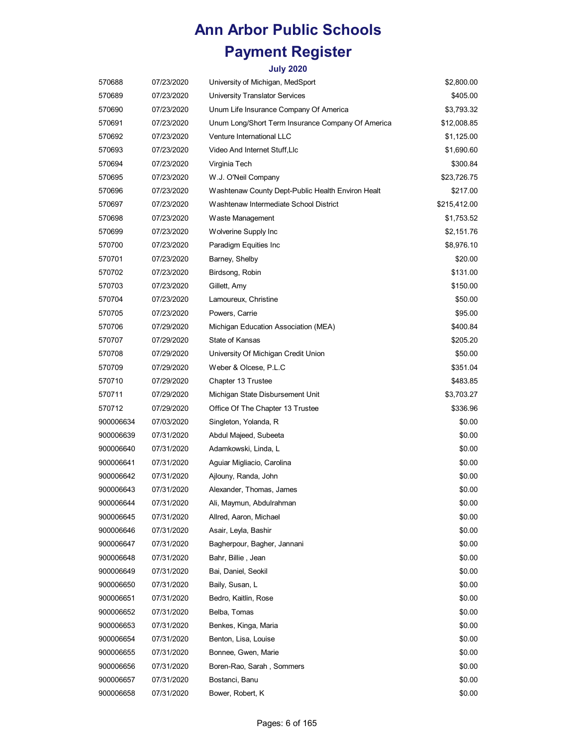| 570688    | 07/23/2020 | University of Michigan, MedSport                  | \$2,800.00   |
|-----------|------------|---------------------------------------------------|--------------|
| 570689    | 07/23/2020 | <b>University Translator Services</b>             | \$405.00     |
| 570690    | 07/23/2020 | Unum Life Insurance Company Of America            | \$3,793.32   |
| 570691    | 07/23/2020 | Unum Long/Short Term Insurance Company Of America | \$12,008.85  |
| 570692    | 07/23/2020 | Venture International LLC                         | \$1,125.00   |
| 570693    | 07/23/2020 | Video And Internet Stuff, Llc                     | \$1,690.60   |
| 570694    | 07/23/2020 | Virginia Tech                                     | \$300.84     |
| 570695    | 07/23/2020 | W.J. O'Neil Company                               | \$23,726.75  |
| 570696    | 07/23/2020 | Washtenaw County Dept-Public Health Environ Healt | \$217.00     |
| 570697    | 07/23/2020 | Washtenaw Intermediate School District            | \$215,412.00 |
| 570698    | 07/23/2020 | Waste Management                                  | \$1,753.52   |
| 570699    | 07/23/2020 | Wolverine Supply Inc                              | \$2,151.76   |
| 570700    | 07/23/2020 | Paradigm Equities Inc                             | \$8,976.10   |
| 570701    | 07/23/2020 | Barney, Shelby                                    | \$20.00      |
| 570702    | 07/23/2020 | Birdsong, Robin                                   | \$131.00     |
| 570703    | 07/23/2020 | Gillett, Amy                                      | \$150.00     |
| 570704    | 07/23/2020 | Lamoureux, Christine                              | \$50.00      |
| 570705    | 07/23/2020 | Powers, Carrie                                    | \$95.00      |
| 570706    | 07/29/2020 | Michigan Education Association (MEA)              | \$400.84     |
| 570707    | 07/29/2020 | State of Kansas                                   | \$205.20     |
| 570708    | 07/29/2020 | University Of Michigan Credit Union               | \$50.00      |
| 570709    | 07/29/2020 | Weber & Olcese, P.L.C                             | \$351.04     |
| 570710    | 07/29/2020 | Chapter 13 Trustee                                | \$483.85     |
| 570711    | 07/29/2020 | Michigan State Disbursement Unit                  | \$3,703.27   |
| 570712    | 07/29/2020 | Office Of The Chapter 13 Trustee                  | \$336.96     |
| 900006634 | 07/03/2020 | Singleton, Yolanda, R                             | \$0.00       |
| 900006639 | 07/31/2020 | Abdul Majeed, Subeeta                             | \$0.00       |
| 900006640 | 07/31/2020 | Adamkowski, Linda, L                              | \$0.00       |
| 900006641 | 07/31/2020 | Aguiar Migliacio, Carolina                        | \$0.00       |
| 900006642 | 07/31/2020 | Ajlouny, Randa, John                              | \$0.00       |
| 900006643 | 07/31/2020 | Alexander, Thomas, James                          | \$0.00       |
| 900006644 | 07/31/2020 | Ali, Maymun, Abdulrahman                          | \$0.00       |
| 900006645 | 07/31/2020 | Allred, Aaron, Michael                            | \$0.00       |
| 900006646 | 07/31/2020 | Asair, Leyla, Bashir                              | \$0.00       |
| 900006647 | 07/31/2020 | Bagherpour, Bagher, Jannani                       | \$0.00       |
| 900006648 | 07/31/2020 | Bahr, Billie, Jean                                | \$0.00       |
| 900006649 | 07/31/2020 | Bai, Daniel, Seokil                               | \$0.00       |
| 900006650 | 07/31/2020 | Baily, Susan, L                                   | \$0.00       |
| 900006651 | 07/31/2020 | Bedro, Kaitlin, Rose                              | \$0.00       |
| 900006652 | 07/31/2020 | Belba, Tomas                                      | \$0.00       |
| 900006653 | 07/31/2020 | Benkes, Kinga, Maria                              | \$0.00       |
| 900006654 | 07/31/2020 | Benton, Lisa, Louise                              | \$0.00       |
| 900006655 | 07/31/2020 | Bonnee, Gwen, Marie                               | \$0.00       |
| 900006656 | 07/31/2020 | Boren-Rao, Sarah, Sommers                         | \$0.00       |
| 900006657 | 07/31/2020 | Bostanci, Banu                                    | \$0.00       |
| 900006658 | 07/31/2020 | Bower, Robert, K                                  | \$0.00       |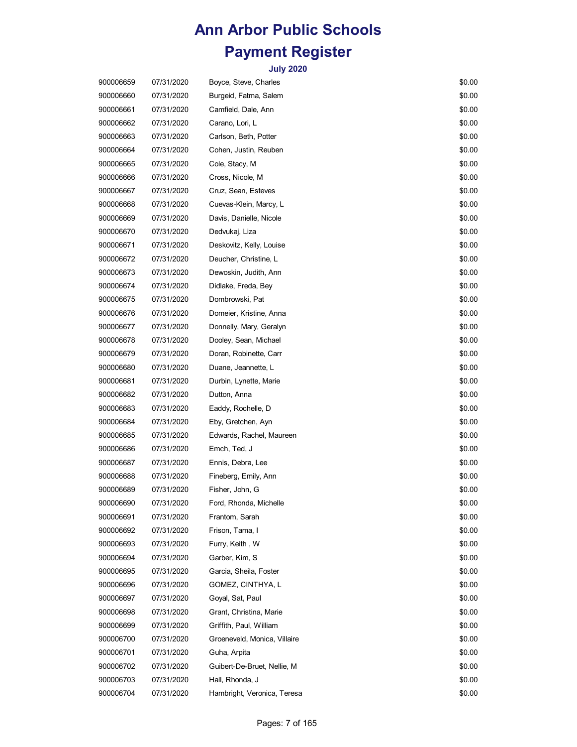| 900006659 | 07/31/2020 | Boyce, Steve, Charles        | \$0.00 |
|-----------|------------|------------------------------|--------|
| 900006660 | 07/31/2020 | Burgeid, Fatma, Salem        | \$0.00 |
| 900006661 | 07/31/2020 | Camfield, Dale, Ann          | \$0.00 |
| 900006662 | 07/31/2020 | Carano, Lori, L              | \$0.00 |
| 900006663 | 07/31/2020 | Carlson, Beth, Potter        | \$0.00 |
| 900006664 | 07/31/2020 | Cohen, Justin, Reuben        | \$0.00 |
| 900006665 | 07/31/2020 | Cole, Stacy, M               | \$0.00 |
| 900006666 | 07/31/2020 | Cross, Nicole, M             | \$0.00 |
| 900006667 | 07/31/2020 | Cruz, Sean, Esteves          | \$0.00 |
| 900006668 | 07/31/2020 | Cuevas-Klein, Marcy, L       | \$0.00 |
| 900006669 | 07/31/2020 | Davis, Danielle, Nicole      | \$0.00 |
| 900006670 | 07/31/2020 | Dedvukaj, Liza               | \$0.00 |
| 900006671 | 07/31/2020 | Deskovitz, Kelly, Louise     | \$0.00 |
| 900006672 | 07/31/2020 | Deucher, Christine, L        | \$0.00 |
| 900006673 | 07/31/2020 | Dewoskin, Judith, Ann        | \$0.00 |
| 900006674 | 07/31/2020 | Didlake, Freda, Bey          | \$0.00 |
| 900006675 | 07/31/2020 | Dombrowski, Pat              | \$0.00 |
| 900006676 | 07/31/2020 | Domeier, Kristine, Anna      | \$0.00 |
| 900006677 | 07/31/2020 | Donnelly, Mary, Geralyn      | \$0.00 |
| 900006678 | 07/31/2020 | Dooley, Sean, Michael        | \$0.00 |
| 900006679 | 07/31/2020 | Doran, Robinette, Carr       | \$0.00 |
| 900006680 | 07/31/2020 | Duane, Jeannette, L          | \$0.00 |
| 900006681 | 07/31/2020 | Durbin, Lynette, Marie       | \$0.00 |
| 900006682 | 07/31/2020 | Dutton, Anna                 | \$0.00 |
| 900006683 | 07/31/2020 | Eaddy, Rochelle, D           | \$0.00 |
| 900006684 | 07/31/2020 | Eby, Gretchen, Ayn           | \$0.00 |
| 900006685 | 07/31/2020 | Edwards, Rachel, Maureen     | \$0.00 |
| 900006686 | 07/31/2020 | Emch, Ted, J                 | \$0.00 |
| 900006687 | 07/31/2020 | Ennis, Debra, Lee            | \$0.00 |
| 900006688 | 07/31/2020 | Fineberg, Emily, Ann         | \$0.00 |
| 900006689 | 07/31/2020 | Fisher, John, G              | \$0.00 |
| 900006690 | 07/31/2020 | Ford, Rhonda, Michelle       | \$0.00 |
| 900006691 | 07/31/2020 | Frantom, Sarah               | \$0.00 |
| 900006692 | 07/31/2020 | Frison, Tama, I              | \$0.00 |
| 900006693 | 07/31/2020 | Furry, Keith, W              | \$0.00 |
| 900006694 | 07/31/2020 | Garber, Kim, S               | \$0.00 |
| 900006695 | 07/31/2020 | Garcia, Sheila, Foster       | \$0.00 |
| 900006696 | 07/31/2020 | GOMEZ, CINTHYA, L            | \$0.00 |
| 900006697 | 07/31/2020 | Goyal, Sat, Paul             | \$0.00 |
| 900006698 | 07/31/2020 | Grant, Christina, Marie      | \$0.00 |
| 900006699 | 07/31/2020 | Griffith, Paul, William      | \$0.00 |
| 900006700 | 07/31/2020 | Groeneveld, Monica, Villaire | \$0.00 |
| 900006701 | 07/31/2020 | Guha, Arpita                 | \$0.00 |
| 900006702 | 07/31/2020 | Guibert-De-Bruet, Nellie, M  | \$0.00 |
| 900006703 | 07/31/2020 | Hall, Rhonda, J              | \$0.00 |
| 900006704 | 07/31/2020 | Hambright, Veronica, Teresa  | \$0.00 |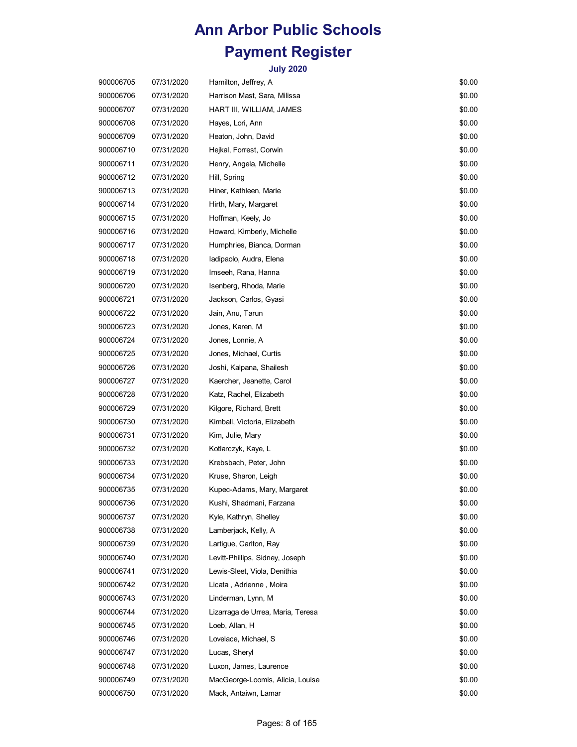| 900006705 | 07/31/2020 | Hamilton, Jeffrey, A              | \$0.00 |
|-----------|------------|-----------------------------------|--------|
| 900006706 | 07/31/2020 | Harrison Mast, Sara, Milissa      | \$0.00 |
| 900006707 | 07/31/2020 | HART III, WILLIAM, JAMES          | \$0.00 |
| 900006708 | 07/31/2020 | Hayes, Lori, Ann                  | \$0.00 |
| 900006709 | 07/31/2020 | Heaton, John, David               | \$0.00 |
| 900006710 | 07/31/2020 | Hejkal, Forrest, Corwin           | \$0.00 |
| 900006711 | 07/31/2020 | Henry, Angela, Michelle           | \$0.00 |
| 900006712 | 07/31/2020 | Hill, Spring                      | \$0.00 |
| 900006713 | 07/31/2020 | Hiner, Kathleen, Marie            | \$0.00 |
| 900006714 | 07/31/2020 | Hirth, Mary, Margaret             | \$0.00 |
| 900006715 | 07/31/2020 | Hoffman, Keely, Jo                | \$0.00 |
| 900006716 | 07/31/2020 | Howard, Kimberly, Michelle        | \$0.00 |
| 900006717 | 07/31/2020 | Humphries, Bianca, Dorman         | \$0.00 |
| 900006718 | 07/31/2020 | Iadipaolo, Audra, Elena           | \$0.00 |
| 900006719 | 07/31/2020 | Imseeh, Rana, Hanna               | \$0.00 |
| 900006720 | 07/31/2020 | Isenberg, Rhoda, Marie            | \$0.00 |
| 900006721 | 07/31/2020 | Jackson, Carlos, Gyasi            | \$0.00 |
| 900006722 | 07/31/2020 | Jain, Anu, Tarun                  | \$0.00 |
| 900006723 | 07/31/2020 | Jones, Karen, M                   | \$0.00 |
| 900006724 | 07/31/2020 | Jones, Lonnie, A                  | \$0.00 |
| 900006725 | 07/31/2020 | Jones, Michael, Curtis            | \$0.00 |
| 900006726 | 07/31/2020 | Joshi, Kalpana, Shailesh          | \$0.00 |
| 900006727 | 07/31/2020 | Kaercher, Jeanette, Carol         | \$0.00 |
| 900006728 | 07/31/2020 | Katz, Rachel, Elizabeth           | \$0.00 |
| 900006729 | 07/31/2020 | Kilgore, Richard, Brett           | \$0.00 |
| 900006730 | 07/31/2020 | Kimball, Victoria, Elizabeth      | \$0.00 |
| 900006731 | 07/31/2020 | Kim, Julie, Mary                  | \$0.00 |
| 900006732 | 07/31/2020 | Kotlarczyk, Kaye, L               | \$0.00 |
| 900006733 | 07/31/2020 | Krebsbach, Peter, John            | \$0.00 |
| 900006734 | 07/31/2020 | Kruse, Sharon, Leigh              | \$0.00 |
| 900006735 | 07/31/2020 | Kupec-Adams, Mary, Margaret       | \$0.00 |
| 900006736 | 07/31/2020 | Kushi, Shadmani, Farzana          | \$0.00 |
| 900006737 | 07/31/2020 | Kyle, Kathryn, Shelley            | \$0.00 |
| 900006738 | 07/31/2020 | Lamberjack, Kelly, A              | \$0.00 |
| 900006739 | 07/31/2020 | Lartigue, Carlton, Ray            | \$0.00 |
| 900006740 | 07/31/2020 | Levitt-Phillips, Sidney, Joseph   | \$0.00 |
| 900006741 | 07/31/2020 | Lewis-Sleet, Viola, Denithia      | \$0.00 |
| 900006742 | 07/31/2020 | Licata, Adrienne, Moira           | \$0.00 |
| 900006743 | 07/31/2020 | Linderman, Lynn, M                | \$0.00 |
| 900006744 | 07/31/2020 | Lizarraga de Urrea, Maria, Teresa | \$0.00 |
| 900006745 | 07/31/2020 | Loeb, Allan, H                    | \$0.00 |
| 900006746 | 07/31/2020 | Lovelace, Michael, S              | \$0.00 |
| 900006747 | 07/31/2020 | Lucas, Sheryl                     | \$0.00 |
| 900006748 | 07/31/2020 | Luxon, James, Laurence            | \$0.00 |
| 900006749 | 07/31/2020 | MacGeorge-Loomis, Alicia, Louise  | \$0.00 |
| 900006750 | 07/31/2020 | Mack, Antaiwn, Lamar              | \$0.00 |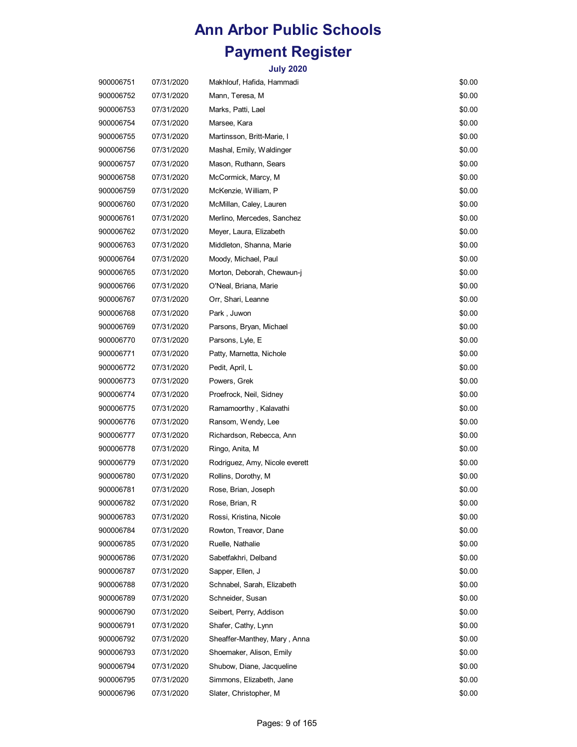| 900006751 | 07/31/2020 | Makhlouf, Hafida, Hammadi      | \$0.00 |
|-----------|------------|--------------------------------|--------|
| 900006752 | 07/31/2020 | Mann, Teresa, M                | \$0.00 |
| 900006753 | 07/31/2020 | Marks, Patti, Lael             | \$0.00 |
| 900006754 | 07/31/2020 | Marsee, Kara                   | \$0.00 |
| 900006755 | 07/31/2020 | Martinsson, Britt-Marie, I     | \$0.00 |
| 900006756 | 07/31/2020 | Mashal, Emily, Waldinger       | \$0.00 |
| 900006757 | 07/31/2020 | Mason, Ruthann, Sears          | \$0.00 |
| 900006758 | 07/31/2020 | McCormick, Marcy, M            | \$0.00 |
| 900006759 | 07/31/2020 | McKenzie, William, P           | \$0.00 |
| 900006760 | 07/31/2020 | McMillan, Caley, Lauren        | \$0.00 |
| 900006761 | 07/31/2020 | Merlino, Mercedes, Sanchez     | \$0.00 |
| 900006762 | 07/31/2020 | Meyer, Laura, Elizabeth        | \$0.00 |
| 900006763 | 07/31/2020 | Middleton, Shanna, Marie       | \$0.00 |
| 900006764 | 07/31/2020 | Moody, Michael, Paul           | \$0.00 |
| 900006765 | 07/31/2020 | Morton, Deborah, Chewaun-j     | \$0.00 |
| 900006766 | 07/31/2020 | O'Neal, Briana, Marie          | \$0.00 |
| 900006767 | 07/31/2020 | Orr, Shari, Leanne             | \$0.00 |
| 900006768 | 07/31/2020 | Park, Juwon                    | \$0.00 |
| 900006769 | 07/31/2020 | Parsons, Bryan, Michael        | \$0.00 |
| 900006770 | 07/31/2020 | Parsons, Lyle, E               | \$0.00 |
| 900006771 | 07/31/2020 | Patty, Marnetta, Nichole       | \$0.00 |
| 900006772 | 07/31/2020 | Pedit, April, L                | \$0.00 |
| 900006773 | 07/31/2020 | Powers, Grek                   | \$0.00 |
| 900006774 | 07/31/2020 | Proefrock, Neil, Sidney        | \$0.00 |
| 900006775 | 07/31/2020 | Ramamoorthy, Kalavathi         | \$0.00 |
| 900006776 | 07/31/2020 | Ransom, Wendy, Lee             | \$0.00 |
| 900006777 | 07/31/2020 | Richardson, Rebecca, Ann       | \$0.00 |
| 900006778 | 07/31/2020 | Ringo, Anita, M                | \$0.00 |
| 900006779 | 07/31/2020 | Rodriguez, Amy, Nicole everett | \$0.00 |
| 900006780 | 07/31/2020 | Rollins, Dorothy, M            | \$0.00 |
| 900006781 | 07/31/2020 | Rose, Brian, Joseph            | \$0.00 |
| 900006782 | 07/31/2020 | Rose, Brian, R                 | \$0.00 |
| 900006783 | 07/31/2020 | Rossi, Kristina, Nicole        | \$0.00 |
| 900006784 | 07/31/2020 | Rowton, Treavor, Dane          | \$0.00 |
| 900006785 | 07/31/2020 | Ruelle, Nathalie               | \$0.00 |
| 900006786 | 07/31/2020 | Sabetfakhri, Delband           | \$0.00 |
| 900006787 | 07/31/2020 | Sapper, Ellen, J               | \$0.00 |
| 900006788 | 07/31/2020 | Schnabel, Sarah, Elizabeth     | \$0.00 |
| 900006789 | 07/31/2020 | Schneider, Susan               | \$0.00 |
| 900006790 | 07/31/2020 | Seibert, Perry, Addison        | \$0.00 |
| 900006791 | 07/31/2020 | Shafer, Cathy, Lynn            | \$0.00 |
| 900006792 | 07/31/2020 | Sheaffer-Manthey, Mary, Anna   | \$0.00 |
| 900006793 | 07/31/2020 | Shoemaker, Alison, Emily       | \$0.00 |
| 900006794 | 07/31/2020 | Shubow, Diane, Jacqueline      | \$0.00 |
| 900006795 | 07/31/2020 | Simmons, Elizabeth, Jane       | \$0.00 |
| 900006796 | 07/31/2020 | Slater, Christopher, M         | \$0.00 |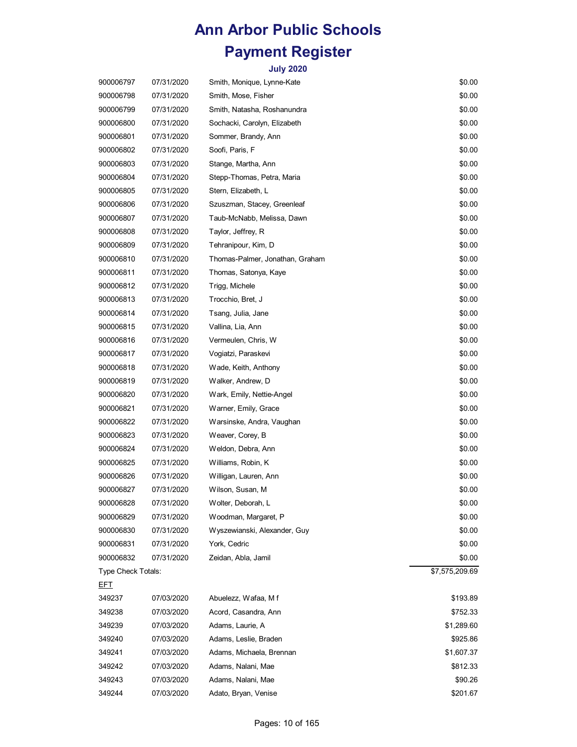| 900006797          | 07/31/2020 | Smith, Monique, Lynne-Kate      | \$0.00         |
|--------------------|------------|---------------------------------|----------------|
| 900006798          | 07/31/2020 | Smith, Mose, Fisher             | \$0.00         |
| 900006799          | 07/31/2020 | Smith, Natasha, Roshanundra     | \$0.00         |
| 900006800          | 07/31/2020 | Sochacki, Carolyn, Elizabeth    | \$0.00         |
| 900006801          | 07/31/2020 | Sommer, Brandy, Ann             | \$0.00         |
| 900006802          | 07/31/2020 | Soofi, Paris, F                 | \$0.00         |
| 900006803          | 07/31/2020 | Stange, Martha, Ann             | \$0.00         |
| 900006804          | 07/31/2020 | Stepp-Thomas, Petra, Maria      | \$0.00         |
| 900006805          | 07/31/2020 | Stern, Elizabeth, L             | \$0.00         |
| 900006806          | 07/31/2020 | Szuszman, Stacey, Greenleaf     | \$0.00         |
| 900006807          | 07/31/2020 | Taub-McNabb, Melissa, Dawn      | \$0.00         |
| 900006808          | 07/31/2020 | Taylor, Jeffrey, R              | \$0.00         |
| 900006809          | 07/31/2020 | Tehranipour, Kim, D             | \$0.00         |
| 900006810          | 07/31/2020 | Thomas-Palmer, Jonathan, Graham | \$0.00         |
| 900006811          | 07/31/2020 | Thomas, Satonya, Kaye           | \$0.00         |
| 900006812          | 07/31/2020 | Trigg, Michele                  | \$0.00         |
| 900006813          | 07/31/2020 | Trocchio, Bret, J               | \$0.00         |
| 900006814          | 07/31/2020 | Tsang, Julia, Jane              | \$0.00         |
| 900006815          | 07/31/2020 | Vallina, Lia, Ann               | \$0.00         |
| 900006816          | 07/31/2020 | Vermeulen, Chris, W             | \$0.00         |
| 900006817          | 07/31/2020 | Vogiatzi, Paraskevi             | \$0.00         |
| 900006818          | 07/31/2020 | Wade, Keith, Anthony            | \$0.00         |
| 900006819          | 07/31/2020 | Walker, Andrew, D               | \$0.00         |
| 900006820          | 07/31/2020 | Wark, Emily, Nettie-Angel       | \$0.00         |
| 900006821          | 07/31/2020 | Warner, Emily, Grace            | \$0.00         |
| 900006822          | 07/31/2020 | Warsinske, Andra, Vaughan       | \$0.00         |
| 900006823          | 07/31/2020 | Weaver, Corey, B                | \$0.00         |
| 900006824          | 07/31/2020 | Weldon, Debra, Ann              | \$0.00         |
| 900006825          | 07/31/2020 | Williams, Robin, K              | \$0.00         |
| 900006826          | 07/31/2020 | Willigan, Lauren, Ann           | \$0.00         |
| 900006827          | 07/31/2020 | Wilson, Susan, M                | \$0.00         |
| 900006828          | 07/31/2020 | Wolter, Deborah, L              | \$0.00         |
| 900006829          | 07/31/2020 | Woodman, Margaret, P            | \$0.00         |
| 900006830          | 07/31/2020 | Wyszewianski, Alexander, Guy    | \$0.00         |
| 900006831          | 07/31/2020 | York, Cedric                    | \$0.00         |
| 900006832          | 07/31/2020 | Zeidan, Abla, Jamil             | \$0.00         |
| Type Check Totals: |            |                                 | \$7,575,209.69 |
| <u>EFT</u>         |            |                                 |                |
| 349237             | 07/03/2020 | Abuelezz, Wafaa, Mf             | \$193.89       |
| 349238             | 07/03/2020 | Acord, Casandra, Ann            | \$752.33       |
| 349239             | 07/03/2020 | Adams, Laurie, A                | \$1,289.60     |
| 349240             | 07/03/2020 | Adams, Leslie, Braden           | \$925.86       |
| 349241             | 07/03/2020 | Adams, Michaela, Brennan        | \$1,607.37     |
| 349242             | 07/03/2020 | Adams, Nalani, Mae              | \$812.33       |
| 349243             | 07/03/2020 | Adams, Nalani, Mae              | \$90.26        |
| 349244             | 07/03/2020 | Adato, Bryan, Venise            | \$201.67       |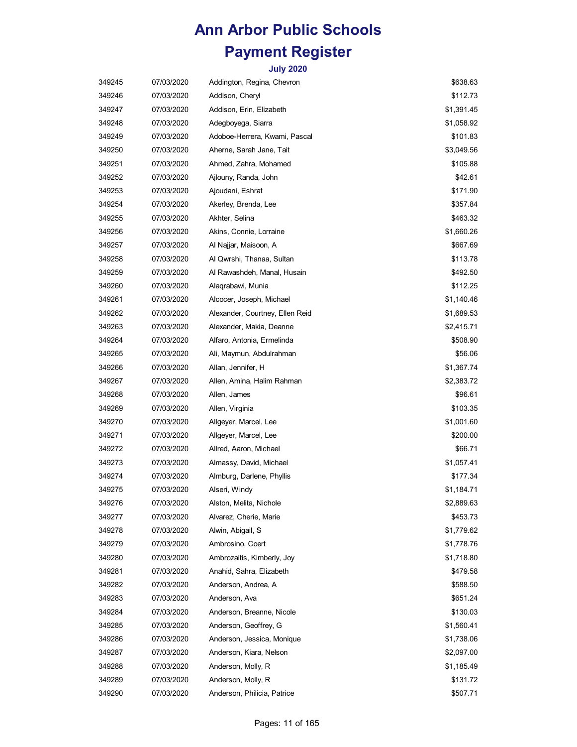| 349245 | 07/03/2020 | Addington, Regina, Chevron      | \$638.63   |
|--------|------------|---------------------------------|------------|
| 349246 | 07/03/2020 | Addison, Cheryl                 | \$112.73   |
| 349247 | 07/03/2020 | Addison, Erin, Elizabeth        | \$1,391.45 |
| 349248 | 07/03/2020 | Adegboyega, Siarra              | \$1,058.92 |
| 349249 | 07/03/2020 | Adoboe-Herrera, Kwami, Pascal   | \$101.83   |
| 349250 | 07/03/2020 | Aherne, Sarah Jane, Tait        | \$3,049.56 |
| 349251 | 07/03/2020 | Ahmed, Zahra, Mohamed           | \$105.88   |
| 349252 | 07/03/2020 | Ajlouny, Randa, John            | \$42.61    |
| 349253 | 07/03/2020 | Ajoudani, Eshrat                | \$171.90   |
| 349254 | 07/03/2020 | Akerley, Brenda, Lee            | \$357.84   |
| 349255 | 07/03/2020 | Akhter, Selina                  | \$463.32   |
| 349256 | 07/03/2020 | Akins, Connie, Lorraine         | \$1,660.26 |
| 349257 | 07/03/2020 | Al Najjar, Maisoon, A           | \$667.69   |
| 349258 | 07/03/2020 | Al Qwrshi, Thanaa, Sultan       | \$113.78   |
| 349259 | 07/03/2020 | Al Rawashdeh, Manal, Husain     | \$492.50   |
| 349260 | 07/03/2020 | Alaqrabawi, Munia               | \$112.25   |
| 349261 | 07/03/2020 | Alcocer, Joseph, Michael        | \$1,140.46 |
| 349262 | 07/03/2020 | Alexander, Courtney, Ellen Reid | \$1,689.53 |
| 349263 | 07/03/2020 | Alexander, Makia, Deanne        | \$2,415.71 |
| 349264 | 07/03/2020 | Alfaro, Antonia, Ermelinda      | \$508.90   |
| 349265 | 07/03/2020 | Ali, Maymun, Abdulrahman        | \$56.06    |
| 349266 | 07/03/2020 | Allan, Jennifer, H              | \$1,367.74 |
| 349267 | 07/03/2020 | Allen, Amina, Halim Rahman      | \$2,383.72 |
| 349268 | 07/03/2020 | Allen, James                    | \$96.61    |
| 349269 | 07/03/2020 | Allen, Virginia                 | \$103.35   |
| 349270 | 07/03/2020 | Allgeyer, Marcel, Lee           | \$1,001.60 |
| 349271 | 07/03/2020 | Allgeyer, Marcel, Lee           | \$200.00   |
| 349272 | 07/03/2020 | Allred, Aaron, Michael          | \$66.71    |
| 349273 | 07/03/2020 | Almassy, David, Michael         | \$1,057.41 |
| 349274 | 07/03/2020 | Almburg, Darlene, Phyllis       | \$177.34   |
| 349275 | 07/03/2020 | Alseri, Windy                   | \$1,184.71 |
| 349276 | 07/03/2020 | Alston, Melita, Nichole         | \$2,889.63 |
| 349277 | 07/03/2020 | Alvarez, Cherie, Marie          | \$453.73   |
| 349278 | 07/03/2020 | Alwin, Abigail, S               | \$1,779.62 |
| 349279 | 07/03/2020 | Ambrosino, Coert                | \$1,778.76 |
| 349280 | 07/03/2020 | Ambrozaitis, Kimberly, Joy      | \$1,718.80 |
| 349281 | 07/03/2020 | Anahid, Sahra, Elizabeth        | \$479.58   |
| 349282 | 07/03/2020 | Anderson, Andrea, A             | \$588.50   |
| 349283 | 07/03/2020 | Anderson, Ava                   | \$651.24   |
| 349284 | 07/03/2020 | Anderson, Breanne, Nicole       | \$130.03   |
| 349285 | 07/03/2020 | Anderson, Geoffrey, G           | \$1,560.41 |
| 349286 | 07/03/2020 | Anderson, Jessica, Monique      | \$1,738.06 |
| 349287 | 07/03/2020 | Anderson, Kiara, Nelson         | \$2,097.00 |
| 349288 | 07/03/2020 | Anderson, Molly, R              | \$1,185.49 |
| 349289 | 07/03/2020 | Anderson, Molly, R              | \$131.72   |
| 349290 | 07/03/2020 | Anderson, Philicia, Patrice     | \$507.71   |
|        |            |                                 |            |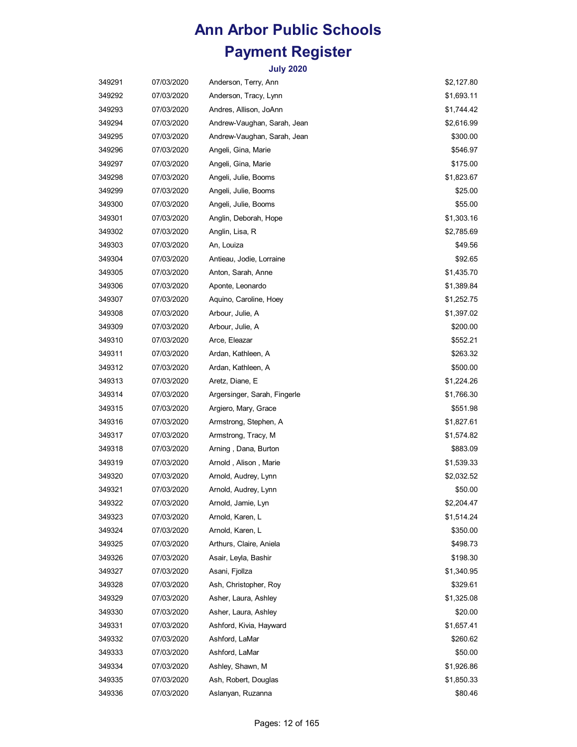| 349291 | 07/03/2020 | Anderson, Terry, Ann         | \$2,127.80 |
|--------|------------|------------------------------|------------|
| 349292 | 07/03/2020 | Anderson, Tracy, Lynn        | \$1,693.11 |
| 349293 | 07/03/2020 | Andres, Allison, JoAnn       | \$1,744.42 |
| 349294 | 07/03/2020 | Andrew-Vaughan, Sarah, Jean  | \$2,616.99 |
| 349295 | 07/03/2020 | Andrew-Vaughan, Sarah, Jean  | \$300.00   |
| 349296 | 07/03/2020 | Angeli, Gina, Marie          | \$546.97   |
| 349297 | 07/03/2020 | Angeli, Gina, Marie          | \$175.00   |
| 349298 | 07/03/2020 | Angeli, Julie, Booms         | \$1,823.67 |
| 349299 | 07/03/2020 | Angeli, Julie, Booms         | \$25.00    |
| 349300 | 07/03/2020 | Angeli, Julie, Booms         | \$55.00    |
| 349301 | 07/03/2020 | Anglin, Deborah, Hope        | \$1,303.16 |
| 349302 | 07/03/2020 | Anglin, Lisa, R              | \$2,785.69 |
| 349303 | 07/03/2020 | An, Louiza                   | \$49.56    |
| 349304 | 07/03/2020 | Antieau, Jodie, Lorraine     | \$92.65    |
| 349305 | 07/03/2020 | Anton, Sarah, Anne           | \$1,435.70 |
| 349306 | 07/03/2020 | Aponte, Leonardo             | \$1,389.84 |
| 349307 | 07/03/2020 | Aquino, Caroline, Hoey       | \$1,252.75 |
| 349308 | 07/03/2020 | Arbour, Julie, A             | \$1,397.02 |
| 349309 | 07/03/2020 | Arbour, Julie, A             | \$200.00   |
| 349310 | 07/03/2020 | Arce, Eleazar                | \$552.21   |
| 349311 | 07/03/2020 | Ardan, Kathleen, A           | \$263.32   |
| 349312 | 07/03/2020 | Ardan, Kathleen, A           | \$500.00   |
| 349313 | 07/03/2020 | Aretz, Diane, E              | \$1,224.26 |
| 349314 | 07/03/2020 | Argersinger, Sarah, Fingerle | \$1,766.30 |
| 349315 | 07/03/2020 | Argiero, Mary, Grace         | \$551.98   |
| 349316 | 07/03/2020 | Armstrong, Stephen, A        | \$1,827.61 |
| 349317 | 07/03/2020 | Armstrong, Tracy, M          | \$1,574.82 |
| 349318 | 07/03/2020 | Arning, Dana, Burton         | \$883.09   |
| 349319 | 07/03/2020 | Arnold , Alison , Marie      | \$1,539.33 |
| 349320 | 07/03/2020 | Arnold, Audrey, Lynn         | \$2,032.52 |
| 349321 | 07/03/2020 | Arnold, Audrey, Lynn         | \$50.00    |
| 349322 | 07/03/2020 | Arnold, Jamie, Lyn           | \$2,204.47 |
| 349323 | 07/03/2020 | Arnold, Karen, L             | \$1,514.24 |
| 349324 | 07/03/2020 | Arnold, Karen, L             | \$350.00   |
| 349325 | 07/03/2020 | Arthurs, Claire, Aniela      | \$498.73   |
| 349326 | 07/03/2020 | Asair, Leyla, Bashir         | \$198.30   |
| 349327 | 07/03/2020 | Asani, Fjollza               | \$1,340.95 |
| 349328 | 07/03/2020 | Ash, Christopher, Roy        | \$329.61   |
| 349329 | 07/03/2020 | Asher, Laura, Ashley         | \$1,325.08 |
| 349330 | 07/03/2020 | Asher, Laura, Ashley         | \$20.00    |
| 349331 | 07/03/2020 | Ashford, Kivia, Hayward      | \$1,657.41 |
| 349332 | 07/03/2020 | Ashford, LaMar               | \$260.62   |
| 349333 | 07/03/2020 | Ashford, LaMar               | \$50.00    |
| 349334 | 07/03/2020 | Ashley, Shawn, M             | \$1,926.86 |
| 349335 | 07/03/2020 | Ash, Robert, Douglas         | \$1,850.33 |
| 349336 | 07/03/2020 | Aslanyan, Ruzanna            | \$80.46    |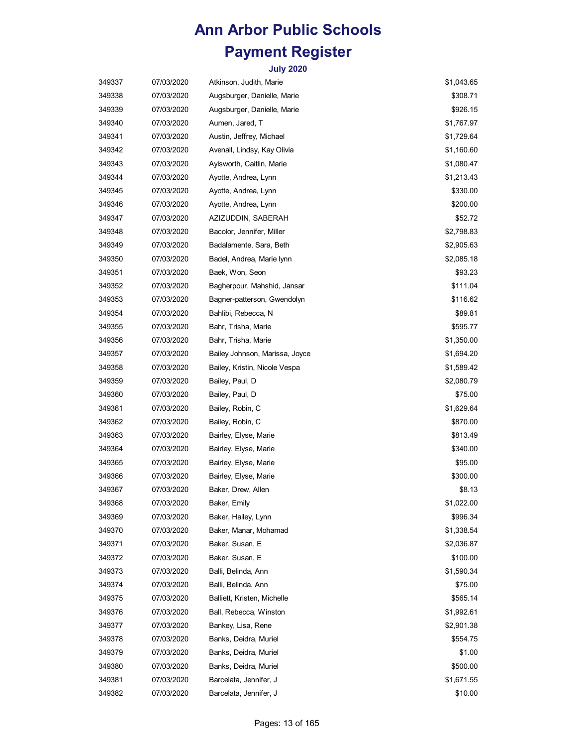| 349337 | 07/03/2020 | Atkinson, Judith, Marie        | \$1,043.65 |
|--------|------------|--------------------------------|------------|
| 349338 | 07/03/2020 | Augsburger, Danielle, Marie    | \$308.71   |
| 349339 | 07/03/2020 | Augsburger, Danielle, Marie    | \$926.15   |
| 349340 | 07/03/2020 | Aumen, Jared, T                | \$1,767.97 |
| 349341 | 07/03/2020 | Austin, Jeffrey, Michael       | \$1,729.64 |
| 349342 | 07/03/2020 | Avenall, Lindsy, Kay Olivia    | \$1,160.60 |
| 349343 | 07/03/2020 | Aylsworth, Caitlin, Marie      | \$1,080.47 |
| 349344 | 07/03/2020 | Ayotte, Andrea, Lynn           | \$1,213.43 |
| 349345 | 07/03/2020 | Ayotte, Andrea, Lynn           | \$330.00   |
| 349346 | 07/03/2020 | Ayotte, Andrea, Lynn           | \$200.00   |
| 349347 | 07/03/2020 | AZIZUDDIN, SABERAH             | \$52.72    |
| 349348 | 07/03/2020 | Bacolor, Jennifer, Miller      | \$2,798.83 |
| 349349 | 07/03/2020 | Badalamente, Sara, Beth        | \$2,905.63 |
| 349350 | 07/03/2020 | Badel, Andrea, Marie lynn      | \$2,085.18 |
| 349351 | 07/03/2020 | Baek, Won, Seon                | \$93.23    |
| 349352 | 07/03/2020 | Bagherpour, Mahshid, Jansar    | \$111.04   |
| 349353 | 07/03/2020 | Bagner-patterson, Gwendolyn    | \$116.62   |
| 349354 | 07/03/2020 | Bahlibi, Rebecca, N            | \$89.81    |
| 349355 | 07/03/2020 | Bahr, Trisha, Marie            | \$595.77   |
| 349356 | 07/03/2020 | Bahr, Trisha, Marie            | \$1,350.00 |
| 349357 | 07/03/2020 | Bailey Johnson, Marissa, Joyce | \$1,694.20 |
| 349358 | 07/03/2020 | Bailey, Kristin, Nicole Vespa  | \$1,589.42 |
| 349359 | 07/03/2020 | Bailey, Paul, D                | \$2,080.79 |
| 349360 | 07/03/2020 | Bailey, Paul, D                | \$75.00    |
| 349361 | 07/03/2020 | Bailey, Robin, C               | \$1,629.64 |
| 349362 | 07/03/2020 | Bailey, Robin, C               | \$870.00   |
| 349363 | 07/03/2020 | Bairley, Elyse, Marie          | \$813.49   |
| 349364 | 07/03/2020 | Bairley, Elyse, Marie          | \$340.00   |
| 349365 | 07/03/2020 | Bairley, Elyse, Marie          | \$95.00    |
| 349366 | 07/03/2020 | Bairley, Elyse, Marie          | \$300.00   |
| 349367 | 07/03/2020 | Baker, Drew, Allen             | \$8.13     |
| 349368 | 07/03/2020 | Baker, Emily                   | \$1,022.00 |
| 349369 | 07/03/2020 | Baker, Hailey, Lynn            | \$996.34   |
| 349370 | 07/03/2020 | Baker, Manar, Mohamad          | \$1,338.54 |
| 349371 | 07/03/2020 | Baker, Susan, E                | \$2,036.87 |
| 349372 | 07/03/2020 | Baker, Susan, E                | \$100.00   |
| 349373 | 07/03/2020 | Balli, Belinda, Ann            | \$1,590.34 |
| 349374 | 07/03/2020 | Balli, Belinda, Ann            | \$75.00    |
| 349375 | 07/03/2020 | Balliett, Kristen, Michelle    | \$565.14   |
| 349376 | 07/03/2020 | Ball, Rebecca, Winston         | \$1,992.61 |
| 349377 | 07/03/2020 | Bankey, Lisa, Rene             | \$2,901.38 |
| 349378 | 07/03/2020 | Banks, Deidra, Muriel          | \$554.75   |
| 349379 | 07/03/2020 | Banks, Deidra, Muriel          | \$1.00     |
| 349380 | 07/03/2020 | Banks, Deidra, Muriel          | \$500.00   |
| 349381 | 07/03/2020 | Barcelata, Jennifer, J         | \$1,671.55 |
| 349382 | 07/03/2020 | Barcelata, Jennifer, J         | \$10.00    |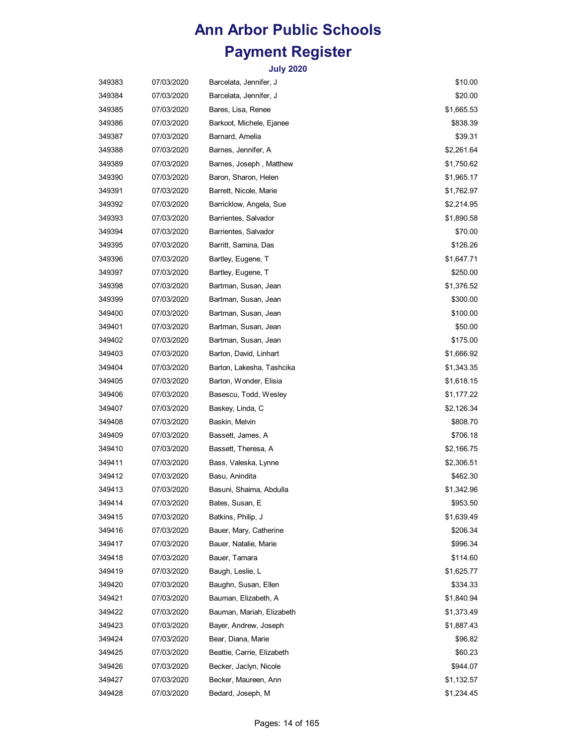| 349383 | 07/03/2020 | Barcelata, Jennifer, J     | \$10.00    |
|--------|------------|----------------------------|------------|
| 349384 | 07/03/2020 | Barcelata, Jennifer, J     | \$20.00    |
| 349385 | 07/03/2020 | Bares, Lisa, Renee         | \$1,665.53 |
| 349386 | 07/03/2020 | Barkoot, Michele, Ejanee   | \$838.39   |
| 349387 | 07/03/2020 | Barnard, Amelia            | \$39.31    |
| 349388 | 07/03/2020 | Barnes, Jennifer, A        | \$2,261.64 |
| 349389 | 07/03/2020 | Barnes, Joseph, Matthew    | \$1,750.62 |
| 349390 | 07/03/2020 | Baron, Sharon, Helen       | \$1,965.17 |
| 349391 | 07/03/2020 | Barrett, Nicole, Marie     | \$1,762.97 |
| 349392 | 07/03/2020 | Barricklow, Angela, Sue    | \$2,214.95 |
| 349393 | 07/03/2020 | Barrientes, Salvador       | \$1,890.58 |
| 349394 | 07/03/2020 | Barrientes, Salvador       | \$70.00    |
| 349395 | 07/03/2020 | Barritt, Samina, Das       | \$126.26   |
| 349396 | 07/03/2020 | Bartley, Eugene, T         | \$1,647.71 |
| 349397 | 07/03/2020 | Bartley, Eugene, T         | \$250.00   |
| 349398 | 07/03/2020 | Bartman, Susan, Jean       | \$1,376.52 |
| 349399 | 07/03/2020 | Bartman, Susan, Jean       | \$300.00   |
| 349400 | 07/03/2020 | Bartman, Susan, Jean       | \$100.00   |
| 349401 | 07/03/2020 | Bartman, Susan, Jean       | \$50.00    |
| 349402 | 07/03/2020 | Bartman, Susan, Jean       | \$175.00   |
| 349403 | 07/03/2020 | Barton, David, Linhart     | \$1,666.92 |
| 349404 | 07/03/2020 | Barton, Lakesha, Tashcika  | \$1,343.35 |
| 349405 | 07/03/2020 | Barton, Wonder, Elisia     | \$1,618.15 |
| 349406 | 07/03/2020 | Basescu, Todd, Wesley      | \$1,177.22 |
| 349407 | 07/03/2020 | Baskey, Linda, C           | \$2,126.34 |
| 349408 | 07/03/2020 | Baskin, Melvin             | \$808.70   |
| 349409 | 07/03/2020 | Bassett, James, A          | \$706.18   |
| 349410 | 07/03/2020 | Bassett, Theresa, A        | \$2,166.75 |
| 349411 | 07/03/2020 | Bass, Valeska, Lynne       | \$2,306.51 |
| 349412 | 07/03/2020 | Basu, Anindita             | \$462.30   |
| 349413 | 07/03/2020 | Basuni, Shaima, Abdulla    | \$1,342.96 |
| 349414 | 07/03/2020 | Bates, Susan, E            | \$953.50   |
| 349415 | 07/03/2020 | Batkins, Philip, J         | \$1,639.49 |
| 349416 | 07/03/2020 | Bauer, Mary, Catherine     | \$206.34   |
| 349417 | 07/03/2020 | Bauer, Natalie, Marie      | \$996.34   |
| 349418 | 07/03/2020 | Bauer, Tamara              | \$114.60   |
| 349419 | 07/03/2020 | Baugh, Leslie, L           | \$1,625.77 |
| 349420 | 07/03/2020 | Baughn, Susan, Ellen       | \$334.33   |
| 349421 | 07/03/2020 | Bauman, Elizabeth, A       | \$1,840.94 |
| 349422 | 07/03/2020 | Bauman, Mariah, Elizabeth  | \$1,373.49 |
| 349423 | 07/03/2020 | Bayer, Andrew, Joseph      | \$1,887.43 |
| 349424 | 07/03/2020 | Bear, Diana, Marie         | \$96.82    |
| 349425 | 07/03/2020 | Beattie, Carrie, Elizabeth | \$60.23    |
| 349426 | 07/03/2020 | Becker, Jaclyn, Nicole     | \$944.07   |
| 349427 | 07/03/2020 | Becker, Maureen, Ann       | \$1,132.57 |
| 349428 | 07/03/2020 | Bedard, Joseph, M          | \$1,234.45 |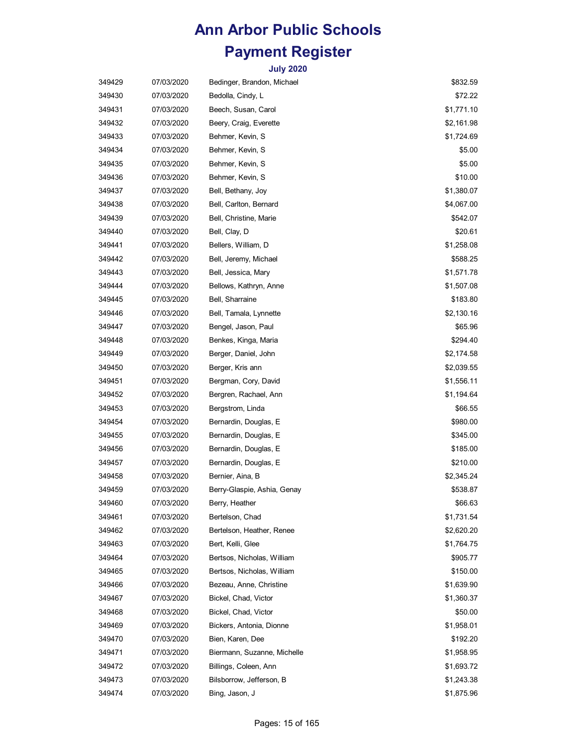| 349429 | 07/03/2020 | Bedinger, Brandon, Michael  | \$832.59   |
|--------|------------|-----------------------------|------------|
| 349430 | 07/03/2020 | Bedolla, Cindy, L           | \$72.22    |
| 349431 | 07/03/2020 | Beech, Susan, Carol         | \$1,771.10 |
| 349432 | 07/03/2020 | Beery, Craig, Everette      | \$2,161.98 |
| 349433 | 07/03/2020 | Behmer, Kevin, S            | \$1,724.69 |
| 349434 | 07/03/2020 | Behmer, Kevin, S            | \$5.00     |
| 349435 | 07/03/2020 | Behmer, Kevin, S            | \$5.00     |
| 349436 | 07/03/2020 | Behmer, Kevin, S            | \$10.00    |
| 349437 | 07/03/2020 | Bell, Bethany, Joy          | \$1,380.07 |
| 349438 | 07/03/2020 | Bell, Carlton, Bernard      | \$4,067.00 |
| 349439 | 07/03/2020 | Bell, Christine, Marie      | \$542.07   |
| 349440 | 07/03/2020 | Bell, Clay, D               | \$20.61    |
| 349441 | 07/03/2020 | Bellers, William, D         | \$1,258.08 |
| 349442 | 07/03/2020 | Bell, Jeremy, Michael       | \$588.25   |
| 349443 | 07/03/2020 | Bell, Jessica, Mary         | \$1,571.78 |
| 349444 | 07/03/2020 | Bellows, Kathryn, Anne      | \$1,507.08 |
| 349445 | 07/03/2020 | Bell, Sharraine             | \$183.80   |
| 349446 | 07/03/2020 | Bell, Tamala, Lynnette      | \$2,130.16 |
| 349447 | 07/03/2020 | Bengel, Jason, Paul         | \$65.96    |
| 349448 | 07/03/2020 | Benkes, Kinga, Maria        | \$294.40   |
| 349449 | 07/03/2020 | Berger, Daniel, John        | \$2,174.58 |
| 349450 | 07/03/2020 | Berger, Kris ann            | \$2,039.55 |
| 349451 | 07/03/2020 | Bergman, Cory, David        | \$1,556.11 |
| 349452 | 07/03/2020 | Bergren, Rachael, Ann       | \$1,194.64 |
| 349453 | 07/03/2020 | Bergstrom, Linda            | \$66.55    |
| 349454 | 07/03/2020 | Bernardin, Douglas, E       | \$980.00   |
| 349455 | 07/03/2020 | Bernardin, Douglas, E       | \$345.00   |
| 349456 | 07/03/2020 | Bernardin, Douglas, E       | \$185.00   |
| 349457 | 07/03/2020 | Bernardin, Douglas, E       | \$210.00   |
| 349458 | 07/03/2020 | Bernier, Aina, B            | \$2,345.24 |
| 349459 | 07/03/2020 | Berry-Glaspie, Ashia, Genay | \$538.87   |
| 349460 | 07/03/2020 | Berry, Heather              | \$66.63    |
| 349461 | 07/03/2020 | Bertelson, Chad             | \$1,731.54 |
| 349462 | 07/03/2020 | Bertelson, Heather, Renee   | \$2,620.20 |
| 349463 | 07/03/2020 | Bert, Kelli, Glee           | \$1,764.75 |
| 349464 | 07/03/2020 | Bertsos, Nicholas, William  | \$905.77   |
| 349465 | 07/03/2020 | Bertsos, Nicholas, William  | \$150.00   |
| 349466 | 07/03/2020 | Bezeau, Anne, Christine     | \$1,639.90 |
| 349467 | 07/03/2020 | Bickel, Chad, Victor        | \$1,360.37 |
| 349468 | 07/03/2020 | Bickel, Chad, Victor        | \$50.00    |
| 349469 | 07/03/2020 | Bickers, Antonia, Dionne    | \$1,958.01 |
| 349470 | 07/03/2020 | Bien, Karen, Dee            | \$192.20   |
| 349471 | 07/03/2020 | Biermann, Suzanne, Michelle | \$1,958.95 |
| 349472 | 07/03/2020 | Billings, Coleen, Ann       | \$1,693.72 |
| 349473 | 07/03/2020 | Bilsborrow, Jefferson, B    | \$1,243.38 |
| 349474 | 07/03/2020 | Bing, Jason, J              | \$1,875.96 |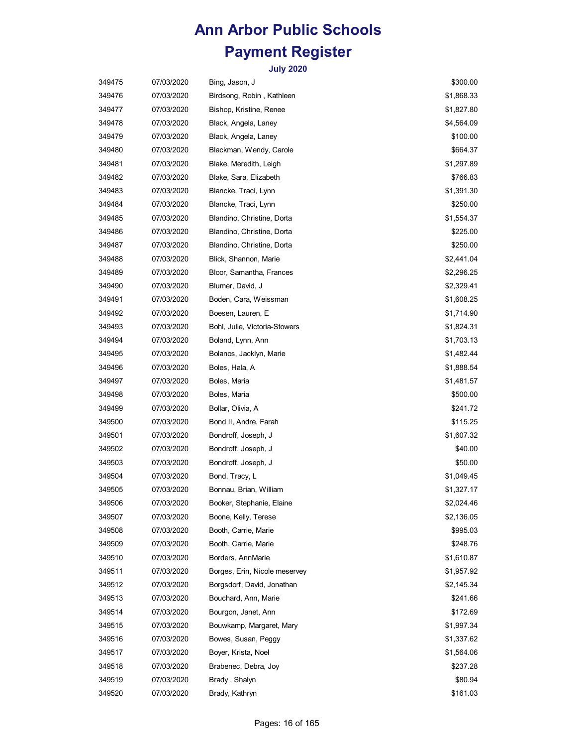| 349475 | 07/03/2020 | Bing, Jason, J                | \$300.00   |
|--------|------------|-------------------------------|------------|
| 349476 | 07/03/2020 | Birdsong, Robin, Kathleen     | \$1,868.33 |
| 349477 | 07/03/2020 | Bishop, Kristine, Renee       | \$1,827.80 |
| 349478 | 07/03/2020 | Black, Angela, Laney          | \$4,564.09 |
| 349479 | 07/03/2020 | Black, Angela, Laney          | \$100.00   |
| 349480 | 07/03/2020 | Blackman, Wendy, Carole       | \$664.37   |
| 349481 | 07/03/2020 | Blake, Meredith, Leigh        | \$1,297.89 |
| 349482 | 07/03/2020 | Blake, Sara, Elizabeth        | \$766.83   |
| 349483 | 07/03/2020 | Blancke, Traci, Lynn          | \$1,391.30 |
| 349484 | 07/03/2020 | Blancke, Traci, Lynn          | \$250.00   |
| 349485 | 07/03/2020 | Blandino, Christine, Dorta    | \$1,554.37 |
| 349486 | 07/03/2020 | Blandino, Christine, Dorta    | \$225.00   |
| 349487 | 07/03/2020 | Blandino, Christine, Dorta    | \$250.00   |
| 349488 | 07/03/2020 | Blick, Shannon, Marie         | \$2,441.04 |
| 349489 | 07/03/2020 | Bloor, Samantha, Frances      | \$2,296.25 |
| 349490 | 07/03/2020 | Blumer, David, J              | \$2,329.41 |
| 349491 | 07/03/2020 | Boden, Cara, Weissman         | \$1,608.25 |
| 349492 | 07/03/2020 | Boesen, Lauren, E             | \$1,714.90 |
| 349493 | 07/03/2020 | Bohl, Julie, Victoria-Stowers | \$1,824.31 |
| 349494 | 07/03/2020 | Boland, Lynn, Ann             | \$1,703.13 |
| 349495 | 07/03/2020 | Bolanos, Jacklyn, Marie       | \$1,482.44 |
| 349496 | 07/03/2020 | Boles, Hala, A                | \$1,888.54 |
| 349497 | 07/03/2020 | Boles, Maria                  | \$1,481.57 |
| 349498 | 07/03/2020 | Boles, Maria                  | \$500.00   |
| 349499 | 07/03/2020 | Bollar, Olivia, A             | \$241.72   |
| 349500 | 07/03/2020 | Bond II, Andre, Farah         | \$115.25   |
| 349501 | 07/03/2020 | Bondroff, Joseph, J           | \$1,607.32 |
| 349502 | 07/03/2020 | Bondroff, Joseph, J           | \$40.00    |
| 349503 | 07/03/2020 | Bondroff, Joseph, J           | \$50.00    |
| 349504 | 07/03/2020 | Bond, Tracy, L                | \$1,049.45 |
| 349505 | 07/03/2020 | Bonnau, Brian, William        | \$1,327.17 |
| 349506 | 07/03/2020 | Booker, Stephanie, Elaine     | \$2,024.46 |
| 349507 | 07/03/2020 | Boone, Kelly, Terese          | \$2,136.05 |
| 349508 | 07/03/2020 | Booth, Carrie, Marie          | \$995.03   |
| 349509 | 07/03/2020 | Booth, Carrie, Marie          | \$248.76   |
| 349510 | 07/03/2020 | Borders, AnnMarie             | \$1,610.87 |
| 349511 | 07/03/2020 | Borges, Erin, Nicole meservey | \$1,957.92 |
| 349512 | 07/03/2020 | Borgsdorf, David, Jonathan    | \$2,145.34 |
| 349513 | 07/03/2020 | Bouchard, Ann, Marie          | \$241.66   |
| 349514 | 07/03/2020 | Bourgon, Janet, Ann           | \$172.69   |
| 349515 | 07/03/2020 | Bouwkamp, Margaret, Mary      | \$1,997.34 |
| 349516 | 07/03/2020 | Bowes, Susan, Peggy           | \$1,337.62 |
| 349517 | 07/03/2020 | Boyer, Krista, Noel           | \$1,564.06 |
| 349518 | 07/03/2020 | Brabenec, Debra, Joy          | \$237.28   |
| 349519 | 07/03/2020 | Brady, Shalyn                 | \$80.94    |
| 349520 | 07/03/2020 | Brady, Kathryn                | \$161.03   |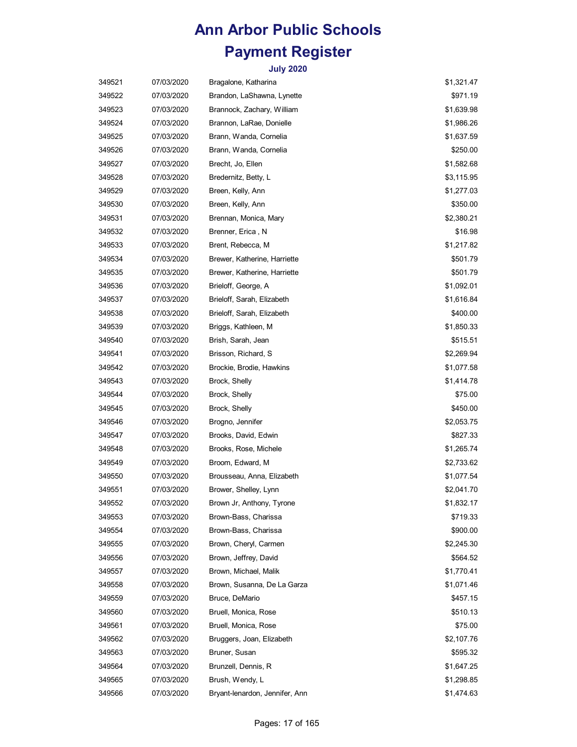| 349521 | 07/03/2020 | Bragalone, Katharina           | \$1,321.47 |
|--------|------------|--------------------------------|------------|
| 349522 | 07/03/2020 | Brandon, LaShawna, Lynette     | \$971.19   |
| 349523 | 07/03/2020 | Brannock, Zachary, William     | \$1,639.98 |
| 349524 | 07/03/2020 | Brannon, LaRae, Donielle       | \$1,986.26 |
| 349525 | 07/03/2020 | Brann, Wanda, Cornelia         | \$1,637.59 |
| 349526 | 07/03/2020 | Brann, Wanda, Cornelia         | \$250.00   |
| 349527 | 07/03/2020 | Brecht, Jo, Ellen              | \$1,582.68 |
| 349528 | 07/03/2020 | Bredernitz, Betty, L           | \$3,115.95 |
| 349529 | 07/03/2020 | Breen, Kelly, Ann              | \$1,277.03 |
| 349530 | 07/03/2020 | Breen, Kelly, Ann              | \$350.00   |
| 349531 | 07/03/2020 | Brennan, Monica, Mary          | \$2,380.21 |
| 349532 | 07/03/2020 | Brenner, Erica, N              | \$16.98    |
| 349533 | 07/03/2020 | Brent, Rebecca, M              | \$1,217.82 |
| 349534 | 07/03/2020 | Brewer, Katherine, Harriette   | \$501.79   |
| 349535 | 07/03/2020 | Brewer, Katherine, Harriette   | \$501.79   |
| 349536 | 07/03/2020 | Brieloff, George, A            | \$1,092.01 |
| 349537 | 07/03/2020 | Brieloff, Sarah, Elizabeth     | \$1,616.84 |
| 349538 | 07/03/2020 | Brieloff, Sarah, Elizabeth     | \$400.00   |
| 349539 | 07/03/2020 | Briggs, Kathleen, M            | \$1,850.33 |
| 349540 | 07/03/2020 | Brish, Sarah, Jean             | \$515.51   |
| 349541 | 07/03/2020 | Brisson, Richard, S            | \$2,269.94 |
| 349542 | 07/03/2020 | Brockie, Brodie, Hawkins       | \$1,077.58 |
| 349543 | 07/03/2020 | Brock, Shelly                  | \$1,414.78 |
| 349544 | 07/03/2020 | Brock, Shelly                  | \$75.00    |
| 349545 | 07/03/2020 | Brock, Shelly                  | \$450.00   |
| 349546 | 07/03/2020 | Brogno, Jennifer               | \$2,053.75 |
| 349547 | 07/03/2020 | Brooks, David, Edwin           | \$827.33   |
| 349548 | 07/03/2020 | Brooks, Rose, Michele          | \$1,265.74 |
| 349549 | 07/03/2020 | Broom, Edward, M               | \$2,733.62 |
| 349550 | 07/03/2020 | Brousseau, Anna, Elizabeth     | \$1,077.54 |
| 349551 | 07/03/2020 | Brower, Shelley, Lynn          | \$2,041.70 |
| 349552 | 07/03/2020 | Brown Jr, Anthony, Tyrone      | \$1,832.17 |
| 349553 | 07/03/2020 | Brown-Bass, Charissa           | \$719.33   |
| 349554 | 07/03/2020 | Brown-Bass, Charissa           | \$900.00   |
| 349555 | 07/03/2020 | Brown, Cheryl, Carmen          | \$2,245.30 |
| 349556 | 07/03/2020 | Brown, Jeffrey, David          | \$564.52   |
| 349557 | 07/03/2020 | Brown, Michael, Malik          | \$1,770.41 |
| 349558 | 07/03/2020 | Brown, Susanna, De La Garza    | \$1,071.46 |
| 349559 | 07/03/2020 | Bruce, DeMario                 | \$457.15   |
| 349560 | 07/03/2020 | Bruell, Monica, Rose           | \$510.13   |
| 349561 | 07/03/2020 | Bruell, Monica, Rose           | \$75.00    |
| 349562 | 07/03/2020 | Bruggers, Joan, Elizabeth      | \$2,107.76 |
| 349563 | 07/03/2020 | Bruner, Susan                  | \$595.32   |
| 349564 | 07/03/2020 | Brunzell, Dennis, R            | \$1,647.25 |
| 349565 | 07/03/2020 | Brush, Wendy, L                | \$1,298.85 |
| 349566 | 07/03/2020 | Bryant-lenardon, Jennifer, Ann | \$1,474.63 |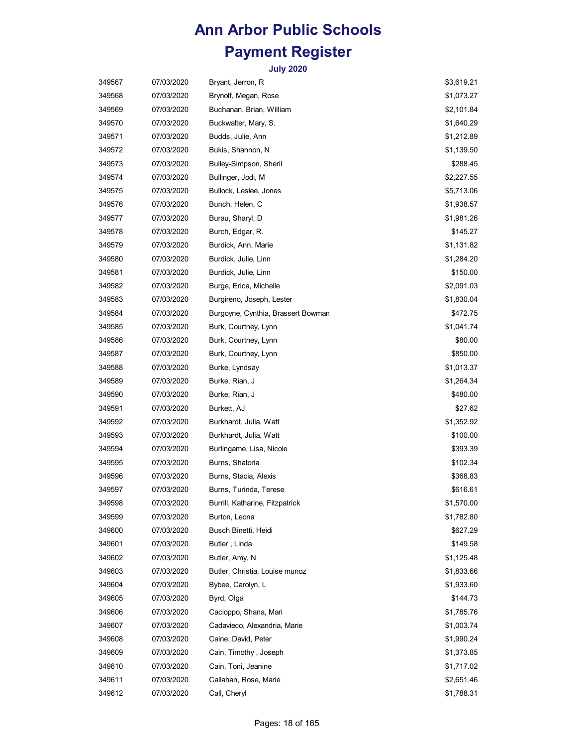| 349567 | 07/03/2020 | Bryant, Jerron, R                  | \$3,619.21 |
|--------|------------|------------------------------------|------------|
| 349568 | 07/03/2020 | Brynolf, Megan, Rose               | \$1,073.27 |
| 349569 | 07/03/2020 | Buchanan, Brian, William           | \$2,101.84 |
| 349570 | 07/03/2020 | Buckwalter, Mary, S.               | \$1,640.29 |
| 349571 | 07/03/2020 | Budds, Julie, Ann                  | \$1,212.89 |
| 349572 | 07/03/2020 | Bukis, Shannon, N                  | \$1,139.50 |
| 349573 | 07/03/2020 | Bulley-Simpson, Sheril             | \$288.45   |
| 349574 | 07/03/2020 | Bullinger, Jodi, M                 | \$2,227.55 |
| 349575 | 07/03/2020 | Bullock, Leslee, Jones             | \$5,713.06 |
| 349576 | 07/03/2020 | Bunch, Helen, C                    | \$1,938.57 |
| 349577 | 07/03/2020 | Burau, Sharyl, D                   | \$1,981.26 |
| 349578 | 07/03/2020 | Burch, Edgar, R.                   | \$145.27   |
| 349579 | 07/03/2020 | Burdick, Ann, Marie                | \$1,131.82 |
| 349580 | 07/03/2020 | Burdick, Julie, Linn               | \$1,284.20 |
| 349581 | 07/03/2020 | Burdick, Julie, Linn               | \$150.00   |
| 349582 | 07/03/2020 | Burge, Erica, Michelle             | \$2,091.03 |
| 349583 | 07/03/2020 | Burgireno, Joseph, Lester          | \$1,830.04 |
| 349584 | 07/03/2020 | Burgoyne, Cynthia, Brassert Bowman | \$472.75   |
| 349585 | 07/03/2020 | Burk, Courtney, Lynn               | \$1,041.74 |
| 349586 | 07/03/2020 | Burk, Courtney, Lynn               | \$80.00    |
| 349587 | 07/03/2020 | Burk, Courtney, Lynn               | \$850.00   |
| 349588 | 07/03/2020 | Burke, Lyndsay                     | \$1,013.37 |
| 349589 | 07/03/2020 | Burke, Rian, J                     | \$1,264.34 |
| 349590 | 07/03/2020 | Burke, Rian, J                     | \$480.00   |
| 349591 | 07/03/2020 | Burkett, AJ                        | \$27.62    |
| 349592 | 07/03/2020 | Burkhardt, Julia, Watt             | \$1,352.92 |
| 349593 | 07/03/2020 | Burkhardt, Julia, Watt             | \$100.00   |
| 349594 | 07/03/2020 | Burlingame, Lisa, Nicole           | \$393.39   |
| 349595 | 07/03/2020 | Burns, Shatoria                    | \$102.34   |
| 349596 | 07/03/2020 | Burns, Stacia, Alexis              | \$368.83   |
| 349597 | 07/03/2020 | Burns, Turinda, Terese             | \$616.61   |
| 349598 | 07/03/2020 | Burrill, Katharine, Fitzpatrick    | \$1,570.00 |
| 349599 | 07/03/2020 | Burton, Leona                      | \$1,782.80 |
| 349600 | 07/03/2020 | Busch Binetti, Heidi               | \$627.29   |
| 349601 | 07/03/2020 | Butler, Linda                      | \$149.58   |
| 349602 | 07/03/2020 | Butler, Amy, N                     | \$1,125.48 |
| 349603 | 07/03/2020 | Butler, Christia, Louise munoz     | \$1,833.66 |
| 349604 | 07/03/2020 | Bybee, Carolyn, L                  | \$1,933.60 |
| 349605 | 07/03/2020 | Byrd, Olga                         | \$144.73   |
| 349606 | 07/03/2020 | Cacioppo, Shana, Mari              | \$1,785.76 |
| 349607 | 07/03/2020 | Cadavieco, Alexandria, Marie       | \$1,003.74 |
| 349608 | 07/03/2020 | Caine, David, Peter                | \$1,990.24 |
| 349609 | 07/03/2020 | Cain, Timothy, Joseph              | \$1,373.85 |
| 349610 | 07/03/2020 | Cain, Toni, Jeanine                | \$1,717.02 |
| 349611 | 07/03/2020 | Callahan, Rose, Marie              | \$2,651.46 |
| 349612 | 07/03/2020 | Call, Cheryl                       | \$1,788.31 |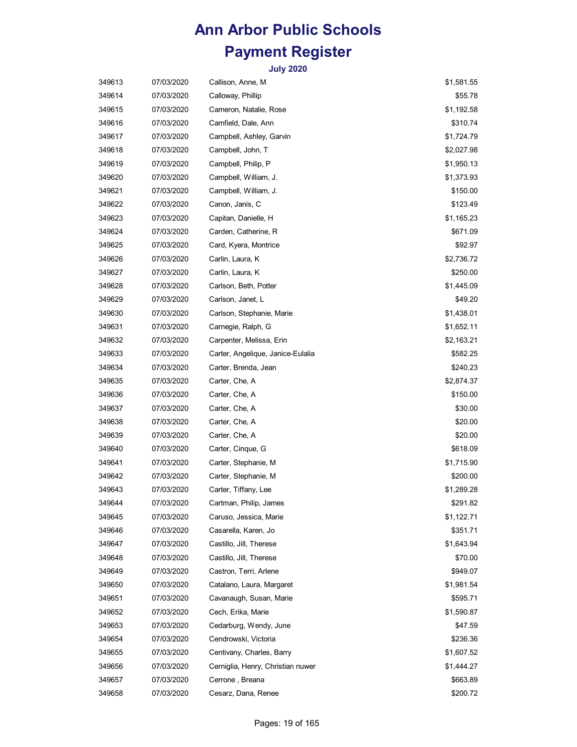| 349613 | 07/03/2020 | Callison, Anne, M                 | \$1,581.55 |
|--------|------------|-----------------------------------|------------|
| 349614 | 07/03/2020 | Calloway, Phillip                 | \$55.78    |
| 349615 | 07/03/2020 | Cameron, Natalie, Rose            | \$1,192.58 |
| 349616 | 07/03/2020 | Camfield, Dale, Ann               | \$310.74   |
| 349617 | 07/03/2020 | Campbell, Ashley, Garvin          | \$1,724.79 |
| 349618 | 07/03/2020 | Campbell, John, T                 | \$2,027.98 |
| 349619 | 07/03/2020 | Campbell, Philip, P               | \$1,950.13 |
| 349620 | 07/03/2020 | Campbell, William, J.             | \$1,373.93 |
| 349621 | 07/03/2020 | Campbell, William, J.             | \$150.00   |
| 349622 | 07/03/2020 | Canon, Janis, C                   | \$123.49   |
| 349623 | 07/03/2020 | Capitan, Danielle, H              | \$1,165.23 |
| 349624 | 07/03/2020 | Carden, Catherine, R              | \$671.09   |
| 349625 | 07/03/2020 | Card, Kyera, Montrice             | \$92.97    |
| 349626 | 07/03/2020 | Carlin, Laura, K                  | \$2,736.72 |
| 349627 | 07/03/2020 | Carlin, Laura, K                  | \$250.00   |
| 349628 | 07/03/2020 | Carlson, Beth, Potter             | \$1,445.09 |
| 349629 | 07/03/2020 | Carlson, Janet, L                 | \$49.20    |
| 349630 | 07/03/2020 | Carlson, Stephanie, Marie         | \$1,438.01 |
| 349631 | 07/03/2020 | Carnegie, Ralph, G                | \$1,652.11 |
| 349632 | 07/03/2020 | Carpenter, Melissa, Erin          | \$2,163.21 |
| 349633 | 07/03/2020 | Carter, Angelique, Janice-Eulalia | \$582.25   |
| 349634 | 07/03/2020 | Carter, Brenda, Jean              | \$240.23   |
| 349635 | 07/03/2020 | Carter, Che, A                    | \$2,874.37 |
| 349636 | 07/03/2020 | Carter, Che, A                    | \$150.00   |
| 349637 | 07/03/2020 | Carter, Che, A                    | \$30.00    |
| 349638 | 07/03/2020 | Carter, Che, A                    | \$20.00    |
| 349639 | 07/03/2020 | Carter, Che, A                    | \$20.00    |
| 349640 | 07/03/2020 | Carter, Cinque, G                 | \$618.09   |
| 349641 | 07/03/2020 | Carter, Stephanie, M              | \$1,715.90 |
| 349642 | 07/03/2020 | Carter, Stephanie, M              | \$200.00   |
| 349643 | 07/03/2020 | Carter, Tiffany, Lee              | \$1,289.28 |
| 349644 | 07/03/2020 | Cartman, Philip, James            | \$291.82   |
| 349645 | 07/03/2020 | Caruso, Jessica, Marie            | \$1,122.71 |
| 349646 | 07/03/2020 | Casarella, Karen, Jo              | \$351.71   |
| 349647 | 07/03/2020 | Castillo, Jill, Therese           | \$1,643.94 |
| 349648 | 07/03/2020 | Castillo, Jill, Therese           | \$70.00    |
| 349649 | 07/03/2020 | Castron, Terri, Arlene            | \$949.07   |
| 349650 | 07/03/2020 | Catalano, Laura, Margaret         | \$1,981.54 |
| 349651 | 07/03/2020 | Cavanaugh, Susan, Marie           | \$595.71   |
| 349652 | 07/03/2020 | Cech, Erika, Marie                | \$1,590.87 |
| 349653 | 07/03/2020 | Cedarburg, Wendy, June            | \$47.59    |
| 349654 | 07/03/2020 | Cendrowski, Victoria              | \$236.36   |
| 349655 | 07/03/2020 | Centivany, Charles, Barry         | \$1,607.52 |
| 349656 | 07/03/2020 | Cerniglia, Henry, Christian nuwer | \$1,444.27 |
| 349657 | 07/03/2020 | Cerrone, Breana                   | \$663.89   |
| 349658 | 07/03/2020 | Cesarz, Dana, Renee               | \$200.72   |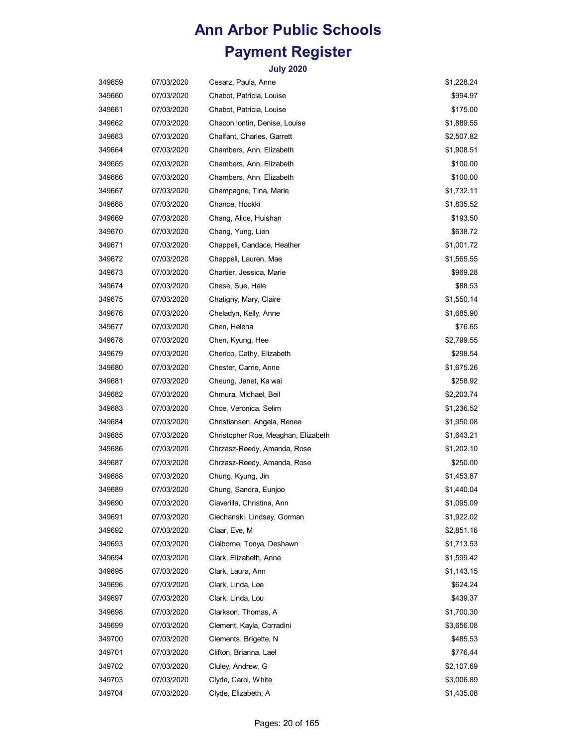| 349659 | 07/03/2020 | Cesarz, Paula, Anne                 | \$1,228.24 |
|--------|------------|-------------------------------------|------------|
| 349660 | 07/03/2020 | Chabot, Patricia, Louise            | \$994.97   |
| 349661 | 07/03/2020 | Chabot, Patricia, Louise            | \$175.00   |
| 349662 | 07/03/2020 | Chacon Iontin, Denise, Louise       | \$1,889.55 |
| 349663 | 07/03/2020 | Chalfant, Charles, Garrett          | \$2,507.82 |
| 349664 | 07/03/2020 | Chambers, Ann, Elizabeth            | \$1,908.51 |
| 349665 | 07/03/2020 | Chambers, Ann, Elizabeth            | \$100.00   |
| 349666 | 07/03/2020 | Chambers, Ann, Elizabeth            | \$100.00   |
| 349667 | 07/03/2020 | Champagne, Tina, Marie              | \$1,732.11 |
| 349668 | 07/03/2020 | Chance, Hookki                      | \$1,835.52 |
| 349669 | 07/03/2020 | Chang, Alice, Huishan               | \$193.50   |
| 349670 | 07/03/2020 | Chang, Yung, Lien                   | \$638.72   |
| 349671 | 07/03/2020 | Chappell, Candace, Heather          | \$1,001.72 |
| 349672 | 07/03/2020 | Chappell, Lauren, Mae               | \$1,565.55 |
| 349673 | 07/03/2020 | Chartier, Jessica, Marie            | \$969.28   |
| 349674 | 07/03/2020 | Chase, Sue, Hale                    | \$88.53    |
| 349675 | 07/03/2020 | Chatigny, Mary, Claire              | \$1,550.14 |
| 349676 | 07/03/2020 | Cheladyn, Kelly, Anne               | \$1,685.90 |
| 349677 | 07/03/2020 | Chen, Helena                        | \$76.65    |
| 349678 | 07/03/2020 | Chen, Kyung, Hee                    | \$2,799.55 |
| 349679 | 07/03/2020 | Cherico, Cathy, Elizabeth           | \$298.54   |
| 349680 | 07/03/2020 | Chester, Carrie, Anne               | \$1,675.26 |
| 349681 | 07/03/2020 | Cheung, Janet, Ka wai               | \$258.92   |
| 349682 | 07/03/2020 | Chmura, Michael, Beil               | \$2,203.74 |
| 349683 | 07/03/2020 | Choe, Veronica, Selim               | \$1,236.52 |
| 349684 | 07/03/2020 | Christiansen, Angela, Renee         | \$1,950.08 |
| 349685 | 07/03/2020 | Christopher Roe, Meaghan, Elizabeth | \$1,643.21 |
| 349686 | 07/03/2020 | Chrzasz-Reedy, Amanda, Rose         | \$1,202.10 |
| 349687 | 07/03/2020 | Chrzasz-Reedy, Amanda, Rose         | \$250.00   |
| 349688 | 07/03/2020 | Chung, Kyung, Jin                   | \$1,453.87 |
| 349689 | 07/03/2020 | Chung, Sandra, Eunjoo               | \$1,440.04 |
| 349690 | 07/03/2020 | Ciaverilla, Christina, Ann          | \$1,095.09 |
| 349691 | 07/03/2020 | Ciechanski, Lindsay, Gorman         | \$1,922.02 |
| 349692 | 07/03/2020 | Claar, Eve, M                       | \$2,851.16 |
| 349693 | 07/03/2020 | Claiborne, Tonya, Deshawn           | \$1,713.53 |
| 349694 | 07/03/2020 | Clark, Elizabeth, Anne              | \$1,599.42 |
| 349695 | 07/03/2020 | Clark, Laura, Ann                   | \$1,143.15 |
| 349696 | 07/03/2020 | Clark, Linda, Lee                   | \$624.24   |
| 349697 | 07/03/2020 | Clark, Linda, Lou                   | \$439.37   |
| 349698 | 07/03/2020 | Clarkson, Thomas, A                 | \$1,700.30 |
| 349699 | 07/03/2020 | Clement, Kayla, Corradini           | \$3,656.08 |
| 349700 | 07/03/2020 | Clements, Brigette, N               | \$485.53   |
| 349701 | 07/03/2020 | Clifton, Brianna, Lael              | \$776.44   |
| 349702 | 07/03/2020 | Cluley, Andrew, G                   | \$2,107.69 |
| 349703 | 07/03/2020 | Clyde, Carol, White                 | \$3,006.89 |
| 349704 | 07/03/2020 | Clyde, Elizabeth, A                 | \$1,435.08 |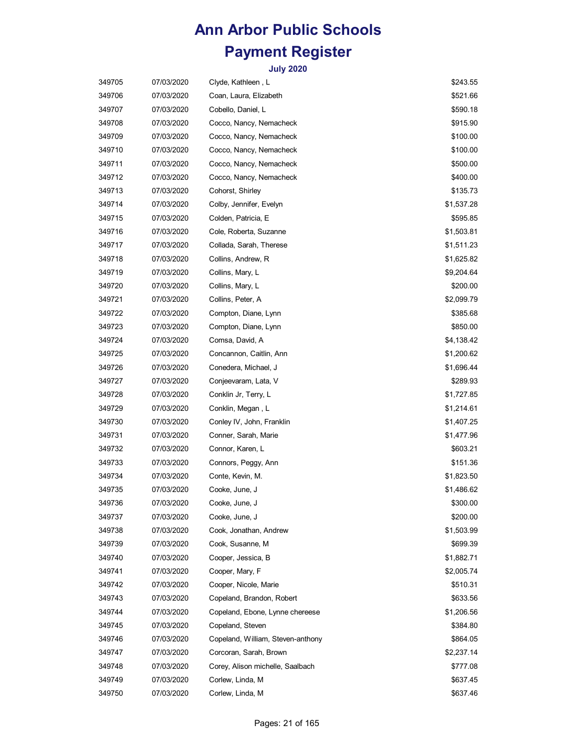| 349705 | 07/03/2020 | Clyde, Kathleen, L                | \$243.55   |
|--------|------------|-----------------------------------|------------|
| 349706 | 07/03/2020 | Coan, Laura, Elizabeth            | \$521.66   |
| 349707 | 07/03/2020 | Cobello, Daniel, L                | \$590.18   |
| 349708 | 07/03/2020 | Cocco, Nancy, Nemacheck           | \$915.90   |
| 349709 | 07/03/2020 | Cocco, Nancy, Nemacheck           | \$100.00   |
| 349710 | 07/03/2020 | Cocco, Nancy, Nemacheck           | \$100.00   |
| 349711 | 07/03/2020 | Cocco, Nancy, Nemacheck           | \$500.00   |
| 349712 | 07/03/2020 | Cocco, Nancy, Nemacheck           | \$400.00   |
| 349713 | 07/03/2020 | Cohorst, Shirley                  | \$135.73   |
| 349714 | 07/03/2020 | Colby, Jennifer, Evelyn           | \$1,537.28 |
| 349715 | 07/03/2020 | Colden, Patricia, E               | \$595.85   |
| 349716 | 07/03/2020 | Cole, Roberta, Suzanne            | \$1,503.81 |
| 349717 | 07/03/2020 | Collada, Sarah, Therese           | \$1,511.23 |
| 349718 | 07/03/2020 | Collins, Andrew, R                | \$1,625.82 |
| 349719 | 07/03/2020 | Collins, Mary, L                  | \$9,204.64 |
| 349720 | 07/03/2020 | Collins, Mary, L                  | \$200.00   |
| 349721 | 07/03/2020 | Collins, Peter, A                 | \$2,099.79 |
| 349722 | 07/03/2020 | Compton, Diane, Lynn              | \$385.68   |
| 349723 | 07/03/2020 | Compton, Diane, Lynn              | \$850.00   |
| 349724 | 07/03/2020 | Comsa, David, A                   | \$4,138.42 |
| 349725 | 07/03/2020 | Concannon, Caitlin, Ann           | \$1,200.62 |
| 349726 | 07/03/2020 | Conedera, Michael, J              | \$1,696.44 |
| 349727 | 07/03/2020 | Conjeevaram, Lata, V              | \$289.93   |
| 349728 | 07/03/2020 | Conklin Jr, Terry, L              | \$1,727.85 |
| 349729 | 07/03/2020 | Conklin, Megan, L                 | \$1,214.61 |
| 349730 | 07/03/2020 | Conley IV, John, Franklin         | \$1,407.25 |
| 349731 | 07/03/2020 | Conner, Sarah, Marie              | \$1,477.96 |
| 349732 | 07/03/2020 | Connor, Karen, L                  | \$603.21   |
| 349733 | 07/03/2020 | Connors, Peggy, Ann               | \$151.36   |
| 349734 | 07/03/2020 | Conte, Kevin, M.                  | \$1,823.50 |
| 349735 | 07/03/2020 | Cooke, June, J                    | \$1,486.62 |
| 349736 | 07/03/2020 | Cooke, June, J                    | \$300.00   |
| 349737 | 07/03/2020 | Cooke, June, J                    | \$200.00   |
| 349738 | 07/03/2020 | Cook, Jonathan, Andrew            | \$1,503.99 |
| 349739 | 07/03/2020 | Cook, Susanne, M                  | \$699.39   |
| 349740 | 07/03/2020 | Cooper, Jessica, B                | \$1,882.71 |
| 349741 | 07/03/2020 | Cooper, Mary, F                   | \$2,005.74 |
| 349742 | 07/03/2020 | Cooper, Nicole, Marie             | \$510.31   |
| 349743 | 07/03/2020 | Copeland, Brandon, Robert         | \$633.56   |
| 349744 | 07/03/2020 | Copeland, Ebone, Lynne chereese   | \$1,206.56 |
| 349745 | 07/03/2020 | Copeland, Steven                  | \$384.80   |
| 349746 | 07/03/2020 | Copeland, William, Steven-anthony | \$864.05   |
| 349747 | 07/03/2020 | Corcoran, Sarah, Brown            | \$2,237.14 |
| 349748 | 07/03/2020 | Corey, Alison michelle, Saalbach  | \$777.08   |
| 349749 | 07/03/2020 | Corlew, Linda, M                  | \$637.45   |
| 349750 | 07/03/2020 | Corlew, Linda, M                  | \$637.46   |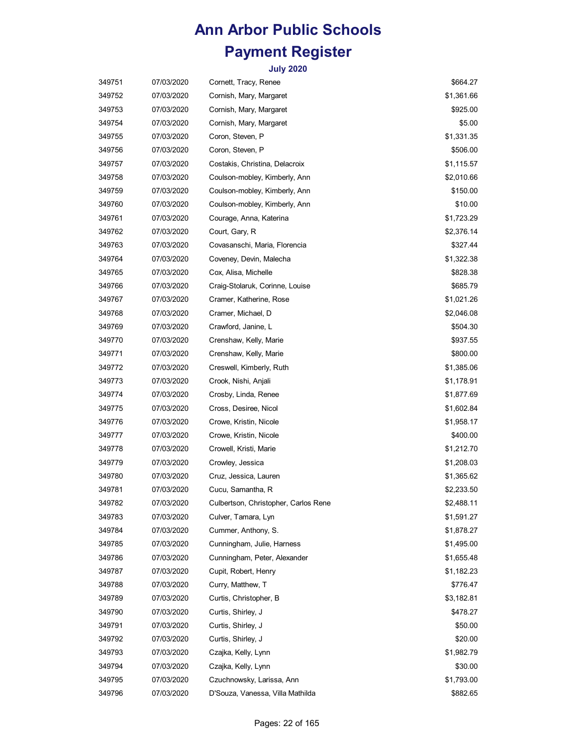| 349751 | 07/03/2020 | Cornett, Tracy, Renee                | \$664.27   |
|--------|------------|--------------------------------------|------------|
| 349752 | 07/03/2020 | Cornish, Mary, Margaret              | \$1,361.66 |
| 349753 | 07/03/2020 | Cornish, Mary, Margaret              | \$925.00   |
| 349754 | 07/03/2020 | Cornish, Mary, Margaret              | \$5.00     |
| 349755 | 07/03/2020 | Coron, Steven, P                     | \$1,331.35 |
| 349756 | 07/03/2020 | Coron, Steven, P                     | \$506.00   |
| 349757 | 07/03/2020 | Costakis, Christina, Delacroix       | \$1,115.57 |
| 349758 | 07/03/2020 | Coulson-mobley, Kimberly, Ann        | \$2,010.66 |
| 349759 | 07/03/2020 | Coulson-mobley, Kimberly, Ann        | \$150.00   |
| 349760 | 07/03/2020 | Coulson-mobley, Kimberly, Ann        | \$10.00    |
| 349761 | 07/03/2020 | Courage, Anna, Katerina              | \$1,723.29 |
| 349762 | 07/03/2020 | Court, Gary, R                       | \$2,376.14 |
| 349763 | 07/03/2020 | Covasanschi, Maria, Florencia        | \$327.44   |
| 349764 | 07/03/2020 | Coveney, Devin, Malecha              | \$1,322.38 |
| 349765 | 07/03/2020 | Cox, Alisa, Michelle                 | \$828.38   |
| 349766 | 07/03/2020 | Craig-Stolaruk, Corinne, Louise      | \$685.79   |
| 349767 | 07/03/2020 | Cramer, Katherine, Rose              | \$1,021.26 |
| 349768 | 07/03/2020 | Cramer, Michael, D                   | \$2,046.08 |
| 349769 | 07/03/2020 | Crawford, Janine, L                  | \$504.30   |
| 349770 | 07/03/2020 | Crenshaw, Kelly, Marie               | \$937.55   |
| 349771 | 07/03/2020 | Crenshaw, Kelly, Marie               | \$800.00   |
| 349772 | 07/03/2020 | Creswell, Kimberly, Ruth             | \$1,385.06 |
| 349773 | 07/03/2020 | Crook, Nishi, Anjali                 | \$1,178.91 |
| 349774 | 07/03/2020 | Crosby, Linda, Renee                 | \$1,877.69 |
| 349775 | 07/03/2020 | Cross, Desiree, Nicol                | \$1,602.84 |
| 349776 | 07/03/2020 | Crowe, Kristin, Nicole               | \$1,958.17 |
| 349777 | 07/03/2020 | Crowe, Kristin, Nicole               | \$400.00   |
| 349778 | 07/03/2020 | Crowell, Kristi, Marie               | \$1,212.70 |
| 349779 | 07/03/2020 | Crowley, Jessica                     | \$1,208.03 |
| 349780 | 07/03/2020 | Cruz, Jessica, Lauren                | \$1,365.62 |
| 349781 | 07/03/2020 | Cucu, Samantha, R                    | \$2,233.50 |
| 349782 | 07/03/2020 | Culbertson, Christopher, Carlos Rene | \$2,488.11 |
| 349783 | 07/03/2020 | Culver, Tamara, Lyn                  | \$1,591.27 |
| 349784 | 07/03/2020 | Cummer, Anthony, S.                  | \$1,878.27 |
| 349785 | 07/03/2020 | Cunningham, Julie, Harness           | \$1,495.00 |
| 349786 | 07/03/2020 | Cunningham, Peter, Alexander         | \$1,655.48 |
| 349787 | 07/03/2020 | Cupit, Robert, Henry                 | \$1,182.23 |
| 349788 | 07/03/2020 | Curry, Matthew, T                    | \$776.47   |
| 349789 | 07/03/2020 | Curtis, Christopher, B               | \$3,182.81 |
| 349790 | 07/03/2020 | Curtis, Shirley, J                   | \$478.27   |
| 349791 | 07/03/2020 | Curtis, Shirley, J                   | \$50.00    |
| 349792 | 07/03/2020 | Curtis, Shirley, J                   | \$20.00    |
| 349793 | 07/03/2020 | Czajka, Kelly, Lynn                  | \$1,982.79 |
| 349794 | 07/03/2020 | Czajka, Kelly, Lynn                  | \$30.00    |
| 349795 | 07/03/2020 | Czuchnowsky, Larissa, Ann            | \$1,793.00 |
| 349796 | 07/03/2020 | D'Souza, Vanessa, Villa Mathilda     | \$882.65   |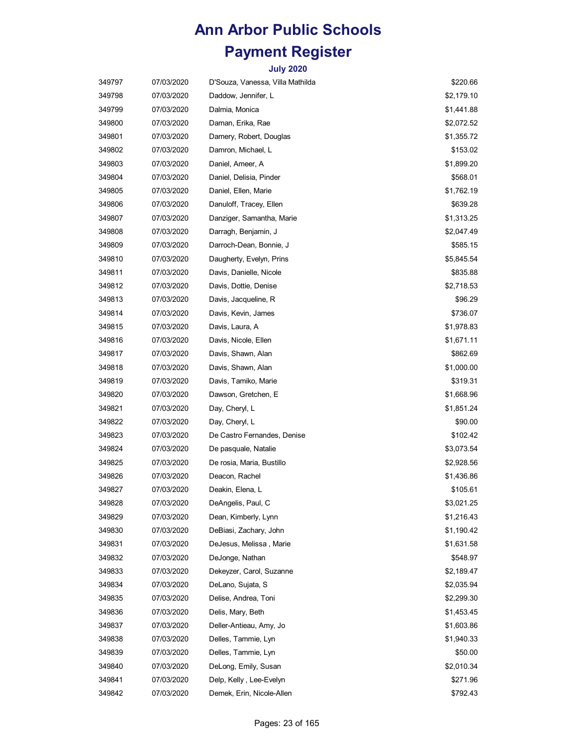| 349797 | 07/03/2020 | D'Souza, Vanessa, Villa Mathilda | \$220.66   |
|--------|------------|----------------------------------|------------|
| 349798 | 07/03/2020 | Daddow, Jennifer, L              | \$2,179.10 |
| 349799 | 07/03/2020 | Dalmia, Monica                   | \$1,441.88 |
| 349800 | 07/03/2020 | Daman, Erika, Rae                | \$2,072.52 |
| 349801 | 07/03/2020 | Damery, Robert, Douglas          | \$1,355.72 |
| 349802 | 07/03/2020 | Damron, Michael, L               | \$153.02   |
| 349803 | 07/03/2020 | Daniel, Ameer, A                 | \$1,899.20 |
| 349804 | 07/03/2020 | Daniel, Delisia, Pinder          | \$568.01   |
| 349805 | 07/03/2020 | Daniel, Ellen, Marie             | \$1,762.19 |
| 349806 | 07/03/2020 | Danuloff, Tracey, Ellen          | \$639.28   |
| 349807 | 07/03/2020 | Danziger, Samantha, Marie        | \$1,313.25 |
| 349808 | 07/03/2020 | Darragh, Benjamin, J             | \$2,047.49 |
| 349809 | 07/03/2020 | Darroch-Dean, Bonnie, J          | \$585.15   |
| 349810 | 07/03/2020 | Daugherty, Evelyn, Prins         | \$5,845.54 |
| 349811 | 07/03/2020 | Davis, Danielle, Nicole          | \$835.88   |
| 349812 | 07/03/2020 | Davis, Dottie, Denise            | \$2,718.53 |
| 349813 | 07/03/2020 | Davis, Jacqueline, R             | \$96.29    |
| 349814 | 07/03/2020 | Davis, Kevin, James              | \$736.07   |
| 349815 | 07/03/2020 | Davis, Laura, A                  | \$1,978.83 |
| 349816 | 07/03/2020 | Davis, Nicole, Ellen             | \$1,671.11 |
| 349817 | 07/03/2020 | Davis, Shawn, Alan               | \$862.69   |
| 349818 | 07/03/2020 | Davis, Shawn, Alan               | \$1,000.00 |
| 349819 | 07/03/2020 | Davis, Tamiko, Marie             | \$319.31   |
| 349820 | 07/03/2020 | Dawson, Gretchen, E              | \$1,668.96 |
| 349821 | 07/03/2020 | Day, Cheryl, L                   | \$1,851.24 |
| 349822 | 07/03/2020 | Day, Cheryl, L                   | \$90.00    |
| 349823 | 07/03/2020 | De Castro Fernandes, Denise      | \$102.42   |
| 349824 | 07/03/2020 | De pasquale, Natalie             | \$3,073.54 |
| 349825 | 07/03/2020 | De rosia, Maria, Bustillo        | \$2,928.56 |
| 349826 | 07/03/2020 | Deacon, Rachel                   | \$1,436.86 |
| 349827 | 07/03/2020 | Deakin, Elena, L                 | \$105.61   |
| 349828 | 07/03/2020 | DeAngelis, Paul, C               | \$3,021.25 |
| 349829 | 07/03/2020 | Dean, Kimberly, Lynn             | \$1,216.43 |
| 349830 | 07/03/2020 | DeBiasi, Zachary, John           | \$1,190.42 |
| 349831 | 07/03/2020 | DeJesus, Melissa, Marie          | \$1,631.58 |
| 349832 | 07/03/2020 | DeJonge, Nathan                  | \$548.97   |
| 349833 | 07/03/2020 | Dekeyzer, Carol, Suzanne         | \$2,189.47 |
| 349834 | 07/03/2020 | DeLano, Sujata, S                | \$2,035.94 |
| 349835 | 07/03/2020 | Delise, Andrea, Toni             | \$2,299.30 |
| 349836 | 07/03/2020 | Delis, Mary, Beth                | \$1,453.45 |
| 349837 | 07/03/2020 | Deller-Antieau, Amy, Jo          | \$1,603.86 |
| 349838 | 07/03/2020 | Delles, Tammie, Lyn              | \$1,940.33 |
| 349839 | 07/03/2020 | Delles, Tammie, Lyn              | \$50.00    |
| 349840 | 07/03/2020 | DeLong, Emily, Susan             | \$2,010.34 |
| 349841 | 07/03/2020 | Delp, Kelly, Lee-Evelyn          | \$271.96   |
| 349842 | 07/03/2020 | Demek, Erin, Nicole-Allen        | \$792.43   |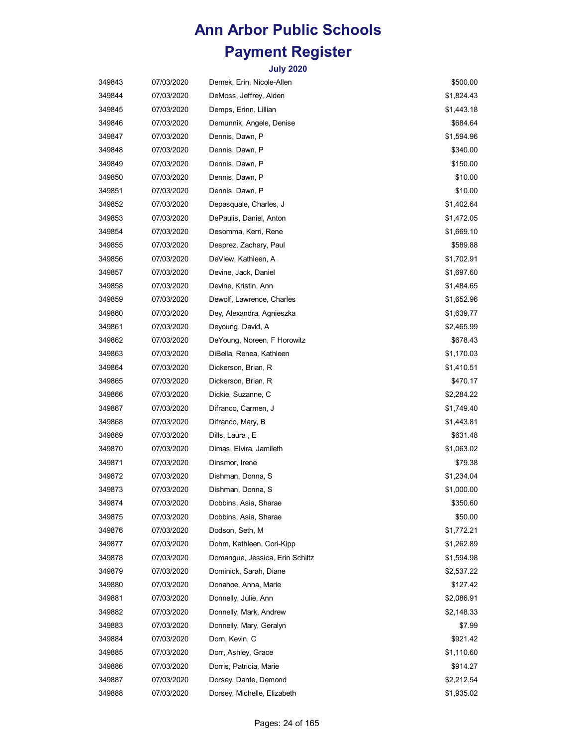| 349843 | 07/03/2020 | Demek, Erin, Nicole-Allen       | \$500.00   |
|--------|------------|---------------------------------|------------|
| 349844 | 07/03/2020 | DeMoss, Jeffrey, Alden          | \$1,824.43 |
| 349845 | 07/03/2020 | Demps, Erinn, Lillian           | \$1,443.18 |
| 349846 | 07/03/2020 | Demunnik, Angele, Denise        | \$684.64   |
| 349847 | 07/03/2020 | Dennis, Dawn, P                 | \$1,594.96 |
| 349848 | 07/03/2020 | Dennis, Dawn, P                 | \$340.00   |
| 349849 | 07/03/2020 | Dennis, Dawn, P                 | \$150.00   |
| 349850 | 07/03/2020 | Dennis, Dawn, P                 | \$10.00    |
| 349851 | 07/03/2020 | Dennis, Dawn, P                 | \$10.00    |
| 349852 | 07/03/2020 | Depasquale, Charles, J          | \$1,402.64 |
| 349853 | 07/03/2020 | DePaulis, Daniel, Anton         | \$1,472.05 |
| 349854 | 07/03/2020 | Desomma, Kerri, Rene            | \$1,669.10 |
| 349855 | 07/03/2020 | Desprez, Zachary, Paul          | \$589.88   |
| 349856 | 07/03/2020 | DeView, Kathleen, A             | \$1,702.91 |
| 349857 | 07/03/2020 | Devine, Jack, Daniel            | \$1,697.60 |
| 349858 | 07/03/2020 | Devine, Kristin, Ann            | \$1,484.65 |
| 349859 | 07/03/2020 | Dewolf, Lawrence, Charles       | \$1,652.96 |
| 349860 | 07/03/2020 | Dey, Alexandra, Agnieszka       | \$1,639.77 |
| 349861 | 07/03/2020 | Deyoung, David, A               | \$2,465.99 |
| 349862 | 07/03/2020 | DeYoung, Noreen, F Horowitz     | \$678.43   |
| 349863 | 07/03/2020 | DiBella, Renea, Kathleen        | \$1,170.03 |
| 349864 | 07/03/2020 | Dickerson, Brian, R             | \$1,410.51 |
| 349865 | 07/03/2020 | Dickerson, Brian, R             | \$470.17   |
| 349866 | 07/03/2020 | Dickie, Suzanne, C              | \$2,284.22 |
| 349867 | 07/03/2020 | Difranco, Carmen, J             | \$1,749.40 |
| 349868 | 07/03/2020 | Difranco, Mary, B               | \$1,443.81 |
| 349869 | 07/03/2020 | Dills, Laura , E                | \$631.48   |
| 349870 | 07/03/2020 | Dimas, Elvira, Jamileth         | \$1,063.02 |
| 349871 | 07/03/2020 | Dinsmor, Irene                  | \$79.38    |
| 349872 | 07/03/2020 | Dishman, Donna, S               | \$1,234.04 |
| 349873 | 07/03/2020 | Dishman, Donna, S               | \$1,000.00 |
| 349874 | 07/03/2020 | Dobbins, Asia, Sharae           | \$350.60   |
| 349875 | 07/03/2020 | Dobbins, Asia, Sharae           | \$50.00    |
| 349876 | 07/03/2020 | Dodson, Seth, M                 | \$1,772.21 |
| 349877 | 07/03/2020 | Dohm, Kathleen, Cori-Kipp       | \$1,262.89 |
| 349878 | 07/03/2020 | Domanque, Jessica, Erin Schiltz | \$1,594.98 |
| 349879 | 07/03/2020 | Dominick, Sarah, Diane          | \$2,537.22 |
| 349880 | 07/03/2020 | Donahoe, Anna, Marie            | \$127.42   |
| 349881 | 07/03/2020 | Donnelly, Julie, Ann            | \$2,086.91 |
| 349882 | 07/03/2020 | Donnelly, Mark, Andrew          | \$2,148.33 |
| 349883 | 07/03/2020 | Donnelly, Mary, Geralyn         | \$7.99     |
| 349884 | 07/03/2020 | Dorn, Kevin, C                  | \$921.42   |
| 349885 | 07/03/2020 | Dorr, Ashley, Grace             | \$1,110.60 |
| 349886 | 07/03/2020 | Dorris, Patricia, Marie         | \$914.27   |
| 349887 | 07/03/2020 | Dorsey, Dante, Demond           | \$2,212.54 |
| 349888 | 07/03/2020 | Dorsey, Michelle, Elizabeth     | \$1,935.02 |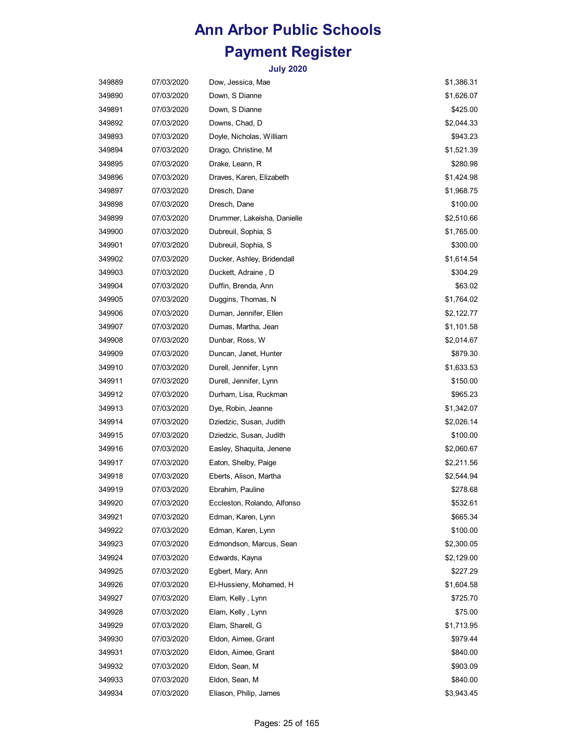| 349889 | 07/03/2020 | Dow, Jessica, Mae           | \$1,386.31 |
|--------|------------|-----------------------------|------------|
| 349890 | 07/03/2020 | Down, S Dianne              | \$1,626.07 |
| 349891 | 07/03/2020 | Down, S Dianne              | \$425.00   |
| 349892 | 07/03/2020 | Downs, Chad, D              | \$2,044.33 |
| 349893 | 07/03/2020 | Doyle, Nicholas, William    | \$943.23   |
| 349894 | 07/03/2020 | Drago, Christine, M         | \$1,521.39 |
| 349895 | 07/03/2020 | Drake, Leann, R             | \$280.98   |
| 349896 | 07/03/2020 | Draves, Karen, Elizabeth    | \$1,424.98 |
| 349897 | 07/03/2020 | Dresch, Dane                | \$1,968.75 |
| 349898 | 07/03/2020 | Dresch, Dane                | \$100.00   |
| 349899 | 07/03/2020 | Drummer, Lakeisha, Danielle | \$2,510.66 |
| 349900 | 07/03/2020 | Dubreuil, Sophia, S         | \$1,765.00 |
| 349901 | 07/03/2020 | Dubreuil, Sophia, S         | \$300.00   |
| 349902 | 07/03/2020 | Ducker, Ashley, Bridendall  | \$1,614.54 |
| 349903 | 07/03/2020 | Duckett, Adraine, D         | \$304.29   |
| 349904 | 07/03/2020 | Duffin, Brenda, Ann         | \$63.02    |
| 349905 | 07/03/2020 | Duggins, Thomas, N          | \$1,764.02 |
| 349906 | 07/03/2020 | Duman, Jennifer, Ellen      | \$2,122.77 |
| 349907 | 07/03/2020 | Dumas, Martha, Jean         | \$1,101.58 |
| 349908 | 07/03/2020 | Dunbar, Ross, W             | \$2,014.67 |
| 349909 | 07/03/2020 | Duncan, Janet, Hunter       | \$879.30   |
| 349910 | 07/03/2020 | Durell, Jennifer, Lynn      | \$1,633.53 |
| 349911 | 07/03/2020 | Durell, Jennifer, Lynn      | \$150.00   |
| 349912 | 07/03/2020 | Durham, Lisa, Ruckman       | \$965.23   |
| 349913 | 07/03/2020 | Dye, Robin, Jeanne          | \$1,342.07 |
| 349914 | 07/03/2020 | Dziedzic, Susan, Judith     | \$2,026.14 |
| 349915 | 07/03/2020 | Dziedzic, Susan, Judith     | \$100.00   |
| 349916 | 07/03/2020 | Easley, Shaquita, Jenene    | \$2,060.67 |
| 349917 | 07/03/2020 | Eaton, Shelby, Paige        | \$2,211.56 |
| 349918 | 07/03/2020 | Eberts, Alison, Martha      | \$2,544.94 |
| 349919 | 07/03/2020 | Ebrahim, Pauline            | \$278.68   |
| 349920 | 07/03/2020 | Eccleston, Rolando, Alfonso | \$532.61   |
| 349921 | 07/03/2020 | Edman, Karen, Lynn          | \$665.34   |
| 349922 | 07/03/2020 | Edman, Karen, Lynn          | \$100.00   |
| 349923 | 07/03/2020 | Edmondson, Marcus, Sean     | \$2,300.05 |
| 349924 | 07/03/2020 | Edwards, Kayna              | \$2,129.00 |
| 349925 | 07/03/2020 | Egbert, Mary, Ann           | \$227.29   |
| 349926 | 07/03/2020 | El-Hussieny, Mohamed, H     | \$1,604.58 |
| 349927 | 07/03/2020 | Elam, Kelly , Lynn          | \$725.70   |
| 349928 | 07/03/2020 | Elam, Kelly, Lynn           | \$75.00    |
| 349929 | 07/03/2020 | Elam, Sharell, G            | \$1,713.95 |
| 349930 | 07/03/2020 | Eldon, Aimee, Grant         | \$979.44   |
| 349931 | 07/03/2020 | Eldon, Aimee, Grant         | \$840.00   |
| 349932 | 07/03/2020 | Eldon, Sean, M              | \$903.09   |
| 349933 | 07/03/2020 | Eldon, Sean, M              | \$840.00   |
| 349934 | 07/03/2020 | Eliason, Philip, James      | \$3,943.45 |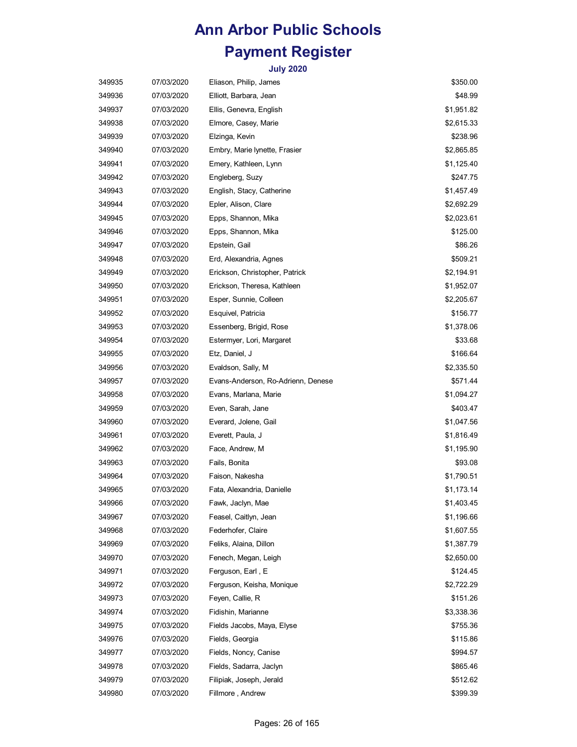| 349935 | 07/03/2020 | Eliason, Philip, James             | \$350.00   |
|--------|------------|------------------------------------|------------|
| 349936 | 07/03/2020 | Elliott, Barbara, Jean             | \$48.99    |
| 349937 | 07/03/2020 | Ellis, Genevra, English            | \$1,951.82 |
| 349938 | 07/03/2020 | Elmore, Casey, Marie               | \$2,615.33 |
| 349939 | 07/03/2020 | Elzinga, Kevin                     | \$238.96   |
| 349940 | 07/03/2020 | Embry, Marie lynette, Frasier      | \$2,865.85 |
| 349941 | 07/03/2020 | Emery, Kathleen, Lynn              | \$1,125.40 |
| 349942 | 07/03/2020 | Engleberg, Suzy                    | \$247.75   |
| 349943 | 07/03/2020 | English, Stacy, Catherine          | \$1,457.49 |
| 349944 | 07/03/2020 | Epler, Alison, Clare               | \$2,692.29 |
| 349945 | 07/03/2020 | Epps, Shannon, Mika                | \$2,023.61 |
| 349946 | 07/03/2020 | Epps, Shannon, Mika                | \$125.00   |
| 349947 | 07/03/2020 | Epstein, Gail                      | \$86.26    |
| 349948 | 07/03/2020 | Erd, Alexandria, Agnes             | \$509.21   |
| 349949 | 07/03/2020 | Erickson, Christopher, Patrick     | \$2,194.91 |
| 349950 | 07/03/2020 | Erickson, Theresa, Kathleen        | \$1,952.07 |
| 349951 | 07/03/2020 | Esper, Sunnie, Colleen             | \$2,205.67 |
| 349952 | 07/03/2020 | Esquivel, Patricia                 | \$156.77   |
| 349953 | 07/03/2020 | Essenberg, Brigid, Rose            | \$1,378.06 |
| 349954 | 07/03/2020 | Estermyer, Lori, Margaret          | \$33.68    |
| 349955 | 07/03/2020 | Etz, Daniel, J                     | \$166.64   |
| 349956 | 07/03/2020 | Evaldson, Sally, M                 | \$2,335.50 |
| 349957 | 07/03/2020 | Evans-Anderson, Ro-Adrienn, Denese | \$571.44   |
| 349958 | 07/03/2020 | Evans, Marlana, Marie              | \$1,094.27 |
| 349959 | 07/03/2020 | Even, Sarah, Jane                  | \$403.47   |
| 349960 | 07/03/2020 | Everard, Jolene, Gail              | \$1,047.56 |
| 349961 | 07/03/2020 | Everett, Paula, J                  | \$1,816.49 |
| 349962 | 07/03/2020 | Face, Andrew, M                    | \$1,195.90 |
| 349963 | 07/03/2020 | Fails, Bonita                      | \$93.08    |
| 349964 | 07/03/2020 | Faison, Nakesha                    | \$1,790.51 |
| 349965 | 07/03/2020 | Fata, Alexandria, Danielle         | \$1,173.14 |
| 349966 | 07/03/2020 | Fawk, Jaclyn, Mae                  | \$1,403.45 |
| 349967 | 07/03/2020 | Feasel, Caitlyn, Jean              | \$1,196.66 |
| 349968 | 07/03/2020 | Federhofer, Claire                 | \$1,607.55 |
| 349969 | 07/03/2020 | Feliks, Alaina, Dillon             | \$1,387.79 |
| 349970 | 07/03/2020 | Fenech, Megan, Leigh               | \$2,650.00 |
| 349971 | 07/03/2020 | Ferguson, Earl, E                  | \$124.45   |
| 349972 | 07/03/2020 | Ferguson, Keisha, Monique          | \$2,722.29 |
| 349973 | 07/03/2020 | Feyen, Callie, R                   | \$151.26   |
| 349974 | 07/03/2020 | Fidishin, Marianne                 | \$3,338.36 |
| 349975 | 07/03/2020 | Fields Jacobs, Maya, Elyse         | \$755.36   |
| 349976 | 07/03/2020 | Fields, Georgia                    | \$115.86   |
| 349977 | 07/03/2020 | Fields, Noncy, Canise              | \$994.57   |
| 349978 | 07/03/2020 | Fields, Sadarra, Jaclyn            | \$865.46   |
| 349979 | 07/03/2020 | Filipiak, Joseph, Jerald           | \$512.62   |
| 349980 | 07/03/2020 | Fillmore, Andrew                   | \$399.39   |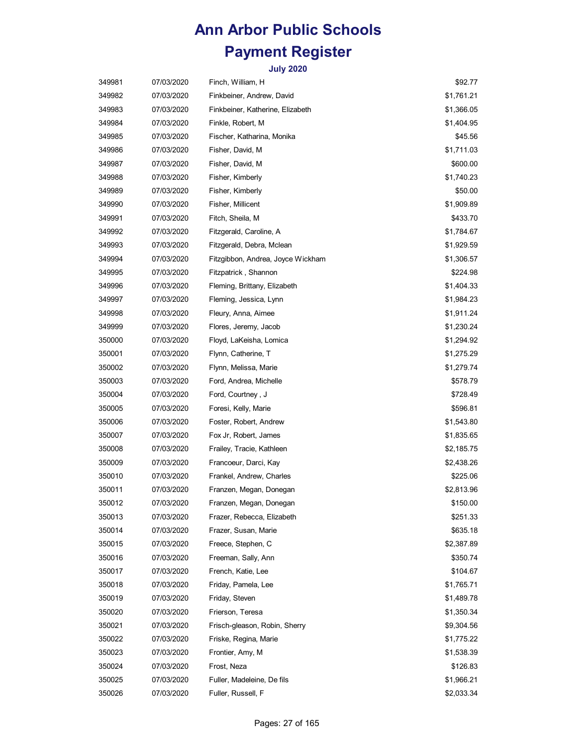| 349981 | 07/03/2020 | Finch, William, H                 | \$92.77    |
|--------|------------|-----------------------------------|------------|
| 349982 | 07/03/2020 | Finkbeiner, Andrew, David         | \$1,761.21 |
| 349983 | 07/03/2020 | Finkbeiner, Katherine, Elizabeth  | \$1,366.05 |
| 349984 | 07/03/2020 | Finkle, Robert, M                 | \$1,404.95 |
| 349985 | 07/03/2020 | Fischer, Katharina, Monika        | \$45.56    |
| 349986 | 07/03/2020 | Fisher, David, M                  | \$1,711.03 |
| 349987 | 07/03/2020 | Fisher, David, M                  | \$600.00   |
| 349988 | 07/03/2020 | Fisher, Kimberly                  | \$1,740.23 |
| 349989 | 07/03/2020 | Fisher, Kimberly                  | \$50.00    |
| 349990 | 07/03/2020 | Fisher, Millicent                 | \$1,909.89 |
| 349991 | 07/03/2020 | Fitch, Sheila, M                  | \$433.70   |
| 349992 | 07/03/2020 | Fitzgerald, Caroline, A           | \$1,784.67 |
| 349993 | 07/03/2020 | Fitzgerald, Debra, Mclean         | \$1,929.59 |
| 349994 | 07/03/2020 | Fitzgibbon, Andrea, Joyce Wickham | \$1,306.57 |
| 349995 | 07/03/2020 | Fitzpatrick, Shannon              | \$224.98   |
| 349996 | 07/03/2020 | Fleming, Brittany, Elizabeth      | \$1,404.33 |
| 349997 | 07/03/2020 | Fleming, Jessica, Lynn            | \$1,984.23 |
| 349998 | 07/03/2020 | Fleury, Anna, Aimee               | \$1,911.24 |
| 349999 | 07/03/2020 | Flores, Jeremy, Jacob             | \$1,230.24 |
| 350000 | 07/03/2020 | Floyd, LaKeisha, Lomica           | \$1,294.92 |
| 350001 | 07/03/2020 | Flynn, Catherine, T               | \$1,275.29 |
| 350002 | 07/03/2020 | Flynn, Melissa, Marie             | \$1,279.74 |
| 350003 | 07/03/2020 | Ford, Andrea, Michelle            | \$578.79   |
| 350004 | 07/03/2020 | Ford, Courtney, J                 | \$728.49   |
| 350005 | 07/03/2020 | Foresi, Kelly, Marie              | \$596.81   |
| 350006 | 07/03/2020 | Foster, Robert, Andrew            | \$1,543.80 |
| 350007 | 07/03/2020 | Fox Jr, Robert, James             | \$1,835.65 |
| 350008 | 07/03/2020 | Frailey, Tracie, Kathleen         | \$2,185.75 |
| 350009 | 07/03/2020 | Francoeur, Darci, Kay             | \$2,438.26 |
| 350010 | 07/03/2020 | Frankel, Andrew, Charles          | \$225.06   |
| 350011 | 07/03/2020 | Franzen, Megan, Donegan           | \$2,813.96 |
| 350012 | 07/03/2020 | Franzen, Megan, Donegan           | \$150.00   |
| 350013 | 07/03/2020 | Frazer, Rebecca, Elizabeth        | \$251.33   |
| 350014 | 07/03/2020 | Frazer, Susan, Marie              | \$635.18   |
| 350015 | 07/03/2020 | Freece, Stephen, C                | \$2,387.89 |
| 350016 | 07/03/2020 | Freeman, Sally, Ann               | \$350.74   |
| 350017 | 07/03/2020 | French, Katie, Lee                | \$104.67   |
| 350018 | 07/03/2020 | Friday, Pamela, Lee               | \$1,765.71 |
| 350019 | 07/03/2020 | Friday, Steven                    | \$1,489.78 |
| 350020 | 07/03/2020 | Frierson, Teresa                  | \$1,350.34 |
| 350021 | 07/03/2020 | Frisch-gleason, Robin, Sherry     | \$9,304.56 |
| 350022 | 07/03/2020 | Friske, Regina, Marie             | \$1,775.22 |
| 350023 | 07/03/2020 | Frontier, Amy, M                  | \$1,538.39 |
| 350024 | 07/03/2020 | Frost, Neza                       | \$126.83   |
| 350025 | 07/03/2020 | Fuller, Madeleine, De fils        | \$1,966.21 |
| 350026 | 07/03/2020 | Fuller, Russell, F                | \$2,033.34 |
|        |            |                                   |            |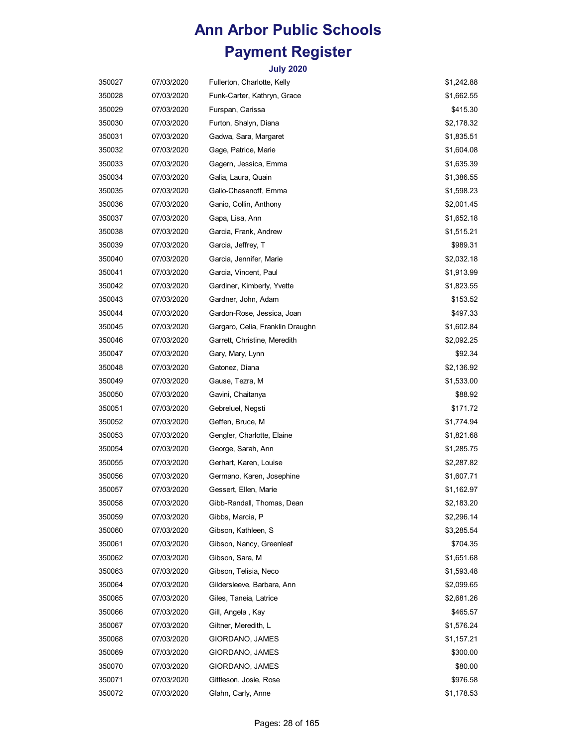| 350027 | 07/03/2020 | Fullerton, Charlotte, Kelly      | \$1,242.88 |
|--------|------------|----------------------------------|------------|
| 350028 | 07/03/2020 | Funk-Carter, Kathryn, Grace      | \$1,662.55 |
| 350029 | 07/03/2020 | Furspan, Carissa                 | \$415.30   |
| 350030 | 07/03/2020 | Furton, Shalyn, Diana            | \$2,178.32 |
| 350031 | 07/03/2020 | Gadwa, Sara, Margaret            | \$1,835.51 |
| 350032 | 07/03/2020 | Gage, Patrice, Marie             | \$1,604.08 |
| 350033 | 07/03/2020 | Gagern, Jessica, Emma            | \$1,635.39 |
| 350034 | 07/03/2020 | Galia, Laura, Quain              | \$1,386.55 |
| 350035 | 07/03/2020 | Gallo-Chasanoff, Emma            | \$1,598.23 |
| 350036 | 07/03/2020 | Ganio, Collin, Anthony           | \$2,001.45 |
| 350037 | 07/03/2020 | Gapa, Lisa, Ann                  | \$1,652.18 |
| 350038 | 07/03/2020 | Garcia, Frank, Andrew            | \$1,515.21 |
| 350039 | 07/03/2020 | Garcia, Jeffrey, T               | \$989.31   |
| 350040 | 07/03/2020 | Garcia, Jennifer, Marie          | \$2,032.18 |
| 350041 | 07/03/2020 | Garcia, Vincent, Paul            | \$1,913.99 |
| 350042 | 07/03/2020 | Gardiner, Kimberly, Yvette       | \$1,823.55 |
| 350043 | 07/03/2020 | Gardner, John, Adam              | \$153.52   |
| 350044 | 07/03/2020 | Gardon-Rose, Jessica, Joan       | \$497.33   |
| 350045 | 07/03/2020 | Gargaro, Celia, Franklin Draughn | \$1,602.84 |
| 350046 | 07/03/2020 | Garrett, Christine, Meredith     | \$2,092.25 |
| 350047 | 07/03/2020 | Gary, Mary, Lynn                 | \$92.34    |
| 350048 | 07/03/2020 | Gatonez, Diana                   | \$2,136.92 |
| 350049 | 07/03/2020 | Gause, Tezra, M                  | \$1,533.00 |
| 350050 | 07/03/2020 | Gavini, Chaitanya                | \$88.92    |
| 350051 | 07/03/2020 | Gebreluel, Negsti                | \$171.72   |
| 350052 | 07/03/2020 | Geffen, Bruce, M                 | \$1,774.94 |
| 350053 | 07/03/2020 | Gengler, Charlotte, Elaine       | \$1,821.68 |
| 350054 | 07/03/2020 | George, Sarah, Ann               | \$1,285.75 |
| 350055 | 07/03/2020 | Gerhart, Karen, Louise           | \$2,287.82 |
| 350056 | 07/03/2020 | Germano, Karen, Josephine        | \$1,607.71 |
| 350057 | 07/03/2020 | Gessert, Ellen, Marie            | \$1,162.97 |
| 350058 | 07/03/2020 | Gibb-Randall, Thomas, Dean       | \$2,183.20 |
| 350059 | 07/03/2020 | Gibbs, Marcia, P                 | \$2,296.14 |
| 350060 | 07/03/2020 | Gibson, Kathleen, S              | \$3,285.54 |
| 350061 | 07/03/2020 | Gibson, Nancy, Greenleaf         | \$704.35   |
| 350062 | 07/03/2020 | Gibson, Sara, M                  | \$1,651.68 |
| 350063 | 07/03/2020 | Gibson, Telisia, Neco            | \$1,593.48 |
| 350064 | 07/03/2020 | Gildersleeve, Barbara, Ann       | \$2,099.65 |
| 350065 | 07/03/2020 | Giles, Taneia, Latrice           | \$2,681.26 |
| 350066 | 07/03/2020 | Gill, Angela, Kay                | \$465.57   |
| 350067 | 07/03/2020 | Giltner, Meredith, L             | \$1,576.24 |
| 350068 | 07/03/2020 | GIORDANO, JAMES                  | \$1,157.21 |
| 350069 | 07/03/2020 | GIORDANO, JAMES                  | \$300.00   |
| 350070 | 07/03/2020 | GIORDANO, JAMES                  | \$80.00    |
| 350071 | 07/03/2020 | Gittleson, Josie, Rose           | \$976.58   |
| 350072 | 07/03/2020 | Glahn, Carly, Anne               | \$1,178.53 |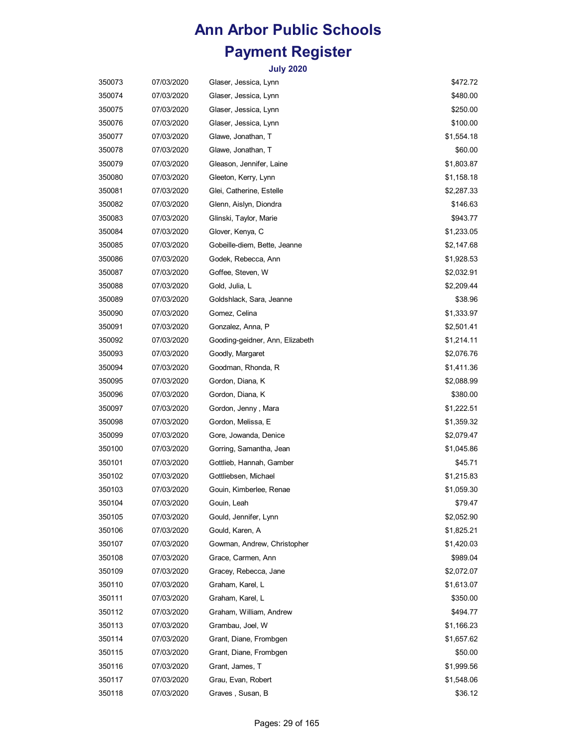| 350073 | 07/03/2020 | Glaser, Jessica, Lynn           | \$472.72   |
|--------|------------|---------------------------------|------------|
| 350074 | 07/03/2020 | Glaser, Jessica, Lynn           | \$480.00   |
| 350075 | 07/03/2020 | Glaser, Jessica, Lynn           | \$250.00   |
| 350076 | 07/03/2020 | Glaser, Jessica, Lynn           | \$100.00   |
| 350077 | 07/03/2020 | Glawe, Jonathan, T              | \$1,554.18 |
| 350078 | 07/03/2020 | Glawe, Jonathan, T              | \$60.00    |
| 350079 | 07/03/2020 | Gleason, Jennifer, Laine        | \$1,803.87 |
| 350080 | 07/03/2020 | Gleeton, Kerry, Lynn            | \$1,158.18 |
| 350081 | 07/03/2020 | Glei, Catherine, Estelle        | \$2,287.33 |
| 350082 | 07/03/2020 | Glenn, Aislyn, Diondra          | \$146.63   |
| 350083 | 07/03/2020 | Glinski, Taylor, Marie          | \$943.77   |
| 350084 | 07/03/2020 | Glover, Kenya, C                | \$1,233.05 |
| 350085 | 07/03/2020 | Gobeille-diem, Bette, Jeanne    | \$2,147.68 |
| 350086 | 07/03/2020 | Godek, Rebecca, Ann             | \$1,928.53 |
| 350087 | 07/03/2020 | Goffee, Steven, W               | \$2,032.91 |
| 350088 | 07/03/2020 | Gold, Julia, L                  | \$2,209.44 |
| 350089 | 07/03/2020 | Goldshlack, Sara, Jeanne        | \$38.96    |
| 350090 | 07/03/2020 | Gomez, Celina                   | \$1,333.97 |
| 350091 | 07/03/2020 | Gonzalez, Anna, P               | \$2,501.41 |
| 350092 | 07/03/2020 | Gooding-geidner, Ann, Elizabeth | \$1,214.11 |
| 350093 | 07/03/2020 | Goodly, Margaret                | \$2,076.76 |
| 350094 | 07/03/2020 | Goodman, Rhonda, R              | \$1,411.36 |
| 350095 | 07/03/2020 | Gordon, Diana, K                | \$2,088.99 |
| 350096 | 07/03/2020 | Gordon, Diana, K                | \$380.00   |
| 350097 | 07/03/2020 | Gordon, Jenny, Mara             | \$1,222.51 |
| 350098 | 07/03/2020 | Gordon, Melissa, E              | \$1,359.32 |
| 350099 | 07/03/2020 | Gore, Jowanda, Denice           | \$2,079.47 |
| 350100 | 07/03/2020 | Gorring, Samantha, Jean         | \$1,045.86 |
| 350101 | 07/03/2020 | Gottlieb, Hannah, Gamber        | \$45.71    |
| 350102 | 07/03/2020 | Gottliebsen, Michael            | \$1,215.83 |
| 350103 | 07/03/2020 | Gouin, Kimberlee, Renae         | \$1,059.30 |
| 350104 | 07/03/2020 | Gouin, Leah                     | \$79.47    |
| 350105 | 07/03/2020 | Gould, Jennifer, Lynn           | \$2,052.90 |
| 350106 | 07/03/2020 | Gould, Karen, A                 | \$1,825.21 |
| 350107 | 07/03/2020 | Gowman, Andrew, Christopher     | \$1,420.03 |
| 350108 | 07/03/2020 | Grace, Carmen, Ann              | \$989.04   |
| 350109 | 07/03/2020 | Gracey, Rebecca, Jane           | \$2,072.07 |
| 350110 | 07/03/2020 | Graham, Karel, L                | \$1,613.07 |
| 350111 | 07/03/2020 | Graham, Karel, L                | \$350.00   |
| 350112 | 07/03/2020 | Graham, William, Andrew         | \$494.77   |
| 350113 | 07/03/2020 | Grambau, Joel, W                | \$1,166.23 |
| 350114 | 07/03/2020 | Grant, Diane, Frombgen          | \$1,657.62 |
| 350115 | 07/03/2020 | Grant, Diane, Frombgen          | \$50.00    |
| 350116 | 07/03/2020 | Grant, James, T                 | \$1,999.56 |
| 350117 | 07/03/2020 | Grau, Evan, Robert              | \$1,548.06 |
| 350118 | 07/03/2020 | Graves, Susan, B                | \$36.12    |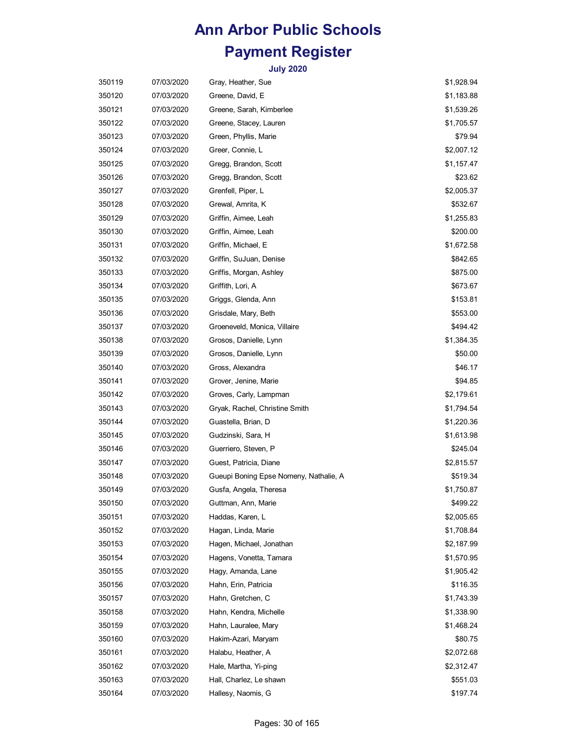| 350119 | 07/03/2020 | Gray, Heather, Sue                     | \$1,928.94 |
|--------|------------|----------------------------------------|------------|
| 350120 | 07/03/2020 | Greene, David, E                       | \$1,183.88 |
| 350121 | 07/03/2020 | Greene, Sarah, Kimberlee               | \$1,539.26 |
| 350122 | 07/03/2020 | Greene, Stacey, Lauren                 | \$1,705.57 |
| 350123 | 07/03/2020 | Green, Phyllis, Marie                  | \$79.94    |
| 350124 | 07/03/2020 | Greer, Connie, L                       | \$2,007.12 |
| 350125 | 07/03/2020 | Gregg, Brandon, Scott                  | \$1,157.47 |
| 350126 | 07/03/2020 | Gregg, Brandon, Scott                  | \$23.62    |
| 350127 | 07/03/2020 | Grenfell, Piper, L                     | \$2,005.37 |
| 350128 | 07/03/2020 | Grewal, Amrita, K                      | \$532.67   |
| 350129 | 07/03/2020 | Griffin, Aimee, Leah                   | \$1,255.83 |
| 350130 | 07/03/2020 | Griffin, Aimee, Leah                   | \$200.00   |
| 350131 | 07/03/2020 | Griffin, Michael, E                    | \$1,672.58 |
| 350132 | 07/03/2020 | Griffin, SuJuan, Denise                | \$842.65   |
| 350133 | 07/03/2020 | Griffis, Morgan, Ashley                | \$875.00   |
| 350134 | 07/03/2020 | Griffith, Lori, A                      | \$673.67   |
| 350135 | 07/03/2020 | Griggs, Glenda, Ann                    | \$153.81   |
| 350136 | 07/03/2020 | Grisdale, Mary, Beth                   | \$553.00   |
| 350137 | 07/03/2020 | Groeneveld, Monica, Villaire           | \$494.42   |
| 350138 | 07/03/2020 | Grosos, Danielle, Lynn                 | \$1,384.35 |
| 350139 | 07/03/2020 | Grosos, Danielle, Lynn                 | \$50.00    |
| 350140 | 07/03/2020 | Gross, Alexandra                       | \$46.17    |
| 350141 | 07/03/2020 | Grover, Jenine, Marie                  | \$94.85    |
| 350142 | 07/03/2020 | Groves, Carly, Lampman                 | \$2,179.61 |
| 350143 | 07/03/2020 | Gryak, Rachel, Christine Smith         | \$1,794.54 |
| 350144 | 07/03/2020 | Guastella, Brian, D                    | \$1,220.36 |
| 350145 | 07/03/2020 | Gudzinski, Sara, H                     | \$1,613.98 |
| 350146 | 07/03/2020 | Guerriero, Steven, P                   | \$245.04   |
| 350147 | 07/03/2020 | Guest, Patricia, Diane                 | \$2,815.57 |
| 350148 | 07/03/2020 | Gueupi Boning Epse Nomeny, Nathalie, A | \$519.34   |
| 350149 | 07/03/2020 | Gusfa, Angela, Theresa                 | \$1,750.87 |
| 350150 | 07/03/2020 | Guttman, Ann, Marie                    | \$499.22   |
| 350151 | 07/03/2020 | Haddas, Karen, L                       | \$2,005.65 |
| 350152 | 07/03/2020 | Hagan, Linda, Marie                    | \$1,708.84 |
| 350153 | 07/03/2020 | Hagen, Michael, Jonathan               | \$2,187.99 |
| 350154 | 07/03/2020 | Hagens, Vonetta, Tamara                | \$1,570.95 |
| 350155 | 07/03/2020 | Hagy, Amanda, Lane                     | \$1,905.42 |
| 350156 | 07/03/2020 | Hahn, Erin, Patricia                   | \$116.35   |
| 350157 | 07/03/2020 | Hahn, Gretchen, C                      | \$1,743.39 |
| 350158 | 07/03/2020 | Hahn, Kendra, Michelle                 | \$1,338.90 |
| 350159 | 07/03/2020 | Hahn, Lauralee, Mary                   | \$1,468.24 |
| 350160 | 07/03/2020 | Hakim-Azari, Maryam                    | \$80.75    |
| 350161 | 07/03/2020 | Halabu, Heather, A                     | \$2,072.68 |
| 350162 | 07/03/2020 | Hale, Martha, Yi-ping                  | \$2,312.47 |
| 350163 | 07/03/2020 | Hall, Charlez, Le shawn                | \$551.03   |
| 350164 | 07/03/2020 | Hallesy, Naomis, G                     | \$197.74   |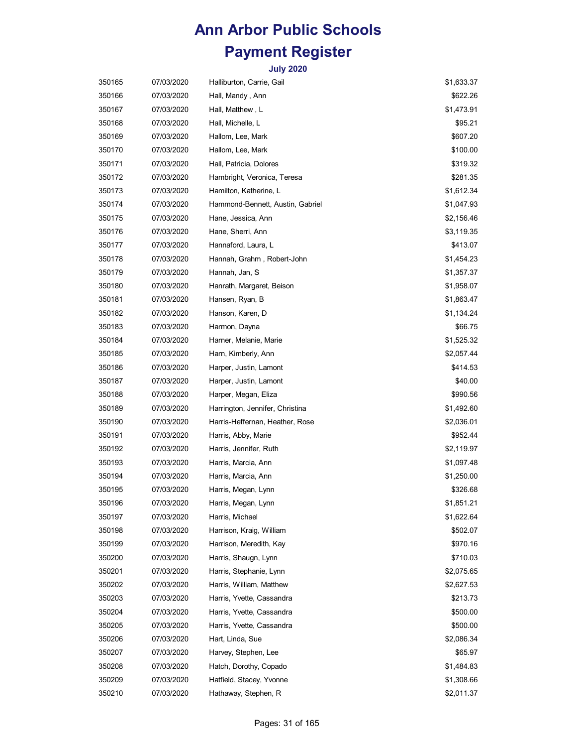| 350165 | 07/03/2020 | Halliburton, Carrie, Gail        | \$1,633.37 |
|--------|------------|----------------------------------|------------|
| 350166 | 07/03/2020 | Hall, Mandy , Ann                | \$622.26   |
| 350167 | 07/03/2020 | Hall, Matthew, L                 | \$1,473.91 |
| 350168 | 07/03/2020 | Hall, Michelle, L                | \$95.21    |
| 350169 | 07/03/2020 | Hallom, Lee, Mark                | \$607.20   |
| 350170 | 07/03/2020 | Hallom, Lee, Mark                | \$100.00   |
| 350171 | 07/03/2020 | Hall, Patricia, Dolores          | \$319.32   |
| 350172 | 07/03/2020 | Hambright, Veronica, Teresa      | \$281.35   |
| 350173 | 07/03/2020 | Hamilton, Katherine, L           | \$1,612.34 |
| 350174 | 07/03/2020 | Hammond-Bennett, Austin, Gabriel | \$1,047.93 |
| 350175 | 07/03/2020 | Hane, Jessica, Ann               | \$2,156.46 |
| 350176 | 07/03/2020 | Hane, Sherri, Ann                | \$3,119.35 |
| 350177 | 07/03/2020 | Hannaford, Laura, L              | \$413.07   |
| 350178 | 07/03/2020 | Hannah, Grahm, Robert-John       | \$1,454.23 |
| 350179 | 07/03/2020 | Hannah, Jan, S                   | \$1,357.37 |
| 350180 | 07/03/2020 | Hanrath, Margaret, Beison        | \$1,958.07 |
| 350181 | 07/03/2020 | Hansen, Ryan, B                  | \$1,863.47 |
| 350182 | 07/03/2020 | Hanson, Karen, D                 | \$1,134.24 |
| 350183 | 07/03/2020 | Harmon, Dayna                    | \$66.75    |
| 350184 | 07/03/2020 | Harner, Melanie, Marie           | \$1,525.32 |
| 350185 | 07/03/2020 | Harn, Kimberly, Ann              | \$2,057.44 |
| 350186 | 07/03/2020 | Harper, Justin, Lamont           | \$414.53   |
| 350187 | 07/03/2020 | Harper, Justin, Lamont           | \$40.00    |
| 350188 | 07/03/2020 | Harper, Megan, Eliza             | \$990.56   |
| 350189 | 07/03/2020 | Harrington, Jennifer, Christina  | \$1,492.60 |
| 350190 | 07/03/2020 | Harris-Heffernan, Heather, Rose  | \$2,036.01 |
| 350191 | 07/03/2020 | Harris, Abby, Marie              | \$952.44   |
| 350192 | 07/03/2020 | Harris, Jennifer, Ruth           | \$2,119.97 |
| 350193 | 07/03/2020 | Harris, Marcia, Ann              | \$1,097.48 |
| 350194 | 07/03/2020 | Harris, Marcia, Ann              | \$1,250.00 |
| 350195 | 07/03/2020 | Harris, Megan, Lynn              | \$326.68   |
| 350196 | 07/03/2020 | Harris, Megan, Lynn              | \$1,851.21 |
| 350197 | 07/03/2020 | Harris, Michael                  | \$1,622.64 |
| 350198 | 07/03/2020 | Harrison, Kraig, William         | \$502.07   |
| 350199 | 07/03/2020 | Harrison, Meredith, Kay          | \$970.16   |
| 350200 | 07/03/2020 | Harris, Shaugn, Lynn             | \$710.03   |
| 350201 | 07/03/2020 | Harris, Stephanie, Lynn          | \$2,075.65 |
| 350202 | 07/03/2020 | Harris, William, Matthew         | \$2,627.53 |
| 350203 | 07/03/2020 | Harris, Yvette, Cassandra        | \$213.73   |
| 350204 | 07/03/2020 | Harris, Yvette, Cassandra        | \$500.00   |
| 350205 | 07/03/2020 | Harris, Yvette, Cassandra        | \$500.00   |
| 350206 | 07/03/2020 | Hart, Linda, Sue                 | \$2,086.34 |
| 350207 | 07/03/2020 | Harvey, Stephen, Lee             | \$65.97    |
| 350208 | 07/03/2020 | Hatch, Dorothy, Copado           | \$1,484.83 |
| 350209 | 07/03/2020 | Hatfield, Stacey, Yvonne         | \$1,308.66 |
| 350210 | 07/03/2020 | Hathaway, Stephen, R             | \$2,011.37 |
|        |            |                                  |            |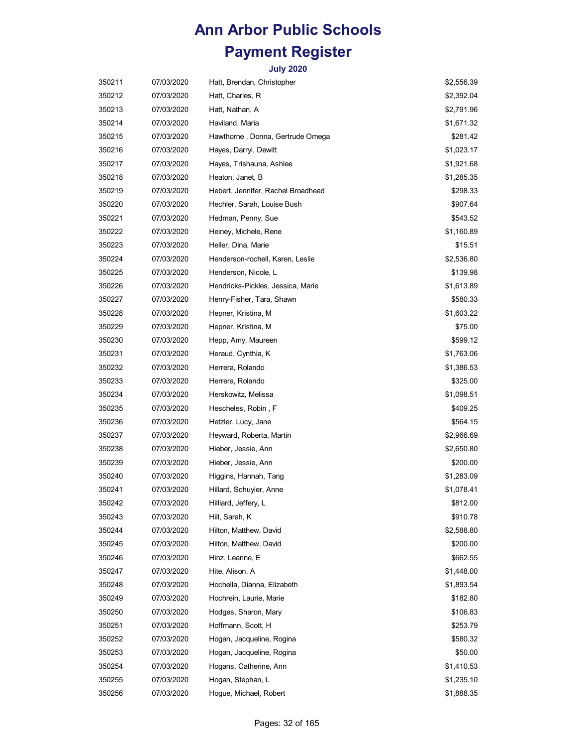| 350211 | 07/03/2020 | Hatt, Brendan, Christopher         | \$2,556.39 |
|--------|------------|------------------------------------|------------|
| 350212 | 07/03/2020 | Hatt, Charles, R                   | \$2,392.04 |
| 350213 | 07/03/2020 | Hatt, Nathan, A                    | \$2,791.96 |
| 350214 | 07/03/2020 | Haviland, Maria                    | \$1,671.32 |
| 350215 | 07/03/2020 | Hawthorne, Donna, Gertrude Omega   | \$281.42   |
| 350216 | 07/03/2020 | Hayes, Darryl, Dewitt              | \$1,023.17 |
| 350217 | 07/03/2020 | Hayes, Trishauna, Ashlee           | \$1,921.68 |
| 350218 | 07/03/2020 | Heaton, Janet, B                   | \$1,285.35 |
| 350219 | 07/03/2020 | Hebert, Jennifer, Rachel Broadhead | \$298.33   |
| 350220 | 07/03/2020 | Hechler, Sarah, Louise Bush        | \$907.64   |
| 350221 | 07/03/2020 | Hedman, Penny, Sue                 | \$543.52   |
| 350222 | 07/03/2020 | Heiney, Michele, Rene              | \$1,160.89 |
| 350223 | 07/03/2020 | Heller, Dina, Marie                | \$15.51    |
| 350224 | 07/03/2020 | Henderson-rochell, Karen, Leslie   | \$2,536.80 |
| 350225 | 07/03/2020 | Henderson, Nicole, L               | \$139.98   |
| 350226 | 07/03/2020 | Hendricks-Pickles, Jessica, Marie  | \$1,613.89 |
| 350227 | 07/03/2020 | Henry-Fisher, Tara, Shawn          | \$580.33   |
| 350228 | 07/03/2020 | Hepner, Kristina, M                | \$1,603.22 |
| 350229 | 07/03/2020 | Hepner, Kristina, M                | \$75.00    |
| 350230 | 07/03/2020 | Hepp, Amy, Maureen                 | \$599.12   |
| 350231 | 07/03/2020 | Heraud, Cynthia, K                 | \$1,763.06 |
| 350232 | 07/03/2020 | Herrera, Rolando                   | \$1,386.53 |
| 350233 | 07/03/2020 | Herrera, Rolando                   | \$325.00   |
| 350234 | 07/03/2020 | Herskowitz, Melissa                | \$1,098.51 |
| 350235 | 07/03/2020 | Hescheles, Robin, F                | \$409.25   |
| 350236 | 07/03/2020 | Hetzler, Lucy, Jane                | \$564.15   |
| 350237 | 07/03/2020 | Heyward, Roberta, Martin           | \$2,966.69 |
| 350238 | 07/03/2020 | Hieber, Jessie, Ann                | \$2,650.80 |
| 350239 | 07/03/2020 | Hieber, Jessie, Ann                | \$200.00   |
| 350240 | 07/03/2020 | Higgins, Hannah, Tang              | \$1,283.09 |
| 350241 | 07/03/2020 | Hillard, Schuyler, Anne            | \$1,078.41 |
| 350242 | 07/03/2020 | Hilliard, Jeffery, L               | \$812.00   |
| 350243 | 07/03/2020 | Hill, Sarah, K                     | \$910.78   |
| 350244 | 07/03/2020 | Hilton, Matthew, David             | \$2,588.80 |
| 350245 | 07/03/2020 | Hilton, Matthew, David             | \$200.00   |
| 350246 | 07/03/2020 | Hinz, Leanne, E                    | \$662.55   |
| 350247 | 07/03/2020 | Hite, Alison, A                    | \$1,448.00 |
| 350248 | 07/03/2020 | Hochella, Dianna, Elizabeth        | \$1,893.54 |
| 350249 | 07/03/2020 | Hochrein, Laurie, Marie            | \$182.80   |
| 350250 | 07/03/2020 | Hodges, Sharon, Mary               | \$106.83   |
| 350251 | 07/03/2020 | Hoffmann, Scott, H                 | \$253.79   |
| 350252 | 07/03/2020 | Hogan, Jacqueline, Rogina          | \$580.32   |
| 350253 | 07/03/2020 | Hogan, Jacqueline, Rogina          | \$50.00    |
| 350254 | 07/03/2020 | Hogans, Catherine, Ann             | \$1,410.53 |
| 350255 | 07/03/2020 | Hogan, Stephan, L                  | \$1,235.10 |
| 350256 | 07/03/2020 | Hogue, Michael, Robert             | \$1,888.35 |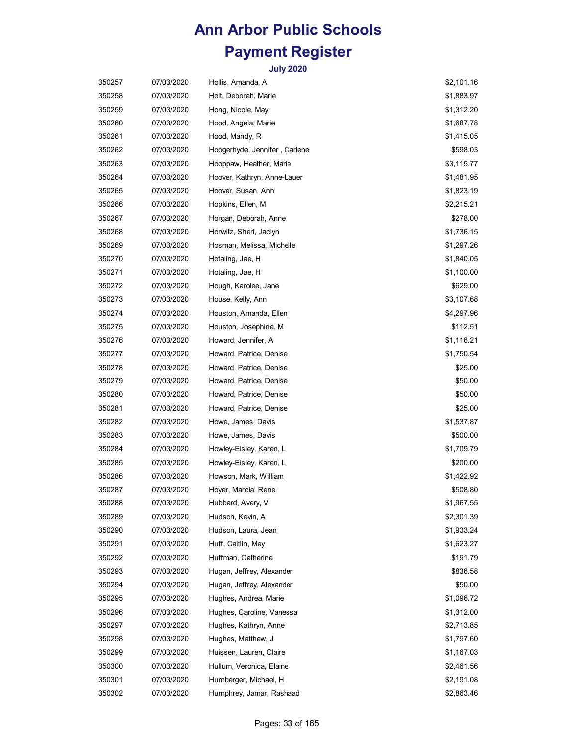| 350257 | 07/03/2020 | Hollis, Amanda, A             | \$2,101.16 |
|--------|------------|-------------------------------|------------|
| 350258 | 07/03/2020 | Holt, Deborah, Marie          | \$1,883.97 |
| 350259 | 07/03/2020 | Hong, Nicole, May             | \$1,312.20 |
| 350260 | 07/03/2020 | Hood, Angela, Marie           | \$1,687.78 |
| 350261 | 07/03/2020 | Hood, Mandy, R                | \$1,415.05 |
| 350262 | 07/03/2020 | Hoogerhyde, Jennifer, Carlene | \$598.03   |
| 350263 | 07/03/2020 | Hooppaw, Heather, Marie       | \$3,115.77 |
| 350264 | 07/03/2020 | Hoover, Kathryn, Anne-Lauer   | \$1,481.95 |
| 350265 | 07/03/2020 | Hoover, Susan, Ann            | \$1,823.19 |
| 350266 | 07/03/2020 | Hopkins, Ellen, M             | \$2,215.21 |
| 350267 | 07/03/2020 | Horgan, Deborah, Anne         | \$278.00   |
| 350268 | 07/03/2020 | Horwitz, Sheri, Jaclyn        | \$1,736.15 |
| 350269 | 07/03/2020 | Hosman, Melissa, Michelle     | \$1,297.26 |
| 350270 | 07/03/2020 | Hotaling, Jae, H              | \$1,840.05 |
| 350271 | 07/03/2020 | Hotaling, Jae, H              | \$1,100.00 |
| 350272 | 07/03/2020 | Hough, Karolee, Jane          | \$629.00   |
| 350273 | 07/03/2020 | House, Kelly, Ann             | \$3,107.68 |
| 350274 | 07/03/2020 | Houston, Amanda, Ellen        | \$4,297.96 |
| 350275 | 07/03/2020 | Houston, Josephine, M         | \$112.51   |
| 350276 | 07/03/2020 | Howard, Jennifer, A           | \$1,116.21 |
| 350277 | 07/03/2020 | Howard, Patrice, Denise       | \$1,750.54 |
| 350278 | 07/03/2020 | Howard, Patrice, Denise       | \$25.00    |
| 350279 | 07/03/2020 | Howard, Patrice, Denise       | \$50.00    |
| 350280 | 07/03/2020 | Howard, Patrice, Denise       | \$50.00    |
| 350281 | 07/03/2020 | Howard, Patrice, Denise       | \$25.00    |
| 350282 | 07/03/2020 | Howe, James, Davis            | \$1,537.87 |
| 350283 | 07/03/2020 | Howe, James, Davis            | \$500.00   |
| 350284 | 07/03/2020 | Howley-Eisley, Karen, L       | \$1,709.79 |
| 350285 | 07/03/2020 | Howley-Eisley, Karen, L       | \$200.00   |
| 350286 | 07/03/2020 | Howson, Mark, William         | \$1,422.92 |
| 350287 | 07/03/2020 | Hoyer, Marcia, Rene           | \$508.80   |
| 350288 | 07/03/2020 | Hubbard, Avery, V             | \$1,967.55 |
| 350289 | 07/03/2020 | Hudson, Kevin, A              | \$2,301.39 |
| 350290 | 07/03/2020 | Hudson, Laura, Jean           | \$1,933.24 |
| 350291 | 07/03/2020 | Huff, Caitlin, May            | \$1,623.27 |
| 350292 | 07/03/2020 | Huffman, Catherine            | \$191.79   |
| 350293 | 07/03/2020 | Hugan, Jeffrey, Alexander     | \$836.58   |
| 350294 | 07/03/2020 | Hugan, Jeffrey, Alexander     | \$50.00    |
| 350295 | 07/03/2020 | Hughes, Andrea, Marie         | \$1,096.72 |
| 350296 | 07/03/2020 | Hughes, Caroline, Vanessa     | \$1,312.00 |
| 350297 | 07/03/2020 | Hughes, Kathryn, Anne         | \$2,713.85 |
| 350298 | 07/03/2020 | Hughes, Matthew, J            | \$1,797.60 |
| 350299 | 07/03/2020 | Huissen, Lauren, Claire       | \$1,167.03 |
| 350300 | 07/03/2020 | Hullum, Veronica, Elaine      | \$2,461.56 |
| 350301 | 07/03/2020 | Humberger, Michael, H         | \$2,191.08 |
| 350302 | 07/03/2020 | Humphrey, Jamar, Rashaad      | \$2,863.46 |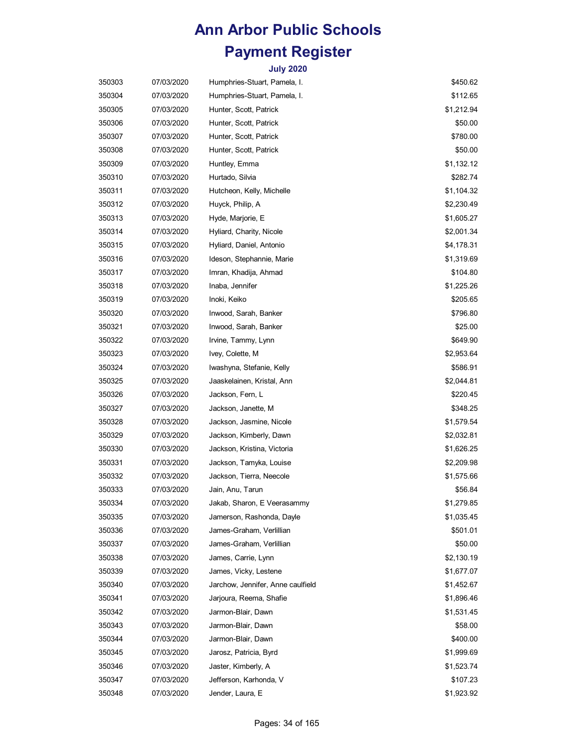| 350303 | 07/03/2020 | Humphries-Stuart, Pamela, I.      | \$450.62   |
|--------|------------|-----------------------------------|------------|
| 350304 | 07/03/2020 | Humphries-Stuart, Pamela, I.      | \$112.65   |
| 350305 | 07/03/2020 | Hunter, Scott, Patrick            | \$1,212.94 |
| 350306 | 07/03/2020 | Hunter, Scott, Patrick            | \$50.00    |
| 350307 | 07/03/2020 | Hunter, Scott, Patrick            | \$780.00   |
| 350308 | 07/03/2020 | Hunter, Scott, Patrick            | \$50.00    |
| 350309 | 07/03/2020 | Huntley, Emma                     | \$1,132.12 |
| 350310 | 07/03/2020 | Hurtado, Silvia                   | \$282.74   |
| 350311 | 07/03/2020 | Hutcheon, Kelly, Michelle         | \$1,104.32 |
| 350312 | 07/03/2020 | Huyck, Philip, A                  | \$2,230.49 |
| 350313 | 07/03/2020 | Hyde, Marjorie, E                 | \$1,605.27 |
| 350314 | 07/03/2020 | Hyliard, Charity, Nicole          | \$2,001.34 |
| 350315 | 07/03/2020 | Hyliard, Daniel, Antonio          | \$4,178.31 |
| 350316 | 07/03/2020 | Ideson, Stephannie, Marie         | \$1,319.69 |
| 350317 | 07/03/2020 | Imran, Khadija, Ahmad             | \$104.80   |
| 350318 | 07/03/2020 | Inaba, Jennifer                   | \$1,225.26 |
| 350319 | 07/03/2020 | Inoki, Keiko                      | \$205.65   |
| 350320 | 07/03/2020 | Inwood, Sarah, Banker             | \$796.80   |
| 350321 | 07/03/2020 | Inwood, Sarah, Banker             | \$25.00    |
| 350322 | 07/03/2020 | Irvine, Tammy, Lynn               | \$649.90   |
| 350323 | 07/03/2020 | Ivey, Colette, M                  | \$2,953.64 |
| 350324 | 07/03/2020 | Iwashyna, Stefanie, Kelly         | \$586.91   |
| 350325 | 07/03/2020 | Jaaskelainen, Kristal, Ann        | \$2,044.81 |
| 350326 | 07/03/2020 | Jackson, Fern, L                  | \$220.45   |
| 350327 | 07/03/2020 | Jackson, Janette, M               | \$348.25   |
| 350328 | 07/03/2020 | Jackson, Jasmine, Nicole          | \$1,579.54 |
| 350329 | 07/03/2020 | Jackson, Kimberly, Dawn           | \$2,032.81 |
| 350330 | 07/03/2020 | Jackson, Kristina, Victoria       | \$1,626.25 |
| 350331 | 07/03/2020 | Jackson, Tamyka, Louise           | \$2,209.98 |
| 350332 | 07/03/2020 | Jackson, Tierra, Neecole          | \$1,575.66 |
| 350333 | 07/03/2020 | Jain, Anu, Tarun                  | \$56.84    |
| 350334 | 07/03/2020 | Jakab, Sharon, E Veerasammy       | \$1,279.85 |
| 350335 | 07/03/2020 | Jamerson, Rashonda, Dayle         | \$1,035.45 |
| 350336 | 07/03/2020 | James-Graham, Verlillian          | \$501.01   |
| 350337 | 07/03/2020 | James-Graham, Verlillian          | \$50.00    |
| 350338 | 07/03/2020 | James, Carrie, Lynn               | \$2,130.19 |
| 350339 | 07/03/2020 | James, Vicky, Lestene             | \$1,677.07 |
| 350340 | 07/03/2020 | Jarchow, Jennifer, Anne caulfield | \$1,452.67 |
| 350341 | 07/03/2020 | Jarjoura, Reema, Shafie           | \$1,896.46 |
| 350342 | 07/03/2020 | Jarmon-Blair, Dawn                | \$1,531.45 |
| 350343 | 07/03/2020 | Jarmon-Blair, Dawn                | \$58.00    |
| 350344 | 07/03/2020 | Jarmon-Blair, Dawn                | \$400.00   |
| 350345 | 07/03/2020 | Jarosz, Patricia, Byrd            | \$1,999.69 |
| 350346 | 07/03/2020 | Jaster, Kimberly, A               | \$1,523.74 |
| 350347 | 07/03/2020 | Jefferson, Karhonda, V            | \$107.23   |
| 350348 | 07/03/2020 | Jender, Laura, E                  | \$1,923.92 |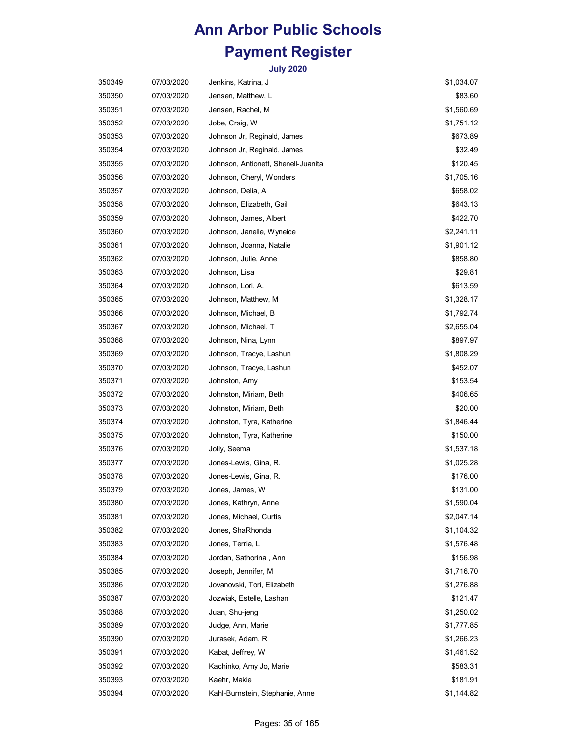| 350349 | 07/03/2020 | Jenkins, Katrina, J                 | \$1,034.07 |
|--------|------------|-------------------------------------|------------|
| 350350 | 07/03/2020 | Jensen, Matthew, L                  | \$83.60    |
| 350351 | 07/03/2020 | Jensen, Rachel, M                   | \$1,560.69 |
| 350352 | 07/03/2020 | Jobe, Craig, W                      | \$1,751.12 |
| 350353 | 07/03/2020 | Johnson Jr, Reginald, James         | \$673.89   |
| 350354 | 07/03/2020 | Johnson Jr, Reginald, James         | \$32.49    |
| 350355 | 07/03/2020 | Johnson, Antionett, Shenell-Juanita | \$120.45   |
| 350356 | 07/03/2020 | Johnson, Cheryl, Wonders            | \$1,705.16 |
| 350357 | 07/03/2020 | Johnson, Delia, A                   | \$658.02   |
| 350358 | 07/03/2020 | Johnson, Elizabeth, Gail            | \$643.13   |
| 350359 | 07/03/2020 | Johnson, James, Albert              | \$422.70   |
| 350360 | 07/03/2020 | Johnson, Janelle, Wyneice           | \$2,241.11 |
| 350361 | 07/03/2020 | Johnson, Joanna, Natalie            | \$1,901.12 |
| 350362 | 07/03/2020 | Johnson, Julie, Anne                | \$858.80   |
| 350363 | 07/03/2020 | Johnson, Lisa                       | \$29.81    |
| 350364 | 07/03/2020 | Johnson, Lori, A.                   | \$613.59   |
| 350365 | 07/03/2020 | Johnson, Matthew, M                 | \$1,328.17 |
| 350366 | 07/03/2020 | Johnson, Michael, B                 | \$1,792.74 |
| 350367 | 07/03/2020 | Johnson, Michael, T                 | \$2,655.04 |
| 350368 | 07/03/2020 | Johnson, Nina, Lynn                 | \$897.97   |
| 350369 | 07/03/2020 | Johnson, Tracye, Lashun             | \$1,808.29 |
| 350370 | 07/03/2020 | Johnson, Tracye, Lashun             | \$452.07   |
| 350371 | 07/03/2020 | Johnston, Amy                       | \$153.54   |
| 350372 | 07/03/2020 | Johnston, Miriam, Beth              | \$406.65   |
| 350373 | 07/03/2020 | Johnston, Miriam, Beth              | \$20.00    |
| 350374 | 07/03/2020 | Johnston, Tyra, Katherine           | \$1,846.44 |
| 350375 | 07/03/2020 | Johnston, Tyra, Katherine           | \$150.00   |
| 350376 | 07/03/2020 | Jolly, Seema                        | \$1,537.18 |
| 350377 | 07/03/2020 | Jones-Lewis, Gina, R.               | \$1,025.28 |
| 350378 | 07/03/2020 | Jones-Lewis, Gina, R.               | \$176.00   |
| 350379 | 07/03/2020 | Jones, James, W                     | \$131.00   |
| 350380 | 07/03/2020 | Jones, Kathryn, Anne                | \$1,590.04 |
| 350381 | 07/03/2020 | Jones, Michael, Curtis              | \$2,047.14 |
| 350382 | 07/03/2020 | Jones, ShaRhonda                    | \$1,104.32 |
| 350383 | 07/03/2020 | Jones, Terria, L                    | \$1,576.48 |
| 350384 | 07/03/2020 | Jordan, Sathorina, Ann              | \$156.98   |
| 350385 | 07/03/2020 | Joseph, Jennifer, M                 | \$1,716.70 |
| 350386 | 07/03/2020 | Jovanovski, Tori, Elizabeth         | \$1,276.88 |
| 350387 | 07/03/2020 | Jozwiak, Estelle, Lashan            | \$121.47   |
| 350388 | 07/03/2020 | Juan, Shu-jeng                      | \$1,250.02 |
| 350389 | 07/03/2020 | Judge, Ann, Marie                   | \$1,777.85 |
| 350390 | 07/03/2020 | Jurasek, Adam, R                    | \$1,266.23 |
| 350391 | 07/03/2020 | Kabat, Jeffrey, W                   | \$1,461.52 |
| 350392 | 07/03/2020 | Kachinko, Amy Jo, Marie             | \$583.31   |
| 350393 | 07/03/2020 | Kaehr, Makie                        | \$181.91   |
| 350394 | 07/03/2020 | Kahl-Burnstein, Stephanie, Anne     | \$1,144.82 |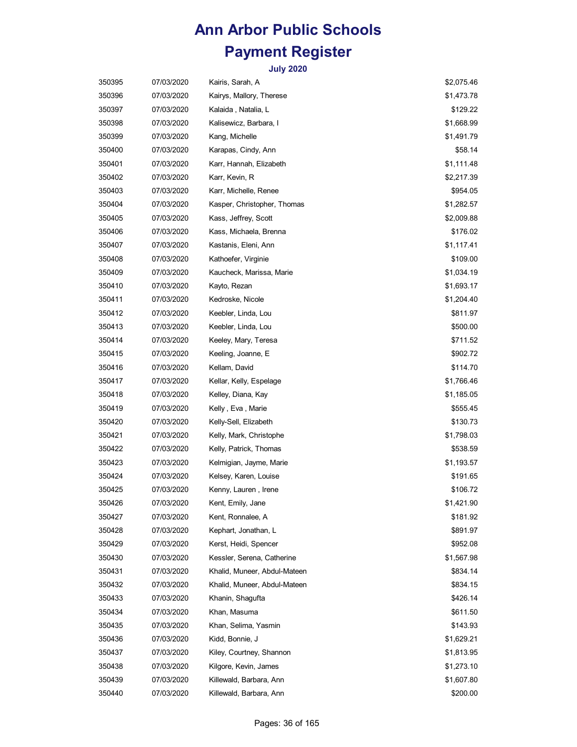| 350395 | 07/03/2020 | Kairis, Sarah, A             | \$2,075.46 |
|--------|------------|------------------------------|------------|
| 350396 | 07/03/2020 | Kairys, Mallory, Therese     | \$1,473.78 |
| 350397 | 07/03/2020 | Kalaida , Natalia, L         | \$129.22   |
| 350398 | 07/03/2020 | Kalisewicz, Barbara, I       | \$1,668.99 |
| 350399 | 07/03/2020 | Kang, Michelle               | \$1,491.79 |
| 350400 | 07/03/2020 | Karapas, Cindy, Ann          | \$58.14    |
| 350401 | 07/03/2020 | Karr, Hannah, Elizabeth      | \$1,111.48 |
| 350402 | 07/03/2020 | Karr, Kevin, R               | \$2,217.39 |
| 350403 | 07/03/2020 | Karr, Michelle, Renee        | \$954.05   |
| 350404 | 07/03/2020 | Kasper, Christopher, Thomas  | \$1,282.57 |
| 350405 | 07/03/2020 | Kass, Jeffrey, Scott         | \$2,009.88 |
| 350406 | 07/03/2020 | Kass, Michaela, Brenna       | \$176.02   |
| 350407 | 07/03/2020 | Kastanis, Eleni, Ann         | \$1,117.41 |
| 350408 | 07/03/2020 | Kathoefer, Virginie          | \$109.00   |
| 350409 | 07/03/2020 | Kaucheck, Marissa, Marie     | \$1,034.19 |
| 350410 | 07/03/2020 | Kayto, Rezan                 | \$1,693.17 |
| 350411 | 07/03/2020 | Kedroske, Nicole             | \$1,204.40 |
| 350412 | 07/03/2020 | Keebler, Linda, Lou          | \$811.97   |
| 350413 | 07/03/2020 | Keebler, Linda, Lou          | \$500.00   |
| 350414 | 07/03/2020 | Keeley, Mary, Teresa         | \$711.52   |
| 350415 | 07/03/2020 | Keeling, Joanne, E           | \$902.72   |
| 350416 | 07/03/2020 | Kellam, David                | \$114.70   |
| 350417 | 07/03/2020 | Kellar, Kelly, Espelage      | \$1,766.46 |
| 350418 | 07/03/2020 | Kelley, Diana, Kay           | \$1,185.05 |
| 350419 | 07/03/2020 | Kelly , Eva , Marie          | \$555.45   |
| 350420 | 07/03/2020 | Kelly-Sell, Elizabeth        | \$130.73   |
| 350421 | 07/03/2020 | Kelly, Mark, Christophe      | \$1,798.03 |
| 350422 | 07/03/2020 | Kelly, Patrick, Thomas       | \$538.59   |
| 350423 | 07/03/2020 | Kelmigian, Jayme, Marie      | \$1,193.57 |
| 350424 | 07/03/2020 | Kelsey, Karen, Louise        | \$191.65   |
| 350425 | 07/03/2020 | Kenny, Lauren, Irene         | \$106.72   |
| 350426 | 07/03/2020 | Kent, Emily, Jane            | \$1,421.90 |
| 350427 | 07/03/2020 | Kent, Ronnalee, A            | \$181.92   |
| 350428 | 07/03/2020 | Kephart, Jonathan, L         | \$891.97   |
| 350429 | 07/03/2020 | Kerst, Heidi, Spencer        | \$952.08   |
| 350430 | 07/03/2020 | Kessler, Serena, Catherine   | \$1,567.98 |
| 350431 | 07/03/2020 | Khalid, Muneer, Abdul-Mateen | \$834.14   |
| 350432 | 07/03/2020 | Khalid, Muneer, Abdul-Mateen | \$834.15   |
| 350433 | 07/03/2020 | Khanin, Shagufta             | \$426.14   |
| 350434 | 07/03/2020 | Khan, Masuma                 | \$611.50   |
| 350435 | 07/03/2020 | Khan, Selima, Yasmin         | \$143.93   |
| 350436 | 07/03/2020 | Kidd, Bonnie, J              | \$1,629.21 |
| 350437 | 07/03/2020 | Kiley, Courtney, Shannon     | \$1,813.95 |
| 350438 | 07/03/2020 | Kilgore, Kevin, James        | \$1,273.10 |
| 350439 | 07/03/2020 | Killewald, Barbara, Ann      | \$1,607.80 |
| 350440 | 07/03/2020 | Killewald, Barbara, Ann      | \$200.00   |
|        |            |                              |            |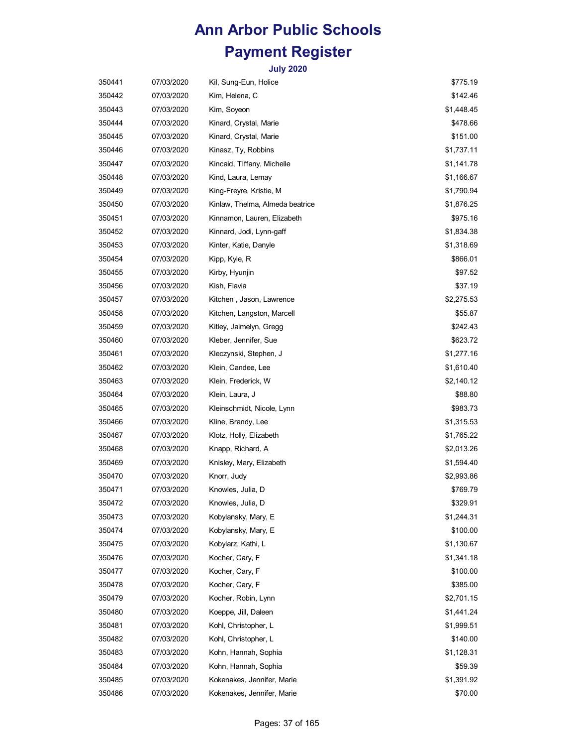| 350441 | 07/03/2020 | Kil, Sung-Eun, Holice           | \$775.19   |
|--------|------------|---------------------------------|------------|
| 350442 | 07/03/2020 | Kim, Helena, C                  | \$142.46   |
| 350443 | 07/03/2020 | Kim, Soyeon                     | \$1,448.45 |
| 350444 | 07/03/2020 | Kinard, Crystal, Marie          | \$478.66   |
| 350445 | 07/03/2020 | Kinard, Crystal, Marie          | \$151.00   |
| 350446 | 07/03/2020 | Kinasz, Ty, Robbins             | \$1,737.11 |
| 350447 | 07/03/2020 | Kincaid, TIffany, Michelle      | \$1,141.78 |
| 350448 | 07/03/2020 | Kind, Laura, Lemay              | \$1,166.67 |
| 350449 | 07/03/2020 | King-Freyre, Kristie, M         | \$1,790.94 |
| 350450 | 07/03/2020 | Kinlaw, Thelma, Almeda beatrice | \$1,876.25 |
| 350451 | 07/03/2020 | Kinnamon, Lauren, Elizabeth     | \$975.16   |
| 350452 | 07/03/2020 | Kinnard, Jodi, Lynn-gaff        | \$1,834.38 |
| 350453 | 07/03/2020 | Kinter, Katie, Danyle           | \$1,318.69 |
| 350454 | 07/03/2020 | Kipp, Kyle, R                   | \$866.01   |
| 350455 | 07/03/2020 | Kirby, Hyunjin                  | \$97.52    |
| 350456 | 07/03/2020 | Kish, Flavia                    | \$37.19    |
| 350457 | 07/03/2020 | Kitchen , Jason, Lawrence       | \$2,275.53 |
| 350458 | 07/03/2020 | Kitchen, Langston, Marcell      | \$55.87    |
| 350459 | 07/03/2020 | Kitley, Jaimelyn, Gregg         | \$242.43   |
| 350460 | 07/03/2020 | Kleber, Jennifer, Sue           | \$623.72   |
| 350461 | 07/03/2020 | Kleczynski, Stephen, J          | \$1,277.16 |
| 350462 | 07/03/2020 | Klein, Candee, Lee              | \$1,610.40 |
| 350463 | 07/03/2020 | Klein, Frederick, W             | \$2,140.12 |
| 350464 | 07/03/2020 | Klein, Laura, J                 | \$88.80    |
| 350465 | 07/03/2020 | Kleinschmidt, Nicole, Lynn      | \$983.73   |
| 350466 | 07/03/2020 | Kline, Brandy, Lee              | \$1,315.53 |
| 350467 | 07/03/2020 | Klotz, Holly, Elizabeth         | \$1,765.22 |
| 350468 | 07/03/2020 | Knapp, Richard, A               | \$2,013.26 |
| 350469 | 07/03/2020 | Knisley, Mary, Elizabeth        | \$1,594.40 |
| 350470 | 07/03/2020 | Knorr, Judy                     | \$2,993.86 |
| 350471 | 07/03/2020 | Knowles, Julia, D               | \$769.79   |
| 350472 | 07/03/2020 | Knowles, Julia, D               | \$329.91   |
| 350473 | 07/03/2020 | Kobylansky, Mary, E             | \$1,244.31 |
| 350474 | 07/03/2020 | Kobylansky, Mary, E             | \$100.00   |
| 350475 | 07/03/2020 | Kobylarz, Kathi, L              | \$1,130.67 |
| 350476 | 07/03/2020 | Kocher, Cary, F                 | \$1,341.18 |
| 350477 | 07/03/2020 | Kocher, Cary, F                 | \$100.00   |
| 350478 | 07/03/2020 | Kocher, Cary, F                 | \$385.00   |
| 350479 | 07/03/2020 | Kocher, Robin, Lynn             | \$2,701.15 |
| 350480 | 07/03/2020 | Koeppe, Jill, Daleen            | \$1,441.24 |
| 350481 | 07/03/2020 | Kohl, Christopher, L            | \$1,999.51 |
| 350482 | 07/03/2020 | Kohl, Christopher, L            | \$140.00   |
| 350483 | 07/03/2020 | Kohn, Hannah, Sophia            | \$1,128.31 |
| 350484 | 07/03/2020 | Kohn, Hannah, Sophia            | \$59.39    |
| 350485 | 07/03/2020 | Kokenakes, Jennifer, Marie      | \$1,391.92 |
| 350486 | 07/03/2020 | Kokenakes, Jennifer, Marie      | \$70.00    |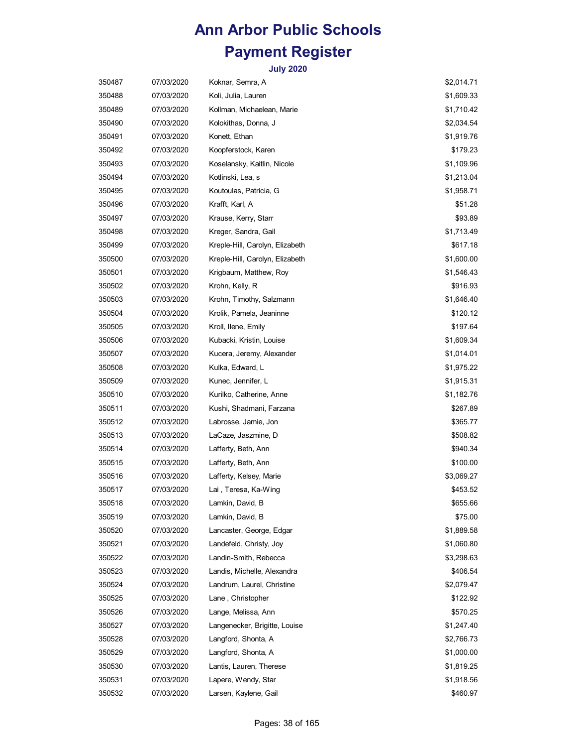| 350487 | 07/03/2020 | Koknar, Semra, A                | \$2,014.71 |
|--------|------------|---------------------------------|------------|
| 350488 | 07/03/2020 | Koli, Julia, Lauren             | \$1,609.33 |
| 350489 | 07/03/2020 | Kollman, Michaelean, Marie      | \$1,710.42 |
| 350490 | 07/03/2020 | Kolokithas, Donna, J            | \$2,034.54 |
| 350491 | 07/03/2020 | Konett, Ethan                   | \$1,919.76 |
| 350492 | 07/03/2020 | Koopferstock, Karen             | \$179.23   |
| 350493 | 07/03/2020 | Koselansky, Kaitlin, Nicole     | \$1,109.96 |
| 350494 | 07/03/2020 | Kotlinski, Lea, s               | \$1,213.04 |
| 350495 | 07/03/2020 | Koutoulas, Patricia, G          | \$1,958.71 |
| 350496 | 07/03/2020 | Krafft, Karl, A                 | \$51.28    |
| 350497 | 07/03/2020 | Krause, Kerry, Starr            | \$93.89    |
| 350498 | 07/03/2020 | Kreger, Sandra, Gail            | \$1,713.49 |
| 350499 | 07/03/2020 | Kreple-Hill, Carolyn, Elizabeth | \$617.18   |
| 350500 | 07/03/2020 | Kreple-Hill, Carolyn, Elizabeth | \$1,600.00 |
| 350501 | 07/03/2020 | Krigbaum, Matthew, Roy          | \$1,546.43 |
| 350502 | 07/03/2020 | Krohn, Kelly, R                 | \$916.93   |
| 350503 | 07/03/2020 | Krohn, Timothy, Salzmann        | \$1,646.40 |
| 350504 | 07/03/2020 | Krolik, Pamela, Jeaninne        | \$120.12   |
| 350505 | 07/03/2020 | Kroll, Ilene, Emily             | \$197.64   |
| 350506 | 07/03/2020 | Kubacki, Kristin, Louise        | \$1,609.34 |
| 350507 | 07/03/2020 | Kucera, Jeremy, Alexander       | \$1,014.01 |
| 350508 | 07/03/2020 | Kulka, Edward, L                | \$1,975.22 |
| 350509 | 07/03/2020 | Kunec, Jennifer, L              | \$1,915.31 |
| 350510 | 07/03/2020 | Kurilko, Catherine, Anne        | \$1,182.76 |
| 350511 | 07/03/2020 | Kushi, Shadmani, Farzana        | \$267.89   |
| 350512 | 07/03/2020 | Labrosse, Jamie, Jon            | \$365.77   |
| 350513 | 07/03/2020 | LaCaze, Jaszmine, D             | \$508.82   |
| 350514 | 07/03/2020 | Lafferty, Beth, Ann             | \$940.34   |
| 350515 | 07/03/2020 | Lafferty, Beth, Ann             | \$100.00   |
| 350516 | 07/03/2020 | Lafferty, Kelsey, Marie         | \$3,069.27 |
| 350517 | 07/03/2020 | Lai , Teresa, Ka-Wing           | \$453.52   |
| 350518 | 07/03/2020 | Lamkin, David, B                | \$655.66   |
| 350519 | 07/03/2020 | Lamkin, David, B                | \$75.00    |
| 350520 | 07/03/2020 | Lancaster, George, Edgar        | \$1,889.58 |
| 350521 | 07/03/2020 | Landefeld, Christy, Joy         | \$1,060.80 |
| 350522 | 07/03/2020 | Landin-Smith, Rebecca           | \$3,298.63 |
| 350523 | 07/03/2020 | Landis, Michelle, Alexandra     | \$406.54   |
| 350524 | 07/03/2020 | Landrum, Laurel, Christine      | \$2,079.47 |
| 350525 | 07/03/2020 | Lane, Christopher               | \$122.92   |
| 350526 | 07/03/2020 | Lange, Melissa, Ann             | \$570.25   |
| 350527 | 07/03/2020 | Langenecker, Brigitte, Louise   | \$1,247.40 |
| 350528 | 07/03/2020 | Langford, Shonta, A             | \$2,766.73 |
| 350529 | 07/03/2020 | Langford, Shonta, A             | \$1,000.00 |
| 350530 | 07/03/2020 | Lantis, Lauren, Therese         | \$1,819.25 |
| 350531 | 07/03/2020 | Lapere, Wendy, Star             | \$1,918.56 |
| 350532 | 07/03/2020 | Larsen, Kaylene, Gail           | \$460.97   |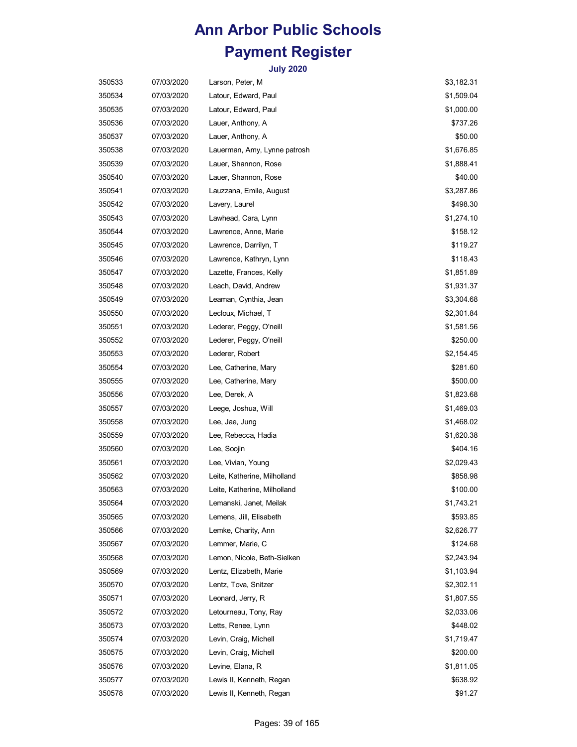| 350533 | 07/03/2020 | Larson, Peter, M             | \$3,182.31 |
|--------|------------|------------------------------|------------|
| 350534 | 07/03/2020 | Latour, Edward, Paul         | \$1,509.04 |
| 350535 | 07/03/2020 | Latour, Edward, Paul         | \$1,000.00 |
| 350536 | 07/03/2020 | Lauer, Anthony, A            | \$737.26   |
| 350537 | 07/03/2020 | Lauer, Anthony, A            | \$50.00    |
| 350538 | 07/03/2020 | Lauerman, Amy, Lynne patrosh | \$1,676.85 |
| 350539 | 07/03/2020 | Lauer, Shannon, Rose         | \$1,888.41 |
| 350540 | 07/03/2020 | Lauer, Shannon, Rose         | \$40.00    |
| 350541 | 07/03/2020 | Lauzzana, Emile, August      | \$3,287.86 |
| 350542 | 07/03/2020 | Lavery, Laurel               | \$498.30   |
| 350543 | 07/03/2020 | Lawhead, Cara, Lynn          | \$1,274.10 |
| 350544 | 07/03/2020 | Lawrence, Anne, Marie        | \$158.12   |
| 350545 | 07/03/2020 | Lawrence, Darrilyn, T        | \$119.27   |
| 350546 | 07/03/2020 | Lawrence, Kathryn, Lynn      | \$118.43   |
| 350547 | 07/03/2020 | Lazette, Frances, Kelly      | \$1,851.89 |
| 350548 | 07/03/2020 | Leach, David, Andrew         | \$1,931.37 |
| 350549 | 07/03/2020 | Leaman, Cynthia, Jean        | \$3,304.68 |
| 350550 | 07/03/2020 | Lecloux, Michael, T          | \$2,301.84 |
| 350551 | 07/03/2020 | Lederer, Peggy, O'neill      | \$1,581.56 |
| 350552 | 07/03/2020 | Lederer, Peggy, O'neill      | \$250.00   |
| 350553 | 07/03/2020 | Lederer, Robert              | \$2,154.45 |
| 350554 | 07/03/2020 | Lee, Catherine, Mary         | \$281.60   |
| 350555 | 07/03/2020 | Lee, Catherine, Mary         | \$500.00   |
| 350556 | 07/03/2020 | Lee, Derek, A                | \$1,823.68 |
| 350557 | 07/03/2020 | Leege, Joshua, Will          | \$1,469.03 |
| 350558 | 07/03/2020 | Lee, Jae, Jung               | \$1,468.02 |
| 350559 | 07/03/2020 | Lee, Rebecca, Hadia          | \$1,620.38 |
| 350560 | 07/03/2020 | Lee, Soojin                  | \$404.16   |
| 350561 | 07/03/2020 | Lee, Vivian, Young           | \$2,029.43 |
| 350562 | 07/03/2020 | Leite, Katherine, Milholland | \$858.98   |
| 350563 | 07/03/2020 | Leite, Katherine, Milholland | \$100.00   |
| 350564 | 07/03/2020 | Lemanski, Janet, Meilak      | \$1,743.21 |
| 350565 | 07/03/2020 | Lemens, Jill, Elisabeth      | \$593.85   |
| 350566 | 07/03/2020 | Lemke, Charity, Ann          | \$2,626.77 |
| 350567 | 07/03/2020 | Lemmer, Marie, C             | \$124.68   |
| 350568 | 07/03/2020 | Lemon, Nicole, Beth-Sielken  | \$2,243.94 |
| 350569 | 07/03/2020 | Lentz, Elizabeth, Marie      | \$1,103.94 |
| 350570 | 07/03/2020 | Lentz, Tova, Snitzer         | \$2,302.11 |
| 350571 | 07/03/2020 | Leonard, Jerry, R            | \$1,807.55 |
| 350572 | 07/03/2020 | Letourneau, Tony, Ray        | \$2,033.06 |
| 350573 | 07/03/2020 | Letts, Renee, Lynn           | \$448.02   |
| 350574 | 07/03/2020 | Levin, Craig, Michell        | \$1,719.47 |
| 350575 | 07/03/2020 | Levin, Craig, Michell        | \$200.00   |
| 350576 | 07/03/2020 | Levine, Elana, R             | \$1,811.05 |
| 350577 | 07/03/2020 | Lewis II, Kenneth, Regan     | \$638.92   |
| 350578 | 07/03/2020 | Lewis II, Kenneth, Regan     | \$91.27    |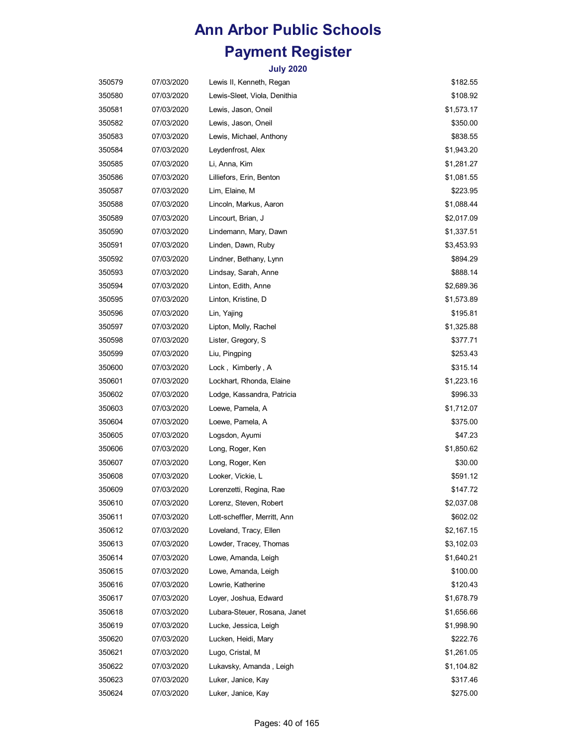| 350579 | 07/03/2020 | Lewis II, Kenneth, Regan     | \$182.55   |
|--------|------------|------------------------------|------------|
| 350580 | 07/03/2020 | Lewis-Sleet, Viola, Denithia | \$108.92   |
| 350581 | 07/03/2020 | Lewis, Jason, Oneil          | \$1,573.17 |
| 350582 | 07/03/2020 | Lewis, Jason, Oneil          | \$350.00   |
| 350583 | 07/03/2020 | Lewis, Michael, Anthony      | \$838.55   |
| 350584 | 07/03/2020 | Leydenfrost, Alex            | \$1,943.20 |
| 350585 | 07/03/2020 | Li, Anna, Kim                | \$1,281.27 |
| 350586 | 07/03/2020 | Lilliefors, Erin, Benton     | \$1,081.55 |
| 350587 | 07/03/2020 | Lim, Elaine, M               | \$223.95   |
| 350588 | 07/03/2020 | Lincoln, Markus, Aaron       | \$1,088.44 |
| 350589 | 07/03/2020 | Lincourt, Brian, J           | \$2,017.09 |
| 350590 | 07/03/2020 | Lindemann, Mary, Dawn        | \$1,337.51 |
| 350591 | 07/03/2020 | Linden, Dawn, Ruby           | \$3,453.93 |
| 350592 | 07/03/2020 | Lindner, Bethany, Lynn       | \$894.29   |
| 350593 | 07/03/2020 | Lindsay, Sarah, Anne         | \$888.14   |
| 350594 | 07/03/2020 | Linton, Edith, Anne          | \$2,689.36 |
| 350595 | 07/03/2020 | Linton, Kristine, D          | \$1,573.89 |
| 350596 | 07/03/2020 | Lin, Yajing                  | \$195.81   |
| 350597 | 07/03/2020 | Lipton, Molly, Rachel        | \$1,325.88 |
| 350598 | 07/03/2020 | Lister, Gregory, S           | \$377.71   |
| 350599 | 07/03/2020 | Liu, Pingping                | \$253.43   |
| 350600 | 07/03/2020 | Lock, Kimberly, A            | \$315.14   |
| 350601 | 07/03/2020 | Lockhart, Rhonda, Elaine     | \$1,223.16 |
| 350602 | 07/03/2020 | Lodge, Kassandra, Patricia   | \$996.33   |
| 350603 | 07/03/2020 | Loewe, Pamela, A             | \$1,712.07 |
| 350604 | 07/03/2020 | Loewe, Pamela, A             | \$375.00   |
| 350605 | 07/03/2020 | Logsdon, Ayumi               | \$47.23    |
| 350606 | 07/03/2020 | Long, Roger, Ken             | \$1,850.62 |
| 350607 | 07/03/2020 | Long, Roger, Ken             | \$30.00    |
| 350608 | 07/03/2020 | Looker, Vickie, L            | \$591.12   |
| 350609 | 07/03/2020 | Lorenzetti, Regina, Rae      | \$147.72   |
| 350610 | 07/03/2020 | Lorenz, Steven, Robert       | \$2,037.08 |
| 350611 | 07/03/2020 | Lott-scheffler, Merritt, Ann | \$602.02   |
| 350612 | 07/03/2020 | Loveland, Tracy, Ellen       | \$2,167.15 |
| 350613 | 07/03/2020 | Lowder, Tracey, Thomas       | \$3,102.03 |
| 350614 | 07/03/2020 | Lowe, Amanda, Leigh          | \$1,640.21 |
| 350615 | 07/03/2020 | Lowe, Amanda, Leigh          | \$100.00   |
| 350616 | 07/03/2020 | Lowrie, Katherine            | \$120.43   |
| 350617 | 07/03/2020 | Loyer, Joshua, Edward        | \$1,678.79 |
| 350618 | 07/03/2020 | Lubara-Steuer, Rosana, Janet | \$1,656.66 |
| 350619 | 07/03/2020 | Lucke, Jessica, Leigh        | \$1,998.90 |
| 350620 | 07/03/2020 | Lucken, Heidi, Mary          | \$222.76   |
| 350621 | 07/03/2020 | Lugo, Cristal, M             | \$1,261.05 |
| 350622 | 07/03/2020 | Lukavsky, Amanda, Leigh      | \$1,104.82 |
| 350623 | 07/03/2020 | Luker, Janice, Kay           | \$317.46   |
| 350624 | 07/03/2020 | Luker, Janice, Kay           | \$275.00   |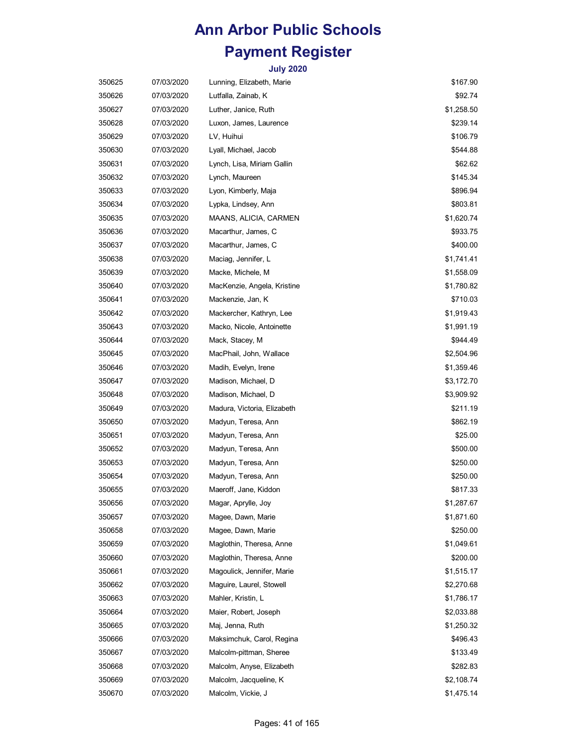| 350625 | 07/03/2020 | Lunning, Elizabeth, Marie   | \$167.90   |
|--------|------------|-----------------------------|------------|
| 350626 | 07/03/2020 | Lutfalla, Zainab, K         | \$92.74    |
| 350627 | 07/03/2020 | Luther, Janice, Ruth        | \$1,258.50 |
| 350628 | 07/03/2020 | Luxon, James, Laurence      | \$239.14   |
| 350629 | 07/03/2020 | LV, Huihui                  | \$106.79   |
| 350630 | 07/03/2020 | Lyall, Michael, Jacob       | \$544.88   |
| 350631 | 07/03/2020 | Lynch, Lisa, Miriam Gallin  | \$62.62    |
| 350632 | 07/03/2020 | Lynch, Maureen              | \$145.34   |
| 350633 | 07/03/2020 | Lyon, Kimberly, Maja        | \$896.94   |
| 350634 | 07/03/2020 | Lypka, Lindsey, Ann         | \$803.81   |
| 350635 | 07/03/2020 | MAANS, ALICIA, CARMEN       | \$1,620.74 |
| 350636 | 07/03/2020 | Macarthur, James, C         | \$933.75   |
| 350637 | 07/03/2020 | Macarthur, James, C         | \$400.00   |
| 350638 | 07/03/2020 | Maciag, Jennifer, L         | \$1,741.41 |
| 350639 | 07/03/2020 | Macke, Michele, M           | \$1,558.09 |
| 350640 | 07/03/2020 | MacKenzie, Angela, Kristine | \$1,780.82 |
| 350641 | 07/03/2020 | Mackenzie, Jan, K           | \$710.03   |
| 350642 | 07/03/2020 | Mackercher, Kathryn, Lee    | \$1,919.43 |
| 350643 | 07/03/2020 | Macko, Nicole, Antoinette   | \$1,991.19 |
| 350644 | 07/03/2020 | Mack, Stacey, M             | \$944.49   |
| 350645 | 07/03/2020 | MacPhail, John, Wallace     | \$2,504.96 |
| 350646 | 07/03/2020 | Madih, Evelyn, Irene        | \$1,359.46 |
| 350647 | 07/03/2020 | Madison, Michael, D         | \$3,172.70 |
| 350648 | 07/03/2020 | Madison, Michael, D         | \$3,909.92 |
| 350649 | 07/03/2020 | Madura, Victoria, Elizabeth | \$211.19   |
| 350650 | 07/03/2020 | Madyun, Teresa, Ann         | \$862.19   |
| 350651 | 07/03/2020 | Madyun, Teresa, Ann         | \$25.00    |
| 350652 | 07/03/2020 | Madyun, Teresa, Ann         | \$500.00   |
| 350653 | 07/03/2020 | Madyun, Teresa, Ann         | \$250.00   |
| 350654 | 07/03/2020 | Madyun, Teresa, Ann         | \$250.00   |
| 350655 | 07/03/2020 | Maeroff, Jane, Kiddon       | \$817.33   |
| 350656 | 07/03/2020 | Magar, Aprylle, Joy         | \$1,287.67 |
| 350657 | 07/03/2020 | Magee, Dawn, Marie          | \$1,871.60 |
| 350658 | 07/03/2020 | Magee, Dawn, Marie          | \$250.00   |
| 350659 | 07/03/2020 | Maglothin, Theresa, Anne    | \$1,049.61 |
| 350660 | 07/03/2020 | Maglothin, Theresa, Anne    | \$200.00   |
| 350661 | 07/03/2020 | Magoulick, Jennifer, Marie  | \$1,515.17 |
| 350662 | 07/03/2020 | Maguire, Laurel, Stowell    | \$2,270.68 |
| 350663 | 07/03/2020 | Mahler, Kristin, L          | \$1,786.17 |
| 350664 | 07/03/2020 | Maier, Robert, Joseph       | \$2,033.88 |
| 350665 | 07/03/2020 | Maj, Jenna, Ruth            | \$1,250.32 |
| 350666 | 07/03/2020 | Maksimchuk, Carol, Regina   | \$496.43   |
| 350667 | 07/03/2020 | Malcolm-pittman, Sheree     | \$133.49   |
| 350668 | 07/03/2020 | Malcolm, Anyse, Elizabeth   | \$282.83   |
| 350669 | 07/03/2020 | Malcolm, Jacqueline, K      | \$2,108.74 |
| 350670 | 07/03/2020 | Malcolm, Vickie, J          | \$1,475.14 |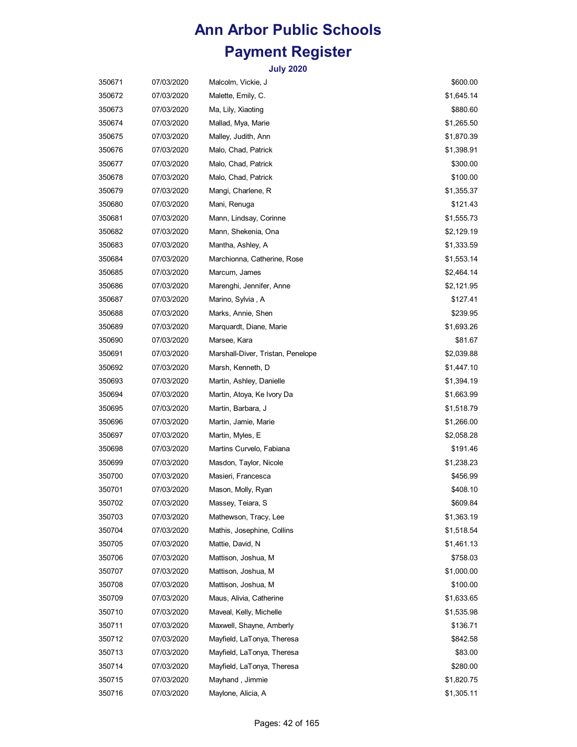| 350671 | 07/03/2020 | Malcolm, Vickie, J                | \$600.00   |
|--------|------------|-----------------------------------|------------|
| 350672 | 07/03/2020 | Malette, Emily, C.                | \$1,645.14 |
| 350673 | 07/03/2020 | Ma, Lily, Xiaoting                | \$880.60   |
| 350674 | 07/03/2020 | Mallad, Mya, Marie                | \$1,265.50 |
| 350675 | 07/03/2020 | Malley, Judith, Ann               | \$1,870.39 |
| 350676 | 07/03/2020 | Malo, Chad, Patrick               | \$1,398.91 |
| 350677 | 07/03/2020 | Malo, Chad, Patrick               | \$300.00   |
| 350678 | 07/03/2020 | Malo, Chad, Patrick               | \$100.00   |
| 350679 | 07/03/2020 | Mangi, Charlene, R                | \$1,355.37 |
| 350680 | 07/03/2020 | Mani, Renuga                      | \$121.43   |
| 350681 | 07/03/2020 | Mann, Lindsay, Corinne            | \$1,555.73 |
| 350682 | 07/03/2020 | Mann, Shekenia, Ona               | \$2,129.19 |
| 350683 | 07/03/2020 | Mantha, Ashley, A                 | \$1,333.59 |
| 350684 | 07/03/2020 | Marchionna, Catherine, Rose       | \$1,553.14 |
| 350685 | 07/03/2020 | Marcum, James                     | \$2,464.14 |
| 350686 | 07/03/2020 | Marenghi, Jennifer, Anne          | \$2,121.95 |
| 350687 | 07/03/2020 | Marino, Sylvia, A                 | \$127.41   |
| 350688 | 07/03/2020 | Marks, Annie, Shen                | \$239.95   |
| 350689 | 07/03/2020 | Marquardt, Diane, Marie           | \$1,693.26 |
| 350690 | 07/03/2020 | Marsee, Kara                      | \$81.67    |
| 350691 | 07/03/2020 | Marshall-Diver, Tristan, Penelope | \$2,039.88 |
| 350692 | 07/03/2020 | Marsh, Kenneth, D                 | \$1,447.10 |
| 350693 | 07/03/2020 | Martin, Ashley, Danielle          | \$1,394.19 |
| 350694 | 07/03/2020 | Martin, Atoya, Ke Ivory Da        | \$1,663.99 |
| 350695 | 07/03/2020 | Martin, Barbara, J                | \$1,518.79 |
| 350696 | 07/03/2020 | Martin, Jamie, Marie              | \$1,266.00 |
| 350697 | 07/03/2020 | Martin, Myles, E                  | \$2,058.28 |
| 350698 | 07/03/2020 | Martins Curvelo, Fabiana          | \$191.46   |
| 350699 | 07/03/2020 | Masdon, Taylor, Nicole            | \$1,238.23 |
| 350700 | 07/03/2020 | Masieri, Francesca                | \$456.99   |
| 350701 | 07/03/2020 | Mason, Molly, Ryan                | \$408.10   |
| 350702 | 07/03/2020 | Massey, Teiara, S                 | \$609.84   |
| 350703 | 07/03/2020 | Mathewson, Tracy, Lee             | \$1,363.19 |
| 350704 | 07/03/2020 | Mathis, Josephine, Collins        | \$1,518.54 |
| 350705 | 07/03/2020 | Mattie, David, N                  | \$1,461.13 |
| 350706 | 07/03/2020 | Mattison, Joshua, M               | \$758.03   |
| 350707 | 07/03/2020 | Mattison, Joshua, M               | \$1,000.00 |
| 350708 | 07/03/2020 | Mattison, Joshua, M               | \$100.00   |
| 350709 | 07/03/2020 | Maus, Alivia, Catherine           | \$1,633.65 |
| 350710 | 07/03/2020 | Maveal, Kelly, Michelle           | \$1,535.98 |
| 350711 | 07/03/2020 | Maxwell, Shayne, Amberly          | \$136.71   |
| 350712 | 07/03/2020 | Mayfield, LaTonya, Theresa        | \$842.58   |
| 350713 | 07/03/2020 | Mayfield, LaTonya, Theresa        | \$83.00    |
| 350714 | 07/03/2020 | Mayfield, LaTonya, Theresa        | \$280.00   |
| 350715 | 07/03/2020 | Mayhand, Jimmie                   | \$1,820.75 |
| 350716 | 07/03/2020 | Maylone, Alicia, A                | \$1,305.11 |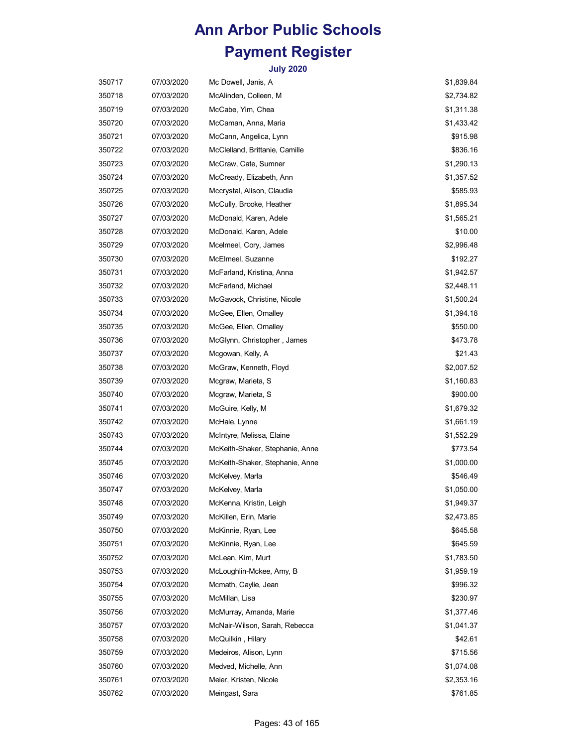| 350717 | 07/03/2020 | Mc Dowell, Janis, A             | \$1,839.84 |
|--------|------------|---------------------------------|------------|
| 350718 | 07/03/2020 | McAlinden, Colleen, M           | \$2,734.82 |
| 350719 | 07/03/2020 | McCabe, Yim, Chea               | \$1,311.38 |
| 350720 | 07/03/2020 | McCaman, Anna, Maria            | \$1,433.42 |
| 350721 | 07/03/2020 | McCann, Angelica, Lynn          | \$915.98   |
| 350722 | 07/03/2020 | McClelland, Brittanie, Camille  | \$836.16   |
| 350723 | 07/03/2020 | McCraw, Cate, Sumner            | \$1,290.13 |
| 350724 | 07/03/2020 | McCready, Elizabeth, Ann        | \$1,357.52 |
| 350725 | 07/03/2020 | Mccrystal, Alison, Claudia      | \$585.93   |
| 350726 | 07/03/2020 | McCully, Brooke, Heather        | \$1,895.34 |
| 350727 | 07/03/2020 | McDonald, Karen, Adele          | \$1,565.21 |
| 350728 | 07/03/2020 | McDonald, Karen, Adele          | \$10.00    |
| 350729 | 07/03/2020 | Mcelmeel, Cory, James           | \$2,996.48 |
| 350730 | 07/03/2020 | McElmeel, Suzanne               | \$192.27   |
| 350731 | 07/03/2020 | McFarland, Kristina, Anna       | \$1,942.57 |
| 350732 | 07/03/2020 | McFarland, Michael              | \$2,448.11 |
| 350733 | 07/03/2020 | McGavock, Christine, Nicole     | \$1,500.24 |
| 350734 | 07/03/2020 | McGee, Ellen, Omalley           | \$1,394.18 |
| 350735 | 07/03/2020 | McGee, Ellen, Omalley           | \$550.00   |
| 350736 | 07/03/2020 | McGlynn, Christopher, James     | \$473.78   |
| 350737 | 07/03/2020 | Mcgowan, Kelly, A               | \$21.43    |
| 350738 | 07/03/2020 | McGraw, Kenneth, Floyd          | \$2,007.52 |
| 350739 | 07/03/2020 | Mcgraw, Marieta, S              | \$1,160.83 |
| 350740 | 07/03/2020 | Mcgraw, Marieta, S              | \$900.00   |
| 350741 | 07/03/2020 | McGuire, Kelly, M               | \$1,679.32 |
| 350742 | 07/03/2020 | McHale, Lynne                   | \$1,661.19 |
| 350743 | 07/03/2020 | McIntyre, Melissa, Elaine       | \$1,552.29 |
| 350744 | 07/03/2020 | McKeith-Shaker, Stephanie, Anne | \$773.54   |
| 350745 | 07/03/2020 | McKeith-Shaker, Stephanie, Anne | \$1,000.00 |
| 350746 | 07/03/2020 | McKelvey, Marla                 | \$546.49   |
| 350747 | 07/03/2020 | McKelvey, Marla                 | \$1,050.00 |
| 350748 | 07/03/2020 | McKenna, Kristin, Leigh         | \$1,949.37 |
| 350749 | 07/03/2020 | McKillen, Erin, Marie           | \$2,473.85 |
| 350750 | 07/03/2020 | McKinnie, Ryan, Lee             | \$645.58   |
| 350751 | 07/03/2020 | McKinnie, Ryan, Lee             | \$645.59   |
| 350752 | 07/03/2020 | McLean, Kim, Murt               | \$1,783.50 |
| 350753 | 07/03/2020 | McLoughlin-Mckee, Amy, B        | \$1,959.19 |
| 350754 | 07/03/2020 | Mcmath, Caylie, Jean            | \$996.32   |
| 350755 | 07/03/2020 | McMillan, Lisa                  | \$230.97   |
| 350756 | 07/03/2020 | McMurray, Amanda, Marie         | \$1,377.46 |
| 350757 | 07/03/2020 | McNair-Wilson, Sarah, Rebecca   | \$1,041.37 |
| 350758 | 07/03/2020 | McQuilkin, Hilary               | \$42.61    |
| 350759 | 07/03/2020 | Medeiros, Alison, Lynn          | \$715.56   |
| 350760 | 07/03/2020 | Medved, Michelle, Ann           | \$1,074.08 |
| 350761 | 07/03/2020 | Meier, Kristen, Nicole          | \$2,353.16 |
| 350762 | 07/03/2020 | Meingast, Sara                  | \$761.85   |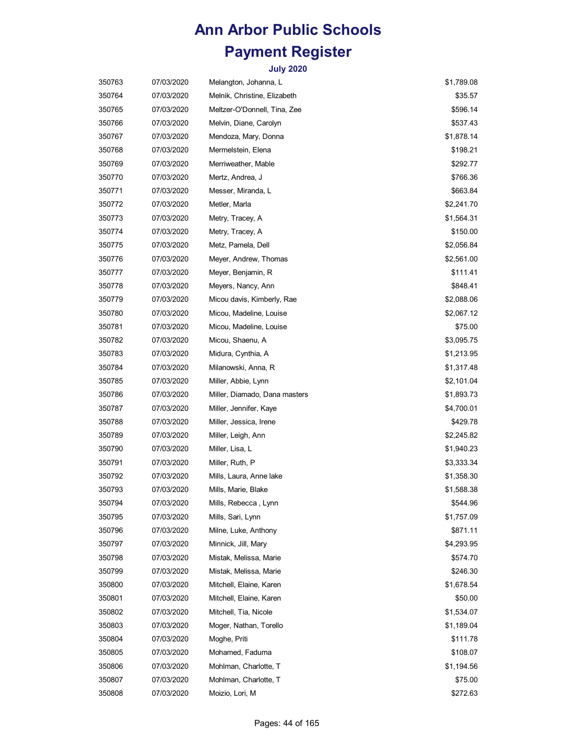| 350763 | 07/03/2020 | Melangton, Johanna, L         | \$1,789.08 |
|--------|------------|-------------------------------|------------|
| 350764 | 07/03/2020 | Melnik, Christine, Elizabeth  | \$35.57    |
| 350765 | 07/03/2020 | Meltzer-O'Donnell, Tina, Zee  | \$596.14   |
| 350766 | 07/03/2020 | Melvin, Diane, Carolyn        | \$537.43   |
| 350767 | 07/03/2020 | Mendoza, Mary, Donna          | \$1,878.14 |
| 350768 | 07/03/2020 | Mermelstein, Elena            | \$198.21   |
| 350769 | 07/03/2020 | Merriweather, Mable           | \$292.77   |
| 350770 | 07/03/2020 | Mertz, Andrea, J              | \$766.36   |
| 350771 | 07/03/2020 | Messer, Miranda, L            | \$663.84   |
| 350772 | 07/03/2020 | Metler, Marla                 | \$2,241.70 |
| 350773 | 07/03/2020 | Metry, Tracey, A              | \$1,564.31 |
| 350774 | 07/03/2020 | Metry, Tracey, A              | \$150.00   |
| 350775 | 07/03/2020 | Metz, Pamela, Dell            | \$2,056.84 |
| 350776 | 07/03/2020 | Meyer, Andrew, Thomas         | \$2,561.00 |
| 350777 | 07/03/2020 | Meyer, Benjamin, R            | \$111.41   |
| 350778 | 07/03/2020 | Meyers, Nancy, Ann            | \$848.41   |
| 350779 | 07/03/2020 | Micou davis, Kimberly, Rae    | \$2,088.06 |
| 350780 | 07/03/2020 | Micou, Madeline, Louise       | \$2,067.12 |
| 350781 | 07/03/2020 | Micou, Madeline, Louise       | \$75.00    |
| 350782 | 07/03/2020 | Micou, Shaenu, A              | \$3,095.75 |
| 350783 | 07/03/2020 | Midura, Cynthia, A            | \$1,213.95 |
| 350784 | 07/03/2020 | Milanowski, Anna, R           | \$1,317.48 |
| 350785 | 07/03/2020 | Miller, Abbie, Lynn           | \$2,101.04 |
| 350786 | 07/03/2020 | Miller, Diamado, Dana masters | \$1,893.73 |
| 350787 | 07/03/2020 | Miller, Jennifer, Kaye        | \$4,700.01 |
| 350788 | 07/03/2020 | Miller, Jessica, Irene        | \$429.78   |
| 350789 | 07/03/2020 | Miller, Leigh, Ann            | \$2,245.82 |
| 350790 | 07/03/2020 | Miller, Lisa, L               | \$1,940.23 |
| 350791 | 07/03/2020 | Miller, Ruth, P               | \$3,333.34 |
| 350792 | 07/03/2020 | Mills, Laura, Anne lake       | \$1,358.30 |
| 350793 | 07/03/2020 | Mills, Marie, Blake           | \$1,588.38 |
| 350794 | 07/03/2020 | Mills, Rebecca, Lynn          | \$544.96   |
| 350795 | 07/03/2020 | Mills, Sari, Lynn             | \$1,757.09 |
| 350796 | 07/03/2020 | Milne, Luke, Anthony          | \$871.11   |
| 350797 | 07/03/2020 | Minnick, Jill, Mary           | \$4,293.95 |
| 350798 | 07/03/2020 | Mistak, Melissa, Marie        | \$574.70   |
| 350799 | 07/03/2020 | Mistak, Melissa, Marie        | \$246.30   |
| 350800 | 07/03/2020 | Mitchell, Elaine, Karen       | \$1,678.54 |
| 350801 | 07/03/2020 | Mitchell, Elaine, Karen       | \$50.00    |
| 350802 | 07/03/2020 | Mitchell, Tia, Nicole         | \$1,534.07 |
| 350803 | 07/03/2020 | Moger, Nathan, Torello        | \$1,189.04 |
| 350804 | 07/03/2020 | Moghe, Priti                  | \$111.78   |
| 350805 | 07/03/2020 | Mohamed, Faduma               | \$108.07   |
| 350806 | 07/03/2020 | Mohlman, Charlotte, T         | \$1,194.56 |
| 350807 | 07/03/2020 | Mohlman, Charlotte, T         | \$75.00    |
| 350808 | 07/03/2020 | Moizio, Lori, M               | \$272.63   |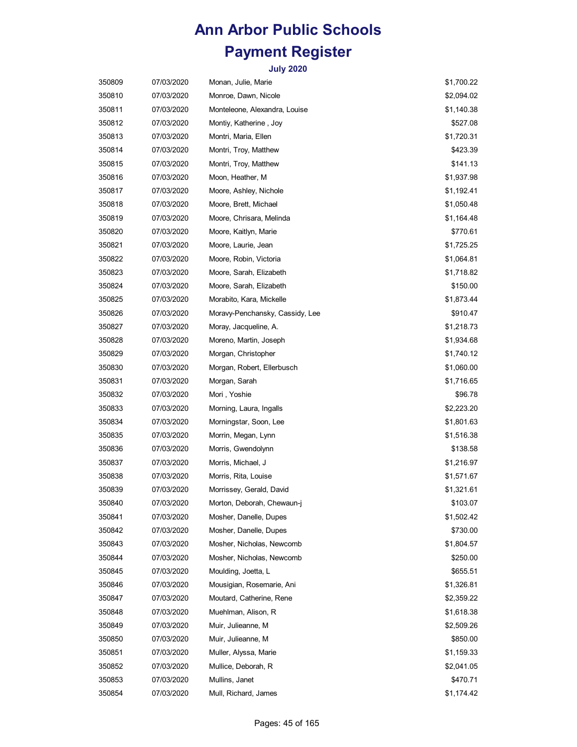| 350809 | 07/03/2020 | Monan, Julie, Marie             | \$1,700.22 |
|--------|------------|---------------------------------|------------|
| 350810 | 07/03/2020 | Monroe, Dawn, Nicole            | \$2,094.02 |
| 350811 | 07/03/2020 | Monteleone, Alexandra, Louise   | \$1,140.38 |
| 350812 | 07/03/2020 | Montiy, Katherine, Joy          | \$527.08   |
| 350813 | 07/03/2020 | Montri, Maria, Ellen            | \$1,720.31 |
| 350814 | 07/03/2020 | Montri, Troy, Matthew           | \$423.39   |
| 350815 | 07/03/2020 | Montri, Troy, Matthew           | \$141.13   |
| 350816 | 07/03/2020 | Moon, Heather, M                | \$1,937.98 |
| 350817 | 07/03/2020 | Moore, Ashley, Nichole          | \$1,192.41 |
| 350818 | 07/03/2020 | Moore, Brett, Michael           | \$1,050.48 |
| 350819 | 07/03/2020 | Moore, Chrisara, Melinda        | \$1,164.48 |
| 350820 | 07/03/2020 | Moore, Kaitlyn, Marie           | \$770.61   |
| 350821 | 07/03/2020 | Moore, Laurie, Jean             | \$1,725.25 |
| 350822 | 07/03/2020 | Moore, Robin, Victoria          | \$1,064.81 |
| 350823 | 07/03/2020 | Moore, Sarah, Elizabeth         | \$1,718.82 |
| 350824 | 07/03/2020 | Moore, Sarah, Elizabeth         | \$150.00   |
| 350825 | 07/03/2020 | Morabito, Kara, Mickelle        | \$1,873.44 |
| 350826 | 07/03/2020 | Moravy-Penchansky, Cassidy, Lee | \$910.47   |
| 350827 | 07/03/2020 | Moray, Jacqueline, A.           | \$1,218.73 |
| 350828 | 07/03/2020 | Moreno, Martin, Joseph          | \$1,934.68 |
| 350829 | 07/03/2020 | Morgan, Christopher             | \$1,740.12 |
| 350830 | 07/03/2020 | Morgan, Robert, Ellerbusch      | \$1,060.00 |
| 350831 | 07/03/2020 | Morgan, Sarah                   | \$1,716.65 |
| 350832 | 07/03/2020 | Mori, Yoshie                    | \$96.78    |
| 350833 | 07/03/2020 | Morning, Laura, Ingalls         | \$2,223.20 |
| 350834 | 07/03/2020 | Morningstar, Soon, Lee          | \$1,801.63 |
| 350835 | 07/03/2020 | Morrin, Megan, Lynn             | \$1,516.38 |
| 350836 | 07/03/2020 | Morris, Gwendolynn              | \$138.58   |
| 350837 | 07/03/2020 | Morris, Michael, J              | \$1,216.97 |
| 350838 | 07/03/2020 | Morris, Rita, Louise            | \$1,571.67 |
| 350839 | 07/03/2020 | Morrissey, Gerald, David        | \$1,321.61 |
| 350840 | 07/03/2020 | Morton, Deborah, Chewaun-j      | \$103.07   |
| 350841 | 07/03/2020 | Mosher, Danelle, Dupes          | \$1,502.42 |
| 350842 | 07/03/2020 | Mosher, Danelle, Dupes          | \$730.00   |
| 350843 | 07/03/2020 | Mosher, Nicholas, Newcomb       | \$1,804.57 |
| 350844 | 07/03/2020 | Mosher, Nicholas, Newcomb       | \$250.00   |
| 350845 | 07/03/2020 | Moulding, Joetta, L             | \$655.51   |
| 350846 | 07/03/2020 | Mousigian, Rosemarie, Ani       | \$1,326.81 |
| 350847 | 07/03/2020 | Moutard, Catherine, Rene        | \$2,359.22 |
| 350848 | 07/03/2020 | Muehlman, Alison, R             | \$1,618.38 |
| 350849 | 07/03/2020 | Muir, Julieanne, M              | \$2,509.26 |
| 350850 | 07/03/2020 | Muir, Julieanne, M              | \$850.00   |
| 350851 | 07/03/2020 | Muller, Alyssa, Marie           | \$1,159.33 |
| 350852 | 07/03/2020 | Mullice, Deborah, R             | \$2,041.05 |
| 350853 | 07/03/2020 | Mullins, Janet                  | \$470.71   |
| 350854 | 07/03/2020 | Mull, Richard, James            | \$1,174.42 |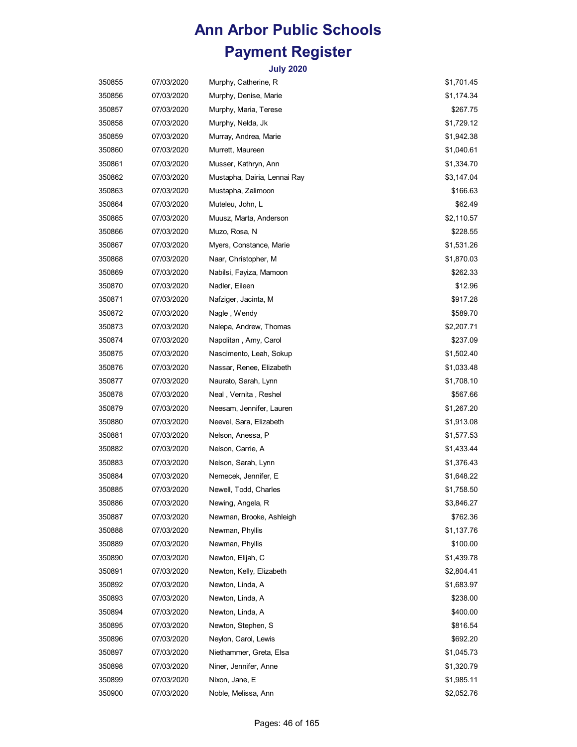| 350855 | 07/03/2020 | Murphy, Catherine, R         | \$1,701.45 |
|--------|------------|------------------------------|------------|
| 350856 | 07/03/2020 | Murphy, Denise, Marie        | \$1,174.34 |
| 350857 | 07/03/2020 | Murphy, Maria, Terese        | \$267.75   |
| 350858 | 07/03/2020 | Murphy, Nelda, Jk            | \$1,729.12 |
| 350859 | 07/03/2020 | Murray, Andrea, Marie        | \$1,942.38 |
| 350860 | 07/03/2020 | Murrett, Maureen             | \$1,040.61 |
| 350861 | 07/03/2020 | Musser, Kathryn, Ann         | \$1,334.70 |
| 350862 | 07/03/2020 | Mustapha, Dairia, Lennai Ray | \$3,147.04 |
| 350863 | 07/03/2020 | Mustapha, Zalimoon           | \$166.63   |
| 350864 | 07/03/2020 | Muteleu, John, L             | \$62.49    |
| 350865 | 07/03/2020 | Muusz, Marta, Anderson       | \$2,110.57 |
| 350866 | 07/03/2020 | Muzo, Rosa, N                | \$228.55   |
| 350867 | 07/03/2020 | Myers, Constance, Marie      | \$1,531.26 |
| 350868 | 07/03/2020 | Naar, Christopher, M         | \$1,870.03 |
| 350869 | 07/03/2020 | Nabilsi, Fayiza, Mamoon      | \$262.33   |
| 350870 | 07/03/2020 | Nadler, Eileen               | \$12.96    |
| 350871 | 07/03/2020 | Nafziger, Jacinta, M         | \$917.28   |
| 350872 | 07/03/2020 | Nagle, Wendy                 | \$589.70   |
| 350873 | 07/03/2020 |                              |            |
|        |            | Nalepa, Andrew, Thomas       | \$2,207.71 |
| 350874 | 07/03/2020 | Napolitan, Amy, Carol        | \$237.09   |
| 350875 | 07/03/2020 | Nascimento, Leah, Sokup      | \$1,502.40 |
| 350876 | 07/03/2020 | Nassar, Renee, Elizabeth     | \$1,033.48 |
| 350877 | 07/03/2020 | Naurato, Sarah, Lynn         | \$1,708.10 |
| 350878 | 07/03/2020 | Neal , Vernita , Reshel      | \$567.66   |
| 350879 | 07/03/2020 | Neesam, Jennifer, Lauren     | \$1,267.20 |
| 350880 | 07/03/2020 | Neevel, Sara, Elizabeth      | \$1,913.08 |
| 350881 | 07/03/2020 | Nelson, Anessa, P            | \$1,577.53 |
| 350882 | 07/03/2020 | Nelson, Carrie, A            | \$1,433.44 |
| 350883 | 07/03/2020 | Nelson, Sarah, Lynn          | \$1,376.43 |
| 350884 | 07/03/2020 | Nemecek, Jennifer, E         | \$1,648.22 |
| 350885 | 07/03/2020 | Newell, Todd, Charles        | \$1,758.50 |
| 350886 | 07/03/2020 | Newing, Angela, R            | \$3,846.27 |
| 350887 | 07/03/2020 | Newman, Brooke, Ashleigh     | \$762.36   |
| 350888 | 07/03/2020 | Newman, Phyllis              | \$1,137.76 |
| 350889 | 07/03/2020 | Newman, Phyllis              | \$100.00   |
| 350890 | 07/03/2020 | Newton, Elijah, C            | \$1,439.78 |
| 350891 | 07/03/2020 | Newton, Kelly, Elizabeth     | \$2,804.41 |
| 350892 | 07/03/2020 | Newton, Linda, A             | \$1,683.97 |
| 350893 | 07/03/2020 | Newton, Linda, A             | \$238.00   |
| 350894 | 07/03/2020 | Newton, Linda, A             | \$400.00   |
| 350895 | 07/03/2020 | Newton, Stephen, S           | \$816.54   |
| 350896 | 07/03/2020 | Neylon, Carol, Lewis         | \$692.20   |
| 350897 | 07/03/2020 | Niethammer, Greta, Elsa      | \$1,045.73 |
| 350898 | 07/03/2020 | Niner, Jennifer, Anne        | \$1,320.79 |
| 350899 | 07/03/2020 | Nixon, Jane, E               | \$1,985.11 |
| 350900 | 07/03/2020 | Noble, Melissa, Ann          | \$2,052.76 |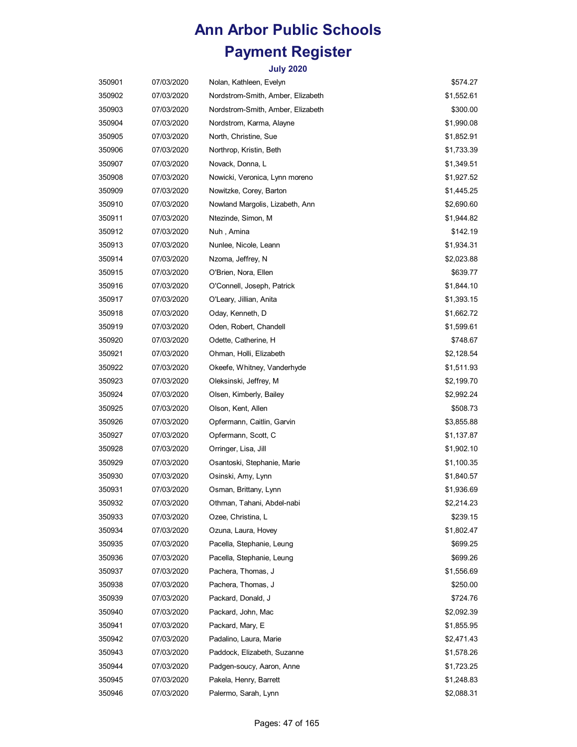| 350901 | 07/03/2020 | Nolan, Kathleen, Evelyn           | \$574.27   |
|--------|------------|-----------------------------------|------------|
| 350902 | 07/03/2020 | Nordstrom-Smith, Amber, Elizabeth | \$1,552.61 |
| 350903 | 07/03/2020 | Nordstrom-Smith, Amber, Elizabeth | \$300.00   |
| 350904 | 07/03/2020 | Nordstrom, Karma, Alayne          | \$1,990.08 |
| 350905 | 07/03/2020 | North, Christine, Sue             | \$1,852.91 |
| 350906 | 07/03/2020 | Northrop, Kristin, Beth           | \$1,733.39 |
| 350907 | 07/03/2020 | Novack, Donna, L                  | \$1,349.51 |
| 350908 | 07/03/2020 | Nowicki, Veronica, Lynn moreno    | \$1,927.52 |
| 350909 | 07/03/2020 | Nowitzke, Corey, Barton           | \$1,445.25 |
| 350910 | 07/03/2020 | Nowland Margolis, Lizabeth, Ann   | \$2,690.60 |
| 350911 | 07/03/2020 | Ntezinde, Simon, M                | \$1,944.82 |
| 350912 | 07/03/2020 | Nuh, Amina                        | \$142.19   |
| 350913 | 07/03/2020 | Nunlee, Nicole, Leann             | \$1,934.31 |
| 350914 | 07/03/2020 | Nzoma, Jeffrey, N                 | \$2,023.88 |
| 350915 | 07/03/2020 | O'Brien, Nora, Ellen              | \$639.77   |
| 350916 | 07/03/2020 | O'Connell, Joseph, Patrick        | \$1,844.10 |
| 350917 | 07/03/2020 | O'Leary, Jillian, Anita           | \$1,393.15 |
| 350918 | 07/03/2020 | Oday, Kenneth, D                  | \$1,662.72 |
| 350919 | 07/03/2020 | Oden, Robert, Chandell            | \$1,599.61 |
| 350920 | 07/03/2020 | Odette, Catherine, H              | \$748.67   |
| 350921 | 07/03/2020 | Ohman, Holli, Elizabeth           | \$2,128.54 |
| 350922 | 07/03/2020 | Okeefe, Whitney, Vanderhyde       | \$1,511.93 |
| 350923 | 07/03/2020 | Oleksinski, Jeffrey, M            | \$2,199.70 |
| 350924 | 07/03/2020 | Olsen, Kimberly, Bailey           | \$2,992.24 |
| 350925 | 07/03/2020 | Olson, Kent, Allen                | \$508.73   |
| 350926 | 07/03/2020 | Opfermann, Caitlin, Garvin        | \$3,855.88 |
| 350927 | 07/03/2020 | Opfermann, Scott, C               | \$1,137.87 |
| 350928 | 07/03/2020 | Orringer, Lisa, Jill              | \$1,902.10 |
| 350929 | 07/03/2020 | Osantoski, Stephanie, Marie       | \$1,100.35 |
| 350930 | 07/03/2020 | Osinski, Amy, Lynn                | \$1,840.57 |
| 350931 | 07/03/2020 | Osman, Brittany, Lynn             | \$1,936.69 |
| 350932 | 07/03/2020 | Othman, Tahani, Abdel-nabi        | \$2,214.23 |
| 350933 | 07/03/2020 | Ozee, Christina, L                | \$239.15   |
| 350934 | 07/03/2020 | Ozuna, Laura, Hovey               | \$1,802.47 |
| 350935 | 07/03/2020 | Pacella, Stephanie, Leung         | \$699.25   |
| 350936 | 07/03/2020 | Pacella, Stephanie, Leung         | \$699.26   |
| 350937 | 07/03/2020 | Pachera, Thomas, J                | \$1,556.69 |
| 350938 | 07/03/2020 | Pachera, Thomas, J                | \$250.00   |
| 350939 | 07/03/2020 | Packard, Donald, J                | \$724.76   |
| 350940 | 07/03/2020 | Packard, John, Mac                | \$2,092.39 |
| 350941 | 07/03/2020 | Packard, Mary, E                  | \$1,855.95 |
| 350942 | 07/03/2020 | Padalino, Laura, Marie            | \$2,471.43 |
| 350943 | 07/03/2020 | Paddock, Elizabeth, Suzanne       | \$1,578.26 |
| 350944 | 07/03/2020 | Padgen-soucy, Aaron, Anne         | \$1,723.25 |
| 350945 | 07/03/2020 | Pakela, Henry, Barrett            | \$1,248.83 |
| 350946 | 07/03/2020 | Palermo, Sarah, Lynn              | \$2,088.31 |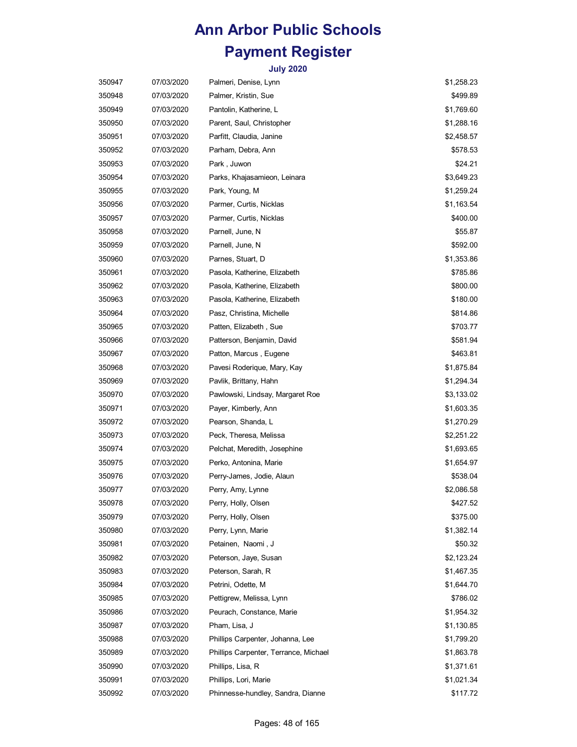| 350947 | 07/03/2020 | Palmeri, Denise, Lynn                 | \$1,258.23 |
|--------|------------|---------------------------------------|------------|
| 350948 | 07/03/2020 | Palmer, Kristin, Sue                  | \$499.89   |
| 350949 | 07/03/2020 | Pantolin, Katherine, L                | \$1,769.60 |
| 350950 | 07/03/2020 | Parent, Saul, Christopher             | \$1,288.16 |
| 350951 | 07/03/2020 | Parfitt, Claudia, Janine              | \$2,458.57 |
| 350952 | 07/03/2020 | Parham, Debra, Ann                    | \$578.53   |
| 350953 | 07/03/2020 | Park , Juwon                          | \$24.21    |
| 350954 | 07/03/2020 | Parks, Khajasamieon, Leinara          | \$3,649.23 |
| 350955 | 07/03/2020 | Park, Young, M                        | \$1,259.24 |
| 350956 | 07/03/2020 | Parmer, Curtis, Nicklas               | \$1,163.54 |
| 350957 | 07/03/2020 | Parmer, Curtis, Nicklas               | \$400.00   |
| 350958 | 07/03/2020 | Parnell, June, N                      | \$55.87    |
| 350959 | 07/03/2020 | Parnell, June, N                      | \$592.00   |
| 350960 | 07/03/2020 | Parnes, Stuart, D                     | \$1,353.86 |
| 350961 | 07/03/2020 | Pasola, Katherine, Elizabeth          | \$785.86   |
| 350962 | 07/03/2020 | Pasola, Katherine, Elizabeth          | \$800.00   |
| 350963 | 07/03/2020 | Pasola, Katherine, Elizabeth          | \$180.00   |
| 350964 | 07/03/2020 | Pasz, Christina, Michelle             | \$814.86   |
| 350965 | 07/03/2020 | Patten, Elizabeth, Sue                | \$703.77   |
| 350966 | 07/03/2020 | Patterson, Benjamin, David            | \$581.94   |
| 350967 | 07/03/2020 | Patton, Marcus, Eugene                | \$463.81   |
| 350968 | 07/03/2020 | Pavesi Roderique, Mary, Kay           | \$1,875.84 |
| 350969 | 07/03/2020 | Pavlik, Brittany, Hahn                | \$1,294.34 |
| 350970 | 07/03/2020 | Pawlowski, Lindsay, Margaret Roe      | \$3,133.02 |
| 350971 | 07/03/2020 | Payer, Kimberly, Ann                  | \$1,603.35 |
| 350972 | 07/03/2020 | Pearson, Shanda, L                    | \$1,270.29 |
| 350973 | 07/03/2020 | Peck, Theresa, Melissa                | \$2,251.22 |
| 350974 | 07/03/2020 | Pelchat, Meredith, Josephine          | \$1,693.65 |
| 350975 | 07/03/2020 | Perko, Antonina, Marie                | \$1,654.97 |
| 350976 | 07/03/2020 | Perry-James, Jodie, Alaun             | \$538.04   |
| 350977 | 07/03/2020 | Perry, Amy, Lynne                     | \$2,086.58 |
| 350978 | 07/03/2020 | Perry, Holly, Olsen                   | \$427.52   |
| 350979 | 07/03/2020 | Perry, Holly, Olsen                   | \$375.00   |
| 350980 | 07/03/2020 | Perry, Lynn, Marie                    | \$1,382.14 |
| 350981 | 07/03/2020 | Petainen, Naomi, J                    | \$50.32    |
| 350982 | 07/03/2020 | Peterson, Jaye, Susan                 | \$2,123.24 |
| 350983 | 07/03/2020 | Peterson, Sarah, R                    | \$1,467.35 |
| 350984 | 07/03/2020 | Petrini, Odette, M                    | \$1,644.70 |
| 350985 | 07/03/2020 | Pettigrew, Melissa, Lynn              | \$786.02   |
| 350986 | 07/03/2020 | Peurach, Constance, Marie             | \$1,954.32 |
| 350987 | 07/03/2020 | Pham, Lisa, J                         | \$1,130.85 |
| 350988 | 07/03/2020 | Phillips Carpenter, Johanna, Lee      | \$1,799.20 |
| 350989 | 07/03/2020 | Phillips Carpenter, Terrance, Michael | \$1,863.78 |
| 350990 | 07/03/2020 | Phillips, Lisa, R                     | \$1,371.61 |
| 350991 | 07/03/2020 | Phillips, Lori, Marie                 | \$1,021.34 |
| 350992 | 07/03/2020 | Phinnesse-hundley, Sandra, Dianne     | \$117.72   |
|        |            |                                       |            |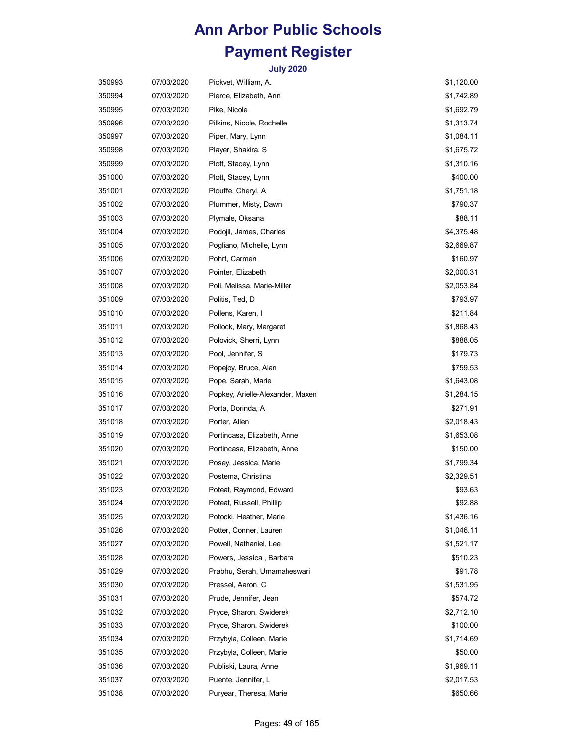| 350993 | 07/03/2020 | Pickvet, William, A.             | \$1,120.00 |
|--------|------------|----------------------------------|------------|
| 350994 | 07/03/2020 | Pierce, Elizabeth, Ann           | \$1,742.89 |
| 350995 | 07/03/2020 | Pike, Nicole                     | \$1,692.79 |
| 350996 | 07/03/2020 | Pilkins, Nicole, Rochelle        | \$1,313.74 |
| 350997 | 07/03/2020 | Piper, Mary, Lynn                | \$1,084.11 |
| 350998 | 07/03/2020 | Player, Shakira, S               | \$1,675.72 |
| 350999 | 07/03/2020 | Plott, Stacey, Lynn              | \$1,310.16 |
| 351000 | 07/03/2020 | Plott, Stacey, Lynn              | \$400.00   |
| 351001 | 07/03/2020 | Plouffe, Cheryl, A               | \$1,751.18 |
| 351002 | 07/03/2020 | Plummer, Misty, Dawn             | \$790.37   |
| 351003 | 07/03/2020 | Plymale, Oksana                  | \$88.11    |
| 351004 | 07/03/2020 | Podojil, James, Charles          | \$4,375.48 |
| 351005 | 07/03/2020 | Pogliano, Michelle, Lynn         | \$2,669.87 |
| 351006 | 07/03/2020 | Pohrt, Carmen                    | \$160.97   |
| 351007 | 07/03/2020 | Pointer, Elizabeth               | \$2,000.31 |
| 351008 | 07/03/2020 | Poli, Melissa, Marie-Miller      | \$2,053.84 |
| 351009 | 07/03/2020 | Politis, Ted, D                  | \$793.97   |
| 351010 | 07/03/2020 | Pollens, Karen, I                | \$211.84   |
| 351011 | 07/03/2020 | Pollock, Mary, Margaret          | \$1,868.43 |
| 351012 | 07/03/2020 | Polovick, Sherri, Lynn           | \$888.05   |
| 351013 | 07/03/2020 | Pool, Jennifer, S                | \$179.73   |
| 351014 | 07/03/2020 | Popejoy, Bruce, Alan             | \$759.53   |
| 351015 | 07/03/2020 | Pope, Sarah, Marie               | \$1,643.08 |
| 351016 | 07/03/2020 | Popkey, Arielle-Alexander, Maxen | \$1,284.15 |
| 351017 | 07/03/2020 | Porta, Dorinda, A                | \$271.91   |
| 351018 | 07/03/2020 | Porter, Allen                    | \$2,018.43 |
| 351019 | 07/03/2020 | Portincasa, Elizabeth, Anne      | \$1,653.08 |
| 351020 | 07/03/2020 | Portincasa, Elizabeth, Anne      | \$150.00   |
| 351021 | 07/03/2020 | Posey, Jessica, Marie            | \$1,799.34 |
| 351022 | 07/03/2020 | Postema, Christina               | \$2,329.51 |
| 351023 | 07/03/2020 | Poteat, Raymond, Edward          | \$93.63    |
| 351024 | 07/03/2020 | Poteat, Russell, Phillip         | \$92.88    |
| 351025 | 07/03/2020 | Potocki, Heather, Marie          | \$1,436.16 |
| 351026 | 07/03/2020 | Potter, Conner, Lauren           | \$1,046.11 |
| 351027 | 07/03/2020 | Powell, Nathaniel, Lee           | \$1,521.17 |
| 351028 | 07/03/2020 | Powers, Jessica, Barbara         | \$510.23   |
| 351029 | 07/03/2020 | Prabhu, Serah, Umamaheswari      | \$91.78    |
| 351030 | 07/03/2020 | Pressel, Aaron, C                | \$1,531.95 |
| 351031 | 07/03/2020 | Prude, Jennifer, Jean            | \$574.72   |
| 351032 | 07/03/2020 | Pryce, Sharon, Swiderek          | \$2,712.10 |
| 351033 | 07/03/2020 | Pryce, Sharon, Swiderek          | \$100.00   |
| 351034 | 07/03/2020 | Przybyla, Colleen, Marie         | \$1,714.69 |
| 351035 | 07/03/2020 | Przybyla, Colleen, Marie         | \$50.00    |
| 351036 | 07/03/2020 | Publiski, Laura, Anne            | \$1,969.11 |
| 351037 | 07/03/2020 | Puente, Jennifer, L              | \$2,017.53 |
| 351038 | 07/03/2020 | Puryear, Theresa, Marie          | \$650.66   |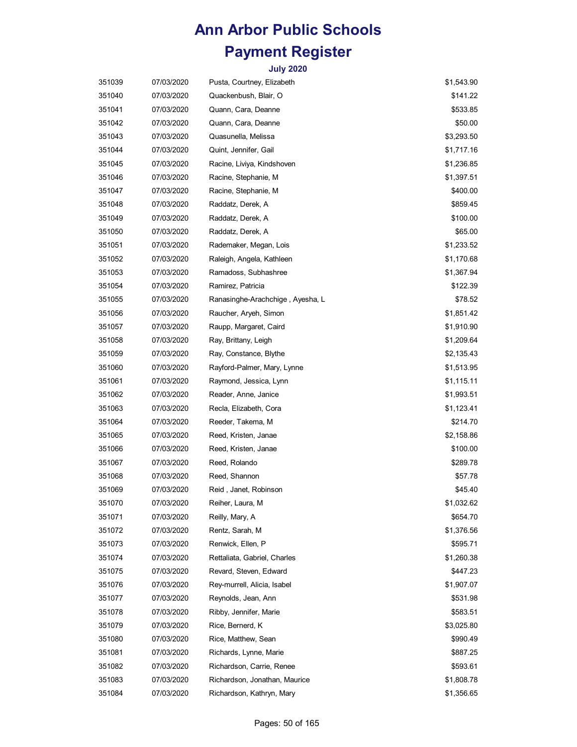| 351039 | 07/03/2020 | Pusta, Courtney, Elizabeth        | \$1,543.90 |
|--------|------------|-----------------------------------|------------|
| 351040 | 07/03/2020 | Quackenbush, Blair, O             | \$141.22   |
| 351041 | 07/03/2020 | Quann, Cara, Deanne               | \$533.85   |
| 351042 | 07/03/2020 | Quann, Cara, Deanne               | \$50.00    |
| 351043 | 07/03/2020 | Quasunella, Melissa               | \$3,293.50 |
| 351044 | 07/03/2020 | Quint, Jennifer, Gail             | \$1,717.16 |
| 351045 | 07/03/2020 | Racine, Liviya, Kindshoven        | \$1,236.85 |
| 351046 | 07/03/2020 | Racine, Stephanie, M              | \$1,397.51 |
| 351047 | 07/03/2020 | Racine, Stephanie, M              | \$400.00   |
| 351048 | 07/03/2020 | Raddatz, Derek, A                 | \$859.45   |
| 351049 | 07/03/2020 | Raddatz, Derek, A                 | \$100.00   |
| 351050 | 07/03/2020 | Raddatz, Derek, A                 | \$65.00    |
| 351051 | 07/03/2020 | Rademaker, Megan, Lois            | \$1,233.52 |
| 351052 | 07/03/2020 | Raleigh, Angela, Kathleen         | \$1,170.68 |
| 351053 | 07/03/2020 | Ramadoss, Subhashree              | \$1,367.94 |
| 351054 | 07/03/2020 | Ramirez, Patricia                 | \$122.39   |
| 351055 | 07/03/2020 | Ranasinghe-Arachchige , Ayesha, L | \$78.52    |
| 351056 | 07/03/2020 | Raucher, Aryeh, Simon             | \$1,851.42 |
| 351057 | 07/03/2020 | Raupp, Margaret, Caird            | \$1,910.90 |
| 351058 | 07/03/2020 | Ray, Brittany, Leigh              | \$1,209.64 |
| 351059 | 07/03/2020 | Ray, Constance, Blythe            | \$2,135.43 |
| 351060 | 07/03/2020 | Rayford-Palmer, Mary, Lynne       | \$1,513.95 |
| 351061 | 07/03/2020 | Raymond, Jessica, Lynn            | \$1,115.11 |
| 351062 | 07/03/2020 | Reader, Anne, Janice              | \$1,993.51 |
| 351063 | 07/03/2020 | Recla, Elizabeth, Cora            | \$1,123.41 |
| 351064 | 07/03/2020 | Reeder, Takema, M                 | \$214.70   |
| 351065 | 07/03/2020 | Reed, Kristen, Janae              | \$2,158.86 |
| 351066 | 07/03/2020 | Reed, Kristen, Janae              | \$100.00   |
| 351067 | 07/03/2020 | Reed, Rolando                     | \$289.78   |
| 351068 | 07/03/2020 | Reed, Shannon                     | \$57.78    |
| 351069 | 07/03/2020 | Reid, Janet, Robinson             | \$45.40    |
| 351070 | 07/03/2020 | Reiher, Laura, M                  | \$1,032.62 |
| 351071 | 07/03/2020 | Reilly, Mary, A                   | \$654.70   |
| 351072 | 07/03/2020 | Rentz, Sarah, M                   | \$1,376.56 |
| 351073 | 07/03/2020 | Renwick, Ellen, P                 | \$595.71   |
| 351074 | 07/03/2020 | Rettaliata, Gabriel, Charles      | \$1,260.38 |
| 351075 | 07/03/2020 | Revard, Steven, Edward            | \$447.23   |
| 351076 | 07/03/2020 | Rey-murrell, Alicia, Isabel       | \$1,907.07 |
| 351077 | 07/03/2020 | Reynolds, Jean, Ann               | \$531.98   |
| 351078 | 07/03/2020 | Ribby, Jennifer, Marie            | \$583.51   |
| 351079 | 07/03/2020 | Rice, Bernerd, K                  | \$3,025.80 |
| 351080 | 07/03/2020 | Rice, Matthew, Sean               | \$990.49   |
| 351081 | 07/03/2020 | Richards, Lynne, Marie            | \$887.25   |
| 351082 | 07/03/2020 | Richardson, Carrie, Renee         | \$593.61   |
| 351083 | 07/03/2020 | Richardson, Jonathan, Maurice     | \$1,808.78 |
| 351084 | 07/03/2020 | Richardson, Kathryn, Mary         | \$1,356.65 |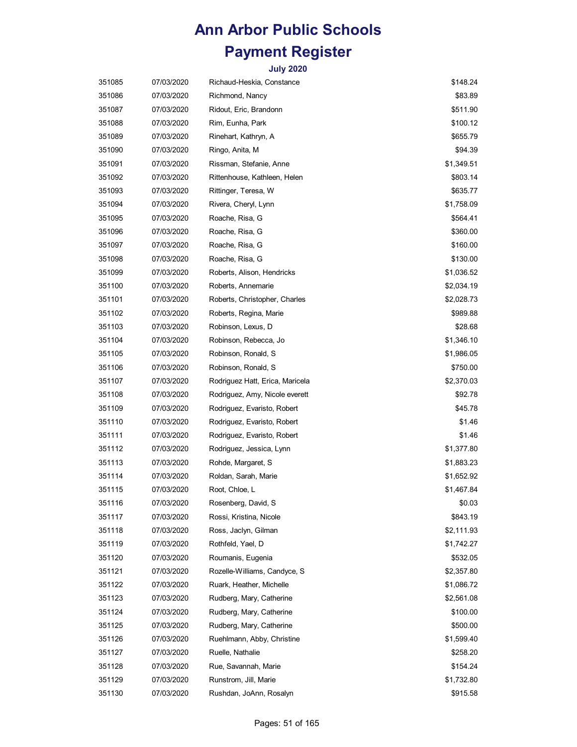| 351085 | 07/03/2020 | Richaud-Heskia, Constance       | \$148.24   |
|--------|------------|---------------------------------|------------|
| 351086 | 07/03/2020 | Richmond, Nancy                 | \$83.89    |
| 351087 | 07/03/2020 | Ridout, Eric, Brandonn          | \$511.90   |
| 351088 | 07/03/2020 | Rim, Eunha, Park                | \$100.12   |
| 351089 | 07/03/2020 | Rinehart, Kathryn, A            | \$655.79   |
| 351090 | 07/03/2020 | Ringo, Anita, M                 | \$94.39    |
| 351091 | 07/03/2020 | Rissman, Stefanie, Anne         | \$1,349.51 |
| 351092 | 07/03/2020 | Rittenhouse, Kathleen, Helen    | \$803.14   |
| 351093 | 07/03/2020 | Rittinger, Teresa, W            | \$635.77   |
| 351094 | 07/03/2020 | Rivera, Cheryl, Lynn            | \$1,758.09 |
| 351095 | 07/03/2020 | Roache, Risa, G                 | \$564.41   |
| 351096 | 07/03/2020 | Roache, Risa, G                 | \$360.00   |
| 351097 | 07/03/2020 | Roache, Risa, G                 | \$160.00   |
| 351098 | 07/03/2020 | Roache, Risa, G                 | \$130.00   |
| 351099 | 07/03/2020 | Roberts, Alison, Hendricks      | \$1,036.52 |
| 351100 | 07/03/2020 | Roberts, Annemarie              | \$2,034.19 |
| 351101 | 07/03/2020 | Roberts, Christopher, Charles   | \$2,028.73 |
| 351102 | 07/03/2020 | Roberts, Regina, Marie          | \$989.88   |
| 351103 | 07/03/2020 | Robinson, Lexus, D              | \$28.68    |
| 351104 | 07/03/2020 | Robinson, Rebecca, Jo           | \$1,346.10 |
| 351105 | 07/03/2020 | Robinson, Ronald, S             | \$1,986.05 |
| 351106 | 07/03/2020 | Robinson, Ronald, S             | \$750.00   |
| 351107 | 07/03/2020 | Rodriguez Hatt, Erica, Maricela | \$2,370.03 |
| 351108 | 07/03/2020 | Rodriguez, Amy, Nicole everett  | \$92.78    |
| 351109 | 07/03/2020 | Rodriguez, Evaristo, Robert     | \$45.78    |
| 351110 | 07/03/2020 | Rodriguez, Evaristo, Robert     | \$1.46     |
| 351111 | 07/03/2020 | Rodriguez, Evaristo, Robert     | \$1.46     |
| 351112 | 07/03/2020 | Rodriguez, Jessica, Lynn        | \$1,377.80 |
| 351113 | 07/03/2020 | Rohde, Margaret, S              | \$1,883.23 |
| 351114 | 07/03/2020 | Roldan, Sarah, Marie            | \$1,652.92 |
| 351115 | 07/03/2020 | Root, Chloe, L                  | \$1,467.84 |
| 351116 | 07/03/2020 | Rosenberg, David, S             | \$0.03     |
| 351117 | 07/03/2020 | Rossi, Kristina, Nicole         | \$843.19   |
| 351118 | 07/03/2020 | Ross, Jaclyn, Gilman            | \$2,111.93 |
| 351119 | 07/03/2020 | Rothfeld, Yael, D               | \$1,742.27 |
| 351120 | 07/03/2020 | Roumanis, Eugenia               | \$532.05   |
| 351121 | 07/03/2020 | Rozelle-Williams, Candyce, S    | \$2,357.80 |
| 351122 | 07/03/2020 | Ruark, Heather, Michelle        | \$1,086.72 |
| 351123 | 07/03/2020 | Rudberg, Mary, Catherine        | \$2,561.08 |
| 351124 | 07/03/2020 | Rudberg, Mary, Catherine        | \$100.00   |
| 351125 | 07/03/2020 | Rudberg, Mary, Catherine        | \$500.00   |
| 351126 | 07/03/2020 | Ruehlmann, Abby, Christine      | \$1,599.40 |
| 351127 | 07/03/2020 | Ruelle, Nathalie                | \$258.20   |
| 351128 | 07/03/2020 | Rue, Savannah, Marie            | \$154.24   |
| 351129 | 07/03/2020 | Runstrom, Jill, Marie           | \$1,732.80 |
| 351130 | 07/03/2020 | Rushdan, JoAnn, Rosalyn         | \$915.58   |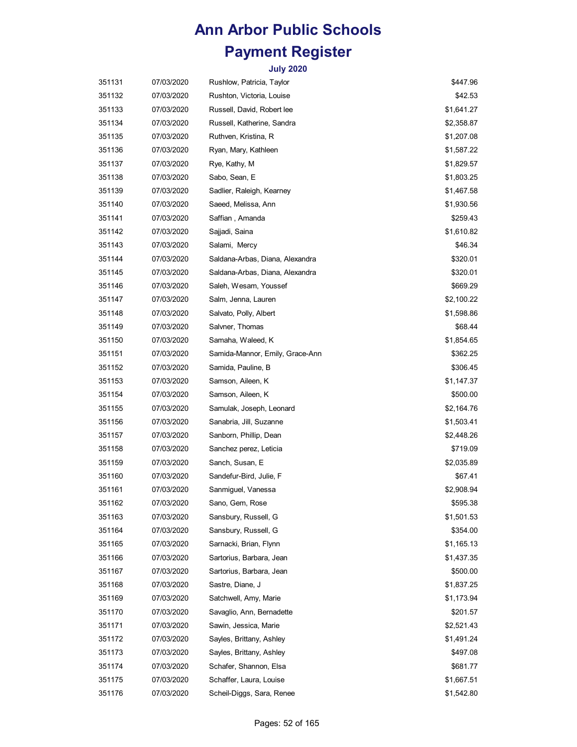| 351131 | 07/03/2020 | Rushlow, Patricia, Taylor       | \$447.96   |
|--------|------------|---------------------------------|------------|
| 351132 | 07/03/2020 | Rushton, Victoria, Louise       | \$42.53    |
| 351133 | 07/03/2020 | Russell, David, Robert lee      | \$1,641.27 |
| 351134 | 07/03/2020 | Russell, Katherine, Sandra      | \$2,358.87 |
| 351135 | 07/03/2020 | Ruthven, Kristina, R            | \$1,207.08 |
| 351136 | 07/03/2020 | Ryan, Mary, Kathleen            | \$1,587.22 |
| 351137 | 07/03/2020 | Rye, Kathy, M                   | \$1,829.57 |
| 351138 | 07/03/2020 | Sabo, Sean, E                   | \$1,803.25 |
| 351139 | 07/03/2020 | Sadlier, Raleigh, Kearney       | \$1,467.58 |
| 351140 | 07/03/2020 | Saeed, Melissa, Ann             | \$1,930.56 |
| 351141 | 07/03/2020 | Saffian, Amanda                 | \$259.43   |
| 351142 | 07/03/2020 | Sajjadi, Saina                  | \$1,610.82 |
| 351143 | 07/03/2020 | Salami, Mercy                   | \$46.34    |
| 351144 | 07/03/2020 | Saldana-Arbas, Diana, Alexandra | \$320.01   |
| 351145 | 07/03/2020 | Saldana-Arbas, Diana, Alexandra | \$320.01   |
| 351146 | 07/03/2020 | Saleh, Wesam, Youssef           | \$669.29   |
| 351147 | 07/03/2020 | Salm, Jenna, Lauren             | \$2,100.22 |
| 351148 | 07/03/2020 | Salvato, Polly, Albert          | \$1,598.86 |
| 351149 | 07/03/2020 | Salvner, Thomas                 | \$68.44    |
| 351150 | 07/03/2020 | Samaha, Waleed, K               | \$1,854.65 |
| 351151 | 07/03/2020 | Samida-Mannor, Emily, Grace-Ann | \$362.25   |
| 351152 | 07/03/2020 | Samida, Pauline, B              | \$306.45   |
| 351153 | 07/03/2020 | Samson, Aileen, K               | \$1,147.37 |
| 351154 | 07/03/2020 | Samson, Aileen, K               | \$500.00   |
| 351155 | 07/03/2020 | Samulak, Joseph, Leonard        | \$2,164.76 |
| 351156 | 07/03/2020 | Sanabria, Jill, Suzanne         | \$1,503.41 |
| 351157 | 07/03/2020 | Sanborn, Phillip, Dean          | \$2,448.26 |
| 351158 | 07/03/2020 | Sanchez perez, Leticia          | \$719.09   |
| 351159 | 07/03/2020 | Sanch, Susan, E                 | \$2,035.89 |
| 351160 | 07/03/2020 | Sandefur-Bird, Julie, F         | \$67.41    |
| 351161 | 07/03/2020 | Sanmiguel, Vanessa              | \$2,908.94 |
| 351162 | 07/03/2020 | Sano, Gem, Rose                 | \$595.38   |
| 351163 | 07/03/2020 | Sansbury, Russell, G            | \$1,501.53 |
| 351164 | 07/03/2020 | Sansbury, Russell, G            | \$354.00   |
| 351165 | 07/03/2020 | Sarnacki, Brian, Flynn          | \$1,165.13 |
| 351166 | 07/03/2020 | Sartorius, Barbara, Jean        | \$1,437.35 |
| 351167 | 07/03/2020 | Sartorius, Barbara, Jean        | \$500.00   |
| 351168 | 07/03/2020 | Sastre, Diane, J                | \$1,837.25 |
| 351169 | 07/03/2020 | Satchwell, Amy, Marie           | \$1,173.94 |
| 351170 | 07/03/2020 | Savaglio, Ann, Bernadette       | \$201.57   |
| 351171 | 07/03/2020 | Sawin, Jessica, Marie           | \$2,521.43 |
| 351172 | 07/03/2020 | Sayles, Brittany, Ashley        | \$1,491.24 |
| 351173 | 07/03/2020 | Sayles, Brittany, Ashley        | \$497.08   |
| 351174 | 07/03/2020 | Schafer, Shannon, Elsa          | \$681.77   |
| 351175 | 07/03/2020 | Schaffer, Laura, Louise         | \$1,667.51 |
| 351176 | 07/03/2020 | Scheil-Diggs, Sara, Renee       | \$1,542.80 |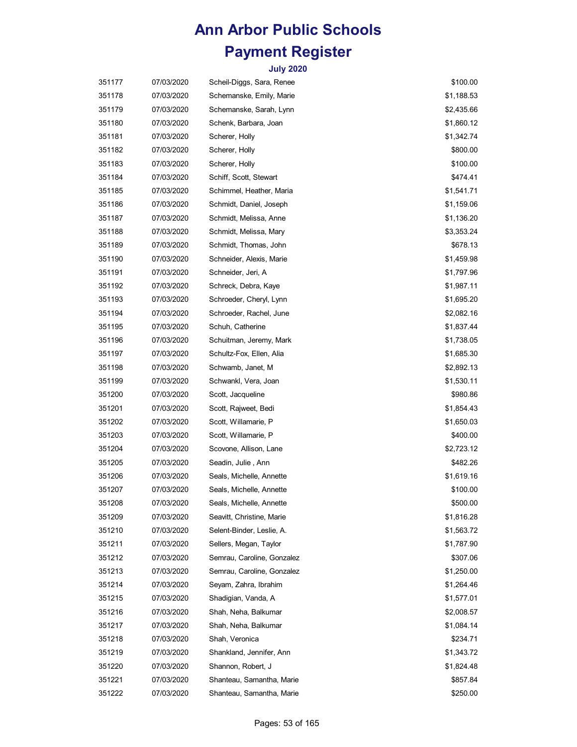| 351177 | 07/03/2020 | Scheil-Diggs, Sara, Renee  | \$100.00   |
|--------|------------|----------------------------|------------|
| 351178 | 07/03/2020 | Schemanske, Emily, Marie   | \$1,188.53 |
| 351179 | 07/03/2020 | Schemanske, Sarah, Lynn    | \$2,435.66 |
| 351180 | 07/03/2020 | Schenk, Barbara, Joan      | \$1,860.12 |
| 351181 | 07/03/2020 | Scherer, Holly             | \$1,342.74 |
| 351182 | 07/03/2020 | Scherer, Holly             | \$800.00   |
| 351183 | 07/03/2020 | Scherer, Holly             | \$100.00   |
| 351184 | 07/03/2020 | Schiff, Scott, Stewart     | \$474.41   |
| 351185 | 07/03/2020 | Schimmel, Heather, Maria   | \$1,541.71 |
| 351186 | 07/03/2020 | Schmidt, Daniel, Joseph    | \$1,159.06 |
| 351187 | 07/03/2020 | Schmidt, Melissa, Anne     | \$1,136.20 |
| 351188 | 07/03/2020 | Schmidt, Melissa, Mary     | \$3,353.24 |
| 351189 | 07/03/2020 | Schmidt, Thomas, John      | \$678.13   |
| 351190 | 07/03/2020 | Schneider, Alexis, Marie   | \$1,459.98 |
| 351191 | 07/03/2020 | Schneider, Jeri, A         | \$1,797.96 |
| 351192 | 07/03/2020 | Schreck, Debra, Kaye       | \$1,987.11 |
| 351193 | 07/03/2020 | Schroeder, Cheryl, Lynn    | \$1,695.20 |
| 351194 | 07/03/2020 | Schroeder, Rachel, June    | \$2,082.16 |
| 351195 | 07/03/2020 | Schuh, Catherine           | \$1,837.44 |
| 351196 | 07/03/2020 | Schuitman, Jeremy, Mark    | \$1,738.05 |
| 351197 | 07/03/2020 | Schultz-Fox, Ellen, Alia   | \$1,685.30 |
| 351198 | 07/03/2020 | Schwamb, Janet, M          | \$2,892.13 |
| 351199 | 07/03/2020 | Schwankl, Vera, Joan       | \$1,530.11 |
| 351200 | 07/03/2020 | Scott, Jacqueline          | \$980.86   |
| 351201 | 07/03/2020 | Scott, Rajweet, Bedi       | \$1,854.43 |
| 351202 | 07/03/2020 | Scott, Willamarie, P       | \$1,650.03 |
| 351203 | 07/03/2020 | Scott, Willamarie, P       | \$400.00   |
| 351204 | 07/03/2020 | Scovone, Allison, Lane     | \$2,723.12 |
| 351205 | 07/03/2020 | Seadin, Julie, Ann         | \$482.26   |
| 351206 | 07/03/2020 | Seals, Michelle, Annette   | \$1,619.16 |
| 351207 | 07/03/2020 | Seals, Michelle, Annette   | \$100.00   |
| 351208 | 07/03/2020 | Seals, Michelle, Annette   | \$500.00   |
| 351209 | 07/03/2020 | Seavitt, Christine, Marie  | \$1,816.28 |
| 351210 | 07/03/2020 | Selent-Binder, Leslie, A.  | \$1,563.72 |
| 351211 | 07/03/2020 | Sellers, Megan, Taylor     | \$1,787.90 |
| 351212 | 07/03/2020 | Semrau, Caroline, Gonzalez | \$307.06   |
| 351213 | 07/03/2020 | Semrau, Caroline, Gonzalez | \$1,250.00 |
| 351214 | 07/03/2020 | Seyam, Zahra, Ibrahim      | \$1,264.46 |
| 351215 | 07/03/2020 | Shadigian, Vanda, A        | \$1,577.01 |
| 351216 | 07/03/2020 | Shah, Neha, Balkumar       | \$2,008.57 |
| 351217 | 07/03/2020 | Shah, Neha, Balkumar       | \$1,084.14 |
| 351218 | 07/03/2020 | Shah, Veronica             | \$234.71   |
| 351219 | 07/03/2020 | Shankland, Jennifer, Ann   | \$1,343.72 |
| 351220 | 07/03/2020 | Shannon, Robert, J         | \$1,824.48 |
| 351221 | 07/03/2020 | Shanteau, Samantha, Marie  | \$857.84   |
| 351222 | 07/03/2020 | Shanteau, Samantha, Marie  | \$250.00   |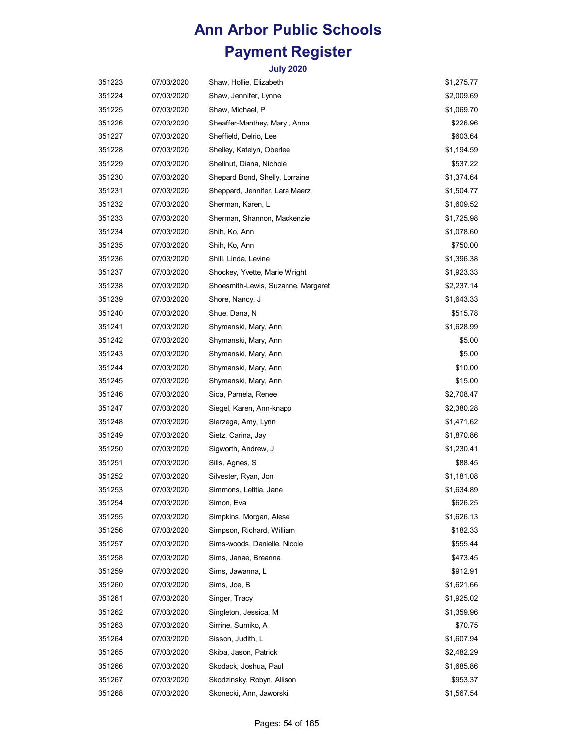| 351223 | 07/03/2020 | Shaw, Hollie, Elizabeth            | \$1,275.77 |
|--------|------------|------------------------------------|------------|
| 351224 | 07/03/2020 | Shaw, Jennifer, Lynne              | \$2,009.69 |
| 351225 | 07/03/2020 | Shaw, Michael, P                   | \$1,069.70 |
| 351226 | 07/03/2020 | Sheaffer-Manthey, Mary, Anna       | \$226.96   |
| 351227 | 07/03/2020 | Sheffield, Delrio, Lee             | \$603.64   |
| 351228 | 07/03/2020 | Shelley, Katelyn, Oberlee          | \$1,194.59 |
| 351229 | 07/03/2020 | Shellnut, Diana, Nichole           | \$537.22   |
| 351230 | 07/03/2020 | Shepard Bond, Shelly, Lorraine     | \$1,374.64 |
| 351231 | 07/03/2020 | Sheppard, Jennifer, Lara Maerz     | \$1,504.77 |
| 351232 | 07/03/2020 | Sherman, Karen, L                  | \$1,609.52 |
| 351233 | 07/03/2020 | Sherman, Shannon, Mackenzie        | \$1,725.98 |
| 351234 | 07/03/2020 | Shih, Ko, Ann                      | \$1,078.60 |
| 351235 | 07/03/2020 | Shih, Ko, Ann                      | \$750.00   |
| 351236 | 07/03/2020 | Shill, Linda, Levine               | \$1,396.38 |
| 351237 | 07/03/2020 | Shockey, Yvette, Marie Wright      | \$1,923.33 |
| 351238 | 07/03/2020 | Shoesmith-Lewis, Suzanne, Margaret | \$2,237.14 |
| 351239 | 07/03/2020 | Shore, Nancy, J                    | \$1,643.33 |
| 351240 | 07/03/2020 | Shue, Dana, N                      | \$515.78   |
| 351241 | 07/03/2020 | Shymanski, Mary, Ann               | \$1,628.99 |
| 351242 | 07/03/2020 | Shymanski, Mary, Ann               | \$5.00     |
| 351243 | 07/03/2020 | Shymanski, Mary, Ann               | \$5.00     |
| 351244 | 07/03/2020 | Shymanski, Mary, Ann               | \$10.00    |
| 351245 | 07/03/2020 | Shymanski, Mary, Ann               | \$15.00    |
| 351246 | 07/03/2020 | Sica, Pamela, Renee                | \$2,708.47 |
| 351247 | 07/03/2020 | Siegel, Karen, Ann-knapp           | \$2,380.28 |
| 351248 | 07/03/2020 | Sierzega, Amy, Lynn                | \$1,471.62 |
| 351249 | 07/03/2020 | Sietz, Carina, Jay                 | \$1,870.86 |
| 351250 | 07/03/2020 | Sigworth, Andrew, J                | \$1,230.41 |
| 351251 | 07/03/2020 | Sills, Agnes, S                    | \$88.45    |
| 351252 | 07/03/2020 | Silvester, Ryan, Jon               | \$1,181.08 |
| 351253 | 07/03/2020 | Simmons, Letitia, Jane             | \$1,634.89 |
| 351254 | 07/03/2020 | Simon, Eva                         | \$626.25   |
| 351255 | 07/03/2020 | Simpkins, Morgan, Alese            | \$1,626.13 |
| 351256 | 07/03/2020 | Simpson, Richard, William          | \$182.33   |
| 351257 | 07/03/2020 | Sims-woods, Danielle, Nicole       | \$555.44   |
| 351258 | 07/03/2020 | Sims, Janae, Breanna               | \$473.45   |
| 351259 | 07/03/2020 | Sims, Jawanna, L                   | \$912.91   |
| 351260 | 07/03/2020 | Sims, Joe, B                       | \$1,621.66 |
| 351261 | 07/03/2020 | Singer, Tracy                      | \$1,925.02 |
| 351262 | 07/03/2020 | Singleton, Jessica, M              | \$1,359.96 |
| 351263 | 07/03/2020 | Sirrine, Sumiko, A                 | \$70.75    |
| 351264 | 07/03/2020 | Sisson, Judith, L                  | \$1,607.94 |
| 351265 | 07/03/2020 | Skiba, Jason, Patrick              | \$2,482.29 |
| 351266 | 07/03/2020 | Skodack, Joshua, Paul              | \$1,685.86 |
| 351267 | 07/03/2020 | Skodzinsky, Robyn, Allison         | \$953.37   |
| 351268 | 07/03/2020 | Skonecki, Ann, Jaworski            | \$1,567.54 |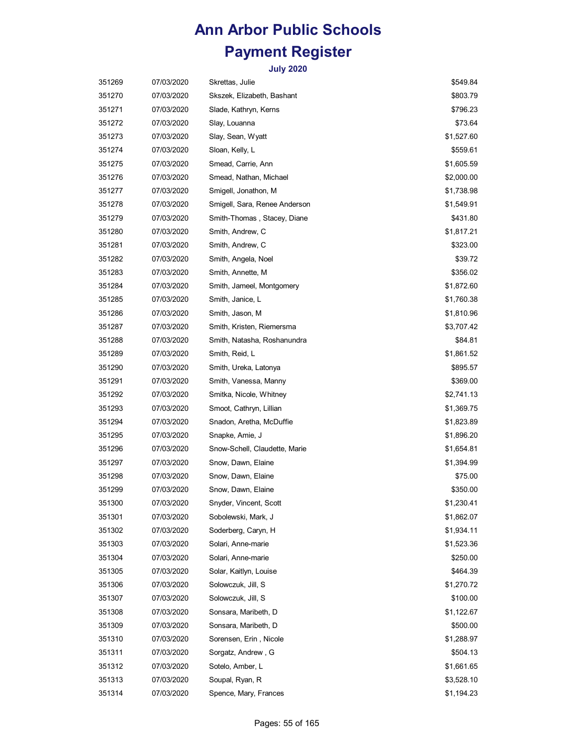| 351269 | 07/03/2020 | Skrettas, Julie               | \$549.84   |
|--------|------------|-------------------------------|------------|
| 351270 | 07/03/2020 | Skszek, Elizabeth, Bashant    | \$803.79   |
| 351271 | 07/03/2020 | Slade, Kathryn, Kerns         | \$796.23   |
| 351272 | 07/03/2020 | Slay, Louanna                 | \$73.64    |
| 351273 | 07/03/2020 | Slay, Sean, Wyatt             | \$1,527.60 |
| 351274 | 07/03/2020 | Sloan, Kelly, L               | \$559.61   |
| 351275 | 07/03/2020 | Smead, Carrie, Ann            | \$1,605.59 |
| 351276 | 07/03/2020 | Smead, Nathan, Michael        | \$2,000.00 |
| 351277 | 07/03/2020 | Smigell, Jonathon, M          | \$1,738.98 |
| 351278 | 07/03/2020 | Smigell, Sara, Renee Anderson | \$1,549.91 |
| 351279 | 07/03/2020 | Smith-Thomas, Stacey, Diane   | \$431.80   |
| 351280 | 07/03/2020 | Smith, Andrew, C              | \$1,817.21 |
| 351281 | 07/03/2020 | Smith, Andrew, C              | \$323.00   |
| 351282 | 07/03/2020 | Smith, Angela, Noel           | \$39.72    |
| 351283 | 07/03/2020 | Smith, Annette, M             | \$356.02   |
| 351284 | 07/03/2020 | Smith, Jameel, Montgomery     | \$1,872.60 |
| 351285 | 07/03/2020 | Smith, Janice, L              | \$1,760.38 |
| 351286 | 07/03/2020 | Smith, Jason, M               | \$1,810.96 |
| 351287 | 07/03/2020 | Smith, Kristen, Riemersma     | \$3,707.42 |
| 351288 | 07/03/2020 | Smith, Natasha, Roshanundra   | \$84.81    |
| 351289 | 07/03/2020 | Smith, Reid, L                | \$1,861.52 |
| 351290 | 07/03/2020 | Smith, Ureka, Latonya         | \$895.57   |
| 351291 | 07/03/2020 | Smith, Vanessa, Manny         | \$369.00   |
| 351292 | 07/03/2020 | Smitka, Nicole, Whitney       | \$2,741.13 |
| 351293 | 07/03/2020 | Smoot, Cathryn, Lillian       | \$1,369.75 |
| 351294 | 07/03/2020 | Snadon, Aretha, McDuffie      | \$1,823.89 |
| 351295 | 07/03/2020 | Snapke, Amie, J               | \$1,896.20 |
| 351296 | 07/03/2020 | Snow-Schell, Claudette, Marie | \$1,654.81 |
| 351297 | 07/03/2020 | Snow, Dawn, Elaine            | \$1,394.99 |
| 351298 | 07/03/2020 | Snow, Dawn, Elaine            | \$75.00    |
| 351299 | 07/03/2020 | Snow, Dawn, Elaine            | \$350.00   |
| 351300 | 07/03/2020 | Snyder, Vincent, Scott        | \$1,230.41 |
| 351301 | 07/03/2020 | Sobolewski, Mark, J           | \$1,862.07 |
| 351302 | 07/03/2020 | Soderberg, Caryn, H           | \$1,934.11 |
| 351303 | 07/03/2020 | Solari, Anne-marie            | \$1,523.36 |
| 351304 | 07/03/2020 | Solari, Anne-marie            | \$250.00   |
| 351305 | 07/03/2020 | Solar, Kaitlyn, Louise        | \$464.39   |
| 351306 | 07/03/2020 | Solowczuk, Jill, S            | \$1,270.72 |
| 351307 | 07/03/2020 | Solowczuk, Jill, S            | \$100.00   |
| 351308 | 07/03/2020 | Sonsara, Maribeth, D          | \$1,122.67 |
| 351309 | 07/03/2020 | Sonsara, Maribeth, D          | \$500.00   |
| 351310 | 07/03/2020 | Sorensen, Erin, Nicole        | \$1,288.97 |
| 351311 | 07/03/2020 | Sorgatz, Andrew, G            | \$504.13   |
| 351312 | 07/03/2020 | Sotelo, Amber, L              | \$1,661.65 |
| 351313 | 07/03/2020 | Soupal, Ryan, R               | \$3,528.10 |
| 351314 | 07/03/2020 | Spence, Mary, Frances         | \$1,194.23 |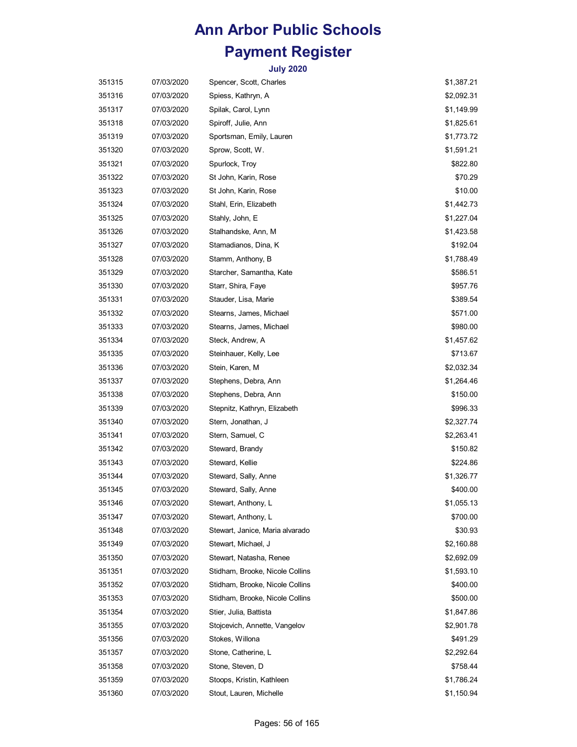| 351315 | 07/03/2020 | Spencer, Scott, Charles         | \$1,387.21 |
|--------|------------|---------------------------------|------------|
| 351316 | 07/03/2020 | Spiess, Kathryn, A              | \$2,092.31 |
| 351317 | 07/03/2020 | Spilak, Carol, Lynn             | \$1,149.99 |
| 351318 | 07/03/2020 | Spiroff, Julie, Ann             | \$1,825.61 |
| 351319 | 07/03/2020 | Sportsman, Emily, Lauren        | \$1,773.72 |
| 351320 | 07/03/2020 | Sprow, Scott, W.                | \$1,591.21 |
| 351321 | 07/03/2020 | Spurlock, Troy                  | \$822.80   |
| 351322 | 07/03/2020 | St John, Karin, Rose            | \$70.29    |
| 351323 | 07/03/2020 | St John, Karin, Rose            | \$10.00    |
| 351324 | 07/03/2020 | Stahl, Erin, Elizabeth          | \$1,442.73 |
| 351325 | 07/03/2020 | Stahly, John, E                 | \$1,227.04 |
| 351326 | 07/03/2020 | Stalhandske, Ann, M             | \$1,423.58 |
| 351327 | 07/03/2020 | Stamadianos, Dina, K            | \$192.04   |
| 351328 | 07/03/2020 | Stamm, Anthony, B               | \$1,788.49 |
| 351329 | 07/03/2020 | Starcher, Samantha, Kate        | \$586.51   |
| 351330 | 07/03/2020 | Starr, Shira, Faye              | \$957.76   |
| 351331 | 07/03/2020 | Stauder, Lisa, Marie            | \$389.54   |
| 351332 | 07/03/2020 | Stearns, James, Michael         | \$571.00   |
| 351333 | 07/03/2020 | Stearns, James, Michael         | \$980.00   |
| 351334 | 07/03/2020 | Steck, Andrew, A                | \$1,457.62 |
| 351335 | 07/03/2020 | Steinhauer, Kelly, Lee          | \$713.67   |
| 351336 | 07/03/2020 | Stein, Karen, M                 | \$2,032.34 |
| 351337 | 07/03/2020 | Stephens, Debra, Ann            | \$1,264.46 |
| 351338 | 07/03/2020 | Stephens, Debra, Ann            | \$150.00   |
| 351339 | 07/03/2020 | Stepnitz, Kathryn, Elizabeth    | \$996.33   |
| 351340 | 07/03/2020 | Stern, Jonathan, J              | \$2,327.74 |
| 351341 | 07/03/2020 | Stern, Samuel, C                | \$2,263.41 |
| 351342 | 07/03/2020 | Steward, Brandy                 | \$150.82   |
| 351343 | 07/03/2020 | Steward, Kellie                 | \$224.86   |
| 351344 | 07/03/2020 | Steward, Sally, Anne            | \$1,326.77 |
| 351345 | 07/03/2020 | Steward, Sally, Anne            | \$400.00   |
| 351346 | 07/03/2020 | Stewart, Anthony, L             | \$1,055.13 |
| 351347 | 07/03/2020 | Stewart, Anthony, L             | \$700.00   |
| 351348 | 07/03/2020 | Stewart, Janice, Maria alvarado | \$30.93    |
| 351349 | 07/03/2020 | Stewart, Michael, J             | \$2,160.88 |
| 351350 | 07/03/2020 | Stewart, Natasha, Renee         | \$2,692.09 |
| 351351 | 07/03/2020 | Stidham, Brooke, Nicole Collins | \$1,593.10 |
| 351352 | 07/03/2020 | Stidham, Brooke, Nicole Collins | \$400.00   |
| 351353 | 07/03/2020 | Stidham, Brooke, Nicole Collins | \$500.00   |
| 351354 | 07/03/2020 | Stier, Julia, Battista          | \$1,847.86 |
| 351355 | 07/03/2020 | Stojcevich, Annette, Vangelov   | \$2,901.78 |
| 351356 | 07/03/2020 | Stokes, Willona                 | \$491.29   |
| 351357 | 07/03/2020 | Stone, Catherine, L             | \$2,292.64 |
| 351358 | 07/03/2020 | Stone, Steven, D                | \$758.44   |
| 351359 | 07/03/2020 | Stoops, Kristin, Kathleen       | \$1,786.24 |
| 351360 | 07/03/2020 | Stout, Lauren, Michelle         | \$1,150.94 |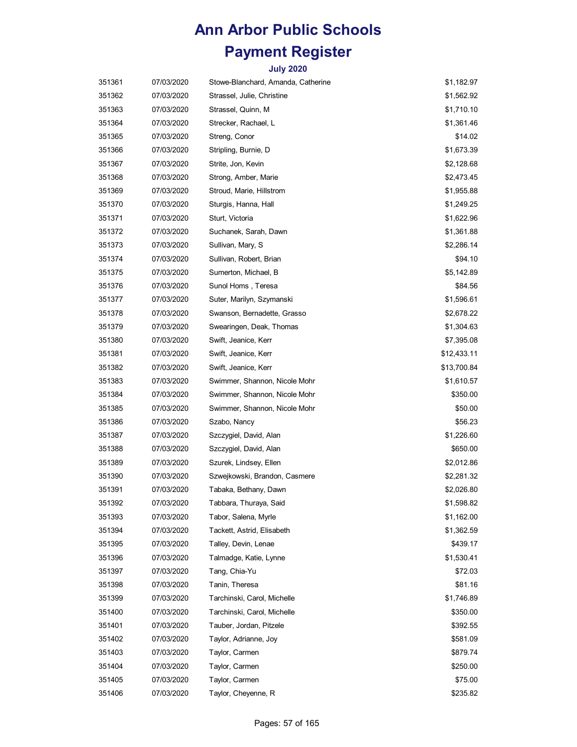| 351361 | 07/03/2020 | Stowe-Blanchard, Amanda, Catherine | \$1,182.97  |
|--------|------------|------------------------------------|-------------|
| 351362 | 07/03/2020 | Strassel, Julie, Christine         | \$1,562.92  |
| 351363 | 07/03/2020 | Strassel, Quinn, M                 | \$1,710.10  |
| 351364 | 07/03/2020 | Strecker, Rachael, L               | \$1,361.46  |
| 351365 | 07/03/2020 | Streng, Conor                      | \$14.02     |
| 351366 | 07/03/2020 | Stripling, Burnie, D               | \$1,673.39  |
| 351367 | 07/03/2020 | Strite, Jon, Kevin                 | \$2,128.68  |
| 351368 | 07/03/2020 | Strong, Amber, Marie               | \$2,473.45  |
| 351369 | 07/03/2020 | Stroud, Marie, Hillstrom           | \$1,955.88  |
| 351370 | 07/03/2020 | Sturgis, Hanna, Hall               | \$1,249.25  |
| 351371 | 07/03/2020 | Sturt, Victoria                    | \$1,622.96  |
| 351372 | 07/03/2020 | Suchanek, Sarah, Dawn              | \$1,361.88  |
| 351373 | 07/03/2020 | Sullivan, Mary, S                  | \$2,286.14  |
| 351374 | 07/03/2020 | Sullivan, Robert, Brian            | \$94.10     |
| 351375 | 07/03/2020 | Sumerton, Michael, B               | \$5,142.89  |
| 351376 | 07/03/2020 | Sunol Homs, Teresa                 | \$84.56     |
| 351377 | 07/03/2020 | Suter, Marilyn, Szymanski          | \$1,596.61  |
| 351378 | 07/03/2020 | Swanson, Bernadette, Grasso        | \$2,678.22  |
| 351379 | 07/03/2020 | Swearingen, Deak, Thomas           | \$1,304.63  |
| 351380 | 07/03/2020 | Swift, Jeanice, Kerr               | \$7,395.08  |
| 351381 | 07/03/2020 | Swift, Jeanice, Kerr               | \$12,433.11 |
| 351382 | 07/03/2020 | Swift, Jeanice, Kerr               | \$13,700.84 |
| 351383 | 07/03/2020 | Swimmer, Shannon, Nicole Mohr      | \$1,610.57  |
| 351384 | 07/03/2020 | Swimmer, Shannon, Nicole Mohr      | \$350.00    |
| 351385 | 07/03/2020 | Swimmer, Shannon, Nicole Mohr      | \$50.00     |
| 351386 | 07/03/2020 | Szabo, Nancy                       | \$56.23     |
| 351387 | 07/03/2020 | Szczygiel, David, Alan             | \$1,226.60  |
| 351388 | 07/03/2020 | Szczygiel, David, Alan             | \$650.00    |
| 351389 | 07/03/2020 | Szurek, Lindsey, Ellen             | \$2,012.86  |
| 351390 | 07/03/2020 | Szwejkowski, Brandon, Casmere      | \$2,281.32  |
| 351391 | 07/03/2020 | Tabaka, Bethany, Dawn              | \$2,026.80  |
| 351392 | 07/03/2020 | Tabbara, Thuraya, Said             | \$1,598.82  |
| 351393 | 07/03/2020 | Tabor, Salena, Myrle               | \$1,162.00  |
| 351394 | 07/03/2020 | Tackett, Astrid, Elisabeth         | \$1,362.59  |
| 351395 | 07/03/2020 | Talley, Devin, Lenae               | \$439.17    |
| 351396 | 07/03/2020 | Talmadge, Katie, Lynne             | \$1,530.41  |
| 351397 | 07/03/2020 | Tang, Chia-Yu                      | \$72.03     |
| 351398 | 07/03/2020 | Tanin, Theresa                     | \$81.16     |
| 351399 | 07/03/2020 | Tarchinski, Carol, Michelle        | \$1,746.89  |
| 351400 | 07/03/2020 | Tarchinski, Carol, Michelle        | \$350.00    |
| 351401 | 07/03/2020 | Tauber, Jordan, Pitzele            | \$392.55    |
| 351402 | 07/03/2020 | Taylor, Adrianne, Joy              | \$581.09    |
| 351403 | 07/03/2020 | Taylor, Carmen                     | \$879.74    |
| 351404 | 07/03/2020 | Taylor, Carmen                     | \$250.00    |
| 351405 | 07/03/2020 | Taylor, Carmen                     | \$75.00     |
| 351406 | 07/03/2020 | Taylor, Cheyenne, R                | \$235.82    |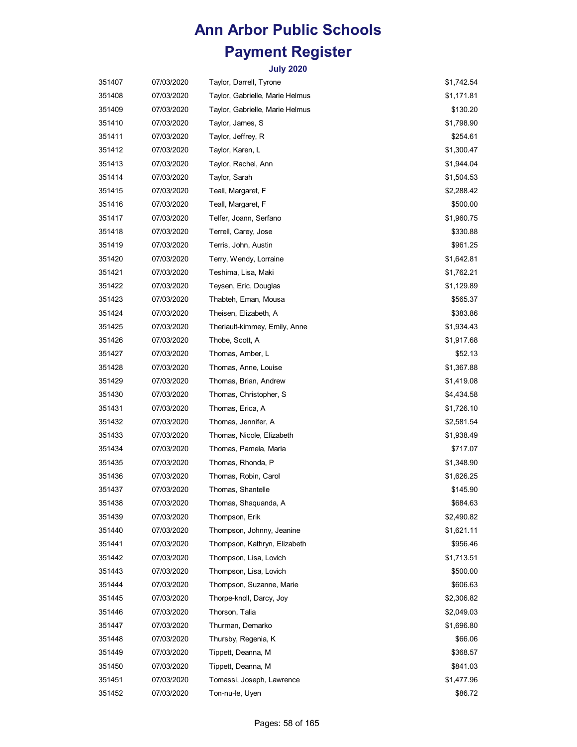| 351407 | 07/03/2020 | Taylor, Darrell, Tyrone         | \$1,742.54 |
|--------|------------|---------------------------------|------------|
| 351408 | 07/03/2020 | Taylor, Gabrielle, Marie Helmus | \$1,171.81 |
| 351409 | 07/03/2020 | Taylor, Gabrielle, Marie Helmus | \$130.20   |
| 351410 | 07/03/2020 | Taylor, James, S                | \$1,798.90 |
| 351411 | 07/03/2020 | Taylor, Jeffrey, R              | \$254.61   |
| 351412 | 07/03/2020 | Taylor, Karen, L                | \$1,300.47 |
| 351413 | 07/03/2020 | Taylor, Rachel, Ann             | \$1,944.04 |
| 351414 | 07/03/2020 | Taylor, Sarah                   | \$1,504.53 |
| 351415 | 07/03/2020 | Teall, Margaret, F              | \$2,288.42 |
| 351416 | 07/03/2020 | Teall, Margaret, F              | \$500.00   |
| 351417 | 07/03/2020 | Telfer, Joann, Serfano          | \$1,960.75 |
| 351418 | 07/03/2020 | Terrell, Carey, Jose            | \$330.88   |
| 351419 | 07/03/2020 | Terris, John, Austin            | \$961.25   |
| 351420 | 07/03/2020 | Terry, Wendy, Lorraine          | \$1,642.81 |
| 351421 | 07/03/2020 | Teshima, Lisa, Maki             | \$1,762.21 |
| 351422 | 07/03/2020 | Teysen, Eric, Douglas           | \$1,129.89 |
| 351423 | 07/03/2020 | Thabteh, Eman, Mousa            | \$565.37   |
| 351424 | 07/03/2020 | Theisen, Elizabeth, A           | \$383.86   |
| 351425 | 07/03/2020 | Theriault-kimmey, Emily, Anne   | \$1,934.43 |
| 351426 | 07/03/2020 | Thobe, Scott, A                 | \$1,917.68 |
| 351427 | 07/03/2020 | Thomas, Amber, L                | \$52.13    |
| 351428 | 07/03/2020 | Thomas, Anne, Louise            | \$1,367.88 |
| 351429 | 07/03/2020 | Thomas, Brian, Andrew           | \$1,419.08 |
| 351430 | 07/03/2020 | Thomas, Christopher, S          | \$4,434.58 |
| 351431 | 07/03/2020 | Thomas, Erica, A                | \$1,726.10 |
| 351432 | 07/03/2020 | Thomas, Jennifer, A             | \$2,581.54 |
| 351433 | 07/03/2020 | Thomas, Nicole, Elizabeth       | \$1,938.49 |
| 351434 | 07/03/2020 | Thomas, Pamela, Maria           | \$717.07   |
| 351435 | 07/03/2020 | Thomas, Rhonda, P               | \$1,348.90 |
| 351436 | 07/03/2020 | Thomas, Robin, Carol            | \$1,626.25 |
| 351437 | 07/03/2020 | Thomas, Shantelle               | \$145.90   |
| 351438 | 07/03/2020 | Thomas, Shaquanda, A            | \$684.63   |
| 351439 | 07/03/2020 | Thompson, Erik                  | \$2,490.82 |
| 351440 | 07/03/2020 | Thompson, Johnny, Jeanine       | \$1,621.11 |
| 351441 | 07/03/2020 | Thompson, Kathryn, Elizabeth    | \$956.46   |
| 351442 | 07/03/2020 | Thompson, Lisa, Lovich          | \$1,713.51 |
| 351443 | 07/03/2020 | Thompson, Lisa, Lovich          | \$500.00   |
| 351444 | 07/03/2020 | Thompson, Suzanne, Marie        | \$606.63   |
| 351445 | 07/03/2020 | Thorpe-knoll, Darcy, Joy        | \$2,306.82 |
| 351446 | 07/03/2020 | Thorson, Talia                  | \$2,049.03 |
| 351447 | 07/03/2020 | Thurman, Demarko                | \$1,696.80 |
| 351448 | 07/03/2020 | Thursby, Regenia, K             | \$66.06    |
| 351449 | 07/03/2020 | Tippett, Deanna, M              | \$368.57   |
| 351450 | 07/03/2020 | Tippett, Deanna, M              | \$841.03   |
| 351451 | 07/03/2020 | Tomassi, Joseph, Lawrence       | \$1,477.96 |
| 351452 | 07/03/2020 | Ton-nu-le, Uyen                 | \$86.72    |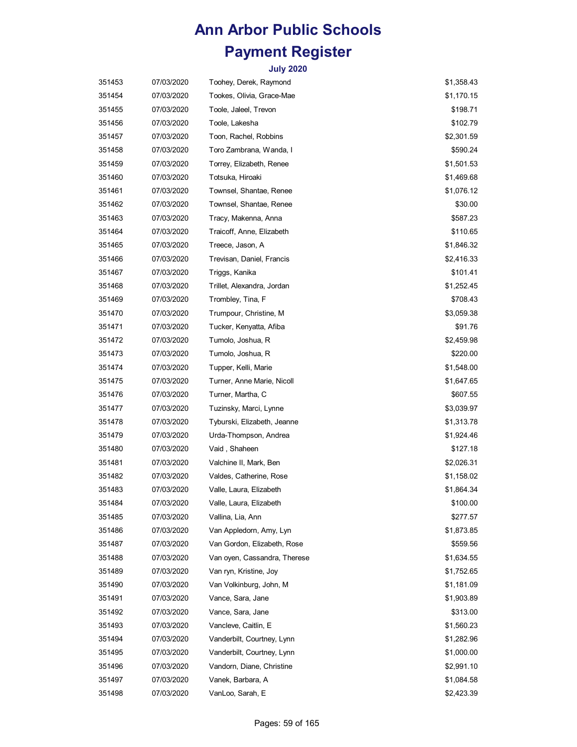| 351453 | 07/03/2020 | Toohey, Derek, Raymond       | \$1,358.43 |
|--------|------------|------------------------------|------------|
| 351454 | 07/03/2020 | Tookes, Olivia, Grace-Mae    | \$1,170.15 |
| 351455 | 07/03/2020 | Toole, Jaleel, Trevon        | \$198.71   |
| 351456 | 07/03/2020 | Toole, Lakesha               | \$102.79   |
| 351457 | 07/03/2020 | Toon, Rachel, Robbins        | \$2,301.59 |
| 351458 | 07/03/2020 | Toro Zambrana, Wanda, I      | \$590.24   |
| 351459 | 07/03/2020 | Torrey, Elizabeth, Renee     | \$1,501.53 |
| 351460 | 07/03/2020 | Totsuka, Hiroaki             | \$1,469.68 |
| 351461 | 07/03/2020 | Townsel, Shantae, Renee      | \$1,076.12 |
| 351462 | 07/03/2020 | Townsel, Shantae, Renee      | \$30.00    |
| 351463 | 07/03/2020 | Tracy, Makenna, Anna         | \$587.23   |
| 351464 | 07/03/2020 | Traicoff, Anne, Elizabeth    | \$110.65   |
| 351465 | 07/03/2020 | Treece, Jason, A             | \$1,846.32 |
| 351466 | 07/03/2020 | Trevisan, Daniel, Francis    | \$2,416.33 |
| 351467 | 07/03/2020 | Triggs, Kanika               | \$101.41   |
| 351468 | 07/03/2020 | Trillet, Alexandra, Jordan   | \$1,252.45 |
| 351469 | 07/03/2020 | Trombley, Tina, F            | \$708.43   |
| 351470 | 07/03/2020 | Trumpour, Christine, M       | \$3,059.38 |
| 351471 | 07/03/2020 | Tucker, Kenyatta, Afiba      | \$91.76    |
| 351472 | 07/03/2020 | Tumolo, Joshua, R            | \$2,459.98 |
| 351473 | 07/03/2020 | Tumolo, Joshua, R            | \$220.00   |
| 351474 | 07/03/2020 | Tupper, Kelli, Marie         | \$1,548.00 |
| 351475 | 07/03/2020 | Turner, Anne Marie, Nicoll   | \$1,647.65 |
| 351476 | 07/03/2020 | Turner, Martha, C            | \$607.55   |
| 351477 | 07/03/2020 | Tuzinsky, Marci, Lynne       | \$3,039.97 |
| 351478 | 07/03/2020 | Tyburski, Elizabeth, Jeanne  | \$1,313.78 |
| 351479 | 07/03/2020 | Urda-Thompson, Andrea        | \$1,924.46 |
| 351480 | 07/03/2020 | Vaid, Shaheen                | \$127.18   |
| 351481 | 07/03/2020 | Valchine II, Mark, Ben       | \$2,026.31 |
| 351482 | 07/03/2020 | Valdes, Catherine, Rose      | \$1,158.02 |
| 351483 | 07/03/2020 | Valle, Laura, Elizabeth      | \$1,864.34 |
| 351484 | 07/03/2020 | Valle, Laura, Elizabeth      | \$100.00   |
| 351485 | 07/03/2020 | Vallina, Lia, Ann            | \$277.57   |
| 351486 | 07/03/2020 | Van Appledorn, Amy, Lyn      | \$1,873.85 |
| 351487 | 07/03/2020 | Van Gordon, Elizabeth, Rose  | \$559.56   |
| 351488 | 07/03/2020 | Van oyen, Cassandra, Therese | \$1,634.55 |
| 351489 | 07/03/2020 | Van ryn, Kristine, Joy       | \$1,752.65 |
| 351490 | 07/03/2020 | Van Volkinburg, John, M      | \$1,181.09 |
| 351491 | 07/03/2020 | Vance, Sara, Jane            | \$1,903.89 |
| 351492 | 07/03/2020 | Vance, Sara, Jane            | \$313.00   |
| 351493 | 07/03/2020 | Vancleve, Caitlin, E         | \$1,560.23 |
| 351494 | 07/03/2020 | Vanderbilt, Courtney, Lynn   | \$1,282.96 |
| 351495 | 07/03/2020 | Vanderbilt, Courtney, Lynn   | \$1,000.00 |
| 351496 | 07/03/2020 | Vandorn, Diane, Christine    | \$2,991.10 |
| 351497 | 07/03/2020 | Vanek, Barbara, A            | \$1,084.58 |
| 351498 | 07/03/2020 | VanLoo, Sarah, E             | \$2,423.39 |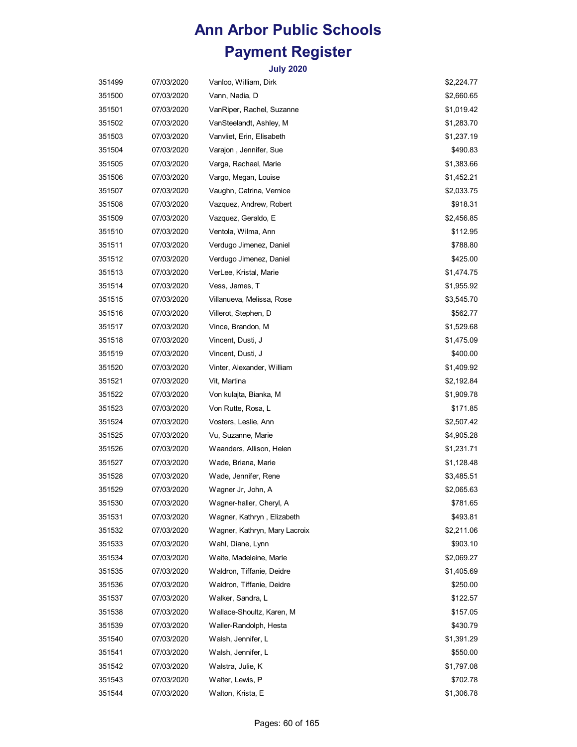| 351499 | 07/03/2020 | Vanloo, William, Dirk         | \$2,224.77 |
|--------|------------|-------------------------------|------------|
| 351500 | 07/03/2020 | Vann, Nadia, D                | \$2,660.65 |
| 351501 | 07/03/2020 | VanRiper, Rachel, Suzanne     | \$1,019.42 |
| 351502 | 07/03/2020 | VanSteelandt, Ashley, M       | \$1,283.70 |
| 351503 | 07/03/2020 | Vanvliet, Erin, Elisabeth     | \$1,237.19 |
| 351504 | 07/03/2020 | Varajon, Jennifer, Sue        | \$490.83   |
| 351505 | 07/03/2020 | Varga, Rachael, Marie         | \$1,383.66 |
| 351506 | 07/03/2020 | Vargo, Megan, Louise          | \$1,452.21 |
| 351507 | 07/03/2020 | Vaughn, Catrina, Vernice      | \$2,033.75 |
| 351508 | 07/03/2020 | Vazquez, Andrew, Robert       | \$918.31   |
| 351509 | 07/03/2020 | Vazquez, Geraldo, E           | \$2,456.85 |
| 351510 | 07/03/2020 | Ventola, Wilma, Ann           | \$112.95   |
| 351511 | 07/03/2020 | Verdugo Jimenez, Daniel       | \$788.80   |
| 351512 | 07/03/2020 | Verdugo Jimenez, Daniel       | \$425.00   |
| 351513 | 07/03/2020 | VerLee, Kristal, Marie        | \$1,474.75 |
| 351514 | 07/03/2020 | Vess, James, T                | \$1,955.92 |
| 351515 | 07/03/2020 | Villanueva, Melissa, Rose     | \$3,545.70 |
| 351516 | 07/03/2020 | Villerot, Stephen, D          | \$562.77   |
| 351517 | 07/03/2020 | Vince, Brandon, M             | \$1,529.68 |
| 351518 | 07/03/2020 | Vincent, Dusti, J             | \$1,475.09 |
| 351519 | 07/03/2020 | Vincent, Dusti, J             | \$400.00   |
| 351520 | 07/03/2020 | Vinter, Alexander, William    | \$1,409.92 |
| 351521 | 07/03/2020 | Vit, Martina                  | \$2,192.84 |
| 351522 | 07/03/2020 | Von kulajta, Bianka, M        | \$1,909.78 |
| 351523 | 07/03/2020 | Von Rutte, Rosa, L            | \$171.85   |
| 351524 | 07/03/2020 | Vosters, Leslie, Ann          | \$2,507.42 |
| 351525 | 07/03/2020 | Vu, Suzanne, Marie            | \$4,905.28 |
| 351526 | 07/03/2020 | Waanders, Allison, Helen      | \$1,231.71 |
| 351527 | 07/03/2020 | Wade, Briana, Marie           | \$1,128.48 |
| 351528 | 07/03/2020 | Wade, Jennifer, Rene          | \$3,485.51 |
| 351529 | 07/03/2020 | Wagner Jr, John, A            | \$2,065.63 |
| 351530 | 07/03/2020 | Wagner-haller, Cheryl, A      | \$781.65   |
| 351531 | 07/03/2020 | Wagner, Kathryn, Elizabeth    | \$493.81   |
| 351532 | 07/03/2020 | Wagner, Kathryn, Mary Lacroix | \$2,211.06 |
| 351533 | 07/03/2020 | Wahl, Diane, Lynn             | \$903.10   |
| 351534 | 07/03/2020 | Waite, Madeleine, Marie       | \$2,069.27 |
| 351535 | 07/03/2020 | Waldron, Tiffanie, Deidre     | \$1,405.69 |
| 351536 | 07/03/2020 | Waldron, Tiffanie, Deidre     | \$250.00   |
| 351537 | 07/03/2020 | Walker, Sandra, L             | \$122.57   |
| 351538 | 07/03/2020 | Wallace-Shoultz, Karen, M     | \$157.05   |
| 351539 | 07/03/2020 | Waller-Randolph, Hesta        | \$430.79   |
| 351540 | 07/03/2020 | Walsh, Jennifer, L            | \$1,391.29 |
| 351541 | 07/03/2020 | Walsh, Jennifer, L            | \$550.00   |
| 351542 | 07/03/2020 | Walstra, Julie, K             | \$1,797.08 |
| 351543 | 07/03/2020 | Walter, Lewis, P              | \$702.78   |
| 351544 | 07/03/2020 | Walton, Krista, E             | \$1,306.78 |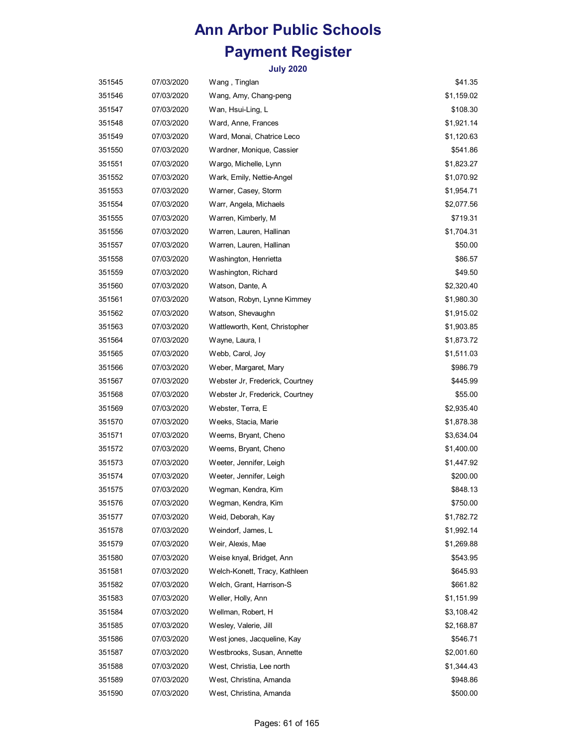| 351545 | 07/03/2020 | Wang, Tinglan                   | \$41.35    |
|--------|------------|---------------------------------|------------|
| 351546 | 07/03/2020 | Wang, Amy, Chang-peng           | \$1,159.02 |
| 351547 | 07/03/2020 | Wan, Hsui-Ling, L               | \$108.30   |
| 351548 | 07/03/2020 | Ward, Anne, Frances             | \$1,921.14 |
| 351549 | 07/03/2020 | Ward, Monai, Chatrice Leco      | \$1,120.63 |
| 351550 | 07/03/2020 | Wardner, Monique, Cassier       | \$541.86   |
| 351551 | 07/03/2020 | Wargo, Michelle, Lynn           | \$1,823.27 |
| 351552 | 07/03/2020 | Wark, Emily, Nettie-Angel       | \$1,070.92 |
| 351553 | 07/03/2020 | Warner, Casey, Storm            | \$1,954.71 |
| 351554 | 07/03/2020 | Warr, Angela, Michaels          | \$2,077.56 |
| 351555 | 07/03/2020 | Warren, Kimberly, M             | \$719.31   |
| 351556 | 07/03/2020 | Warren, Lauren, Hallinan        | \$1,704.31 |
| 351557 | 07/03/2020 | Warren, Lauren, Hallinan        | \$50.00    |
| 351558 | 07/03/2020 | Washington, Henrietta           | \$86.57    |
| 351559 | 07/03/2020 | Washington, Richard             | \$49.50    |
| 351560 | 07/03/2020 | Watson, Dante, A                | \$2,320.40 |
| 351561 | 07/03/2020 | Watson, Robyn, Lynne Kimmey     | \$1,980.30 |
| 351562 | 07/03/2020 | Watson, Shevaughn               | \$1,915.02 |
| 351563 | 07/03/2020 | Wattleworth, Kent, Christopher  | \$1,903.85 |
| 351564 | 07/03/2020 | Wayne, Laura, I                 | \$1,873.72 |
| 351565 | 07/03/2020 | Webb, Carol, Joy                | \$1,511.03 |
| 351566 | 07/03/2020 | Weber, Margaret, Mary           | \$986.79   |
| 351567 | 07/03/2020 | Webster Jr, Frederick, Courtney | \$445.99   |
| 351568 | 07/03/2020 | Webster Jr, Frederick, Courtney | \$55.00    |
| 351569 | 07/03/2020 | Webster, Terra, E               | \$2,935.40 |
| 351570 | 07/03/2020 | Weeks, Stacia, Marie            | \$1,878.38 |
| 351571 | 07/03/2020 | Weems, Bryant, Cheno            | \$3,634.04 |
| 351572 | 07/03/2020 | Weems, Bryant, Cheno            | \$1,400.00 |
| 351573 | 07/03/2020 | Weeter, Jennifer, Leigh         | \$1,447.92 |
| 351574 | 07/03/2020 | Weeter, Jennifer, Leigh         | \$200.00   |
| 351575 | 07/03/2020 | Wegman, Kendra, Kim             | \$848.13   |
| 351576 | 07/03/2020 | Wegman, Kendra, Kim             | \$750.00   |
| 351577 | 07/03/2020 | Weid, Deborah, Kay              | \$1,782.72 |
| 351578 | 07/03/2020 | Weindorf, James, L              | \$1,992.14 |
| 351579 | 07/03/2020 | Weir, Alexis, Mae               | \$1,269.88 |
| 351580 | 07/03/2020 | Weise knyal, Bridget, Ann       | \$543.95   |
| 351581 | 07/03/2020 | Welch-Konett, Tracy, Kathleen   | \$645.93   |
| 351582 | 07/03/2020 | Welch, Grant, Harrison-S        | \$661.82   |
| 351583 | 07/03/2020 | Weller, Holly, Ann              | \$1,151.99 |
| 351584 | 07/03/2020 | Wellman, Robert, H              | \$3,108.42 |
| 351585 | 07/03/2020 | Wesley, Valerie, Jill           | \$2,168.87 |
| 351586 | 07/03/2020 | West jones, Jacqueline, Kay     | \$546.71   |
| 351587 | 07/03/2020 | Westbrooks, Susan, Annette      | \$2,001.60 |
| 351588 | 07/03/2020 | West, Christia, Lee north       | \$1,344.43 |
| 351589 | 07/03/2020 | West, Christina, Amanda         | \$948.86   |
| 351590 | 07/03/2020 | West, Christina, Amanda         | \$500.00   |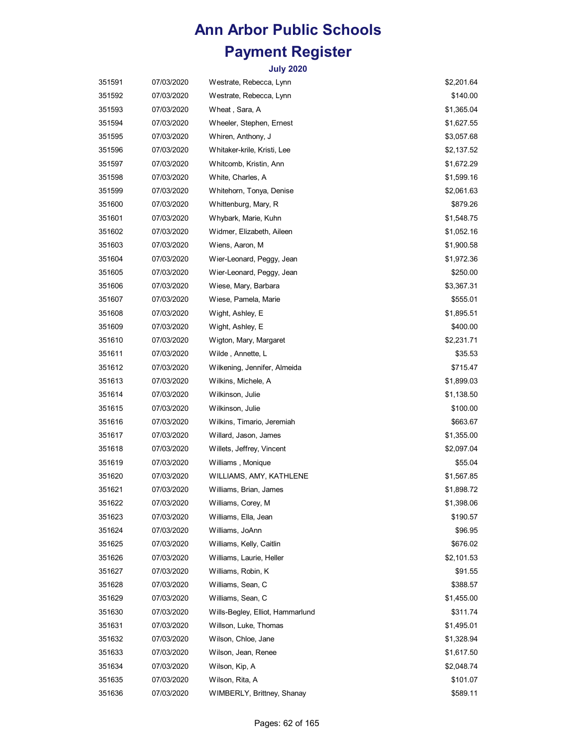| 351591 | 07/03/2020 | Westrate, Rebecca, Lynn          | \$2,201.64 |
|--------|------------|----------------------------------|------------|
| 351592 | 07/03/2020 | Westrate, Rebecca, Lynn          | \$140.00   |
| 351593 | 07/03/2020 | Wheat, Sara, A                   | \$1,365.04 |
| 351594 | 07/03/2020 | Wheeler, Stephen, Ernest         | \$1,627.55 |
| 351595 | 07/03/2020 | Whiren, Anthony, J               | \$3,057.68 |
| 351596 | 07/03/2020 | Whitaker-krile, Kristi, Lee      | \$2,137.52 |
| 351597 | 07/03/2020 | Whitcomb, Kristin, Ann           | \$1,672.29 |
| 351598 | 07/03/2020 | White, Charles, A                | \$1,599.16 |
| 351599 | 07/03/2020 | Whitehorn, Tonya, Denise         | \$2,061.63 |
| 351600 | 07/03/2020 | Whittenburg, Mary, R             | \$879.26   |
| 351601 | 07/03/2020 | Whybark, Marie, Kuhn             | \$1,548.75 |
| 351602 | 07/03/2020 | Widmer, Elizabeth, Aileen        | \$1,052.16 |
| 351603 | 07/03/2020 | Wiens, Aaron, M                  | \$1,900.58 |
| 351604 | 07/03/2020 | Wier-Leonard, Peggy, Jean        | \$1,972.36 |
| 351605 | 07/03/2020 | Wier-Leonard, Peggy, Jean        | \$250.00   |
| 351606 | 07/03/2020 | Wiese, Mary, Barbara             | \$3,367.31 |
| 351607 | 07/03/2020 | Wiese, Pamela, Marie             | \$555.01   |
| 351608 | 07/03/2020 | Wight, Ashley, E                 | \$1,895.51 |
| 351609 | 07/03/2020 | Wight, Ashley, E                 | \$400.00   |
| 351610 | 07/03/2020 | Wigton, Mary, Margaret           | \$2,231.71 |
| 351611 | 07/03/2020 | Wilde, Annette, L                | \$35.53    |
| 351612 | 07/03/2020 | Wilkening, Jennifer, Almeida     | \$715.47   |
| 351613 | 07/03/2020 | Wilkins, Michele, A              | \$1,899.03 |
| 351614 | 07/03/2020 | Wilkinson, Julie                 | \$1,138.50 |
| 351615 | 07/03/2020 | Wilkinson, Julie                 | \$100.00   |
| 351616 | 07/03/2020 | Wilkins, Timario, Jeremiah       | \$663.67   |
| 351617 | 07/03/2020 | Willard, Jason, James            | \$1,355.00 |
| 351618 | 07/03/2020 | Willets, Jeffrey, Vincent        | \$2,097.04 |
| 351619 | 07/03/2020 | Williams, Monique                | \$55.04    |
| 351620 | 07/03/2020 | WILLIAMS, AMY, KATHLENE          | \$1,567.85 |
| 351621 | 07/03/2020 | Williams, Brian, James           | \$1,898.72 |
| 351622 | 07/03/2020 | Williams, Corey, M               | \$1,398.06 |
| 351623 | 07/03/2020 | Williams, Ella, Jean             | \$190.57   |
| 351624 | 07/03/2020 | Williams, JoAnn                  | \$96.95    |
| 351625 | 07/03/2020 | Williams, Kelly, Caitlin         | \$676.02   |
| 351626 | 07/03/2020 | Williams, Laurie, Heller         | \$2,101.53 |
| 351627 | 07/03/2020 | Williams, Robin, K               | \$91.55    |
| 351628 | 07/03/2020 | Williams, Sean, C                | \$388.57   |
| 351629 | 07/03/2020 | Williams, Sean, C                | \$1,455.00 |
| 351630 | 07/03/2020 | Wills-Begley, Elliot, Hammarlund | \$311.74   |
| 351631 | 07/03/2020 | Willson, Luke, Thomas            | \$1,495.01 |
| 351632 | 07/03/2020 | Wilson, Chloe, Jane              | \$1,328.94 |
| 351633 | 07/03/2020 | Wilson, Jean, Renee              | \$1,617.50 |
| 351634 | 07/03/2020 | Wilson, Kip, A                   | \$2,048.74 |
| 351635 | 07/03/2020 | Wilson, Rita, A                  | \$101.07   |
| 351636 | 07/03/2020 | WIMBERLY, Brittney, Shanay       | \$589.11   |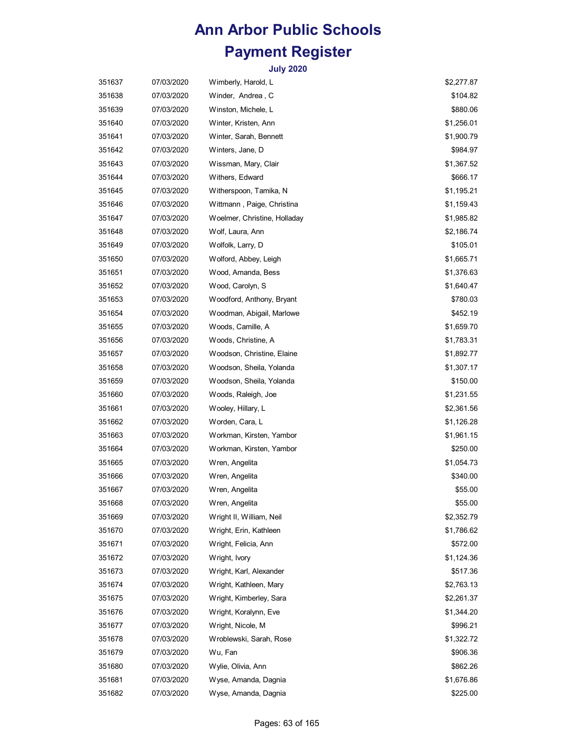| 351637 | 07/03/2020 | Wimberly, Harold, L          | \$2,277.87 |
|--------|------------|------------------------------|------------|
| 351638 | 07/03/2020 | Winder, Andrea, C            | \$104.82   |
| 351639 | 07/03/2020 | Winston, Michele, L          | \$880.06   |
| 351640 | 07/03/2020 | Winter, Kristen, Ann         | \$1,256.01 |
| 351641 | 07/03/2020 | Winter, Sarah, Bennett       | \$1,900.79 |
| 351642 | 07/03/2020 | Winters, Jane, D             | \$984.97   |
| 351643 | 07/03/2020 | Wissman, Mary, Clair         | \$1,367.52 |
| 351644 | 07/03/2020 | Withers, Edward              | \$666.17   |
| 351645 | 07/03/2020 | Witherspoon, Tamika, N       | \$1,195.21 |
| 351646 | 07/03/2020 | Wittmann, Paige, Christina   | \$1,159.43 |
| 351647 | 07/03/2020 | Woelmer, Christine, Holladay | \$1,985.82 |
| 351648 | 07/03/2020 | Wolf, Laura, Ann             | \$2,186.74 |
| 351649 | 07/03/2020 | Wolfolk, Larry, D            | \$105.01   |
| 351650 | 07/03/2020 | Wolford, Abbey, Leigh        | \$1,665.71 |
| 351651 | 07/03/2020 | Wood, Amanda, Bess           | \$1,376.63 |
| 351652 | 07/03/2020 | Wood, Carolyn, S             | \$1,640.47 |
| 351653 | 07/03/2020 | Woodford, Anthony, Bryant    | \$780.03   |
| 351654 | 07/03/2020 | Woodman, Abigail, Marlowe    | \$452.19   |
| 351655 | 07/03/2020 | Woods, Camille, A            | \$1,659.70 |
| 351656 | 07/03/2020 | Woods, Christine, A          | \$1,783.31 |
| 351657 | 07/03/2020 | Woodson, Christine, Elaine   | \$1,892.77 |
| 351658 | 07/03/2020 | Woodson, Sheila, Yolanda     | \$1,307.17 |
| 351659 | 07/03/2020 | Woodson, Sheila, Yolanda     | \$150.00   |
| 351660 | 07/03/2020 | Woods, Raleigh, Joe          | \$1,231.55 |
| 351661 | 07/03/2020 | Wooley, Hillary, L           | \$2,361.56 |
| 351662 | 07/03/2020 | Worden, Cara, L              | \$1,126.28 |
| 351663 | 07/03/2020 | Workman, Kirsten, Yambor     | \$1,961.15 |
| 351664 | 07/03/2020 | Workman, Kirsten, Yambor     | \$250.00   |
| 351665 | 07/03/2020 | Wren, Angelita               | \$1,054.73 |
| 351666 | 07/03/2020 | Wren, Angelita               | \$340.00   |
| 351667 | 07/03/2020 | Wren, Angelita               | \$55.00    |
| 351668 | 07/03/2020 | Wren, Angelita               | \$55.00    |
| 351669 | 07/03/2020 | Wright II, William, Neil     | \$2,352.79 |
| 351670 | 07/03/2020 | Wright, Erin, Kathleen       | \$1,786.62 |
| 351671 | 07/03/2020 | Wright, Felicia, Ann         | \$572.00   |
| 351672 | 07/03/2020 | Wright, Ivory                | \$1,124.36 |
| 351673 | 07/03/2020 | Wright, Karl, Alexander      | \$517.36   |
| 351674 | 07/03/2020 | Wright, Kathleen, Mary       | \$2,763.13 |
| 351675 | 07/03/2020 | Wright, Kimberley, Sara      | \$2,261.37 |
| 351676 | 07/03/2020 | Wright, Koralynn, Eve        | \$1,344.20 |
| 351677 | 07/03/2020 | Wright, Nicole, M            | \$996.21   |
| 351678 | 07/03/2020 | Wroblewski, Sarah, Rose      | \$1,322.72 |
| 351679 | 07/03/2020 | Wu, Fan                      | \$906.36   |
| 351680 | 07/03/2020 | Wylie, Olivia, Ann           | \$862.26   |
| 351681 | 07/03/2020 | Wyse, Amanda, Dagnia         | \$1,676.86 |
| 351682 | 07/03/2020 | Wyse, Amanda, Dagnia         | \$225.00   |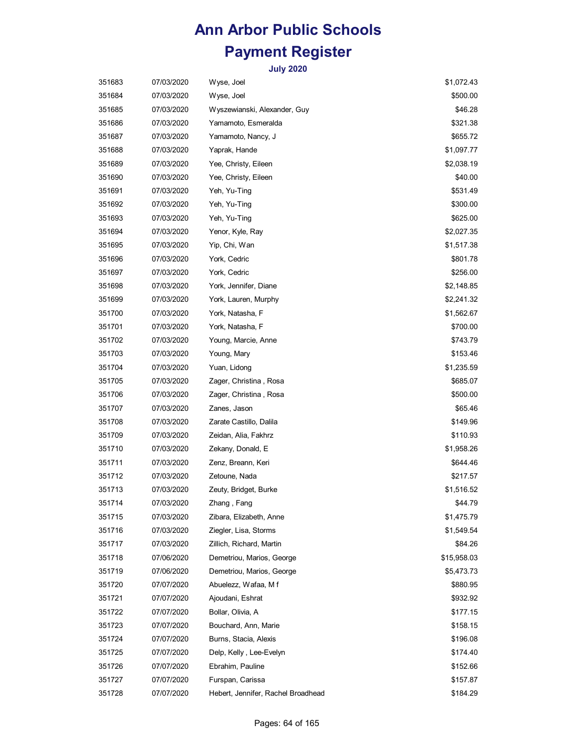| 351683 | 07/03/2020 | Wyse, Joel                         | \$1,072.43  |
|--------|------------|------------------------------------|-------------|
| 351684 | 07/03/2020 | Wyse, Joel                         | \$500.00    |
| 351685 | 07/03/2020 | Wyszewianski, Alexander, Guy       | \$46.28     |
| 351686 | 07/03/2020 | Yamamoto, Esmeralda                | \$321.38    |
| 351687 | 07/03/2020 | Yamamoto, Nancy, J                 | \$655.72    |
| 351688 | 07/03/2020 | Yaprak, Hande                      | \$1,097.77  |
| 351689 | 07/03/2020 | Yee, Christy, Eileen               | \$2,038.19  |
| 351690 | 07/03/2020 | Yee, Christy, Eileen               | \$40.00     |
| 351691 | 07/03/2020 | Yeh, Yu-Ting                       | \$531.49    |
| 351692 | 07/03/2020 | Yeh, Yu-Ting                       | \$300.00    |
| 351693 | 07/03/2020 | Yeh, Yu-Ting                       | \$625.00    |
| 351694 | 07/03/2020 | Yenor, Kyle, Ray                   | \$2,027.35  |
| 351695 | 07/03/2020 | Yip, Chi, Wan                      | \$1,517.38  |
| 351696 | 07/03/2020 | York, Cedric                       | \$801.78    |
| 351697 | 07/03/2020 | York, Cedric                       | \$256.00    |
| 351698 | 07/03/2020 | York, Jennifer, Diane              | \$2,148.85  |
| 351699 | 07/03/2020 | York, Lauren, Murphy               | \$2,241.32  |
| 351700 | 07/03/2020 | York, Natasha, F                   | \$1,562.67  |
| 351701 | 07/03/2020 | York, Natasha, F                   | \$700.00    |
| 351702 | 07/03/2020 | Young, Marcie, Anne                | \$743.79    |
| 351703 | 07/03/2020 | Young, Mary                        | \$153.46    |
| 351704 | 07/03/2020 | Yuan, Lidong                       | \$1,235.59  |
| 351705 | 07/03/2020 | Zager, Christina, Rosa             | \$685.07    |
| 351706 | 07/03/2020 | Zager, Christina, Rosa             | \$500.00    |
| 351707 | 07/03/2020 | Zanes, Jason                       | \$65.46     |
| 351708 | 07/03/2020 | Zarate Castillo, Dalila            | \$149.96    |
| 351709 | 07/03/2020 | Zeidan, Alia, Fakhrz               | \$110.93    |
| 351710 | 07/03/2020 | Zekany, Donald, E                  | \$1,958.26  |
| 351711 | 07/03/2020 | Zenz, Breann, Keri                 | \$644.46    |
| 351712 | 07/03/2020 | Zetoune, Nada                      | \$217.57    |
| 351713 | 07/03/2020 | Zeuty, Bridget, Burke              | \$1,516.52  |
| 351714 | 07/03/2020 | Zhang, Fang                        | \$44.79     |
| 351715 | 07/03/2020 | Zibara, Elizabeth, Anne            | \$1,475.79  |
| 351716 | 07/03/2020 | Ziegler, Lisa, Storms              | \$1,549.54  |
| 351717 | 07/03/2020 | Zillich, Richard, Martin           | \$84.26     |
| 351718 | 07/06/2020 | Demetriou, Marios, George          | \$15,958.03 |
| 351719 | 07/06/2020 | Demetriou, Marios, George          | \$5,473.73  |
| 351720 | 07/07/2020 | Abuelezz, Wafaa, Mf                | \$880.95    |
| 351721 | 07/07/2020 | Ajoudani, Eshrat                   | \$932.92    |
| 351722 | 07/07/2020 | Bollar, Olivia, A                  | \$177.15    |
| 351723 | 07/07/2020 | Bouchard, Ann, Marie               | \$158.15    |
| 351724 | 07/07/2020 | Burns, Stacia, Alexis              | \$196.08    |
| 351725 | 07/07/2020 | Delp, Kelly, Lee-Evelyn            | \$174.40    |
| 351726 | 07/07/2020 | Ebrahim, Pauline                   | \$152.66    |
| 351727 | 07/07/2020 | Furspan, Carissa                   | \$157.87    |
| 351728 | 07/07/2020 | Hebert, Jennifer, Rachel Broadhead | \$184.29    |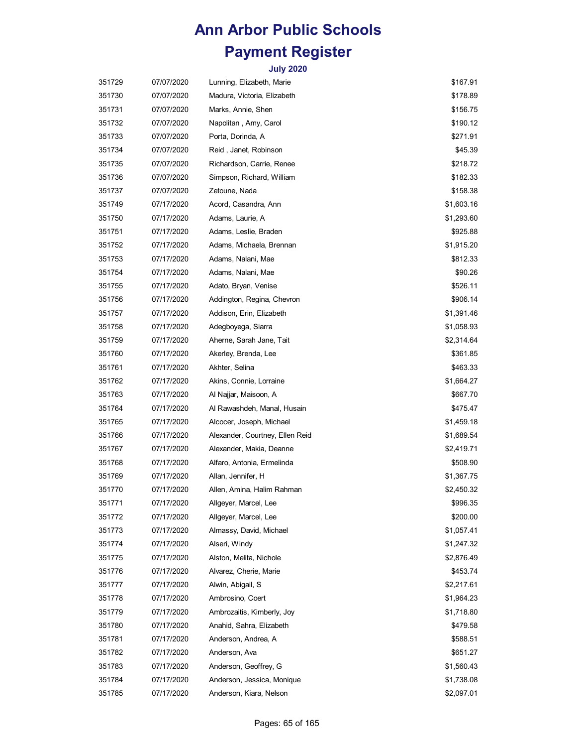| 351729 | 07/07/2020 | Lunning, Elizabeth, Marie       | \$167.91   |
|--------|------------|---------------------------------|------------|
| 351730 | 07/07/2020 | Madura, Victoria, Elizabeth     | \$178.89   |
| 351731 | 07/07/2020 | Marks, Annie, Shen              | \$156.75   |
| 351732 | 07/07/2020 | Napolitan , Amy, Carol          | \$190.12   |
| 351733 | 07/07/2020 | Porta, Dorinda, A               | \$271.91   |
| 351734 | 07/07/2020 | Reid, Janet, Robinson           | \$45.39    |
| 351735 | 07/07/2020 | Richardson, Carrie, Renee       | \$218.72   |
| 351736 | 07/07/2020 | Simpson, Richard, William       | \$182.33   |
| 351737 | 07/07/2020 | Zetoune, Nada                   | \$158.38   |
| 351749 | 07/17/2020 | Acord, Casandra, Ann            | \$1,603.16 |
| 351750 | 07/17/2020 | Adams, Laurie, A                | \$1,293.60 |
| 351751 | 07/17/2020 | Adams, Leslie, Braden           | \$925.88   |
| 351752 | 07/17/2020 | Adams, Michaela, Brennan        | \$1,915.20 |
| 351753 | 07/17/2020 | Adams, Nalani, Mae              | \$812.33   |
| 351754 | 07/17/2020 | Adams, Nalani, Mae              | \$90.26    |
| 351755 | 07/17/2020 | Adato, Bryan, Venise            | \$526.11   |
| 351756 | 07/17/2020 | Addington, Regina, Chevron      | \$906.14   |
| 351757 | 07/17/2020 | Addison, Erin, Elizabeth        | \$1,391.46 |
| 351758 | 07/17/2020 | Adegboyega, Siarra              | \$1,058.93 |
| 351759 | 07/17/2020 | Aherne, Sarah Jane, Tait        | \$2,314.64 |
| 351760 | 07/17/2020 | Akerley, Brenda, Lee            | \$361.85   |
| 351761 | 07/17/2020 | Akhter, Selina                  | \$463.33   |
| 351762 | 07/17/2020 | Akins, Connie, Lorraine         | \$1,664.27 |
| 351763 | 07/17/2020 | Al Najjar, Maisoon, A           | \$667.70   |
| 351764 | 07/17/2020 | Al Rawashdeh, Manal, Husain     | \$475.47   |
| 351765 | 07/17/2020 | Alcocer, Joseph, Michael        | \$1,459.18 |
| 351766 | 07/17/2020 | Alexander, Courtney, Ellen Reid | \$1,689.54 |
| 351767 | 07/17/2020 | Alexander, Makia, Deanne        | \$2,419.71 |
| 351768 | 07/17/2020 | Alfaro, Antonia, Ermelinda      | \$508.90   |
| 351769 | 07/17/2020 | Allan, Jennifer, H              | \$1,367.75 |
| 351770 | 07/17/2020 | Allen, Amina, Halim Rahman      | \$2,450.32 |
| 351771 | 07/17/2020 | Allgeyer, Marcel, Lee           | \$996.35   |
| 351772 | 07/17/2020 | Allgeyer, Marcel, Lee           | \$200.00   |
| 351773 | 07/17/2020 | Almassy, David, Michael         | \$1,057.41 |
| 351774 | 07/17/2020 | Alseri, Windy                   | \$1,247.32 |
| 351775 | 07/17/2020 | Alston, Melita, Nichole         | \$2,876.49 |
| 351776 | 07/17/2020 | Alvarez, Cherie, Marie          | \$453.74   |
| 351777 | 07/17/2020 | Alwin, Abigail, S               | \$2,217.61 |
| 351778 | 07/17/2020 | Ambrosino, Coert                | \$1,964.23 |
| 351779 | 07/17/2020 | Ambrozaitis, Kimberly, Joy      | \$1,718.80 |
| 351780 | 07/17/2020 | Anahid, Sahra, Elizabeth        | \$479.58   |
| 351781 | 07/17/2020 | Anderson, Andrea, A             | \$588.51   |
| 351782 | 07/17/2020 | Anderson, Ava                   | \$651.27   |
| 351783 | 07/17/2020 | Anderson, Geoffrey, G           | \$1,560.43 |
| 351784 | 07/17/2020 | Anderson, Jessica, Monique      | \$1,738.08 |
| 351785 | 07/17/2020 | Anderson, Kiara, Nelson         | \$2,097.01 |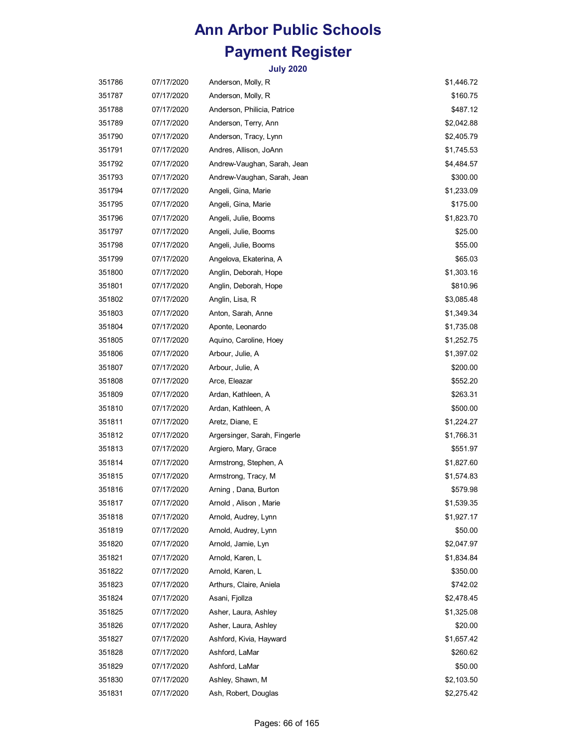| 351786 | 07/17/2020 | Anderson, Molly, R           | \$1,446.72 |
|--------|------------|------------------------------|------------|
| 351787 | 07/17/2020 | Anderson, Molly, R           | \$160.75   |
| 351788 | 07/17/2020 | Anderson, Philicia, Patrice  | \$487.12   |
| 351789 | 07/17/2020 | Anderson, Terry, Ann         | \$2,042.88 |
| 351790 | 07/17/2020 | Anderson, Tracy, Lynn        | \$2,405.79 |
| 351791 | 07/17/2020 | Andres, Allison, JoAnn       | \$1,745.53 |
| 351792 | 07/17/2020 | Andrew-Vaughan, Sarah, Jean  | \$4,484.57 |
| 351793 | 07/17/2020 | Andrew-Vaughan, Sarah, Jean  | \$300.00   |
| 351794 | 07/17/2020 | Angeli, Gina, Marie          | \$1,233.09 |
| 351795 | 07/17/2020 | Angeli, Gina, Marie          | \$175.00   |
| 351796 | 07/17/2020 | Angeli, Julie, Booms         | \$1,823.70 |
| 351797 | 07/17/2020 | Angeli, Julie, Booms         | \$25.00    |
| 351798 | 07/17/2020 | Angeli, Julie, Booms         | \$55.00    |
| 351799 | 07/17/2020 | Angelova, Ekaterina, A       | \$65.03    |
| 351800 | 07/17/2020 | Anglin, Deborah, Hope        | \$1,303.16 |
| 351801 | 07/17/2020 | Anglin, Deborah, Hope        | \$810.96   |
| 351802 | 07/17/2020 | Anglin, Lisa, R              | \$3,085.48 |
| 351803 | 07/17/2020 | Anton, Sarah, Anne           | \$1,349.34 |
| 351804 | 07/17/2020 | Aponte, Leonardo             | \$1,735.08 |
| 351805 | 07/17/2020 | Aquino, Caroline, Hoey       | \$1,252.75 |
| 351806 | 07/17/2020 | Arbour, Julie, A             | \$1,397.02 |
| 351807 | 07/17/2020 | Arbour, Julie, A             | \$200.00   |
| 351808 | 07/17/2020 | Arce, Eleazar                | \$552.20   |
| 351809 | 07/17/2020 | Ardan, Kathleen, A           | \$263.31   |
| 351810 | 07/17/2020 | Ardan, Kathleen, A           | \$500.00   |
| 351811 | 07/17/2020 | Aretz, Diane, E              | \$1,224.27 |
| 351812 | 07/17/2020 | Argersinger, Sarah, Fingerle | \$1,766.31 |
| 351813 | 07/17/2020 | Argiero, Mary, Grace         | \$551.97   |
| 351814 | 07/17/2020 | Armstrong, Stephen, A        | \$1,827.60 |
| 351815 | 07/17/2020 | Armstrong, Tracy, M          | \$1,574.83 |
| 351816 | 07/17/2020 | Arning, Dana, Burton         | \$579.98   |
| 351817 | 07/17/2020 | Arnold, Alison, Marie        | \$1,539.35 |
| 351818 | 07/17/2020 | Arnold, Audrey, Lynn         | \$1,927.17 |
| 351819 | 07/17/2020 | Arnold, Audrey, Lynn         | \$50.00    |
| 351820 | 07/17/2020 | Arnold, Jamie, Lyn           | \$2,047.97 |
| 351821 | 07/17/2020 | Arnold, Karen, L             | \$1,834.84 |
| 351822 | 07/17/2020 | Arnold, Karen, L             | \$350.00   |
| 351823 | 07/17/2020 | Arthurs, Claire, Aniela      | \$742.02   |
| 351824 | 07/17/2020 | Asani, Fjollza               | \$2,478.45 |
| 351825 | 07/17/2020 | Asher, Laura, Ashley         | \$1,325.08 |
| 351826 | 07/17/2020 | Asher, Laura, Ashley         | \$20.00    |
| 351827 | 07/17/2020 | Ashford, Kivia, Hayward      | \$1,657.42 |
| 351828 | 07/17/2020 | Ashford, LaMar               | \$260.62   |
| 351829 | 07/17/2020 | Ashford, LaMar               | \$50.00    |
| 351830 | 07/17/2020 | Ashley, Shawn, M             | \$2,103.50 |
| 351831 | 07/17/2020 | Ash, Robert, Douglas         | \$2,275.42 |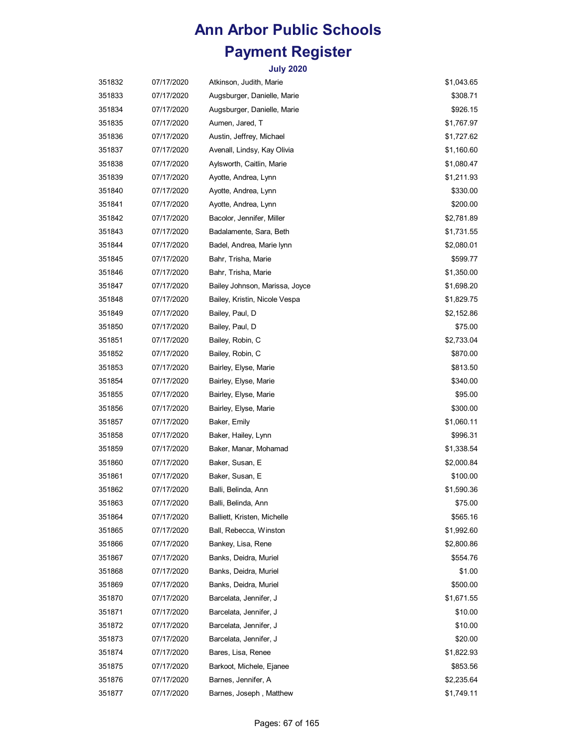| 351832 | 07/17/2020 | Atkinson, Judith, Marie        | \$1,043.65 |
|--------|------------|--------------------------------|------------|
| 351833 | 07/17/2020 | Augsburger, Danielle, Marie    | \$308.71   |
| 351834 | 07/17/2020 | Augsburger, Danielle, Marie    | \$926.15   |
| 351835 | 07/17/2020 | Aumen, Jared, T                | \$1,767.97 |
| 351836 | 07/17/2020 | Austin, Jeffrey, Michael       | \$1,727.62 |
| 351837 | 07/17/2020 | Avenall, Lindsy, Kay Olivia    | \$1,160.60 |
| 351838 | 07/17/2020 | Aylsworth, Caitlin, Marie      | \$1,080.47 |
| 351839 | 07/17/2020 | Ayotte, Andrea, Lynn           | \$1,211.93 |
| 351840 | 07/17/2020 | Ayotte, Andrea, Lynn           | \$330.00   |
| 351841 | 07/17/2020 | Ayotte, Andrea, Lynn           | \$200.00   |
| 351842 | 07/17/2020 | Bacolor, Jennifer, Miller      | \$2,781.89 |
| 351843 | 07/17/2020 | Badalamente, Sara, Beth        | \$1,731.55 |
| 351844 | 07/17/2020 | Badel, Andrea, Marie lynn      | \$2,080.01 |
| 351845 | 07/17/2020 | Bahr, Trisha, Marie            | \$599.77   |
| 351846 | 07/17/2020 | Bahr, Trisha, Marie            | \$1,350.00 |
| 351847 | 07/17/2020 | Bailey Johnson, Marissa, Joyce | \$1,698.20 |
| 351848 | 07/17/2020 | Bailey, Kristin, Nicole Vespa  | \$1,829.75 |
| 351849 | 07/17/2020 | Bailey, Paul, D                | \$2,152.86 |
| 351850 | 07/17/2020 | Bailey, Paul, D                | \$75.00    |
| 351851 | 07/17/2020 | Bailey, Robin, C               | \$2,733.04 |
| 351852 | 07/17/2020 | Bailey, Robin, C               | \$870.00   |
| 351853 | 07/17/2020 | Bairley, Elyse, Marie          | \$813.50   |
| 351854 | 07/17/2020 | Bairley, Elyse, Marie          | \$340.00   |
| 351855 | 07/17/2020 | Bairley, Elyse, Marie          | \$95.00    |
| 351856 | 07/17/2020 | Bairley, Elyse, Marie          | \$300.00   |
| 351857 | 07/17/2020 | Baker, Emily                   | \$1,060.11 |
| 351858 | 07/17/2020 | Baker, Hailey, Lynn            | \$996.31   |
| 351859 | 07/17/2020 | Baker, Manar, Mohamad          | \$1,338.54 |
| 351860 | 07/17/2020 | Baker, Susan, E                | \$2,000.84 |
| 351861 | 07/17/2020 | Baker, Susan, E                | \$100.00   |
| 351862 | 07/17/2020 | Balli, Belinda, Ann            | \$1,590.36 |
| 351863 | 07/17/2020 | Balli, Belinda, Ann            | \$75.00    |
| 351864 | 07/17/2020 | Balliett, Kristen, Michelle    | \$565.16   |
| 351865 | 07/17/2020 | Ball, Rebecca, Winston         | \$1,992.60 |
| 351866 | 07/17/2020 | Bankey, Lisa, Rene             | \$2,800.86 |
| 351867 | 07/17/2020 | Banks, Deidra, Muriel          | \$554.76   |
| 351868 | 07/17/2020 | Banks, Deidra, Muriel          | \$1.00     |
| 351869 | 07/17/2020 | Banks, Deidra, Muriel          | \$500.00   |
| 351870 | 07/17/2020 | Barcelata, Jennifer, J         | \$1,671.55 |
| 351871 | 07/17/2020 | Barcelata, Jennifer, J         | \$10.00    |
| 351872 | 07/17/2020 | Barcelata, Jennifer, J         | \$10.00    |
| 351873 | 07/17/2020 | Barcelata, Jennifer, J         | \$20.00    |
| 351874 | 07/17/2020 | Bares, Lisa, Renee             | \$1,822.93 |
| 351875 | 07/17/2020 | Barkoot, Michele, Ejanee       | \$853.56   |
| 351876 | 07/17/2020 | Barnes, Jennifer, A            | \$2,235.64 |
| 351877 | 07/17/2020 | Barnes, Joseph, Matthew        | \$1,749.11 |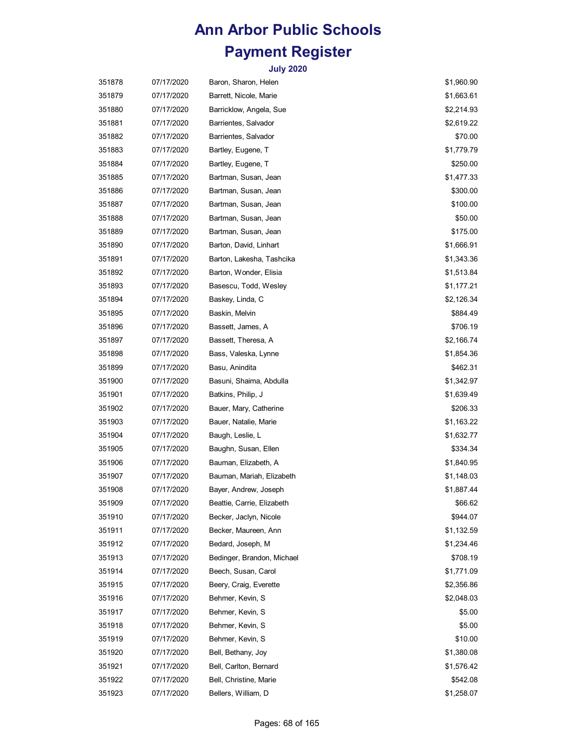| 351878 | 07/17/2020 | Baron, Sharon, Helen       | \$1,960.90 |
|--------|------------|----------------------------|------------|
| 351879 | 07/17/2020 | Barrett, Nicole, Marie     | \$1,663.61 |
| 351880 | 07/17/2020 | Barricklow, Angela, Sue    | \$2,214.93 |
| 351881 | 07/17/2020 | Barrientes, Salvador       | \$2,619.22 |
| 351882 | 07/17/2020 | Barrientes, Salvador       | \$70.00    |
| 351883 | 07/17/2020 | Bartley, Eugene, T         | \$1,779.79 |
| 351884 | 07/17/2020 | Bartley, Eugene, T         | \$250.00   |
| 351885 | 07/17/2020 | Bartman, Susan, Jean       | \$1,477.33 |
| 351886 | 07/17/2020 | Bartman, Susan, Jean       | \$300.00   |
| 351887 | 07/17/2020 | Bartman, Susan, Jean       | \$100.00   |
| 351888 | 07/17/2020 | Bartman, Susan, Jean       | \$50.00    |
| 351889 | 07/17/2020 | Bartman, Susan, Jean       | \$175.00   |
| 351890 | 07/17/2020 | Barton, David, Linhart     | \$1,666.91 |
| 351891 | 07/17/2020 | Barton, Lakesha, Tashcika  | \$1,343.36 |
| 351892 | 07/17/2020 | Barton, Wonder, Elisia     | \$1,513.84 |
| 351893 | 07/17/2020 | Basescu, Todd, Wesley      | \$1,177.21 |
| 351894 | 07/17/2020 | Baskey, Linda, C           | \$2,126.34 |
| 351895 | 07/17/2020 | Baskin, Melvin             | \$884.49   |
| 351896 | 07/17/2020 | Bassett, James, A          | \$706.19   |
| 351897 | 07/17/2020 | Bassett, Theresa, A        | \$2,166.74 |
| 351898 | 07/17/2020 | Bass, Valeska, Lynne       | \$1,854.36 |
| 351899 | 07/17/2020 | Basu, Anindita             | \$462.31   |
| 351900 | 07/17/2020 | Basuni, Shaima, Abdulla    | \$1,342.97 |
| 351901 | 07/17/2020 | Batkins, Philip, J         | \$1,639.49 |
| 351902 | 07/17/2020 | Bauer, Mary, Catherine     | \$206.33   |
| 351903 | 07/17/2020 | Bauer, Natalie, Marie      | \$1,163.22 |
| 351904 | 07/17/2020 | Baugh, Leslie, L           | \$1,632.77 |
| 351905 | 07/17/2020 | Baughn, Susan, Ellen       | \$334.34   |
| 351906 | 07/17/2020 | Bauman, Elizabeth, A       | \$1,840.95 |
| 351907 | 07/17/2020 | Bauman, Mariah, Elizabeth  | \$1,148.03 |
| 351908 | 07/17/2020 | Bayer, Andrew, Joseph      | \$1,887.44 |
| 351909 | 07/17/2020 | Beattie, Carrie, Elizabeth | \$66.62    |
| 351910 | 07/17/2020 | Becker, Jaclyn, Nicole     | \$944.07   |
| 351911 | 07/17/2020 | Becker, Maureen, Ann       | \$1,132.59 |
| 351912 | 07/17/2020 | Bedard, Joseph, M          | \$1,234.46 |
| 351913 | 07/17/2020 | Bedinger, Brandon, Michael | \$708.19   |
| 351914 | 07/17/2020 | Beech, Susan, Carol        | \$1,771.09 |
| 351915 | 07/17/2020 | Beery, Craig, Everette     | \$2,356.86 |
| 351916 | 07/17/2020 | Behmer, Kevin, S           | \$2,048.03 |
| 351917 | 07/17/2020 | Behmer, Kevin, S           | \$5.00     |
| 351918 | 07/17/2020 | Behmer, Kevin, S           | \$5.00     |
| 351919 | 07/17/2020 | Behmer, Kevin, S           | \$10.00    |
| 351920 | 07/17/2020 | Bell, Bethany, Joy         | \$1,380.08 |
| 351921 | 07/17/2020 | Bell, Carlton, Bernard     | \$1,576.42 |
| 351922 | 07/17/2020 | Bell, Christine, Marie     | \$542.08   |
| 351923 | 07/17/2020 | Bellers, William, D        | \$1,258.07 |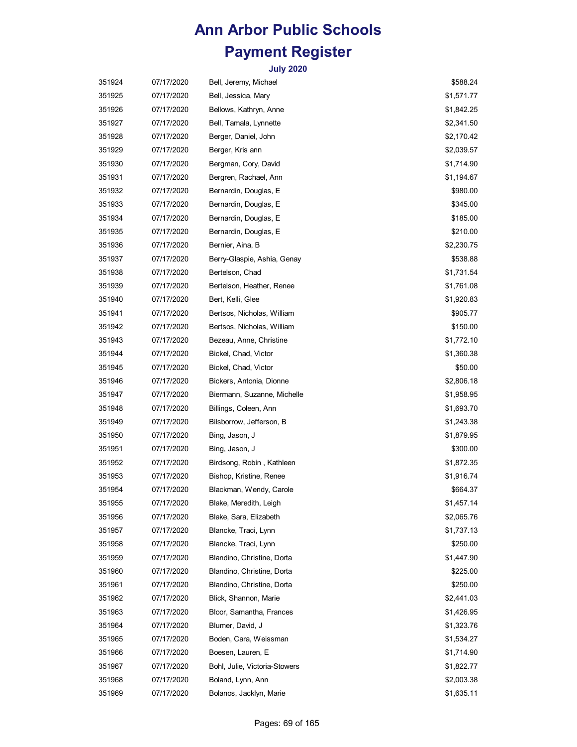| 351924 | 07/17/2020 | Bell, Jeremy, Michael         | \$588.24   |
|--------|------------|-------------------------------|------------|
| 351925 | 07/17/2020 | Bell, Jessica, Mary           | \$1,571.77 |
| 351926 | 07/17/2020 | Bellows, Kathryn, Anne        | \$1,842.25 |
| 351927 | 07/17/2020 | Bell, Tamala, Lynnette        | \$2,341.50 |
| 351928 | 07/17/2020 | Berger, Daniel, John          | \$2,170.42 |
| 351929 | 07/17/2020 | Berger, Kris ann              | \$2,039.57 |
| 351930 | 07/17/2020 | Bergman, Cory, David          | \$1,714.90 |
| 351931 | 07/17/2020 | Bergren, Rachael, Ann         | \$1,194.67 |
| 351932 | 07/17/2020 | Bernardin, Douglas, E         | \$980.00   |
| 351933 | 07/17/2020 | Bernardin, Douglas, E         | \$345.00   |
| 351934 | 07/17/2020 | Bernardin, Douglas, E         | \$185.00   |
| 351935 | 07/17/2020 | Bernardin, Douglas, E         | \$210.00   |
| 351936 | 07/17/2020 | Bernier, Aina, B              | \$2,230.75 |
| 351937 | 07/17/2020 | Berry-Glaspie, Ashia, Genay   | \$538.88   |
| 351938 | 07/17/2020 | Bertelson, Chad               | \$1,731.54 |
| 351939 | 07/17/2020 | Bertelson, Heather, Renee     | \$1,761.08 |
| 351940 | 07/17/2020 | Bert, Kelli, Glee             | \$1,920.83 |
| 351941 | 07/17/2020 | Bertsos, Nicholas, William    | \$905.77   |
| 351942 | 07/17/2020 | Bertsos, Nicholas, William    | \$150.00   |
| 351943 | 07/17/2020 | Bezeau, Anne, Christine       | \$1,772.10 |
| 351944 | 07/17/2020 | Bickel, Chad, Victor          | \$1,360.38 |
| 351945 | 07/17/2020 | Bickel, Chad, Victor          | \$50.00    |
| 351946 | 07/17/2020 | Bickers, Antonia, Dionne      | \$2,806.18 |
| 351947 | 07/17/2020 | Biermann, Suzanne, Michelle   | \$1,958.95 |
| 351948 | 07/17/2020 | Billings, Coleen, Ann         | \$1,693.70 |
| 351949 | 07/17/2020 | Bilsborrow, Jefferson, B      | \$1,243.38 |
| 351950 | 07/17/2020 | Bing, Jason, J                | \$1,879.95 |
| 351951 | 07/17/2020 | Bing, Jason, J                | \$300.00   |
| 351952 | 07/17/2020 | Birdsong, Robin, Kathleen     | \$1,872.35 |
| 351953 | 07/17/2020 | Bishop, Kristine, Renee       | \$1,916.74 |
| 351954 | 07/17/2020 | Blackman, Wendy, Carole       | \$664.37   |
| 351955 | 07/17/2020 | Blake, Meredith, Leigh        | \$1,457.14 |
| 351956 | 07/17/2020 | Blake, Sara, Elizabeth        | \$2,065.76 |
| 351957 | 07/17/2020 | Blancke, Traci, Lynn          | \$1,737.13 |
| 351958 | 07/17/2020 | Blancke, Traci, Lynn          | \$250.00   |
| 351959 | 07/17/2020 | Blandino, Christine, Dorta    | \$1,447.90 |
| 351960 | 07/17/2020 | Blandino, Christine, Dorta    | \$225.00   |
| 351961 | 07/17/2020 | Blandino, Christine, Dorta    | \$250.00   |
| 351962 | 07/17/2020 | Blick, Shannon, Marie         | \$2,441.03 |
| 351963 | 07/17/2020 | Bloor, Samantha, Frances      | \$1,426.95 |
| 351964 | 07/17/2020 | Blumer, David, J              | \$1,323.76 |
| 351965 | 07/17/2020 | Boden, Cara, Weissman         | \$1,534.27 |
| 351966 | 07/17/2020 | Boesen, Lauren, E             | \$1,714.90 |
| 351967 | 07/17/2020 | Bohl, Julie, Victoria-Stowers | \$1,822.77 |
| 351968 | 07/17/2020 | Boland, Lynn, Ann             | \$2,003.38 |
| 351969 | 07/17/2020 | Bolanos, Jacklyn, Marie       | \$1,635.11 |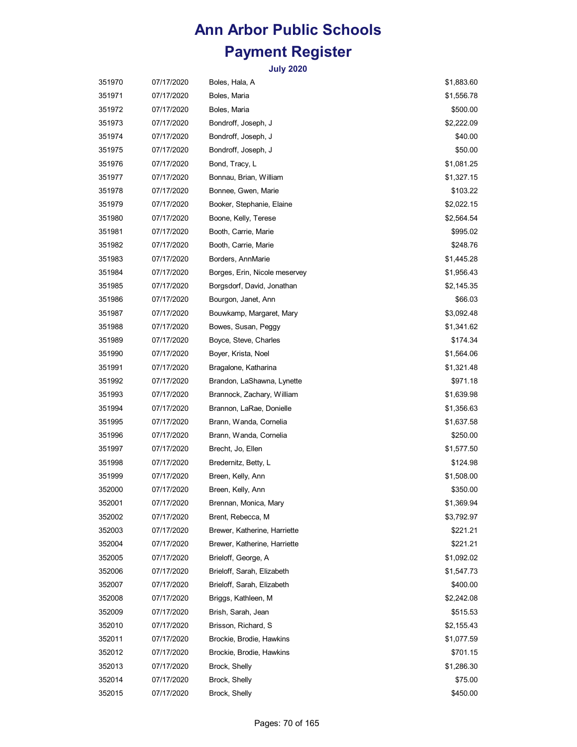| 351970 | 07/17/2020 | Boles, Hala, A                | \$1,883.60 |
|--------|------------|-------------------------------|------------|
| 351971 | 07/17/2020 | Boles, Maria                  | \$1,556.78 |
| 351972 | 07/17/2020 | Boles, Maria                  | \$500.00   |
| 351973 | 07/17/2020 | Bondroff, Joseph, J           | \$2,222.09 |
| 351974 | 07/17/2020 | Bondroff, Joseph, J           | \$40.00    |
| 351975 | 07/17/2020 | Bondroff, Joseph, J           | \$50.00    |
| 351976 | 07/17/2020 | Bond, Tracy, L                | \$1,081.25 |
| 351977 | 07/17/2020 | Bonnau, Brian, William        | \$1,327.15 |
| 351978 | 07/17/2020 | Bonnee, Gwen, Marie           | \$103.22   |
| 351979 | 07/17/2020 | Booker, Stephanie, Elaine     | \$2,022.15 |
| 351980 | 07/17/2020 | Boone, Kelly, Terese          | \$2,564.54 |
| 351981 | 07/17/2020 | Booth, Carrie, Marie          | \$995.02   |
| 351982 | 07/17/2020 | Booth, Carrie, Marie          | \$248.76   |
| 351983 | 07/17/2020 | Borders, AnnMarie             | \$1,445.28 |
| 351984 | 07/17/2020 | Borges, Erin, Nicole meservey | \$1,956.43 |
| 351985 | 07/17/2020 | Borgsdorf, David, Jonathan    | \$2,145.35 |
| 351986 | 07/17/2020 | Bourgon, Janet, Ann           | \$66.03    |
| 351987 | 07/17/2020 | Bouwkamp, Margaret, Mary      | \$3,092.48 |
| 351988 | 07/17/2020 | Bowes, Susan, Peggy           | \$1,341.62 |
| 351989 | 07/17/2020 | Boyce, Steve, Charles         | \$174.34   |
| 351990 | 07/17/2020 | Boyer, Krista, Noel           | \$1,564.06 |
| 351991 | 07/17/2020 | Bragalone, Katharina          | \$1,321.48 |
| 351992 | 07/17/2020 | Brandon, LaShawna, Lynette    | \$971.18   |
| 351993 | 07/17/2020 | Brannock, Zachary, William    | \$1,639.98 |
| 351994 | 07/17/2020 | Brannon, LaRae, Donielle      | \$1,356.63 |
| 351995 | 07/17/2020 | Brann, Wanda, Cornelia        | \$1,637.58 |
| 351996 | 07/17/2020 | Brann, Wanda, Cornelia        | \$250.00   |
| 351997 | 07/17/2020 | Brecht, Jo, Ellen             | \$1,577.50 |
| 351998 | 07/17/2020 | Bredernitz, Betty, L          | \$124.98   |
| 351999 | 07/17/2020 | Breen, Kelly, Ann             | \$1,508.00 |
| 352000 | 07/17/2020 | Breen, Kelly, Ann             | \$350.00   |
| 352001 | 07/17/2020 | Brennan, Monica, Mary         | \$1,369.94 |
| 352002 | 07/17/2020 | Brent, Rebecca, M             | \$3,792.97 |
| 352003 | 07/17/2020 | Brewer, Katherine, Harriette  | \$221.21   |
| 352004 | 07/17/2020 | Brewer, Katherine, Harriette  | \$221.21   |
| 352005 | 07/17/2020 | Brieloff, George, A           | \$1,092.02 |
| 352006 | 07/17/2020 | Brieloff, Sarah, Elizabeth    | \$1,547.73 |
| 352007 | 07/17/2020 | Brieloff, Sarah, Elizabeth    | \$400.00   |
| 352008 | 07/17/2020 | Briggs, Kathleen, M           | \$2,242.08 |
| 352009 | 07/17/2020 | Brish, Sarah, Jean            | \$515.53   |
| 352010 | 07/17/2020 | Brisson, Richard, S           | \$2,155.43 |
| 352011 | 07/17/2020 | Brockie, Brodie, Hawkins      | \$1,077.59 |
| 352012 | 07/17/2020 | Brockie, Brodie, Hawkins      | \$701.15   |
| 352013 | 07/17/2020 | Brock, Shelly                 | \$1,286.30 |
| 352014 | 07/17/2020 | Brock, Shelly                 | \$75.00    |
| 352015 | 07/17/2020 | Brock, Shelly                 | \$450.00   |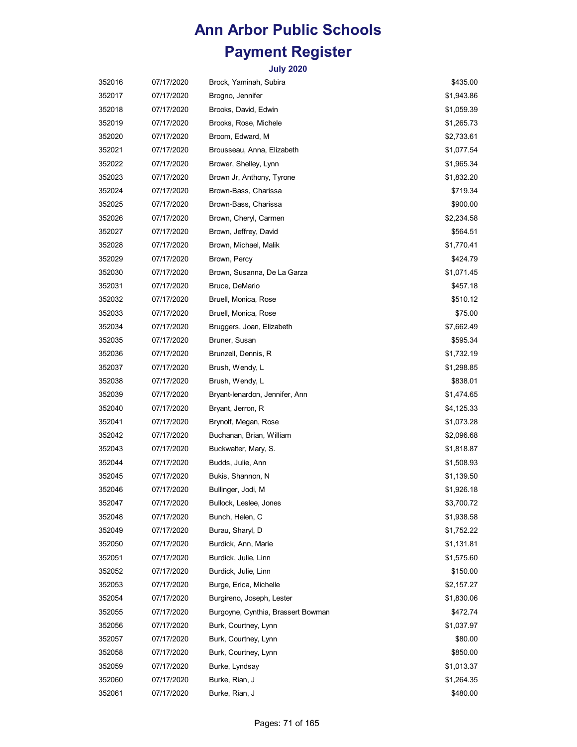| 352016 | 07/17/2020 | Brock, Yaminah, Subira             | \$435.00   |
|--------|------------|------------------------------------|------------|
| 352017 | 07/17/2020 | Brogno, Jennifer                   | \$1,943.86 |
| 352018 | 07/17/2020 | Brooks, David, Edwin               | \$1,059.39 |
| 352019 | 07/17/2020 | Brooks, Rose, Michele              | \$1,265.73 |
| 352020 | 07/17/2020 | Broom, Edward, M                   | \$2,733.61 |
| 352021 | 07/17/2020 | Brousseau, Anna, Elizabeth         | \$1,077.54 |
| 352022 | 07/17/2020 | Brower, Shelley, Lynn              | \$1,965.34 |
| 352023 | 07/17/2020 | Brown Jr, Anthony, Tyrone          | \$1,832.20 |
| 352024 | 07/17/2020 | Brown-Bass, Charissa               | \$719.34   |
| 352025 | 07/17/2020 | Brown-Bass, Charissa               | \$900.00   |
| 352026 | 07/17/2020 | Brown, Cheryl, Carmen              | \$2,234.58 |
| 352027 | 07/17/2020 | Brown, Jeffrey, David              | \$564.51   |
| 352028 | 07/17/2020 | Brown, Michael, Malik              | \$1,770.41 |
| 352029 | 07/17/2020 | Brown, Percy                       | \$424.79   |
| 352030 | 07/17/2020 | Brown, Susanna, De La Garza        | \$1,071.45 |
| 352031 | 07/17/2020 | Bruce, DeMario                     | \$457.18   |
| 352032 | 07/17/2020 | Bruell, Monica, Rose               | \$510.12   |
| 352033 | 07/17/2020 | Bruell, Monica, Rose               | \$75.00    |
| 352034 | 07/17/2020 | Bruggers, Joan, Elizabeth          | \$7,662.49 |
| 352035 | 07/17/2020 | Bruner, Susan                      | \$595.34   |
| 352036 | 07/17/2020 | Brunzell, Dennis, R                | \$1,732.19 |
| 352037 | 07/17/2020 | Brush, Wendy, L                    | \$1,298.85 |
| 352038 | 07/17/2020 | Brush, Wendy, L                    | \$838.01   |
| 352039 | 07/17/2020 | Bryant-lenardon, Jennifer, Ann     | \$1,474.65 |
| 352040 | 07/17/2020 | Bryant, Jerron, R                  | \$4,125.33 |
| 352041 | 07/17/2020 | Brynolf, Megan, Rose               | \$1,073.28 |
| 352042 | 07/17/2020 | Buchanan, Brian, William           | \$2,096.68 |
| 352043 | 07/17/2020 | Buckwalter, Mary, S.               | \$1,818.87 |
| 352044 | 07/17/2020 | Budds, Julie, Ann                  | \$1,508.93 |
| 352045 | 07/17/2020 | Bukis, Shannon, N                  | \$1,139.50 |
| 352046 | 07/17/2020 | Bullinger, Jodi, M                 | \$1,926.18 |
| 352047 | 07/17/2020 | Bullock, Leslee, Jones             | \$3,700.72 |
| 352048 | 07/17/2020 | Bunch, Helen, C                    | \$1,938.58 |
| 352049 | 07/17/2020 | Burau, Sharyl, D                   | \$1,752.22 |
| 352050 | 07/17/2020 | Burdick, Ann, Marie                | \$1,131.81 |
| 352051 | 07/17/2020 | Burdick, Julie, Linn               | \$1,575.60 |
| 352052 | 07/17/2020 | Burdick, Julie, Linn               | \$150.00   |
| 352053 | 07/17/2020 | Burge, Erica, Michelle             | \$2,157.27 |
| 352054 | 07/17/2020 | Burgireno, Joseph, Lester          | \$1,830.06 |
| 352055 | 07/17/2020 | Burgoyne, Cynthia, Brassert Bowman | \$472.74   |
| 352056 | 07/17/2020 | Burk, Courtney, Lynn               | \$1,037.97 |
| 352057 | 07/17/2020 | Burk, Courtney, Lynn               | \$80.00    |
| 352058 | 07/17/2020 | Burk, Courtney, Lynn               | \$850.00   |
| 352059 | 07/17/2020 | Burke, Lyndsay                     | \$1,013.37 |
| 352060 | 07/17/2020 | Burke, Rian, J                     | \$1,264.35 |
| 352061 | 07/17/2020 | Burke, Rian, J                     | \$480.00   |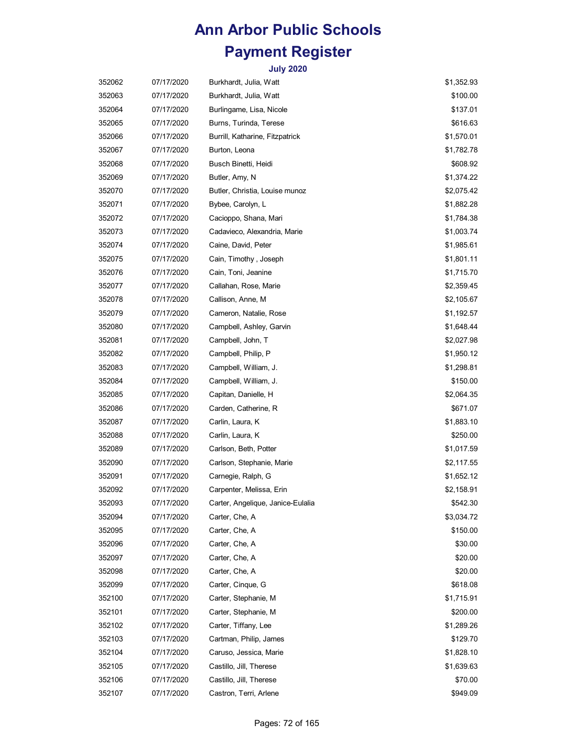| 352062 | 07/17/2020 | Burkhardt, Julia, Watt            | \$1,352.93 |
|--------|------------|-----------------------------------|------------|
| 352063 | 07/17/2020 | Burkhardt, Julia, Watt            | \$100.00   |
| 352064 | 07/17/2020 | Burlingame, Lisa, Nicole          | \$137.01   |
| 352065 | 07/17/2020 | Burns, Turinda, Terese            | \$616.63   |
| 352066 | 07/17/2020 | Burrill, Katharine, Fitzpatrick   | \$1,570.01 |
| 352067 | 07/17/2020 | Burton, Leona                     | \$1,782.78 |
| 352068 | 07/17/2020 | Busch Binetti, Heidi              | \$608.92   |
| 352069 | 07/17/2020 | Butler, Amy, N                    | \$1,374.22 |
| 352070 | 07/17/2020 | Butler, Christia, Louise munoz    | \$2,075.42 |
| 352071 | 07/17/2020 | Bybee, Carolyn, L                 | \$1,882.28 |
| 352072 | 07/17/2020 | Cacioppo, Shana, Mari             | \$1,784.38 |
| 352073 | 07/17/2020 | Cadavieco, Alexandria, Marie      | \$1,003.74 |
| 352074 | 07/17/2020 | Caine, David, Peter               | \$1,985.61 |
| 352075 | 07/17/2020 | Cain, Timothy, Joseph             | \$1,801.11 |
| 352076 | 07/17/2020 | Cain, Toni, Jeanine               | \$1,715.70 |
| 352077 | 07/17/2020 | Callahan, Rose, Marie             | \$2,359.45 |
| 352078 | 07/17/2020 | Callison, Anne, M                 | \$2,105.67 |
| 352079 | 07/17/2020 | Cameron, Natalie, Rose            | \$1,192.57 |
| 352080 | 07/17/2020 | Campbell, Ashley, Garvin          | \$1,648.44 |
| 352081 | 07/17/2020 | Campbell, John, T                 | \$2,027.98 |
| 352082 | 07/17/2020 | Campbell, Philip, P               | \$1,950.12 |
| 352083 | 07/17/2020 | Campbell, William, J.             | \$1,298.81 |
| 352084 | 07/17/2020 | Campbell, William, J.             | \$150.00   |
| 352085 | 07/17/2020 | Capitan, Danielle, H              | \$2,064.35 |
| 352086 | 07/17/2020 | Carden, Catherine, R              | \$671.07   |
| 352087 | 07/17/2020 | Carlin, Laura, K                  | \$1,883.10 |
| 352088 | 07/17/2020 | Carlin, Laura, K                  | \$250.00   |
| 352089 | 07/17/2020 | Carlson, Beth, Potter             | \$1,017.59 |
| 352090 | 07/17/2020 | Carlson, Stephanie, Marie         | \$2,117.55 |
| 352091 | 07/17/2020 | Carnegie, Ralph, G                | \$1,652.12 |
| 352092 | 07/17/2020 | Carpenter, Melissa, Erin          | \$2,158.91 |
| 352093 | 07/17/2020 | Carter, Angelique, Janice-Eulalia | \$542.30   |
| 352094 | 07/17/2020 | Carter, Che, A                    | \$3,034.72 |
| 352095 | 07/17/2020 | Carter, Che, A                    | \$150.00   |
| 352096 | 07/17/2020 | Carter, Che, A                    | \$30.00    |
| 352097 | 07/17/2020 | Carter, Che, A                    | \$20.00    |
| 352098 | 07/17/2020 | Carter, Che, A                    | \$20.00    |
| 352099 | 07/17/2020 | Carter, Cinque, G                 | \$618.08   |
| 352100 | 07/17/2020 | Carter, Stephanie, M              | \$1,715.91 |
| 352101 | 07/17/2020 | Carter, Stephanie, M              | \$200.00   |
| 352102 | 07/17/2020 | Carter, Tiffany, Lee              | \$1,289.26 |
| 352103 | 07/17/2020 | Cartman, Philip, James            | \$129.70   |
| 352104 | 07/17/2020 | Caruso, Jessica, Marie            | \$1,828.10 |
| 352105 | 07/17/2020 | Castillo, Jill, Therese           | \$1,639.63 |
| 352106 | 07/17/2020 | Castillo, Jill, Therese           | \$70.00    |
| 352107 | 07/17/2020 | Castron, Terri, Arlene            | \$949.09   |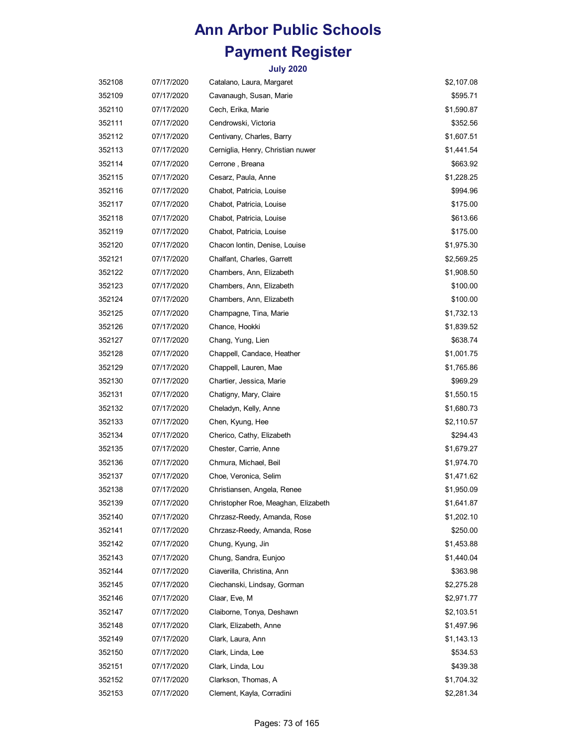| 352108 | 07/17/2020 | Catalano, Laura, Margaret           | \$2,107.08 |
|--------|------------|-------------------------------------|------------|
| 352109 | 07/17/2020 | Cavanaugh, Susan, Marie             | \$595.71   |
| 352110 | 07/17/2020 | Cech, Erika, Marie                  | \$1,590.87 |
| 352111 | 07/17/2020 | Cendrowski, Victoria                | \$352.56   |
| 352112 | 07/17/2020 | Centivany, Charles, Barry           | \$1,607.51 |
| 352113 | 07/17/2020 | Cerniglia, Henry, Christian nuwer   | \$1,441.54 |
| 352114 | 07/17/2020 | Cerrone, Breana                     | \$663.92   |
| 352115 | 07/17/2020 | Cesarz, Paula, Anne                 | \$1,228.25 |
| 352116 | 07/17/2020 | Chabot, Patricia, Louise            | \$994.96   |
| 352117 | 07/17/2020 | Chabot, Patricia, Louise            | \$175.00   |
| 352118 | 07/17/2020 | Chabot, Patricia, Louise            | \$613.66   |
| 352119 | 07/17/2020 | Chabot, Patricia, Louise            | \$175.00   |
| 352120 | 07/17/2020 | Chacon Iontin, Denise, Louise       | \$1,975.30 |
| 352121 | 07/17/2020 | Chalfant, Charles, Garrett          | \$2,569.25 |
| 352122 | 07/17/2020 | Chambers, Ann, Elizabeth            | \$1,908.50 |
| 352123 | 07/17/2020 | Chambers, Ann, Elizabeth            | \$100.00   |
| 352124 | 07/17/2020 | Chambers, Ann, Elizabeth            | \$100.00   |
| 352125 | 07/17/2020 | Champagne, Tina, Marie              | \$1,732.13 |
| 352126 | 07/17/2020 | Chance, Hookki                      | \$1,839.52 |
| 352127 | 07/17/2020 | Chang, Yung, Lien                   | \$638.74   |
| 352128 | 07/17/2020 | Chappell, Candace, Heather          | \$1,001.75 |
| 352129 | 07/17/2020 | Chappell, Lauren, Mae               | \$1,765.86 |
| 352130 | 07/17/2020 | Chartier, Jessica, Marie            | \$969.29   |
| 352131 | 07/17/2020 | Chatigny, Mary, Claire              | \$1,550.15 |
| 352132 | 07/17/2020 | Cheladyn, Kelly, Anne               | \$1,680.73 |
| 352133 | 07/17/2020 | Chen, Kyung, Hee                    | \$2,110.57 |
| 352134 | 07/17/2020 | Cherico, Cathy, Elizabeth           | \$294.43   |
| 352135 | 07/17/2020 | Chester, Carrie, Anne               | \$1,679.27 |
| 352136 | 07/17/2020 | Chmura, Michael, Beil               | \$1,974.70 |
| 352137 | 07/17/2020 | Choe, Veronica, Selim               | \$1,471.62 |
| 352138 | 07/17/2020 | Christiansen, Angela, Renee         | \$1,950.09 |
| 352139 | 07/17/2020 | Christopher Roe, Meaghan, Elizabeth | \$1,641.87 |
| 352140 | 07/17/2020 | Chrzasz-Reedy, Amanda, Rose         | \$1,202.10 |
| 352141 | 07/17/2020 | Chrzasz-Reedy, Amanda, Rose         | \$250.00   |
| 352142 | 07/17/2020 | Chung, Kyung, Jin                   | \$1,453.88 |
| 352143 | 07/17/2020 | Chung, Sandra, Eunjoo               | \$1,440.04 |
| 352144 | 07/17/2020 | Ciaverilla, Christina, Ann          | \$363.98   |
| 352145 | 07/17/2020 | Ciechanski, Lindsay, Gorman         | \$2,275.28 |
| 352146 | 07/17/2020 | Claar, Eve, M                       | \$2,971.77 |
| 352147 | 07/17/2020 | Claiborne, Tonya, Deshawn           | \$2,103.51 |
| 352148 | 07/17/2020 | Clark, Elizabeth, Anne              | \$1,497.96 |
| 352149 | 07/17/2020 | Clark, Laura, Ann                   | \$1,143.13 |
| 352150 | 07/17/2020 | Clark, Linda, Lee                   | \$534.53   |
| 352151 | 07/17/2020 | Clark, Linda, Lou                   | \$439.38   |
| 352152 | 07/17/2020 | Clarkson, Thomas, A                 | \$1,704.32 |
| 352153 | 07/17/2020 | Clement, Kayla, Corradini           | \$2,281.34 |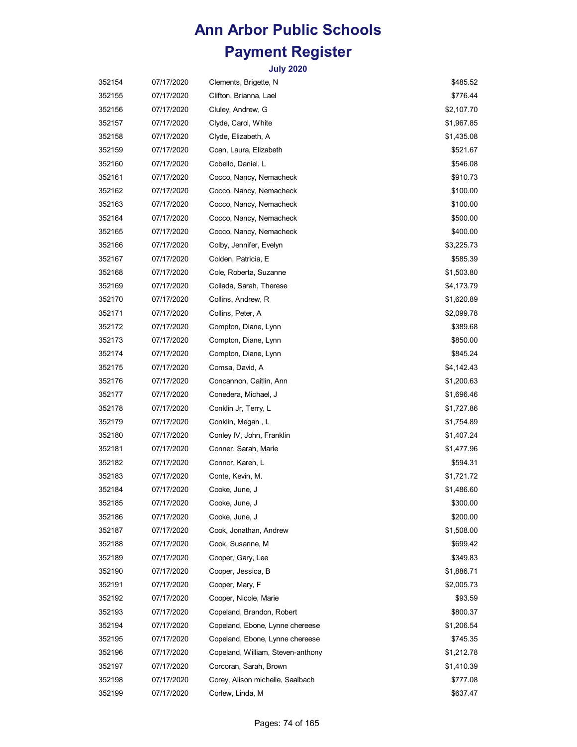| 352154 | 07/17/2020 | Clements, Brigette, N             | \$485.52   |
|--------|------------|-----------------------------------|------------|
| 352155 | 07/17/2020 | Clifton, Brianna, Lael            | \$776.44   |
| 352156 | 07/17/2020 | Cluley, Andrew, G                 | \$2,107.70 |
| 352157 | 07/17/2020 | Clyde, Carol, White               | \$1,967.85 |
| 352158 | 07/17/2020 | Clyde, Elizabeth, A               | \$1,435.08 |
| 352159 | 07/17/2020 | Coan, Laura, Elizabeth            | \$521.67   |
| 352160 | 07/17/2020 | Cobello, Daniel, L                | \$546.08   |
| 352161 | 07/17/2020 | Cocco, Nancy, Nemacheck           | \$910.73   |
| 352162 | 07/17/2020 | Cocco, Nancy, Nemacheck           | \$100.00   |
| 352163 | 07/17/2020 | Cocco, Nancy, Nemacheck           | \$100.00   |
| 352164 | 07/17/2020 | Cocco, Nancy, Nemacheck           | \$500.00   |
| 352165 | 07/17/2020 | Cocco, Nancy, Nemacheck           | \$400.00   |
| 352166 | 07/17/2020 | Colby, Jennifer, Evelyn           | \$3,225.73 |
| 352167 | 07/17/2020 | Colden, Patricia, E               | \$585.39   |
| 352168 | 07/17/2020 | Cole, Roberta, Suzanne            | \$1,503.80 |
| 352169 | 07/17/2020 | Collada, Sarah, Therese           | \$4,173.79 |
| 352170 | 07/17/2020 | Collins, Andrew, R                | \$1,620.89 |
| 352171 | 07/17/2020 | Collins, Peter, A                 | \$2,099.78 |
| 352172 | 07/17/2020 | Compton, Diane, Lynn              | \$389.68   |
| 352173 | 07/17/2020 | Compton, Diane, Lynn              | \$850.00   |
| 352174 | 07/17/2020 | Compton, Diane, Lynn              | \$845.24   |
| 352175 | 07/17/2020 | Comsa, David, A                   | \$4,142.43 |
| 352176 | 07/17/2020 | Concannon, Caitlin, Ann           | \$1,200.63 |
| 352177 | 07/17/2020 | Conedera, Michael, J              | \$1,696.46 |
| 352178 | 07/17/2020 | Conklin Jr, Terry, L              | \$1,727.86 |
| 352179 | 07/17/2020 | Conklin, Megan, L                 | \$1,754.89 |
| 352180 | 07/17/2020 | Conley IV, John, Franklin         | \$1,407.24 |
| 352181 | 07/17/2020 | Conner, Sarah, Marie              | \$1,477.96 |
| 352182 | 07/17/2020 | Connor, Karen, L                  | \$594.31   |
| 352183 | 07/17/2020 | Conte, Kevin, M.                  | \$1,721.72 |
| 352184 | 07/17/2020 | Cooke, June, J                    | \$1,486.60 |
| 352185 | 07/17/2020 | Cooke, June, J                    | \$300.00   |
| 352186 | 07/17/2020 | Cooke, June, J                    | \$200.00   |
| 352187 | 07/17/2020 | Cook, Jonathan, Andrew            | \$1,508.00 |
| 352188 | 07/17/2020 | Cook, Susanne, M                  | \$699.42   |
| 352189 | 07/17/2020 | Cooper, Gary, Lee                 | \$349.83   |
| 352190 | 07/17/2020 | Cooper, Jessica, B                | \$1,886.71 |
| 352191 | 07/17/2020 | Cooper, Mary, F                   | \$2,005.73 |
| 352192 | 07/17/2020 | Cooper, Nicole, Marie             | \$93.59    |
| 352193 | 07/17/2020 | Copeland, Brandon, Robert         | \$800.37   |
| 352194 | 07/17/2020 | Copeland, Ebone, Lynne chereese   | \$1,206.54 |
| 352195 | 07/17/2020 | Copeland, Ebone, Lynne chereese   | \$745.35   |
| 352196 | 07/17/2020 | Copeland, William, Steven-anthony | \$1,212.78 |
| 352197 | 07/17/2020 | Corcoran, Sarah, Brown            | \$1,410.39 |
| 352198 | 07/17/2020 | Corey, Alison michelle, Saalbach  | \$777.08   |
| 352199 | 07/17/2020 | Corlew, Linda, M                  | \$637.47   |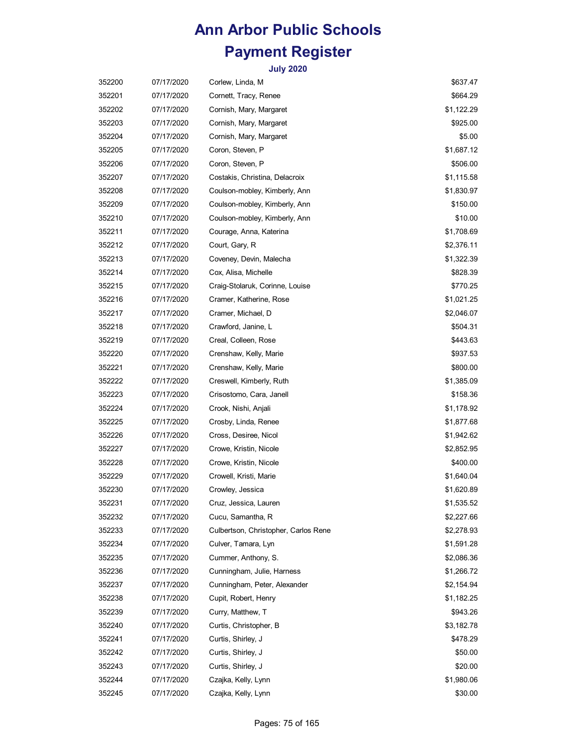| 352200 | 07/17/2020 | Corlew, Linda, M                     | \$637.47   |
|--------|------------|--------------------------------------|------------|
| 352201 | 07/17/2020 | Cornett, Tracy, Renee                | \$664.29   |
| 352202 | 07/17/2020 | Cornish, Mary, Margaret              | \$1,122.29 |
| 352203 | 07/17/2020 | Cornish, Mary, Margaret              | \$925.00   |
| 352204 | 07/17/2020 | Cornish, Mary, Margaret              | \$5.00     |
| 352205 | 07/17/2020 | Coron, Steven, P                     | \$1,687.12 |
| 352206 | 07/17/2020 | Coron, Steven, P                     | \$506.00   |
| 352207 | 07/17/2020 | Costakis, Christina, Delacroix       | \$1,115.58 |
| 352208 | 07/17/2020 | Coulson-mobley, Kimberly, Ann        | \$1,830.97 |
| 352209 | 07/17/2020 | Coulson-mobley, Kimberly, Ann        | \$150.00   |
| 352210 | 07/17/2020 | Coulson-mobley, Kimberly, Ann        | \$10.00    |
| 352211 | 07/17/2020 | Courage, Anna, Katerina              | \$1,708.69 |
| 352212 | 07/17/2020 | Court, Gary, R                       | \$2,376.11 |
| 352213 | 07/17/2020 | Coveney, Devin, Malecha              | \$1,322.39 |
| 352214 | 07/17/2020 | Cox, Alisa, Michelle                 | \$828.39   |
| 352215 | 07/17/2020 | Craig-Stolaruk, Corinne, Louise      | \$770.25   |
| 352216 | 07/17/2020 | Cramer, Katherine, Rose              | \$1,021.25 |
| 352217 | 07/17/2020 | Cramer, Michael, D                   | \$2,046.07 |
| 352218 | 07/17/2020 | Crawford, Janine, L                  | \$504.31   |
| 352219 | 07/17/2020 | Creal, Colleen, Rose                 | \$443.63   |
| 352220 | 07/17/2020 | Crenshaw, Kelly, Marie               | \$937.53   |
| 352221 | 07/17/2020 | Crenshaw, Kelly, Marie               | \$800.00   |
| 352222 | 07/17/2020 | Creswell, Kimberly, Ruth             | \$1,385.09 |
| 352223 | 07/17/2020 | Crisostomo, Cara, Janell             | \$158.36   |
| 352224 | 07/17/2020 | Crook, Nishi, Anjali                 | \$1,178.92 |
| 352225 | 07/17/2020 | Crosby, Linda, Renee                 | \$1,877.68 |
| 352226 | 07/17/2020 | Cross, Desiree, Nicol                | \$1,942.62 |
| 352227 | 07/17/2020 | Crowe, Kristin, Nicole               | \$2,852.95 |
| 352228 | 07/17/2020 | Crowe, Kristin, Nicole               | \$400.00   |
| 352229 | 07/17/2020 | Crowell, Kristi, Marie               | \$1,640.04 |
| 352230 | 07/17/2020 | Crowley, Jessica                     | \$1,620.89 |
| 352231 | 07/17/2020 | Cruz, Jessica, Lauren                | \$1,535.52 |
| 352232 | 07/17/2020 | Cucu, Samantha, R                    | \$2,227.66 |
| 352233 | 07/17/2020 | Culbertson, Christopher, Carlos Rene | \$2,278.93 |
| 352234 | 07/17/2020 | Culver, Tamara, Lyn                  | \$1,591.28 |
| 352235 | 07/17/2020 | Cummer, Anthony, S.                  | \$2,086.36 |
| 352236 | 07/17/2020 | Cunningham, Julie, Harness           | \$1,266.72 |
| 352237 | 07/17/2020 | Cunningham, Peter, Alexander         | \$2,154.94 |
| 352238 | 07/17/2020 | Cupit, Robert, Henry                 | \$1,182.25 |
| 352239 | 07/17/2020 | Curry, Matthew, T                    | \$943.26   |
| 352240 | 07/17/2020 | Curtis, Christopher, B               | \$3,182.78 |
| 352241 | 07/17/2020 | Curtis, Shirley, J                   | \$478.29   |
| 352242 | 07/17/2020 | Curtis, Shirley, J                   | \$50.00    |
| 352243 | 07/17/2020 | Curtis, Shirley, J                   | \$20.00    |
| 352244 | 07/17/2020 | Czajka, Kelly, Lynn                  | \$1,980.06 |
| 352245 | 07/17/2020 | Czajka, Kelly, Lynn                  | \$30.00    |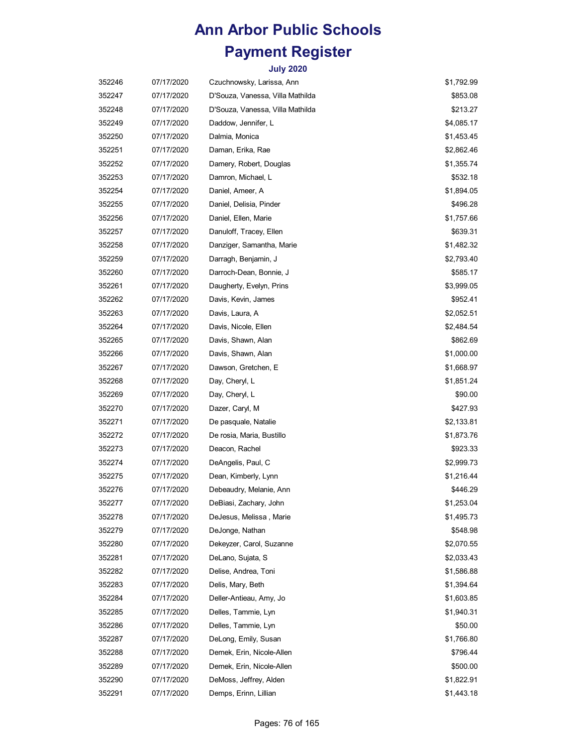| 352246 | 07/17/2020 | Czuchnowsky, Larissa, Ann        | \$1,792.99 |
|--------|------------|----------------------------------|------------|
| 352247 | 07/17/2020 | D'Souza, Vanessa, Villa Mathilda | \$853.08   |
| 352248 | 07/17/2020 | D'Souza, Vanessa, Villa Mathilda | \$213.27   |
| 352249 | 07/17/2020 | Daddow, Jennifer, L              | \$4,085.17 |
| 352250 | 07/17/2020 | Dalmia, Monica                   | \$1,453.45 |
| 352251 | 07/17/2020 | Daman, Erika, Rae                | \$2,862.46 |
| 352252 | 07/17/2020 | Damery, Robert, Douglas          | \$1,355.74 |
| 352253 | 07/17/2020 | Damron, Michael, L               | \$532.18   |
| 352254 | 07/17/2020 | Daniel, Ameer, A                 | \$1,894.05 |
| 352255 | 07/17/2020 | Daniel, Delisia, Pinder          | \$496.28   |
| 352256 | 07/17/2020 | Daniel, Ellen, Marie             | \$1,757.66 |
| 352257 | 07/17/2020 | Danuloff, Tracey, Ellen          | \$639.31   |
| 352258 | 07/17/2020 | Danziger, Samantha, Marie        | \$1,482.32 |
| 352259 | 07/17/2020 | Darragh, Benjamin, J             | \$2,793.40 |
| 352260 | 07/17/2020 | Darroch-Dean, Bonnie, J          | \$585.17   |
| 352261 | 07/17/2020 | Daugherty, Evelyn, Prins         | \$3,999.05 |
| 352262 | 07/17/2020 | Davis, Kevin, James              | \$952.41   |
| 352263 | 07/17/2020 | Davis, Laura, A                  | \$2,052.51 |
| 352264 | 07/17/2020 | Davis, Nicole, Ellen             | \$2,484.54 |
| 352265 | 07/17/2020 | Davis, Shawn, Alan               | \$862.69   |
| 352266 | 07/17/2020 | Davis, Shawn, Alan               | \$1,000.00 |
| 352267 | 07/17/2020 | Dawson, Gretchen, E              | \$1,668.97 |
| 352268 | 07/17/2020 | Day, Cheryl, L                   | \$1,851.24 |
| 352269 | 07/17/2020 | Day, Cheryl, L                   | \$90.00    |
| 352270 | 07/17/2020 | Dazer, Caryl, M                  | \$427.93   |
| 352271 | 07/17/2020 | De pasquale, Natalie             | \$2,133.81 |
| 352272 | 07/17/2020 | De rosia, Maria, Bustillo        | \$1,873.76 |
| 352273 | 07/17/2020 | Deacon, Rachel                   | \$923.33   |
| 352274 | 07/17/2020 | DeAngelis, Paul, C               | \$2,999.73 |
| 352275 | 07/17/2020 | Dean, Kimberly, Lynn             | \$1,216.44 |
| 352276 | 07/17/2020 | Debeaudry, Melanie, Ann          | \$446.29   |
| 352277 | 07/17/2020 | DeBiasi, Zachary, John           | \$1,253.04 |
| 352278 | 07/17/2020 | DeJesus, Melissa, Marie          | \$1,495.73 |
| 352279 | 07/17/2020 | DeJonge, Nathan                  | \$548.98   |
| 352280 | 07/17/2020 | Dekeyzer, Carol, Suzanne         | \$2,070.55 |
| 352281 | 07/17/2020 | DeLano, Sujata, S                | \$2,033.43 |
| 352282 | 07/17/2020 | Delise, Andrea, Toni             | \$1,586.88 |
| 352283 | 07/17/2020 | Delis, Mary, Beth                | \$1,394.64 |
| 352284 | 07/17/2020 | Deller-Antieau, Amy, Jo          | \$1,603.85 |
| 352285 | 07/17/2020 | Delles, Tammie, Lyn              | \$1,940.31 |
| 352286 | 07/17/2020 | Delles, Tammie, Lyn              | \$50.00    |
| 352287 | 07/17/2020 | DeLong, Emily, Susan             | \$1,766.80 |
| 352288 | 07/17/2020 | Demek, Erin, Nicole-Allen        | \$796.44   |
| 352289 | 07/17/2020 | Demek, Erin, Nicole-Allen        | \$500.00   |
| 352290 | 07/17/2020 | DeMoss, Jeffrey, Alden           | \$1,822.91 |
| 352291 | 07/17/2020 | Demps, Erinn, Lillian            | \$1,443.18 |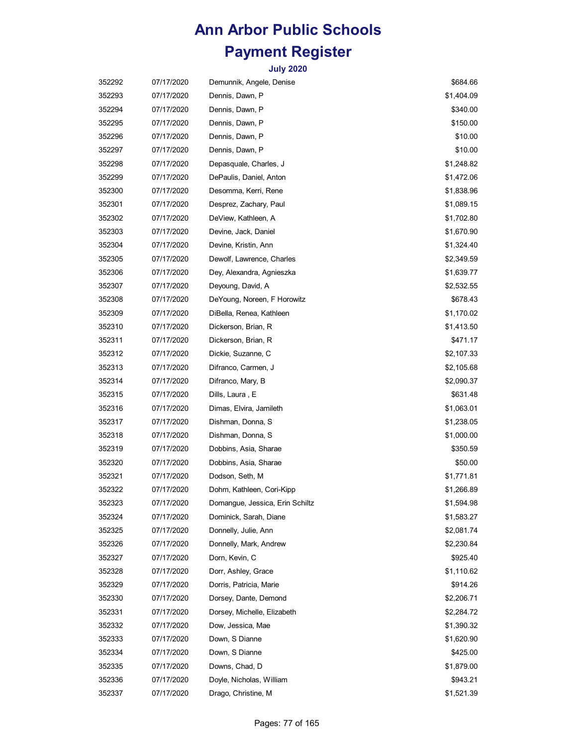| 352292 | 07/17/2020 | Demunnik, Angele, Denise        | \$684.66   |
|--------|------------|---------------------------------|------------|
| 352293 | 07/17/2020 | Dennis, Dawn, P                 | \$1,404.09 |
| 352294 | 07/17/2020 | Dennis, Dawn, P                 | \$340.00   |
| 352295 | 07/17/2020 | Dennis, Dawn, P                 | \$150.00   |
| 352296 | 07/17/2020 | Dennis, Dawn, P                 | \$10.00    |
| 352297 | 07/17/2020 | Dennis, Dawn, P                 | \$10.00    |
| 352298 | 07/17/2020 | Depasquale, Charles, J          | \$1,248.82 |
| 352299 | 07/17/2020 | DePaulis, Daniel, Anton         | \$1,472.06 |
| 352300 | 07/17/2020 | Desomma, Kerri, Rene            | \$1,838.96 |
| 352301 | 07/17/2020 | Desprez, Zachary, Paul          | \$1,089.15 |
| 352302 | 07/17/2020 | DeView, Kathleen, A             | \$1,702.80 |
| 352303 | 07/17/2020 | Devine, Jack, Daniel            | \$1,670.90 |
| 352304 | 07/17/2020 | Devine, Kristin, Ann            | \$1,324.40 |
| 352305 | 07/17/2020 | Dewolf, Lawrence, Charles       | \$2,349.59 |
| 352306 | 07/17/2020 | Dey, Alexandra, Agnieszka       | \$1,639.77 |
| 352307 | 07/17/2020 | Deyoung, David, A               | \$2,532.55 |
| 352308 | 07/17/2020 | DeYoung, Noreen, F Horowitz     | \$678.43   |
| 352309 | 07/17/2020 | DiBella, Renea, Kathleen        | \$1,170.02 |
| 352310 | 07/17/2020 | Dickerson, Brian, R             | \$1,413.50 |
| 352311 | 07/17/2020 | Dickerson, Brian, R             | \$471.17   |
| 352312 | 07/17/2020 | Dickie, Suzanne, C              | \$2,107.33 |
| 352313 | 07/17/2020 | Difranco, Carmen, J             | \$2,105.68 |
| 352314 | 07/17/2020 | Difranco, Mary, B               | \$2,090.37 |
| 352315 | 07/17/2020 | Dills, Laura, E                 | \$631.48   |
| 352316 | 07/17/2020 | Dimas, Elvira, Jamileth         | \$1,063.01 |
| 352317 | 07/17/2020 | Dishman, Donna, S               | \$1,238.05 |
| 352318 | 07/17/2020 | Dishman, Donna, S               | \$1,000.00 |
| 352319 | 07/17/2020 | Dobbins, Asia, Sharae           | \$350.59   |
| 352320 | 07/17/2020 | Dobbins, Asia, Sharae           | \$50.00    |
| 352321 | 07/17/2020 | Dodson, Seth, M                 | \$1,771.81 |
| 352322 | 07/17/2020 | Dohm, Kathleen, Cori-Kipp       | \$1,266.89 |
| 352323 | 07/17/2020 | Domangue, Jessica, Erin Schiltz | \$1,594.98 |
| 352324 | 07/17/2020 | Dominick, Sarah, Diane          | \$1,583.27 |
| 352325 | 07/17/2020 | Donnelly, Julie, Ann            | \$2,081.74 |
| 352326 | 07/17/2020 | Donnelly, Mark, Andrew          | \$2,230.84 |
| 352327 | 07/17/2020 | Dorn, Kevin, C                  | \$925.40   |
| 352328 | 07/17/2020 | Dorr, Ashley, Grace             | \$1,110.62 |
| 352329 | 07/17/2020 | Dorris, Patricia, Marie         | \$914.26   |
| 352330 | 07/17/2020 | Dorsey, Dante, Demond           | \$2,206.71 |
| 352331 | 07/17/2020 | Dorsey, Michelle, Elizabeth     | \$2,284.72 |
| 352332 | 07/17/2020 | Dow, Jessica, Mae               | \$1,390.32 |
| 352333 | 07/17/2020 | Down, S Dianne                  | \$1,620.90 |
| 352334 | 07/17/2020 | Down, S Dianne                  | \$425.00   |
| 352335 | 07/17/2020 | Downs, Chad, D                  | \$1,879.00 |
| 352336 | 07/17/2020 | Doyle, Nicholas, William        | \$943.21   |
| 352337 | 07/17/2020 | Drago, Christine, M             | \$1,521.39 |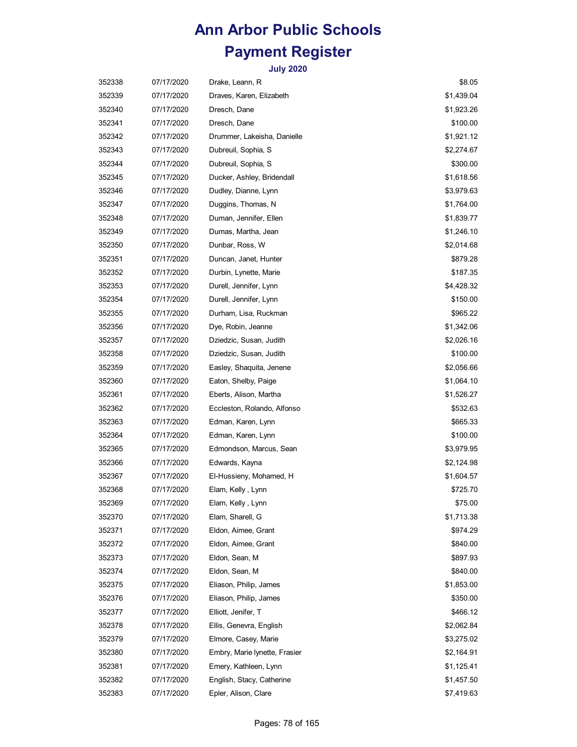| 352338 | 07/17/2020 | Drake, Leann, R               | \$8.05     |
|--------|------------|-------------------------------|------------|
| 352339 | 07/17/2020 | Draves, Karen, Elizabeth      | \$1,439.04 |
| 352340 | 07/17/2020 | Dresch, Dane                  | \$1,923.26 |
| 352341 | 07/17/2020 | Dresch, Dane                  | \$100.00   |
| 352342 | 07/17/2020 | Drummer, Lakeisha, Danielle   | \$1,921.12 |
| 352343 | 07/17/2020 | Dubreuil, Sophia, S           | \$2,274.67 |
| 352344 | 07/17/2020 | Dubreuil, Sophia, S           | \$300.00   |
| 352345 | 07/17/2020 | Ducker, Ashley, Bridendall    | \$1,618.56 |
| 352346 | 07/17/2020 | Dudley, Dianne, Lynn          | \$3,979.63 |
| 352347 | 07/17/2020 | Duggins, Thomas, N            | \$1,764.00 |
| 352348 | 07/17/2020 | Duman, Jennifer, Ellen        | \$1,839.77 |
| 352349 | 07/17/2020 | Dumas, Martha, Jean           | \$1,246.10 |
| 352350 | 07/17/2020 | Dunbar, Ross, W               | \$2,014.68 |
| 352351 | 07/17/2020 | Duncan, Janet, Hunter         | \$879.28   |
| 352352 | 07/17/2020 | Durbin, Lynette, Marie        | \$187.35   |
| 352353 | 07/17/2020 | Durell, Jennifer, Lynn        | \$4,428.32 |
| 352354 | 07/17/2020 | Durell, Jennifer, Lynn        | \$150.00   |
| 352355 | 07/17/2020 | Durham, Lisa, Ruckman         | \$965.22   |
| 352356 | 07/17/2020 | Dye, Robin, Jeanne            | \$1,342.06 |
| 352357 | 07/17/2020 | Dziedzic, Susan, Judith       | \$2,026.16 |
| 352358 | 07/17/2020 | Dziedzic, Susan, Judith       | \$100.00   |
| 352359 | 07/17/2020 | Easley, Shaquita, Jenene      | \$2,056.66 |
| 352360 | 07/17/2020 | Eaton, Shelby, Paige          | \$1,064.10 |
| 352361 | 07/17/2020 | Eberts, Alison, Martha        | \$1,526.27 |
| 352362 | 07/17/2020 | Eccleston, Rolando, Alfonso   | \$532.63   |
| 352363 | 07/17/2020 | Edman, Karen, Lynn            | \$665.33   |
| 352364 | 07/17/2020 | Edman, Karen, Lynn            | \$100.00   |
| 352365 | 07/17/2020 | Edmondson, Marcus, Sean       | \$3,979.95 |
| 352366 | 07/17/2020 | Edwards, Kayna                | \$2,124.98 |
| 352367 | 07/17/2020 | El-Hussieny, Mohamed, H       | \$1,604.57 |
| 352368 | 07/17/2020 | Elam, Kelly, Lynn             | \$725.70   |
| 352369 | 07/17/2020 | Elam, Kelly, Lynn             | \$75.00    |
| 352370 | 07/17/2020 | Elam, Sharell, G              | \$1,713.38 |
| 352371 | 07/17/2020 | Eldon, Aimee, Grant           | \$974.29   |
| 352372 | 07/17/2020 | Eldon, Aimee, Grant           | \$840.00   |
| 352373 | 07/17/2020 | Eldon, Sean, M                | \$897.93   |
| 352374 | 07/17/2020 | Eldon, Sean, M                | \$840.00   |
| 352375 | 07/17/2020 | Eliason, Philip, James        | \$1,853.00 |
| 352376 | 07/17/2020 | Eliason, Philip, James        | \$350.00   |
| 352377 | 07/17/2020 | Elliott, Jenifer, T           | \$466.12   |
| 352378 | 07/17/2020 | Ellis, Genevra, English       | \$2,062.84 |
| 352379 | 07/17/2020 | Elmore, Casey, Marie          | \$3,275.02 |
| 352380 | 07/17/2020 | Embry, Marie lynette, Frasier | \$2,164.91 |
| 352381 | 07/17/2020 | Emery, Kathleen, Lynn         | \$1,125.41 |
| 352382 | 07/17/2020 | English, Stacy, Catherine     | \$1,457.50 |
| 352383 | 07/17/2020 | Epler, Alison, Clare          | \$7,419.63 |
|        |            |                               |            |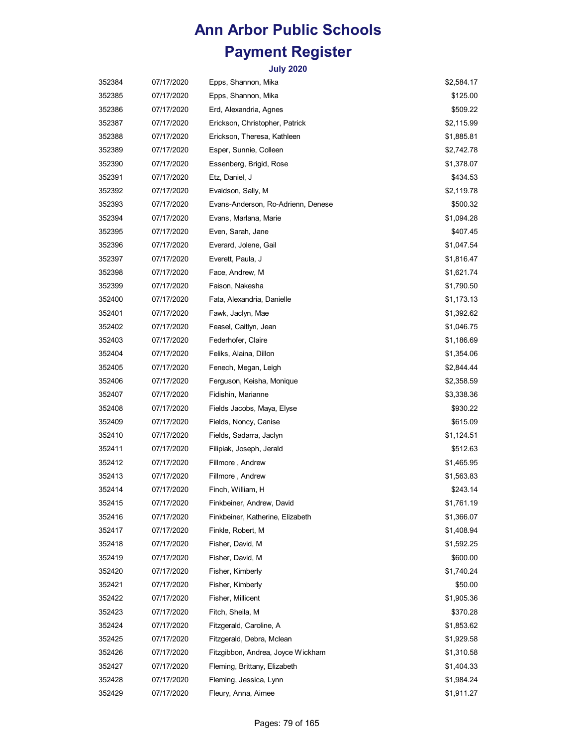| 352384 | 07/17/2020 | Epps, Shannon, Mika                | \$2,584.17 |
|--------|------------|------------------------------------|------------|
| 352385 | 07/17/2020 | Epps, Shannon, Mika                | \$125.00   |
| 352386 | 07/17/2020 | Erd, Alexandria, Agnes             | \$509.22   |
| 352387 | 07/17/2020 | Erickson, Christopher, Patrick     | \$2,115.99 |
| 352388 | 07/17/2020 | Erickson, Theresa, Kathleen        | \$1,885.81 |
| 352389 | 07/17/2020 | Esper, Sunnie, Colleen             | \$2,742.78 |
| 352390 | 07/17/2020 | Essenberg, Brigid, Rose            | \$1,378.07 |
| 352391 | 07/17/2020 | Etz, Daniel, J                     | \$434.53   |
| 352392 | 07/17/2020 | Evaldson, Sally, M                 | \$2,119.78 |
| 352393 | 07/17/2020 | Evans-Anderson, Ro-Adrienn, Denese | \$500.32   |
| 352394 | 07/17/2020 | Evans, Marlana, Marie              | \$1,094.28 |
| 352395 | 07/17/2020 | Even, Sarah, Jane                  | \$407.45   |
| 352396 | 07/17/2020 | Everard, Jolene, Gail              | \$1,047.54 |
| 352397 | 07/17/2020 | Everett, Paula, J                  | \$1,816.47 |
| 352398 | 07/17/2020 | Face, Andrew, M                    | \$1,621.74 |
| 352399 | 07/17/2020 | Faison, Nakesha                    | \$1,790.50 |
| 352400 | 07/17/2020 | Fata, Alexandria, Danielle         | \$1,173.13 |
| 352401 | 07/17/2020 | Fawk, Jaclyn, Mae                  | \$1,392.62 |
| 352402 | 07/17/2020 | Feasel, Caitlyn, Jean              | \$1,046.75 |
| 352403 | 07/17/2020 | Federhofer, Claire                 | \$1,186.69 |
| 352404 | 07/17/2020 | Feliks, Alaina, Dillon             | \$1,354.06 |
| 352405 | 07/17/2020 | Fenech, Megan, Leigh               | \$2,844.44 |
| 352406 | 07/17/2020 | Ferguson, Keisha, Monique          | \$2,358.59 |
| 352407 | 07/17/2020 | Fidishin, Marianne                 | \$3,338.36 |
| 352408 | 07/17/2020 | Fields Jacobs, Maya, Elyse         | \$930.22   |
| 352409 | 07/17/2020 | Fields, Noncy, Canise              | \$615.09   |
| 352410 | 07/17/2020 | Fields, Sadarra, Jaclyn            | \$1,124.51 |
| 352411 | 07/17/2020 | Filipiak, Joseph, Jerald           | \$512.63   |
| 352412 | 07/17/2020 | Fillmore, Andrew                   | \$1,465.95 |
| 352413 | 07/17/2020 | Fillmore, Andrew                   | \$1,563.83 |
| 352414 | 07/17/2020 | Finch, William, H                  | \$243.14   |
| 352415 | 07/17/2020 | Finkbeiner, Andrew, David          | \$1,761.19 |
| 352416 | 07/17/2020 | Finkbeiner, Katherine, Elizabeth   | \$1,366.07 |
| 352417 | 07/17/2020 | Finkle, Robert, M                  | \$1,408.94 |
| 352418 | 07/17/2020 | Fisher, David, M                   | \$1,592.25 |
| 352419 | 07/17/2020 | Fisher, David, M                   | \$600.00   |
| 352420 | 07/17/2020 | Fisher, Kimberly                   | \$1,740.24 |
| 352421 | 07/17/2020 | Fisher, Kimberly                   | \$50.00    |
| 352422 | 07/17/2020 | Fisher, Millicent                  | \$1,905.36 |
| 352423 | 07/17/2020 | Fitch, Sheila, M                   | \$370.28   |
| 352424 | 07/17/2020 | Fitzgerald, Caroline, A            | \$1,853.62 |
| 352425 | 07/17/2020 | Fitzgerald, Debra, Mclean          | \$1,929.58 |
| 352426 | 07/17/2020 | Fitzgibbon, Andrea, Joyce Wickham  | \$1,310.58 |
| 352427 | 07/17/2020 | Fleming, Brittany, Elizabeth       | \$1,404.33 |
| 352428 | 07/17/2020 | Fleming, Jessica, Lynn             | \$1,984.24 |
| 352429 | 07/17/2020 | Fleury, Anna, Aimee                | \$1,911.27 |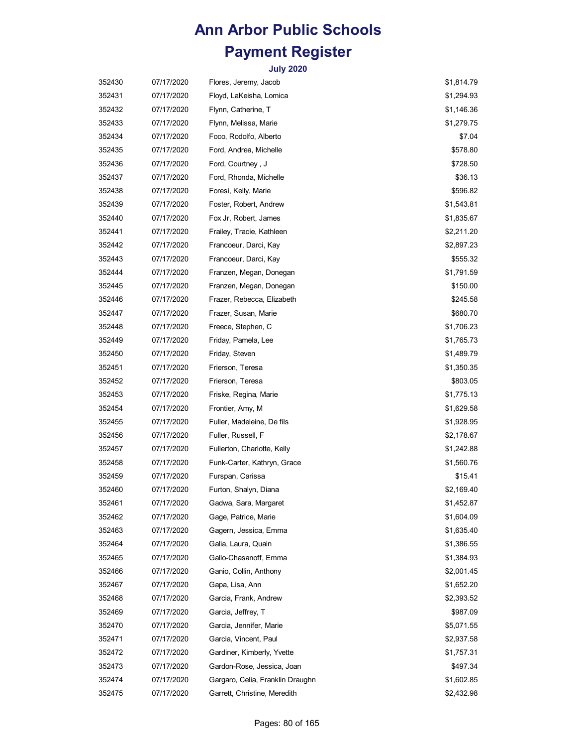| 352430 | 07/17/2020 | Flores, Jeremy, Jacob            | \$1,814.79 |
|--------|------------|----------------------------------|------------|
| 352431 | 07/17/2020 | Floyd, LaKeisha, Lomica          | \$1,294.93 |
| 352432 | 07/17/2020 | Flynn, Catherine, T              | \$1,146.36 |
| 352433 | 07/17/2020 | Flynn, Melissa, Marie            | \$1,279.75 |
| 352434 | 07/17/2020 | Foco, Rodolfo, Alberto           | \$7.04     |
| 352435 | 07/17/2020 | Ford, Andrea, Michelle           | \$578.80   |
| 352436 | 07/17/2020 | Ford, Courtney, J                | \$728.50   |
| 352437 | 07/17/2020 | Ford, Rhonda, Michelle           | \$36.13    |
| 352438 | 07/17/2020 | Foresi, Kelly, Marie             | \$596.82   |
| 352439 | 07/17/2020 | Foster, Robert, Andrew           | \$1,543.81 |
| 352440 | 07/17/2020 | Fox Jr, Robert, James            | \$1,835.67 |
| 352441 | 07/17/2020 | Frailey, Tracie, Kathleen        | \$2,211.20 |
| 352442 | 07/17/2020 | Francoeur, Darci, Kay            | \$2,897.23 |
| 352443 | 07/17/2020 | Francoeur, Darci, Kay            | \$555.32   |
| 352444 | 07/17/2020 | Franzen, Megan, Donegan          | \$1,791.59 |
| 352445 | 07/17/2020 | Franzen, Megan, Donegan          | \$150.00   |
| 352446 | 07/17/2020 | Frazer, Rebecca, Elizabeth       | \$245.58   |
| 352447 | 07/17/2020 | Frazer, Susan, Marie             | \$680.70   |
| 352448 | 07/17/2020 | Freece, Stephen, C               | \$1,706.23 |
| 352449 | 07/17/2020 | Friday, Pamela, Lee              | \$1,765.73 |
| 352450 | 07/17/2020 | Friday, Steven                   | \$1,489.79 |
| 352451 | 07/17/2020 | Frierson, Teresa                 | \$1,350.35 |
| 352452 | 07/17/2020 | Frierson, Teresa                 | \$803.05   |
| 352453 | 07/17/2020 | Friske, Regina, Marie            | \$1,775.13 |
| 352454 | 07/17/2020 | Frontier, Amy, M                 | \$1,629.58 |
| 352455 | 07/17/2020 | Fuller, Madeleine, De fils       | \$1,928.95 |
| 352456 | 07/17/2020 | Fuller, Russell, F               | \$2,178.67 |
| 352457 | 07/17/2020 | Fullerton, Charlotte, Kelly      | \$1,242.88 |
| 352458 | 07/17/2020 | Funk-Carter, Kathryn, Grace      | \$1,560.76 |
| 352459 | 07/17/2020 | Furspan, Carissa                 | \$15.41    |
| 352460 | 07/17/2020 | Furton, Shalyn, Diana            | \$2,169.40 |
| 352461 | 07/17/2020 | Gadwa, Sara, Margaret            | \$1,452.87 |
| 352462 | 07/17/2020 | Gage, Patrice, Marie             | \$1,604.09 |
| 352463 | 07/17/2020 | Gagern, Jessica, Emma            | \$1,635.40 |
| 352464 | 07/17/2020 | Galia, Laura, Quain              | \$1,386.55 |
| 352465 | 07/17/2020 | Gallo-Chasanoff, Emma            | \$1,384.93 |
| 352466 | 07/17/2020 | Ganio, Collin, Anthony           | \$2,001.45 |
| 352467 | 07/17/2020 | Gapa, Lisa, Ann                  | \$1,652.20 |
| 352468 | 07/17/2020 | Garcia, Frank, Andrew            | \$2,393.52 |
| 352469 | 07/17/2020 | Garcia, Jeffrey, T               | \$987.09   |
| 352470 | 07/17/2020 | Garcia, Jennifer, Marie          | \$5,071.55 |
| 352471 | 07/17/2020 | Garcia, Vincent, Paul            | \$2,937.58 |
| 352472 | 07/17/2020 | Gardiner, Kimberly, Yvette       | \$1,757.31 |
| 352473 | 07/17/2020 | Gardon-Rose, Jessica, Joan       | \$497.34   |
| 352474 | 07/17/2020 | Gargaro, Celia, Franklin Draughn | \$1,602.85 |
| 352475 | 07/17/2020 | Garrett, Christine, Meredith     | \$2,432.98 |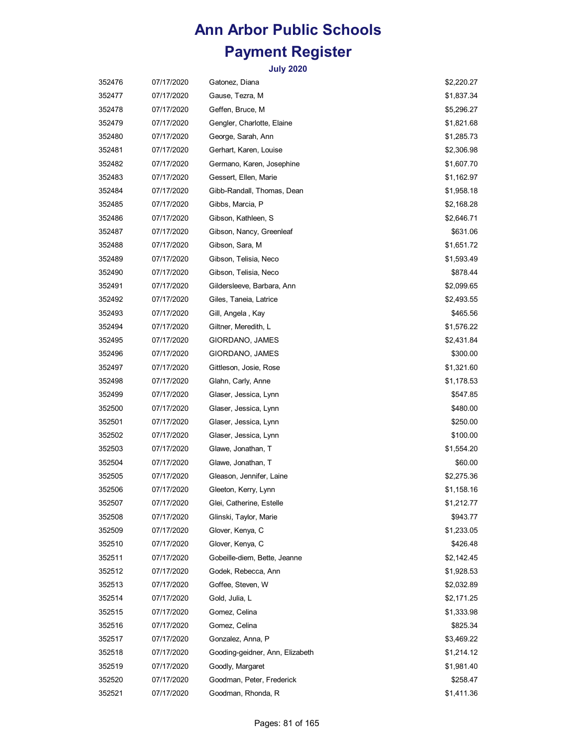| 352476 | 07/17/2020 | Gatonez, Diana                  | \$2,220.27 |
|--------|------------|---------------------------------|------------|
| 352477 | 07/17/2020 | Gause, Tezra, M                 | \$1,837.34 |
| 352478 | 07/17/2020 | Geffen, Bruce, M                | \$5,296.27 |
| 352479 | 07/17/2020 | Gengler, Charlotte, Elaine      | \$1,821.68 |
| 352480 | 07/17/2020 | George, Sarah, Ann              | \$1,285.73 |
| 352481 | 07/17/2020 | Gerhart, Karen, Louise          | \$2,306.98 |
| 352482 | 07/17/2020 | Germano, Karen, Josephine       | \$1,607.70 |
| 352483 | 07/17/2020 | Gessert, Ellen, Marie           | \$1,162.97 |
| 352484 | 07/17/2020 | Gibb-Randall, Thomas, Dean      | \$1,958.18 |
| 352485 | 07/17/2020 | Gibbs, Marcia, P                | \$2,168.28 |
| 352486 | 07/17/2020 | Gibson, Kathleen, S             | \$2,646.71 |
| 352487 | 07/17/2020 | Gibson, Nancy, Greenleaf        | \$631.06   |
| 352488 | 07/17/2020 | Gibson, Sara, M                 | \$1,651.72 |
| 352489 | 07/17/2020 | Gibson, Telisia, Neco           | \$1,593.49 |
| 352490 | 07/17/2020 | Gibson, Telisia, Neco           | \$878.44   |
| 352491 | 07/17/2020 | Gildersleeve, Barbara, Ann      | \$2,099.65 |
| 352492 | 07/17/2020 | Giles, Taneia, Latrice          | \$2,493.55 |
| 352493 | 07/17/2020 | Gill, Angela, Kay               | \$465.56   |
| 352494 | 07/17/2020 | Giltner, Meredith, L            | \$1,576.22 |
| 352495 | 07/17/2020 | GIORDANO, JAMES                 | \$2,431.84 |
| 352496 | 07/17/2020 | GIORDANO, JAMES                 | \$300.00   |
| 352497 | 07/17/2020 | Gittleson, Josie, Rose          | \$1,321.60 |
| 352498 | 07/17/2020 | Glahn, Carly, Anne              | \$1,178.53 |
| 352499 | 07/17/2020 | Glaser, Jessica, Lynn           | \$547.85   |
| 352500 | 07/17/2020 | Glaser, Jessica, Lynn           | \$480.00   |
| 352501 | 07/17/2020 | Glaser, Jessica, Lynn           | \$250.00   |
| 352502 | 07/17/2020 | Glaser, Jessica, Lynn           | \$100.00   |
| 352503 | 07/17/2020 | Glawe, Jonathan, T              | \$1,554.20 |
| 352504 | 07/17/2020 | Glawe, Jonathan, T              | \$60.00    |
| 352505 | 07/17/2020 | Gleason, Jennifer, Laine        | \$2,275.36 |
| 352506 | 07/17/2020 | Gleeton, Kerry, Lynn            | \$1,158.16 |
| 352507 | 07/17/2020 | Glei, Catherine, Estelle        | \$1,212.77 |
| 352508 | 07/17/2020 | Glinski, Taylor, Marie          | \$943.77   |
| 352509 | 07/17/2020 | Glover, Kenya, C                | \$1,233.05 |
| 352510 | 07/17/2020 | Glover, Kenya, C                | \$426.48   |
| 352511 | 07/17/2020 | Gobeille-diem, Bette, Jeanne    | \$2,142.45 |
| 352512 | 07/17/2020 | Godek, Rebecca, Ann             | \$1,928.53 |
| 352513 | 07/17/2020 | Goffee, Steven, W               | \$2,032.89 |
| 352514 | 07/17/2020 | Gold, Julia, L                  | \$2,171.25 |
| 352515 | 07/17/2020 | Gomez, Celina                   | \$1,333.98 |
| 352516 | 07/17/2020 | Gomez, Celina                   | \$825.34   |
| 352517 | 07/17/2020 | Gonzalez, Anna, P               | \$3,469.22 |
| 352518 | 07/17/2020 | Gooding-geidner, Ann, Elizabeth | \$1,214.12 |
| 352519 | 07/17/2020 | Goodly, Margaret                | \$1,981.40 |
| 352520 | 07/17/2020 | Goodman, Peter, Frederick       | \$258.47   |
| 352521 | 07/17/2020 | Goodman, Rhonda, R              | \$1,411.36 |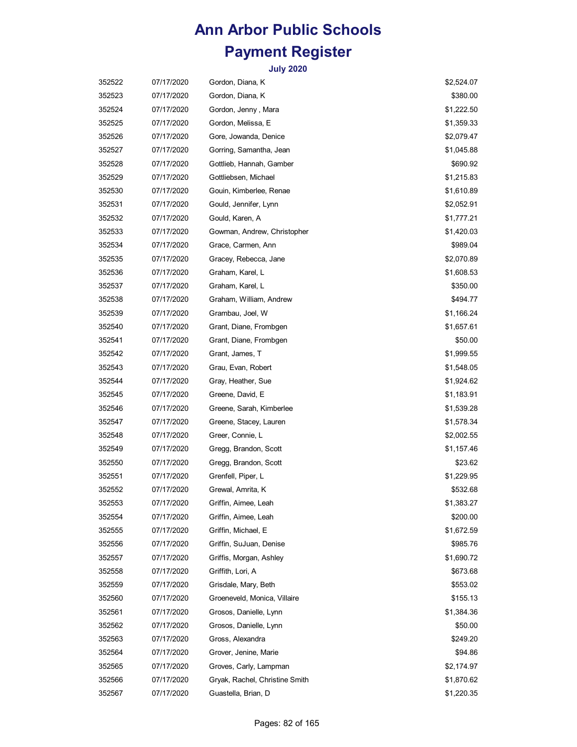| 352522 | 07/17/2020 | Gordon, Diana, K               | \$2,524.07 |
|--------|------------|--------------------------------|------------|
| 352523 | 07/17/2020 | Gordon, Diana, K               | \$380.00   |
| 352524 | 07/17/2020 | Gordon, Jenny, Mara            | \$1,222.50 |
| 352525 | 07/17/2020 | Gordon, Melissa, E             | \$1,359.33 |
| 352526 | 07/17/2020 | Gore, Jowanda, Denice          | \$2,079.47 |
| 352527 | 07/17/2020 | Gorring, Samantha, Jean        | \$1,045.88 |
| 352528 | 07/17/2020 | Gottlieb, Hannah, Gamber       | \$690.92   |
| 352529 | 07/17/2020 | Gottliebsen, Michael           | \$1,215.83 |
| 352530 | 07/17/2020 | Gouin, Kimberlee, Renae        | \$1,610.89 |
| 352531 | 07/17/2020 | Gould, Jennifer, Lynn          | \$2,052.91 |
| 352532 | 07/17/2020 | Gould, Karen, A                | \$1,777.21 |
| 352533 | 07/17/2020 | Gowman, Andrew, Christopher    | \$1,420.03 |
| 352534 | 07/17/2020 | Grace, Carmen, Ann             | \$989.04   |
| 352535 | 07/17/2020 | Gracey, Rebecca, Jane          | \$2,070.89 |
| 352536 | 07/17/2020 | Graham, Karel, L               | \$1,608.53 |
| 352537 | 07/17/2020 | Graham, Karel, L               | \$350.00   |
| 352538 | 07/17/2020 | Graham, William, Andrew        | \$494.77   |
| 352539 | 07/17/2020 | Grambau, Joel, W               | \$1,166.24 |
| 352540 | 07/17/2020 | Grant, Diane, Frombgen         | \$1,657.61 |
| 352541 | 07/17/2020 | Grant, Diane, Frombgen         | \$50.00    |
| 352542 | 07/17/2020 | Grant, James, T                | \$1,999.55 |
| 352543 | 07/17/2020 | Grau, Evan, Robert             | \$1,548.05 |
| 352544 | 07/17/2020 | Gray, Heather, Sue             | \$1,924.62 |
| 352545 | 07/17/2020 | Greene, David, E               | \$1,183.91 |
| 352546 | 07/17/2020 | Greene, Sarah, Kimberlee       | \$1,539.28 |
| 352547 | 07/17/2020 | Greene, Stacey, Lauren         | \$1,578.34 |
| 352548 | 07/17/2020 | Greer, Connie, L               | \$2,002.55 |
| 352549 | 07/17/2020 | Gregg, Brandon, Scott          | \$1,157.46 |
| 352550 | 07/17/2020 | Gregg, Brandon, Scott          | \$23.62    |
| 352551 | 07/17/2020 | Grenfell, Piper, L             | \$1,229.95 |
| 352552 | 07/17/2020 | Grewal, Amrita, K              | \$532.68   |
| 352553 | 07/17/2020 | Griffin, Aimee, Leah           | \$1,383.27 |
| 352554 | 07/17/2020 | Griffin, Aimee, Leah           | \$200.00   |
| 352555 | 07/17/2020 | Griffin, Michael, E            | \$1,672.59 |
| 352556 | 07/17/2020 | Griffin, SuJuan, Denise        | \$985.76   |
| 352557 | 07/17/2020 | Griffis, Morgan, Ashley        | \$1,690.72 |
| 352558 | 07/17/2020 | Griffith, Lori, A              | \$673.68   |
| 352559 | 07/17/2020 | Grisdale, Mary, Beth           | \$553.02   |
| 352560 | 07/17/2020 | Groeneveld, Monica, Villaire   | \$155.13   |
| 352561 | 07/17/2020 | Grosos, Danielle, Lynn         | \$1,384.36 |
| 352562 | 07/17/2020 | Grosos, Danielle, Lynn         | \$50.00    |
| 352563 | 07/17/2020 | Gross, Alexandra               | \$249.20   |
| 352564 | 07/17/2020 | Grover, Jenine, Marie          | \$94.86    |
| 352565 | 07/17/2020 | Groves, Carly, Lampman         | \$2,174.97 |
| 352566 | 07/17/2020 | Gryak, Rachel, Christine Smith | \$1,870.62 |
| 352567 | 07/17/2020 | Guastella, Brian, D            | \$1,220.35 |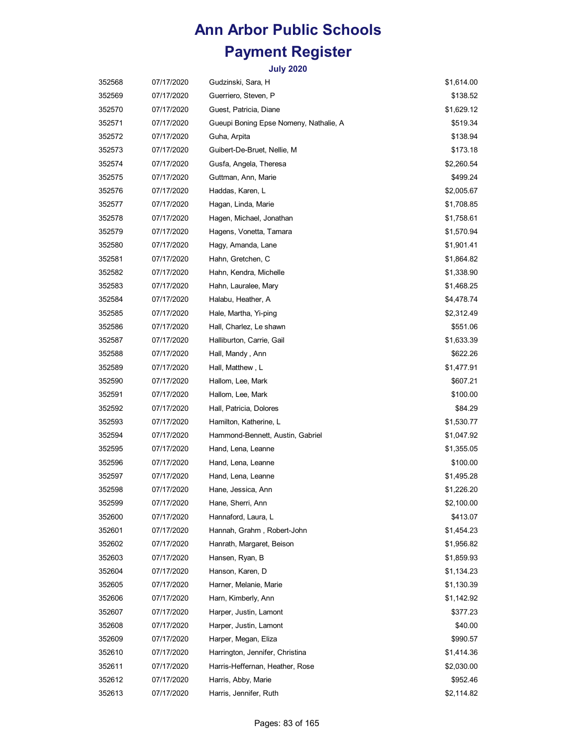| 352568 | 07/17/2020 | Gudzinski, Sara, H                     | \$1,614.00 |
|--------|------------|----------------------------------------|------------|
| 352569 | 07/17/2020 | Guerriero, Steven, P                   | \$138.52   |
| 352570 | 07/17/2020 | Guest, Patricia, Diane                 | \$1,629.12 |
| 352571 | 07/17/2020 | Gueupi Boning Epse Nomeny, Nathalie, A | \$519.34   |
| 352572 | 07/17/2020 | Guha, Arpita                           | \$138.94   |
| 352573 | 07/17/2020 | Guibert-De-Bruet, Nellie, M            | \$173.18   |
| 352574 | 07/17/2020 | Gusfa, Angela, Theresa                 | \$2,260.54 |
| 352575 | 07/17/2020 | Guttman, Ann, Marie                    | \$499.24   |
| 352576 | 07/17/2020 | Haddas, Karen, L                       | \$2,005.67 |
| 352577 | 07/17/2020 | Hagan, Linda, Marie                    | \$1,708.85 |
| 352578 | 07/17/2020 | Hagen, Michael, Jonathan               | \$1,758.61 |
| 352579 | 07/17/2020 | Hagens, Vonetta, Tamara                | \$1,570.94 |
| 352580 | 07/17/2020 | Hagy, Amanda, Lane                     | \$1,901.41 |
| 352581 | 07/17/2020 | Hahn, Gretchen, C                      | \$1,864.82 |
| 352582 | 07/17/2020 | Hahn, Kendra, Michelle                 | \$1,338.90 |
| 352583 | 07/17/2020 | Hahn, Lauralee, Mary                   | \$1,468.25 |
| 352584 | 07/17/2020 | Halabu, Heather, A                     | \$4,478.74 |
| 352585 | 07/17/2020 | Hale, Martha, Yi-ping                  | \$2,312.49 |
| 352586 | 07/17/2020 | Hall, Charlez, Le shawn                | \$551.06   |
| 352587 | 07/17/2020 | Halliburton, Carrie, Gail              | \$1,633.39 |
| 352588 | 07/17/2020 | Hall, Mandy, Ann                       | \$622.26   |
| 352589 | 07/17/2020 | Hall, Matthew , L                      | \$1,477.91 |
| 352590 | 07/17/2020 | Hallom, Lee, Mark                      | \$607.21   |
| 352591 | 07/17/2020 | Hallom, Lee, Mark                      | \$100.00   |
| 352592 | 07/17/2020 | Hall, Patricia, Dolores                | \$84.29    |
| 352593 | 07/17/2020 | Hamilton, Katherine, L                 | \$1,530.77 |
| 352594 | 07/17/2020 | Hammond-Bennett, Austin, Gabriel       | \$1,047.92 |
| 352595 | 07/17/2020 | Hand, Lena, Leanne                     | \$1,355.05 |
| 352596 | 07/17/2020 | Hand, Lena, Leanne                     | \$100.00   |
| 352597 | 07/17/2020 | Hand, Lena, Leanne                     | \$1,495.28 |
| 352598 | 07/17/2020 | Hane, Jessica, Ann                     | \$1,226.20 |
| 352599 | 07/17/2020 | Hane, Sherri, Ann                      | \$2,100.00 |
| 352600 | 07/17/2020 | Hannaford, Laura, L                    | \$413.07   |
| 352601 | 07/17/2020 | Hannah, Grahm, Robert-John             | \$1,454.23 |
| 352602 | 07/17/2020 | Hanrath, Margaret, Beison              | \$1,956.82 |
| 352603 | 07/17/2020 | Hansen, Ryan, B                        | \$1,859.93 |
| 352604 | 07/17/2020 | Hanson, Karen, D                       | \$1,134.23 |
| 352605 | 07/17/2020 | Harner, Melanie, Marie                 | \$1,130.39 |
| 352606 | 07/17/2020 | Harn, Kimberly, Ann                    | \$1,142.92 |
| 352607 | 07/17/2020 | Harper, Justin, Lamont                 | \$377.23   |
| 352608 | 07/17/2020 | Harper, Justin, Lamont                 | \$40.00    |
| 352609 | 07/17/2020 | Harper, Megan, Eliza                   | \$990.57   |
| 352610 | 07/17/2020 | Harrington, Jennifer, Christina        | \$1,414.36 |
| 352611 | 07/17/2020 | Harris-Heffernan, Heather, Rose        | \$2,030.00 |
| 352612 | 07/17/2020 | Harris, Abby, Marie                    | \$952.46   |
| 352613 | 07/17/2020 | Harris, Jennifer, Ruth                 | \$2,114.82 |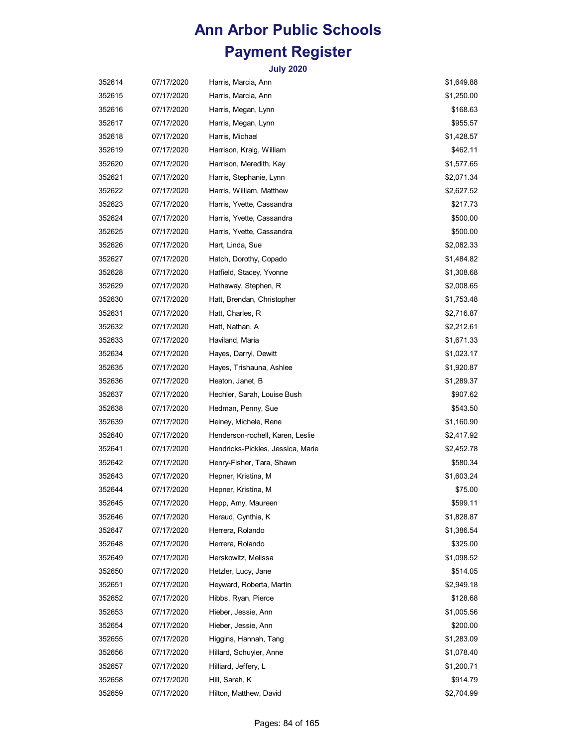| 352614 | 07/17/2020 | Harris, Marcia, Ann               | \$1,649.88 |
|--------|------------|-----------------------------------|------------|
| 352615 | 07/17/2020 | Harris, Marcia, Ann               | \$1,250.00 |
| 352616 | 07/17/2020 | Harris, Megan, Lynn               | \$168.63   |
| 352617 | 07/17/2020 | Harris, Megan, Lynn               | \$955.57   |
| 352618 | 07/17/2020 | Harris, Michael                   | \$1,428.57 |
| 352619 | 07/17/2020 | Harrison, Kraig, William          | \$462.11   |
| 352620 | 07/17/2020 | Harrison, Meredith, Kay           | \$1,577.65 |
| 352621 | 07/17/2020 | Harris, Stephanie, Lynn           | \$2,071.34 |
| 352622 | 07/17/2020 | Harris, William, Matthew          | \$2,627.52 |
| 352623 | 07/17/2020 | Harris, Yvette, Cassandra         | \$217.73   |
| 352624 | 07/17/2020 | Harris, Yvette, Cassandra         | \$500.00   |
| 352625 | 07/17/2020 | Harris, Yvette, Cassandra         | \$500.00   |
| 352626 | 07/17/2020 | Hart, Linda, Sue                  | \$2,082.33 |
| 352627 | 07/17/2020 | Hatch, Dorothy, Copado            | \$1,484.82 |
| 352628 | 07/17/2020 | Hatfield, Stacey, Yvonne          | \$1,308.68 |
| 352629 | 07/17/2020 | Hathaway, Stephen, R              | \$2,008.65 |
| 352630 | 07/17/2020 | Hatt, Brendan, Christopher        | \$1,753.48 |
| 352631 | 07/17/2020 | Hatt, Charles, R                  | \$2,716.87 |
| 352632 | 07/17/2020 | Hatt, Nathan, A                   | \$2,212.61 |
| 352633 | 07/17/2020 | Haviland, Maria                   | \$1,671.33 |
| 352634 | 07/17/2020 | Hayes, Darryl, Dewitt             | \$1,023.17 |
| 352635 | 07/17/2020 | Hayes, Trishauna, Ashlee          | \$1,920.87 |
| 352636 | 07/17/2020 | Heaton, Janet, B                  | \$1,289.37 |
| 352637 | 07/17/2020 | Hechler, Sarah, Louise Bush       | \$907.62   |
| 352638 | 07/17/2020 | Hedman, Penny, Sue                | \$543.50   |
| 352639 | 07/17/2020 | Heiney, Michele, Rene             | \$1,160.90 |
| 352640 | 07/17/2020 | Henderson-rochell, Karen, Leslie  | \$2,417.92 |
| 352641 | 07/17/2020 | Hendricks-Pickles, Jessica, Marie | \$2,452.78 |
| 352642 | 07/17/2020 | Henry-Fisher, Tara, Shawn         | \$580.34   |
| 352643 | 07/17/2020 | Hepner, Kristina, M               | \$1,603.24 |
| 352644 | 07/17/2020 | Hepner, Kristina, M               | \$75.00    |
| 352645 | 07/17/2020 | Hepp, Amy, Maureen                | \$599.11   |
| 352646 | 07/17/2020 | Heraud, Cynthia, K                | \$1,828.87 |
| 352647 | 07/17/2020 | Herrera, Rolando                  | \$1,386.54 |
| 352648 | 07/17/2020 | Herrera, Rolando                  | \$325.00   |
| 352649 | 07/17/2020 | Herskowitz, Melissa               | \$1,098.52 |
| 352650 | 07/17/2020 | Hetzler, Lucy, Jane               | \$514.05   |
| 352651 | 07/17/2020 | Heyward, Roberta, Martin          | \$2,949.18 |
| 352652 | 07/17/2020 | Hibbs, Ryan, Pierce               | \$128.68   |
| 352653 | 07/17/2020 | Hieber, Jessie, Ann               | \$1,005.56 |
| 352654 | 07/17/2020 | Hieber, Jessie, Ann               | \$200.00   |
| 352655 | 07/17/2020 | Higgins, Hannah, Tang             | \$1,283.09 |
| 352656 | 07/17/2020 | Hillard, Schuyler, Anne           | \$1,078.40 |
| 352657 | 07/17/2020 | Hilliard, Jeffery, L              | \$1,200.71 |
| 352658 | 07/17/2020 | Hill, Sarah, K                    | \$914.79   |
| 352659 | 07/17/2020 | Hilton, Matthew, David            | \$2,704.99 |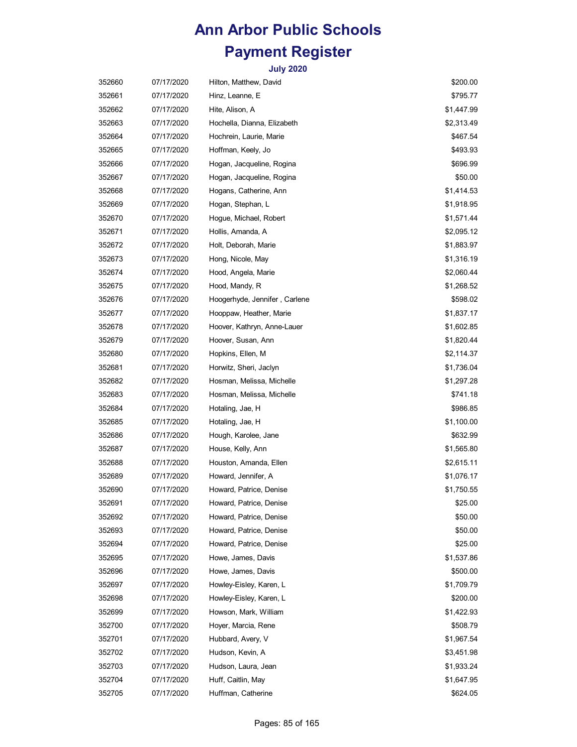| 352660 | 07/17/2020 | Hilton, Matthew, David        | \$200.00   |
|--------|------------|-------------------------------|------------|
| 352661 | 07/17/2020 | Hinz, Leanne, E               | \$795.77   |
| 352662 | 07/17/2020 | Hite, Alison, A               | \$1,447.99 |
| 352663 | 07/17/2020 | Hochella, Dianna, Elizabeth   | \$2,313.49 |
| 352664 | 07/17/2020 | Hochrein, Laurie, Marie       | \$467.54   |
| 352665 | 07/17/2020 | Hoffman, Keely, Jo            | \$493.93   |
| 352666 | 07/17/2020 | Hogan, Jacqueline, Rogina     | \$696.99   |
| 352667 | 07/17/2020 | Hogan, Jacqueline, Rogina     | \$50.00    |
| 352668 | 07/17/2020 | Hogans, Catherine, Ann        | \$1,414.53 |
| 352669 | 07/17/2020 | Hogan, Stephan, L             | \$1,918.95 |
| 352670 | 07/17/2020 | Hogue, Michael, Robert        | \$1,571.44 |
| 352671 | 07/17/2020 | Hollis, Amanda, A             | \$2,095.12 |
| 352672 | 07/17/2020 | Holt, Deborah, Marie          | \$1,883.97 |
| 352673 | 07/17/2020 | Hong, Nicole, May             | \$1,316.19 |
| 352674 | 07/17/2020 | Hood, Angela, Marie           | \$2,060.44 |
| 352675 | 07/17/2020 | Hood, Mandy, R                | \$1,268.52 |
| 352676 | 07/17/2020 | Hoogerhyde, Jennifer, Carlene | \$598.02   |
| 352677 | 07/17/2020 | Hooppaw, Heather, Marie       | \$1,837.17 |
| 352678 | 07/17/2020 | Hoover, Kathryn, Anne-Lauer   | \$1,602.85 |
| 352679 | 07/17/2020 | Hoover, Susan, Ann            | \$1,820.44 |
| 352680 | 07/17/2020 | Hopkins, Ellen, M             | \$2,114.37 |
| 352681 | 07/17/2020 | Horwitz, Sheri, Jaclyn        | \$1,736.04 |
| 352682 | 07/17/2020 | Hosman, Melissa, Michelle     | \$1,297.28 |
| 352683 | 07/17/2020 | Hosman, Melissa, Michelle     | \$741.18   |
| 352684 | 07/17/2020 | Hotaling, Jae, H              | \$986.85   |
| 352685 | 07/17/2020 | Hotaling, Jae, H              | \$1,100.00 |
| 352686 | 07/17/2020 | Hough, Karolee, Jane          | \$632.99   |
| 352687 | 07/17/2020 | House, Kelly, Ann             | \$1,565.80 |
| 352688 | 07/17/2020 | Houston, Amanda, Ellen        | \$2,615.11 |
| 352689 | 07/17/2020 | Howard, Jennifer, A           | \$1,076.17 |
| 352690 | 07/17/2020 | Howard, Patrice, Denise       | \$1,750.55 |
| 352691 | 07/17/2020 | Howard, Patrice, Denise       | \$25.00    |
| 352692 | 07/17/2020 | Howard, Patrice, Denise       | \$50.00    |
| 352693 | 07/17/2020 | Howard, Patrice, Denise       | \$50.00    |
| 352694 | 07/17/2020 | Howard, Patrice, Denise       | \$25.00    |
| 352695 | 07/17/2020 | Howe, James, Davis            | \$1,537.86 |
| 352696 | 07/17/2020 | Howe, James, Davis            | \$500.00   |
| 352697 | 07/17/2020 | Howley-Eisley, Karen, L       | \$1,709.79 |
| 352698 | 07/17/2020 | Howley-Eisley, Karen, L       | \$200.00   |
| 352699 | 07/17/2020 | Howson, Mark, William         | \$1,422.93 |
| 352700 | 07/17/2020 | Hoyer, Marcia, Rene           | \$508.79   |
| 352701 | 07/17/2020 | Hubbard, Avery, V             | \$1,967.54 |
| 352702 | 07/17/2020 | Hudson, Kevin, A              | \$3,451.98 |
| 352703 | 07/17/2020 | Hudson, Laura, Jean           | \$1,933.24 |
| 352704 | 07/17/2020 | Huff, Caitlin, May            | \$1,647.95 |
| 352705 | 07/17/2020 | Huffman, Catherine            | \$624.05   |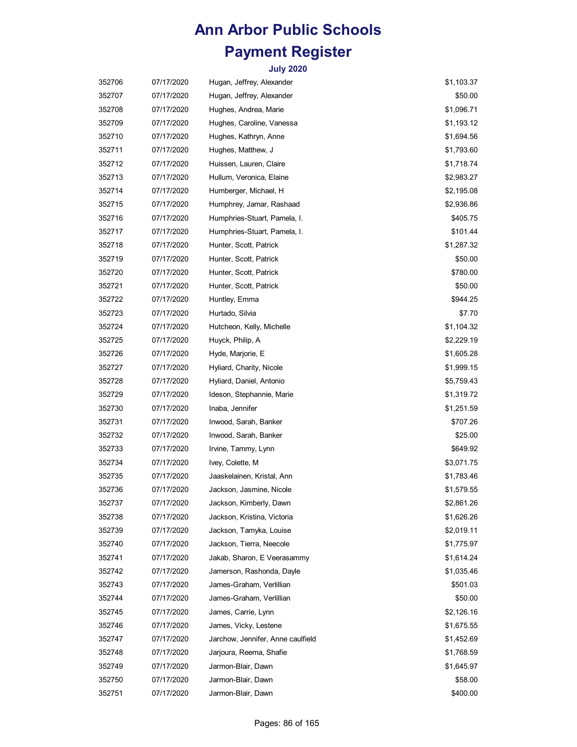| 352706 | 07/17/2020 | Hugan, Jeffrey, Alexander         | \$1,103.37 |
|--------|------------|-----------------------------------|------------|
| 352707 | 07/17/2020 | Hugan, Jeffrey, Alexander         | \$50.00    |
| 352708 | 07/17/2020 | Hughes, Andrea, Marie             | \$1,096.71 |
| 352709 | 07/17/2020 | Hughes, Caroline, Vanessa         | \$1,193.12 |
| 352710 | 07/17/2020 | Hughes, Kathryn, Anne             | \$1,694.56 |
| 352711 | 07/17/2020 | Hughes, Matthew, J                | \$1,793.60 |
| 352712 | 07/17/2020 | Huissen, Lauren, Claire           | \$1,718.74 |
| 352713 | 07/17/2020 | Hullum, Veronica, Elaine          | \$2,983.27 |
| 352714 | 07/17/2020 | Humberger, Michael, H             | \$2,195.08 |
| 352715 | 07/17/2020 | Humphrey, Jamar, Rashaad          | \$2,936.86 |
| 352716 | 07/17/2020 | Humphries-Stuart, Pamela, I.      | \$405.75   |
| 352717 | 07/17/2020 | Humphries-Stuart, Pamela, I.      | \$101.44   |
| 352718 | 07/17/2020 | Hunter, Scott, Patrick            | \$1,287.32 |
| 352719 | 07/17/2020 | Hunter, Scott, Patrick            | \$50.00    |
| 352720 | 07/17/2020 | Hunter, Scott, Patrick            | \$780.00   |
| 352721 | 07/17/2020 | Hunter, Scott, Patrick            | \$50.00    |
| 352722 | 07/17/2020 | Huntley, Emma                     | \$944.25   |
| 352723 | 07/17/2020 | Hurtado, Silvia                   | \$7.70     |
| 352724 | 07/17/2020 | Hutcheon, Kelly, Michelle         | \$1,104.32 |
| 352725 | 07/17/2020 | Huyck, Philip, A                  | \$2,229.19 |
| 352726 | 07/17/2020 | Hyde, Marjorie, E                 | \$1,605.28 |
| 352727 | 07/17/2020 | Hyliard, Charity, Nicole          | \$1,999.15 |
| 352728 | 07/17/2020 | Hyliard, Daniel, Antonio          | \$5,759.43 |
| 352729 | 07/17/2020 | Ideson, Stephannie, Marie         | \$1,319.72 |
| 352730 | 07/17/2020 | Inaba, Jennifer                   | \$1,251.59 |
| 352731 | 07/17/2020 | Inwood, Sarah, Banker             | \$707.26   |
| 352732 | 07/17/2020 | Inwood, Sarah, Banker             | \$25.00    |
| 352733 | 07/17/2020 | Irvine, Tammy, Lynn               | \$649.92   |
| 352734 | 07/17/2020 | Ivey, Colette, M                  | \$3,071.75 |
| 352735 | 07/17/2020 | Jaaskelainen, Kristal, Ann        | \$1,783.46 |
| 352736 | 07/17/2020 | Jackson, Jasmine, Nicole          | \$1,579.55 |
| 352737 | 07/17/2020 | Jackson, Kimberly, Dawn           | \$2,861.26 |
| 352738 | 07/17/2020 | Jackson, Kristina, Victoria       | \$1,626.26 |
| 352739 | 07/17/2020 | Jackson, Tamyka, Louise           | \$2,019.11 |
| 352740 | 07/17/2020 | Jackson, Tierra, Neecole          | \$1,775.97 |
| 352741 | 07/17/2020 | Jakab, Sharon, E Veerasammy       | \$1,614.24 |
| 352742 | 07/17/2020 | Jamerson, Rashonda, Dayle         | \$1,035.46 |
| 352743 | 07/17/2020 | James-Graham, Verlillian          | \$501.03   |
| 352744 | 07/17/2020 | James-Graham, Verlillian          | \$50.00    |
| 352745 | 07/17/2020 | James, Carrie, Lynn               | \$2,126.16 |
| 352746 | 07/17/2020 | James, Vicky, Lestene             | \$1,675.55 |
| 352747 | 07/17/2020 | Jarchow, Jennifer, Anne caulfield | \$1,452.69 |
| 352748 | 07/17/2020 | Jarjoura, Reema, Shafie           | \$1,768.59 |
| 352749 | 07/17/2020 | Jarmon-Blair, Dawn                | \$1,645.97 |
| 352750 | 07/17/2020 | Jarmon-Blair, Dawn                | \$58.00    |
| 352751 | 07/17/2020 | Jarmon-Blair, Dawn                | \$400.00   |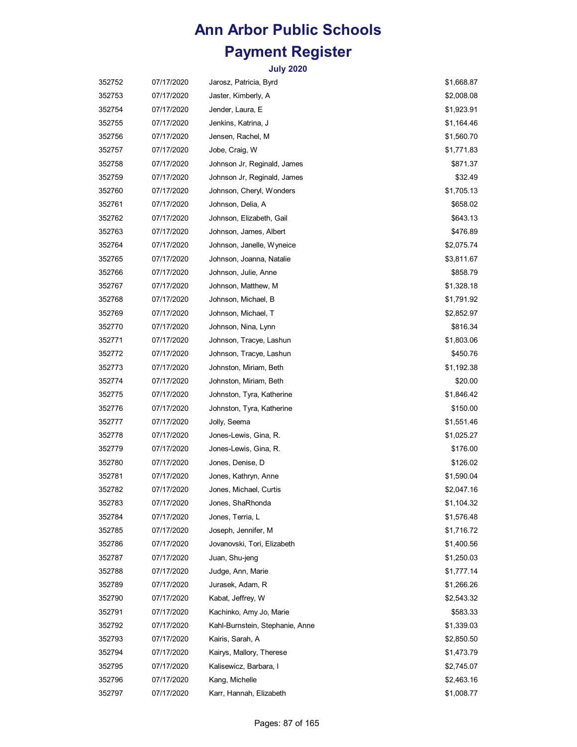| 352752 | 07/17/2020 | Jarosz, Patricia, Byrd          | \$1,668.87 |
|--------|------------|---------------------------------|------------|
| 352753 | 07/17/2020 | Jaster, Kimberly, A             | \$2,008.08 |
| 352754 | 07/17/2020 | Jender, Laura, E                | \$1,923.91 |
| 352755 | 07/17/2020 | Jenkins, Katrina, J             | \$1,164.46 |
| 352756 | 07/17/2020 | Jensen, Rachel, M               | \$1,560.70 |
| 352757 | 07/17/2020 | Jobe, Craig, W                  | \$1,771.83 |
| 352758 | 07/17/2020 | Johnson Jr, Reginald, James     | \$871.37   |
| 352759 | 07/17/2020 | Johnson Jr, Reginald, James     | \$32.49    |
| 352760 | 07/17/2020 | Johnson, Cheryl, Wonders        | \$1,705.13 |
| 352761 | 07/17/2020 | Johnson, Delia, A               | \$658.02   |
| 352762 | 07/17/2020 | Johnson, Elizabeth, Gail        | \$643.13   |
| 352763 | 07/17/2020 | Johnson, James, Albert          | \$476.89   |
| 352764 | 07/17/2020 | Johnson, Janelle, Wyneice       | \$2,075.74 |
| 352765 | 07/17/2020 | Johnson, Joanna, Natalie        | \$3,811.67 |
| 352766 | 07/17/2020 | Johnson, Julie, Anne            | \$858.79   |
| 352767 | 07/17/2020 | Johnson, Matthew, M             | \$1,328.18 |
| 352768 | 07/17/2020 | Johnson, Michael, B             | \$1,791.92 |
| 352769 | 07/17/2020 | Johnson, Michael, T             | \$2,852.97 |
| 352770 | 07/17/2020 | Johnson, Nina, Lynn             | \$816.34   |
| 352771 | 07/17/2020 | Johnson, Tracye, Lashun         | \$1,803.06 |
| 352772 | 07/17/2020 | Johnson, Tracye, Lashun         | \$450.76   |
| 352773 | 07/17/2020 | Johnston, Miriam, Beth          | \$1,192.38 |
| 352774 | 07/17/2020 | Johnston, Miriam, Beth          | \$20.00    |
| 352775 | 07/17/2020 | Johnston, Tyra, Katherine       | \$1,846.42 |
| 352776 | 07/17/2020 | Johnston, Tyra, Katherine       | \$150.00   |
| 352777 | 07/17/2020 | Jolly, Seema                    | \$1,551.46 |
| 352778 | 07/17/2020 | Jones-Lewis, Gina, R.           | \$1,025.27 |
| 352779 | 07/17/2020 | Jones-Lewis, Gina, R.           | \$176.00   |
| 352780 | 07/17/2020 | Jones, Denise, D                | \$126.02   |
| 352781 | 07/17/2020 | Jones, Kathryn, Anne            | \$1,590.04 |
| 352782 | 07/17/2020 | Jones, Michael, Curtis          | \$2,047.16 |
| 352783 | 07/17/2020 | Jones, ShaRhonda                | \$1,104.32 |
| 352784 | 07/17/2020 | Jones, Terria, L                | \$1,576.48 |
| 352785 | 07/17/2020 | Joseph, Jennifer, M             | \$1,716.72 |
| 352786 | 07/17/2020 | Jovanovski, Tori, Elizabeth     | \$1,400.56 |
| 352787 | 07/17/2020 | Juan, Shu-jeng                  | \$1,250.03 |
| 352788 | 07/17/2020 | Judge, Ann, Marie               | \$1,777.14 |
| 352789 | 07/17/2020 | Jurasek, Adam, R                | \$1,266.26 |
| 352790 | 07/17/2020 | Kabat, Jeffrey, W               | \$2,543.32 |
| 352791 | 07/17/2020 | Kachinko, Amy Jo, Marie         | \$583.33   |
| 352792 | 07/17/2020 | Kahl-Burnstein, Stephanie, Anne | \$1,339.03 |
| 352793 | 07/17/2020 | Kairis, Sarah, A                | \$2,850.50 |
| 352794 | 07/17/2020 | Kairys, Mallory, Therese        | \$1,473.79 |
| 352795 | 07/17/2020 | Kalisewicz, Barbara, I          | \$2,745.07 |
| 352796 | 07/17/2020 | Kang, Michelle                  | \$2,463.16 |
| 352797 | 07/17/2020 | Karr, Hannah, Elizabeth         | \$1,008.77 |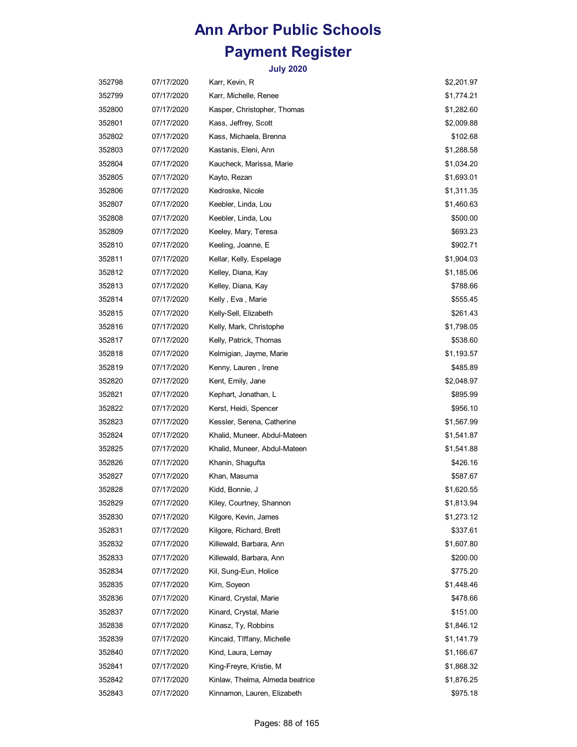| 352798 | 07/17/2020 | Karr, Kevin, R                  | \$2,201.97 |
|--------|------------|---------------------------------|------------|
| 352799 | 07/17/2020 | Karr, Michelle, Renee           | \$1,774.21 |
| 352800 | 07/17/2020 | Kasper, Christopher, Thomas     | \$1,282.60 |
| 352801 | 07/17/2020 | Kass, Jeffrey, Scott            | \$2,009.88 |
| 352802 | 07/17/2020 | Kass, Michaela, Brenna          | \$102.68   |
| 352803 | 07/17/2020 | Kastanis, Eleni, Ann            | \$1,288.58 |
| 352804 | 07/17/2020 | Kaucheck, Marissa, Marie        | \$1,034.20 |
| 352805 | 07/17/2020 | Kayto, Rezan                    | \$1,693.01 |
| 352806 | 07/17/2020 | Kedroske, Nicole                | \$1,311.35 |
| 352807 | 07/17/2020 | Keebler, Linda, Lou             | \$1,460.63 |
| 352808 | 07/17/2020 | Keebler, Linda, Lou             | \$500.00   |
| 352809 | 07/17/2020 | Keeley, Mary, Teresa            | \$693.23   |
| 352810 | 07/17/2020 | Keeling, Joanne, E              | \$902.71   |
| 352811 | 07/17/2020 | Kellar, Kelly, Espelage         | \$1,904.03 |
| 352812 | 07/17/2020 | Kelley, Diana, Kay              | \$1,185.06 |
| 352813 | 07/17/2020 | Kelley, Diana, Kay              | \$788.66   |
| 352814 | 07/17/2020 | Kelly , Eva , Marie             | \$555.45   |
| 352815 | 07/17/2020 | Kelly-Sell, Elizabeth           | \$261.43   |
| 352816 | 07/17/2020 | Kelly, Mark, Christophe         | \$1,798.05 |
| 352817 | 07/17/2020 | Kelly, Patrick, Thomas          | \$538.60   |
| 352818 | 07/17/2020 | Kelmigian, Jayme, Marie         | \$1,193.57 |
| 352819 | 07/17/2020 | Kenny, Lauren , Irene           | \$485.89   |
| 352820 | 07/17/2020 | Kent, Emily, Jane               | \$2,048.97 |
| 352821 | 07/17/2020 | Kephart, Jonathan, L            | \$895.99   |
| 352822 | 07/17/2020 | Kerst, Heidi, Spencer           | \$956.10   |
| 352823 | 07/17/2020 | Kessler, Serena, Catherine      | \$1,567.99 |
| 352824 | 07/17/2020 | Khalid, Muneer, Abdul-Mateen    | \$1,541.87 |
| 352825 | 07/17/2020 | Khalid, Muneer, Abdul-Mateen    | \$1,541.88 |
| 352826 | 07/17/2020 | Khanin, Shagufta                | \$426.16   |
| 352827 | 07/17/2020 | Khan, Masuma                    | \$587.67   |
| 352828 | 07/17/2020 | Kidd, Bonnie, J                 | \$1,620.55 |
| 352829 | 07/17/2020 | Kiley, Courtney, Shannon        | \$1,813.94 |
| 352830 | 07/17/2020 | Kilgore, Kevin, James           | \$1,273.12 |
| 352831 | 07/17/2020 | Kilgore, Richard, Brett         | \$337.61   |
| 352832 | 07/17/2020 | Killewald, Barbara, Ann         | \$1,607.80 |
| 352833 | 07/17/2020 | Killewald, Barbara, Ann         | \$200.00   |
| 352834 | 07/17/2020 | Kil, Sung-Eun, Holice           | \$775.20   |
| 352835 | 07/17/2020 | Kim, Soyeon                     | \$1,448.46 |
| 352836 | 07/17/2020 | Kinard, Crystal, Marie          | \$478.66   |
| 352837 | 07/17/2020 | Kinard, Crystal, Marie          | \$151.00   |
| 352838 | 07/17/2020 | Kinasz, Ty, Robbins             | \$1,846.12 |
| 352839 | 07/17/2020 | Kincaid, TIffany, Michelle      | \$1,141.79 |
| 352840 | 07/17/2020 | Kind, Laura, Lemay              | \$1,166.67 |
| 352841 | 07/17/2020 | King-Freyre, Kristie, M         | \$1,868.32 |
| 352842 | 07/17/2020 | Kinlaw, Thelma, Almeda beatrice | \$1,876.25 |
| 352843 | 07/17/2020 | Kinnamon, Lauren, Elizabeth     | \$975.18   |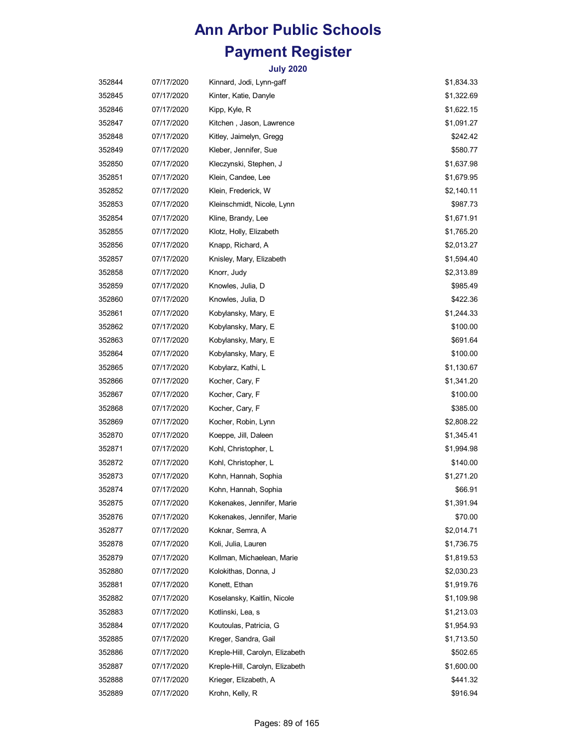| 352844 | 07/17/2020 | Kinnard, Jodi, Lynn-gaff        | \$1,834.33 |
|--------|------------|---------------------------------|------------|
| 352845 | 07/17/2020 | Kinter, Katie, Danyle           | \$1,322.69 |
| 352846 | 07/17/2020 | Kipp, Kyle, R                   | \$1,622.15 |
| 352847 | 07/17/2020 | Kitchen , Jason, Lawrence       | \$1,091.27 |
| 352848 | 07/17/2020 | Kitley, Jaimelyn, Gregg         | \$242.42   |
| 352849 | 07/17/2020 | Kleber, Jennifer, Sue           | \$580.77   |
| 352850 | 07/17/2020 | Kleczynski, Stephen, J          | \$1,637.98 |
| 352851 | 07/17/2020 | Klein, Candee, Lee              | \$1,679.95 |
| 352852 | 07/17/2020 | Klein, Frederick, W             | \$2,140.11 |
| 352853 | 07/17/2020 | Kleinschmidt, Nicole, Lynn      | \$987.73   |
| 352854 | 07/17/2020 | Kline, Brandy, Lee              | \$1,671.91 |
| 352855 | 07/17/2020 | Klotz, Holly, Elizabeth         | \$1,765.20 |
| 352856 | 07/17/2020 | Knapp, Richard, A               | \$2,013.27 |
| 352857 | 07/17/2020 | Knisley, Mary, Elizabeth        | \$1,594.40 |
| 352858 | 07/17/2020 | Knorr, Judy                     | \$2,313.89 |
| 352859 | 07/17/2020 | Knowles, Julia, D               | \$985.49   |
| 352860 | 07/17/2020 | Knowles, Julia, D               | \$422.36   |
| 352861 | 07/17/2020 | Kobylansky, Mary, E             | \$1,244.33 |
| 352862 | 07/17/2020 | Kobylansky, Mary, E             | \$100.00   |
| 352863 | 07/17/2020 | Kobylansky, Mary, E             | \$691.64   |
| 352864 | 07/17/2020 | Kobylansky, Mary, E             | \$100.00   |
| 352865 | 07/17/2020 | Kobylarz, Kathi, L              | \$1,130.67 |
| 352866 | 07/17/2020 | Kocher, Cary, F                 | \$1,341.20 |
| 352867 | 07/17/2020 | Kocher, Cary, F                 | \$100.00   |
| 352868 | 07/17/2020 | Kocher, Cary, F                 | \$385.00   |
| 352869 | 07/17/2020 | Kocher, Robin, Lynn             | \$2,808.22 |
| 352870 | 07/17/2020 | Koeppe, Jill, Daleen            | \$1,345.41 |
| 352871 | 07/17/2020 | Kohl, Christopher, L            | \$1,994.98 |
| 352872 | 07/17/2020 | Kohl, Christopher, L            | \$140.00   |
| 352873 | 07/17/2020 | Kohn, Hannah, Sophia            | \$1,271.20 |
| 352874 | 07/17/2020 | Kohn, Hannah, Sophia            | \$66.91    |
| 352875 | 07/17/2020 | Kokenakes, Jennifer, Marie      | \$1,391.94 |
| 352876 | 07/17/2020 | Kokenakes, Jennifer, Marie      | \$70.00    |
| 352877 | 07/17/2020 | Koknar, Semra, A                | \$2,014.71 |
| 352878 | 07/17/2020 | Koli, Julia, Lauren             | \$1,736.75 |
| 352879 | 07/17/2020 | Kollman, Michaelean, Marie      | \$1,819.53 |
| 352880 | 07/17/2020 | Kolokithas, Donna, J            | \$2,030.23 |
| 352881 | 07/17/2020 | Konett, Ethan                   | \$1,919.76 |
| 352882 | 07/17/2020 | Koselansky, Kaitlin, Nicole     | \$1,109.98 |
| 352883 | 07/17/2020 | Kotlinski, Lea, s               | \$1,213.03 |
| 352884 | 07/17/2020 | Koutoulas, Patricia, G          | \$1,954.93 |
| 352885 | 07/17/2020 | Kreger, Sandra, Gail            | \$1,713.50 |
| 352886 | 07/17/2020 | Kreple-Hill, Carolyn, Elizabeth | \$502.65   |
| 352887 | 07/17/2020 | Kreple-Hill, Carolyn, Elizabeth | \$1,600.00 |
| 352888 | 07/17/2020 | Krieger, Elizabeth, A           | \$441.32   |
| 352889 | 07/17/2020 | Krohn, Kelly, R                 | \$916.94   |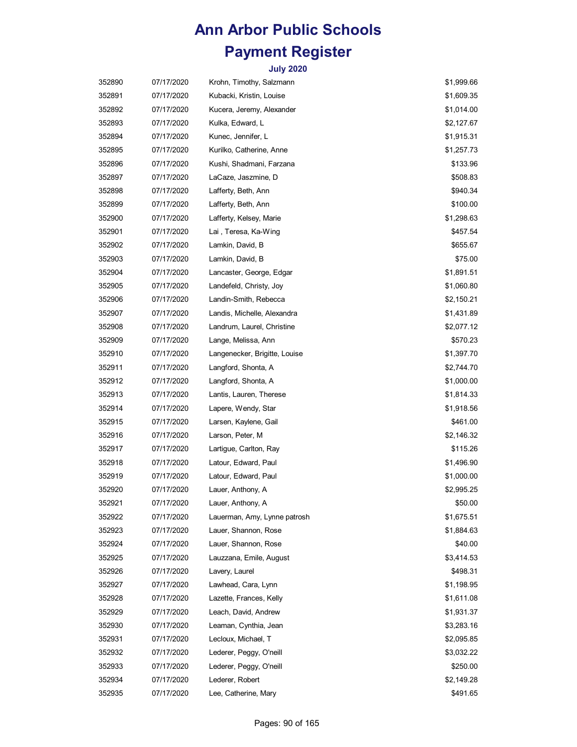| 352890 | 07/17/2020 | Krohn, Timothy, Salzmann      | \$1,999.66 |
|--------|------------|-------------------------------|------------|
| 352891 | 07/17/2020 | Kubacki, Kristin, Louise      | \$1,609.35 |
| 352892 | 07/17/2020 | Kucera, Jeremy, Alexander     | \$1,014.00 |
| 352893 | 07/17/2020 | Kulka, Edward, L              | \$2,127.67 |
| 352894 | 07/17/2020 | Kunec, Jennifer, L            | \$1,915.31 |
| 352895 | 07/17/2020 | Kurilko, Catherine, Anne      | \$1,257.73 |
| 352896 | 07/17/2020 | Kushi, Shadmani, Farzana      | \$133.96   |
| 352897 | 07/17/2020 | LaCaze, Jaszmine, D           | \$508.83   |
| 352898 | 07/17/2020 | Lafferty, Beth, Ann           | \$940.34   |
| 352899 | 07/17/2020 | Lafferty, Beth, Ann           | \$100.00   |
| 352900 | 07/17/2020 | Lafferty, Kelsey, Marie       | \$1,298.63 |
| 352901 | 07/17/2020 | Lai, Teresa, Ka-Wing          | \$457.54   |
| 352902 | 07/17/2020 | Lamkin, David, B              | \$655.67   |
| 352903 | 07/17/2020 | Lamkin, David, B              | \$75.00    |
| 352904 | 07/17/2020 | Lancaster, George, Edgar      | \$1,891.51 |
| 352905 | 07/17/2020 | Landefeld, Christy, Joy       | \$1,060.80 |
| 352906 | 07/17/2020 | Landin-Smith, Rebecca         | \$2,150.21 |
| 352907 | 07/17/2020 | Landis, Michelle, Alexandra   | \$1,431.89 |
| 352908 | 07/17/2020 | Landrum, Laurel, Christine    | \$2,077.12 |
| 352909 | 07/17/2020 | Lange, Melissa, Ann           | \$570.23   |
| 352910 | 07/17/2020 | Langenecker, Brigitte, Louise | \$1,397.70 |
| 352911 | 07/17/2020 | Langford, Shonta, A           | \$2,744.70 |
| 352912 | 07/17/2020 | Langford, Shonta, A           | \$1,000.00 |
| 352913 | 07/17/2020 | Lantis, Lauren, Therese       | \$1,814.33 |
| 352914 | 07/17/2020 | Lapere, Wendy, Star           | \$1,918.56 |
| 352915 | 07/17/2020 | Larsen, Kaylene, Gail         | \$461.00   |
| 352916 | 07/17/2020 | Larson, Peter, M              | \$2,146.32 |
| 352917 | 07/17/2020 | Lartigue, Carlton, Ray        | \$115.26   |
| 352918 | 07/17/2020 | Latour, Edward, Paul          | \$1,496.90 |
| 352919 | 07/17/2020 | Latour, Edward, Paul          | \$1,000.00 |
| 352920 | 07/17/2020 | Lauer, Anthony, A             | \$2,995.25 |
| 352921 | 07/17/2020 | Lauer, Anthony, A             | \$50.00    |
| 352922 | 07/17/2020 | Lauerman, Amy, Lynne patrosh  | \$1,675.51 |
| 352923 | 07/17/2020 | Lauer, Shannon, Rose          | \$1,884.63 |
| 352924 | 07/17/2020 | Lauer, Shannon, Rose          | \$40.00    |
| 352925 | 07/17/2020 | Lauzzana, Emile, August       | \$3,414.53 |
| 352926 | 07/17/2020 | Lavery, Laurel                | \$498.31   |
| 352927 | 07/17/2020 | Lawhead, Cara, Lynn           | \$1,198.95 |
| 352928 | 07/17/2020 | Lazette, Frances, Kelly       | \$1,611.08 |
| 352929 | 07/17/2020 | Leach, David, Andrew          | \$1,931.37 |
| 352930 | 07/17/2020 | Leaman, Cynthia, Jean         | \$3,283.16 |
| 352931 | 07/17/2020 | Lecloux, Michael, T           | \$2,095.85 |
| 352932 | 07/17/2020 | Lederer, Peggy, O'neill       | \$3,032.22 |
| 352933 | 07/17/2020 | Lederer, Peggy, O'neill       | \$250.00   |
| 352934 | 07/17/2020 | Lederer, Robert               | \$2,149.28 |
| 352935 | 07/17/2020 | Lee, Catherine, Mary          | \$491.65   |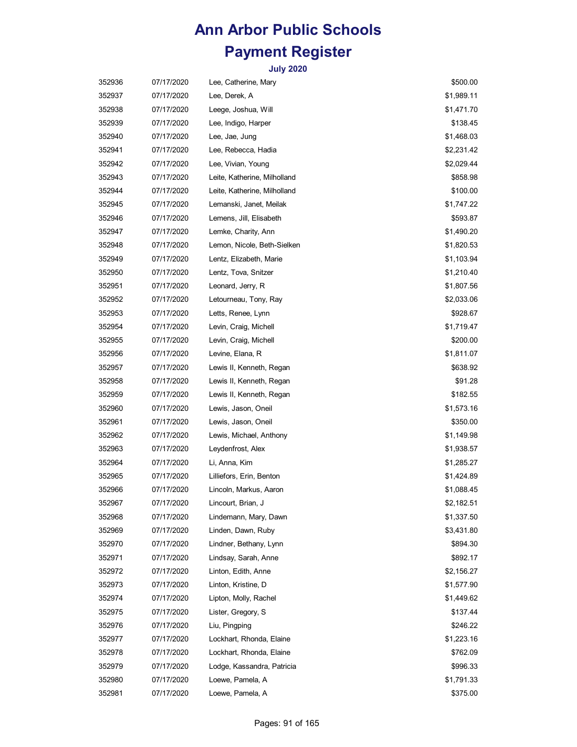| 352936 | 07/17/2020 | Lee, Catherine, Mary         | \$500.00   |
|--------|------------|------------------------------|------------|
| 352937 | 07/17/2020 | Lee, Derek, A                | \$1,989.11 |
| 352938 | 07/17/2020 | Leege, Joshua, Will          | \$1,471.70 |
| 352939 | 07/17/2020 | Lee, Indigo, Harper          | \$138.45   |
| 352940 | 07/17/2020 | Lee, Jae, Jung               | \$1,468.03 |
| 352941 | 07/17/2020 | Lee, Rebecca, Hadia          | \$2,231.42 |
| 352942 | 07/17/2020 | Lee, Vivian, Young           | \$2,029.44 |
| 352943 | 07/17/2020 | Leite, Katherine, Milholland | \$858.98   |
| 352944 | 07/17/2020 | Leite, Katherine, Milholland | \$100.00   |
| 352945 | 07/17/2020 | Lemanski, Janet, Meilak      | \$1,747.22 |
| 352946 | 07/17/2020 | Lemens, Jill, Elisabeth      | \$593.87   |
| 352947 | 07/17/2020 | Lemke, Charity, Ann          | \$1,490.20 |
| 352948 | 07/17/2020 | Lemon, Nicole, Beth-Sielken  | \$1,820.53 |
| 352949 | 07/17/2020 | Lentz, Elizabeth, Marie      | \$1,103.94 |
| 352950 | 07/17/2020 | Lentz, Tova, Snitzer         | \$1,210.40 |
| 352951 | 07/17/2020 | Leonard, Jerry, R            | \$1,807.56 |
| 352952 | 07/17/2020 | Letourneau, Tony, Ray        | \$2,033.06 |
| 352953 | 07/17/2020 | Letts, Renee, Lynn           | \$928.67   |
| 352954 | 07/17/2020 | Levin, Craig, Michell        | \$1,719.47 |
| 352955 | 07/17/2020 | Levin, Craig, Michell        | \$200.00   |
| 352956 | 07/17/2020 | Levine, Elana, R             | \$1,811.07 |
| 352957 | 07/17/2020 | Lewis II, Kenneth, Regan     | \$638.92   |
| 352958 | 07/17/2020 | Lewis II, Kenneth, Regan     | \$91.28    |
| 352959 | 07/17/2020 | Lewis II, Kenneth, Regan     | \$182.55   |
| 352960 | 07/17/2020 | Lewis, Jason, Oneil          | \$1,573.16 |
| 352961 | 07/17/2020 | Lewis, Jason, Oneil          | \$350.00   |
| 352962 | 07/17/2020 | Lewis, Michael, Anthony      | \$1,149.98 |
| 352963 | 07/17/2020 | Leydenfrost, Alex            | \$1,938.57 |
| 352964 | 07/17/2020 | Li, Anna, Kim                | \$1,285.27 |
| 352965 | 07/17/2020 | Lilliefors, Erin, Benton     | \$1,424.89 |
| 352966 | 07/17/2020 | Lincoln, Markus, Aaron       | \$1,088.45 |
| 352967 | 07/17/2020 | Lincourt, Brian, J           | \$2,182.51 |
| 352968 | 07/17/2020 | Lindemann, Mary, Dawn        | \$1,337.50 |
| 352969 | 07/17/2020 | Linden, Dawn, Ruby           | \$3,431.80 |
| 352970 | 07/17/2020 | Lindner, Bethany, Lynn       | \$894.30   |
| 352971 | 07/17/2020 | Lindsay, Sarah, Anne         | \$892.17   |
| 352972 | 07/17/2020 | Linton, Edith, Anne          | \$2,156.27 |
| 352973 | 07/17/2020 | Linton, Kristine, D          | \$1,577.90 |
| 352974 | 07/17/2020 | Lipton, Molly, Rachel        | \$1,449.62 |
| 352975 | 07/17/2020 | Lister, Gregory, S           | \$137.44   |
| 352976 | 07/17/2020 | Liu, Pingping                | \$246.22   |
| 352977 | 07/17/2020 | Lockhart, Rhonda, Elaine     | \$1,223.16 |
| 352978 | 07/17/2020 | Lockhart, Rhonda, Elaine     | \$762.09   |
| 352979 | 07/17/2020 | Lodge, Kassandra, Patricia   | \$996.33   |
| 352980 | 07/17/2020 | Loewe, Pamela, A             | \$1,791.33 |
| 352981 | 07/17/2020 | Loewe, Pamela, A             | \$375.00   |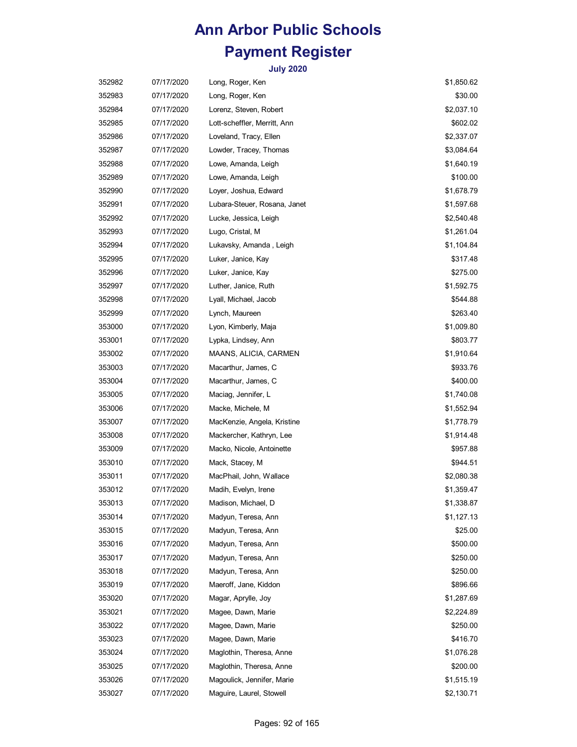| 352982 | 07/17/2020 | Long, Roger, Ken             | \$1,850.62 |
|--------|------------|------------------------------|------------|
| 352983 | 07/17/2020 | Long, Roger, Ken             | \$30.00    |
| 352984 | 07/17/2020 | Lorenz, Steven, Robert       | \$2,037.10 |
| 352985 | 07/17/2020 | Lott-scheffler, Merritt, Ann | \$602.02   |
| 352986 | 07/17/2020 | Loveland, Tracy, Ellen       | \$2,337.07 |
| 352987 | 07/17/2020 | Lowder, Tracey, Thomas       | \$3,084.64 |
| 352988 | 07/17/2020 | Lowe, Amanda, Leigh          | \$1,640.19 |
| 352989 | 07/17/2020 | Lowe, Amanda, Leigh          | \$100.00   |
| 352990 | 07/17/2020 | Loyer, Joshua, Edward        | \$1,678.79 |
| 352991 | 07/17/2020 | Lubara-Steuer, Rosana, Janet | \$1,597.68 |
| 352992 | 07/17/2020 | Lucke, Jessica, Leigh        | \$2,540.48 |
| 352993 | 07/17/2020 | Lugo, Cristal, M             | \$1,261.04 |
| 352994 | 07/17/2020 | Lukavsky, Amanda, Leigh      | \$1,104.84 |
| 352995 | 07/17/2020 | Luker, Janice, Kay           | \$317.48   |
| 352996 | 07/17/2020 | Luker, Janice, Kay           | \$275.00   |
| 352997 | 07/17/2020 | Luther, Janice, Ruth         | \$1,592.75 |
| 352998 | 07/17/2020 | Lyall, Michael, Jacob        | \$544.88   |
| 352999 | 07/17/2020 | Lynch, Maureen               | \$263.40   |
| 353000 | 07/17/2020 | Lyon, Kimberly, Maja         | \$1,009.80 |
| 353001 | 07/17/2020 | Lypka, Lindsey, Ann          | \$803.77   |
| 353002 | 07/17/2020 | MAANS, ALICIA, CARMEN        | \$1,910.64 |
| 353003 | 07/17/2020 | Macarthur, James, C          | \$933.76   |
| 353004 | 07/17/2020 | Macarthur, James, C          | \$400.00   |
| 353005 | 07/17/2020 | Maciag, Jennifer, L          | \$1,740.08 |
| 353006 | 07/17/2020 | Macke, Michele, M            | \$1,552.94 |
| 353007 | 07/17/2020 | MacKenzie, Angela, Kristine  | \$1,778.79 |
| 353008 | 07/17/2020 | Mackercher, Kathryn, Lee     | \$1,914.48 |
| 353009 | 07/17/2020 | Macko, Nicole, Antoinette    | \$957.88   |
| 353010 | 07/17/2020 | Mack, Stacey, M              | \$944.51   |
| 353011 | 07/17/2020 | MacPhail, John, Wallace      | \$2,080.38 |
| 353012 | 07/17/2020 | Madih, Evelyn, Irene         | \$1,359.47 |
| 353013 | 07/17/2020 | Madison, Michael, D          | \$1,338.87 |
| 353014 | 07/17/2020 | Madyun, Teresa, Ann          | \$1,127.13 |
| 353015 | 07/17/2020 | Madyun, Teresa, Ann          | \$25.00    |
| 353016 | 07/17/2020 | Madyun, Teresa, Ann          | \$500.00   |
| 353017 | 07/17/2020 | Madyun, Teresa, Ann          | \$250.00   |
| 353018 | 07/17/2020 | Madyun, Teresa, Ann          | \$250.00   |
| 353019 | 07/17/2020 | Maeroff, Jane, Kiddon        | \$896.66   |
| 353020 | 07/17/2020 | Magar, Aprylle, Joy          | \$1,287.69 |
| 353021 | 07/17/2020 | Magee, Dawn, Marie           | \$2,224.89 |
| 353022 | 07/17/2020 | Magee, Dawn, Marie           | \$250.00   |
| 353023 | 07/17/2020 | Magee, Dawn, Marie           | \$416.70   |
| 353024 | 07/17/2020 | Maglothin, Theresa, Anne     | \$1,076.28 |
| 353025 | 07/17/2020 | Maglothin, Theresa, Anne     | \$200.00   |
| 353026 | 07/17/2020 | Magoulick, Jennifer, Marie   | \$1,515.19 |
| 353027 | 07/17/2020 | Maguire, Laurel, Stowell     | \$2,130.71 |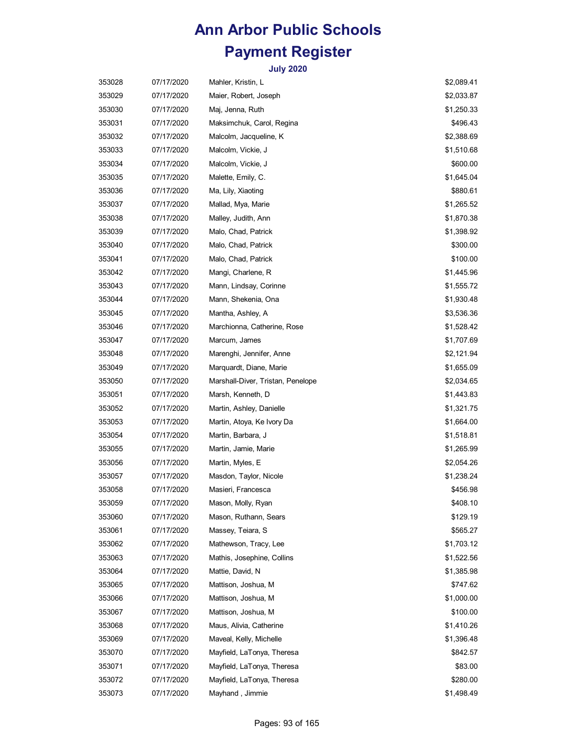| 353028 | 07/17/2020 | Mahler, Kristin, L                | \$2,089.41 |
|--------|------------|-----------------------------------|------------|
| 353029 | 07/17/2020 | Maier, Robert, Joseph             | \$2,033.87 |
| 353030 | 07/17/2020 | Maj, Jenna, Ruth                  | \$1,250.33 |
| 353031 | 07/17/2020 | Maksimchuk, Carol, Regina         | \$496.43   |
| 353032 | 07/17/2020 | Malcolm, Jacqueline, K            | \$2,388.69 |
| 353033 | 07/17/2020 | Malcolm, Vickie, J                | \$1,510.68 |
| 353034 | 07/17/2020 | Malcolm, Vickie, J                | \$600.00   |
| 353035 | 07/17/2020 | Malette, Emily, C.                | \$1,645.04 |
| 353036 | 07/17/2020 | Ma, Lily, Xiaoting                | \$880.61   |
| 353037 | 07/17/2020 | Mallad, Mya, Marie                | \$1,265.52 |
| 353038 | 07/17/2020 | Malley, Judith, Ann               | \$1,870.38 |
| 353039 | 07/17/2020 | Malo, Chad, Patrick               | \$1,398.92 |
| 353040 | 07/17/2020 | Malo, Chad, Patrick               | \$300.00   |
| 353041 | 07/17/2020 | Malo, Chad, Patrick               | \$100.00   |
| 353042 | 07/17/2020 | Mangi, Charlene, R                | \$1,445.96 |
| 353043 | 07/17/2020 | Mann, Lindsay, Corinne            | \$1,555.72 |
| 353044 | 07/17/2020 | Mann, Shekenia, Ona               | \$1,930.48 |
| 353045 | 07/17/2020 | Mantha, Ashley, A                 | \$3,536.36 |
| 353046 | 07/17/2020 | Marchionna, Catherine, Rose       | \$1,528.42 |
| 353047 | 07/17/2020 | Marcum, James                     | \$1,707.69 |
| 353048 | 07/17/2020 | Marenghi, Jennifer, Anne          | \$2,121.94 |
| 353049 | 07/17/2020 | Marquardt, Diane, Marie           | \$1,655.09 |
| 353050 | 07/17/2020 | Marshall-Diver, Tristan, Penelope | \$2,034.65 |
| 353051 | 07/17/2020 | Marsh, Kenneth, D                 | \$1,443.83 |
| 353052 | 07/17/2020 | Martin, Ashley, Danielle          | \$1,321.75 |
| 353053 | 07/17/2020 | Martin, Atoya, Ke Ivory Da        | \$1,664.00 |
| 353054 | 07/17/2020 | Martin, Barbara, J                | \$1,518.81 |
| 353055 | 07/17/2020 | Martin, Jamie, Marie              | \$1,265.99 |
| 353056 | 07/17/2020 | Martin, Myles, E                  | \$2,054.26 |
| 353057 | 07/17/2020 | Masdon, Taylor, Nicole            | \$1,238.24 |
| 353058 | 07/17/2020 | Masieri, Francesca                | \$456.98   |
| 353059 | 07/17/2020 | Mason, Molly, Ryan                | \$408.10   |
| 353060 | 07/17/2020 | Mason, Ruthann, Sears             | \$129.19   |
| 353061 | 07/17/2020 | Massey, Teiara, S                 | \$565.27   |
| 353062 | 07/17/2020 | Mathewson, Tracy, Lee             | \$1,703.12 |
| 353063 | 07/17/2020 | Mathis, Josephine, Collins        | \$1,522.56 |
| 353064 | 07/17/2020 | Mattie, David, N                  | \$1,385.98 |
| 353065 | 07/17/2020 | Mattison, Joshua, M               | \$747.62   |
| 353066 | 07/17/2020 | Mattison, Joshua, M               | \$1,000.00 |
| 353067 | 07/17/2020 | Mattison, Joshua, M               | \$100.00   |
| 353068 | 07/17/2020 | Maus, Alivia, Catherine           | \$1,410.26 |
| 353069 | 07/17/2020 | Maveal, Kelly, Michelle           | \$1,396.48 |
| 353070 | 07/17/2020 | Mayfield, LaTonya, Theresa        | \$842.57   |
| 353071 | 07/17/2020 | Mayfield, LaTonya, Theresa        | \$83.00    |
| 353072 | 07/17/2020 | Mayfield, LaTonya, Theresa        | \$280.00   |
| 353073 | 07/17/2020 | Mayhand, Jimmie                   | \$1,498.49 |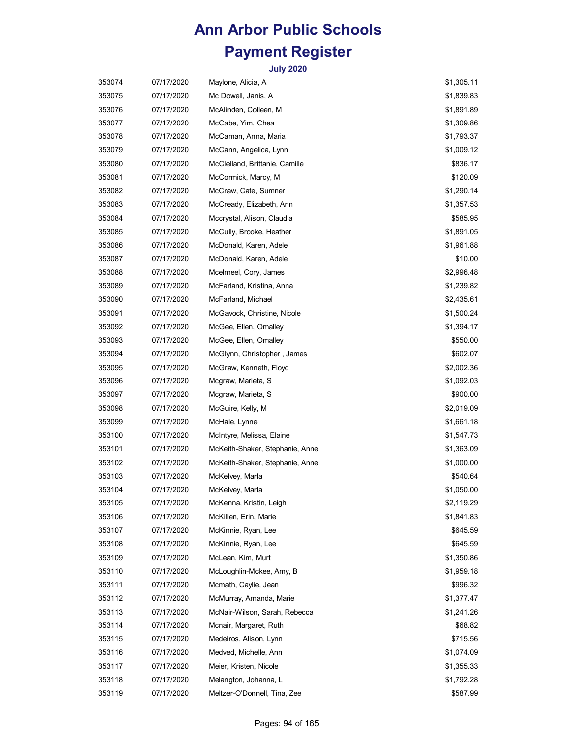| 353074 | 07/17/2020 | Maylone, Alicia, A              | \$1,305.11 |
|--------|------------|---------------------------------|------------|
| 353075 | 07/17/2020 | Mc Dowell, Janis, A             | \$1,839.83 |
| 353076 | 07/17/2020 | McAlinden, Colleen, M           | \$1,891.89 |
| 353077 | 07/17/2020 | McCabe, Yim, Chea               | \$1,309.86 |
| 353078 | 07/17/2020 | McCaman, Anna, Maria            | \$1,793.37 |
| 353079 | 07/17/2020 | McCann, Angelica, Lynn          | \$1,009.12 |
| 353080 | 07/17/2020 | McClelland, Brittanie, Camille  | \$836.17   |
| 353081 | 07/17/2020 | McCormick, Marcy, M             | \$120.09   |
| 353082 | 07/17/2020 | McCraw, Cate, Sumner            | \$1,290.14 |
| 353083 | 07/17/2020 | McCready, Elizabeth, Ann        | \$1,357.53 |
| 353084 | 07/17/2020 | Mccrystal, Alison, Claudia      | \$585.95   |
| 353085 | 07/17/2020 | McCully, Brooke, Heather        | \$1,891.05 |
| 353086 | 07/17/2020 | McDonald, Karen, Adele          | \$1,961.88 |
| 353087 | 07/17/2020 | McDonald, Karen, Adele          | \$10.00    |
| 353088 | 07/17/2020 | Mcelmeel, Cory, James           | \$2,996.48 |
| 353089 | 07/17/2020 | McFarland, Kristina, Anna       | \$1,239.82 |
| 353090 | 07/17/2020 | McFarland, Michael              | \$2,435.61 |
| 353091 | 07/17/2020 | McGavock, Christine, Nicole     | \$1,500.24 |
| 353092 | 07/17/2020 | McGee, Ellen, Omalley           | \$1,394.17 |
| 353093 | 07/17/2020 | McGee, Ellen, Omalley           | \$550.00   |
| 353094 | 07/17/2020 | McGlynn, Christopher, James     | \$602.07   |
| 353095 | 07/17/2020 | McGraw, Kenneth, Floyd          | \$2,002.36 |
| 353096 | 07/17/2020 | Mcgraw, Marieta, S              | \$1,092.03 |
| 353097 | 07/17/2020 | Mcgraw, Marieta, S              | \$900.00   |
| 353098 | 07/17/2020 | McGuire, Kelly, M               | \$2,019.09 |
| 353099 | 07/17/2020 | McHale, Lynne                   | \$1,661.18 |
| 353100 | 07/17/2020 | McIntyre, Melissa, Elaine       | \$1,547.73 |
| 353101 | 07/17/2020 | McKeith-Shaker, Stephanie, Anne | \$1,363.09 |
| 353102 | 07/17/2020 | McKeith-Shaker, Stephanie, Anne | \$1,000.00 |
| 353103 | 07/17/2020 | McKelvey, Marla                 | \$540.64   |
| 353104 | 07/17/2020 | McKelvey, Marla                 | \$1,050.00 |
| 353105 | 07/17/2020 | McKenna, Kristin, Leigh         | \$2,119.29 |
| 353106 | 07/17/2020 | McKillen, Erin, Marie           | \$1,841.83 |
| 353107 | 07/17/2020 | McKinnie, Ryan, Lee             | \$645.59   |
| 353108 | 07/17/2020 | McKinnie, Ryan, Lee             | \$645.59   |
| 353109 | 07/17/2020 | McLean, Kim, Murt               | \$1,350.86 |
| 353110 | 07/17/2020 | McLoughlin-Mckee, Amy, B        | \$1,959.18 |
| 353111 | 07/17/2020 | Mcmath, Caylie, Jean            | \$996.32   |
| 353112 | 07/17/2020 | McMurray, Amanda, Marie         | \$1,377.47 |
| 353113 | 07/17/2020 | McNair-Wilson, Sarah, Rebecca   | \$1,241.26 |
| 353114 | 07/17/2020 | Mcnair, Margaret, Ruth          | \$68.82    |
| 353115 | 07/17/2020 | Medeiros, Alison, Lynn          | \$715.56   |
| 353116 | 07/17/2020 | Medved, Michelle, Ann           | \$1,074.09 |
| 353117 | 07/17/2020 | Meier, Kristen, Nicole          | \$1,355.33 |
| 353118 | 07/17/2020 | Melangton, Johanna, L           | \$1,792.28 |
| 353119 | 07/17/2020 | Meltzer-O'Donnell, Tina, Zee    | \$587.99   |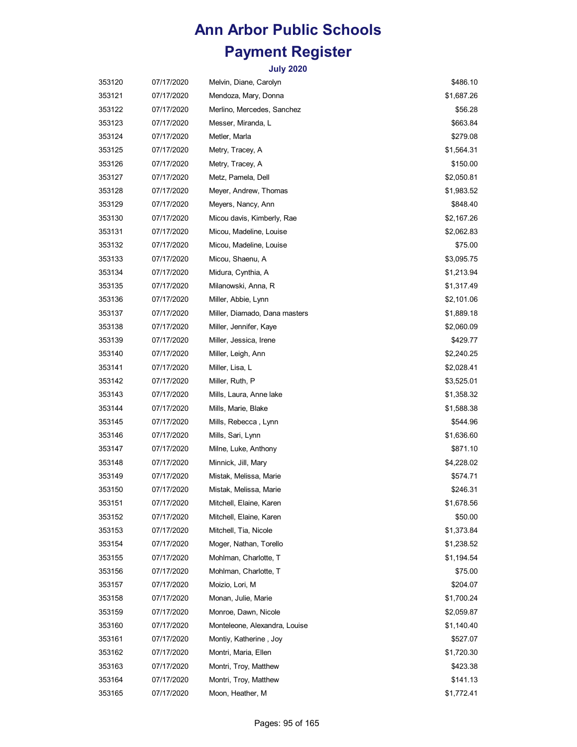| 353120 | 07/17/2020 | Melvin, Diane, Carolyn        | \$486.10   |
|--------|------------|-------------------------------|------------|
| 353121 | 07/17/2020 | Mendoza, Mary, Donna          | \$1,687.26 |
| 353122 | 07/17/2020 | Merlino, Mercedes, Sanchez    | \$56.28    |
| 353123 | 07/17/2020 | Messer, Miranda, L            | \$663.84   |
| 353124 | 07/17/2020 | Metler, Marla                 | \$279.08   |
| 353125 | 07/17/2020 | Metry, Tracey, A              | \$1,564.31 |
| 353126 | 07/17/2020 | Metry, Tracey, A              | \$150.00   |
| 353127 | 07/17/2020 | Metz, Pamela, Dell            | \$2,050.81 |
| 353128 | 07/17/2020 | Meyer, Andrew, Thomas         | \$1,983.52 |
| 353129 | 07/17/2020 | Meyers, Nancy, Ann            | \$848.40   |
| 353130 | 07/17/2020 | Micou davis, Kimberly, Rae    | \$2,167.26 |
| 353131 | 07/17/2020 | Micou, Madeline, Louise       | \$2,062.83 |
| 353132 | 07/17/2020 | Micou, Madeline, Louise       | \$75.00    |
| 353133 | 07/17/2020 | Micou, Shaenu, A              | \$3,095.75 |
| 353134 | 07/17/2020 | Midura, Cynthia, A            | \$1,213.94 |
| 353135 | 07/17/2020 | Milanowski, Anna, R           | \$1,317.49 |
| 353136 | 07/17/2020 | Miller, Abbie, Lynn           | \$2,101.06 |
| 353137 | 07/17/2020 | Miller, Diamado, Dana masters | \$1,889.18 |
| 353138 | 07/17/2020 | Miller, Jennifer, Kaye        | \$2,060.09 |
| 353139 | 07/17/2020 | Miller, Jessica, Irene        | \$429.77   |
| 353140 | 07/17/2020 | Miller, Leigh, Ann            | \$2,240.25 |
| 353141 | 07/17/2020 | Miller, Lisa, L               | \$2,028.41 |
| 353142 | 07/17/2020 | Miller, Ruth, P               | \$3,525.01 |
| 353143 | 07/17/2020 | Mills, Laura, Anne lake       | \$1,358.32 |
| 353144 | 07/17/2020 | Mills, Marie, Blake           | \$1,588.38 |
| 353145 | 07/17/2020 | Mills, Rebecca, Lynn          | \$544.96   |
| 353146 | 07/17/2020 | Mills, Sari, Lynn             | \$1,636.60 |
| 353147 | 07/17/2020 | Milne, Luke, Anthony          | \$871.10   |
| 353148 | 07/17/2020 | Minnick, Jill, Mary           | \$4,228.02 |
| 353149 | 07/17/2020 | Mistak, Melissa, Marie        | \$574.71   |
| 353150 | 07/17/2020 | Mistak, Melissa, Marie        | \$246.31   |
| 353151 | 07/17/2020 | Mitchell, Elaine, Karen       | \$1,678.56 |
| 353152 | 07/17/2020 | Mitchell, Elaine, Karen       | \$50.00    |
| 353153 | 07/17/2020 | Mitchell, Tia, Nicole         | \$1,373.84 |
| 353154 | 07/17/2020 | Moger, Nathan, Torello        | \$1,238.52 |
| 353155 | 07/17/2020 | Mohlman, Charlotte, T         | \$1,194.54 |
| 353156 | 07/17/2020 | Mohlman, Charlotte, T         | \$75.00    |
| 353157 | 07/17/2020 | Moizio, Lori, M               | \$204.07   |
| 353158 | 07/17/2020 | Monan, Julie, Marie           | \$1,700.24 |
| 353159 | 07/17/2020 | Monroe, Dawn, Nicole          | \$2,059.87 |
| 353160 | 07/17/2020 | Monteleone, Alexandra, Louise | \$1,140.40 |
| 353161 | 07/17/2020 | Montiy, Katherine, Joy        | \$527.07   |
| 353162 | 07/17/2020 | Montri, Maria, Ellen          | \$1,720.30 |
| 353163 | 07/17/2020 | Montri, Troy, Matthew         | \$423.38   |
| 353164 | 07/17/2020 | Montri, Troy, Matthew         | \$141.13   |
| 353165 | 07/17/2020 | Moon, Heather, M              | \$1,772.41 |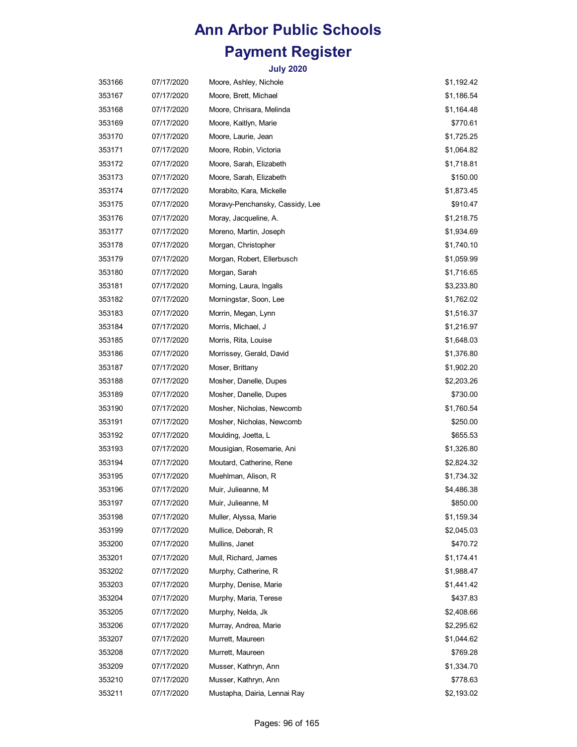| 353166 | 07/17/2020 | Moore, Ashley, Nichole          | \$1,192.42 |
|--------|------------|---------------------------------|------------|
| 353167 | 07/17/2020 | Moore, Brett, Michael           | \$1,186.54 |
| 353168 | 07/17/2020 | Moore, Chrisara, Melinda        | \$1,164.48 |
| 353169 | 07/17/2020 | Moore, Kaitlyn, Marie           | \$770.61   |
| 353170 | 07/17/2020 | Moore, Laurie, Jean             | \$1,725.25 |
| 353171 | 07/17/2020 | Moore, Robin, Victoria          | \$1,064.82 |
| 353172 | 07/17/2020 | Moore, Sarah, Elizabeth         | \$1,718.81 |
| 353173 | 07/17/2020 | Moore, Sarah, Elizabeth         | \$150.00   |
| 353174 | 07/17/2020 | Morabito, Kara, Mickelle        | \$1,873.45 |
| 353175 | 07/17/2020 | Moravy-Penchansky, Cassidy, Lee | \$910.47   |
| 353176 | 07/17/2020 | Moray, Jacqueline, A.           | \$1,218.75 |
| 353177 | 07/17/2020 | Moreno, Martin, Joseph          | \$1,934.69 |
| 353178 | 07/17/2020 | Morgan, Christopher             | \$1,740.10 |
| 353179 | 07/17/2020 | Morgan, Robert, Ellerbusch      | \$1,059.99 |
| 353180 | 07/17/2020 | Morgan, Sarah                   | \$1,716.65 |
| 353181 | 07/17/2020 | Morning, Laura, Ingalls         | \$3,233.80 |
| 353182 | 07/17/2020 | Morningstar, Soon, Lee          | \$1,762.02 |
| 353183 | 07/17/2020 | Morrin, Megan, Lynn             | \$1,516.37 |
| 353184 | 07/17/2020 | Morris, Michael, J              | \$1,216.97 |
| 353185 | 07/17/2020 | Morris, Rita, Louise            | \$1,648.03 |
| 353186 | 07/17/2020 | Morrissey, Gerald, David        | \$1,376.80 |
| 353187 | 07/17/2020 | Moser, Brittany                 | \$1,902.20 |
| 353188 | 07/17/2020 | Mosher, Danelle, Dupes          | \$2,203.26 |
| 353189 | 07/17/2020 | Mosher, Danelle, Dupes          | \$730.00   |
| 353190 | 07/17/2020 | Mosher, Nicholas, Newcomb       | \$1,760.54 |
| 353191 | 07/17/2020 | Mosher, Nicholas, Newcomb       | \$250.00   |
| 353192 | 07/17/2020 | Moulding, Joetta, L             | \$655.53   |
| 353193 | 07/17/2020 | Mousigian, Rosemarie, Ani       | \$1,326.80 |
| 353194 | 07/17/2020 | Moutard, Catherine, Rene        | \$2,824.32 |
| 353195 | 07/17/2020 | Muehlman, Alison, R             | \$1,734.32 |
| 353196 | 07/17/2020 | Muir, Julieanne, M              | \$4,486.38 |
| 353197 | 07/17/2020 | Muir, Julieanne, M              | \$850.00   |
| 353198 | 07/17/2020 | Muller, Alyssa, Marie           | \$1,159.34 |
| 353199 | 07/17/2020 | Mullice, Deborah, R             | \$2,045.03 |
| 353200 | 07/17/2020 | Mullins, Janet                  | \$470.72   |
| 353201 | 07/17/2020 | Mull, Richard, James            | \$1,174.41 |
| 353202 | 07/17/2020 | Murphy, Catherine, R            | \$1,988.47 |
| 353203 | 07/17/2020 | Murphy, Denise, Marie           | \$1,441.42 |
| 353204 | 07/17/2020 | Murphy, Maria, Terese           | \$437.83   |
| 353205 | 07/17/2020 | Murphy, Nelda, Jk               | \$2,408.66 |
| 353206 | 07/17/2020 | Murray, Andrea, Marie           | \$2,295.62 |
| 353207 | 07/17/2020 | Murrett, Maureen                | \$1,044.62 |
| 353208 | 07/17/2020 | Murrett, Maureen                | \$769.28   |
| 353209 | 07/17/2020 | Musser, Kathryn, Ann            | \$1,334.70 |
| 353210 | 07/17/2020 | Musser, Kathryn, Ann            | \$778.63   |
| 353211 | 07/17/2020 | Mustapha, Dairia, Lennai Ray    | \$2,193.02 |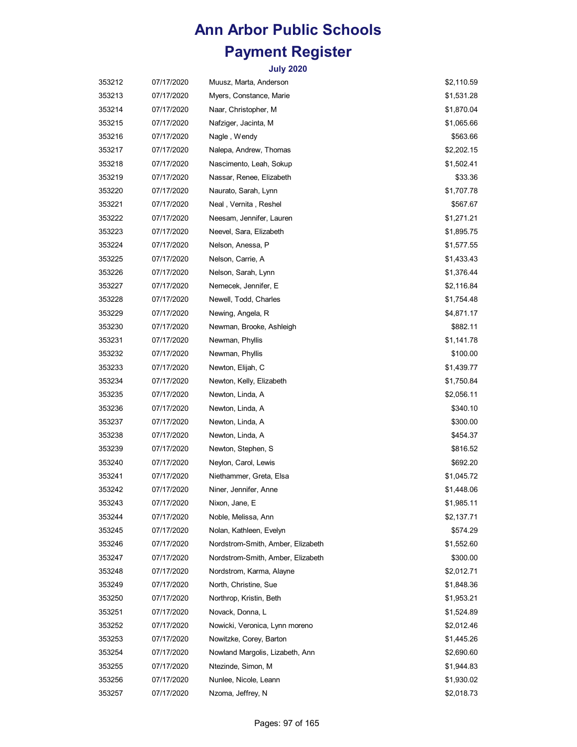| 353212 | 07/17/2020 | Muusz, Marta, Anderson            | \$2,110.59 |
|--------|------------|-----------------------------------|------------|
| 353213 | 07/17/2020 | Myers, Constance, Marie           | \$1,531.28 |
| 353214 | 07/17/2020 | Naar, Christopher, M              | \$1,870.04 |
| 353215 | 07/17/2020 | Nafziger, Jacinta, M              | \$1,065.66 |
| 353216 | 07/17/2020 | Nagle, Wendy                      | \$563.66   |
| 353217 | 07/17/2020 | Nalepa, Andrew, Thomas            | \$2,202.15 |
| 353218 | 07/17/2020 | Nascimento, Leah, Sokup           | \$1,502.41 |
| 353219 | 07/17/2020 | Nassar, Renee, Elizabeth          | \$33.36    |
| 353220 | 07/17/2020 | Naurato, Sarah, Lynn              | \$1,707.78 |
| 353221 | 07/17/2020 | Neal, Vernita, Reshel             | \$567.67   |
| 353222 | 07/17/2020 | Neesam, Jennifer, Lauren          | \$1,271.21 |
| 353223 | 07/17/2020 | Neevel, Sara, Elizabeth           | \$1,895.75 |
| 353224 | 07/17/2020 | Nelson, Anessa, P                 | \$1,577.55 |
| 353225 | 07/17/2020 | Nelson, Carrie, A                 | \$1,433.43 |
| 353226 | 07/17/2020 | Nelson, Sarah, Lynn               | \$1,376.44 |
| 353227 | 07/17/2020 | Nemecek, Jennifer, E              | \$2,116.84 |
| 353228 | 07/17/2020 | Newell, Todd, Charles             | \$1,754.48 |
| 353229 | 07/17/2020 | Newing, Angela, R                 | \$4,871.17 |
| 353230 | 07/17/2020 | Newman, Brooke, Ashleigh          | \$882.11   |
| 353231 | 07/17/2020 | Newman, Phyllis                   | \$1,141.78 |
| 353232 | 07/17/2020 | Newman, Phyllis                   | \$100.00   |
| 353233 | 07/17/2020 | Newton, Elijah, C                 | \$1,439.77 |
| 353234 | 07/17/2020 | Newton, Kelly, Elizabeth          | \$1,750.84 |
| 353235 | 07/17/2020 | Newton, Linda, A                  | \$2,056.11 |
| 353236 | 07/17/2020 | Newton, Linda, A                  | \$340.10   |
| 353237 | 07/17/2020 | Newton, Linda, A                  | \$300.00   |
| 353238 | 07/17/2020 | Newton, Linda, A                  | \$454.37   |
| 353239 | 07/17/2020 | Newton, Stephen, S                | \$816.52   |
| 353240 | 07/17/2020 | Neylon, Carol, Lewis              | \$692.20   |
| 353241 | 07/17/2020 | Niethammer, Greta, Elsa           | \$1,045.72 |
| 353242 | 07/17/2020 | Niner, Jennifer, Anne             | \$1,448.06 |
| 353243 | 07/17/2020 | Nixon, Jane, E                    | \$1,985.11 |
| 353244 | 07/17/2020 | Noble, Melissa, Ann               | \$2,137.71 |
| 353245 | 07/17/2020 | Nolan, Kathleen, Evelyn           | \$574.29   |
| 353246 | 07/17/2020 | Nordstrom-Smith, Amber, Elizabeth | \$1,552.60 |
| 353247 | 07/17/2020 | Nordstrom-Smith, Amber, Elizabeth | \$300.00   |
| 353248 | 07/17/2020 | Nordstrom, Karma, Alayne          | \$2,012.71 |
| 353249 | 07/17/2020 | North, Christine, Sue             | \$1,848.36 |
| 353250 | 07/17/2020 | Northrop, Kristin, Beth           | \$1,953.21 |
| 353251 | 07/17/2020 | Novack, Donna, L                  | \$1,524.89 |
| 353252 | 07/17/2020 | Nowicki, Veronica, Lynn moreno    | \$2,012.46 |
| 353253 | 07/17/2020 | Nowitzke, Corey, Barton           | \$1,445.26 |
| 353254 | 07/17/2020 | Nowland Margolis, Lizabeth, Ann   | \$2,690.60 |
| 353255 | 07/17/2020 | Ntezinde, Simon, M                | \$1,944.83 |
| 353256 | 07/17/2020 | Nunlee, Nicole, Leann             | \$1,930.02 |
| 353257 | 07/17/2020 | Nzoma, Jeffrey, N                 | \$2,018.73 |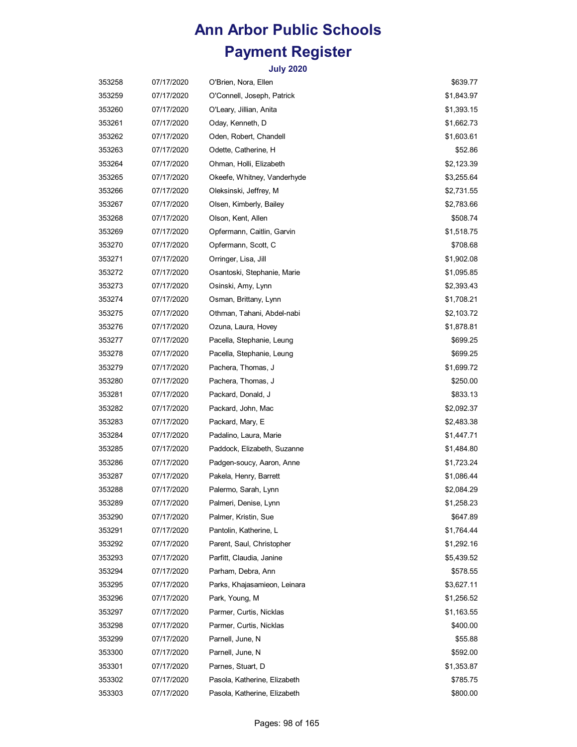| 353258 | 07/17/2020 | O'Brien, Nora, Ellen         | \$639.77   |
|--------|------------|------------------------------|------------|
| 353259 | 07/17/2020 | O'Connell, Joseph, Patrick   | \$1,843.97 |
| 353260 | 07/17/2020 | O'Leary, Jillian, Anita      | \$1,393.15 |
| 353261 | 07/17/2020 | Oday, Kenneth, D             | \$1,662.73 |
| 353262 | 07/17/2020 | Oden, Robert, Chandell       | \$1,603.61 |
| 353263 | 07/17/2020 | Odette, Catherine, H         | \$52.86    |
| 353264 | 07/17/2020 | Ohman, Holli, Elizabeth      | \$2,123.39 |
| 353265 | 07/17/2020 | Okeefe, Whitney, Vanderhyde  | \$3,255.64 |
| 353266 | 07/17/2020 | Oleksinski, Jeffrey, M       | \$2,731.55 |
| 353267 | 07/17/2020 | Olsen, Kimberly, Bailey      | \$2,783.66 |
| 353268 | 07/17/2020 | Olson, Kent, Allen           | \$508.74   |
| 353269 | 07/17/2020 | Opfermann, Caitlin, Garvin   | \$1,518.75 |
| 353270 | 07/17/2020 | Opfermann, Scott, C          | \$708.68   |
| 353271 | 07/17/2020 | Orringer, Lisa, Jill         | \$1,902.08 |
| 353272 | 07/17/2020 | Osantoski, Stephanie, Marie  | \$1,095.85 |
| 353273 | 07/17/2020 | Osinski, Amy, Lynn           | \$2,393.43 |
| 353274 | 07/17/2020 | Osman, Brittany, Lynn        | \$1,708.21 |
| 353275 | 07/17/2020 | Othman, Tahani, Abdel-nabi   | \$2,103.72 |
| 353276 | 07/17/2020 | Ozuna, Laura, Hovey          | \$1,878.81 |
| 353277 | 07/17/2020 | Pacella, Stephanie, Leung    | \$699.25   |
| 353278 | 07/17/2020 | Pacella, Stephanie, Leung    | \$699.25   |
| 353279 | 07/17/2020 | Pachera, Thomas, J           | \$1,699.72 |
| 353280 | 07/17/2020 | Pachera, Thomas, J           | \$250.00   |
| 353281 | 07/17/2020 | Packard, Donald, J           | \$833.13   |
| 353282 | 07/17/2020 | Packard, John, Mac           | \$2,092.37 |
| 353283 | 07/17/2020 | Packard, Mary, E             | \$2,483.38 |
| 353284 | 07/17/2020 | Padalino, Laura, Marie       | \$1,447.71 |
| 353285 | 07/17/2020 | Paddock, Elizabeth, Suzanne  | \$1,484.80 |
| 353286 | 07/17/2020 | Padgen-soucy, Aaron, Anne    | \$1,723.24 |
| 353287 | 07/17/2020 | Pakela, Henry, Barrett       | \$1,086.44 |
| 353288 | 07/17/2020 | Palermo, Sarah, Lynn         | \$2,084.29 |
| 353289 | 07/17/2020 | Palmeri, Denise, Lynn        | \$1,258.23 |
| 353290 | 07/17/2020 | Palmer, Kristin, Sue         | \$647.89   |
| 353291 | 07/17/2020 | Pantolin, Katherine, L       | \$1,764.44 |
| 353292 | 07/17/2020 | Parent, Saul, Christopher    | \$1,292.16 |
| 353293 | 07/17/2020 | Parfitt, Claudia, Janine     | \$5,439.52 |
| 353294 | 07/17/2020 | Parham, Debra, Ann           | \$578.55   |
| 353295 | 07/17/2020 | Parks, Khajasamieon, Leinara | \$3,627.11 |
| 353296 | 07/17/2020 | Park, Young, M               | \$1,256.52 |
| 353297 | 07/17/2020 | Parmer, Curtis, Nicklas      | \$1,163.55 |
| 353298 | 07/17/2020 | Parmer, Curtis, Nicklas      | \$400.00   |
| 353299 | 07/17/2020 | Parnell, June, N             | \$55.88    |
| 353300 | 07/17/2020 | Parnell, June, N             | \$592.00   |
| 353301 | 07/17/2020 | Parnes, Stuart, D            | \$1,353.87 |
| 353302 | 07/17/2020 | Pasola, Katherine, Elizabeth | \$785.75   |
| 353303 | 07/17/2020 | Pasola, Katherine, Elizabeth | \$800.00   |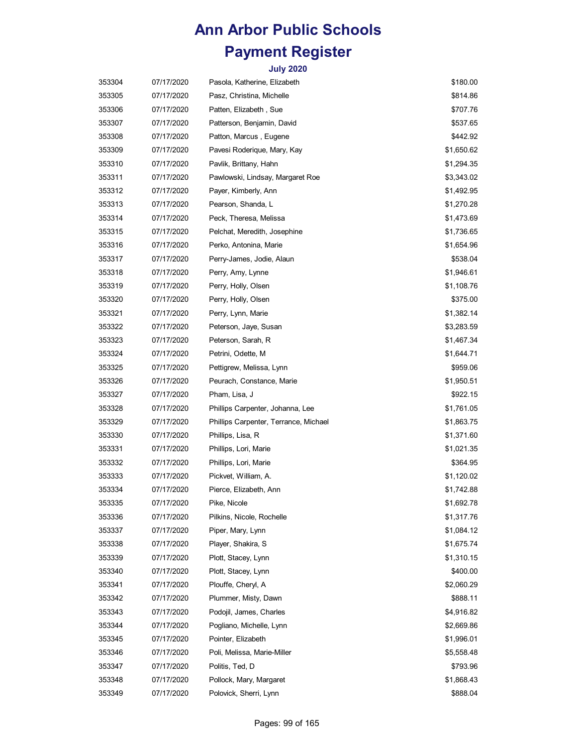| 353304 | 07/17/2020 | Pasola, Katherine, Elizabeth          | \$180.00   |
|--------|------------|---------------------------------------|------------|
| 353305 | 07/17/2020 | Pasz, Christina, Michelle             | \$814.86   |
| 353306 | 07/17/2020 | Patten, Elizabeth, Sue                | \$707.76   |
| 353307 | 07/17/2020 | Patterson, Benjamin, David            | \$537.65   |
| 353308 | 07/17/2020 | Patton, Marcus, Eugene                | \$442.92   |
| 353309 | 07/17/2020 | Pavesi Roderique, Mary, Kay           | \$1,650.62 |
| 353310 | 07/17/2020 | Pavlik, Brittany, Hahn                | \$1,294.35 |
| 353311 | 07/17/2020 | Pawlowski, Lindsay, Margaret Roe      | \$3,343.02 |
| 353312 | 07/17/2020 | Payer, Kimberly, Ann                  | \$1,492.95 |
| 353313 | 07/17/2020 | Pearson, Shanda, L                    | \$1,270.28 |
| 353314 | 07/17/2020 | Peck, Theresa, Melissa                | \$1,473.69 |
| 353315 | 07/17/2020 | Pelchat, Meredith, Josephine          | \$1,736.65 |
| 353316 | 07/17/2020 | Perko, Antonina, Marie                | \$1,654.96 |
| 353317 | 07/17/2020 | Perry-James, Jodie, Alaun             | \$538.04   |
| 353318 | 07/17/2020 | Perry, Amy, Lynne                     | \$1,946.61 |
| 353319 | 07/17/2020 | Perry, Holly, Olsen                   | \$1,108.76 |
| 353320 | 07/17/2020 | Perry, Holly, Olsen                   | \$375.00   |
| 353321 | 07/17/2020 | Perry, Lynn, Marie                    | \$1,382.14 |
| 353322 | 07/17/2020 | Peterson, Jaye, Susan                 | \$3,283.59 |
| 353323 | 07/17/2020 | Peterson, Sarah, R                    | \$1,467.34 |
| 353324 | 07/17/2020 | Petrini, Odette, M                    | \$1,644.71 |
| 353325 | 07/17/2020 | Pettigrew, Melissa, Lynn              | \$959.06   |
| 353326 | 07/17/2020 | Peurach, Constance, Marie             | \$1,950.51 |
| 353327 | 07/17/2020 | Pham, Lisa, J                         | \$922.15   |
| 353328 | 07/17/2020 | Phillips Carpenter, Johanna, Lee      | \$1,761.05 |
| 353329 | 07/17/2020 | Phillips Carpenter, Terrance, Michael | \$1,863.75 |
| 353330 | 07/17/2020 | Phillips, Lisa, R                     | \$1,371.60 |
| 353331 | 07/17/2020 | Phillips, Lori, Marie                 | \$1,021.35 |
| 353332 | 07/17/2020 | Phillips, Lori, Marie                 | \$364.95   |
| 353333 | 07/17/2020 | Pickvet, William, A.                  | \$1,120.02 |
| 353334 | 07/17/2020 | Pierce, Elizabeth, Ann                | \$1,742.88 |
| 353335 | 07/17/2020 | Pike, Nicole                          | \$1,692.78 |
| 353336 | 07/17/2020 | Pilkins, Nicole, Rochelle             | \$1,317.76 |
| 353337 | 07/17/2020 | Piper, Mary, Lynn                     | \$1,084.12 |
| 353338 | 07/17/2020 | Player, Shakira, S                    | \$1,675.74 |
| 353339 | 07/17/2020 | Plott, Stacey, Lynn                   | \$1,310.15 |
| 353340 | 07/17/2020 | Plott, Stacey, Lynn                   | \$400.00   |
| 353341 | 07/17/2020 | Plouffe, Cheryl, A                    | \$2,060.29 |
| 353342 | 07/17/2020 | Plummer, Misty, Dawn                  | \$888.11   |
| 353343 | 07/17/2020 | Podojil, James, Charles               | \$4,916.82 |
| 353344 | 07/17/2020 | Pogliano, Michelle, Lynn              | \$2,669.86 |
| 353345 | 07/17/2020 | Pointer, Elizabeth                    | \$1,996.01 |
| 353346 | 07/17/2020 | Poli, Melissa, Marie-Miller           | \$5,558.48 |
| 353347 | 07/17/2020 | Politis, Ted, D                       | \$793.96   |
| 353348 | 07/17/2020 | Pollock, Mary, Margaret               | \$1,868.43 |
| 353349 | 07/17/2020 | Polovick, Sherri, Lynn                | \$888.04   |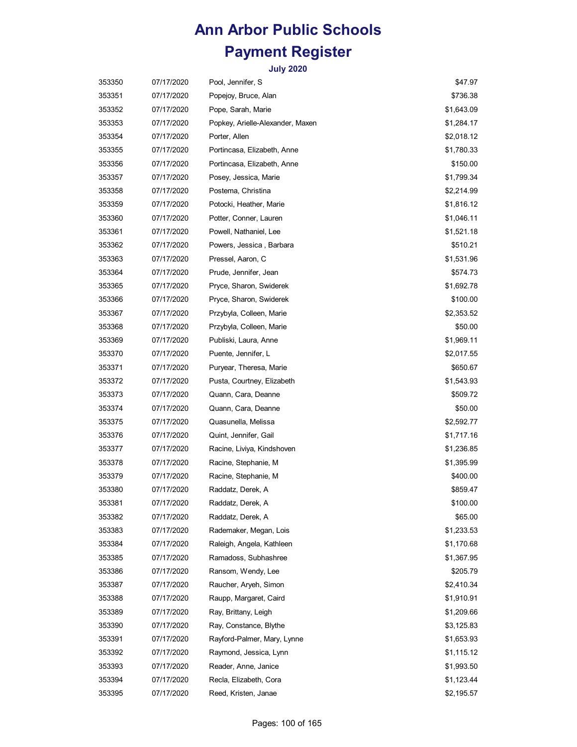| 353350 | 07/17/2020 | Pool, Jennifer, S                | \$47.97    |
|--------|------------|----------------------------------|------------|
| 353351 | 07/17/2020 | Popejoy, Bruce, Alan             | \$736.38   |
| 353352 | 07/17/2020 | Pope, Sarah, Marie               | \$1,643.09 |
| 353353 | 07/17/2020 | Popkey, Arielle-Alexander, Maxen | \$1,284.17 |
| 353354 | 07/17/2020 | Porter, Allen                    | \$2,018.12 |
| 353355 | 07/17/2020 | Portincasa, Elizabeth, Anne      | \$1,780.33 |
| 353356 | 07/17/2020 | Portincasa, Elizabeth, Anne      | \$150.00   |
| 353357 | 07/17/2020 | Posey, Jessica, Marie            | \$1,799.34 |
| 353358 | 07/17/2020 | Postema, Christina               | \$2,214.99 |
| 353359 | 07/17/2020 | Potocki, Heather, Marie          | \$1,816.12 |
| 353360 | 07/17/2020 | Potter, Conner, Lauren           | \$1,046.11 |
| 353361 | 07/17/2020 | Powell, Nathaniel, Lee           | \$1,521.18 |
| 353362 | 07/17/2020 | Powers, Jessica, Barbara         | \$510.21   |
| 353363 | 07/17/2020 | Pressel, Aaron, C                | \$1,531.96 |
| 353364 | 07/17/2020 | Prude, Jennifer, Jean            | \$574.73   |
| 353365 | 07/17/2020 | Pryce, Sharon, Swiderek          | \$1,692.78 |
| 353366 | 07/17/2020 | Pryce, Sharon, Swiderek          | \$100.00   |
| 353367 | 07/17/2020 | Przybyla, Colleen, Marie         | \$2,353.52 |
| 353368 | 07/17/2020 | Przybyla, Colleen, Marie         | \$50.00    |
| 353369 | 07/17/2020 | Publiski, Laura, Anne            | \$1,969.11 |
| 353370 | 07/17/2020 | Puente, Jennifer, L              | \$2,017.55 |
| 353371 | 07/17/2020 | Puryear, Theresa, Marie          | \$650.67   |
| 353372 | 07/17/2020 | Pusta, Courtney, Elizabeth       | \$1,543.93 |
| 353373 | 07/17/2020 | Quann, Cara, Deanne              | \$509.72   |
| 353374 | 07/17/2020 | Quann, Cara, Deanne              | \$50.00    |
| 353375 | 07/17/2020 | Quasunella, Melissa              | \$2,592.77 |
| 353376 | 07/17/2020 | Quint, Jennifer, Gail            | \$1,717.16 |
| 353377 | 07/17/2020 | Racine, Liviya, Kindshoven       | \$1,236.85 |
| 353378 | 07/17/2020 | Racine, Stephanie, M             | \$1,395.99 |
| 353379 | 07/17/2020 | Racine, Stephanie, M             | \$400.00   |
| 353380 | 07/17/2020 | Raddatz, Derek, A                | \$859.47   |
| 353381 | 07/17/2020 | Raddatz, Derek, A                | \$100.00   |
| 353382 | 07/17/2020 | Raddatz, Derek, A                | \$65.00    |
| 353383 | 07/17/2020 | Rademaker, Megan, Lois           | \$1,233.53 |
| 353384 | 07/17/2020 | Raleigh, Angela, Kathleen        | \$1,170.68 |
| 353385 | 07/17/2020 | Ramadoss, Subhashree             | \$1,367.95 |
| 353386 | 07/17/2020 | Ransom, Wendy, Lee               | \$205.79   |
| 353387 | 07/17/2020 | Raucher, Aryeh, Simon            | \$2,410.34 |
| 353388 | 07/17/2020 | Raupp, Margaret, Caird           | \$1,910.91 |
| 353389 | 07/17/2020 | Ray, Brittany, Leigh             | \$1,209.66 |
| 353390 | 07/17/2020 | Ray, Constance, Blythe           | \$3,125.83 |
| 353391 | 07/17/2020 | Rayford-Palmer, Mary, Lynne      | \$1,653.93 |
| 353392 | 07/17/2020 | Raymond, Jessica, Lynn           | \$1,115.12 |
| 353393 | 07/17/2020 | Reader, Anne, Janice             | \$1,993.50 |
| 353394 | 07/17/2020 | Recla, Elizabeth, Cora           | \$1,123.44 |
| 353395 | 07/17/2020 | Reed, Kristen, Janae             | \$2,195.57 |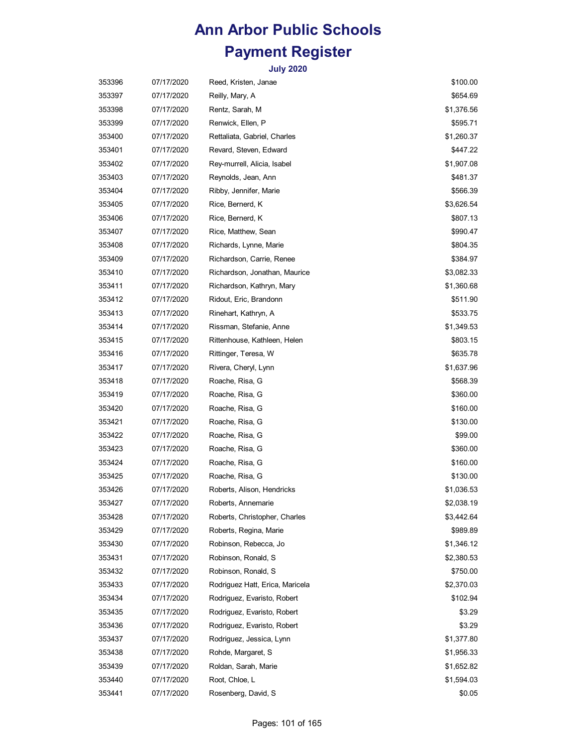| 353396 | 07/17/2020 | Reed, Kristen, Janae            | \$100.00   |
|--------|------------|---------------------------------|------------|
| 353397 | 07/17/2020 | Reilly, Mary, A                 | \$654.69   |
| 353398 | 07/17/2020 | Rentz, Sarah, M                 | \$1,376.56 |
| 353399 | 07/17/2020 | Renwick, Ellen, P               | \$595.71   |
| 353400 | 07/17/2020 | Rettaliata, Gabriel, Charles    | \$1,260.37 |
| 353401 | 07/17/2020 | Revard, Steven, Edward          | \$447.22   |
| 353402 | 07/17/2020 | Rey-murrell, Alicia, Isabel     | \$1,907.08 |
| 353403 | 07/17/2020 | Reynolds, Jean, Ann             | \$481.37   |
| 353404 | 07/17/2020 | Ribby, Jennifer, Marie          | \$566.39   |
| 353405 | 07/17/2020 | Rice, Bernerd, K                | \$3,626.54 |
| 353406 | 07/17/2020 | Rice, Bernerd, K                | \$807.13   |
| 353407 | 07/17/2020 | Rice, Matthew, Sean             | \$990.47   |
| 353408 | 07/17/2020 | Richards, Lynne, Marie          | \$804.35   |
| 353409 | 07/17/2020 | Richardson, Carrie, Renee       | \$384.97   |
| 353410 | 07/17/2020 | Richardson, Jonathan, Maurice   | \$3,082.33 |
| 353411 | 07/17/2020 | Richardson, Kathryn, Mary       | \$1,360.68 |
| 353412 | 07/17/2020 | Ridout, Eric, Brandonn          | \$511.90   |
| 353413 | 07/17/2020 | Rinehart, Kathryn, A            | \$533.75   |
| 353414 | 07/17/2020 | Rissman, Stefanie, Anne         | \$1,349.53 |
| 353415 | 07/17/2020 | Rittenhouse, Kathleen, Helen    | \$803.15   |
| 353416 | 07/17/2020 | Rittinger, Teresa, W            | \$635.78   |
| 353417 | 07/17/2020 | Rivera, Cheryl, Lynn            | \$1,637.96 |
| 353418 | 07/17/2020 | Roache, Risa, G                 | \$568.39   |
| 353419 | 07/17/2020 | Roache, Risa, G                 | \$360.00   |
| 353420 | 07/17/2020 | Roache, Risa, G                 | \$160.00   |
| 353421 | 07/17/2020 | Roache, Risa, G                 | \$130.00   |
| 353422 | 07/17/2020 | Roache, Risa, G                 | \$99.00    |
| 353423 | 07/17/2020 | Roache, Risa, G                 | \$360.00   |
| 353424 | 07/17/2020 | Roache, Risa, G                 | \$160.00   |
| 353425 | 07/17/2020 | Roache, Risa, G                 | \$130.00   |
| 353426 | 07/17/2020 | Roberts, Alison, Hendricks      | \$1,036.53 |
| 353427 | 07/17/2020 | Roberts, Annemarie              | \$2,038.19 |
| 353428 | 07/17/2020 | Roberts, Christopher, Charles   | \$3,442.64 |
| 353429 | 07/17/2020 | Roberts, Regina, Marie          | \$989.89   |
| 353430 | 07/17/2020 | Robinson, Rebecca, Jo           | \$1,346.12 |
| 353431 | 07/17/2020 | Robinson, Ronald, S             | \$2,380.53 |
| 353432 | 07/17/2020 | Robinson, Ronald, S             | \$750.00   |
| 353433 | 07/17/2020 | Rodriguez Hatt, Erica, Maricela | \$2,370.03 |
| 353434 | 07/17/2020 | Rodriguez, Evaristo, Robert     | \$102.94   |
| 353435 | 07/17/2020 | Rodriguez, Evaristo, Robert     | \$3.29     |
| 353436 | 07/17/2020 | Rodriguez, Evaristo, Robert     | \$3.29     |
| 353437 | 07/17/2020 | Rodriguez, Jessica, Lynn        | \$1,377.80 |
| 353438 | 07/17/2020 | Rohde, Margaret, S              | \$1,956.33 |
| 353439 | 07/17/2020 | Roldan, Sarah, Marie            | \$1,652.82 |
| 353440 | 07/17/2020 | Root, Chloe, L                  | \$1,594.03 |
| 353441 | 07/17/2020 | Rosenberg, David, S             | \$0.05     |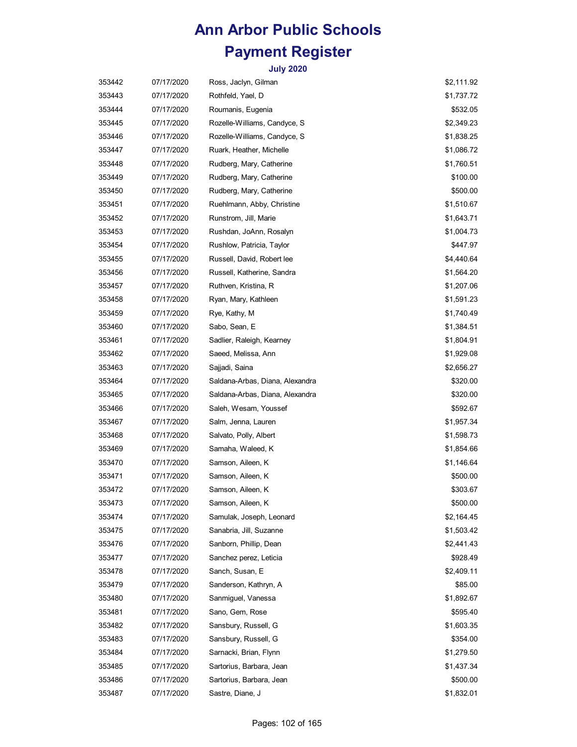| 353442 | 07/17/2020 | Ross, Jaclyn, Gilman            | \$2,111.92 |
|--------|------------|---------------------------------|------------|
| 353443 | 07/17/2020 | Rothfeld, Yael, D               | \$1,737.72 |
| 353444 | 07/17/2020 | Roumanis, Eugenia               | \$532.05   |
| 353445 | 07/17/2020 | Rozelle-Williams, Candyce, S    | \$2,349.23 |
| 353446 | 07/17/2020 | Rozelle-Williams, Candyce, S    | \$1,838.25 |
| 353447 | 07/17/2020 | Ruark, Heather, Michelle        | \$1,086.72 |
| 353448 | 07/17/2020 | Rudberg, Mary, Catherine        | \$1,760.51 |
| 353449 | 07/17/2020 | Rudberg, Mary, Catherine        | \$100.00   |
| 353450 | 07/17/2020 | Rudberg, Mary, Catherine        | \$500.00   |
| 353451 | 07/17/2020 | Ruehlmann, Abby, Christine      | \$1,510.67 |
| 353452 | 07/17/2020 | Runstrom, Jill, Marie           | \$1,643.71 |
| 353453 | 07/17/2020 | Rushdan, JoAnn, Rosalyn         | \$1,004.73 |
| 353454 | 07/17/2020 | Rushlow, Patricia, Taylor       | \$447.97   |
| 353455 | 07/17/2020 | Russell, David, Robert lee      | \$4,440.64 |
| 353456 | 07/17/2020 | Russell, Katherine, Sandra      | \$1,564.20 |
| 353457 | 07/17/2020 | Ruthven, Kristina, R            | \$1,207.06 |
| 353458 | 07/17/2020 | Ryan, Mary, Kathleen            | \$1,591.23 |
| 353459 | 07/17/2020 | Rye, Kathy, M                   | \$1,740.49 |
| 353460 | 07/17/2020 | Sabo, Sean, E                   | \$1,384.51 |
| 353461 | 07/17/2020 | Sadlier, Raleigh, Kearney       | \$1,804.91 |
| 353462 | 07/17/2020 | Saeed, Melissa, Ann             | \$1,929.08 |
| 353463 | 07/17/2020 | Sajjadi, Saina                  | \$2,656.27 |
| 353464 | 07/17/2020 | Saldana-Arbas, Diana, Alexandra | \$320.00   |
| 353465 | 07/17/2020 | Saldana-Arbas, Diana, Alexandra | \$320.00   |
| 353466 | 07/17/2020 | Saleh, Wesam, Youssef           | \$592.67   |
| 353467 | 07/17/2020 | Salm, Jenna, Lauren             | \$1,957.34 |
| 353468 | 07/17/2020 | Salvato, Polly, Albert          | \$1,598.73 |
| 353469 | 07/17/2020 | Samaha, Waleed, K               | \$1,854.66 |
| 353470 | 07/17/2020 | Samson, Aileen, K               | \$1,146.64 |
| 353471 | 07/17/2020 | Samson, Aileen, K               | \$500.00   |
| 353472 | 07/17/2020 | Samson, Aileen, K               | \$303.67   |
| 353473 | 07/17/2020 | Samson, Aileen, K               | \$500.00   |
| 353474 | 07/17/2020 | Samulak, Joseph, Leonard        | \$2,164.45 |
| 353475 | 07/17/2020 | Sanabria, Jill, Suzanne         | \$1,503.42 |
| 353476 | 07/17/2020 | Sanborn, Phillip, Dean          | \$2,441.43 |
| 353477 | 07/17/2020 | Sanchez perez, Leticia          | \$928.49   |
| 353478 | 07/17/2020 | Sanch, Susan, E                 | \$2,409.11 |
| 353479 | 07/17/2020 | Sanderson, Kathryn, A           | \$85.00    |
| 353480 | 07/17/2020 | Sanmiguel, Vanessa              | \$1,892.67 |
| 353481 | 07/17/2020 | Sano, Gem, Rose                 | \$595.40   |
| 353482 | 07/17/2020 | Sansbury, Russell, G            | \$1,603.35 |
| 353483 | 07/17/2020 | Sansbury, Russell, G            | \$354.00   |
| 353484 | 07/17/2020 | Sarnacki, Brian, Flynn          | \$1,279.50 |
| 353485 | 07/17/2020 | Sartorius, Barbara, Jean        | \$1,437.34 |
| 353486 | 07/17/2020 | Sartorius, Barbara, Jean        | \$500.00   |
| 353487 | 07/17/2020 | Sastre, Diane, J                | \$1,832.01 |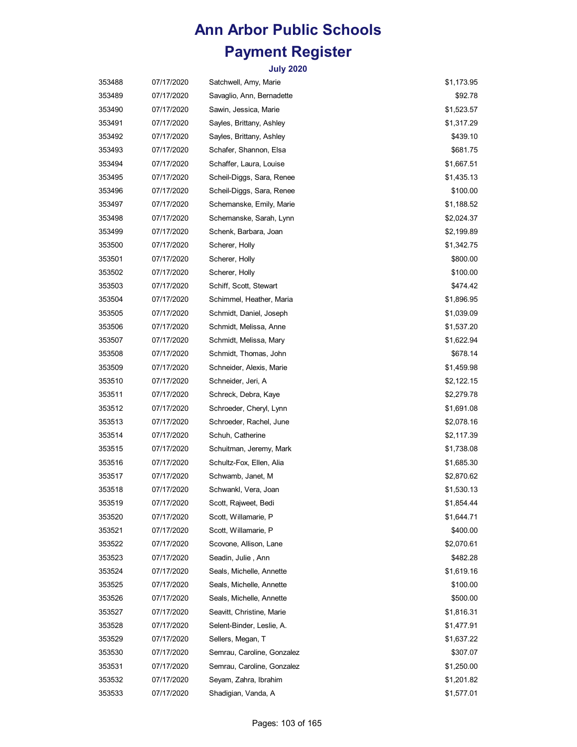| 353488 | 07/17/2020 | Satchwell, Amy, Marie      | \$1,173.95 |
|--------|------------|----------------------------|------------|
| 353489 | 07/17/2020 | Savaglio, Ann, Bernadette  | \$92.78    |
| 353490 | 07/17/2020 | Sawin, Jessica, Marie      | \$1,523.57 |
| 353491 | 07/17/2020 | Sayles, Brittany, Ashley   | \$1,317.29 |
| 353492 | 07/17/2020 | Sayles, Brittany, Ashley   | \$439.10   |
| 353493 | 07/17/2020 | Schafer, Shannon, Elsa     | \$681.75   |
| 353494 | 07/17/2020 | Schaffer, Laura, Louise    | \$1,667.51 |
| 353495 | 07/17/2020 | Scheil-Diggs, Sara, Renee  | \$1,435.13 |
| 353496 | 07/17/2020 | Scheil-Diggs, Sara, Renee  | \$100.00   |
| 353497 | 07/17/2020 | Schemanske, Emily, Marie   | \$1,188.52 |
| 353498 | 07/17/2020 | Schemanske, Sarah, Lynn    | \$2,024.37 |
| 353499 | 07/17/2020 | Schenk, Barbara, Joan      | \$2,199.89 |
| 353500 | 07/17/2020 | Scherer, Holly             | \$1,342.75 |
| 353501 | 07/17/2020 | Scherer, Holly             | \$800.00   |
| 353502 | 07/17/2020 | Scherer, Holly             | \$100.00   |
| 353503 | 07/17/2020 | Schiff, Scott, Stewart     | \$474.42   |
| 353504 | 07/17/2020 | Schimmel, Heather, Maria   | \$1,896.95 |
| 353505 | 07/17/2020 | Schmidt, Daniel, Joseph    | \$1,039.09 |
| 353506 | 07/17/2020 | Schmidt, Melissa, Anne     | \$1,537.20 |
| 353507 | 07/17/2020 | Schmidt, Melissa, Mary     | \$1,622.94 |
| 353508 | 07/17/2020 | Schmidt, Thomas, John      | \$678.14   |
| 353509 | 07/17/2020 | Schneider, Alexis, Marie   | \$1,459.98 |
| 353510 | 07/17/2020 | Schneider, Jeri, A         | \$2,122.15 |
| 353511 | 07/17/2020 | Schreck, Debra, Kaye       | \$2,279.78 |
| 353512 | 07/17/2020 | Schroeder, Cheryl, Lynn    | \$1,691.08 |
| 353513 | 07/17/2020 | Schroeder, Rachel, June    | \$2,078.16 |
| 353514 | 07/17/2020 | Schuh, Catherine           | \$2,117.39 |
| 353515 | 07/17/2020 | Schuitman, Jeremy, Mark    | \$1,738.08 |
| 353516 | 07/17/2020 | Schultz-Fox, Ellen, Alia   | \$1,685.30 |
| 353517 | 07/17/2020 | Schwamb, Janet, M          | \$2,870.62 |
| 353518 | 07/17/2020 | Schwankl, Vera, Joan       | \$1,530.13 |
| 353519 | 07/17/2020 | Scott, Rajweet, Bedi       | \$1,854.44 |
| 353520 | 07/17/2020 | Scott, Willamarie, P       | \$1,644.71 |
| 353521 | 07/17/2020 | Scott, Willamarie, P       | \$400.00   |
| 353522 | 07/17/2020 | Scovone, Allison, Lane     | \$2,070.61 |
| 353523 | 07/17/2020 | Seadin, Julie , Ann        | \$482.28   |
| 353524 | 07/17/2020 | Seals, Michelle, Annette   | \$1,619.16 |
| 353525 | 07/17/2020 | Seals, Michelle, Annette   | \$100.00   |
| 353526 | 07/17/2020 | Seals, Michelle, Annette   | \$500.00   |
| 353527 | 07/17/2020 | Seavitt, Christine, Marie  | \$1,816.31 |
| 353528 | 07/17/2020 | Selent-Binder, Leslie, A.  | \$1,477.91 |
| 353529 | 07/17/2020 | Sellers, Megan, T          | \$1,637.22 |
| 353530 | 07/17/2020 | Semrau, Caroline, Gonzalez | \$307.07   |
| 353531 | 07/17/2020 | Semrau, Caroline, Gonzalez | \$1,250.00 |
| 353532 | 07/17/2020 | Seyam, Zahra, Ibrahim      | \$1,201.82 |
| 353533 | 07/17/2020 | Shadigian, Vanda, A        | \$1,577.01 |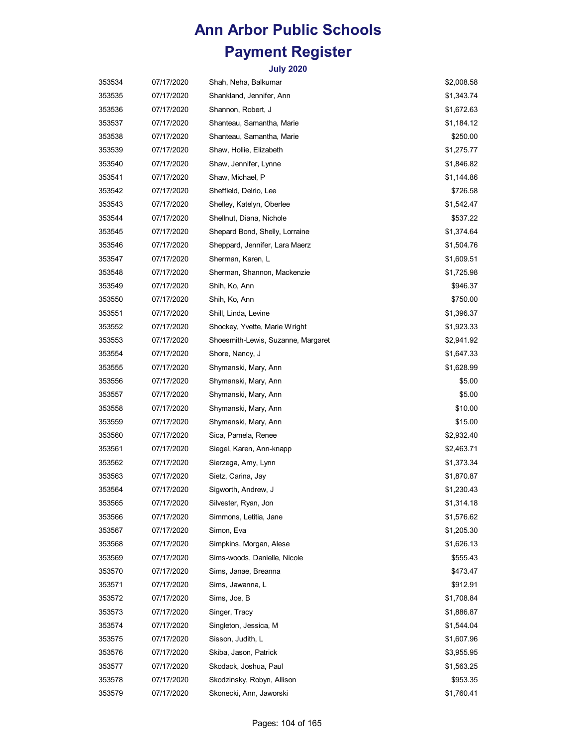| 353534 | 07/17/2020 | Shah, Neha, Balkumar               | \$2,008.58 |
|--------|------------|------------------------------------|------------|
| 353535 | 07/17/2020 | Shankland, Jennifer, Ann           | \$1,343.74 |
| 353536 | 07/17/2020 | Shannon, Robert, J                 | \$1,672.63 |
| 353537 | 07/17/2020 | Shanteau, Samantha, Marie          | \$1,184.12 |
| 353538 | 07/17/2020 | Shanteau, Samantha, Marie          | \$250.00   |
| 353539 | 07/17/2020 | Shaw, Hollie, Elizabeth            | \$1,275.77 |
| 353540 | 07/17/2020 | Shaw, Jennifer, Lynne              | \$1,846.82 |
| 353541 | 07/17/2020 | Shaw, Michael, P                   | \$1,144.86 |
| 353542 | 07/17/2020 | Sheffield, Delrio, Lee             | \$726.58   |
| 353543 | 07/17/2020 | Shelley, Katelyn, Oberlee          | \$1,542.47 |
| 353544 | 07/17/2020 | Shellnut, Diana, Nichole           | \$537.22   |
| 353545 | 07/17/2020 | Shepard Bond, Shelly, Lorraine     | \$1,374.64 |
| 353546 | 07/17/2020 | Sheppard, Jennifer, Lara Maerz     | \$1,504.76 |
| 353547 | 07/17/2020 | Sherman, Karen, L                  | \$1,609.51 |
| 353548 | 07/17/2020 | Sherman, Shannon, Mackenzie        | \$1,725.98 |
| 353549 | 07/17/2020 | Shih, Ko, Ann                      | \$946.37   |
| 353550 | 07/17/2020 | Shih, Ko, Ann                      | \$750.00   |
| 353551 | 07/17/2020 | Shill, Linda, Levine               | \$1,396.37 |
| 353552 | 07/17/2020 | Shockey, Yvette, Marie Wright      | \$1,923.33 |
| 353553 | 07/17/2020 | Shoesmith-Lewis, Suzanne, Margaret | \$2,941.92 |
| 353554 | 07/17/2020 | Shore, Nancy, J                    | \$1,647.33 |
| 353555 | 07/17/2020 | Shymanski, Mary, Ann               | \$1,628.99 |
| 353556 | 07/17/2020 | Shymanski, Mary, Ann               | \$5.00     |
| 353557 | 07/17/2020 | Shymanski, Mary, Ann               | \$5.00     |
| 353558 | 07/17/2020 | Shymanski, Mary, Ann               | \$10.00    |
| 353559 | 07/17/2020 | Shymanski, Mary, Ann               | \$15.00    |
| 353560 | 07/17/2020 | Sica, Pamela, Renee                | \$2,932.40 |
| 353561 | 07/17/2020 | Siegel, Karen, Ann-knapp           | \$2,463.71 |
| 353562 | 07/17/2020 | Sierzega, Amy, Lynn                | \$1,373.34 |
| 353563 | 07/17/2020 | Sietz, Carina, Jay                 | \$1,870.87 |
| 353564 | 07/17/2020 | Sigworth, Andrew, J                | \$1,230.43 |
| 353565 | 07/17/2020 | Silvester, Ryan, Jon               | \$1,314.18 |
| 353566 | 07/17/2020 | Simmons, Letitia, Jane             | \$1,576.62 |
| 353567 | 07/17/2020 | Simon, Eva                         | \$1,205.30 |
| 353568 | 07/17/2020 | Simpkins, Morgan, Alese            | \$1,626.13 |
| 353569 | 07/17/2020 | Sims-woods, Danielle, Nicole       | \$555.43   |
| 353570 | 07/17/2020 | Sims, Janae, Breanna               | \$473.47   |
| 353571 | 07/17/2020 | Sims, Jawanna, L                   | \$912.91   |
| 353572 | 07/17/2020 | Sims, Joe, B                       | \$1,708.84 |
| 353573 | 07/17/2020 | Singer, Tracy                      | \$1,886.87 |
| 353574 | 07/17/2020 | Singleton, Jessica, M              | \$1,544.04 |
| 353575 | 07/17/2020 | Sisson, Judith, L                  | \$1,607.96 |
| 353576 | 07/17/2020 | Skiba, Jason, Patrick              | \$3,955.95 |
| 353577 | 07/17/2020 | Skodack, Joshua, Paul              | \$1,563.25 |
| 353578 | 07/17/2020 | Skodzinsky, Robyn, Allison         | \$953.35   |
| 353579 | 07/17/2020 | Skonecki, Ann, Jaworski            | \$1,760.41 |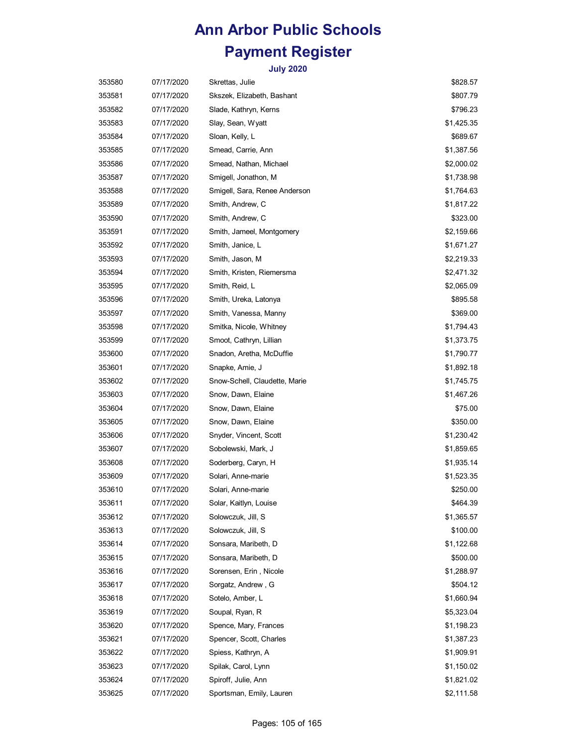| 353580 | 07/17/2020 | Skrettas, Julie               | \$828.57   |
|--------|------------|-------------------------------|------------|
| 353581 | 07/17/2020 | Skszek, Elizabeth, Bashant    | \$807.79   |
| 353582 | 07/17/2020 | Slade, Kathryn, Kerns         | \$796.23   |
| 353583 | 07/17/2020 | Slay, Sean, Wyatt             | \$1,425.35 |
| 353584 | 07/17/2020 | Sloan, Kelly, L               | \$689.67   |
| 353585 | 07/17/2020 | Smead, Carrie, Ann            | \$1,387.56 |
| 353586 | 07/17/2020 | Smead, Nathan, Michael        | \$2,000.02 |
| 353587 | 07/17/2020 | Smigell, Jonathon, M          | \$1,738.98 |
| 353588 | 07/17/2020 | Smigell, Sara, Renee Anderson | \$1,764.63 |
| 353589 | 07/17/2020 | Smith, Andrew, C              | \$1,817.22 |
| 353590 | 07/17/2020 | Smith, Andrew, C              | \$323.00   |
| 353591 | 07/17/2020 | Smith, Jameel, Montgomery     | \$2,159.66 |
| 353592 | 07/17/2020 | Smith, Janice, L              | \$1,671.27 |
| 353593 | 07/17/2020 | Smith, Jason, M               | \$2,219.33 |
| 353594 | 07/17/2020 | Smith, Kristen, Riemersma     | \$2,471.32 |
| 353595 | 07/17/2020 | Smith, Reid, L                | \$2,065.09 |
| 353596 | 07/17/2020 | Smith, Ureka, Latonya         | \$895.58   |
| 353597 | 07/17/2020 | Smith, Vanessa, Manny         | \$369.00   |
| 353598 | 07/17/2020 | Smitka, Nicole, Whitney       | \$1,794.43 |
| 353599 | 07/17/2020 | Smoot, Cathryn, Lillian       | \$1,373.75 |
| 353600 | 07/17/2020 | Snadon, Aretha, McDuffie      | \$1,790.77 |
| 353601 | 07/17/2020 | Snapke, Amie, J               | \$1,892.18 |
| 353602 | 07/17/2020 | Snow-Schell, Claudette, Marie | \$1,745.75 |
| 353603 | 07/17/2020 | Snow, Dawn, Elaine            | \$1,467.26 |
| 353604 | 07/17/2020 | Snow, Dawn, Elaine            | \$75.00    |
| 353605 | 07/17/2020 | Snow, Dawn, Elaine            | \$350.00   |
| 353606 | 07/17/2020 | Snyder, Vincent, Scott        | \$1,230.42 |
| 353607 | 07/17/2020 | Sobolewski, Mark, J           | \$1,859.65 |
| 353608 | 07/17/2020 | Soderberg, Caryn, H           | \$1,935.14 |
| 353609 | 07/17/2020 | Solari, Anne-marie            | \$1,523.35 |
| 353610 | 07/17/2020 | Solari, Anne-marie            | \$250.00   |
| 353611 | 07/17/2020 | Solar, Kaitlyn, Louise        | \$464.39   |
| 353612 | 07/17/2020 | Solowczuk, Jill, S            | \$1,365.57 |
| 353613 | 07/17/2020 | Solowczuk, Jill, S            | \$100.00   |
| 353614 | 07/17/2020 | Sonsara, Maribeth, D          | \$1,122.68 |
| 353615 | 07/17/2020 | Sonsara, Maribeth, D          | \$500.00   |
| 353616 | 07/17/2020 | Sorensen, Erin, Nicole        | \$1,288.97 |
| 353617 | 07/17/2020 | Sorgatz, Andrew, G            | \$504.12   |
| 353618 | 07/17/2020 | Sotelo, Amber, L              | \$1,660.94 |
| 353619 | 07/17/2020 | Soupal, Ryan, R               | \$5,323.04 |
| 353620 | 07/17/2020 | Spence, Mary, Frances         | \$1,198.23 |
| 353621 | 07/17/2020 | Spencer, Scott, Charles       | \$1,387.23 |
| 353622 | 07/17/2020 | Spiess, Kathryn, A            | \$1,909.91 |
| 353623 | 07/17/2020 | Spilak, Carol, Lynn           | \$1,150.02 |
| 353624 | 07/17/2020 | Spiroff, Julie, Ann           | \$1,821.02 |
| 353625 | 07/17/2020 | Sportsman, Emily, Lauren      | \$2,111.58 |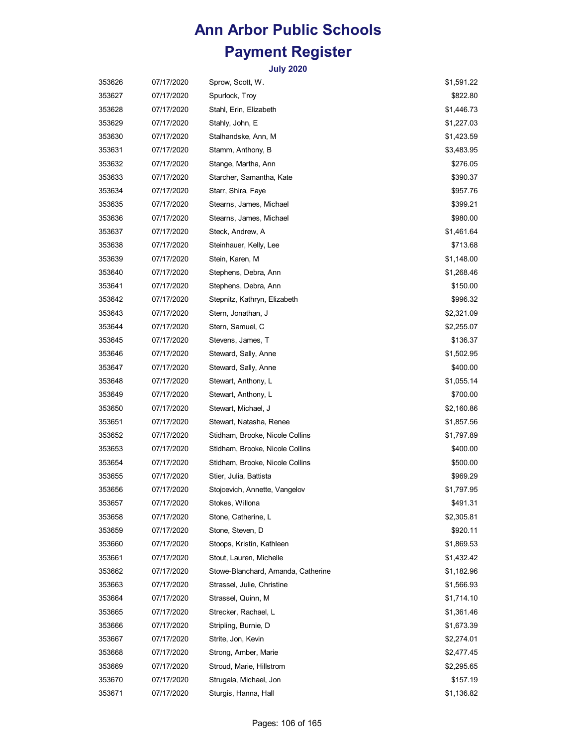| 353626 | 07/17/2020 | Sprow, Scott, W.                   | \$1,591.22 |
|--------|------------|------------------------------------|------------|
| 353627 | 07/17/2020 | Spurlock, Troy                     | \$822.80   |
| 353628 | 07/17/2020 | Stahl, Erin, Elizabeth             | \$1,446.73 |
| 353629 | 07/17/2020 | Stahly, John, E                    | \$1,227.03 |
| 353630 | 07/17/2020 | Stalhandske, Ann, M                | \$1,423.59 |
| 353631 | 07/17/2020 | Stamm, Anthony, B                  | \$3,483.95 |
| 353632 | 07/17/2020 | Stange, Martha, Ann                | \$276.05   |
| 353633 | 07/17/2020 | Starcher, Samantha, Kate           | \$390.37   |
| 353634 | 07/17/2020 | Starr, Shira, Faye                 | \$957.76   |
| 353635 | 07/17/2020 | Stearns, James, Michael            | \$399.21   |
| 353636 | 07/17/2020 | Stearns, James, Michael            | \$980.00   |
| 353637 | 07/17/2020 | Steck, Andrew, A                   | \$1,461.64 |
| 353638 | 07/17/2020 | Steinhauer, Kelly, Lee             | \$713.68   |
| 353639 | 07/17/2020 | Stein, Karen, M                    | \$1,148.00 |
| 353640 | 07/17/2020 | Stephens, Debra, Ann               | \$1,268.46 |
| 353641 | 07/17/2020 | Stephens, Debra, Ann               | \$150.00   |
| 353642 | 07/17/2020 | Stepnitz, Kathryn, Elizabeth       | \$996.32   |
| 353643 | 07/17/2020 | Stern, Jonathan, J                 | \$2,321.09 |
| 353644 | 07/17/2020 | Stern, Samuel, C                   | \$2,255.07 |
| 353645 | 07/17/2020 | Stevens, James, T                  | \$136.37   |
| 353646 | 07/17/2020 | Steward, Sally, Anne               | \$1,502.95 |
| 353647 | 07/17/2020 | Steward, Sally, Anne               | \$400.00   |
| 353648 | 07/17/2020 | Stewart, Anthony, L                | \$1,055.14 |
| 353649 | 07/17/2020 | Stewart, Anthony, L                | \$700.00   |
| 353650 | 07/17/2020 | Stewart, Michael, J                | \$2,160.86 |
| 353651 | 07/17/2020 | Stewart, Natasha, Renee            | \$1,857.56 |
| 353652 | 07/17/2020 | Stidham, Brooke, Nicole Collins    | \$1,797.89 |
| 353653 | 07/17/2020 | Stidham, Brooke, Nicole Collins    | \$400.00   |
| 353654 | 07/17/2020 | Stidham, Brooke, Nicole Collins    | \$500.00   |
| 353655 | 07/17/2020 | Stier, Julia, Battista             | \$969.29   |
| 353656 | 07/17/2020 | Stojcevich, Annette, Vangelov      | \$1,797.95 |
| 353657 | 07/17/2020 | Stokes, Willona                    | \$491.31   |
| 353658 | 07/17/2020 | Stone, Catherine, L                | \$2,305.81 |
| 353659 | 07/17/2020 | Stone, Steven, D                   | \$920.11   |
| 353660 | 07/17/2020 | Stoops, Kristin, Kathleen          | \$1,869.53 |
| 353661 | 07/17/2020 | Stout, Lauren, Michelle            | \$1,432.42 |
| 353662 | 07/17/2020 | Stowe-Blanchard, Amanda, Catherine | \$1,182.96 |
| 353663 | 07/17/2020 | Strassel, Julie, Christine         | \$1,566.93 |
| 353664 | 07/17/2020 | Strassel, Quinn, M                 | \$1,714.10 |
| 353665 | 07/17/2020 | Strecker, Rachael, L               | \$1,361.46 |
| 353666 | 07/17/2020 | Stripling, Burnie, D               | \$1,673.39 |
| 353667 | 07/17/2020 | Strite, Jon, Kevin                 | \$2,274.01 |
| 353668 | 07/17/2020 | Strong, Amber, Marie               | \$2,477.45 |
| 353669 | 07/17/2020 | Stroud, Marie, Hillstrom           | \$2,295.65 |
| 353670 | 07/17/2020 | Strugala, Michael, Jon             | \$157.19   |
| 353671 | 07/17/2020 | Sturgis, Hanna, Hall               | \$1,136.82 |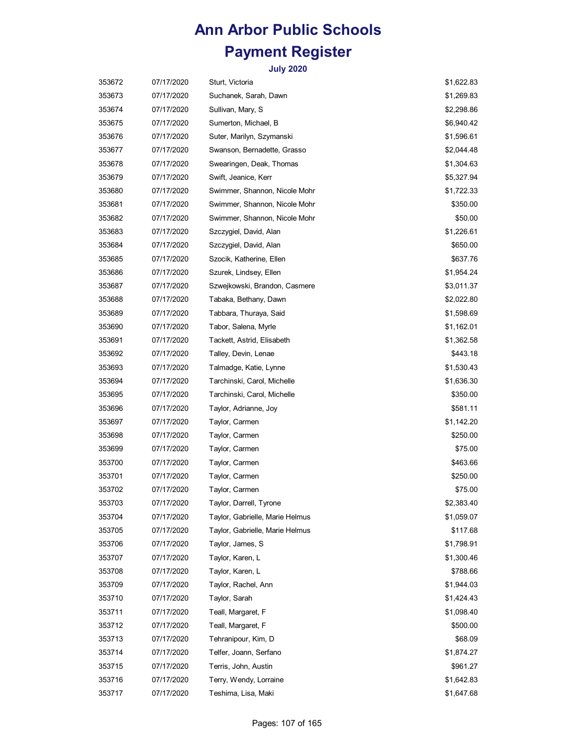| 353672 | 07/17/2020 | Sturt, Victoria                 | \$1,622.83 |
|--------|------------|---------------------------------|------------|
| 353673 | 07/17/2020 | Suchanek, Sarah, Dawn           | \$1,269.83 |
| 353674 | 07/17/2020 | Sullivan, Mary, S               | \$2,298.86 |
| 353675 | 07/17/2020 | Sumerton, Michael, B            | \$6,940.42 |
| 353676 | 07/17/2020 | Suter, Marilyn, Szymanski       | \$1,596.61 |
| 353677 | 07/17/2020 | Swanson, Bernadette, Grasso     | \$2,044.48 |
| 353678 | 07/17/2020 | Swearingen, Deak, Thomas        | \$1,304.63 |
| 353679 | 07/17/2020 | Swift, Jeanice, Kerr            | \$5,327.94 |
| 353680 | 07/17/2020 | Swimmer, Shannon, Nicole Mohr   | \$1,722.33 |
| 353681 | 07/17/2020 | Swimmer, Shannon, Nicole Mohr   | \$350.00   |
| 353682 | 07/17/2020 | Swimmer, Shannon, Nicole Mohr   | \$50.00    |
| 353683 | 07/17/2020 | Szczygiel, David, Alan          | \$1,226.61 |
| 353684 | 07/17/2020 | Szczygiel, David, Alan          | \$650.00   |
| 353685 | 07/17/2020 | Szocik, Katherine, Ellen        | \$637.76   |
| 353686 | 07/17/2020 | Szurek, Lindsey, Ellen          | \$1,954.24 |
| 353687 | 07/17/2020 | Szwejkowski, Brandon, Casmere   | \$3,011.37 |
| 353688 | 07/17/2020 | Tabaka, Bethany, Dawn           | \$2,022.80 |
| 353689 | 07/17/2020 | Tabbara, Thuraya, Said          | \$1,598.69 |
| 353690 | 07/17/2020 | Tabor, Salena, Myrle            | \$1,162.01 |
| 353691 | 07/17/2020 | Tackett, Astrid, Elisabeth      | \$1,362.58 |
| 353692 | 07/17/2020 | Talley, Devin, Lenae            | \$443.18   |
| 353693 | 07/17/2020 | Talmadge, Katie, Lynne          | \$1,530.43 |
| 353694 | 07/17/2020 | Tarchinski, Carol, Michelle     | \$1,636.30 |
| 353695 | 07/17/2020 | Tarchinski, Carol, Michelle     | \$350.00   |
| 353696 | 07/17/2020 | Taylor, Adrianne, Joy           | \$581.11   |
| 353697 | 07/17/2020 | Taylor, Carmen                  | \$1,142.20 |
| 353698 | 07/17/2020 | Taylor, Carmen                  | \$250.00   |
| 353699 | 07/17/2020 | Taylor, Carmen                  | \$75.00    |
| 353700 | 07/17/2020 | Taylor, Carmen                  | \$463.66   |
| 353701 | 07/17/2020 | Taylor, Carmen                  | \$250.00   |
| 353702 | 07/17/2020 | Taylor, Carmen                  | \$75.00    |
| 353703 | 07/17/2020 | Taylor, Darrell, Tyrone         | \$2,383.40 |
| 353704 | 07/17/2020 | Taylor, Gabrielle, Marie Helmus | \$1,059.07 |
| 353705 | 07/17/2020 | Taylor, Gabrielle, Marie Helmus | \$117.68   |
| 353706 | 07/17/2020 | Taylor, James, S                | \$1,798.91 |
| 353707 | 07/17/2020 | Taylor, Karen, L                | \$1,300.46 |
| 353708 | 07/17/2020 | Taylor, Karen, L                | \$788.66   |
| 353709 | 07/17/2020 | Taylor, Rachel, Ann             | \$1,944.03 |
| 353710 | 07/17/2020 | Taylor, Sarah                   | \$1,424.43 |
| 353711 | 07/17/2020 | Teall, Margaret, F              | \$1,098.40 |
| 353712 | 07/17/2020 | Teall, Margaret, F              | \$500.00   |
| 353713 | 07/17/2020 | Tehranipour, Kim, D             | \$68.09    |
| 353714 | 07/17/2020 | Telfer, Joann, Serfano          | \$1,874.27 |
| 353715 | 07/17/2020 | Terris, John, Austin            | \$961.27   |
| 353716 | 07/17/2020 | Terry, Wendy, Lorraine          | \$1,642.83 |
| 353717 | 07/17/2020 | Teshima, Lisa, Maki             | \$1,647.68 |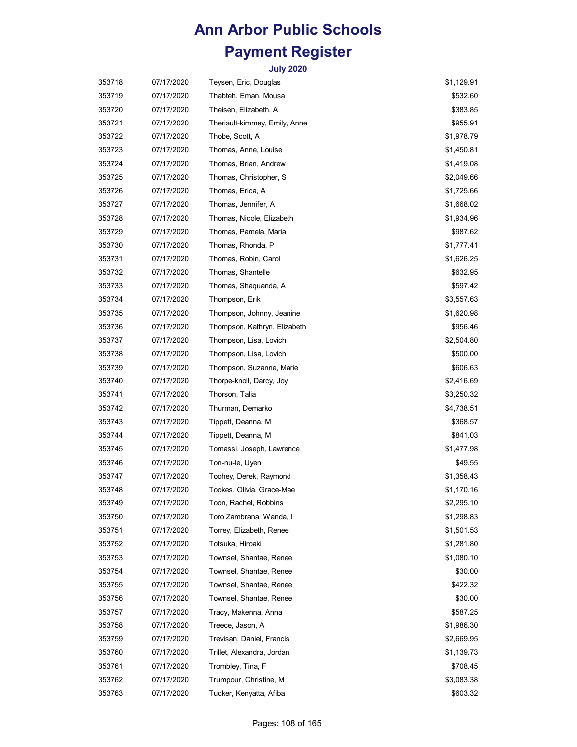| 353718 | 07/17/2020 | Teysen, Eric, Douglas         | \$1,129.91 |
|--------|------------|-------------------------------|------------|
| 353719 | 07/17/2020 | Thabteh, Eman, Mousa          | \$532.60   |
| 353720 | 07/17/2020 | Theisen, Elizabeth, A         | \$383.85   |
| 353721 | 07/17/2020 | Theriault-kimmey, Emily, Anne | \$955.91   |
| 353722 | 07/17/2020 | Thobe, Scott, A               | \$1,978.79 |
| 353723 | 07/17/2020 | Thomas, Anne, Louise          | \$1,450.81 |
| 353724 | 07/17/2020 | Thomas, Brian, Andrew         | \$1,419.08 |
| 353725 | 07/17/2020 | Thomas, Christopher, S.       | \$2,049.66 |
| 353726 | 07/17/2020 | Thomas, Erica, A              | \$1,725.66 |
| 353727 | 07/17/2020 | Thomas, Jennifer, A           | \$1,668.02 |
| 353728 | 07/17/2020 | Thomas, Nicole, Elizabeth     | \$1,934.96 |
| 353729 | 07/17/2020 | Thomas, Pamela, Maria         | \$987.62   |
| 353730 | 07/17/2020 | Thomas, Rhonda, P             | \$1,777.41 |
| 353731 | 07/17/2020 | Thomas, Robin, Carol          | \$1,626.25 |
| 353732 | 07/17/2020 | Thomas, Shantelle             | \$632.95   |
| 353733 | 07/17/2020 | Thomas, Shaquanda, A          | \$597.42   |
| 353734 | 07/17/2020 | Thompson, Erik                | \$3,557.63 |
| 353735 | 07/17/2020 | Thompson, Johnny, Jeanine     | \$1,620.98 |
| 353736 | 07/17/2020 | Thompson, Kathryn, Elizabeth  | \$956.46   |
| 353737 | 07/17/2020 | Thompson, Lisa, Lovich        | \$2,504.80 |
| 353738 | 07/17/2020 | Thompson, Lisa, Lovich        | \$500.00   |
| 353739 | 07/17/2020 | Thompson, Suzanne, Marie      | \$606.63   |
| 353740 | 07/17/2020 | Thorpe-knoll, Darcy, Joy      | \$2,416.69 |
| 353741 | 07/17/2020 | Thorson, Talia                | \$3,250.32 |
| 353742 | 07/17/2020 | Thurman, Demarko              | \$4,738.51 |
| 353743 | 07/17/2020 | Tippett, Deanna, M            | \$368.57   |
| 353744 | 07/17/2020 | Tippett, Deanna, M            | \$841.03   |
| 353745 | 07/17/2020 | Tomassi, Joseph, Lawrence     | \$1,477.98 |
| 353746 | 07/17/2020 | Ton-nu-le, Uyen               | \$49.55    |
| 353747 | 07/17/2020 | Toohey, Derek, Raymond        | \$1,358.43 |
| 353748 | 07/17/2020 | Tookes, Olivia, Grace-Mae     | \$1,170.16 |
| 353749 | 07/17/2020 | Toon, Rachel, Robbins         | \$2,295.10 |
| 353750 | 07/17/2020 | Toro Zambrana, Wanda, I       | \$1,298.83 |
| 353751 | 07/17/2020 | Torrey, Elizabeth, Renee      | \$1,501.53 |
| 353752 | 07/17/2020 | Totsuka, Hiroaki              | \$1,281.80 |
| 353753 | 07/17/2020 | Townsel, Shantae, Renee       | \$1,080.10 |
| 353754 | 07/17/2020 | Townsel, Shantae, Renee       | \$30.00    |
| 353755 | 07/17/2020 | Townsel, Shantae, Renee       | \$422.32   |
| 353756 | 07/17/2020 | Townsel, Shantae, Renee       | \$30.00    |
| 353757 | 07/17/2020 | Tracy, Makenna, Anna          | \$587.25   |
| 353758 | 07/17/2020 | Treece, Jason, A              | \$1,986.30 |
| 353759 | 07/17/2020 | Trevisan, Daniel, Francis     | \$2,669.95 |
| 353760 | 07/17/2020 | Trillet, Alexandra, Jordan    | \$1,139.73 |
| 353761 | 07/17/2020 | Trombley, Tina, F             | \$708.45   |
| 353762 | 07/17/2020 | Trumpour, Christine, M        | \$3,083.38 |
| 353763 | 07/17/2020 | Tucker, Kenyatta, Afiba       | \$603.32   |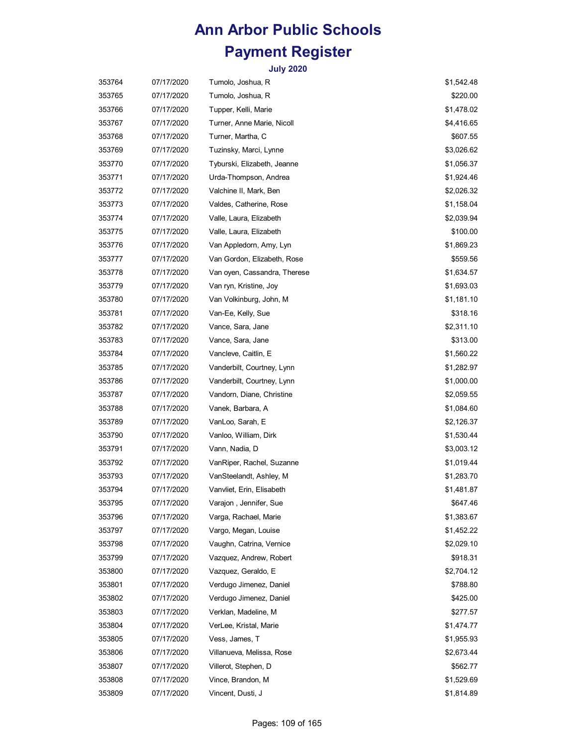| 353764 | 07/17/2020 | Tumolo, Joshua, R            | \$1,542.48 |
|--------|------------|------------------------------|------------|
| 353765 | 07/17/2020 | Tumolo, Joshua, R            | \$220.00   |
| 353766 | 07/17/2020 | Tupper, Kelli, Marie         | \$1,478.02 |
| 353767 | 07/17/2020 | Turner, Anne Marie, Nicoll   | \$4,416.65 |
| 353768 | 07/17/2020 | Turner, Martha, C            | \$607.55   |
| 353769 | 07/17/2020 | Tuzinsky, Marci, Lynne       | \$3,026.62 |
| 353770 | 07/17/2020 | Tyburski, Elizabeth, Jeanne  | \$1,056.37 |
| 353771 | 07/17/2020 | Urda-Thompson, Andrea        | \$1,924.46 |
| 353772 | 07/17/2020 | Valchine II, Mark, Ben       | \$2,026.32 |
| 353773 | 07/17/2020 | Valdes, Catherine, Rose      | \$1,158.04 |
| 353774 | 07/17/2020 | Valle, Laura, Elizabeth      | \$2,039.94 |
| 353775 | 07/17/2020 | Valle, Laura, Elizabeth      | \$100.00   |
| 353776 | 07/17/2020 | Van Appledorn, Amy, Lyn      | \$1,869.23 |
| 353777 | 07/17/2020 | Van Gordon, Elizabeth, Rose  | \$559.56   |
| 353778 | 07/17/2020 | Van oyen, Cassandra, Therese | \$1,634.57 |
| 353779 | 07/17/2020 | Van ryn, Kristine, Joy       | \$1,693.03 |
| 353780 | 07/17/2020 | Van Volkinburg, John, M      | \$1,181.10 |
| 353781 | 07/17/2020 | Van-Ee, Kelly, Sue           | \$318.16   |
| 353782 | 07/17/2020 | Vance, Sara, Jane            | \$2,311.10 |
| 353783 | 07/17/2020 | Vance, Sara, Jane            | \$313.00   |
| 353784 | 07/17/2020 | Vancleve, Caitlin, E         | \$1,560.22 |
| 353785 | 07/17/2020 | Vanderbilt, Courtney, Lynn   | \$1,282.97 |
| 353786 | 07/17/2020 | Vanderbilt, Courtney, Lynn   | \$1,000.00 |
| 353787 | 07/17/2020 | Vandorn, Diane, Christine    | \$2,059.55 |
| 353788 | 07/17/2020 | Vanek, Barbara, A            | \$1,084.60 |
| 353789 | 07/17/2020 | VanLoo, Sarah, E             | \$2,126.37 |
| 353790 | 07/17/2020 | Vanloo, William, Dirk        | \$1,530.44 |
| 353791 | 07/17/2020 | Vann, Nadia, D               | \$3,003.12 |
| 353792 | 07/17/2020 | VanRiper, Rachel, Suzanne    | \$1,019.44 |
| 353793 | 07/17/2020 | VanSteelandt, Ashley, M      | \$1,283.70 |
| 353794 | 07/17/2020 | Vanvliet, Erin, Elisabeth    | \$1,481.87 |
| 353795 | 07/17/2020 | Varajon, Jennifer, Sue       | \$647.46   |
| 353796 | 07/17/2020 | Varga, Rachael, Marie        | \$1,383.67 |
| 353797 | 07/17/2020 | Vargo, Megan, Louise         | \$1,452.22 |
| 353798 | 07/17/2020 | Vaughn, Catrina, Vernice     | \$2,029.10 |
| 353799 | 07/17/2020 | Vazquez, Andrew, Robert      | \$918.31   |
| 353800 | 07/17/2020 | Vazquez, Geraldo, E          | \$2,704.12 |
| 353801 | 07/17/2020 | Verdugo Jimenez, Daniel      | \$788.80   |
| 353802 | 07/17/2020 | Verdugo Jimenez, Daniel      | \$425.00   |
| 353803 | 07/17/2020 | Verklan, Madeline, M         | \$277.57   |
| 353804 | 07/17/2020 | VerLee, Kristal, Marie       | \$1,474.77 |
| 353805 | 07/17/2020 | Vess, James, T               | \$1,955.93 |
| 353806 | 07/17/2020 | Villanueva, Melissa, Rose    | \$2,673.44 |
| 353807 | 07/17/2020 | Villerot, Stephen, D         | \$562.77   |
| 353808 | 07/17/2020 | Vince, Brandon, M            | \$1,529.69 |
| 353809 | 07/17/2020 | Vincent, Dusti, J            | \$1,814.89 |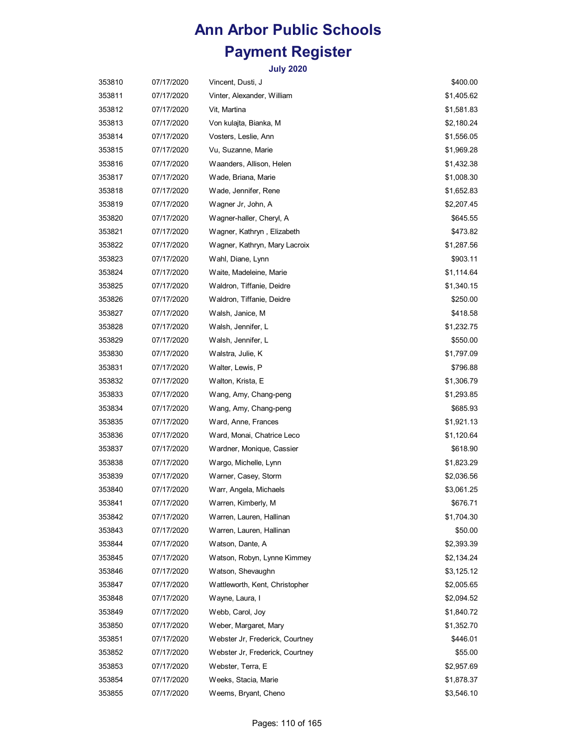| 353810 | 07/17/2020 | Vincent, Dusti, J               | \$400.00   |
|--------|------------|---------------------------------|------------|
| 353811 | 07/17/2020 | Vinter, Alexander, William      | \$1,405.62 |
| 353812 | 07/17/2020 | Vit, Martina                    | \$1,581.83 |
| 353813 | 07/17/2020 | Von kulajta, Bianka, M          | \$2,180.24 |
| 353814 | 07/17/2020 | Vosters, Leslie, Ann            | \$1,556.05 |
| 353815 | 07/17/2020 | Vu, Suzanne, Marie              | \$1,969.28 |
| 353816 | 07/17/2020 | Waanders, Allison, Helen        | \$1,432.38 |
| 353817 | 07/17/2020 | Wade, Briana, Marie             | \$1,008.30 |
| 353818 | 07/17/2020 | Wade, Jennifer, Rene            | \$1,652.83 |
| 353819 | 07/17/2020 | Wagner Jr, John, A              | \$2,207.45 |
| 353820 | 07/17/2020 | Wagner-haller, Cheryl, A        | \$645.55   |
| 353821 | 07/17/2020 | Wagner, Kathryn , Elizabeth     | \$473.82   |
| 353822 | 07/17/2020 | Wagner, Kathryn, Mary Lacroix   | \$1,287.56 |
| 353823 | 07/17/2020 | Wahl, Diane, Lynn               | \$903.11   |
| 353824 | 07/17/2020 | Waite, Madeleine, Marie         | \$1,114.64 |
| 353825 | 07/17/2020 | Waldron, Tiffanie, Deidre       | \$1,340.15 |
| 353826 | 07/17/2020 | Waldron, Tiffanie, Deidre       | \$250.00   |
| 353827 | 07/17/2020 | Walsh, Janice, M                | \$418.58   |
| 353828 | 07/17/2020 | Walsh, Jennifer, L              | \$1,232.75 |
| 353829 | 07/17/2020 | Walsh, Jennifer, L              | \$550.00   |
| 353830 | 07/17/2020 | Walstra, Julie, K               | \$1,797.09 |
| 353831 | 07/17/2020 | Walter, Lewis, P                | \$796.88   |
| 353832 | 07/17/2020 | Walton, Krista, E               | \$1,306.79 |
| 353833 | 07/17/2020 | Wang, Amy, Chang-peng           | \$1,293.85 |
| 353834 | 07/17/2020 | Wang, Amy, Chang-peng           | \$685.93   |
| 353835 | 07/17/2020 | Ward, Anne, Frances             | \$1,921.13 |
| 353836 | 07/17/2020 | Ward, Monai, Chatrice Leco      | \$1,120.64 |
| 353837 | 07/17/2020 | Wardner, Monique, Cassier       | \$618.90   |
| 353838 | 07/17/2020 | Wargo, Michelle, Lynn           | \$1,823.29 |
| 353839 | 07/17/2020 | Warner, Casey, Storm            | \$2,036.56 |
| 353840 | 07/17/2020 | Warr, Angela, Michaels          | \$3,061.25 |
| 353841 | 07/17/2020 | Warren, Kimberly, M             | \$676.71   |
| 353842 | 07/17/2020 | Warren, Lauren, Hallinan        | \$1,704.30 |
| 353843 | 07/17/2020 | Warren, Lauren, Hallinan        | \$50.00    |
| 353844 | 07/17/2020 | Watson, Dante, A                | \$2,393.39 |
| 353845 | 07/17/2020 | Watson, Robyn, Lynne Kimmey     | \$2,134.24 |
| 353846 | 07/17/2020 | Watson, Shevaughn               | \$3,125.12 |
| 353847 | 07/17/2020 | Wattleworth, Kent, Christopher  | \$2,005.65 |
| 353848 | 07/17/2020 | Wayne, Laura, I                 | \$2,094.52 |
| 353849 | 07/17/2020 | Webb, Carol, Joy                | \$1,840.72 |
| 353850 | 07/17/2020 | Weber, Margaret, Mary           | \$1,352.70 |
| 353851 | 07/17/2020 | Webster Jr, Frederick, Courtney | \$446.01   |
| 353852 | 07/17/2020 | Webster Jr, Frederick, Courtney | \$55.00    |
| 353853 | 07/17/2020 | Webster, Terra, E               | \$2,957.69 |
| 353854 | 07/17/2020 | Weeks, Stacia, Marie            | \$1,878.37 |
| 353855 | 07/17/2020 | Weems, Bryant, Cheno            | \$3,546.10 |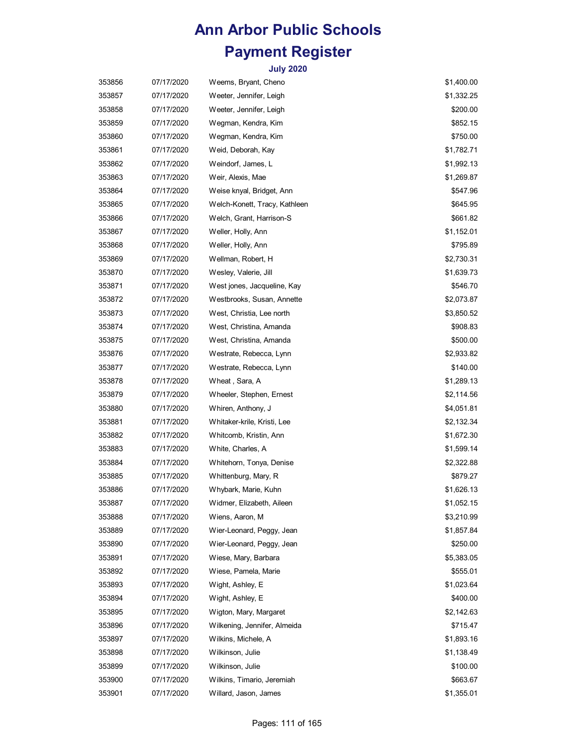| 353856 | 07/17/2020 | Weems, Bryant, Cheno          | \$1,400.00 |
|--------|------------|-------------------------------|------------|
| 353857 | 07/17/2020 | Weeter, Jennifer, Leigh       | \$1,332.25 |
| 353858 | 07/17/2020 | Weeter, Jennifer, Leigh       | \$200.00   |
| 353859 | 07/17/2020 | Wegman, Kendra, Kim           | \$852.15   |
| 353860 | 07/17/2020 | Wegman, Kendra, Kim           | \$750.00   |
| 353861 | 07/17/2020 | Weid, Deborah, Kay            | \$1,782.71 |
| 353862 | 07/17/2020 | Weindorf, James, L            | \$1,992.13 |
| 353863 | 07/17/2020 | Weir, Alexis, Mae             | \$1,269.87 |
| 353864 | 07/17/2020 | Weise knyal, Bridget, Ann     | \$547.96   |
| 353865 | 07/17/2020 | Welch-Konett, Tracy, Kathleen | \$645.95   |
| 353866 | 07/17/2020 | Welch, Grant, Harrison-S      | \$661.82   |
| 353867 | 07/17/2020 | Weller, Holly, Ann            | \$1,152.01 |
| 353868 | 07/17/2020 | Weller, Holly, Ann            | \$795.89   |
| 353869 | 07/17/2020 | Wellman, Robert, H            | \$2,730.31 |
| 353870 | 07/17/2020 | Wesley, Valerie, Jill         | \$1,639.73 |
| 353871 | 07/17/2020 | West jones, Jacqueline, Kay   | \$546.70   |
| 353872 | 07/17/2020 | Westbrooks, Susan, Annette    | \$2,073.87 |
| 353873 | 07/17/2020 | West, Christia, Lee north     | \$3,850.52 |
| 353874 | 07/17/2020 | West, Christina, Amanda       | \$908.83   |
| 353875 | 07/17/2020 | West, Christina, Amanda       | \$500.00   |
| 353876 | 07/17/2020 | Westrate, Rebecca, Lynn       | \$2,933.82 |
| 353877 | 07/17/2020 | Westrate, Rebecca, Lynn       | \$140.00   |
| 353878 | 07/17/2020 | Wheat , Sara, A               | \$1,289.13 |
| 353879 | 07/17/2020 | Wheeler, Stephen, Ernest      | \$2,114.56 |
| 353880 | 07/17/2020 | Whiren, Anthony, J            | \$4,051.81 |
| 353881 | 07/17/2020 | Whitaker-krile, Kristi, Lee   | \$2,132.34 |
| 353882 | 07/17/2020 | Whitcomb, Kristin, Ann        | \$1,672.30 |
| 353883 | 07/17/2020 | White, Charles, A             | \$1,599.14 |
| 353884 | 07/17/2020 | Whitehorn, Tonya, Denise      | \$2,322.88 |
| 353885 | 07/17/2020 | Whittenburg, Mary, R          | \$879.27   |
| 353886 | 07/17/2020 | Whybark, Marie, Kuhn          | \$1,626.13 |
| 353887 | 07/17/2020 | Widmer, Elizabeth, Aileen     | \$1,052.15 |
| 353888 | 07/17/2020 | Wiens, Aaron, M               | \$3,210.99 |
| 353889 | 07/17/2020 | Wier-Leonard, Peggy, Jean     | \$1,857.84 |
| 353890 | 07/17/2020 | Wier-Leonard, Peggy, Jean     | \$250.00   |
| 353891 | 07/17/2020 | Wiese, Mary, Barbara          | \$5,383.05 |
| 353892 | 07/17/2020 | Wiese, Pamela, Marie          | \$555.01   |
| 353893 | 07/17/2020 | Wight, Ashley, E              | \$1,023.64 |
| 353894 | 07/17/2020 | Wight, Ashley, E              | \$400.00   |
| 353895 | 07/17/2020 | Wigton, Mary, Margaret        | \$2,142.63 |
| 353896 | 07/17/2020 | Wilkening, Jennifer, Almeida  | \$715.47   |
| 353897 | 07/17/2020 | Wilkins, Michele, A           | \$1,893.16 |
| 353898 | 07/17/2020 | Wilkinson, Julie              | \$1,138.49 |
| 353899 | 07/17/2020 | Wilkinson, Julie              | \$100.00   |
| 353900 | 07/17/2020 | Wilkins, Timario, Jeremiah    | \$663.67   |
| 353901 | 07/17/2020 | Willard, Jason, James         | \$1,355.01 |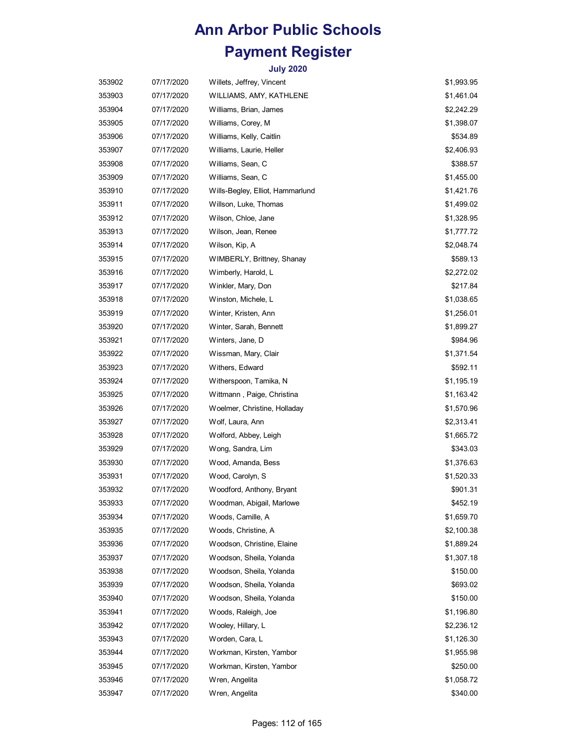| 353902 | 07/17/2020 | Willets, Jeffrey, Vincent        | \$1,993.95 |
|--------|------------|----------------------------------|------------|
| 353903 | 07/17/2020 | WILLIAMS, AMY, KATHLENE          | \$1,461.04 |
| 353904 | 07/17/2020 | Williams, Brian, James           | \$2,242.29 |
| 353905 | 07/17/2020 | Williams, Corey, M               | \$1,398.07 |
| 353906 | 07/17/2020 | Williams, Kelly, Caitlin         | \$534.89   |
| 353907 | 07/17/2020 | Williams, Laurie, Heller         | \$2,406.93 |
| 353908 | 07/17/2020 | Williams, Sean, C                | \$388.57   |
| 353909 | 07/17/2020 | Williams, Sean, C                | \$1,455.00 |
| 353910 | 07/17/2020 | Wills-Begley, Elliot, Hammarlund | \$1,421.76 |
| 353911 | 07/17/2020 | Willson, Luke, Thomas            | \$1,499.02 |
| 353912 | 07/17/2020 | Wilson, Chloe, Jane              | \$1,328.95 |
| 353913 | 07/17/2020 | Wilson, Jean, Renee              | \$1,777.72 |
| 353914 | 07/17/2020 | Wilson, Kip, A                   | \$2,048.74 |
| 353915 | 07/17/2020 | WIMBERLY, Brittney, Shanay       | \$589.13   |
| 353916 | 07/17/2020 | Wimberly, Harold, L              | \$2,272.02 |
| 353917 | 07/17/2020 | Winkler, Mary, Don               | \$217.84   |
| 353918 | 07/17/2020 | Winston, Michele, L              | \$1,038.65 |
| 353919 | 07/17/2020 | Winter, Kristen, Ann             | \$1,256.01 |
| 353920 | 07/17/2020 | Winter, Sarah, Bennett           | \$1,899.27 |
| 353921 | 07/17/2020 | Winters, Jane, D                 | \$984.96   |
| 353922 | 07/17/2020 | Wissman, Mary, Clair             | \$1,371.54 |
| 353923 | 07/17/2020 | Withers, Edward                  | \$592.11   |
| 353924 | 07/17/2020 | Witherspoon, Tamika, N           | \$1,195.19 |
| 353925 | 07/17/2020 | Wittmann , Paige, Christina      | \$1,163.42 |
| 353926 | 07/17/2020 | Woelmer, Christine, Holladay     | \$1,570.96 |
| 353927 | 07/17/2020 | Wolf, Laura, Ann                 | \$2,313.41 |
| 353928 | 07/17/2020 | Wolford, Abbey, Leigh            | \$1,665.72 |
| 353929 | 07/17/2020 | Wong, Sandra, Lim                | \$343.03   |
| 353930 | 07/17/2020 | Wood, Amanda, Bess               | \$1,376.63 |
| 353931 | 07/17/2020 | Wood, Carolyn, S                 | \$1,520.33 |
| 353932 | 07/17/2020 | Woodford, Anthony, Bryant        | \$901.31   |
| 353933 | 07/17/2020 | Woodman, Abigail, Marlowe        | \$452.19   |
| 353934 | 07/17/2020 | Woods, Camille, A                | \$1,659.70 |
| 353935 | 07/17/2020 | Woods, Christine, A              | \$2,100.38 |
| 353936 | 07/17/2020 | Woodson, Christine, Elaine       | \$1,889.24 |
| 353937 | 07/17/2020 | Woodson, Sheila, Yolanda         | \$1,307.18 |
| 353938 | 07/17/2020 | Woodson, Sheila, Yolanda         | \$150.00   |
| 353939 | 07/17/2020 | Woodson, Sheila, Yolanda         | \$693.02   |
| 353940 | 07/17/2020 | Woodson, Sheila, Yolanda         | \$150.00   |
| 353941 | 07/17/2020 | Woods, Raleigh, Joe              | \$1,196.80 |
| 353942 | 07/17/2020 | Wooley, Hillary, L               | \$2,236.12 |
| 353943 | 07/17/2020 | Worden, Cara, L                  | \$1,126.30 |
| 353944 | 07/17/2020 | Workman, Kirsten, Yambor         | \$1,955.98 |
| 353945 | 07/17/2020 | Workman, Kirsten, Yambor         | \$250.00   |
| 353946 | 07/17/2020 | Wren, Angelita                   | \$1,058.72 |
| 353947 | 07/17/2020 | Wren, Angelita                   | \$340.00   |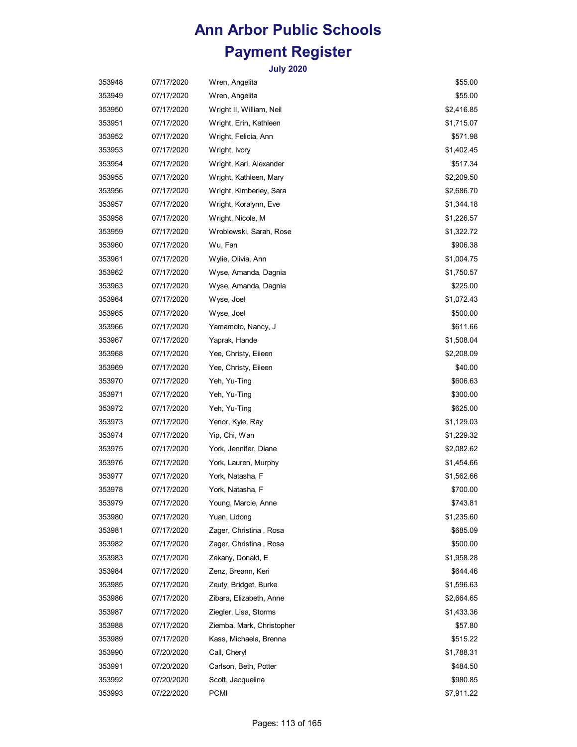| 353948 | 07/17/2020 | Wren, Angelita            | \$55.00    |
|--------|------------|---------------------------|------------|
| 353949 | 07/17/2020 | Wren, Angelita            | \$55.00    |
| 353950 | 07/17/2020 | Wright II, William, Neil  | \$2,416.85 |
| 353951 | 07/17/2020 | Wright, Erin, Kathleen    | \$1,715.07 |
| 353952 | 07/17/2020 | Wright, Felicia, Ann      | \$571.98   |
| 353953 | 07/17/2020 | Wright, Ivory             | \$1,402.45 |
| 353954 | 07/17/2020 | Wright, Karl, Alexander   | \$517.34   |
| 353955 | 07/17/2020 | Wright, Kathleen, Mary    | \$2,209.50 |
| 353956 | 07/17/2020 | Wright, Kimberley, Sara   | \$2,686.70 |
| 353957 | 07/17/2020 | Wright, Koralynn, Eve     | \$1,344.18 |
| 353958 | 07/17/2020 | Wright, Nicole, M         | \$1,226.57 |
| 353959 | 07/17/2020 | Wroblewski, Sarah, Rose   | \$1,322.72 |
| 353960 | 07/17/2020 | Wu, Fan                   | \$906.38   |
| 353961 | 07/17/2020 | Wylie, Olivia, Ann        | \$1,004.75 |
| 353962 | 07/17/2020 | Wyse, Amanda, Dagnia      | \$1,750.57 |
| 353963 | 07/17/2020 | Wyse, Amanda, Dagnia      | \$225.00   |
| 353964 | 07/17/2020 | Wyse, Joel                | \$1,072.43 |
| 353965 | 07/17/2020 | Wyse, Joel                | \$500.00   |
| 353966 | 07/17/2020 | Yamamoto, Nancy, J        | \$611.66   |
| 353967 | 07/17/2020 | Yaprak, Hande             | \$1,508.04 |
| 353968 | 07/17/2020 | Yee, Christy, Eileen      | \$2,208.09 |
| 353969 | 07/17/2020 | Yee, Christy, Eileen      | \$40.00    |
| 353970 | 07/17/2020 | Yeh, Yu-Ting              | \$606.63   |
| 353971 | 07/17/2020 | Yeh, Yu-Ting              | \$300.00   |
| 353972 | 07/17/2020 | Yeh, Yu-Ting              | \$625.00   |
| 353973 | 07/17/2020 | Yenor, Kyle, Ray          | \$1,129.03 |
| 353974 | 07/17/2020 | Yip, Chi, Wan             | \$1,229.32 |
| 353975 | 07/17/2020 | York, Jennifer, Diane     | \$2,082.62 |
| 353976 | 07/17/2020 | York, Lauren, Murphy      | \$1,454.66 |
| 353977 | 07/17/2020 | York, Natasha, F          | \$1,562.66 |
| 353978 | 07/17/2020 | York, Natasha, F          | \$700.00   |
| 353979 | 07/17/2020 | Young, Marcie, Anne       | \$743.81   |
| 353980 | 07/17/2020 | Yuan, Lidong              | \$1,235.60 |
| 353981 | 07/17/2020 | Zager, Christina, Rosa    | \$685.09   |
| 353982 | 07/17/2020 | Zager, Christina , Rosa   | \$500.00   |
| 353983 | 07/17/2020 | Zekany, Donald, E         | \$1,958.28 |
| 353984 | 07/17/2020 | Zenz, Breann, Keri        | \$644.46   |
| 353985 | 07/17/2020 | Zeuty, Bridget, Burke     | \$1,596.63 |
| 353986 | 07/17/2020 | Zibara, Elizabeth, Anne   | \$2,664.65 |
| 353987 | 07/17/2020 | Ziegler, Lisa, Storms     | \$1,433.36 |
| 353988 | 07/17/2020 | Ziemba, Mark, Christopher | \$57.80    |
| 353989 | 07/17/2020 | Kass, Michaela, Brenna    | \$515.22   |
| 353990 | 07/20/2020 | Call, Cheryl              | \$1,788.31 |
| 353991 | 07/20/2020 | Carlson, Beth, Potter     | \$484.50   |
| 353992 | 07/20/2020 | Scott, Jacqueline         | \$980.85   |
| 353993 | 07/22/2020 | <b>PCMI</b>               | \$7,911.22 |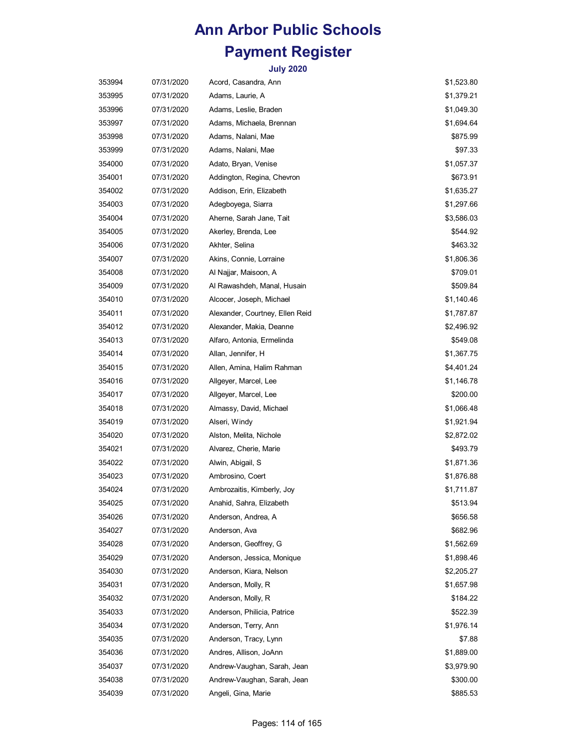| 353994 | 07/31/2020 | Acord, Casandra, Ann            | \$1,523.80 |
|--------|------------|---------------------------------|------------|
| 353995 | 07/31/2020 | Adams, Laurie, A                | \$1,379.21 |
| 353996 | 07/31/2020 | Adams, Leslie, Braden           | \$1,049.30 |
| 353997 | 07/31/2020 | Adams, Michaela, Brennan        | \$1,694.64 |
| 353998 | 07/31/2020 | Adams, Nalani, Mae              | \$875.99   |
| 353999 | 07/31/2020 | Adams, Nalani, Mae              | \$97.33    |
| 354000 | 07/31/2020 | Adato, Bryan, Venise            | \$1,057.37 |
| 354001 | 07/31/2020 | Addington, Regina, Chevron      | \$673.91   |
| 354002 | 07/31/2020 | Addison, Erin, Elizabeth        | \$1,635.27 |
| 354003 | 07/31/2020 | Adegboyega, Siarra              | \$1,297.66 |
| 354004 | 07/31/2020 | Aherne, Sarah Jane, Tait        | \$3,586.03 |
| 354005 | 07/31/2020 | Akerley, Brenda, Lee            | \$544.92   |
| 354006 | 07/31/2020 | Akhter, Selina                  | \$463.32   |
| 354007 | 07/31/2020 | Akins, Connie, Lorraine         | \$1,806.36 |
| 354008 | 07/31/2020 | Al Najjar, Maisoon, A           | \$709.01   |
| 354009 | 07/31/2020 | Al Rawashdeh, Manal, Husain     | \$509.84   |
| 354010 | 07/31/2020 | Alcocer, Joseph, Michael        | \$1,140.46 |
| 354011 | 07/31/2020 | Alexander, Courtney, Ellen Reid | \$1,787.87 |
| 354012 | 07/31/2020 | Alexander, Makia, Deanne        | \$2,496.92 |
| 354013 | 07/31/2020 | Alfaro, Antonia, Ermelinda      | \$549.08   |
| 354014 | 07/31/2020 | Allan, Jennifer, H              | \$1,367.75 |
| 354015 | 07/31/2020 | Allen, Amina, Halim Rahman      | \$4,401.24 |
| 354016 | 07/31/2020 | Allgeyer, Marcel, Lee           | \$1,146.78 |
| 354017 | 07/31/2020 | Allgeyer, Marcel, Lee           | \$200.00   |
| 354018 | 07/31/2020 | Almassy, David, Michael         | \$1,066.48 |
| 354019 | 07/31/2020 | Alseri, Windy                   | \$1,921.94 |
| 354020 | 07/31/2020 | Alston, Melita, Nichole         | \$2,872.02 |
| 354021 | 07/31/2020 | Alvarez, Cherie, Marie          | \$493.79   |
| 354022 | 07/31/2020 | Alwin, Abigail, S               | \$1,871.36 |
| 354023 | 07/31/2020 | Ambrosino, Coert                | \$1,876.88 |
| 354024 | 07/31/2020 | Ambrozaitis, Kimberly, Joy      | \$1,711.87 |
| 354025 | 07/31/2020 | Anahid, Sahra, Elizabeth        | \$513.94   |
| 354026 | 07/31/2020 | Anderson, Andrea, A             | \$656.58   |
| 354027 | 07/31/2020 | Anderson, Ava                   | \$682.96   |
| 354028 | 07/31/2020 | Anderson, Geoffrey, G           | \$1,562.69 |
| 354029 | 07/31/2020 | Anderson, Jessica, Monique      | \$1,898.46 |
| 354030 | 07/31/2020 | Anderson, Kiara, Nelson         | \$2,205.27 |
| 354031 | 07/31/2020 | Anderson, Molly, R              | \$1,657.98 |
| 354032 | 07/31/2020 | Anderson, Molly, R              | \$184.22   |
| 354033 | 07/31/2020 | Anderson, Philicia, Patrice     | \$522.39   |
| 354034 | 07/31/2020 | Anderson, Terry, Ann            | \$1,976.14 |
| 354035 | 07/31/2020 | Anderson, Tracy, Lynn           | \$7.88     |
| 354036 | 07/31/2020 | Andres, Allison, JoAnn          | \$1,889.00 |
| 354037 | 07/31/2020 | Andrew-Vaughan, Sarah, Jean     | \$3,979.90 |
| 354038 | 07/31/2020 | Andrew-Vaughan, Sarah, Jean     | \$300.00   |
| 354039 | 07/31/2020 | Angeli, Gina, Marie             | \$885.53   |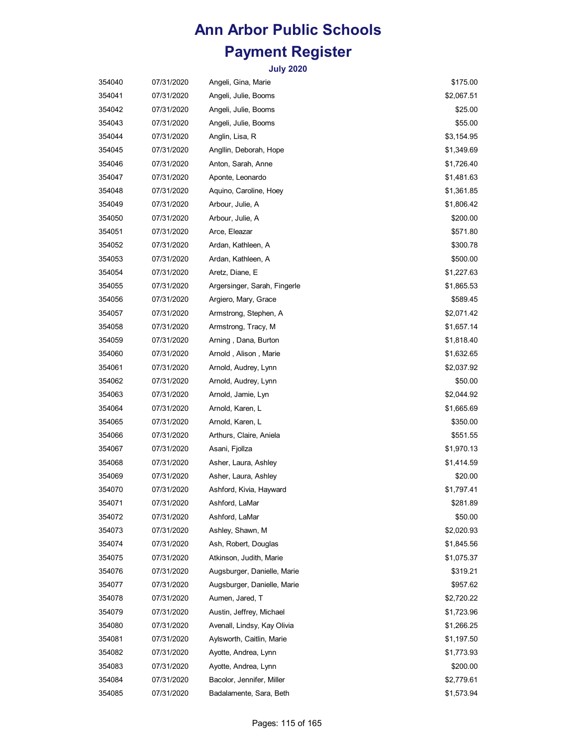| 354040 | 07/31/2020 | Angeli, Gina, Marie          | \$175.00   |
|--------|------------|------------------------------|------------|
| 354041 | 07/31/2020 | Angeli, Julie, Booms         | \$2,067.51 |
| 354042 | 07/31/2020 | Angeli, Julie, Booms         | \$25.00    |
| 354043 | 07/31/2020 | Angeli, Julie, Booms         | \$55.00    |
| 354044 | 07/31/2020 | Anglin, Lisa, R              | \$3,154.95 |
| 354045 | 07/31/2020 | Angllin, Deborah, Hope       | \$1,349.69 |
| 354046 | 07/31/2020 | Anton, Sarah, Anne           | \$1,726.40 |
| 354047 | 07/31/2020 | Aponte, Leonardo             | \$1,481.63 |
| 354048 | 07/31/2020 | Aquino, Caroline, Hoey       | \$1,361.85 |
| 354049 | 07/31/2020 | Arbour, Julie, A             | \$1,806.42 |
| 354050 | 07/31/2020 | Arbour, Julie, A             | \$200.00   |
| 354051 | 07/31/2020 | Arce, Eleazar                | \$571.80   |
| 354052 | 07/31/2020 | Ardan, Kathleen, A           | \$300.78   |
| 354053 | 07/31/2020 | Ardan, Kathleen, A           | \$500.00   |
| 354054 | 07/31/2020 | Aretz, Diane, E              | \$1,227.63 |
| 354055 | 07/31/2020 | Argersinger, Sarah, Fingerle | \$1,865.53 |
| 354056 | 07/31/2020 | Argiero, Mary, Grace         | \$589.45   |
| 354057 | 07/31/2020 | Armstrong, Stephen, A        | \$2,071.42 |
| 354058 | 07/31/2020 | Armstrong, Tracy, M          | \$1,657.14 |
| 354059 | 07/31/2020 | Arning, Dana, Burton         | \$1,818.40 |
| 354060 | 07/31/2020 | Arnold , Alison , Marie      | \$1,632.65 |
| 354061 | 07/31/2020 | Arnold, Audrey, Lynn         | \$2,037.92 |
| 354062 | 07/31/2020 | Arnold, Audrey, Lynn         | \$50.00    |
| 354063 | 07/31/2020 | Arnold, Jamie, Lyn           | \$2,044.92 |
| 354064 | 07/31/2020 | Arnold, Karen, L             | \$1,665.69 |
| 354065 | 07/31/2020 | Arnold, Karen, L             | \$350.00   |
| 354066 | 07/31/2020 | Arthurs, Claire, Aniela      | \$551.55   |
| 354067 | 07/31/2020 | Asani, Fjollza               | \$1,970.13 |
| 354068 | 07/31/2020 | Asher, Laura, Ashley         | \$1,414.59 |
| 354069 | 07/31/2020 | Asher, Laura, Ashley         | \$20.00    |
| 354070 | 07/31/2020 | Ashford, Kivia, Hayward      | \$1,797.41 |
| 354071 | 07/31/2020 | Ashford, LaMar               | \$281.89   |
| 354072 | 07/31/2020 | Ashford, LaMar               | \$50.00    |
| 354073 | 07/31/2020 | Ashley, Shawn, M             | \$2,020.93 |
| 354074 | 07/31/2020 | Ash, Robert, Douglas         | \$1,845.56 |
| 354075 | 07/31/2020 | Atkinson, Judith, Marie      | \$1,075.37 |
| 354076 | 07/31/2020 | Augsburger, Danielle, Marie  | \$319.21   |
| 354077 | 07/31/2020 | Augsburger, Danielle, Marie  | \$957.62   |
| 354078 | 07/31/2020 | Aumen, Jared, T              | \$2,720.22 |
| 354079 | 07/31/2020 | Austin, Jeffrey, Michael     | \$1,723.96 |
| 354080 | 07/31/2020 | Avenall, Lindsy, Kay Olivia  | \$1,266.25 |
| 354081 | 07/31/2020 | Aylsworth, Caitlin, Marie    | \$1,197.50 |
| 354082 | 07/31/2020 | Ayotte, Andrea, Lynn         | \$1,773.93 |
| 354083 | 07/31/2020 | Ayotte, Andrea, Lynn         | \$200.00   |
| 354084 | 07/31/2020 | Bacolor, Jennifer, Miller    | \$2,779.61 |
| 354085 | 07/31/2020 | Badalamente, Sara, Beth      | \$1,573.94 |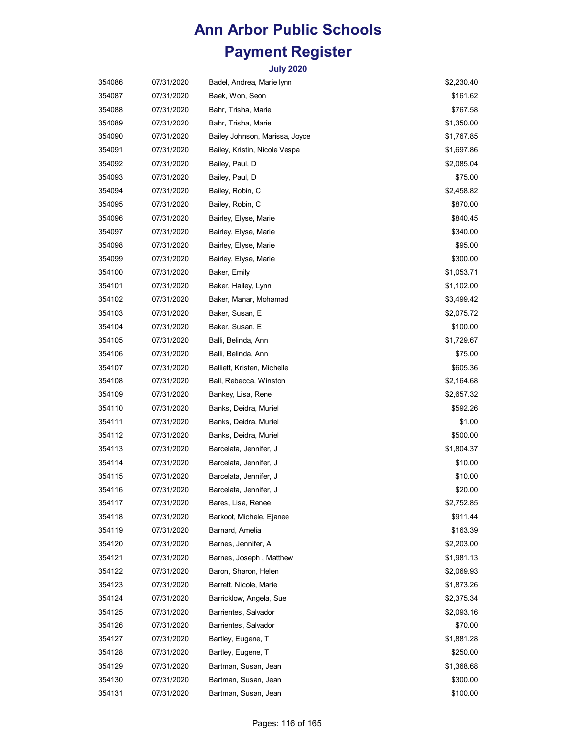| 354086 | 07/31/2020 | Badel, Andrea, Marie lynn      | \$2,230.40 |
|--------|------------|--------------------------------|------------|
| 354087 | 07/31/2020 | Baek, Won, Seon                | \$161.62   |
| 354088 | 07/31/2020 | Bahr, Trisha, Marie            | \$767.58   |
| 354089 | 07/31/2020 | Bahr, Trisha, Marie            | \$1,350.00 |
| 354090 | 07/31/2020 | Bailey Johnson, Marissa, Joyce | \$1,767.85 |
| 354091 | 07/31/2020 | Bailey, Kristin, Nicole Vespa  | \$1,697.86 |
| 354092 | 07/31/2020 | Bailey, Paul, D                | \$2,085.04 |
| 354093 | 07/31/2020 | Bailey, Paul, D                | \$75.00    |
| 354094 | 07/31/2020 | Bailey, Robin, C               | \$2,458.82 |
| 354095 | 07/31/2020 | Bailey, Robin, C               | \$870.00   |
| 354096 | 07/31/2020 | Bairley, Elyse, Marie          | \$840.45   |
| 354097 | 07/31/2020 | Bairley, Elyse, Marie          | \$340.00   |
| 354098 | 07/31/2020 | Bairley, Elyse, Marie          | \$95.00    |
| 354099 | 07/31/2020 | Bairley, Elyse, Marie          | \$300.00   |
| 354100 | 07/31/2020 | Baker, Emily                   | \$1,053.71 |
| 354101 | 07/31/2020 | Baker, Hailey, Lynn            | \$1,102.00 |
| 354102 | 07/31/2020 | Baker, Manar, Mohamad          | \$3,499.42 |
| 354103 | 07/31/2020 | Baker, Susan, E                | \$2,075.72 |
| 354104 | 07/31/2020 | Baker, Susan, E                | \$100.00   |
| 354105 | 07/31/2020 | Balli, Belinda, Ann            | \$1,729.67 |
| 354106 | 07/31/2020 | Balli, Belinda, Ann            | \$75.00    |
| 354107 | 07/31/2020 | Balliett, Kristen, Michelle    | \$605.36   |
| 354108 | 07/31/2020 | Ball, Rebecca, Winston         | \$2,164.68 |
| 354109 | 07/31/2020 | Bankey, Lisa, Rene             | \$2,657.32 |
| 354110 | 07/31/2020 | Banks, Deidra, Muriel          | \$592.26   |
| 354111 | 07/31/2020 | Banks, Deidra, Muriel          | \$1.00     |
| 354112 | 07/31/2020 | Banks, Deidra, Muriel          | \$500.00   |
| 354113 | 07/31/2020 | Barcelata, Jennifer, J         | \$1,804.37 |
| 354114 | 07/31/2020 | Barcelata, Jennifer, J         | \$10.00    |
| 354115 | 07/31/2020 | Barcelata, Jennifer, J         | \$10.00    |
| 354116 | 07/31/2020 | Barcelata, Jennifer, J         | \$20.00    |
| 354117 | 07/31/2020 | Bares, Lisa, Renee             | \$2,752.85 |
| 354118 | 07/31/2020 | Barkoot, Michele, Ejanee       | \$911.44   |
| 354119 | 07/31/2020 | Barnard, Amelia                | \$163.39   |
| 354120 | 07/31/2020 | Barnes, Jennifer, A            | \$2,203.00 |
| 354121 | 07/31/2020 | Barnes, Joseph, Matthew        | \$1,981.13 |
| 354122 | 07/31/2020 | Baron, Sharon, Helen           | \$2,069.93 |
| 354123 | 07/31/2020 | Barrett, Nicole, Marie         | \$1,873.26 |
| 354124 | 07/31/2020 | Barricklow, Angela, Sue        | \$2,375.34 |
| 354125 | 07/31/2020 | Barrientes, Salvador           | \$2,093.16 |
| 354126 | 07/31/2020 | Barrientes, Salvador           | \$70.00    |
| 354127 | 07/31/2020 | Bartley, Eugene, T             | \$1,881.28 |
| 354128 | 07/31/2020 | Bartley, Eugene, T             | \$250.00   |
| 354129 | 07/31/2020 | Bartman, Susan, Jean           | \$1,368.68 |
| 354130 | 07/31/2020 | Bartman, Susan, Jean           | \$300.00   |
| 354131 | 07/31/2020 | Bartman, Susan, Jean           | \$100.00   |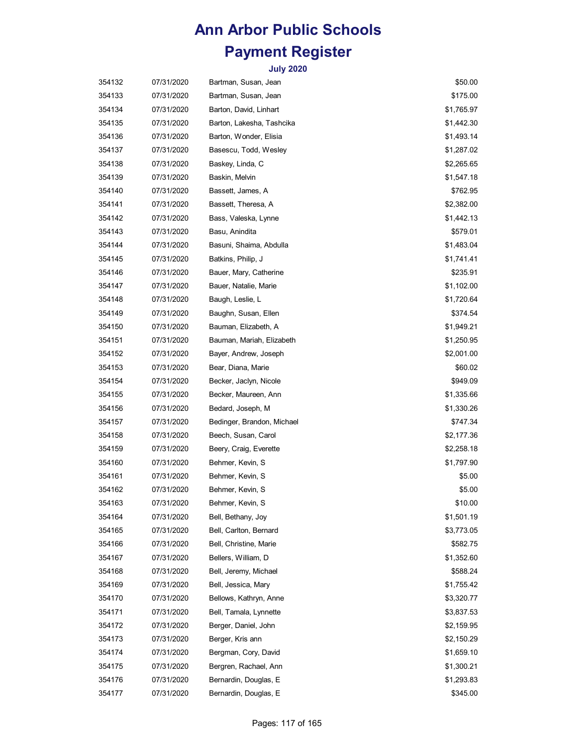| 354132 | 07/31/2020 | Bartman, Susan, Jean       | \$50.00    |
|--------|------------|----------------------------|------------|
| 354133 | 07/31/2020 | Bartman, Susan, Jean       | \$175.00   |
| 354134 | 07/31/2020 | Barton, David, Linhart     | \$1,765.97 |
| 354135 | 07/31/2020 | Barton, Lakesha, Tashcika  | \$1,442.30 |
| 354136 | 07/31/2020 | Barton, Wonder, Elisia     | \$1,493.14 |
| 354137 | 07/31/2020 | Basescu, Todd, Wesley      | \$1,287.02 |
| 354138 | 07/31/2020 | Baskey, Linda, C           | \$2,265.65 |
| 354139 | 07/31/2020 | Baskin, Melvin             | \$1,547.18 |
| 354140 | 07/31/2020 | Bassett, James, A          | \$762.95   |
| 354141 | 07/31/2020 | Bassett, Theresa, A        | \$2,382.00 |
| 354142 | 07/31/2020 | Bass, Valeska, Lynne       | \$1,442.13 |
| 354143 | 07/31/2020 | Basu, Anindita             | \$579.01   |
| 354144 | 07/31/2020 | Basuni, Shaima, Abdulla    | \$1,483.04 |
| 354145 | 07/31/2020 | Batkins, Philip, J         | \$1,741.41 |
| 354146 | 07/31/2020 | Bauer, Mary, Catherine     | \$235.91   |
| 354147 | 07/31/2020 | Bauer, Natalie, Marie      | \$1,102.00 |
| 354148 | 07/31/2020 | Baugh, Leslie, L           | \$1,720.64 |
| 354149 | 07/31/2020 | Baughn, Susan, Ellen       | \$374.54   |
| 354150 | 07/31/2020 | Bauman, Elizabeth, A       | \$1,949.21 |
| 354151 | 07/31/2020 | Bauman, Mariah, Elizabeth  | \$1,250.95 |
| 354152 | 07/31/2020 | Bayer, Andrew, Joseph      | \$2,001.00 |
| 354153 | 07/31/2020 | Bear, Diana, Marie         | \$60.02    |
| 354154 | 07/31/2020 | Becker, Jaclyn, Nicole     | \$949.09   |
| 354155 | 07/31/2020 | Becker, Maureen, Ann       | \$1,335.66 |
| 354156 | 07/31/2020 | Bedard, Joseph, M          | \$1,330.26 |
| 354157 | 07/31/2020 | Bedinger, Brandon, Michael | \$747.34   |
| 354158 | 07/31/2020 | Beech, Susan, Carol        | \$2,177.36 |
| 354159 | 07/31/2020 | Beery, Craig, Everette     | \$2,258.18 |
| 354160 | 07/31/2020 | Behmer, Kevin, S           | \$1,797.90 |
| 354161 | 07/31/2020 | Behmer, Kevin, S           | \$5.00     |
| 354162 | 07/31/2020 | Behmer, Kevin, S           | \$5.00     |
| 354163 | 07/31/2020 | Behmer, Kevin, S           | \$10.00    |
| 354164 | 07/31/2020 | Bell, Bethany, Joy         | \$1,501.19 |
| 354165 | 07/31/2020 | Bell, Carlton, Bernard     | \$3,773.05 |
| 354166 | 07/31/2020 | Bell, Christine, Marie     | \$582.75   |
| 354167 | 07/31/2020 | Bellers, William, D        | \$1,352.60 |
| 354168 | 07/31/2020 | Bell, Jeremy, Michael      | \$588.24   |
| 354169 | 07/31/2020 | Bell, Jessica, Mary        | \$1,755.42 |
| 354170 | 07/31/2020 | Bellows, Kathryn, Anne     | \$3,320.77 |
| 354171 | 07/31/2020 | Bell, Tamala, Lynnette     | \$3,837.53 |
| 354172 | 07/31/2020 | Berger, Daniel, John       | \$2,159.95 |
| 354173 | 07/31/2020 | Berger, Kris ann           | \$2,150.29 |
| 354174 | 07/31/2020 | Bergman, Cory, David       | \$1,659.10 |
| 354175 | 07/31/2020 | Bergren, Rachael, Ann      | \$1,300.21 |
| 354176 | 07/31/2020 | Bernardin, Douglas, E      | \$1,293.83 |
| 354177 | 07/31/2020 | Bernardin, Douglas, E      | \$345.00   |
|        |            |                            |            |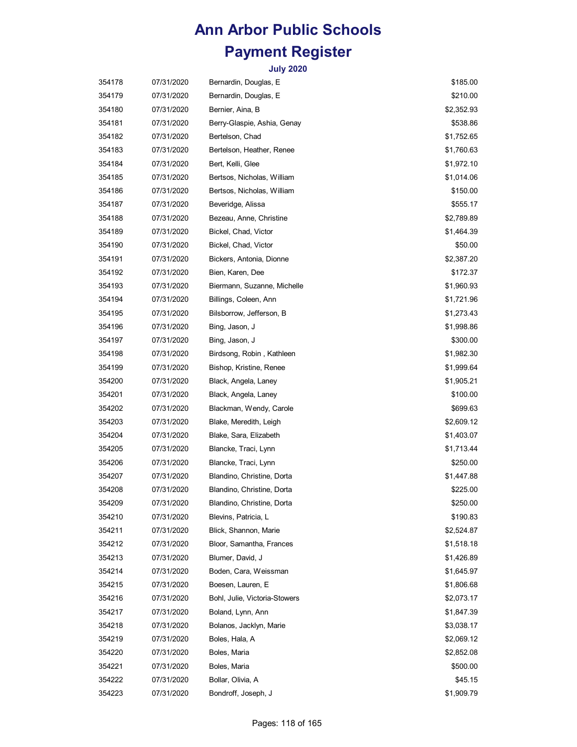| 354178 | 07/31/2020 | Bernardin, Douglas, E         | \$185.00   |
|--------|------------|-------------------------------|------------|
| 354179 | 07/31/2020 | Bernardin, Douglas, E         | \$210.00   |
| 354180 | 07/31/2020 | Bernier, Aina, B              | \$2,352.93 |
| 354181 | 07/31/2020 | Berry-Glaspie, Ashia, Genay   | \$538.86   |
| 354182 | 07/31/2020 | Bertelson, Chad               | \$1,752.65 |
| 354183 | 07/31/2020 | Bertelson, Heather, Renee     | \$1,760.63 |
| 354184 | 07/31/2020 | Bert, Kelli, Glee             | \$1,972.10 |
| 354185 | 07/31/2020 | Bertsos, Nicholas, William    | \$1,014.06 |
| 354186 | 07/31/2020 | Bertsos, Nicholas, William    | \$150.00   |
| 354187 | 07/31/2020 | Beveridge, Alissa             | \$555.17   |
| 354188 | 07/31/2020 | Bezeau, Anne, Christine       | \$2,789.89 |
| 354189 | 07/31/2020 | Bickel, Chad, Victor          | \$1,464.39 |
| 354190 | 07/31/2020 | Bickel, Chad, Victor          | \$50.00    |
| 354191 | 07/31/2020 | Bickers, Antonia, Dionne      | \$2,387.20 |
| 354192 | 07/31/2020 | Bien, Karen, Dee              | \$172.37   |
| 354193 | 07/31/2020 | Biermann, Suzanne, Michelle   | \$1,960.93 |
| 354194 | 07/31/2020 | Billings, Coleen, Ann         | \$1,721.96 |
| 354195 | 07/31/2020 | Bilsborrow, Jefferson, B      | \$1,273.43 |
| 354196 | 07/31/2020 | Bing, Jason, J                | \$1,998.86 |
| 354197 | 07/31/2020 | Bing, Jason, J                | \$300.00   |
| 354198 | 07/31/2020 | Birdsong, Robin, Kathleen     | \$1,982.30 |
| 354199 | 07/31/2020 | Bishop, Kristine, Renee       | \$1,999.64 |
| 354200 | 07/31/2020 | Black, Angela, Laney          | \$1,905.21 |
| 354201 | 07/31/2020 | Black, Angela, Laney          | \$100.00   |
| 354202 | 07/31/2020 | Blackman, Wendy, Carole       | \$699.63   |
| 354203 | 07/31/2020 | Blake, Meredith, Leigh        | \$2,609.12 |
| 354204 | 07/31/2020 | Blake, Sara, Elizabeth        | \$1,403.07 |
| 354205 | 07/31/2020 | Blancke, Traci, Lynn          | \$1,713.44 |
| 354206 | 07/31/2020 | Blancke, Traci, Lynn          | \$250.00   |
| 354207 | 07/31/2020 | Blandino, Christine, Dorta    | \$1,447.88 |
| 354208 | 07/31/2020 | Blandino, Christine, Dorta    | \$225.00   |
| 354209 | 07/31/2020 | Blandino, Christine, Dorta    | \$250.00   |
| 354210 | 07/31/2020 | Blevins, Patricia, L          | \$190.83   |
| 354211 | 07/31/2020 | Blick, Shannon, Marie         | \$2,524.87 |
| 354212 | 07/31/2020 | Bloor, Samantha, Frances      | \$1,518.18 |
| 354213 | 07/31/2020 | Blumer, David, J              | \$1,426.89 |
| 354214 | 07/31/2020 | Boden, Cara, Weissman         | \$1,645.97 |
| 354215 | 07/31/2020 | Boesen, Lauren, E             | \$1,806.68 |
| 354216 | 07/31/2020 | Bohl, Julie, Victoria-Stowers | \$2,073.17 |
| 354217 | 07/31/2020 | Boland, Lynn, Ann             | \$1,847.39 |
| 354218 | 07/31/2020 | Bolanos, Jacklyn, Marie       | \$3,038.17 |
| 354219 | 07/31/2020 | Boles, Hala, A                | \$2,069.12 |
| 354220 | 07/31/2020 | Boles, Maria                  | \$2,852.08 |
| 354221 | 07/31/2020 | Boles, Maria                  | \$500.00   |
| 354222 | 07/31/2020 | Bollar, Olivia, A             | \$45.15    |
| 354223 | 07/31/2020 | Bondroff, Joseph, J           | \$1,909.79 |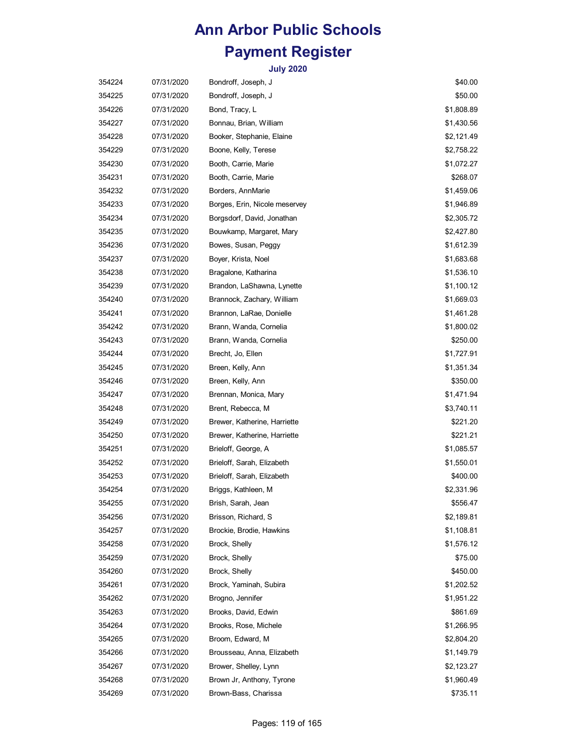| 354224 | 07/31/2020 | Bondroff, Joseph, J           | \$40.00    |
|--------|------------|-------------------------------|------------|
| 354225 | 07/31/2020 | Bondroff, Joseph, J           | \$50.00    |
| 354226 | 07/31/2020 | Bond, Tracy, L                | \$1,808.89 |
| 354227 | 07/31/2020 | Bonnau, Brian, William        | \$1,430.56 |
| 354228 | 07/31/2020 | Booker, Stephanie, Elaine     | \$2,121.49 |
| 354229 | 07/31/2020 | Boone, Kelly, Terese          | \$2,758.22 |
| 354230 | 07/31/2020 | Booth, Carrie, Marie          | \$1,072.27 |
| 354231 | 07/31/2020 | Booth, Carrie, Marie          | \$268.07   |
| 354232 | 07/31/2020 | Borders, AnnMarie             | \$1,459.06 |
| 354233 | 07/31/2020 | Borges, Erin, Nicole meservey | \$1,946.89 |
| 354234 | 07/31/2020 | Borgsdorf, David, Jonathan    | \$2,305.72 |
| 354235 | 07/31/2020 | Bouwkamp, Margaret, Mary      | \$2,427.80 |
| 354236 | 07/31/2020 | Bowes, Susan, Peggy           | \$1,612.39 |
| 354237 | 07/31/2020 | Boyer, Krista, Noel           | \$1,683.68 |
| 354238 | 07/31/2020 | Bragalone, Katharina          | \$1,536.10 |
| 354239 | 07/31/2020 | Brandon, LaShawna, Lynette    | \$1,100.12 |
| 354240 | 07/31/2020 | Brannock, Zachary, William    | \$1,669.03 |
| 354241 | 07/31/2020 | Brannon, LaRae, Donielle      | \$1,461.28 |
| 354242 | 07/31/2020 | Brann, Wanda, Cornelia        | \$1,800.02 |
| 354243 | 07/31/2020 | Brann, Wanda, Cornelia        | \$250.00   |
| 354244 | 07/31/2020 | Brecht, Jo, Ellen             | \$1,727.91 |
| 354245 | 07/31/2020 | Breen, Kelly, Ann             | \$1,351.34 |
| 354246 | 07/31/2020 | Breen, Kelly, Ann             | \$350.00   |
| 354247 | 07/31/2020 | Brennan, Monica, Mary         | \$1,471.94 |
| 354248 | 07/31/2020 | Brent, Rebecca, M             | \$3,740.11 |
| 354249 | 07/31/2020 | Brewer, Katherine, Harriette  | \$221.20   |
| 354250 | 07/31/2020 | Brewer, Katherine, Harriette  | \$221.21   |
| 354251 | 07/31/2020 | Brieloff, George, A           | \$1,085.57 |
| 354252 | 07/31/2020 | Brieloff, Sarah, Elizabeth    | \$1,550.01 |
| 354253 | 07/31/2020 | Brieloff, Sarah, Elizabeth    | \$400.00   |
| 354254 | 07/31/2020 | Briggs, Kathleen, M           | \$2,331.96 |
| 354255 | 07/31/2020 | Brish, Sarah, Jean            | \$556.47   |
| 354256 | 07/31/2020 | Brisson, Richard, S           | \$2,189.81 |
| 354257 | 07/31/2020 | Brockie, Brodie, Hawkins      | \$1,108.81 |
| 354258 | 07/31/2020 | Brock, Shelly                 | \$1,576.12 |
| 354259 | 07/31/2020 | Brock, Shelly                 | \$75.00    |
| 354260 | 07/31/2020 | Brock, Shelly                 | \$450.00   |
| 354261 | 07/31/2020 | Brock, Yaminah, Subira        | \$1,202.52 |
| 354262 | 07/31/2020 | Brogno, Jennifer              | \$1,951.22 |
| 354263 | 07/31/2020 | Brooks, David, Edwin          | \$861.69   |
| 354264 | 07/31/2020 | Brooks, Rose, Michele         | \$1,266.95 |
| 354265 | 07/31/2020 | Broom, Edward, M              | \$2,804.20 |
| 354266 | 07/31/2020 | Brousseau, Anna, Elizabeth    | \$1,149.79 |
| 354267 | 07/31/2020 | Brower, Shelley, Lynn         | \$2,123.27 |
| 354268 | 07/31/2020 | Brown Jr, Anthony, Tyrone     | \$1,960.49 |
| 354269 | 07/31/2020 | Brown-Bass, Charissa          | \$735.11   |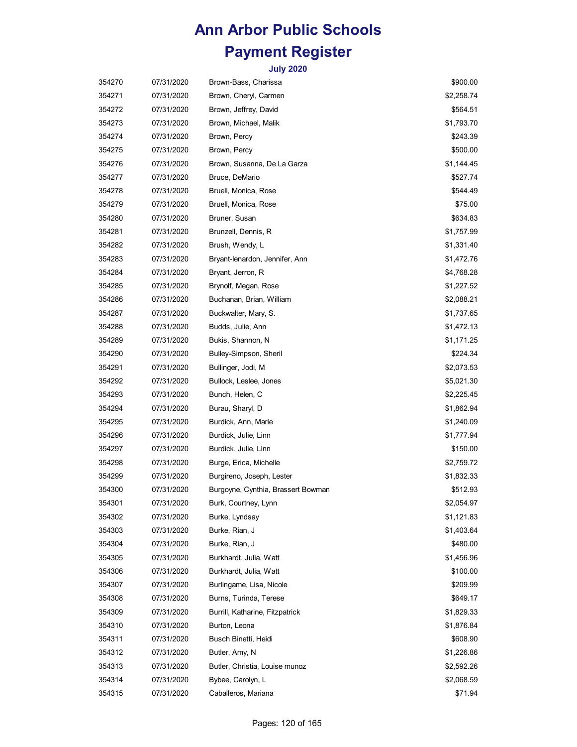| 354270 | 07/31/2020 | Brown-Bass, Charissa               | \$900.00   |
|--------|------------|------------------------------------|------------|
| 354271 | 07/31/2020 | Brown, Cheryl, Carmen              | \$2,258.74 |
| 354272 | 07/31/2020 | Brown, Jeffrey, David              | \$564.51   |
| 354273 | 07/31/2020 | Brown, Michael, Malik              | \$1,793.70 |
| 354274 | 07/31/2020 | Brown, Percy                       | \$243.39   |
| 354275 | 07/31/2020 | Brown, Percy                       | \$500.00   |
| 354276 | 07/31/2020 | Brown, Susanna, De La Garza        | \$1,144.45 |
| 354277 | 07/31/2020 | Bruce, DeMario                     | \$527.74   |
| 354278 | 07/31/2020 | Bruell, Monica, Rose               | \$544.49   |
| 354279 | 07/31/2020 | Bruell, Monica, Rose               | \$75.00    |
| 354280 | 07/31/2020 | Bruner, Susan                      | \$634.83   |
| 354281 | 07/31/2020 | Brunzell, Dennis, R                | \$1,757.99 |
| 354282 | 07/31/2020 | Brush, Wendy, L                    | \$1,331.40 |
| 354283 | 07/31/2020 | Bryant-lenardon, Jennifer, Ann     | \$1,472.76 |
| 354284 | 07/31/2020 | Bryant, Jerron, R                  | \$4,768.28 |
| 354285 | 07/31/2020 | Brynolf, Megan, Rose               | \$1,227.52 |
| 354286 | 07/31/2020 | Buchanan, Brian, William           | \$2,088.21 |
| 354287 | 07/31/2020 | Buckwalter, Mary, S.               | \$1,737.65 |
| 354288 | 07/31/2020 | Budds, Julie, Ann                  | \$1,472.13 |
| 354289 | 07/31/2020 | Bukis, Shannon, N                  | \$1,171.25 |
| 354290 | 07/31/2020 | Bulley-Simpson, Sheril             | \$224.34   |
| 354291 | 07/31/2020 | Bullinger, Jodi, M                 | \$2,073.53 |
| 354292 | 07/31/2020 | Bullock, Leslee, Jones             | \$5,021.30 |
| 354293 | 07/31/2020 | Bunch, Helen, C                    | \$2,225.45 |
| 354294 | 07/31/2020 | Burau, Sharyl, D                   | \$1,862.94 |
| 354295 | 07/31/2020 | Burdick, Ann, Marie                | \$1,240.09 |
| 354296 | 07/31/2020 | Burdick, Julie, Linn               | \$1,777.94 |
| 354297 | 07/31/2020 | Burdick, Julie, Linn               | \$150.00   |
| 354298 | 07/31/2020 | Burge, Erica, Michelle             | \$2,759.72 |
| 354299 | 07/31/2020 | Burgireno, Joseph, Lester          | \$1,832.33 |
| 354300 | 07/31/2020 | Burgoyne, Cynthia, Brassert Bowman | \$512.93   |
| 354301 | 07/31/2020 | Burk, Courtney, Lynn               | \$2,054.97 |
| 354302 | 07/31/2020 | Burke, Lyndsay                     | \$1,121.83 |
| 354303 | 07/31/2020 | Burke, Rian, J                     | \$1,403.64 |
| 354304 | 07/31/2020 | Burke, Rian, J                     | \$480.00   |
| 354305 | 07/31/2020 | Burkhardt, Julia, Watt             | \$1,456.96 |
| 354306 | 07/31/2020 | Burkhardt, Julia, Watt             | \$100.00   |
| 354307 | 07/31/2020 | Burlingame, Lisa, Nicole           | \$209.99   |
| 354308 | 07/31/2020 | Burns, Turinda, Terese             | \$649.17   |
| 354309 | 07/31/2020 | Burrill, Katharine, Fitzpatrick    | \$1,829.33 |
| 354310 | 07/31/2020 | Burton, Leona                      | \$1,876.84 |
| 354311 | 07/31/2020 | Busch Binetti, Heidi               | \$608.90   |
| 354312 | 07/31/2020 | Butler, Amy, N                     | \$1,226.86 |
| 354313 | 07/31/2020 | Butler, Christia, Louise munoz     | \$2,592.26 |
| 354314 | 07/31/2020 | Bybee, Carolyn, L                  | \$2,068.59 |
| 354315 | 07/31/2020 | Caballeros, Mariana                | \$71.94    |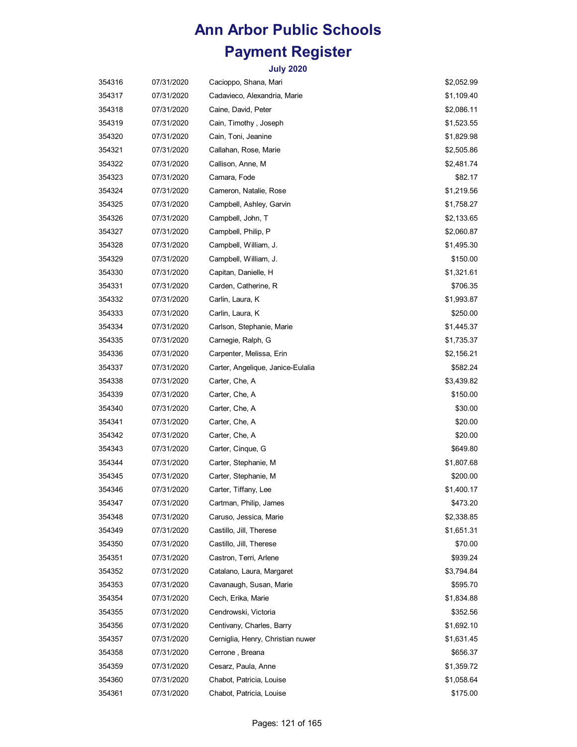| 354316 | 07/31/2020 | Cacioppo, Shana, Mari             | \$2,052.99 |
|--------|------------|-----------------------------------|------------|
| 354317 | 07/31/2020 | Cadavieco, Alexandria, Marie      | \$1,109.40 |
| 354318 | 07/31/2020 | Caine, David, Peter               | \$2,086.11 |
| 354319 | 07/31/2020 | Cain, Timothy, Joseph             | \$1,523.55 |
| 354320 | 07/31/2020 | Cain, Toni, Jeanine               | \$1,829.98 |
| 354321 | 07/31/2020 | Callahan, Rose, Marie             | \$2,505.86 |
| 354322 | 07/31/2020 | Callison, Anne, M                 | \$2,481.74 |
| 354323 | 07/31/2020 | Camara, Fode                      | \$82.17    |
| 354324 | 07/31/2020 | Cameron, Natalie, Rose            | \$1,219.56 |
| 354325 | 07/31/2020 | Campbell, Ashley, Garvin          | \$1,758.27 |
| 354326 | 07/31/2020 | Campbell, John, T                 | \$2,133.65 |
| 354327 | 07/31/2020 | Campbell, Philip, P               | \$2,060.87 |
| 354328 | 07/31/2020 | Campbell, William, J.             | \$1,495.30 |
| 354329 | 07/31/2020 | Campbell, William, J.             | \$150.00   |
| 354330 | 07/31/2020 | Capitan, Danielle, H              | \$1,321.61 |
| 354331 | 07/31/2020 | Carden, Catherine, R              | \$706.35   |
| 354332 | 07/31/2020 | Carlin, Laura, K                  | \$1,993.87 |
| 354333 | 07/31/2020 | Carlin, Laura, K                  | \$250.00   |
| 354334 | 07/31/2020 | Carlson, Stephanie, Marie         | \$1,445.37 |
| 354335 | 07/31/2020 | Carnegie, Ralph, G                | \$1,735.37 |
| 354336 | 07/31/2020 | Carpenter, Melissa, Erin          | \$2,156.21 |
| 354337 | 07/31/2020 | Carter, Angelique, Janice-Eulalia | \$582.24   |
| 354338 | 07/31/2020 | Carter, Che, A                    | \$3,439.82 |
| 354339 | 07/31/2020 | Carter, Che, A                    | \$150.00   |
| 354340 | 07/31/2020 | Carter, Che, A                    | \$30.00    |
| 354341 | 07/31/2020 | Carter, Che, A                    | \$20.00    |
| 354342 | 07/31/2020 | Carter, Che, A                    | \$20.00    |
| 354343 | 07/31/2020 | Carter, Cinque, G                 | \$649.80   |
| 354344 | 07/31/2020 | Carter, Stephanie, M              | \$1,807.68 |
| 354345 | 07/31/2020 | Carter, Stephanie, M              | \$200.00   |
| 354346 | 07/31/2020 | Carter, Tiffany, Lee              | \$1,400.17 |
| 354347 | 07/31/2020 | Cartman, Philip, James            | \$473.20   |
| 354348 | 07/31/2020 | Caruso, Jessica, Marie            | \$2,338.85 |
| 354349 | 07/31/2020 | Castillo, Jill, Therese           | \$1,651.31 |
| 354350 | 07/31/2020 | Castillo, Jill, Therese           | \$70.00    |
| 354351 | 07/31/2020 | Castron, Terri, Arlene            | \$939.24   |
| 354352 | 07/31/2020 | Catalano, Laura, Margaret         | \$3,794.84 |
| 354353 | 07/31/2020 | Cavanaugh, Susan, Marie           | \$595.70   |
| 354354 | 07/31/2020 | Cech, Erika, Marie                | \$1,834.88 |
| 354355 | 07/31/2020 | Cendrowski, Victoria              | \$352.56   |
| 354356 | 07/31/2020 | Centivany, Charles, Barry         | \$1,692.10 |
| 354357 | 07/31/2020 | Cerniglia, Henry, Christian nuwer | \$1,631.45 |
| 354358 | 07/31/2020 | Cerrone, Breana                   | \$656.37   |
| 354359 | 07/31/2020 | Cesarz, Paula, Anne               | \$1,359.72 |
| 354360 | 07/31/2020 | Chabot, Patricia, Louise          | \$1,058.64 |
| 354361 | 07/31/2020 | Chabot, Patricia, Louise          | \$175.00   |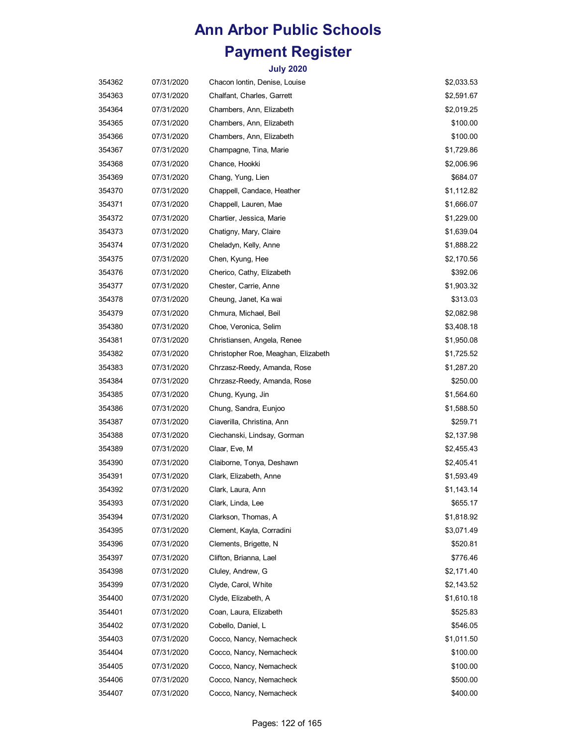| 354362 | 07/31/2020 | Chacon Iontin, Denise, Louise       | \$2,033.53 |
|--------|------------|-------------------------------------|------------|
| 354363 | 07/31/2020 | Chalfant, Charles, Garrett          | \$2,591.67 |
| 354364 | 07/31/2020 | Chambers, Ann, Elizabeth            | \$2,019.25 |
| 354365 | 07/31/2020 | Chambers, Ann, Elizabeth            | \$100.00   |
| 354366 | 07/31/2020 | Chambers, Ann, Elizabeth            | \$100.00   |
| 354367 | 07/31/2020 | Champagne, Tina, Marie              | \$1,729.86 |
| 354368 | 07/31/2020 | Chance, Hookki                      | \$2,006.96 |
| 354369 | 07/31/2020 | Chang, Yung, Lien                   | \$684.07   |
| 354370 | 07/31/2020 | Chappell, Candace, Heather          | \$1,112.82 |
| 354371 | 07/31/2020 | Chappell, Lauren, Mae               | \$1,666.07 |
| 354372 | 07/31/2020 | Chartier, Jessica, Marie            | \$1,229.00 |
| 354373 | 07/31/2020 | Chatigny, Mary, Claire              | \$1,639.04 |
| 354374 | 07/31/2020 | Cheladyn, Kelly, Anne               | \$1,888.22 |
| 354375 | 07/31/2020 | Chen, Kyung, Hee                    | \$2,170.56 |
| 354376 | 07/31/2020 | Cherico, Cathy, Elizabeth           | \$392.06   |
| 354377 | 07/31/2020 | Chester, Carrie, Anne               | \$1,903.32 |
| 354378 | 07/31/2020 | Cheung, Janet, Ka wai               | \$313.03   |
| 354379 | 07/31/2020 | Chmura, Michael, Beil               | \$2,082.98 |
| 354380 | 07/31/2020 | Choe, Veronica, Selim               | \$3,408.18 |
| 354381 | 07/31/2020 | Christiansen, Angela, Renee         | \$1,950.08 |
| 354382 | 07/31/2020 | Christopher Roe, Meaghan, Elizabeth | \$1,725.52 |
| 354383 | 07/31/2020 | Chrzasz-Reedy, Amanda, Rose         | \$1,287.20 |
| 354384 | 07/31/2020 | Chrzasz-Reedy, Amanda, Rose         | \$250.00   |
| 354385 | 07/31/2020 | Chung, Kyung, Jin                   | \$1,564.60 |
| 354386 | 07/31/2020 | Chung, Sandra, Eunjoo               | \$1,588.50 |
| 354387 | 07/31/2020 | Ciaverilla, Christina, Ann          | \$259.71   |
| 354388 | 07/31/2020 | Ciechanski, Lindsay, Gorman         | \$2,137.98 |
| 354389 | 07/31/2020 | Claar, Eve, M                       | \$2,455.43 |
| 354390 | 07/31/2020 | Claiborne, Tonya, Deshawn           | \$2,405.41 |
| 354391 | 07/31/2020 | Clark, Elizabeth, Anne              | \$1,593.49 |
| 354392 | 07/31/2020 | Clark, Laura, Ann                   | \$1,143.14 |
| 354393 | 07/31/2020 | Clark, Linda, Lee                   | \$655.17   |
| 354394 | 07/31/2020 | Clarkson, Thomas, A                 | \$1,818.92 |
| 354395 | 07/31/2020 | Clement, Kayla, Corradini           | \$3,071.49 |
| 354396 | 07/31/2020 | Clements, Brigette, N               | \$520.81   |
| 354397 | 07/31/2020 | Clifton, Brianna, Lael              | \$776.46   |
| 354398 | 07/31/2020 | Cluley, Andrew, G                   | \$2,171.40 |
| 354399 | 07/31/2020 | Clyde, Carol, White                 | \$2,143.52 |
| 354400 | 07/31/2020 | Clyde, Elizabeth, A                 | \$1,610.18 |
| 354401 | 07/31/2020 | Coan, Laura, Elizabeth              | \$525.83   |
| 354402 | 07/31/2020 | Cobello, Daniel, L                  | \$546.05   |
| 354403 | 07/31/2020 | Cocco, Nancy, Nemacheck             | \$1,011.50 |
| 354404 | 07/31/2020 | Cocco, Nancy, Nemacheck             | \$100.00   |
| 354405 | 07/31/2020 | Cocco, Nancy, Nemacheck             | \$100.00   |
| 354406 | 07/31/2020 | Cocco, Nancy, Nemacheck             | \$500.00   |
| 354407 | 07/31/2020 | Cocco, Nancy, Nemacheck             | \$400.00   |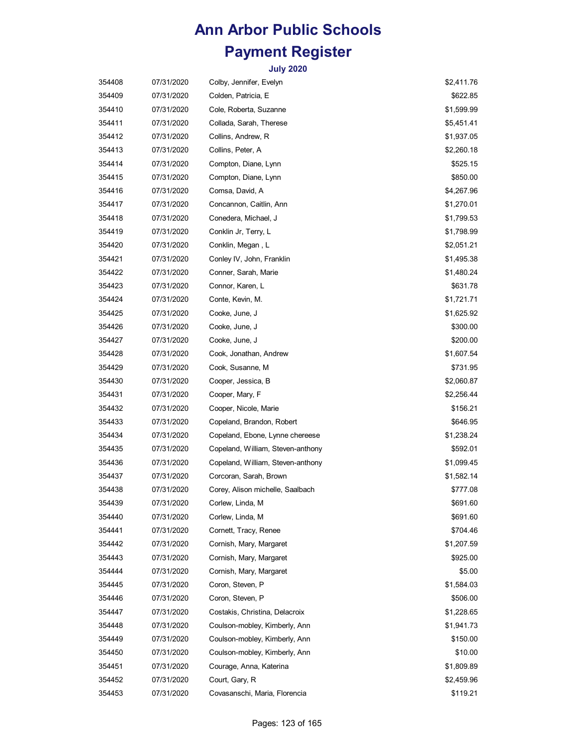| 354408 | 07/31/2020 | Colby, Jennifer, Evelyn           | \$2,411.76 |
|--------|------------|-----------------------------------|------------|
| 354409 | 07/31/2020 | Colden, Patricia, E               | \$622.85   |
| 354410 | 07/31/2020 | Cole, Roberta, Suzanne            | \$1,599.99 |
| 354411 | 07/31/2020 | Collada, Sarah, Therese           | \$5,451.41 |
| 354412 | 07/31/2020 | Collins, Andrew, R                | \$1,937.05 |
| 354413 | 07/31/2020 | Collins, Peter, A                 | \$2,260.18 |
| 354414 | 07/31/2020 | Compton, Diane, Lynn              | \$525.15   |
| 354415 | 07/31/2020 | Compton, Diane, Lynn              | \$850.00   |
| 354416 | 07/31/2020 | Comsa, David, A                   | \$4,267.96 |
| 354417 | 07/31/2020 | Concannon, Caitlin, Ann           | \$1,270.01 |
| 354418 | 07/31/2020 | Conedera, Michael, J              | \$1,799.53 |
| 354419 | 07/31/2020 | Conklin Jr, Terry, L              | \$1,798.99 |
| 354420 | 07/31/2020 | Conklin, Megan, L                 | \$2,051.21 |
| 354421 | 07/31/2020 | Conley IV, John, Franklin         | \$1,495.38 |
| 354422 | 07/31/2020 | Conner, Sarah, Marie              | \$1,480.24 |
| 354423 | 07/31/2020 | Connor, Karen, L                  | \$631.78   |
| 354424 | 07/31/2020 | Conte, Kevin, M.                  | \$1,721.71 |
| 354425 | 07/31/2020 | Cooke, June, J                    | \$1,625.92 |
| 354426 | 07/31/2020 | Cooke, June, J                    | \$300.00   |
| 354427 | 07/31/2020 | Cooke, June, J                    | \$200.00   |
| 354428 | 07/31/2020 | Cook, Jonathan, Andrew            | \$1,607.54 |
| 354429 | 07/31/2020 | Cook, Susanne, M                  | \$731.95   |
| 354430 | 07/31/2020 | Cooper, Jessica, B                | \$2,060.87 |
| 354431 | 07/31/2020 | Cooper, Mary, F                   | \$2,256.44 |
| 354432 | 07/31/2020 | Cooper, Nicole, Marie             | \$156.21   |
| 354433 | 07/31/2020 | Copeland, Brandon, Robert         | \$646.95   |
| 354434 | 07/31/2020 | Copeland, Ebone, Lynne chereese   | \$1,238.24 |
| 354435 | 07/31/2020 | Copeland, William, Steven-anthony | \$592.01   |
| 354436 | 07/31/2020 | Copeland, William, Steven-anthony | \$1,099.45 |
| 354437 | 07/31/2020 | Corcoran, Sarah, Brown            | \$1,582.14 |
| 354438 | 07/31/2020 | Corey, Alison michelle, Saalbach  | \$777.08   |
| 354439 | 07/31/2020 | Corlew, Linda, M                  | \$691.60   |
| 354440 | 07/31/2020 | Corlew, Linda, M                  | \$691.60   |
| 354441 | 07/31/2020 | Cornett, Tracy, Renee             | \$704.46   |
| 354442 | 07/31/2020 | Cornish, Mary, Margaret           | \$1,207.59 |
| 354443 | 07/31/2020 | Cornish, Mary, Margaret           | \$925.00   |
| 354444 | 07/31/2020 | Cornish, Mary, Margaret           | \$5.00     |
| 354445 | 07/31/2020 | Coron, Steven, P                  | \$1,584.03 |
| 354446 | 07/31/2020 | Coron, Steven, P                  | \$506.00   |
| 354447 | 07/31/2020 | Costakis, Christina, Delacroix    | \$1,228.65 |
| 354448 | 07/31/2020 | Coulson-mobley, Kimberly, Ann     | \$1,941.73 |
| 354449 | 07/31/2020 | Coulson-mobley, Kimberly, Ann     | \$150.00   |
| 354450 | 07/31/2020 | Coulson-mobley, Kimberly, Ann     | \$10.00    |
| 354451 | 07/31/2020 | Courage, Anna, Katerina           | \$1,809.89 |
| 354452 | 07/31/2020 | Court, Gary, R                    | \$2,459.96 |
| 354453 | 07/31/2020 | Covasanschi, Maria, Florencia     | \$119.21   |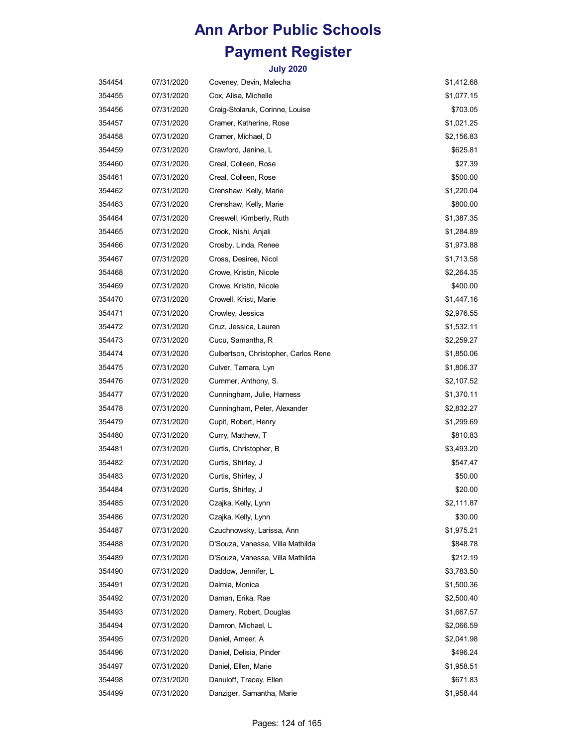| 354454 | 07/31/2020 | Coveney, Devin, Malecha              | \$1,412.68 |
|--------|------------|--------------------------------------|------------|
| 354455 | 07/31/2020 | Cox, Alisa, Michelle                 | \$1,077.15 |
| 354456 | 07/31/2020 | Craig-Stolaruk, Corinne, Louise      | \$703.05   |
| 354457 | 07/31/2020 | Cramer, Katherine, Rose              | \$1,021.25 |
| 354458 | 07/31/2020 | Cramer, Michael, D                   | \$2,156.83 |
| 354459 | 07/31/2020 | Crawford, Janine, L                  | \$625.81   |
| 354460 | 07/31/2020 | Creal, Colleen, Rose                 | \$27.39    |
| 354461 | 07/31/2020 | Creal, Colleen, Rose                 | \$500.00   |
| 354462 | 07/31/2020 | Crenshaw, Kelly, Marie               | \$1,220.04 |
| 354463 | 07/31/2020 | Crenshaw, Kelly, Marie               | \$800.00   |
| 354464 | 07/31/2020 | Creswell, Kimberly, Ruth             | \$1,387.35 |
| 354465 | 07/31/2020 | Crook, Nishi, Anjali                 | \$1,284.89 |
| 354466 | 07/31/2020 | Crosby, Linda, Renee                 | \$1,973.88 |
| 354467 | 07/31/2020 | Cross, Desiree, Nicol                | \$1,713.58 |
| 354468 | 07/31/2020 | Crowe, Kristin, Nicole               | \$2,264.35 |
| 354469 | 07/31/2020 | Crowe, Kristin, Nicole               | \$400.00   |
| 354470 | 07/31/2020 | Crowell, Kristi, Marie               | \$1,447.16 |
| 354471 | 07/31/2020 | Crowley, Jessica                     | \$2,976.55 |
| 354472 | 07/31/2020 | Cruz, Jessica, Lauren                | \$1,532.11 |
| 354473 | 07/31/2020 | Cucu, Samantha, R                    | \$2,259.27 |
| 354474 | 07/31/2020 | Culbertson, Christopher, Carlos Rene | \$1,850.06 |
| 354475 | 07/31/2020 | Culver, Tamara, Lyn                  | \$1,806.37 |
| 354476 | 07/31/2020 | Cummer, Anthony, S.                  | \$2,107.52 |
| 354477 | 07/31/2020 | Cunningham, Julie, Harness           | \$1,370.11 |
| 354478 | 07/31/2020 | Cunningham, Peter, Alexander         | \$2,832.27 |
| 354479 | 07/31/2020 | Cupit, Robert, Henry                 | \$1,299.69 |
| 354480 | 07/31/2020 | Curry, Matthew, T                    | \$810.83   |
| 354481 | 07/31/2020 | Curtis, Christopher, B               | \$3,493.20 |
| 354482 | 07/31/2020 | Curtis, Shirley, J                   | \$547.47   |
| 354483 | 07/31/2020 | Curtis, Shirley, J                   | \$50.00    |
| 354484 | 07/31/2020 | Curtis, Shirley, J                   | \$20.00    |
| 354485 | 07/31/2020 | Czajka, Kelly, Lynn                  | \$2,111.87 |
| 354486 | 07/31/2020 | Czajka, Kelly, Lynn                  | \$30.00    |
| 354487 | 07/31/2020 | Czuchnowsky, Larissa, Ann            | \$1,975.21 |
| 354488 | 07/31/2020 | D'Souza, Vanessa, Villa Mathilda     | \$848.78   |
| 354489 | 07/31/2020 | D'Souza, Vanessa, Villa Mathilda     | \$212.19   |
| 354490 | 07/31/2020 | Daddow, Jennifer, L                  | \$3,783.50 |
| 354491 | 07/31/2020 | Dalmia, Monica                       | \$1,500.36 |
| 354492 | 07/31/2020 | Daman, Erika, Rae                    | \$2,500.40 |
| 354493 | 07/31/2020 | Damery, Robert, Douglas              | \$1,667.57 |
| 354494 | 07/31/2020 | Damron, Michael, L                   | \$2,066.59 |
| 354495 | 07/31/2020 | Daniel, Ameer, A                     | \$2,041.98 |
| 354496 | 07/31/2020 | Daniel, Delisia, Pinder              | \$496.24   |
| 354497 | 07/31/2020 | Daniel, Ellen, Marie                 | \$1,958.51 |
| 354498 | 07/31/2020 | Danuloff, Tracey, Ellen              | \$671.83   |
| 354499 | 07/31/2020 | Danziger, Samantha, Marie            | \$1,958.44 |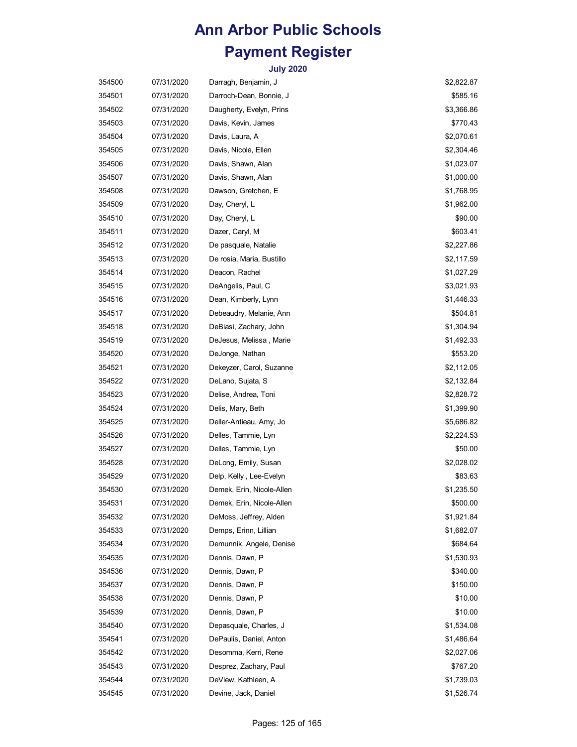| 354500 | 07/31/2020 | Darragh, Benjamin, J      | \$2,822.87 |
|--------|------------|---------------------------|------------|
| 354501 | 07/31/2020 | Darroch-Dean, Bonnie, J   | \$585.16   |
| 354502 | 07/31/2020 | Daugherty, Evelyn, Prins  | \$3,366.86 |
| 354503 | 07/31/2020 | Davis, Kevin, James       | \$770.43   |
| 354504 | 07/31/2020 | Davis, Laura, A           | \$2,070.61 |
| 354505 | 07/31/2020 | Davis, Nicole, Ellen      | \$2,304.46 |
| 354506 | 07/31/2020 | Davis, Shawn, Alan        | \$1,023.07 |
| 354507 | 07/31/2020 | Davis, Shawn, Alan        | \$1,000.00 |
| 354508 | 07/31/2020 | Dawson, Gretchen, E       | \$1,768.95 |
| 354509 | 07/31/2020 | Day, Cheryl, L            | \$1,962.00 |
| 354510 | 07/31/2020 | Day, Cheryl, L            | \$90.00    |
| 354511 | 07/31/2020 | Dazer, Caryl, M           | \$603.41   |
| 354512 | 07/31/2020 | De pasquale, Natalie      | \$2,227.86 |
| 354513 | 07/31/2020 | De rosia, Maria, Bustillo | \$2,117.59 |
| 354514 | 07/31/2020 | Deacon, Rachel            | \$1,027.29 |
| 354515 | 07/31/2020 | DeAngelis, Paul, C        | \$3,021.93 |
| 354516 | 07/31/2020 | Dean, Kimberly, Lynn      | \$1,446.33 |
| 354517 | 07/31/2020 | Debeaudry, Melanie, Ann   | \$504.81   |
| 354518 | 07/31/2020 | DeBiasi, Zachary, John    | \$1,304.94 |
| 354519 | 07/31/2020 | DeJesus, Melissa, Marie   | \$1,492.33 |
| 354520 | 07/31/2020 | DeJonge, Nathan           | \$553.20   |
| 354521 | 07/31/2020 | Dekeyzer, Carol, Suzanne  | \$2,112.05 |
| 354522 | 07/31/2020 | DeLano, Sujata, S         | \$2,132.84 |
| 354523 | 07/31/2020 | Delise, Andrea, Toni      | \$2,828.72 |
| 354524 | 07/31/2020 | Delis, Mary, Beth         | \$1,399.90 |
| 354525 | 07/31/2020 | Deller-Antieau, Amy, Jo   | \$5,686.82 |
| 354526 | 07/31/2020 | Delles, Tammie, Lyn       | \$2,224.53 |
| 354527 | 07/31/2020 | Delles, Tammie, Lyn       | \$50.00    |
| 354528 | 07/31/2020 | DeLong, Emily, Susan      | \$2,028.02 |
| 354529 | 07/31/2020 | Delp, Kelly, Lee-Evelyn   | \$83.63    |
| 354530 | 07/31/2020 | Demek, Erin, Nicole-Allen | \$1,235.50 |
| 354531 | 07/31/2020 | Demek, Erin, Nicole-Allen | \$500.00   |
| 354532 | 07/31/2020 | DeMoss, Jeffrey, Alden    | \$1,921.84 |
| 354533 | 07/31/2020 | Demps, Erinn, Lillian     | \$1,682.07 |
| 354534 | 07/31/2020 | Demunnik, Angele, Denise  | \$684.64   |
| 354535 | 07/31/2020 | Dennis, Dawn, P           | \$1,530.93 |
| 354536 | 07/31/2020 | Dennis, Dawn, P           | \$340.00   |
| 354537 | 07/31/2020 | Dennis, Dawn, P           | \$150.00   |
| 354538 | 07/31/2020 | Dennis, Dawn, P           | \$10.00    |
| 354539 | 07/31/2020 | Dennis, Dawn, P           | \$10.00    |
| 354540 | 07/31/2020 | Depasquale, Charles, J    | \$1,534.08 |
| 354541 | 07/31/2020 | DePaulis, Daniel, Anton   | \$1,486.64 |
| 354542 | 07/31/2020 | Desomma, Kerri, Rene      | \$2,027.06 |
| 354543 | 07/31/2020 | Desprez, Zachary, Paul    | \$767.20   |
| 354544 | 07/31/2020 | DeView, Kathleen, A       | \$1,739.03 |
| 354545 | 07/31/2020 | Devine, Jack, Daniel      | \$1,526.74 |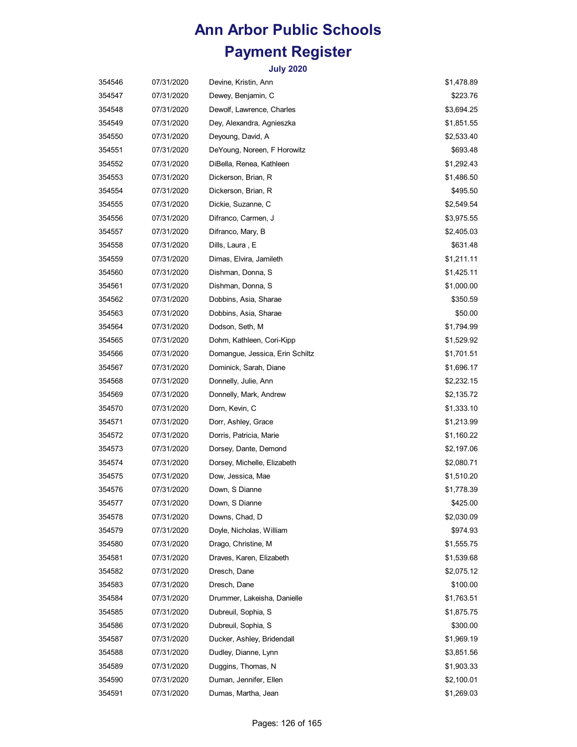| 354546 | 07/31/2020 | Devine, Kristin, Ann            | \$1,478.89 |
|--------|------------|---------------------------------|------------|
| 354547 | 07/31/2020 | Dewey, Benjamin, C              | \$223.76   |
| 354548 | 07/31/2020 | Dewolf, Lawrence, Charles       | \$3,694.25 |
| 354549 | 07/31/2020 | Dey, Alexandra, Agnieszka       | \$1,851.55 |
| 354550 | 07/31/2020 | Deyoung, David, A               | \$2,533.40 |
| 354551 | 07/31/2020 | DeYoung, Noreen, F Horowitz     | \$693.48   |
| 354552 | 07/31/2020 | DiBella, Renea, Kathleen        | \$1,292.43 |
| 354553 | 07/31/2020 | Dickerson, Brian, R             | \$1,486.50 |
| 354554 | 07/31/2020 | Dickerson, Brian, R             | \$495.50   |
| 354555 | 07/31/2020 | Dickie, Suzanne, C              | \$2,549.54 |
| 354556 | 07/31/2020 | Difranco, Carmen, J             | \$3,975.55 |
| 354557 | 07/31/2020 | Difranco, Mary, B               | \$2,405.03 |
| 354558 | 07/31/2020 | Dills, Laura , E                | \$631.48   |
| 354559 | 07/31/2020 | Dimas, Elvira, Jamileth         | \$1,211.11 |
| 354560 | 07/31/2020 | Dishman, Donna, S               | \$1,425.11 |
| 354561 | 07/31/2020 | Dishman, Donna, S               | \$1,000.00 |
| 354562 | 07/31/2020 | Dobbins, Asia, Sharae           | \$350.59   |
| 354563 | 07/31/2020 | Dobbins, Asia, Sharae           | \$50.00    |
| 354564 | 07/31/2020 | Dodson, Seth, M                 | \$1,794.99 |
| 354565 | 07/31/2020 | Dohm, Kathleen, Cori-Kipp       | \$1,529.92 |
| 354566 | 07/31/2020 | Domangue, Jessica, Erin Schiltz | \$1,701.51 |
| 354567 | 07/31/2020 | Dominick, Sarah, Diane          | \$1,696.17 |
| 354568 | 07/31/2020 | Donnelly, Julie, Ann            | \$2,232.15 |
| 354569 | 07/31/2020 | Donnelly, Mark, Andrew          | \$2,135.72 |
| 354570 | 07/31/2020 | Dorn, Kevin, C                  | \$1,333.10 |
| 354571 | 07/31/2020 | Dorr, Ashley, Grace             | \$1,213.99 |
| 354572 | 07/31/2020 | Dorris, Patricia, Marie         | \$1,160.22 |
| 354573 | 07/31/2020 | Dorsey, Dante, Demond           | \$2,197.06 |
| 354574 | 07/31/2020 | Dorsey, Michelle, Elizabeth     | \$2,080.71 |
| 354575 | 07/31/2020 | Dow, Jessica, Mae               | \$1,510.20 |
| 354576 | 07/31/2020 | Down, S Dianne                  | \$1,778.39 |
| 354577 | 07/31/2020 | Down, S Dianne                  | \$425.00   |
| 354578 | 07/31/2020 | Downs, Chad, D                  | \$2,030.09 |
| 354579 | 07/31/2020 | Doyle, Nicholas, William        | \$974.93   |
| 354580 | 07/31/2020 | Drago, Christine, M             | \$1,555.75 |
| 354581 | 07/31/2020 | Draves, Karen, Elizabeth        | \$1,539.68 |
| 354582 | 07/31/2020 | Dresch, Dane                    | \$2,075.12 |
| 354583 | 07/31/2020 | Dresch, Dane                    | \$100.00   |
| 354584 | 07/31/2020 | Drummer, Lakeisha, Danielle     | \$1,763.51 |
| 354585 | 07/31/2020 | Dubreuil, Sophia, S             | \$1,875.75 |
| 354586 | 07/31/2020 | Dubreuil, Sophia, S             | \$300.00   |
| 354587 | 07/31/2020 | Ducker, Ashley, Bridendall      | \$1,969.19 |
| 354588 | 07/31/2020 | Dudley, Dianne, Lynn            | \$3,851.56 |
| 354589 | 07/31/2020 | Duggins, Thomas, N              | \$1,903.33 |
| 354590 | 07/31/2020 | Duman, Jennifer, Ellen          | \$2,100.01 |
| 354591 | 07/31/2020 | Dumas, Martha, Jean             | \$1,269.03 |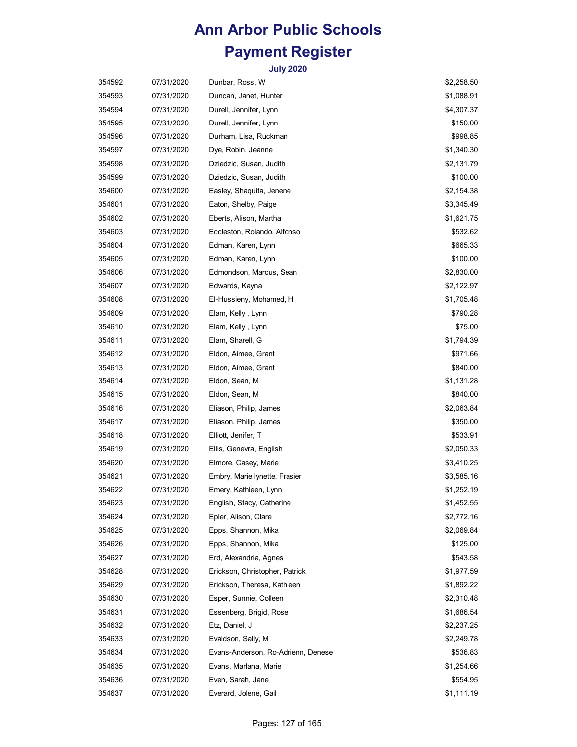| 354592 | 07/31/2020 | Dunbar, Ross, W                    | \$2,258.50 |
|--------|------------|------------------------------------|------------|
| 354593 | 07/31/2020 | Duncan, Janet, Hunter              | \$1,088.91 |
| 354594 | 07/31/2020 | Durell, Jennifer, Lynn             | \$4,307.37 |
| 354595 | 07/31/2020 | Durell, Jennifer, Lynn             | \$150.00   |
| 354596 | 07/31/2020 | Durham, Lisa, Ruckman              | \$998.85   |
| 354597 | 07/31/2020 | Dye, Robin, Jeanne                 | \$1,340.30 |
| 354598 | 07/31/2020 | Dziedzic, Susan, Judith            | \$2,131.79 |
| 354599 | 07/31/2020 | Dziedzic, Susan, Judith            | \$100.00   |
| 354600 | 07/31/2020 | Easley, Shaquita, Jenene           | \$2,154.38 |
| 354601 | 07/31/2020 | Eaton, Shelby, Paige               | \$3,345.49 |
| 354602 | 07/31/2020 | Eberts, Alison, Martha             | \$1,621.75 |
| 354603 | 07/31/2020 | Eccleston, Rolando, Alfonso        | \$532.62   |
| 354604 | 07/31/2020 | Edman, Karen, Lynn                 | \$665.33   |
| 354605 | 07/31/2020 | Edman, Karen, Lynn                 | \$100.00   |
| 354606 | 07/31/2020 | Edmondson, Marcus, Sean            | \$2,830.00 |
| 354607 | 07/31/2020 | Edwards, Kayna                     | \$2,122.97 |
| 354608 | 07/31/2020 | El-Hussieny, Mohamed, H            | \$1,705.48 |
| 354609 | 07/31/2020 | Elam, Kelly , Lynn                 | \$790.28   |
| 354610 | 07/31/2020 | Elam, Kelly, Lynn                  | \$75.00    |
| 354611 | 07/31/2020 | Elam, Sharell, G                   | \$1,794.39 |
| 354612 | 07/31/2020 | Eldon, Aimee, Grant                | \$971.66   |
| 354613 | 07/31/2020 | Eldon, Aimee, Grant                | \$840.00   |
| 354614 | 07/31/2020 | Eldon, Sean, M                     | \$1,131.28 |
| 354615 | 07/31/2020 | Eldon, Sean, M                     | \$840.00   |
| 354616 | 07/31/2020 | Eliason, Philip, James             | \$2,063.84 |
| 354617 | 07/31/2020 | Eliason, Philip, James             | \$350.00   |
| 354618 | 07/31/2020 | Elliott, Jenifer, T                | \$533.91   |
| 354619 | 07/31/2020 | Ellis, Genevra, English            | \$2,050.33 |
| 354620 | 07/31/2020 | Elmore, Casey, Marie               | \$3,410.25 |
| 354621 | 07/31/2020 | Embry, Marie lynette, Frasier      | \$3,585.16 |
| 354622 | 07/31/2020 | Emery, Kathleen, Lynn              | \$1,252.19 |
| 354623 | 07/31/2020 | English, Stacy, Catherine          | \$1,452.55 |
| 354624 | 07/31/2020 | Epler, Alison, Clare               | \$2,772.16 |
| 354625 | 07/31/2020 | Epps, Shannon, Mika                | \$2,069.84 |
| 354626 | 07/31/2020 | Epps, Shannon, Mika                | \$125.00   |
| 354627 | 07/31/2020 | Erd, Alexandria, Agnes             | \$543.58   |
| 354628 | 07/31/2020 | Erickson, Christopher, Patrick     | \$1,977.59 |
| 354629 | 07/31/2020 | Erickson, Theresa, Kathleen        | \$1,892.22 |
| 354630 | 07/31/2020 | Esper, Sunnie, Colleen             | \$2,310.48 |
| 354631 | 07/31/2020 | Essenberg, Brigid, Rose            | \$1,686.54 |
| 354632 | 07/31/2020 | Etz, Daniel, J                     | \$2,237.25 |
| 354633 | 07/31/2020 | Evaldson, Sally, M                 | \$2,249.78 |
| 354634 | 07/31/2020 | Evans-Anderson, Ro-Adrienn, Denese | \$536.83   |
| 354635 | 07/31/2020 | Evans, Marlana, Marie              | \$1,254.66 |
| 354636 | 07/31/2020 | Even, Sarah, Jane                  | \$554.95   |
| 354637 | 07/31/2020 | Everard, Jolene, Gail              | \$1,111.19 |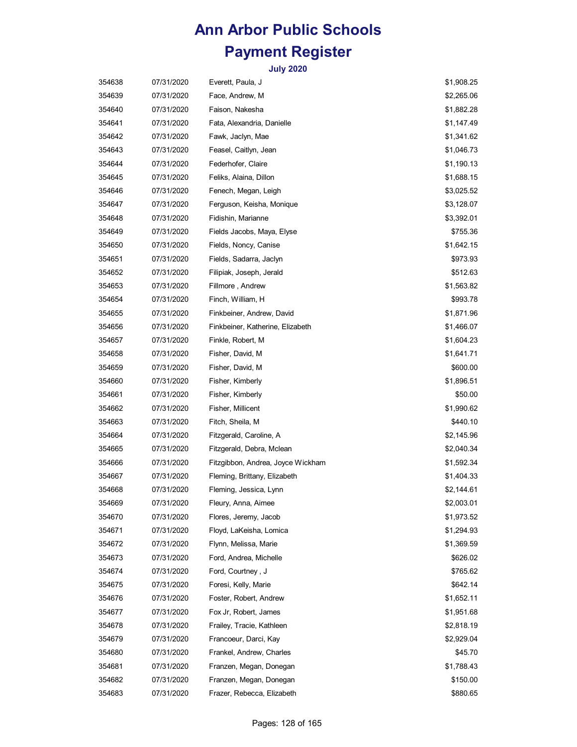| 354638 | 07/31/2020 | Everett, Paula, J                 | \$1,908.25 |
|--------|------------|-----------------------------------|------------|
| 354639 | 07/31/2020 | Face, Andrew, M                   | \$2,265.06 |
| 354640 | 07/31/2020 | Faison, Nakesha                   | \$1,882.28 |
| 354641 | 07/31/2020 | Fata, Alexandria, Danielle        | \$1,147.49 |
| 354642 | 07/31/2020 | Fawk, Jaclyn, Mae                 | \$1,341.62 |
| 354643 | 07/31/2020 | Feasel, Caitlyn, Jean             | \$1,046.73 |
| 354644 | 07/31/2020 | Federhofer, Claire                | \$1,190.13 |
| 354645 | 07/31/2020 | Feliks, Alaina, Dillon            | \$1,688.15 |
| 354646 | 07/31/2020 | Fenech, Megan, Leigh              | \$3,025.52 |
| 354647 | 07/31/2020 | Ferguson, Keisha, Monique         | \$3,128.07 |
| 354648 | 07/31/2020 | Fidishin, Marianne                | \$3,392.01 |
| 354649 | 07/31/2020 | Fields Jacobs, Maya, Elyse        | \$755.36   |
| 354650 | 07/31/2020 | Fields, Noncy, Canise             | \$1,642.15 |
| 354651 | 07/31/2020 | Fields, Sadarra, Jaclyn           | \$973.93   |
| 354652 | 07/31/2020 | Filipiak, Joseph, Jerald          | \$512.63   |
| 354653 | 07/31/2020 | Fillmore, Andrew                  | \$1,563.82 |
| 354654 | 07/31/2020 | Finch, William, H                 | \$993.78   |
| 354655 | 07/31/2020 | Finkbeiner, Andrew, David         | \$1,871.96 |
| 354656 | 07/31/2020 | Finkbeiner, Katherine, Elizabeth  | \$1,466.07 |
| 354657 | 07/31/2020 | Finkle, Robert, M                 | \$1,604.23 |
| 354658 | 07/31/2020 | Fisher, David, M                  | \$1,641.71 |
| 354659 | 07/31/2020 | Fisher, David, M                  | \$600.00   |
| 354660 | 07/31/2020 | Fisher, Kimberly                  | \$1,896.51 |
| 354661 | 07/31/2020 | Fisher, Kimberly                  | \$50.00    |
| 354662 | 07/31/2020 | Fisher, Millicent                 | \$1,990.62 |
| 354663 | 07/31/2020 | Fitch, Sheila, M                  | \$440.10   |
| 354664 | 07/31/2020 | Fitzgerald, Caroline, A           | \$2,145.96 |
| 354665 | 07/31/2020 | Fitzgerald, Debra, Mclean         | \$2,040.34 |
| 354666 | 07/31/2020 | Fitzgibbon, Andrea, Joyce Wickham | \$1,592.34 |
| 354667 | 07/31/2020 | Fleming, Brittany, Elizabeth      | \$1,404.33 |
| 354668 | 07/31/2020 | Fleming, Jessica, Lynn            | \$2,144.61 |
| 354669 | 07/31/2020 | Fleury, Anna, Aimee               | \$2,003.01 |
| 354670 | 07/31/2020 | Flores, Jeremy, Jacob             | \$1,973.52 |
| 354671 | 07/31/2020 | Floyd, LaKeisha, Lomica           | \$1,294.93 |
| 354672 | 07/31/2020 | Flynn, Melissa, Marie             | \$1,369.59 |
| 354673 | 07/31/2020 | Ford, Andrea, Michelle            | \$626.02   |
| 354674 | 07/31/2020 | Ford, Courtney, J                 | \$765.62   |
| 354675 | 07/31/2020 | Foresi, Kelly, Marie              | \$642.14   |
| 354676 | 07/31/2020 | Foster, Robert, Andrew            | \$1,652.11 |
| 354677 | 07/31/2020 | Fox Jr, Robert, James             | \$1,951.68 |
| 354678 | 07/31/2020 | Frailey, Tracie, Kathleen         | \$2,818.19 |
| 354679 | 07/31/2020 | Francoeur, Darci, Kay             | \$2,929.04 |
| 354680 | 07/31/2020 | Frankel, Andrew, Charles          | \$45.70    |
| 354681 | 07/31/2020 | Franzen, Megan, Donegan           | \$1,788.43 |
| 354682 | 07/31/2020 | Franzen, Megan, Donegan           | \$150.00   |
| 354683 | 07/31/2020 | Frazer, Rebecca, Elizabeth        | \$880.65   |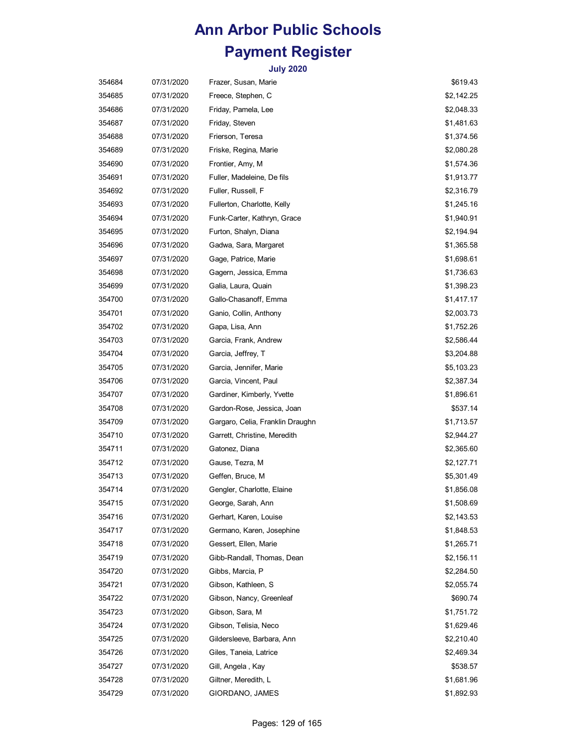| 354684 | 07/31/2020 | Frazer, Susan, Marie             | \$619.43   |
|--------|------------|----------------------------------|------------|
| 354685 | 07/31/2020 | Freece, Stephen, C               | \$2,142.25 |
| 354686 | 07/31/2020 | Friday, Pamela, Lee              | \$2,048.33 |
| 354687 | 07/31/2020 | Friday, Steven                   | \$1,481.63 |
| 354688 | 07/31/2020 | Frierson, Teresa                 | \$1,374.56 |
| 354689 | 07/31/2020 | Friske, Regina, Marie            | \$2,080.28 |
| 354690 | 07/31/2020 | Frontier, Amy, M                 | \$1,574.36 |
| 354691 | 07/31/2020 | Fuller, Madeleine, De fils       | \$1,913.77 |
| 354692 | 07/31/2020 | Fuller, Russell, F               | \$2,316.79 |
| 354693 | 07/31/2020 | Fullerton, Charlotte, Kelly      | \$1,245.16 |
| 354694 | 07/31/2020 | Funk-Carter, Kathryn, Grace      | \$1,940.91 |
| 354695 | 07/31/2020 | Furton, Shalyn, Diana            | \$2,194.94 |
| 354696 | 07/31/2020 | Gadwa, Sara, Margaret            | \$1,365.58 |
| 354697 | 07/31/2020 | Gage, Patrice, Marie             | \$1,698.61 |
| 354698 | 07/31/2020 | Gagern, Jessica, Emma            | \$1,736.63 |
| 354699 | 07/31/2020 | Galia, Laura, Quain              | \$1,398.23 |
| 354700 | 07/31/2020 | Gallo-Chasanoff, Emma            | \$1,417.17 |
| 354701 | 07/31/2020 | Ganio, Collin, Anthony           | \$2,003.73 |
| 354702 | 07/31/2020 | Gapa, Lisa, Ann                  | \$1,752.26 |
| 354703 | 07/31/2020 | Garcia, Frank, Andrew            | \$2,586.44 |
| 354704 | 07/31/2020 | Garcia, Jeffrey, T               | \$3,204.88 |
| 354705 | 07/31/2020 | Garcia, Jennifer, Marie          | \$5,103.23 |
| 354706 | 07/31/2020 | Garcia, Vincent, Paul            | \$2,387.34 |
| 354707 | 07/31/2020 | Gardiner, Kimberly, Yvette       | \$1,896.61 |
| 354708 | 07/31/2020 | Gardon-Rose, Jessica, Joan       | \$537.14   |
| 354709 | 07/31/2020 | Gargaro, Celia, Franklin Draughn | \$1,713.57 |
| 354710 | 07/31/2020 | Garrett, Christine, Meredith     | \$2,944.27 |
| 354711 | 07/31/2020 | Gatonez, Diana                   | \$2,365.60 |
| 354712 | 07/31/2020 | Gause, Tezra, M                  | \$2,127.71 |
| 354713 | 07/31/2020 | Geffen, Bruce, M                 | \$5,301.49 |
| 354714 | 07/31/2020 | Gengler, Charlotte, Elaine       | \$1,856.08 |
| 354715 | 07/31/2020 | George, Sarah, Ann               | \$1,508.69 |
| 354716 | 07/31/2020 | Gerhart, Karen, Louise           | \$2,143.53 |
| 354717 | 07/31/2020 | Germano, Karen, Josephine        | \$1,848.53 |
| 354718 | 07/31/2020 | Gessert, Ellen, Marie            | \$1,265.71 |
| 354719 | 07/31/2020 | Gibb-Randall, Thomas, Dean       | \$2,156.11 |
| 354720 | 07/31/2020 | Gibbs, Marcia, P                 | \$2,284.50 |
| 354721 | 07/31/2020 | Gibson, Kathleen, S              | \$2,055.74 |
| 354722 | 07/31/2020 | Gibson, Nancy, Greenleaf         | \$690.74   |
| 354723 | 07/31/2020 | Gibson, Sara, M                  | \$1,751.72 |
| 354724 | 07/31/2020 | Gibson, Telisia, Neco            | \$1,629.46 |
| 354725 | 07/31/2020 | Gildersleeve, Barbara, Ann       | \$2,210.40 |
| 354726 | 07/31/2020 | Giles, Taneia, Latrice           | \$2,469.34 |
| 354727 | 07/31/2020 | Gill, Angela, Kay                | \$538.57   |
| 354728 | 07/31/2020 | Giltner, Meredith, L             | \$1,681.96 |
| 354729 | 07/31/2020 | GIORDANO, JAMES                  | \$1,892.93 |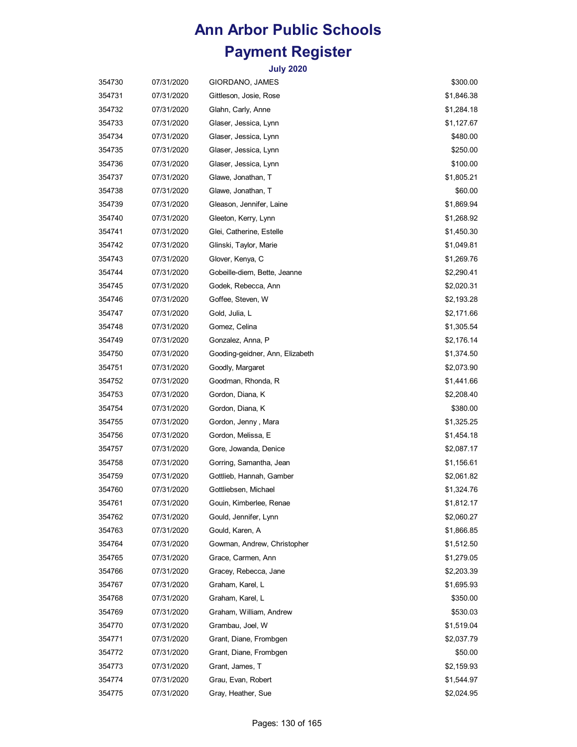| 354730 | 07/31/2020 | GIORDANO, JAMES                 | \$300.00   |
|--------|------------|---------------------------------|------------|
| 354731 | 07/31/2020 | Gittleson, Josie, Rose          | \$1,846.38 |
| 354732 | 07/31/2020 | Glahn, Carly, Anne              | \$1,284.18 |
| 354733 | 07/31/2020 | Glaser, Jessica, Lynn           | \$1,127.67 |
| 354734 | 07/31/2020 | Glaser, Jessica, Lynn           | \$480.00   |
| 354735 | 07/31/2020 | Glaser, Jessica, Lynn           | \$250.00   |
| 354736 | 07/31/2020 | Glaser, Jessica, Lynn           | \$100.00   |
| 354737 | 07/31/2020 | Glawe, Jonathan, T              | \$1,805.21 |
| 354738 | 07/31/2020 | Glawe, Jonathan, T              | \$60.00    |
| 354739 | 07/31/2020 | Gleason, Jennifer, Laine        | \$1,869.94 |
| 354740 | 07/31/2020 | Gleeton, Kerry, Lynn            | \$1,268.92 |
| 354741 | 07/31/2020 | Glei, Catherine, Estelle        | \$1,450.30 |
| 354742 | 07/31/2020 | Glinski, Taylor, Marie          | \$1,049.81 |
| 354743 | 07/31/2020 | Glover, Kenya, C                | \$1,269.76 |
| 354744 | 07/31/2020 | Gobeille-diem, Bette, Jeanne    | \$2,290.41 |
| 354745 | 07/31/2020 | Godek, Rebecca, Ann             | \$2,020.31 |
| 354746 | 07/31/2020 | Goffee, Steven, W               | \$2,193.28 |
| 354747 | 07/31/2020 | Gold, Julia, L                  | \$2,171.66 |
| 354748 | 07/31/2020 | Gomez, Celina                   | \$1,305.54 |
| 354749 | 07/31/2020 | Gonzalez, Anna, P               | \$2,176.14 |
| 354750 | 07/31/2020 | Gooding-geidner, Ann, Elizabeth | \$1,374.50 |
| 354751 | 07/31/2020 | Goodly, Margaret                | \$2,073.90 |
| 354752 | 07/31/2020 | Goodman, Rhonda, R              | \$1,441.66 |
| 354753 | 07/31/2020 | Gordon, Diana, K                | \$2,208.40 |
| 354754 | 07/31/2020 | Gordon, Diana, K                | \$380.00   |
| 354755 | 07/31/2020 | Gordon, Jenny, Mara             | \$1,325.25 |
| 354756 | 07/31/2020 | Gordon, Melissa, E              | \$1,454.18 |
| 354757 | 07/31/2020 | Gore, Jowanda, Denice           | \$2,087.17 |
| 354758 | 07/31/2020 | Gorring, Samantha, Jean         | \$1,156.61 |
| 354759 | 07/31/2020 | Gottlieb, Hannah, Gamber        | \$2,061.82 |
| 354760 | 07/31/2020 | Gottliebsen, Michael            | \$1,324.76 |
| 354761 | 07/31/2020 | Gouin, Kimberlee, Renae         | \$1,812.17 |
| 354762 | 07/31/2020 | Gould, Jennifer, Lynn           | \$2,060.27 |
| 354763 | 07/31/2020 | Gould, Karen, A                 | \$1,866.85 |
| 354764 | 07/31/2020 | Gowman, Andrew, Christopher     | \$1,512.50 |
| 354765 | 07/31/2020 | Grace, Carmen, Ann              | \$1,279.05 |
| 354766 | 07/31/2020 | Gracey, Rebecca, Jane           | \$2,203.39 |
| 354767 | 07/31/2020 | Graham, Karel, L                | \$1,695.93 |
| 354768 | 07/31/2020 | Graham, Karel, L                | \$350.00   |
| 354769 | 07/31/2020 | Graham, William, Andrew         | \$530.03   |
| 354770 | 07/31/2020 | Grambau, Joel, W                | \$1,519.04 |
| 354771 | 07/31/2020 | Grant, Diane, Frombgen          | \$2,037.79 |
| 354772 | 07/31/2020 | Grant, Diane, Frombgen          | \$50.00    |
| 354773 | 07/31/2020 | Grant, James, T                 | \$2,159.93 |
| 354774 | 07/31/2020 | Grau, Evan, Robert              | \$1,544.97 |
| 354775 | 07/31/2020 | Gray, Heather, Sue              | \$2,024.95 |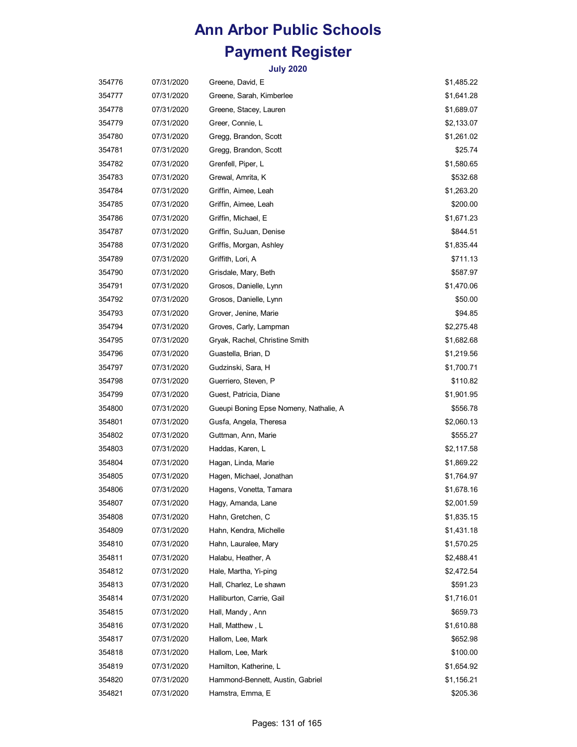| 354776 | 07/31/2020 | Greene, David, E                       | \$1,485.22 |
|--------|------------|----------------------------------------|------------|
| 354777 | 07/31/2020 | Greene, Sarah, Kimberlee               | \$1,641.28 |
| 354778 | 07/31/2020 | Greene, Stacey, Lauren                 | \$1,689.07 |
| 354779 | 07/31/2020 | Greer, Connie, L                       | \$2,133.07 |
| 354780 | 07/31/2020 | Gregg, Brandon, Scott                  | \$1,261.02 |
| 354781 | 07/31/2020 | Gregg, Brandon, Scott                  | \$25.74    |
| 354782 | 07/31/2020 | Grenfell, Piper, L                     | \$1,580.65 |
| 354783 | 07/31/2020 | Grewal, Amrita, K                      | \$532.68   |
| 354784 | 07/31/2020 | Griffin, Aimee, Leah                   | \$1,263.20 |
| 354785 | 07/31/2020 | Griffin, Aimee, Leah                   | \$200.00   |
| 354786 | 07/31/2020 | Griffin, Michael, E                    | \$1,671.23 |
| 354787 | 07/31/2020 | Griffin, SuJuan, Denise                | \$844.51   |
| 354788 | 07/31/2020 | Griffis, Morgan, Ashley                | \$1,835.44 |
| 354789 | 07/31/2020 | Griffith, Lori, A                      | \$711.13   |
| 354790 | 07/31/2020 | Grisdale, Mary, Beth                   | \$587.97   |
| 354791 | 07/31/2020 | Grosos, Danielle, Lynn                 | \$1,470.06 |
| 354792 | 07/31/2020 | Grosos, Danielle, Lynn                 | \$50.00    |
| 354793 | 07/31/2020 | Grover, Jenine, Marie                  | \$94.85    |
| 354794 | 07/31/2020 | Groves, Carly, Lampman                 | \$2,275.48 |
| 354795 | 07/31/2020 | Gryak, Rachel, Christine Smith         | \$1,682.68 |
| 354796 | 07/31/2020 | Guastella, Brian, D                    | \$1,219.56 |
| 354797 | 07/31/2020 | Gudzinski, Sara, H                     | \$1,700.71 |
| 354798 | 07/31/2020 | Guerriero, Steven, P                   | \$110.82   |
| 354799 | 07/31/2020 | Guest, Patricia, Diane                 | \$1,901.95 |
| 354800 | 07/31/2020 | Gueupi Boning Epse Nomeny, Nathalie, A | \$556.78   |
| 354801 | 07/31/2020 | Gusfa, Angela, Theresa                 | \$2,060.13 |
| 354802 | 07/31/2020 | Guttman, Ann, Marie                    | \$555.27   |
| 354803 | 07/31/2020 | Haddas, Karen, L                       | \$2,117.58 |
| 354804 | 07/31/2020 | Hagan, Linda, Marie                    | \$1,869.22 |
| 354805 | 07/31/2020 | Hagen, Michael, Jonathan               | \$1,764.97 |
| 354806 | 07/31/2020 | Hagens, Vonetta, Tamara                | \$1,678.16 |
| 354807 | 07/31/2020 | Hagy, Amanda, Lane                     | \$2,001.59 |
| 354808 | 07/31/2020 | Hahn, Gretchen, C                      | \$1,835.15 |
| 354809 | 07/31/2020 | Hahn, Kendra, Michelle                 | \$1,431.18 |
| 354810 | 07/31/2020 | Hahn, Lauralee, Mary                   | \$1,570.25 |
| 354811 | 07/31/2020 | Halabu, Heather, A                     | \$2,488.41 |
| 354812 | 07/31/2020 | Hale, Martha, Yi-ping                  | \$2,472.54 |
| 354813 | 07/31/2020 | Hall, Charlez, Le shawn                | \$591.23   |
| 354814 | 07/31/2020 | Halliburton, Carrie, Gail              | \$1,716.01 |
| 354815 | 07/31/2020 | Hall, Mandy, Ann                       | \$659.73   |
| 354816 | 07/31/2020 | Hall, Matthew, L                       | \$1,610.88 |
| 354817 | 07/31/2020 | Hallom, Lee, Mark                      | \$652.98   |
| 354818 | 07/31/2020 | Hallom, Lee, Mark                      | \$100.00   |
| 354819 | 07/31/2020 | Hamilton, Katherine, L                 | \$1,654.92 |
| 354820 | 07/31/2020 | Hammond-Bennett, Austin, Gabriel       | \$1,156.21 |
| 354821 | 07/31/2020 | Hamstra, Emma, E                       | \$205.36   |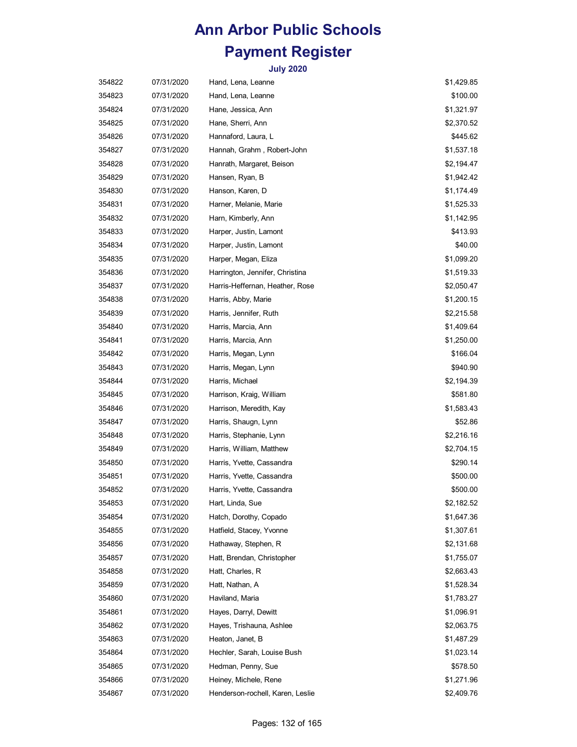| 354822 | 07/31/2020 | Hand, Lena, Leanne               | \$1,429.85 |
|--------|------------|----------------------------------|------------|
| 354823 | 07/31/2020 | Hand, Lena, Leanne               | \$100.00   |
| 354824 | 07/31/2020 | Hane, Jessica, Ann               | \$1,321.97 |
| 354825 | 07/31/2020 | Hane, Sherri, Ann                | \$2,370.52 |
| 354826 | 07/31/2020 | Hannaford, Laura, L              | \$445.62   |
| 354827 | 07/31/2020 | Hannah, Grahm, Robert-John       | \$1,537.18 |
| 354828 | 07/31/2020 | Hanrath, Margaret, Beison        | \$2,194.47 |
| 354829 | 07/31/2020 | Hansen, Ryan, B                  | \$1,942.42 |
| 354830 | 07/31/2020 | Hanson, Karen, D                 | \$1,174.49 |
| 354831 | 07/31/2020 | Harner, Melanie, Marie           | \$1,525.33 |
| 354832 | 07/31/2020 | Harn, Kimberly, Ann              | \$1,142.95 |
| 354833 | 07/31/2020 | Harper, Justin, Lamont           | \$413.93   |
| 354834 | 07/31/2020 | Harper, Justin, Lamont           | \$40.00    |
| 354835 | 07/31/2020 | Harper, Megan, Eliza             | \$1,099.20 |
| 354836 | 07/31/2020 | Harrington, Jennifer, Christina  | \$1,519.33 |
| 354837 | 07/31/2020 | Harris-Heffernan, Heather, Rose  | \$2,050.47 |
| 354838 | 07/31/2020 | Harris, Abby, Marie              | \$1,200.15 |
| 354839 | 07/31/2020 | Harris, Jennifer, Ruth           | \$2,215.58 |
| 354840 | 07/31/2020 | Harris, Marcia, Ann              | \$1,409.64 |
| 354841 | 07/31/2020 | Harris, Marcia, Ann              | \$1,250.00 |
| 354842 | 07/31/2020 | Harris, Megan, Lynn              | \$166.04   |
| 354843 | 07/31/2020 | Harris, Megan, Lynn              | \$940.90   |
| 354844 | 07/31/2020 | Harris, Michael                  | \$2,194.39 |
| 354845 | 07/31/2020 | Harrison, Kraig, William         | \$581.80   |
| 354846 | 07/31/2020 | Harrison, Meredith, Kay          | \$1,583.43 |
| 354847 | 07/31/2020 | Harris, Shaugn, Lynn             | \$52.86    |
| 354848 | 07/31/2020 | Harris, Stephanie, Lynn          | \$2,216.16 |
| 354849 | 07/31/2020 | Harris, William, Matthew         | \$2,704.15 |
| 354850 | 07/31/2020 | Harris, Yvette, Cassandra        | \$290.14   |
| 354851 | 07/31/2020 | Harris, Yvette, Cassandra        | \$500.00   |
| 354852 | 07/31/2020 | Harris, Yvette, Cassandra        | \$500.00   |
| 354853 | 07/31/2020 | Hart, Linda, Sue                 | \$2,182.52 |
| 354854 | 07/31/2020 | Hatch, Dorothy, Copado           | \$1,647.36 |
| 354855 | 07/31/2020 | Hatfield, Stacey, Yvonne         | \$1,307.61 |
| 354856 | 07/31/2020 | Hathaway, Stephen, R             | \$2,131.68 |
| 354857 | 07/31/2020 | Hatt, Brendan, Christopher       | \$1,755.07 |
| 354858 | 07/31/2020 | Hatt, Charles, R                 | \$2,663.43 |
| 354859 | 07/31/2020 | Hatt, Nathan, A                  | \$1,528.34 |
| 354860 | 07/31/2020 | Haviland, Maria                  | \$1,783.27 |
| 354861 | 07/31/2020 | Hayes, Darryl, Dewitt            | \$1,096.91 |
| 354862 | 07/31/2020 | Hayes, Trishauna, Ashlee         | \$2,063.75 |
| 354863 | 07/31/2020 | Heaton, Janet, B                 | \$1,487.29 |
| 354864 | 07/31/2020 | Hechler, Sarah, Louise Bush      | \$1,023.14 |
| 354865 | 07/31/2020 | Hedman, Penny, Sue               | \$578.50   |
| 354866 | 07/31/2020 | Heiney, Michele, Rene            | \$1,271.96 |
| 354867 | 07/31/2020 | Henderson-rochell, Karen, Leslie | \$2,409.76 |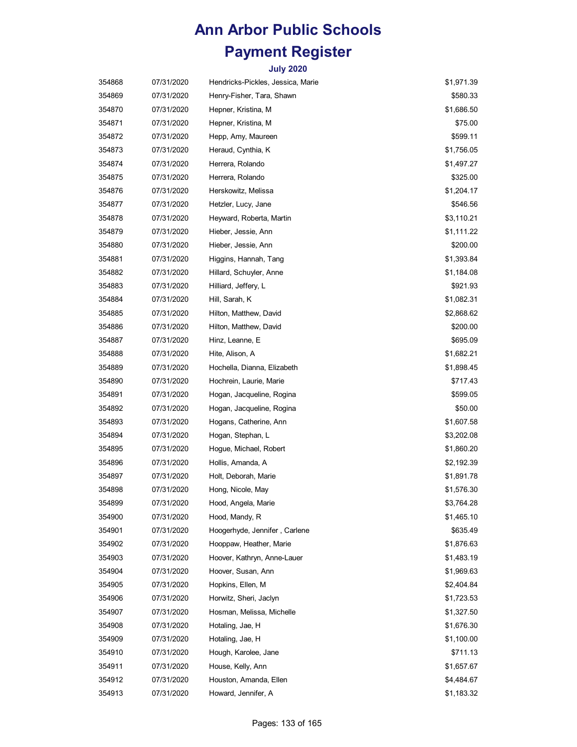| 354868 | 07/31/2020 | Hendricks-Pickles, Jessica, Marie | \$1,971.39 |
|--------|------------|-----------------------------------|------------|
| 354869 | 07/31/2020 | Henry-Fisher, Tara, Shawn         | \$580.33   |
| 354870 | 07/31/2020 | Hepner, Kristina, M               | \$1,686.50 |
| 354871 | 07/31/2020 | Hepner, Kristina, M               | \$75.00    |
| 354872 | 07/31/2020 | Hepp, Amy, Maureen                | \$599.11   |
| 354873 | 07/31/2020 | Heraud, Cynthia, K                | \$1,756.05 |
| 354874 | 07/31/2020 | Herrera, Rolando                  | \$1,497.27 |
| 354875 | 07/31/2020 | Herrera, Rolando                  | \$325.00   |
| 354876 | 07/31/2020 | Herskowitz, Melissa               | \$1,204.17 |
| 354877 | 07/31/2020 | Hetzler, Lucy, Jane               | \$546.56   |
| 354878 | 07/31/2020 | Heyward, Roberta, Martin          | \$3,110.21 |
| 354879 | 07/31/2020 | Hieber, Jessie, Ann               | \$1,111.22 |
| 354880 | 07/31/2020 | Hieber, Jessie, Ann               | \$200.00   |
| 354881 | 07/31/2020 | Higgins, Hannah, Tang             | \$1,393.84 |
| 354882 | 07/31/2020 | Hillard, Schuyler, Anne           | \$1,184.08 |
| 354883 | 07/31/2020 | Hilliard, Jeffery, L              | \$921.93   |
| 354884 | 07/31/2020 | Hill, Sarah, K                    | \$1,082.31 |
| 354885 | 07/31/2020 | Hilton, Matthew, David            | \$2,868.62 |
| 354886 | 07/31/2020 | Hilton, Matthew, David            | \$200.00   |
| 354887 | 07/31/2020 | Hinz, Leanne, E                   | \$695.09   |
| 354888 | 07/31/2020 | Hite, Alison, A                   | \$1,682.21 |
| 354889 | 07/31/2020 | Hochella, Dianna, Elizabeth       | \$1,898.45 |
| 354890 | 07/31/2020 | Hochrein, Laurie, Marie           | \$717.43   |
| 354891 | 07/31/2020 | Hogan, Jacqueline, Rogina         | \$599.05   |
| 354892 | 07/31/2020 | Hogan, Jacqueline, Rogina         | \$50.00    |
| 354893 | 07/31/2020 | Hogans, Catherine, Ann            | \$1,607.58 |
| 354894 | 07/31/2020 | Hogan, Stephan, L                 | \$3,202.08 |
| 354895 | 07/31/2020 | Hogue, Michael, Robert            | \$1,860.20 |
| 354896 | 07/31/2020 | Hollis, Amanda, A                 | \$2,192.39 |
| 354897 | 07/31/2020 | Holt, Deborah, Marie              | \$1,891.78 |
| 354898 | 07/31/2020 | Hong, Nicole, May                 | \$1,576.30 |
| 354899 | 07/31/2020 | Hood, Angela, Marie               | \$3,764.28 |
| 354900 | 07/31/2020 | Hood, Mandy, R                    | \$1,465.10 |
| 354901 | 07/31/2020 | Hoogerhyde, Jennifer, Carlene     | \$635.49   |
| 354902 | 07/31/2020 | Hooppaw, Heather, Marie           | \$1,876.63 |
| 354903 | 07/31/2020 | Hoover, Kathryn, Anne-Lauer       | \$1,483.19 |
| 354904 | 07/31/2020 | Hoover, Susan, Ann                | \$1,969.63 |
| 354905 | 07/31/2020 | Hopkins, Ellen, M                 | \$2,404.84 |
| 354906 | 07/31/2020 | Horwitz, Sheri, Jaclyn            | \$1,723.53 |
| 354907 | 07/31/2020 | Hosman, Melissa, Michelle         | \$1,327.50 |
| 354908 | 07/31/2020 | Hotaling, Jae, H                  | \$1,676.30 |
| 354909 | 07/31/2020 | Hotaling, Jae, H                  | \$1,100.00 |
| 354910 | 07/31/2020 | Hough, Karolee, Jane              | \$711.13   |
| 354911 | 07/31/2020 | House, Kelly, Ann                 | \$1,657.67 |
| 354912 | 07/31/2020 | Houston, Amanda, Ellen            | \$4,484.67 |
| 354913 | 07/31/2020 | Howard, Jennifer, A               | \$1,183.32 |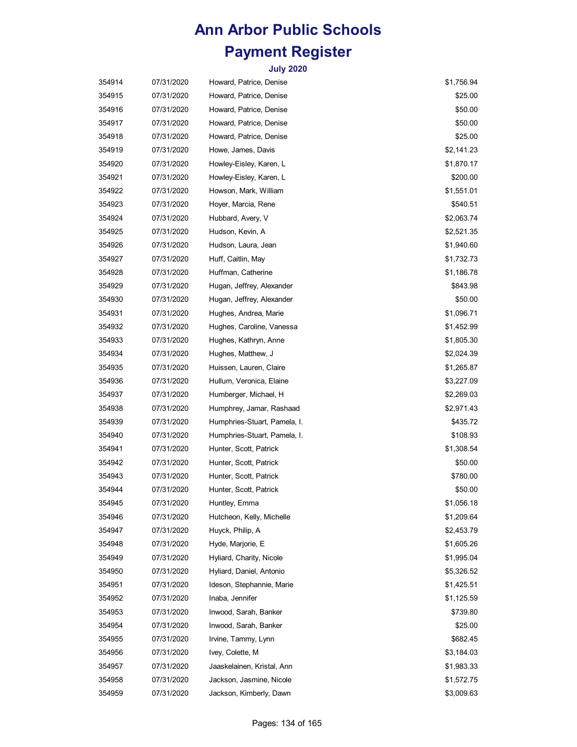| 354914 | 07/31/2020 | Howard, Patrice, Denise      | \$1,756.94 |
|--------|------------|------------------------------|------------|
| 354915 | 07/31/2020 | Howard, Patrice, Denise      | \$25.00    |
| 354916 | 07/31/2020 | Howard, Patrice, Denise      | \$50.00    |
| 354917 | 07/31/2020 | Howard, Patrice, Denise      | \$50.00    |
| 354918 | 07/31/2020 | Howard, Patrice, Denise      | \$25.00    |
| 354919 | 07/31/2020 | Howe, James, Davis           | \$2,141.23 |
| 354920 | 07/31/2020 | Howley-Eisley, Karen, L      | \$1,870.17 |
| 354921 | 07/31/2020 | Howley-Eisley, Karen, L      | \$200.00   |
| 354922 | 07/31/2020 | Howson, Mark, William        | \$1,551.01 |
| 354923 | 07/31/2020 | Hoyer, Marcia, Rene          | \$540.51   |
| 354924 | 07/31/2020 | Hubbard, Avery, V            | \$2,063.74 |
| 354925 | 07/31/2020 | Hudson, Kevin, A             | \$2,521.35 |
| 354926 | 07/31/2020 | Hudson, Laura, Jean          | \$1,940.60 |
| 354927 | 07/31/2020 | Huff, Caitlin, May           | \$1,732.73 |
| 354928 | 07/31/2020 | Huffman, Catherine           | \$1,186.78 |
| 354929 | 07/31/2020 | Hugan, Jeffrey, Alexander    | \$843.98   |
| 354930 | 07/31/2020 | Hugan, Jeffrey, Alexander    | \$50.00    |
| 354931 | 07/31/2020 | Hughes, Andrea, Marie        | \$1,096.71 |
| 354932 | 07/31/2020 | Hughes, Caroline, Vanessa    | \$1,452.99 |
| 354933 | 07/31/2020 | Hughes, Kathryn, Anne        | \$1,805.30 |
| 354934 | 07/31/2020 | Hughes, Matthew, J           | \$2,024.39 |
| 354935 | 07/31/2020 | Huissen, Lauren, Claire      | \$1,265.87 |
| 354936 | 07/31/2020 | Hullum, Veronica, Elaine     | \$3,227.09 |
| 354937 | 07/31/2020 | Humberger, Michael, H        | \$2,269.03 |
| 354938 | 07/31/2020 | Humphrey, Jamar, Rashaad     | \$2,971.43 |
| 354939 | 07/31/2020 | Humphries-Stuart, Pamela, I. | \$435.72   |
| 354940 | 07/31/2020 | Humphries-Stuart, Pamela, I. | \$108.93   |
| 354941 | 07/31/2020 | Hunter, Scott, Patrick       | \$1,308.54 |
| 354942 | 07/31/2020 | Hunter, Scott, Patrick       | \$50.00    |
| 354943 | 07/31/2020 | Hunter, Scott, Patrick       | \$780.00   |
| 354944 | 07/31/2020 | Hunter, Scott, Patrick       | \$50.00    |
| 354945 | 07/31/2020 | Huntley, Emma                | \$1,056.18 |
| 354946 | 07/31/2020 | Hutcheon, Kelly, Michelle    | \$1,209.64 |
| 354947 | 07/31/2020 | Huyck, Philip, A             | \$2,453.79 |
| 354948 | 07/31/2020 | Hyde, Marjorie, E            | \$1,605.26 |
| 354949 | 07/31/2020 | Hyliard, Charity, Nicole     | \$1,995.04 |
| 354950 | 07/31/2020 | Hyliard, Daniel, Antonio     | \$5,326.52 |
| 354951 | 07/31/2020 | Ideson, Stephannie, Marie    | \$1,425.51 |
| 354952 | 07/31/2020 | Inaba, Jennifer              | \$1,125.59 |
| 354953 | 07/31/2020 | Inwood, Sarah, Banker        | \$739.80   |
| 354954 | 07/31/2020 | Inwood, Sarah, Banker        | \$25.00    |
| 354955 | 07/31/2020 | Irvine, Tammy, Lynn          | \$682.45   |
| 354956 | 07/31/2020 | Ivey, Colette, M             | \$3,184.03 |
| 354957 | 07/31/2020 | Jaaskelainen, Kristal, Ann   | \$1,983.33 |
| 354958 | 07/31/2020 | Jackson, Jasmine, Nicole     | \$1,572.75 |
| 354959 | 07/31/2020 | Jackson, Kimberly, Dawn      | \$3,009.63 |
|        |            |                              |            |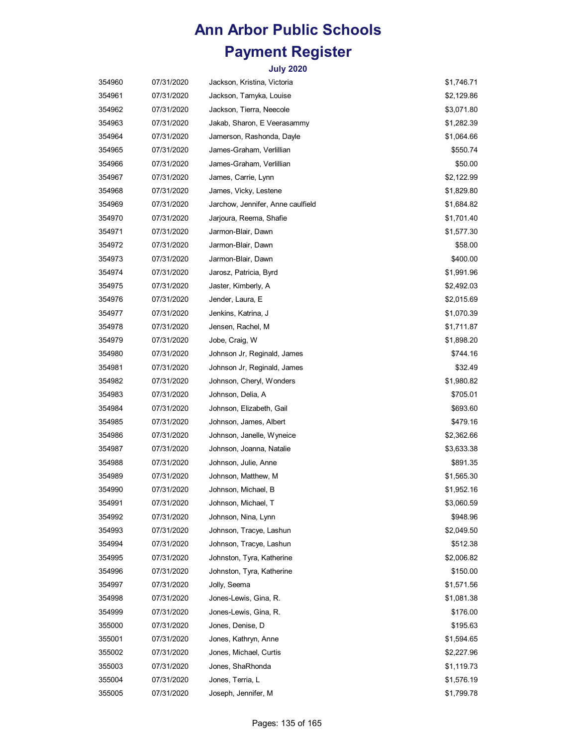| 354960 | 07/31/2020 | Jackson, Kristina, Victoria       | \$1,746.71 |
|--------|------------|-----------------------------------|------------|
| 354961 | 07/31/2020 | Jackson, Tamyka, Louise           | \$2,129.86 |
| 354962 | 07/31/2020 | Jackson, Tierra, Neecole          | \$3,071.80 |
| 354963 | 07/31/2020 | Jakab, Sharon, E Veerasammy       | \$1,282.39 |
| 354964 | 07/31/2020 | Jamerson, Rashonda, Dayle         | \$1,064.66 |
| 354965 | 07/31/2020 | James-Graham, Verlillian          | \$550.74   |
| 354966 | 07/31/2020 | James-Graham, Verlillian          | \$50.00    |
| 354967 | 07/31/2020 | James, Carrie, Lynn               | \$2,122.99 |
| 354968 | 07/31/2020 | James, Vicky, Lestene             | \$1,829.80 |
| 354969 | 07/31/2020 | Jarchow, Jennifer, Anne caulfield | \$1,684.82 |
| 354970 | 07/31/2020 | Jarjoura, Reema, Shafie           | \$1,701.40 |
| 354971 | 07/31/2020 | Jarmon-Blair, Dawn                | \$1,577.30 |
| 354972 | 07/31/2020 | Jarmon-Blair, Dawn                | \$58.00    |
| 354973 | 07/31/2020 | Jarmon-Blair, Dawn                | \$400.00   |
| 354974 | 07/31/2020 | Jarosz, Patricia, Byrd            | \$1,991.96 |
| 354975 | 07/31/2020 | Jaster, Kimberly, A               | \$2,492.03 |
| 354976 | 07/31/2020 | Jender, Laura, E                  | \$2,015.69 |
| 354977 | 07/31/2020 | Jenkins, Katrina, J               | \$1,070.39 |
| 354978 | 07/31/2020 | Jensen, Rachel, M                 | \$1,711.87 |
| 354979 | 07/31/2020 | Jobe, Craig, W                    | \$1,898.20 |
| 354980 | 07/31/2020 | Johnson Jr, Reginald, James       | \$744.16   |
| 354981 | 07/31/2020 | Johnson Jr, Reginald, James       | \$32.49    |
| 354982 | 07/31/2020 | Johnson, Cheryl, Wonders          | \$1,980.82 |
| 354983 | 07/31/2020 | Johnson, Delia, A                 | \$705.01   |
| 354984 | 07/31/2020 | Johnson, Elizabeth, Gail          | \$693.60   |
| 354985 | 07/31/2020 | Johnson, James, Albert            | \$479.16   |
| 354986 | 07/31/2020 | Johnson, Janelle, Wyneice         | \$2,362.66 |
| 354987 | 07/31/2020 | Johnson, Joanna, Natalie          | \$3,633.38 |
| 354988 | 07/31/2020 | Johnson, Julie, Anne              | \$891.35   |
| 354989 | 07/31/2020 | Johnson, Matthew, M               | \$1,565.30 |
| 354990 | 07/31/2020 | Johnson, Michael, B               | \$1,952.16 |
| 354991 | 07/31/2020 | Johnson, Michael, T               | \$3,060.59 |
| 354992 | 07/31/2020 | Johnson, Nina, Lynn               | \$948.96   |
| 354993 | 07/31/2020 | Johnson, Tracye, Lashun           | \$2,049.50 |
| 354994 | 07/31/2020 | Johnson, Tracye, Lashun           | \$512.38   |
| 354995 | 07/31/2020 | Johnston, Tyra, Katherine         | \$2,006.82 |
| 354996 | 07/31/2020 | Johnston, Tyra, Katherine         | \$150.00   |
| 354997 | 07/31/2020 | Jolly, Seema                      | \$1,571.56 |
| 354998 | 07/31/2020 | Jones-Lewis, Gina, R.             | \$1,081.38 |
| 354999 | 07/31/2020 | Jones-Lewis, Gina, R.             | \$176.00   |
| 355000 | 07/31/2020 | Jones, Denise, D                  | \$195.63   |
| 355001 | 07/31/2020 | Jones, Kathryn, Anne              | \$1,594.65 |
| 355002 | 07/31/2020 | Jones, Michael, Curtis            | \$2,227.96 |
| 355003 | 07/31/2020 | Jones, ShaRhonda                  | \$1,119.73 |
| 355004 | 07/31/2020 | Jones, Terria, L                  | \$1,576.19 |
| 355005 | 07/31/2020 | Joseph, Jennifer, M               | \$1,799.78 |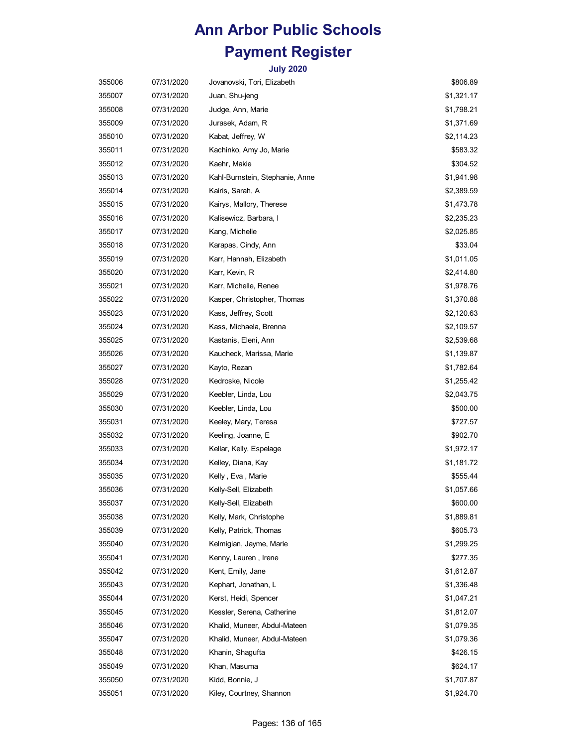| 355006 | 07/31/2020 | Jovanovski, Tori, Elizabeth     | \$806.89   |
|--------|------------|---------------------------------|------------|
| 355007 | 07/31/2020 | Juan, Shu-jeng                  | \$1,321.17 |
| 355008 | 07/31/2020 | Judge, Ann, Marie               | \$1,798.21 |
| 355009 | 07/31/2020 | Jurasek, Adam, R                | \$1,371.69 |
| 355010 | 07/31/2020 | Kabat, Jeffrey, W               | \$2,114.23 |
| 355011 | 07/31/2020 | Kachinko, Amy Jo, Marie         | \$583.32   |
| 355012 | 07/31/2020 | Kaehr, Makie                    | \$304.52   |
| 355013 | 07/31/2020 | Kahl-Burnstein, Stephanie, Anne | \$1,941.98 |
| 355014 | 07/31/2020 | Kairis, Sarah, A                | \$2,389.59 |
| 355015 | 07/31/2020 | Kairys, Mallory, Therese        | \$1,473.78 |
| 355016 | 07/31/2020 | Kalisewicz, Barbara, I          | \$2,235.23 |
| 355017 | 07/31/2020 | Kang, Michelle                  | \$2,025.85 |
| 355018 | 07/31/2020 | Karapas, Cindy, Ann             | \$33.04    |
| 355019 | 07/31/2020 | Karr, Hannah, Elizabeth         | \$1,011.05 |
| 355020 | 07/31/2020 | Karr, Kevin, R                  | \$2,414.80 |
| 355021 | 07/31/2020 | Karr, Michelle, Renee           | \$1,978.76 |
| 355022 | 07/31/2020 | Kasper, Christopher, Thomas     | \$1,370.88 |
| 355023 | 07/31/2020 | Kass, Jeffrey, Scott            | \$2,120.63 |
| 355024 | 07/31/2020 | Kass, Michaela, Brenna          | \$2,109.57 |
| 355025 | 07/31/2020 | Kastanis, Eleni, Ann            | \$2,539.68 |
| 355026 | 07/31/2020 | Kaucheck, Marissa, Marie        | \$1,139.87 |
| 355027 | 07/31/2020 | Kayto, Rezan                    | \$1,782.64 |
| 355028 | 07/31/2020 | Kedroske, Nicole                | \$1,255.42 |
| 355029 | 07/31/2020 | Keebler, Linda, Lou             | \$2,043.75 |
| 355030 | 07/31/2020 | Keebler, Linda, Lou             | \$500.00   |
| 355031 | 07/31/2020 | Keeley, Mary, Teresa            | \$727.57   |
| 355032 | 07/31/2020 | Keeling, Joanne, E              | \$902.70   |
| 355033 | 07/31/2020 | Kellar, Kelly, Espelage         | \$1,972.17 |
| 355034 | 07/31/2020 | Kelley, Diana, Kay              | \$1,181.72 |
| 355035 | 07/31/2020 | Kelly, Eva, Marie               | \$555.44   |
| 355036 | 07/31/2020 | Kelly-Sell, Elizabeth           | \$1,057.66 |
| 355037 | 07/31/2020 | Kelly-Sell, Elizabeth           | \$600.00   |
| 355038 | 07/31/2020 | Kelly, Mark, Christophe         | \$1,889.81 |
| 355039 | 07/31/2020 | Kelly, Patrick, Thomas          | \$605.73   |
| 355040 | 07/31/2020 | Kelmigian, Jayme, Marie         | \$1,299.25 |
| 355041 | 07/31/2020 | Kenny, Lauren, Irene            | \$277.35   |
| 355042 | 07/31/2020 | Kent, Emily, Jane               | \$1,612.87 |
| 355043 | 07/31/2020 | Kephart, Jonathan, L            | \$1,336.48 |
| 355044 | 07/31/2020 | Kerst, Heidi, Spencer           | \$1,047.21 |
| 355045 | 07/31/2020 | Kessler, Serena, Catherine      | \$1,812.07 |
| 355046 | 07/31/2020 | Khalid, Muneer, Abdul-Mateen    | \$1,079.35 |
| 355047 | 07/31/2020 | Khalid, Muneer, Abdul-Mateen    | \$1,079.36 |
| 355048 | 07/31/2020 | Khanin, Shagufta                | \$426.15   |
| 355049 | 07/31/2020 | Khan, Masuma                    | \$624.17   |
| 355050 | 07/31/2020 | Kidd, Bonnie, J                 | \$1,707.87 |
| 355051 | 07/31/2020 | Kiley, Courtney, Shannon        | \$1,924.70 |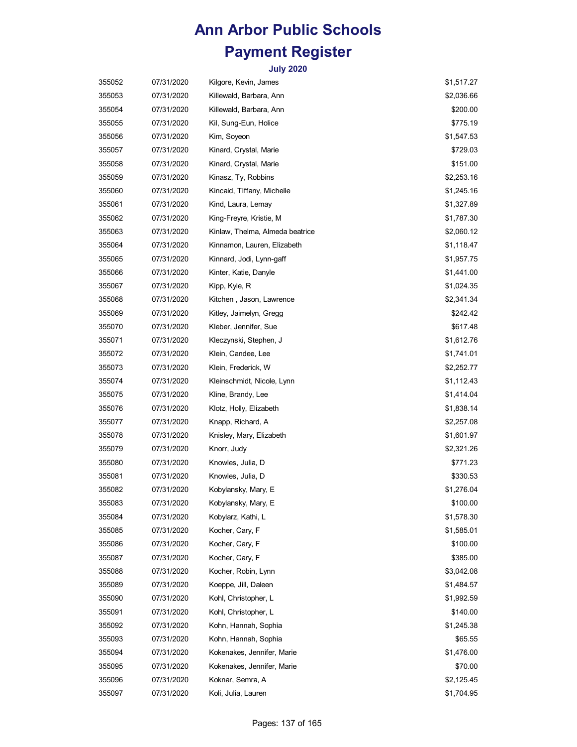| 355052 | 07/31/2020 | Kilgore, Kevin, James           | \$1,517.27 |
|--------|------------|---------------------------------|------------|
| 355053 | 07/31/2020 | Killewald, Barbara, Ann         | \$2,036.66 |
| 355054 | 07/31/2020 | Killewald, Barbara, Ann         | \$200.00   |
| 355055 | 07/31/2020 | Kil, Sung-Eun, Holice           | \$775.19   |
| 355056 | 07/31/2020 | Kim, Soyeon                     | \$1,547.53 |
| 355057 | 07/31/2020 | Kinard, Crystal, Marie          | \$729.03   |
| 355058 | 07/31/2020 | Kinard, Crystal, Marie          | \$151.00   |
| 355059 | 07/31/2020 | Kinasz, Ty, Robbins             | \$2,253.16 |
| 355060 | 07/31/2020 | Kincaid, TIffany, Michelle      | \$1,245.16 |
| 355061 | 07/31/2020 | Kind, Laura, Lemay              | \$1,327.89 |
| 355062 | 07/31/2020 | King-Freyre, Kristie, M         | \$1,787.30 |
| 355063 | 07/31/2020 | Kinlaw, Thelma, Almeda beatrice | \$2,060.12 |
| 355064 | 07/31/2020 | Kinnamon, Lauren, Elizabeth     | \$1,118.47 |
| 355065 | 07/31/2020 | Kinnard, Jodi, Lynn-gaff        | \$1,957.75 |
| 355066 | 07/31/2020 | Kinter, Katie, Danyle           | \$1,441.00 |
| 355067 | 07/31/2020 | Kipp, Kyle, R                   | \$1,024.35 |
| 355068 | 07/31/2020 | Kitchen, Jason, Lawrence        | \$2,341.34 |
| 355069 | 07/31/2020 | Kitley, Jaimelyn, Gregg         | \$242.42   |
| 355070 | 07/31/2020 | Kleber, Jennifer, Sue           | \$617.48   |
| 355071 | 07/31/2020 | Kleczynski, Stephen, J          | \$1,612.76 |
| 355072 | 07/31/2020 | Klein, Candee, Lee              | \$1,741.01 |
| 355073 | 07/31/2020 | Klein, Frederick, W             | \$2,252.77 |
| 355074 | 07/31/2020 | Kleinschmidt, Nicole, Lynn      | \$1,112.43 |
| 355075 | 07/31/2020 | Kline, Brandy, Lee              | \$1,414.04 |
| 355076 | 07/31/2020 | Klotz, Holly, Elizabeth         | \$1,838.14 |
| 355077 | 07/31/2020 | Knapp, Richard, A               | \$2,257.08 |
| 355078 | 07/31/2020 | Knisley, Mary, Elizabeth        | \$1,601.97 |
| 355079 | 07/31/2020 | Knorr, Judy                     | \$2,321.26 |
| 355080 | 07/31/2020 | Knowles, Julia, D               | \$771.23   |
| 355081 | 07/31/2020 | Knowles, Julia, D               | \$330.53   |
| 355082 | 07/31/2020 | Kobylansky, Mary, E             | \$1,276.04 |
| 355083 | 07/31/2020 | Kobylansky, Mary, E             | \$100.00   |
| 355084 | 07/31/2020 | Kobylarz, Kathi, L              | \$1,578.30 |
| 355085 | 07/31/2020 | Kocher, Cary, F                 | \$1,585.01 |
| 355086 | 07/31/2020 | Kocher, Cary, F                 | \$100.00   |
| 355087 | 07/31/2020 | Kocher, Cary, F                 | \$385.00   |
| 355088 | 07/31/2020 | Kocher, Robin, Lynn             | \$3,042.08 |
| 355089 | 07/31/2020 | Koeppe, Jill, Daleen            | \$1,484.57 |
| 355090 | 07/31/2020 | Kohl, Christopher, L            | \$1,992.59 |
| 355091 | 07/31/2020 | Kohl, Christopher, L            | \$140.00   |
| 355092 | 07/31/2020 | Kohn, Hannah, Sophia            | \$1,245.38 |
| 355093 | 07/31/2020 | Kohn, Hannah, Sophia            | \$65.55    |
| 355094 | 07/31/2020 | Kokenakes, Jennifer, Marie      | \$1,476.00 |
| 355095 | 07/31/2020 | Kokenakes, Jennifer, Marie      | \$70.00    |
| 355096 | 07/31/2020 | Koknar, Semra, A                | \$2,125.45 |
| 355097 | 07/31/2020 | Koli, Julia, Lauren             | \$1,704.95 |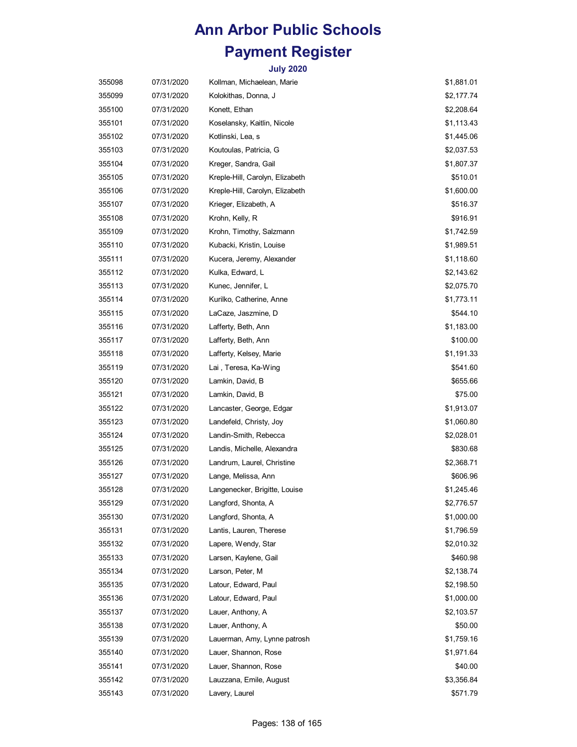| 355098 | 07/31/2020 | Kollman, Michaelean, Marie      | \$1,881.01 |
|--------|------------|---------------------------------|------------|
| 355099 | 07/31/2020 | Kolokithas, Donna, J            | \$2,177.74 |
| 355100 | 07/31/2020 | Konett, Ethan                   | \$2,208.64 |
| 355101 | 07/31/2020 | Koselansky, Kaitlin, Nicole     | \$1,113.43 |
| 355102 | 07/31/2020 | Kotlinski, Lea, s               | \$1,445.06 |
| 355103 | 07/31/2020 | Koutoulas, Patricia, G          | \$2,037.53 |
| 355104 | 07/31/2020 | Kreger, Sandra, Gail            | \$1,807.37 |
| 355105 | 07/31/2020 | Kreple-Hill, Carolyn, Elizabeth | \$510.01   |
| 355106 | 07/31/2020 | Kreple-Hill, Carolyn, Elizabeth | \$1,600.00 |
| 355107 | 07/31/2020 | Krieger, Elizabeth, A           | \$516.37   |
| 355108 | 07/31/2020 | Krohn, Kelly, R                 | \$916.91   |
| 355109 | 07/31/2020 | Krohn, Timothy, Salzmann        | \$1,742.59 |
| 355110 | 07/31/2020 | Kubacki, Kristin, Louise        | \$1,989.51 |
| 355111 | 07/31/2020 | Kucera, Jeremy, Alexander       | \$1,118.60 |
| 355112 | 07/31/2020 | Kulka, Edward, L                | \$2,143.62 |
| 355113 | 07/31/2020 | Kunec, Jennifer, L              | \$2,075.70 |
| 355114 | 07/31/2020 | Kurilko, Catherine, Anne        | \$1,773.11 |
| 355115 | 07/31/2020 | LaCaze, Jaszmine, D             | \$544.10   |
| 355116 | 07/31/2020 | Lafferty, Beth, Ann             | \$1,183.00 |
| 355117 | 07/31/2020 | Lafferty, Beth, Ann             | \$100.00   |
| 355118 | 07/31/2020 | Lafferty, Kelsey, Marie         | \$1,191.33 |
| 355119 | 07/31/2020 | Lai, Teresa, Ka-Wing            | \$541.60   |
| 355120 | 07/31/2020 | Lamkin, David, B                | \$655.66   |
| 355121 | 07/31/2020 | Lamkin, David, B                | \$75.00    |
| 355122 | 07/31/2020 | Lancaster, George, Edgar        | \$1,913.07 |
| 355123 | 07/31/2020 | Landefeld, Christy, Joy         | \$1,060.80 |
| 355124 | 07/31/2020 | Landin-Smith, Rebecca           | \$2,028.01 |
| 355125 | 07/31/2020 | Landis, Michelle, Alexandra     | \$830.68   |
| 355126 | 07/31/2020 | Landrum, Laurel, Christine      | \$2,368.71 |
| 355127 | 07/31/2020 | Lange, Melissa, Ann             | \$606.96   |
| 355128 | 07/31/2020 | Langenecker, Brigitte, Louise   | \$1,245.46 |
| 355129 | 07/31/2020 | Langford, Shonta, A             | \$2,776.57 |
| 355130 | 07/31/2020 | Langford, Shonta, A             | \$1,000.00 |
| 355131 | 07/31/2020 | Lantis, Lauren, Therese         | \$1,796.59 |
| 355132 | 07/31/2020 | Lapere, Wendy, Star             | \$2,010.32 |
| 355133 | 07/31/2020 | Larsen, Kaylene, Gail           | \$460.98   |
| 355134 | 07/31/2020 | Larson, Peter, M                | \$2,138.74 |
| 355135 | 07/31/2020 | Latour, Edward, Paul            | \$2,198.50 |
| 355136 | 07/31/2020 | Latour, Edward, Paul            | \$1,000.00 |
| 355137 | 07/31/2020 | Lauer, Anthony, A               | \$2,103.57 |
| 355138 | 07/31/2020 | Lauer, Anthony, A               | \$50.00    |
| 355139 | 07/31/2020 | Lauerman, Amy, Lynne patrosh    | \$1,759.16 |
| 355140 | 07/31/2020 | Lauer, Shannon, Rose            | \$1,971.64 |
| 355141 | 07/31/2020 | Lauer, Shannon, Rose            | \$40.00    |
| 355142 | 07/31/2020 | Lauzzana, Emile, August         | \$3,356.84 |
| 355143 | 07/31/2020 | Lavery, Laurel                  | \$571.79   |
|        |            |                                 |            |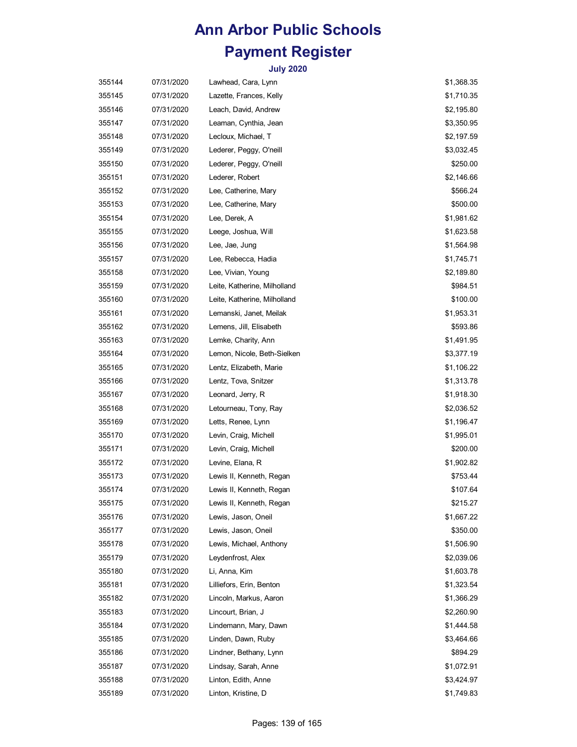| 355144 | 07/31/2020 | Lawhead, Cara, Lynn          | \$1,368.35 |
|--------|------------|------------------------------|------------|
| 355145 | 07/31/2020 | Lazette, Frances, Kelly      | \$1,710.35 |
| 355146 | 07/31/2020 | Leach, David, Andrew         | \$2,195.80 |
| 355147 | 07/31/2020 | Leaman, Cynthia, Jean        | \$3,350.95 |
| 355148 | 07/31/2020 | Lecloux, Michael, T          | \$2,197.59 |
| 355149 | 07/31/2020 | Lederer, Peggy, O'neill      | \$3,032.45 |
| 355150 | 07/31/2020 | Lederer, Peggy, O'neill      | \$250.00   |
| 355151 | 07/31/2020 | Lederer, Robert              | \$2,146.66 |
| 355152 | 07/31/2020 | Lee, Catherine, Mary         | \$566.24   |
| 355153 | 07/31/2020 | Lee, Catherine, Mary         | \$500.00   |
| 355154 | 07/31/2020 | Lee, Derek, A                | \$1,981.62 |
| 355155 | 07/31/2020 | Leege, Joshua, Will          | \$1,623.58 |
| 355156 | 07/31/2020 | Lee, Jae, Jung               | \$1,564.98 |
| 355157 | 07/31/2020 | Lee, Rebecca, Hadia          | \$1,745.71 |
| 355158 | 07/31/2020 | Lee, Vivian, Young           | \$2,189.80 |
| 355159 | 07/31/2020 | Leite, Katherine, Milholland | \$984.51   |
| 355160 | 07/31/2020 | Leite, Katherine, Milholland | \$100.00   |
| 355161 | 07/31/2020 | Lemanski, Janet, Meilak      | \$1,953.31 |
| 355162 | 07/31/2020 | Lemens, Jill, Elisabeth      | \$593.86   |
| 355163 | 07/31/2020 | Lemke, Charity, Ann          | \$1,491.95 |
| 355164 | 07/31/2020 | Lemon, Nicole, Beth-Sielken  | \$3,377.19 |
| 355165 | 07/31/2020 | Lentz, Elizabeth, Marie      | \$1,106.22 |
| 355166 | 07/31/2020 | Lentz, Tova, Snitzer         | \$1,313.78 |
| 355167 | 07/31/2020 | Leonard, Jerry, R            | \$1,918.30 |
| 355168 | 07/31/2020 | Letourneau, Tony, Ray        | \$2,036.52 |
| 355169 | 07/31/2020 | Letts, Renee, Lynn           | \$1,196.47 |
| 355170 | 07/31/2020 | Levin, Craig, Michell        | \$1,995.01 |
| 355171 | 07/31/2020 | Levin, Craig, Michell        | \$200.00   |
| 355172 | 07/31/2020 | Levine, Elana, R             | \$1,902.82 |
| 355173 | 07/31/2020 | Lewis II, Kenneth, Regan     | \$753.44   |
| 355174 | 07/31/2020 | Lewis II, Kenneth, Regan     | \$107.64   |
| 355175 | 07/31/2020 | Lewis II, Kenneth, Regan     | \$215.27   |
| 355176 | 07/31/2020 | Lewis, Jason, Oneil          | \$1,667.22 |
| 355177 | 07/31/2020 | Lewis, Jason, Oneil          | \$350.00   |
| 355178 | 07/31/2020 | Lewis, Michael, Anthony      | \$1,506.90 |
| 355179 | 07/31/2020 | Leydenfrost, Alex            | \$2,039.06 |
| 355180 | 07/31/2020 | Li, Anna, Kim                | \$1,603.78 |
| 355181 | 07/31/2020 | Lilliefors, Erin, Benton     | \$1,323.54 |
| 355182 | 07/31/2020 | Lincoln, Markus, Aaron       | \$1,366.29 |
| 355183 | 07/31/2020 | Lincourt, Brian, J           | \$2,260.90 |
| 355184 | 07/31/2020 | Lindemann, Mary, Dawn        | \$1,444.58 |
| 355185 | 07/31/2020 | Linden, Dawn, Ruby           | \$3,464.66 |
| 355186 | 07/31/2020 | Lindner, Bethany, Lynn       | \$894.29   |
| 355187 | 07/31/2020 | Lindsay, Sarah, Anne         | \$1,072.91 |
| 355188 | 07/31/2020 | Linton, Edith, Anne          | \$3,424.97 |
| 355189 | 07/31/2020 | Linton, Kristine, D          | \$1,749.83 |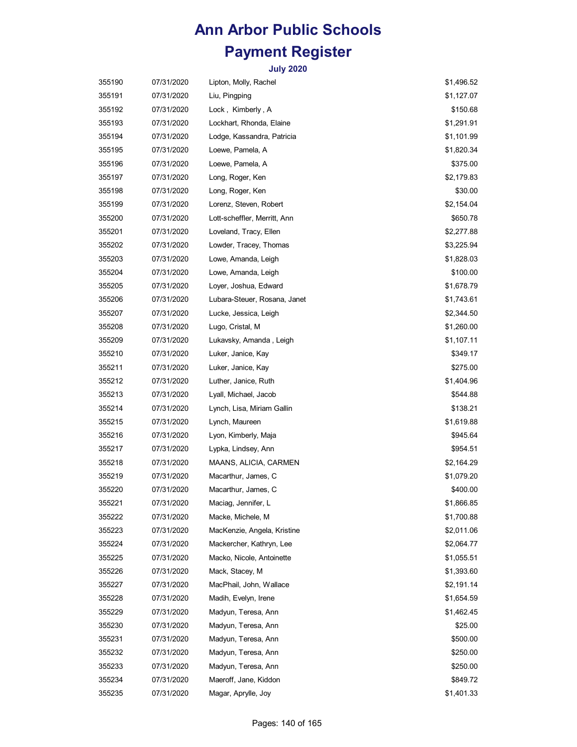| 355190 | 07/31/2020 | Lipton, Molly, Rachel        | \$1,496.52 |
|--------|------------|------------------------------|------------|
| 355191 | 07/31/2020 | Liu, Pingping                | \$1,127.07 |
| 355192 | 07/31/2020 | Lock, Kimberly, A            | \$150.68   |
| 355193 | 07/31/2020 | Lockhart, Rhonda, Elaine     | \$1,291.91 |
| 355194 | 07/31/2020 | Lodge, Kassandra, Patricia   | \$1,101.99 |
| 355195 | 07/31/2020 | Loewe, Pamela, A             | \$1,820.34 |
| 355196 | 07/31/2020 | Loewe, Pamela, A             | \$375.00   |
| 355197 | 07/31/2020 | Long, Roger, Ken             | \$2,179.83 |
| 355198 | 07/31/2020 | Long, Roger, Ken             | \$30.00    |
| 355199 | 07/31/2020 | Lorenz, Steven, Robert       | \$2,154.04 |
| 355200 | 07/31/2020 | Lott-scheffler, Merritt, Ann | \$650.78   |
| 355201 | 07/31/2020 | Loveland, Tracy, Ellen       | \$2,277.88 |
| 355202 | 07/31/2020 | Lowder, Tracey, Thomas       | \$3,225.94 |
| 355203 | 07/31/2020 | Lowe, Amanda, Leigh          | \$1,828.03 |
| 355204 | 07/31/2020 | Lowe, Amanda, Leigh          | \$100.00   |
| 355205 | 07/31/2020 | Loyer, Joshua, Edward        | \$1,678.79 |
| 355206 | 07/31/2020 | Lubara-Steuer, Rosana, Janet | \$1,743.61 |
| 355207 | 07/31/2020 | Lucke, Jessica, Leigh        | \$2,344.50 |
| 355208 | 07/31/2020 | Lugo, Cristal, M             | \$1,260.00 |
| 355209 | 07/31/2020 | Lukavsky, Amanda, Leigh      | \$1,107.11 |
| 355210 | 07/31/2020 | Luker, Janice, Kay           | \$349.17   |
| 355211 | 07/31/2020 | Luker, Janice, Kay           | \$275.00   |
| 355212 | 07/31/2020 | Luther, Janice, Ruth         | \$1,404.96 |
| 355213 | 07/31/2020 | Lyall, Michael, Jacob        | \$544.88   |
| 355214 | 07/31/2020 | Lynch, Lisa, Miriam Gallin   | \$138.21   |
| 355215 | 07/31/2020 | Lynch, Maureen               | \$1,619.88 |
| 355216 | 07/31/2020 | Lyon, Kimberly, Maja         | \$945.64   |
| 355217 | 07/31/2020 | Lypka, Lindsey, Ann          | \$954.51   |
| 355218 | 07/31/2020 | MAANS, ALICIA, CARMEN        | \$2,164.29 |
| 355219 | 07/31/2020 | Macarthur, James, C          | \$1,079.20 |
| 355220 | 07/31/2020 | Macarthur, James, C          | \$400.00   |
| 355221 | 07/31/2020 | Maciag, Jennifer, L          | \$1,866.85 |
| 355222 | 07/31/2020 | Macke, Michele, M            | \$1,700.88 |
| 355223 | 07/31/2020 | MacKenzie, Angela, Kristine  | \$2,011.06 |
| 355224 | 07/31/2020 | Mackercher, Kathryn, Lee     | \$2,064.77 |
| 355225 | 07/31/2020 | Macko, Nicole, Antoinette    | \$1,055.51 |
| 355226 | 07/31/2020 | Mack, Stacey, M              | \$1,393.60 |
| 355227 | 07/31/2020 | MacPhail, John, Wallace      | \$2,191.14 |
| 355228 | 07/31/2020 | Madih, Evelyn, Irene         | \$1,654.59 |
| 355229 | 07/31/2020 | Madyun, Teresa, Ann          | \$1,462.45 |
| 355230 | 07/31/2020 | Madyun, Teresa, Ann          | \$25.00    |
| 355231 | 07/31/2020 | Madyun, Teresa, Ann          | \$500.00   |
| 355232 | 07/31/2020 | Madyun, Teresa, Ann          | \$250.00   |
| 355233 | 07/31/2020 | Madyun, Teresa, Ann          | \$250.00   |
| 355234 | 07/31/2020 | Maeroff, Jane, Kiddon        | \$849.72   |
| 355235 | 07/31/2020 | Magar, Aprylle, Joy          | \$1,401.33 |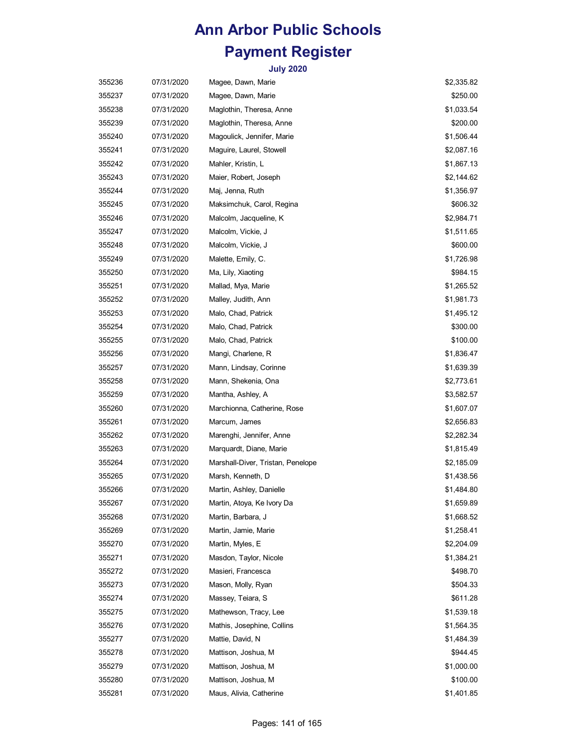| 355236 | 07/31/2020 | Magee, Dawn, Marie                | \$2,335.82 |
|--------|------------|-----------------------------------|------------|
| 355237 | 07/31/2020 | Magee, Dawn, Marie                | \$250.00   |
| 355238 | 07/31/2020 | Maglothin, Theresa, Anne          | \$1,033.54 |
| 355239 | 07/31/2020 | Maglothin, Theresa, Anne          | \$200.00   |
| 355240 | 07/31/2020 | Magoulick, Jennifer, Marie        | \$1,506.44 |
| 355241 | 07/31/2020 | Maguire, Laurel, Stowell          | \$2,087.16 |
| 355242 | 07/31/2020 | Mahler, Kristin, L                | \$1,867.13 |
| 355243 | 07/31/2020 | Maier, Robert, Joseph             | \$2,144.62 |
| 355244 | 07/31/2020 | Maj, Jenna, Ruth                  | \$1,356.97 |
| 355245 | 07/31/2020 | Maksimchuk, Carol, Regina         | \$606.32   |
| 355246 | 07/31/2020 | Malcolm, Jacqueline, K            | \$2,984.71 |
| 355247 | 07/31/2020 | Malcolm, Vickie, J                | \$1,511.65 |
| 355248 | 07/31/2020 | Malcolm, Vickie, J                | \$600.00   |
| 355249 | 07/31/2020 | Malette, Emily, C.                | \$1,726.98 |
| 355250 | 07/31/2020 | Ma, Lily, Xiaoting                | \$984.15   |
| 355251 | 07/31/2020 | Mallad, Mya, Marie                | \$1,265.52 |
| 355252 | 07/31/2020 | Malley, Judith, Ann               | \$1,981.73 |
| 355253 | 07/31/2020 | Malo, Chad, Patrick               | \$1,495.12 |
| 355254 | 07/31/2020 | Malo, Chad, Patrick               | \$300.00   |
| 355255 | 07/31/2020 | Malo, Chad, Patrick               | \$100.00   |
| 355256 | 07/31/2020 | Mangi, Charlene, R                | \$1,836.47 |
| 355257 | 07/31/2020 | Mann, Lindsay, Corinne            | \$1,639.39 |
| 355258 | 07/31/2020 | Mann, Shekenia, Ona               | \$2,773.61 |
| 355259 | 07/31/2020 | Mantha, Ashley, A                 | \$3,582.57 |
| 355260 | 07/31/2020 | Marchionna, Catherine, Rose       | \$1,607.07 |
| 355261 | 07/31/2020 | Marcum, James                     | \$2,656.83 |
| 355262 | 07/31/2020 | Marenghi, Jennifer, Anne          | \$2,282.34 |
| 355263 | 07/31/2020 | Marquardt, Diane, Marie           | \$1,815.49 |
| 355264 | 07/31/2020 | Marshall-Diver, Tristan, Penelope | \$2,185.09 |
| 355265 | 07/31/2020 | Marsh, Kenneth, D                 | \$1,438.56 |
| 355266 | 07/31/2020 | Martin, Ashley, Danielle          | \$1,484.80 |
| 355267 | 07/31/2020 | Martin, Atoya, Ke Ivory Da        | \$1,659.89 |
| 355268 | 07/31/2020 | Martin, Barbara, J                | \$1,668.52 |
| 355269 | 07/31/2020 | Martin, Jamie, Marie              | \$1,258.41 |
| 355270 | 07/31/2020 | Martin, Myles, E                  | \$2,204.09 |
| 355271 | 07/31/2020 | Masdon, Taylor, Nicole            | \$1,384.21 |
| 355272 | 07/31/2020 | Masieri, Francesca                | \$498.70   |
| 355273 | 07/31/2020 | Mason, Molly, Ryan                | \$504.33   |
| 355274 | 07/31/2020 | Massey, Teiara, S                 | \$611.28   |
| 355275 | 07/31/2020 | Mathewson, Tracy, Lee             | \$1,539.18 |
| 355276 | 07/31/2020 | Mathis, Josephine, Collins        | \$1,564.35 |
| 355277 | 07/31/2020 | Mattie, David, N                  | \$1,484.39 |
| 355278 | 07/31/2020 | Mattison, Joshua, M               | \$944.45   |
| 355279 | 07/31/2020 | Mattison, Joshua, M               | \$1,000.00 |
| 355280 | 07/31/2020 | Mattison, Joshua, M               | \$100.00   |
| 355281 | 07/31/2020 | Maus, Alivia, Catherine           | \$1,401.85 |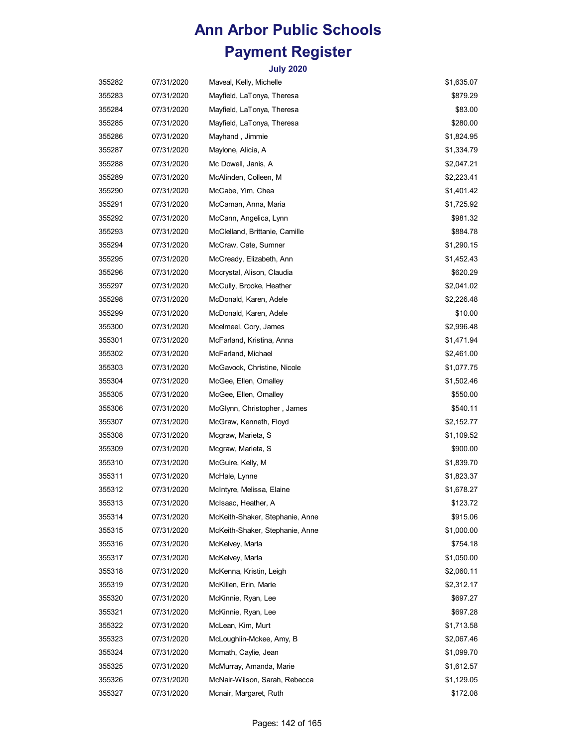| 355282 | 07/31/2020 | Maveal, Kelly, Michelle         | \$1,635.07 |
|--------|------------|---------------------------------|------------|
| 355283 | 07/31/2020 | Mayfield, LaTonya, Theresa      | \$879.29   |
| 355284 | 07/31/2020 | Mayfield, LaTonya, Theresa      | \$83.00    |
| 355285 | 07/31/2020 | Mayfield, LaTonya, Theresa      | \$280.00   |
| 355286 | 07/31/2020 | Mayhand, Jimmie                 | \$1,824.95 |
| 355287 | 07/31/2020 | Maylone, Alicia, A              | \$1,334.79 |
| 355288 | 07/31/2020 | Mc Dowell, Janis, A             | \$2,047.21 |
| 355289 | 07/31/2020 | McAlinden, Colleen, M           | \$2,223.41 |
| 355290 | 07/31/2020 | McCabe, Yim, Chea               | \$1,401.42 |
| 355291 | 07/31/2020 | McCaman, Anna, Maria            | \$1,725.92 |
| 355292 | 07/31/2020 | McCann, Angelica, Lynn          | \$981.32   |
| 355293 | 07/31/2020 | McClelland, Brittanie, Camille  | \$884.78   |
| 355294 | 07/31/2020 | McCraw, Cate, Sumner            | \$1,290.15 |
| 355295 | 07/31/2020 | McCready, Elizabeth, Ann        | \$1,452.43 |
| 355296 | 07/31/2020 | Mccrystal, Alison, Claudia      | \$620.29   |
| 355297 | 07/31/2020 | McCully, Brooke, Heather        | \$2,041.02 |
| 355298 | 07/31/2020 | McDonald, Karen, Adele          | \$2,226.48 |
| 355299 | 07/31/2020 | McDonald, Karen, Adele          | \$10.00    |
| 355300 | 07/31/2020 | Mcelmeel, Cory, James           | \$2,996.48 |
| 355301 | 07/31/2020 | McFarland, Kristina, Anna       | \$1,471.94 |
| 355302 | 07/31/2020 | McFarland, Michael              | \$2,461.00 |
| 355303 | 07/31/2020 | McGavock, Christine, Nicole     | \$1,077.75 |
| 355304 | 07/31/2020 | McGee, Ellen, Omalley           | \$1,502.46 |
| 355305 | 07/31/2020 | McGee, Ellen, Omalley           | \$550.00   |
| 355306 | 07/31/2020 | McGlynn, Christopher, James     | \$540.11   |
| 355307 | 07/31/2020 | McGraw, Kenneth, Floyd          | \$2,152.77 |
| 355308 | 07/31/2020 | Mcgraw, Marieta, S              | \$1,109.52 |
| 355309 | 07/31/2020 | Mcgraw, Marieta, S              | \$900.00   |
| 355310 | 07/31/2020 | McGuire, Kelly, M               | \$1,839.70 |
| 355311 | 07/31/2020 | McHale, Lynne                   | \$1,823.37 |
| 355312 | 07/31/2020 | McIntyre, Melissa, Elaine       | \$1,678.27 |
| 355313 | 07/31/2020 | McIsaac, Heather, A             | \$123.72   |
| 355314 | 07/31/2020 | McKeith-Shaker, Stephanie, Anne | \$915.06   |
| 355315 | 07/31/2020 | McKeith-Shaker, Stephanie, Anne | \$1,000.00 |
| 355316 | 07/31/2020 | McKelvey, Marla                 | \$754.18   |
| 355317 | 07/31/2020 | McKelvey, Marla                 | \$1,050.00 |
| 355318 | 07/31/2020 | McKenna, Kristin, Leigh         | \$2,060.11 |
| 355319 | 07/31/2020 | McKillen, Erin, Marie           | \$2,312.17 |
| 355320 | 07/31/2020 | McKinnie, Ryan, Lee             | \$697.27   |
| 355321 | 07/31/2020 | McKinnie, Ryan, Lee             | \$697.28   |
| 355322 | 07/31/2020 | McLean, Kim, Murt               | \$1,713.58 |
| 355323 | 07/31/2020 | McLoughlin-Mckee, Amy, B        | \$2,067.46 |
| 355324 | 07/31/2020 | Mcmath, Caylie, Jean            | \$1,099.70 |
| 355325 | 07/31/2020 | McMurray, Amanda, Marie         | \$1,612.57 |
| 355326 | 07/31/2020 | McNair-Wilson, Sarah, Rebecca   | \$1,129.05 |
| 355327 | 07/31/2020 | Mcnair, Margaret, Ruth          | \$172.08   |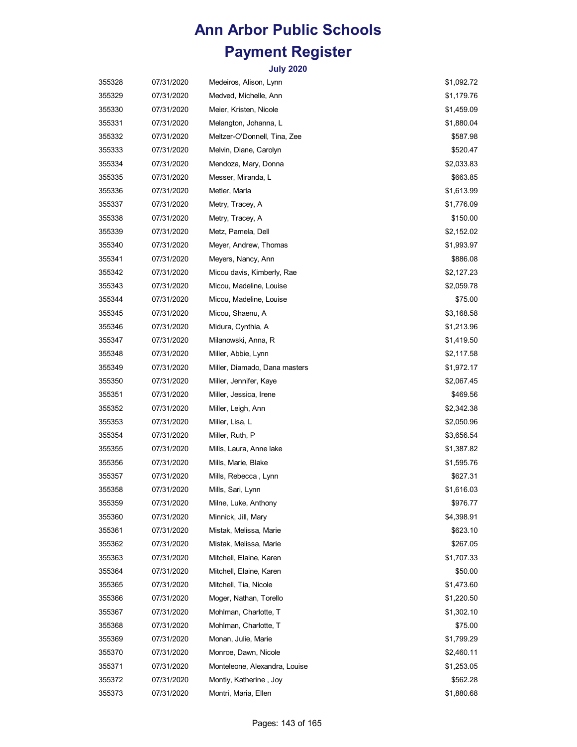| 355328 | 07/31/2020 | Medeiros, Alison, Lynn        | \$1,092.72 |
|--------|------------|-------------------------------|------------|
| 355329 | 07/31/2020 | Medved, Michelle, Ann         | \$1,179.76 |
| 355330 | 07/31/2020 | Meier, Kristen, Nicole        | \$1,459.09 |
| 355331 | 07/31/2020 | Melangton, Johanna, L         | \$1,880.04 |
| 355332 | 07/31/2020 | Meltzer-O'Donnell, Tina, Zee  | \$587.98   |
| 355333 | 07/31/2020 | Melvin, Diane, Carolyn        | \$520.47   |
| 355334 | 07/31/2020 | Mendoza, Mary, Donna          | \$2,033.83 |
| 355335 | 07/31/2020 | Messer, Miranda, L            | \$663.85   |
| 355336 | 07/31/2020 | Metler, Marla                 | \$1,613.99 |
| 355337 | 07/31/2020 | Metry, Tracey, A              | \$1,776.09 |
| 355338 | 07/31/2020 | Metry, Tracey, A              | \$150.00   |
| 355339 | 07/31/2020 | Metz, Pamela, Dell            | \$2,152.02 |
| 355340 | 07/31/2020 | Meyer, Andrew, Thomas         | \$1,993.97 |
| 355341 | 07/31/2020 | Meyers, Nancy, Ann            | \$886.08   |
| 355342 | 07/31/2020 | Micou davis, Kimberly, Rae    | \$2,127.23 |
| 355343 | 07/31/2020 | Micou, Madeline, Louise       | \$2,059.78 |
| 355344 | 07/31/2020 | Micou, Madeline, Louise       | \$75.00    |
| 355345 | 07/31/2020 | Micou, Shaenu, A              | \$3,168.58 |
| 355346 | 07/31/2020 | Midura, Cynthia, A            | \$1,213.96 |
| 355347 | 07/31/2020 | Milanowski, Anna, R           | \$1,419.50 |
| 355348 | 07/31/2020 | Miller, Abbie, Lynn           | \$2,117.58 |
| 355349 | 07/31/2020 | Miller, Diamado, Dana masters | \$1,972.17 |
| 355350 | 07/31/2020 | Miller, Jennifer, Kaye        | \$2,067.45 |
| 355351 | 07/31/2020 | Miller, Jessica, Irene        | \$469.56   |
| 355352 | 07/31/2020 | Miller, Leigh, Ann            | \$2,342.38 |
| 355353 | 07/31/2020 | Miller, Lisa, L               | \$2,050.96 |
| 355354 | 07/31/2020 | Miller, Ruth, P               | \$3,656.54 |
| 355355 | 07/31/2020 | Mills, Laura, Anne lake       | \$1,387.82 |
| 355356 | 07/31/2020 | Mills, Marie, Blake           | \$1,595.76 |
| 355357 | 07/31/2020 | Mills, Rebecca , Lynn         | \$627.31   |
| 355358 | 07/31/2020 | Mills, Sari, Lynn             | \$1,616.03 |
| 355359 | 07/31/2020 | Milne, Luke, Anthony          | \$976.77   |
| 355360 | 07/31/2020 | Minnick, Jill, Mary           | \$4,398.91 |
| 355361 | 07/31/2020 | Mistak, Melissa, Marie        | \$623.10   |
| 355362 | 07/31/2020 | Mistak, Melissa, Marie        | \$267.05   |
| 355363 | 07/31/2020 | Mitchell, Elaine, Karen       | \$1,707.33 |
| 355364 | 07/31/2020 | Mitchell, Elaine, Karen       | \$50.00    |
| 355365 | 07/31/2020 | Mitchell, Tia, Nicole         | \$1,473.60 |
| 355366 | 07/31/2020 | Moger, Nathan, Torello        | \$1,220.50 |
| 355367 | 07/31/2020 | Mohlman, Charlotte, T         | \$1,302.10 |
| 355368 | 07/31/2020 | Mohlman, Charlotte, T         | \$75.00    |
| 355369 | 07/31/2020 | Monan, Julie, Marie           | \$1,799.29 |
| 355370 | 07/31/2020 | Monroe, Dawn, Nicole          | \$2,460.11 |
| 355371 | 07/31/2020 | Monteleone, Alexandra, Louise | \$1,253.05 |
| 355372 | 07/31/2020 | Montiy, Katherine, Joy        | \$562.28   |
| 355373 | 07/31/2020 | Montri, Maria, Ellen          | \$1,880.68 |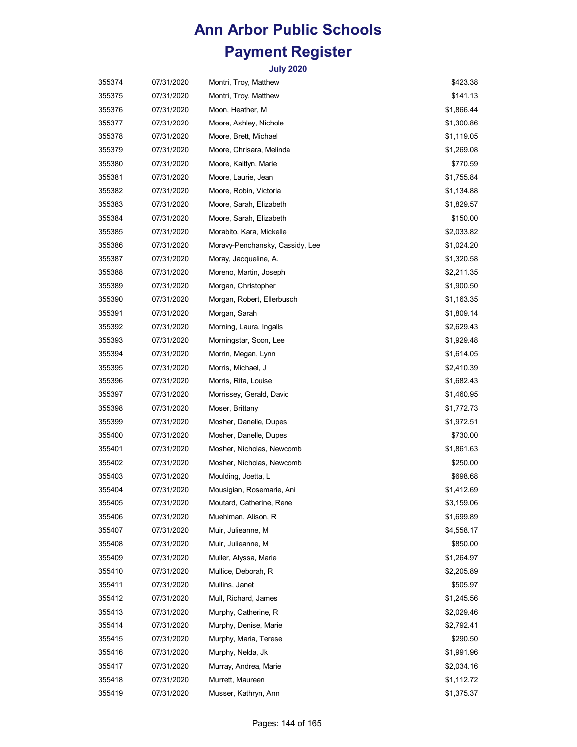| 355374 | 07/31/2020 | Montri, Troy, Matthew           | \$423.38   |
|--------|------------|---------------------------------|------------|
| 355375 | 07/31/2020 | Montri, Troy, Matthew           | \$141.13   |
| 355376 | 07/31/2020 | Moon, Heather, M                | \$1,866.44 |
| 355377 | 07/31/2020 | Moore, Ashley, Nichole          | \$1,300.86 |
| 355378 | 07/31/2020 | Moore, Brett, Michael           | \$1,119.05 |
| 355379 | 07/31/2020 | Moore, Chrisara, Melinda        | \$1,269.08 |
| 355380 | 07/31/2020 | Moore, Kaitlyn, Marie           | \$770.59   |
| 355381 | 07/31/2020 | Moore, Laurie, Jean             | \$1,755.84 |
| 355382 | 07/31/2020 | Moore, Robin, Victoria          | \$1,134.88 |
| 355383 | 07/31/2020 | Moore, Sarah, Elizabeth         | \$1,829.57 |
| 355384 | 07/31/2020 | Moore, Sarah, Elizabeth         | \$150.00   |
| 355385 | 07/31/2020 | Morabito, Kara, Mickelle        | \$2,033.82 |
| 355386 | 07/31/2020 | Moravy-Penchansky, Cassidy, Lee | \$1,024.20 |
| 355387 | 07/31/2020 | Moray, Jacqueline, A.           | \$1,320.58 |
| 355388 | 07/31/2020 | Moreno, Martin, Joseph          | \$2,211.35 |
| 355389 | 07/31/2020 | Morgan, Christopher             | \$1,900.50 |
| 355390 | 07/31/2020 | Morgan, Robert, Ellerbusch      | \$1,163.35 |
| 355391 | 07/31/2020 | Morgan, Sarah                   | \$1,809.14 |
| 355392 | 07/31/2020 | Morning, Laura, Ingalls         | \$2,629.43 |
| 355393 | 07/31/2020 | Morningstar, Soon, Lee          | \$1,929.48 |
| 355394 | 07/31/2020 | Morrin, Megan, Lynn             | \$1,614.05 |
| 355395 | 07/31/2020 | Morris, Michael, J              | \$2,410.39 |
| 355396 | 07/31/2020 | Morris, Rita, Louise            | \$1,682.43 |
| 355397 | 07/31/2020 | Morrissey, Gerald, David        | \$1,460.95 |
| 355398 | 07/31/2020 | Moser, Brittany                 | \$1,772.73 |
| 355399 | 07/31/2020 | Mosher, Danelle, Dupes          | \$1,972.51 |
| 355400 | 07/31/2020 | Mosher, Danelle, Dupes          | \$730.00   |
| 355401 | 07/31/2020 | Mosher, Nicholas, Newcomb       | \$1,861.63 |
| 355402 | 07/31/2020 | Mosher, Nicholas, Newcomb       | \$250.00   |
| 355403 | 07/31/2020 | Moulding, Joetta, L             | \$698.68   |
| 355404 | 07/31/2020 | Mousigian, Rosemarie, Ani       | \$1,412.69 |
| 355405 | 07/31/2020 | Moutard, Catherine, Rene        | \$3,159.06 |
| 355406 | 07/31/2020 | Muehlman, Alison, R             | \$1,699.89 |
| 355407 | 07/31/2020 | Muir, Julieanne, M              | \$4,558.17 |
| 355408 | 07/31/2020 | Muir, Julieanne, M              | \$850.00   |
| 355409 | 07/31/2020 | Muller, Alyssa, Marie           | \$1,264.97 |
| 355410 | 07/31/2020 | Mullice, Deborah, R             | \$2,205.89 |
| 355411 | 07/31/2020 | Mullins, Janet                  | \$505.97   |
| 355412 | 07/31/2020 | Mull, Richard, James            | \$1,245.56 |
| 355413 | 07/31/2020 | Murphy, Catherine, R            | \$2,029.46 |
| 355414 | 07/31/2020 | Murphy, Denise, Marie           | \$2,792.41 |
| 355415 | 07/31/2020 | Murphy, Maria, Terese           | \$290.50   |
| 355416 | 07/31/2020 | Murphy, Nelda, Jk               | \$1,991.96 |
| 355417 | 07/31/2020 | Murray, Andrea, Marie           | \$2,034.16 |
| 355418 | 07/31/2020 | Murrett, Maureen                | \$1,112.72 |
| 355419 | 07/31/2020 | Musser, Kathryn, Ann            | \$1,375.37 |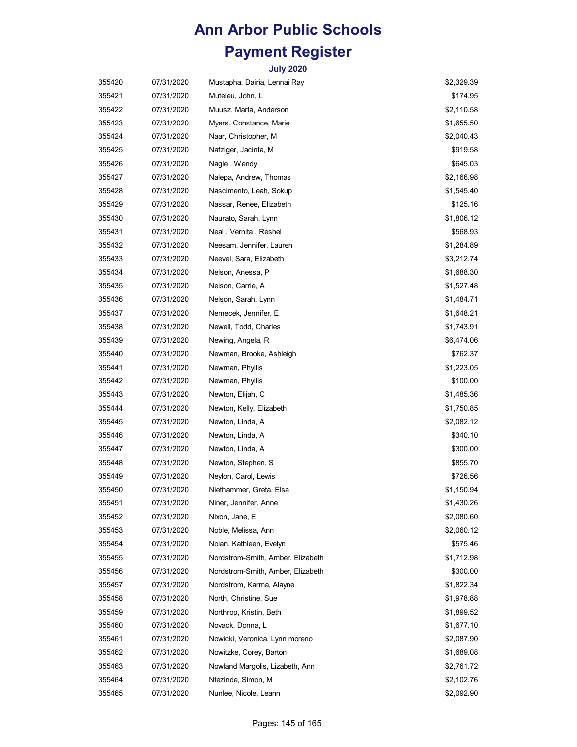| 355420 | 07/31/2020 | Mustapha, Dairia, Lennai Ray      | \$2,329.39 |
|--------|------------|-----------------------------------|------------|
| 355421 | 07/31/2020 | Muteleu, John, L                  | \$174.95   |
| 355422 | 07/31/2020 | Muusz, Marta, Anderson            | \$2,110.58 |
| 355423 | 07/31/2020 | Myers, Constance, Marie           | \$1,655.50 |
| 355424 | 07/31/2020 | Naar, Christopher, M              | \$2,040.43 |
| 355425 | 07/31/2020 | Nafziger, Jacinta, M              | \$919.58   |
| 355426 | 07/31/2020 | Nagle, Wendy                      | \$645.03   |
| 355427 | 07/31/2020 | Nalepa, Andrew, Thomas            | \$2,166.98 |
| 355428 | 07/31/2020 | Nascimento, Leah, Sokup           | \$1,545.40 |
| 355429 | 07/31/2020 | Nassar, Renee, Elizabeth          | \$125.16   |
| 355430 | 07/31/2020 | Naurato, Sarah, Lynn              | \$1,806.12 |
| 355431 | 07/31/2020 | Neal, Vernita, Reshel             | \$568.93   |
| 355432 | 07/31/2020 | Neesam, Jennifer, Lauren          | \$1,284.89 |
| 355433 | 07/31/2020 | Neevel, Sara, Elizabeth           | \$3,212.74 |
| 355434 | 07/31/2020 | Nelson, Anessa, P                 | \$1,688.30 |
| 355435 | 07/31/2020 | Nelson, Carrie, A                 | \$1,527.48 |
| 355436 | 07/31/2020 | Nelson, Sarah, Lynn               | \$1,484.71 |
| 355437 | 07/31/2020 | Nemecek, Jennifer, E              | \$1,648.21 |
| 355438 | 07/31/2020 | Newell, Todd, Charles             | \$1,743.91 |
| 355439 | 07/31/2020 | Newing, Angela, R                 | \$6,474.06 |
| 355440 | 07/31/2020 | Newman, Brooke, Ashleigh          | \$762.37   |
| 355441 | 07/31/2020 | Newman, Phyllis                   | \$1,223.05 |
| 355442 | 07/31/2020 | Newman, Phyllis                   | \$100.00   |
| 355443 | 07/31/2020 | Newton, Elijah, C                 | \$1,485.36 |
| 355444 | 07/31/2020 | Newton, Kelly, Elizabeth          | \$1,750.85 |
| 355445 | 07/31/2020 | Newton, Linda, A                  | \$2,082.12 |
| 355446 | 07/31/2020 | Newton, Linda, A                  | \$340.10   |
| 355447 | 07/31/2020 | Newton, Linda, A                  | \$300.00   |
| 355448 | 07/31/2020 | Newton, Stephen, S                | \$855.70   |
| 355449 | 07/31/2020 | Neylon, Carol, Lewis              | \$726.56   |
| 355450 | 07/31/2020 | Niethammer, Greta, Elsa           | \$1,150.94 |
| 355451 | 07/31/2020 | Niner, Jennifer, Anne             | \$1,430.26 |
| 355452 | 07/31/2020 | Nixon, Jane, E                    | \$2,080.60 |
| 355453 | 07/31/2020 | Noble, Melissa, Ann               | \$2,060.12 |
| 355454 | 07/31/2020 | Nolan, Kathleen, Evelyn           | \$575.46   |
| 355455 | 07/31/2020 | Nordstrom-Smith, Amber, Elizabeth | \$1,712.98 |
| 355456 | 07/31/2020 | Nordstrom-Smith, Amber, Elizabeth | \$300.00   |
| 355457 | 07/31/2020 | Nordstrom, Karma, Alayne          | \$1,822.34 |
| 355458 | 07/31/2020 | North, Christine, Sue             | \$1,978.88 |
| 355459 | 07/31/2020 | Northrop, Kristin, Beth           | \$1,899.52 |
| 355460 | 07/31/2020 | Novack, Donna, L                  | \$1,677.10 |
| 355461 | 07/31/2020 | Nowicki, Veronica, Lynn moreno    | \$2,087.90 |
| 355462 | 07/31/2020 | Nowitzke, Corey, Barton           | \$1,689.08 |
| 355463 | 07/31/2020 | Nowland Margolis, Lizabeth, Ann   | \$2,761.72 |
| 355464 | 07/31/2020 | Ntezinde, Simon, M                | \$2,102.76 |
| 355465 | 07/31/2020 | Nunlee, Nicole, Leann             | \$2,092.90 |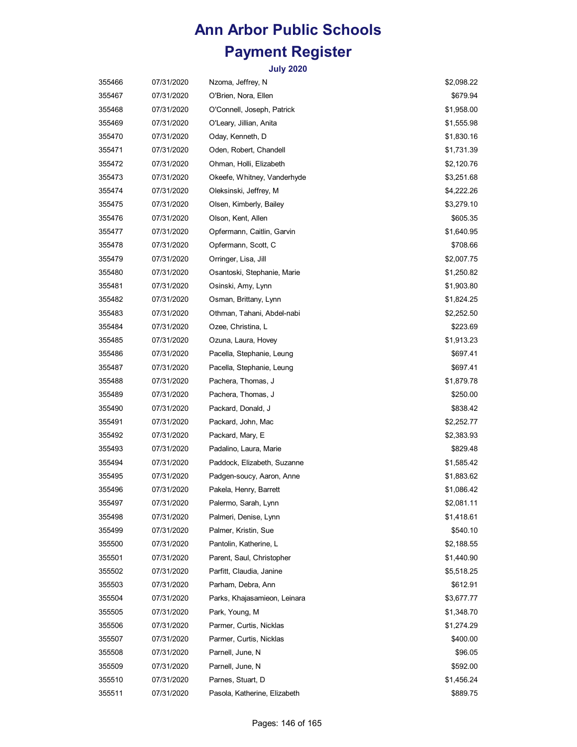| 355466 | 07/31/2020 | Nzoma, Jeffrey, N            | \$2,098.22 |
|--------|------------|------------------------------|------------|
| 355467 | 07/31/2020 | O'Brien, Nora, Ellen         | \$679.94   |
| 355468 | 07/31/2020 | O'Connell, Joseph, Patrick   | \$1,958.00 |
| 355469 | 07/31/2020 | O'Leary, Jillian, Anita      | \$1,555.98 |
| 355470 | 07/31/2020 | Oday, Kenneth, D             | \$1,830.16 |
| 355471 | 07/31/2020 | Oden, Robert, Chandell       | \$1,731.39 |
| 355472 | 07/31/2020 | Ohman, Holli, Elizabeth      | \$2,120.76 |
| 355473 | 07/31/2020 | Okeefe, Whitney, Vanderhyde  | \$3,251.68 |
| 355474 | 07/31/2020 | Oleksinski, Jeffrey, M       | \$4,222.26 |
| 355475 | 07/31/2020 | Olsen, Kimberly, Bailey      | \$3,279.10 |
| 355476 | 07/31/2020 | Olson, Kent, Allen           | \$605.35   |
| 355477 | 07/31/2020 | Opfermann, Caitlin, Garvin   | \$1,640.95 |
| 355478 | 07/31/2020 | Opfermann, Scott, C          | \$708.66   |
| 355479 | 07/31/2020 | Orringer, Lisa, Jill         | \$2,007.75 |
| 355480 | 07/31/2020 | Osantoski, Stephanie, Marie  | \$1,250.82 |
| 355481 | 07/31/2020 | Osinski, Amy, Lynn           | \$1,903.80 |
| 355482 | 07/31/2020 | Osman, Brittany, Lynn        | \$1,824.25 |
| 355483 | 07/31/2020 | Othman, Tahani, Abdel-nabi   | \$2,252.50 |
| 355484 | 07/31/2020 | Ozee, Christina, L           | \$223.69   |
| 355485 | 07/31/2020 | Ozuna, Laura, Hovey          | \$1,913.23 |
| 355486 | 07/31/2020 | Pacella, Stephanie, Leung    | \$697.41   |
| 355487 | 07/31/2020 | Pacella, Stephanie, Leung    | \$697.41   |
| 355488 | 07/31/2020 | Pachera, Thomas, J           | \$1,879.78 |
| 355489 | 07/31/2020 | Pachera, Thomas, J           | \$250.00   |
| 355490 | 07/31/2020 | Packard, Donald, J           | \$838.42   |
| 355491 | 07/31/2020 | Packard, John, Mac           | \$2,252.77 |
| 355492 | 07/31/2020 | Packard, Mary, E             | \$2,383.93 |
| 355493 | 07/31/2020 | Padalino, Laura, Marie       | \$829.48   |
| 355494 | 07/31/2020 | Paddock, Elizabeth, Suzanne  | \$1,585.42 |
| 355495 | 07/31/2020 | Padgen-soucy, Aaron, Anne    | \$1,883.62 |
| 355496 | 07/31/2020 | Pakela, Henry, Barrett       | \$1,086.42 |
| 355497 | 07/31/2020 | Palermo, Sarah, Lynn         | \$2,081.11 |
| 355498 | 07/31/2020 | Palmeri, Denise, Lynn        | \$1,418.61 |
| 355499 | 07/31/2020 | Palmer, Kristin, Sue         | \$540.10   |
| 355500 | 07/31/2020 | Pantolin, Katherine, L       | \$2,188.55 |
| 355501 | 07/31/2020 | Parent, Saul, Christopher    | \$1,440.90 |
| 355502 | 07/31/2020 | Parfitt, Claudia, Janine     | \$5,518.25 |
| 355503 | 07/31/2020 | Parham, Debra, Ann           | \$612.91   |
| 355504 | 07/31/2020 | Parks, Khajasamieon, Leinara | \$3,677.77 |
| 355505 | 07/31/2020 | Park, Young, M               | \$1,348.70 |
| 355506 | 07/31/2020 | Parmer, Curtis, Nicklas      | \$1,274.29 |
| 355507 | 07/31/2020 | Parmer, Curtis, Nicklas      | \$400.00   |
| 355508 | 07/31/2020 | Parnell, June, N             | \$96.05    |
| 355509 | 07/31/2020 | Parnell, June, N             | \$592.00   |
| 355510 | 07/31/2020 | Parnes, Stuart, D            | \$1,456.24 |
| 355511 | 07/31/2020 | Pasola, Katherine, Elizabeth | \$889.75   |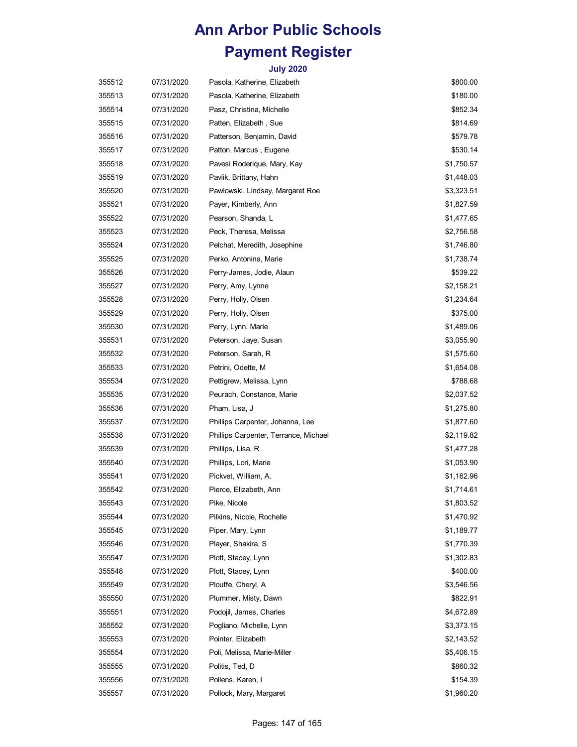| 355512 | 07/31/2020 | Pasola, Katherine, Elizabeth          | \$800.00   |
|--------|------------|---------------------------------------|------------|
| 355513 | 07/31/2020 | Pasola, Katherine, Elizabeth          | \$180.00   |
| 355514 | 07/31/2020 | Pasz, Christina, Michelle             | \$852.34   |
| 355515 | 07/31/2020 | Patten, Elizabeth , Sue               | \$814.69   |
| 355516 | 07/31/2020 | Patterson, Benjamin, David            | \$579.78   |
| 355517 | 07/31/2020 | Patton, Marcus, Eugene                | \$530.14   |
| 355518 | 07/31/2020 | Pavesi Roderique, Mary, Kay           | \$1,750.57 |
| 355519 | 07/31/2020 | Pavlik, Brittany, Hahn                | \$1,448.03 |
| 355520 | 07/31/2020 | Pawlowski, Lindsay, Margaret Roe      | \$3,323.51 |
| 355521 | 07/31/2020 | Payer, Kimberly, Ann                  | \$1,827.59 |
| 355522 | 07/31/2020 | Pearson, Shanda, L                    | \$1,477.65 |
| 355523 | 07/31/2020 | Peck, Theresa, Melissa                | \$2,756.58 |
| 355524 | 07/31/2020 | Pelchat, Meredith, Josephine          | \$1,746.80 |
| 355525 | 07/31/2020 | Perko, Antonina, Marie                | \$1,738.74 |
| 355526 | 07/31/2020 | Perry-James, Jodie, Alaun             | \$539.22   |
| 355527 | 07/31/2020 | Perry, Amy, Lynne                     | \$2,158.21 |
| 355528 | 07/31/2020 | Perry, Holly, Olsen                   | \$1,234.64 |
| 355529 | 07/31/2020 | Perry, Holly, Olsen                   | \$375.00   |
| 355530 | 07/31/2020 | Perry, Lynn, Marie                    | \$1,489.06 |
| 355531 | 07/31/2020 | Peterson, Jaye, Susan                 | \$3,055.90 |
| 355532 | 07/31/2020 | Peterson, Sarah, R                    | \$1,575.60 |
| 355533 | 07/31/2020 | Petrini, Odette, M                    | \$1,654.08 |
| 355534 | 07/31/2020 | Pettigrew, Melissa, Lynn              | \$788.68   |
| 355535 | 07/31/2020 | Peurach, Constance, Marie             | \$2,037.52 |
| 355536 | 07/31/2020 | Pham, Lisa, J                         | \$1,275.80 |
| 355537 | 07/31/2020 | Phillips Carpenter, Johanna, Lee      | \$1,877.60 |
| 355538 | 07/31/2020 | Phillips Carpenter, Terrance, Michael | \$2,119.82 |
| 355539 | 07/31/2020 | Phillips, Lisa, R                     | \$1,477.28 |
| 355540 | 07/31/2020 | Phillips, Lori, Marie                 | \$1,053.90 |
| 355541 | 07/31/2020 | Pickvet, William, A.                  | \$1,162.96 |
| 355542 | 07/31/2020 | Pierce, Elizabeth, Ann                | \$1,714.61 |
| 355543 | 07/31/2020 | Pike, Nicole                          | \$1,803.52 |
| 355544 | 07/31/2020 | Pilkins, Nicole, Rochelle             | \$1,470.92 |
| 355545 | 07/31/2020 | Piper, Mary, Lynn                     | \$1,189.77 |
| 355546 | 07/31/2020 | Player, Shakira, S                    | \$1,770.39 |
| 355547 | 07/31/2020 | Plott, Stacey, Lynn                   | \$1,302.83 |
| 355548 | 07/31/2020 | Plott, Stacey, Lynn                   | \$400.00   |
| 355549 | 07/31/2020 | Plouffe, Cheryl, A                    | \$3,546.56 |
| 355550 | 07/31/2020 | Plummer, Misty, Dawn                  | \$822.91   |
| 355551 | 07/31/2020 | Podojil, James, Charles               | \$4,672.89 |
| 355552 | 07/31/2020 | Pogliano, Michelle, Lynn              | \$3,373.15 |
| 355553 | 07/31/2020 | Pointer, Elizabeth                    | \$2,143.52 |
| 355554 | 07/31/2020 | Poli, Melissa, Marie-Miller           | \$5,406.15 |
| 355555 | 07/31/2020 | Politis, Ted, D                       | \$860.32   |
| 355556 | 07/31/2020 | Pollens, Karen, I                     | \$154.39   |
| 355557 | 07/31/2020 | Pollock, Mary, Margaret               | \$1,960.20 |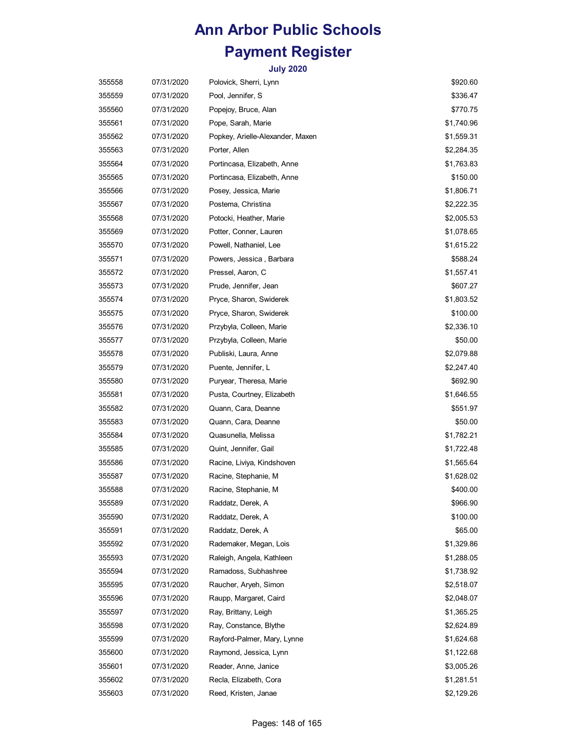| 355558 | 07/31/2020 | Polovick, Sherri, Lynn           | \$920.60   |
|--------|------------|----------------------------------|------------|
| 355559 | 07/31/2020 | Pool, Jennifer, S                | \$336.47   |
| 355560 | 07/31/2020 | Popejoy, Bruce, Alan             | \$770.75   |
| 355561 | 07/31/2020 | Pope, Sarah, Marie               | \$1,740.96 |
| 355562 | 07/31/2020 | Popkey, Arielle-Alexander, Maxen | \$1,559.31 |
| 355563 | 07/31/2020 | Porter, Allen                    | \$2,284.35 |
| 355564 | 07/31/2020 | Portincasa, Elizabeth, Anne      | \$1,763.83 |
| 355565 | 07/31/2020 | Portincasa, Elizabeth, Anne      | \$150.00   |
| 355566 | 07/31/2020 | Posey, Jessica, Marie            | \$1,806.71 |
| 355567 | 07/31/2020 | Postema, Christina               | \$2,222.35 |
| 355568 | 07/31/2020 | Potocki, Heather, Marie          | \$2,005.53 |
| 355569 | 07/31/2020 | Potter, Conner, Lauren           | \$1,078.65 |
| 355570 | 07/31/2020 | Powell, Nathaniel, Lee           | \$1,615.22 |
| 355571 | 07/31/2020 | Powers, Jessica, Barbara         | \$588.24   |
| 355572 | 07/31/2020 | Pressel, Aaron, C                | \$1,557.41 |
| 355573 | 07/31/2020 | Prude, Jennifer, Jean            | \$607.27   |
| 355574 | 07/31/2020 | Pryce, Sharon, Swiderek          | \$1,803.52 |
| 355575 | 07/31/2020 | Pryce, Sharon, Swiderek          | \$100.00   |
| 355576 | 07/31/2020 | Przybyla, Colleen, Marie         | \$2,336.10 |
| 355577 | 07/31/2020 | Przybyla, Colleen, Marie         | \$50.00    |
| 355578 | 07/31/2020 | Publiski, Laura, Anne            | \$2,079.88 |
| 355579 | 07/31/2020 | Puente, Jennifer, L              | \$2,247.40 |
| 355580 | 07/31/2020 | Puryear, Theresa, Marie          | \$692.90   |
| 355581 | 07/31/2020 | Pusta, Courtney, Elizabeth       | \$1,646.55 |
| 355582 | 07/31/2020 | Quann, Cara, Deanne              | \$551.97   |
| 355583 | 07/31/2020 | Quann, Cara, Deanne              | \$50.00    |
| 355584 | 07/31/2020 | Quasunella, Melissa              | \$1,782.21 |
| 355585 | 07/31/2020 | Quint, Jennifer, Gail            | \$1,722.48 |
| 355586 | 07/31/2020 | Racine, Liviya, Kindshoven       | \$1,565.64 |
| 355587 | 07/31/2020 | Racine, Stephanie, M             | \$1,628.02 |
| 355588 | 07/31/2020 | Racine, Stephanie, M             | \$400.00   |
| 355589 | 07/31/2020 | Raddatz, Derek, A                | \$966.90   |
| 355590 | 07/31/2020 | Raddatz, Derek, A                | \$100.00   |
| 355591 | 07/31/2020 | Raddatz, Derek, A                | \$65.00    |
| 355592 | 07/31/2020 | Rademaker, Megan, Lois           | \$1,329.86 |
| 355593 | 07/31/2020 | Raleigh, Angela, Kathleen        | \$1,288.05 |
| 355594 | 07/31/2020 | Ramadoss, Subhashree             | \$1,738.92 |
| 355595 | 07/31/2020 | Raucher, Aryeh, Simon            | \$2,518.07 |
| 355596 | 07/31/2020 | Raupp, Margaret, Caird           | \$2,048.07 |
| 355597 | 07/31/2020 | Ray, Brittany, Leigh             | \$1,365.25 |
| 355598 | 07/31/2020 | Ray, Constance, Blythe           | \$2,624.89 |
| 355599 | 07/31/2020 | Rayford-Palmer, Mary, Lynne      | \$1,624.68 |
| 355600 | 07/31/2020 | Raymond, Jessica, Lynn           | \$1,122.68 |
| 355601 | 07/31/2020 | Reader, Anne, Janice             | \$3,005.26 |
| 355602 | 07/31/2020 | Recla, Elizabeth, Cora           | \$1,281.51 |
| 355603 | 07/31/2020 | Reed, Kristen, Janae             | \$2,129.26 |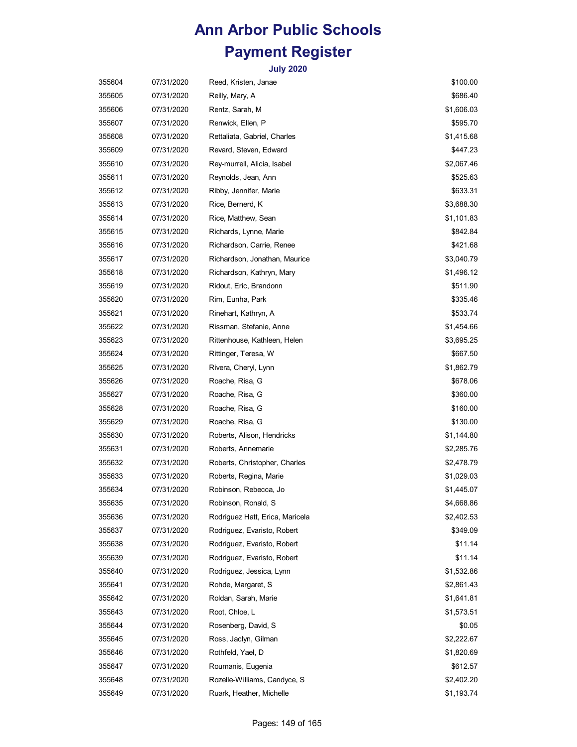| 355604 | 07/31/2020 | Reed, Kristen, Janae            | \$100.00   |
|--------|------------|---------------------------------|------------|
| 355605 | 07/31/2020 | Reilly, Mary, A                 | \$686.40   |
| 355606 | 07/31/2020 | Rentz, Sarah, M                 | \$1,606.03 |
| 355607 | 07/31/2020 | Renwick, Ellen, P               | \$595.70   |
| 355608 | 07/31/2020 | Rettaliata, Gabriel, Charles    | \$1,415.68 |
| 355609 | 07/31/2020 | Revard, Steven, Edward          | \$447.23   |
| 355610 | 07/31/2020 | Rey-murrell, Alicia, Isabel     | \$2,067.46 |
| 355611 | 07/31/2020 | Reynolds, Jean, Ann             | \$525.63   |
| 355612 | 07/31/2020 | Ribby, Jennifer, Marie          | \$633.31   |
| 355613 | 07/31/2020 | Rice, Bernerd, K                | \$3,688.30 |
| 355614 | 07/31/2020 | Rice, Matthew, Sean             | \$1,101.83 |
| 355615 | 07/31/2020 | Richards, Lynne, Marie          | \$842.84   |
| 355616 | 07/31/2020 | Richardson, Carrie, Renee       | \$421.68   |
| 355617 | 07/31/2020 | Richardson, Jonathan, Maurice   | \$3,040.79 |
| 355618 | 07/31/2020 | Richardson, Kathryn, Mary       | \$1,496.12 |
| 355619 | 07/31/2020 | Ridout, Eric, Brandonn          | \$511.90   |
| 355620 | 07/31/2020 | Rim, Eunha, Park                | \$335.46   |
| 355621 | 07/31/2020 | Rinehart, Kathryn, A            | \$533.74   |
| 355622 | 07/31/2020 | Rissman, Stefanie, Anne         | \$1,454.66 |
| 355623 | 07/31/2020 | Rittenhouse, Kathleen, Helen    | \$3,695.25 |
| 355624 | 07/31/2020 | Rittinger, Teresa, W            | \$667.50   |
| 355625 | 07/31/2020 | Rivera, Cheryl, Lynn            | \$1,862.79 |
| 355626 | 07/31/2020 | Roache, Risa, G                 | \$678.06   |
| 355627 | 07/31/2020 | Roache, Risa, G                 | \$360.00   |
| 355628 | 07/31/2020 | Roache, Risa, G                 | \$160.00   |
| 355629 | 07/31/2020 | Roache, Risa, G                 | \$130.00   |
| 355630 | 07/31/2020 | Roberts, Alison, Hendricks      | \$1,144.80 |
| 355631 | 07/31/2020 | Roberts, Annemarie              | \$2,285.76 |
| 355632 | 07/31/2020 | Roberts, Christopher, Charles   | \$2,478.79 |
| 355633 | 07/31/2020 | Roberts, Regina, Marie          | \$1,029.03 |
| 355634 | 07/31/2020 | Robinson, Rebecca, Jo           | \$1,445.07 |
| 355635 | 07/31/2020 | Robinson, Ronald, S             | \$4,668.86 |
| 355636 | 07/31/2020 | Rodriguez Hatt, Erica, Maricela | \$2,402.53 |
| 355637 | 07/31/2020 | Rodriguez, Evaristo, Robert     | \$349.09   |
| 355638 | 07/31/2020 | Rodriguez, Evaristo, Robert     | \$11.14    |
| 355639 | 07/31/2020 | Rodriguez, Evaristo, Robert     | \$11.14    |
| 355640 | 07/31/2020 | Rodriguez, Jessica, Lynn        | \$1,532.86 |
| 355641 | 07/31/2020 | Rohde, Margaret, S              | \$2,861.43 |
| 355642 | 07/31/2020 | Roldan, Sarah, Marie            | \$1,641.81 |
| 355643 | 07/31/2020 | Root, Chloe, L                  | \$1,573.51 |
| 355644 | 07/31/2020 | Rosenberg, David, S             | \$0.05     |
| 355645 | 07/31/2020 | Ross, Jaclyn, Gilman            | \$2,222.67 |
| 355646 | 07/31/2020 | Rothfeld, Yael, D               | \$1,820.69 |
| 355647 | 07/31/2020 | Roumanis, Eugenia               | \$612.57   |
| 355648 | 07/31/2020 | Rozelle-Williams, Candyce, S    | \$2,402.20 |
| 355649 | 07/31/2020 | Ruark, Heather, Michelle        | \$1,193.74 |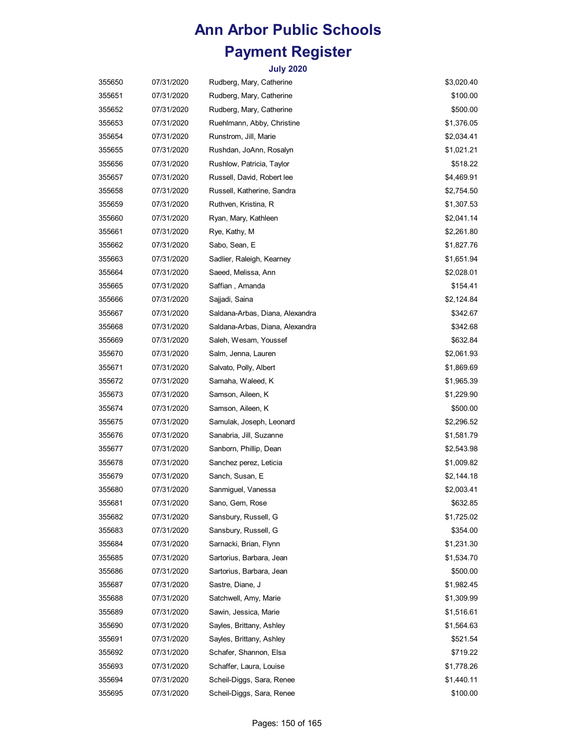| 355650 | 07/31/2020 | Rudberg, Mary, Catherine        | \$3,020.40 |
|--------|------------|---------------------------------|------------|
| 355651 | 07/31/2020 | Rudberg, Mary, Catherine        | \$100.00   |
| 355652 | 07/31/2020 | Rudberg, Mary, Catherine        | \$500.00   |
| 355653 | 07/31/2020 | Ruehlmann, Abby, Christine      | \$1,376.05 |
| 355654 | 07/31/2020 | Runstrom, Jill, Marie           | \$2,034.41 |
| 355655 | 07/31/2020 | Rushdan, JoAnn, Rosalyn         | \$1,021.21 |
| 355656 | 07/31/2020 | Rushlow, Patricia, Taylor       | \$518.22   |
| 355657 | 07/31/2020 | Russell, David, Robert lee      | \$4,469.91 |
| 355658 | 07/31/2020 | Russell, Katherine, Sandra      | \$2,754.50 |
| 355659 | 07/31/2020 | Ruthven, Kristina, R            | \$1,307.53 |
| 355660 | 07/31/2020 | Ryan, Mary, Kathleen            | \$2,041.14 |
| 355661 | 07/31/2020 | Rye, Kathy, M                   | \$2,261.80 |
| 355662 | 07/31/2020 | Sabo, Sean, E                   | \$1,827.76 |
| 355663 | 07/31/2020 | Sadlier, Raleigh, Kearney       | \$1,651.94 |
| 355664 | 07/31/2020 | Saeed, Melissa, Ann             | \$2,028.01 |
| 355665 | 07/31/2020 | Saffian , Amanda                | \$154.41   |
| 355666 | 07/31/2020 | Sajjadi, Saina                  | \$2,124.84 |
| 355667 | 07/31/2020 | Saldana-Arbas, Diana, Alexandra | \$342.67   |
| 355668 | 07/31/2020 | Saldana-Arbas, Diana, Alexandra | \$342.68   |
| 355669 | 07/31/2020 | Saleh, Wesam, Youssef           | \$632.84   |
| 355670 | 07/31/2020 | Salm, Jenna, Lauren             | \$2,061.93 |
| 355671 | 07/31/2020 | Salvato, Polly, Albert          | \$1,869.69 |
| 355672 | 07/31/2020 | Samaha, Waleed, K               | \$1,965.39 |
| 355673 | 07/31/2020 | Samson, Aileen, K               | \$1,229.90 |
| 355674 | 07/31/2020 | Samson, Aileen, K               | \$500.00   |
| 355675 | 07/31/2020 | Samulak, Joseph, Leonard        | \$2,296.52 |
| 355676 | 07/31/2020 | Sanabria, Jill, Suzanne         | \$1,581.79 |
| 355677 | 07/31/2020 | Sanborn, Phillip, Dean          | \$2,543.98 |
| 355678 | 07/31/2020 | Sanchez perez, Leticia          | \$1,009.82 |
| 355679 | 07/31/2020 | Sanch, Susan, E                 | \$2,144.18 |
| 355680 | 07/31/2020 | Sanmiguel, Vanessa              | \$2,003.41 |
| 355681 | 07/31/2020 | Sano, Gem, Rose                 | \$632.85   |
| 355682 | 07/31/2020 | Sansbury, Russell, G            | \$1,725.02 |
| 355683 | 07/31/2020 | Sansbury, Russell, G            | \$354.00   |
| 355684 | 07/31/2020 | Sarnacki, Brian, Flynn          | \$1,231.30 |
| 355685 | 07/31/2020 | Sartorius, Barbara, Jean        | \$1,534.70 |
| 355686 | 07/31/2020 | Sartorius, Barbara, Jean        | \$500.00   |
| 355687 | 07/31/2020 | Sastre, Diane, J                | \$1,982.45 |
| 355688 | 07/31/2020 | Satchwell, Amy, Marie           | \$1,309.99 |
| 355689 | 07/31/2020 | Sawin, Jessica, Marie           | \$1,516.61 |
| 355690 | 07/31/2020 | Sayles, Brittany, Ashley        | \$1,564.63 |
| 355691 | 07/31/2020 | Sayles, Brittany, Ashley        | \$521.54   |
| 355692 | 07/31/2020 | Schafer, Shannon, Elsa          | \$719.22   |
| 355693 | 07/31/2020 | Schaffer, Laura, Louise         | \$1,778.26 |
| 355694 | 07/31/2020 | Scheil-Diggs, Sara, Renee       | \$1,440.11 |
| 355695 | 07/31/2020 | Scheil-Diggs, Sara, Renee       | \$100.00   |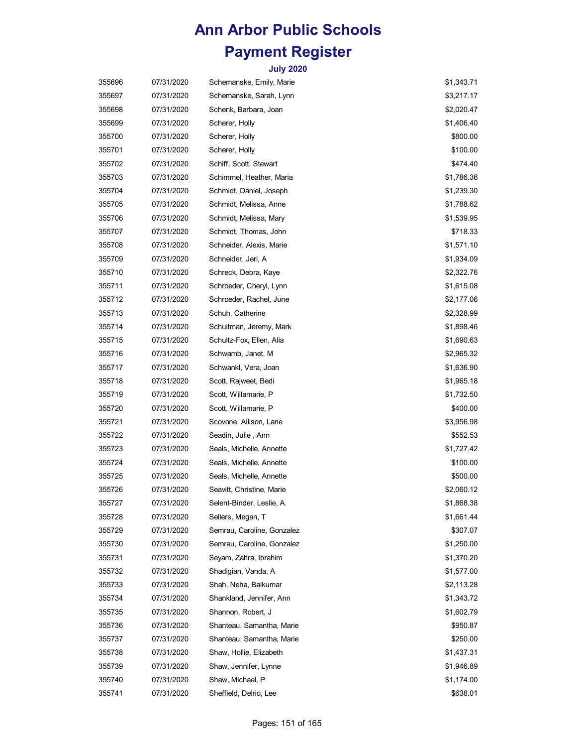| 355696 | 07/31/2020 | Schemanske, Emily, Marie   | \$1,343.71 |
|--------|------------|----------------------------|------------|
| 355697 | 07/31/2020 | Schemanske, Sarah, Lynn    | \$3,217.17 |
| 355698 | 07/31/2020 | Schenk, Barbara, Joan      | \$2,020.47 |
| 355699 | 07/31/2020 | Scherer, Holly             | \$1,406.40 |
| 355700 | 07/31/2020 | Scherer, Holly             | \$800.00   |
| 355701 | 07/31/2020 | Scherer, Holly             | \$100.00   |
| 355702 | 07/31/2020 | Schiff, Scott, Stewart     | \$474.40   |
| 355703 | 07/31/2020 | Schimmel, Heather, Maria   | \$1,786.36 |
| 355704 | 07/31/2020 | Schmidt, Daniel, Joseph    | \$1,239.30 |
| 355705 | 07/31/2020 | Schmidt, Melissa, Anne     | \$1,788.62 |
| 355706 | 07/31/2020 | Schmidt, Melissa, Mary     | \$1,539.95 |
| 355707 | 07/31/2020 | Schmidt, Thomas, John      | \$718.33   |
| 355708 | 07/31/2020 | Schneider, Alexis, Marie   | \$1,571.10 |
| 355709 | 07/31/2020 | Schneider, Jeri, A         | \$1,934.09 |
| 355710 | 07/31/2020 | Schreck, Debra, Kaye       | \$2,322.76 |
| 355711 | 07/31/2020 | Schroeder, Cheryl, Lynn    | \$1,615.08 |
| 355712 | 07/31/2020 | Schroeder, Rachel, June    | \$2,177.06 |
| 355713 | 07/31/2020 | Schuh, Catherine           | \$2,328.99 |
| 355714 | 07/31/2020 | Schuitman, Jeremy, Mark    | \$1,898.46 |
| 355715 | 07/31/2020 | Schultz-Fox, Ellen, Alia   | \$1,690.63 |
| 355716 | 07/31/2020 | Schwamb, Janet, M          | \$2,965.32 |
| 355717 | 07/31/2020 | Schwankl, Vera, Joan       | \$1,636.90 |
| 355718 | 07/31/2020 | Scott, Rajweet, Bedi       | \$1,965.18 |
| 355719 | 07/31/2020 | Scott, Willamarie, P       | \$1,732.50 |
| 355720 | 07/31/2020 | Scott, Willamarie, P       | \$400.00   |
| 355721 | 07/31/2020 | Scovone, Allison, Lane     | \$3,956.98 |
| 355722 | 07/31/2020 | Seadin, Julie, Ann         | \$552.53   |
| 355723 | 07/31/2020 | Seals, Michelle, Annette   | \$1,727.42 |
| 355724 | 07/31/2020 | Seals, Michelle, Annette   | \$100.00   |
| 355725 | 07/31/2020 | Seals, Michelle, Annette   | \$500.00   |
| 355726 | 07/31/2020 | Seavitt, Christine, Marie  | \$2,060.12 |
| 355727 | 07/31/2020 | Selent-Binder, Leslie, A.  | \$1,868.38 |
| 355728 | 07/31/2020 | Sellers, Megan, T          | \$1,661.44 |
| 355729 | 07/31/2020 | Semrau, Caroline, Gonzalez | \$307.07   |
| 355730 | 07/31/2020 | Semrau, Caroline, Gonzalez | \$1,250.00 |
| 355731 | 07/31/2020 | Seyam, Zahra, Ibrahim      | \$1,370.20 |
| 355732 | 07/31/2020 | Shadigian, Vanda, A        | \$1,577.00 |
| 355733 | 07/31/2020 | Shah, Neha, Balkumar       | \$2,113.28 |
| 355734 | 07/31/2020 | Shankland, Jennifer, Ann   | \$1,343.72 |
| 355735 | 07/31/2020 | Shannon, Robert, J         | \$1,602.79 |
| 355736 | 07/31/2020 | Shanteau, Samantha, Marie  | \$950.87   |
| 355737 | 07/31/2020 | Shanteau, Samantha, Marie  | \$250.00   |
| 355738 | 07/31/2020 | Shaw, Hollie, Elizabeth    | \$1,437.31 |
| 355739 | 07/31/2020 | Shaw, Jennifer, Lynne      | \$1,946.89 |
| 355740 | 07/31/2020 | Shaw, Michael, P           | \$1,174.00 |
| 355741 | 07/31/2020 | Sheffield, Delrio, Lee     | \$638.01   |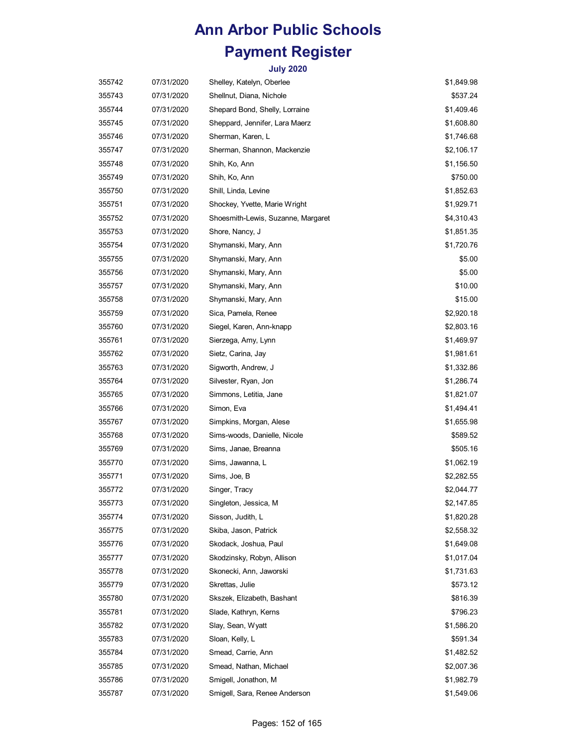| 355742 | 07/31/2020 | Shelley, Katelyn, Oberlee          | \$1,849.98 |
|--------|------------|------------------------------------|------------|
| 355743 | 07/31/2020 | Shellnut, Diana, Nichole           | \$537.24   |
| 355744 | 07/31/2020 | Shepard Bond, Shelly, Lorraine     | \$1,409.46 |
| 355745 | 07/31/2020 | Sheppard, Jennifer, Lara Maerz     | \$1,608.80 |
| 355746 | 07/31/2020 | Sherman, Karen, L                  | \$1,746.68 |
| 355747 | 07/31/2020 | Sherman, Shannon, Mackenzie        | \$2,106.17 |
| 355748 | 07/31/2020 | Shih, Ko, Ann                      | \$1,156.50 |
| 355749 | 07/31/2020 | Shih, Ko, Ann                      | \$750.00   |
| 355750 | 07/31/2020 | Shill, Linda, Levine               | \$1,852.63 |
| 355751 | 07/31/2020 | Shockey, Yvette, Marie Wright      | \$1,929.71 |
| 355752 | 07/31/2020 | Shoesmith-Lewis, Suzanne, Margaret | \$4,310.43 |
| 355753 | 07/31/2020 | Shore, Nancy, J                    | \$1,851.35 |
| 355754 | 07/31/2020 | Shymanski, Mary, Ann               | \$1,720.76 |
| 355755 | 07/31/2020 | Shymanski, Mary, Ann               | \$5.00     |
| 355756 | 07/31/2020 | Shymanski, Mary, Ann               | \$5.00     |
| 355757 | 07/31/2020 | Shymanski, Mary, Ann               | \$10.00    |
| 355758 | 07/31/2020 | Shymanski, Mary, Ann               | \$15.00    |
| 355759 | 07/31/2020 | Sica, Pamela, Renee                | \$2,920.18 |
| 355760 | 07/31/2020 | Siegel, Karen, Ann-knapp           | \$2,803.16 |
| 355761 | 07/31/2020 | Sierzega, Amy, Lynn                | \$1,469.97 |
| 355762 | 07/31/2020 | Sietz, Carina, Jay                 | \$1,981.61 |
| 355763 | 07/31/2020 | Sigworth, Andrew, J                | \$1,332.86 |
| 355764 | 07/31/2020 | Silvester, Ryan, Jon               | \$1,286.74 |
| 355765 | 07/31/2020 | Simmons, Letitia, Jane             | \$1,821.07 |
| 355766 | 07/31/2020 | Simon, Eva                         | \$1,494.41 |
| 355767 | 07/31/2020 | Simpkins, Morgan, Alese            | \$1,655.98 |
| 355768 | 07/31/2020 | Sims-woods, Danielle, Nicole       | \$589.52   |
| 355769 | 07/31/2020 | Sims, Janae, Breanna               | \$505.16   |
| 355770 | 07/31/2020 | Sims, Jawanna, L                   | \$1,062.19 |
| 355771 | 07/31/2020 | Sims, Joe, B                       | \$2,282.55 |
| 355772 | 07/31/2020 | Singer, Tracy                      | \$2,044.77 |
| 355773 | 07/31/2020 | Singleton, Jessica, M              | \$2,147.85 |
| 355774 | 07/31/2020 | Sisson, Judith, L                  | \$1,820.28 |
| 355775 | 07/31/2020 | Skiba, Jason, Patrick              | \$2,558.32 |
| 355776 | 07/31/2020 | Skodack, Joshua, Paul              | \$1,649.08 |
| 355777 | 07/31/2020 | Skodzinsky, Robyn, Allison         | \$1,017.04 |
| 355778 | 07/31/2020 | Skonecki, Ann, Jaworski            | \$1,731.63 |
| 355779 | 07/31/2020 | Skrettas, Julie                    | \$573.12   |
| 355780 | 07/31/2020 | Skszek, Elizabeth, Bashant         | \$816.39   |
| 355781 | 07/31/2020 | Slade, Kathryn, Kerns              | \$796.23   |
| 355782 | 07/31/2020 | Slay, Sean, Wyatt                  | \$1,586.20 |
| 355783 | 07/31/2020 | Sloan, Kelly, L                    | \$591.34   |
| 355784 | 07/31/2020 | Smead, Carrie, Ann                 | \$1,482.52 |
| 355785 | 07/31/2020 | Smead, Nathan, Michael             | \$2,007.36 |
| 355786 | 07/31/2020 | Smigell, Jonathon, M               | \$1,982.79 |
| 355787 | 07/31/2020 | Smigell, Sara, Renee Anderson      | \$1,549.06 |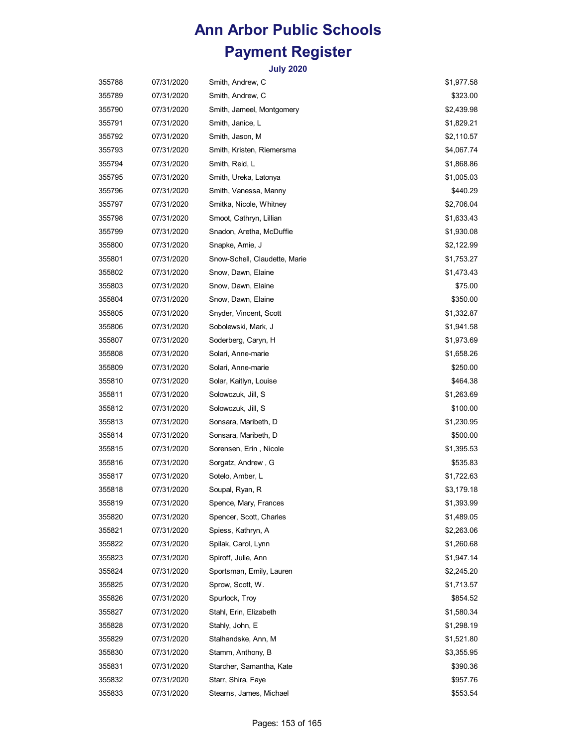| 355788 | 07/31/2020 | Smith, Andrew, C              | \$1,977.58 |
|--------|------------|-------------------------------|------------|
| 355789 | 07/31/2020 | Smith, Andrew, C              | \$323.00   |
| 355790 | 07/31/2020 | Smith, Jameel, Montgomery     | \$2,439.98 |
| 355791 | 07/31/2020 | Smith, Janice, L              | \$1,829.21 |
| 355792 | 07/31/2020 | Smith, Jason, M               | \$2,110.57 |
| 355793 | 07/31/2020 | Smith, Kristen, Riemersma     | \$4,067.74 |
| 355794 | 07/31/2020 | Smith, Reid, L                | \$1,868.86 |
| 355795 | 07/31/2020 | Smith, Ureka, Latonya         | \$1,005.03 |
| 355796 | 07/31/2020 | Smith, Vanessa, Manny         | \$440.29   |
| 355797 | 07/31/2020 | Smitka, Nicole, Whitney       | \$2,706.04 |
| 355798 | 07/31/2020 | Smoot, Cathryn, Lillian       | \$1,633.43 |
| 355799 | 07/31/2020 | Snadon, Aretha, McDuffie      | \$1,930.08 |
| 355800 | 07/31/2020 | Snapke, Amie, J               | \$2,122.99 |
| 355801 | 07/31/2020 | Snow-Schell, Claudette, Marie | \$1,753.27 |
| 355802 | 07/31/2020 | Snow, Dawn, Elaine            | \$1,473.43 |
| 355803 | 07/31/2020 | Snow, Dawn, Elaine            | \$75.00    |
| 355804 | 07/31/2020 | Snow, Dawn, Elaine            | \$350.00   |
| 355805 | 07/31/2020 | Snyder, Vincent, Scott        | \$1,332.87 |
| 355806 | 07/31/2020 | Sobolewski, Mark, J           | \$1,941.58 |
| 355807 | 07/31/2020 | Soderberg, Caryn, H           | \$1,973.69 |
| 355808 | 07/31/2020 | Solari, Anne-marie            | \$1,658.26 |
| 355809 | 07/31/2020 | Solari, Anne-marie            | \$250.00   |
| 355810 | 07/31/2020 | Solar, Kaitlyn, Louise        | \$464.38   |
| 355811 | 07/31/2020 | Solowczuk, Jill, S            | \$1,263.69 |
| 355812 | 07/31/2020 | Solowczuk, Jill, S            | \$100.00   |
| 355813 | 07/31/2020 | Sonsara, Maribeth, D          | \$1,230.95 |
| 355814 | 07/31/2020 | Sonsara, Maribeth, D          | \$500.00   |
| 355815 | 07/31/2020 | Sorensen, Erin, Nicole        | \$1,395.53 |
| 355816 | 07/31/2020 | Sorgatz, Andrew, G            | \$535.83   |
| 355817 | 07/31/2020 | Sotelo, Amber, L              | \$1,722.63 |
| 355818 | 07/31/2020 | Soupal, Ryan, R               | \$3,179.18 |
| 355819 | 07/31/2020 | Spence, Mary, Frances         | \$1,393.99 |
| 355820 | 07/31/2020 | Spencer, Scott, Charles       | \$1,489.05 |
| 355821 | 07/31/2020 | Spiess, Kathryn, A            | \$2,263.06 |
| 355822 | 07/31/2020 | Spilak, Carol, Lynn           | \$1,260.68 |
| 355823 | 07/31/2020 | Spiroff, Julie, Ann           | \$1,947.14 |
| 355824 | 07/31/2020 | Sportsman, Emily, Lauren      | \$2,245.20 |
| 355825 | 07/31/2020 | Sprow, Scott, W.              | \$1,713.57 |
| 355826 | 07/31/2020 | Spurlock, Troy                | \$854.52   |
| 355827 | 07/31/2020 | Stahl, Erin, Elizabeth        | \$1,580.34 |
| 355828 | 07/31/2020 | Stahly, John, E               | \$1,298.19 |
| 355829 | 07/31/2020 | Stalhandske, Ann, M           | \$1,521.80 |
| 355830 | 07/31/2020 | Stamm, Anthony, B             | \$3,355.95 |
| 355831 | 07/31/2020 | Starcher, Samantha, Kate      | \$390.36   |
| 355832 | 07/31/2020 | Starr, Shira, Faye            | \$957.76   |
| 355833 | 07/31/2020 | Stearns, James, Michael       | \$553.54   |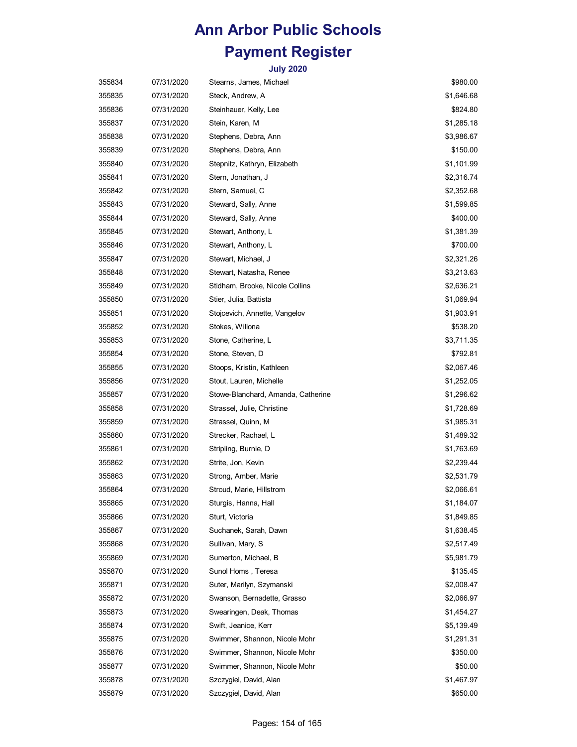| 355834 | 07/31/2020 | Stearns, James, Michael            | \$980.00   |
|--------|------------|------------------------------------|------------|
| 355835 | 07/31/2020 | Steck, Andrew, A                   | \$1,646.68 |
| 355836 | 07/31/2020 | Steinhauer, Kelly, Lee             | \$824.80   |
| 355837 | 07/31/2020 | Stein, Karen, M                    | \$1,285.18 |
| 355838 | 07/31/2020 | Stephens, Debra, Ann               | \$3,986.67 |
| 355839 | 07/31/2020 | Stephens, Debra, Ann               | \$150.00   |
| 355840 | 07/31/2020 | Stepnitz, Kathryn, Elizabeth       | \$1,101.99 |
| 355841 | 07/31/2020 | Stern, Jonathan, J                 | \$2,316.74 |
| 355842 | 07/31/2020 | Stern, Samuel, C                   | \$2,352.68 |
| 355843 | 07/31/2020 | Steward, Sally, Anne               | \$1,599.85 |
| 355844 | 07/31/2020 | Steward, Sally, Anne               | \$400.00   |
| 355845 | 07/31/2020 | Stewart, Anthony, L                | \$1,381.39 |
| 355846 | 07/31/2020 | Stewart, Anthony, L                | \$700.00   |
| 355847 | 07/31/2020 | Stewart, Michael, J                | \$2,321.26 |
| 355848 | 07/31/2020 | Stewart, Natasha, Renee            | \$3,213.63 |
| 355849 | 07/31/2020 | Stidham, Brooke, Nicole Collins    | \$2,636.21 |
| 355850 | 07/31/2020 | Stier, Julia, Battista             | \$1,069.94 |
| 355851 | 07/31/2020 | Stojcevich, Annette, Vangelov      | \$1,903.91 |
| 355852 | 07/31/2020 | Stokes, Willona                    | \$538.20   |
| 355853 | 07/31/2020 | Stone, Catherine, L                | \$3,711.35 |
| 355854 | 07/31/2020 | Stone, Steven, D                   | \$792.81   |
| 355855 | 07/31/2020 | Stoops, Kristin, Kathleen          | \$2,067.46 |
| 355856 | 07/31/2020 | Stout, Lauren, Michelle            | \$1,252.05 |
| 355857 | 07/31/2020 | Stowe-Blanchard, Amanda, Catherine | \$1,296.62 |
| 355858 | 07/31/2020 | Strassel, Julie, Christine         | \$1,728.69 |
| 355859 | 07/31/2020 | Strassel, Quinn, M                 | \$1,985.31 |
| 355860 | 07/31/2020 | Strecker, Rachael, L               | \$1,489.32 |
| 355861 | 07/31/2020 | Stripling, Burnie, D               | \$1,763.69 |
| 355862 | 07/31/2020 | Strite, Jon, Kevin                 | \$2,239.44 |
| 355863 | 07/31/2020 | Strong, Amber, Marie               | \$2,531.79 |
| 355864 | 07/31/2020 | Stroud, Marie, Hillstrom           | \$2,066.61 |
| 355865 | 07/31/2020 | Sturgis, Hanna, Hall               | \$1,184.07 |
| 355866 | 07/31/2020 | Sturt, Victoria                    | \$1,849.85 |
| 355867 | 07/31/2020 | Suchanek, Sarah, Dawn              | \$1,638.45 |
| 355868 | 07/31/2020 | Sullivan, Mary, S                  | \$2,517.49 |
| 355869 | 07/31/2020 | Sumerton, Michael, B               | \$5,981.79 |
| 355870 | 07/31/2020 | Sunol Homs, Teresa                 | \$135.45   |
| 355871 | 07/31/2020 | Suter, Marilyn, Szymanski          | \$2,008.47 |
| 355872 | 07/31/2020 | Swanson, Bernadette, Grasso        | \$2,066.97 |
| 355873 | 07/31/2020 | Swearingen, Deak, Thomas           | \$1,454.27 |
| 355874 | 07/31/2020 | Swift, Jeanice, Kerr               | \$5,139.49 |
| 355875 | 07/31/2020 | Swimmer, Shannon, Nicole Mohr      | \$1,291.31 |
| 355876 | 07/31/2020 | Swimmer, Shannon, Nicole Mohr      | \$350.00   |
| 355877 | 07/31/2020 | Swimmer, Shannon, Nicole Mohr      | \$50.00    |
| 355878 | 07/31/2020 | Szczygiel, David, Alan             | \$1,467.97 |
| 355879 | 07/31/2020 | Szczygiel, David, Alan             | \$650.00   |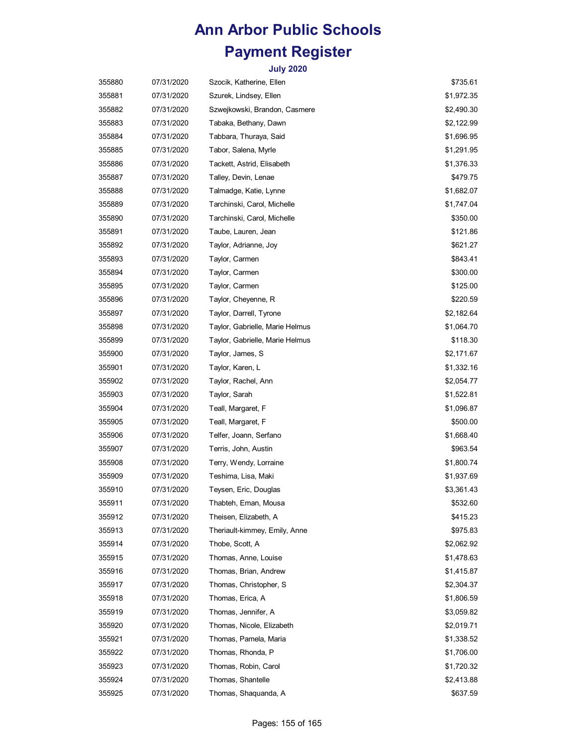| 355880 | 07/31/2020 | Szocik, Katherine, Ellen        | \$735.61   |
|--------|------------|---------------------------------|------------|
| 355881 | 07/31/2020 | Szurek, Lindsey, Ellen          | \$1,972.35 |
| 355882 | 07/31/2020 | Szwejkowski, Brandon, Casmere   | \$2,490.30 |
| 355883 | 07/31/2020 | Tabaka, Bethany, Dawn           | \$2,122.99 |
| 355884 | 07/31/2020 | Tabbara, Thuraya, Said          | \$1,696.95 |
| 355885 | 07/31/2020 | Tabor, Salena, Myrle            | \$1,291.95 |
| 355886 | 07/31/2020 | Tackett, Astrid, Elisabeth      | \$1,376.33 |
| 355887 | 07/31/2020 | Talley, Devin, Lenae            | \$479.75   |
| 355888 | 07/31/2020 | Talmadge, Katie, Lynne          | \$1,682.07 |
| 355889 | 07/31/2020 | Tarchinski, Carol, Michelle     | \$1,747.04 |
| 355890 | 07/31/2020 | Tarchinski, Carol, Michelle     | \$350.00   |
| 355891 | 07/31/2020 | Taube, Lauren, Jean             | \$121.86   |
| 355892 | 07/31/2020 | Taylor, Adrianne, Joy           | \$621.27   |
| 355893 | 07/31/2020 | Taylor, Carmen                  | \$843.41   |
| 355894 | 07/31/2020 | Taylor, Carmen                  | \$300.00   |
| 355895 | 07/31/2020 | Taylor, Carmen                  | \$125.00   |
| 355896 | 07/31/2020 | Taylor, Cheyenne, R             | \$220.59   |
| 355897 | 07/31/2020 | Taylor, Darrell, Tyrone         | \$2,182.64 |
| 355898 | 07/31/2020 | Taylor, Gabrielle, Marie Helmus | \$1,064.70 |
| 355899 | 07/31/2020 | Taylor, Gabrielle, Marie Helmus | \$118.30   |
| 355900 | 07/31/2020 | Taylor, James, S                | \$2,171.67 |
| 355901 | 07/31/2020 | Taylor, Karen, L                | \$1,332.16 |
| 355902 | 07/31/2020 | Taylor, Rachel, Ann             | \$2,054.77 |
| 355903 | 07/31/2020 | Taylor, Sarah                   | \$1,522.81 |
| 355904 | 07/31/2020 | Teall, Margaret, F              | \$1,096.87 |
| 355905 | 07/31/2020 | Teall, Margaret, F              | \$500.00   |
| 355906 | 07/31/2020 | Telfer, Joann, Serfano          | \$1,668.40 |
| 355907 | 07/31/2020 | Terris, John, Austin            | \$963.54   |
| 355908 | 07/31/2020 | Terry, Wendy, Lorraine          | \$1,800.74 |
| 355909 | 07/31/2020 | Teshima, Lisa, Maki             | \$1,937.69 |
| 355910 | 07/31/2020 | Teysen, Eric, Douglas           | \$3,361.43 |
| 355911 | 07/31/2020 | Thabteh, Eman, Mousa            | \$532.60   |
| 355912 | 07/31/2020 | Theisen, Elizabeth, A           | \$415.23   |
| 355913 | 07/31/2020 | Theriault-kimmey, Emily, Anne   | \$975.83   |
| 355914 | 07/31/2020 | Thobe, Scott, A                 | \$2,062.92 |
| 355915 | 07/31/2020 | Thomas, Anne, Louise            | \$1,478.63 |
| 355916 | 07/31/2020 | Thomas, Brian, Andrew           | \$1,415.87 |
| 355917 | 07/31/2020 | Thomas, Christopher, S.         | \$2,304.37 |
| 355918 | 07/31/2020 | Thomas, Erica, A                | \$1,806.59 |
| 355919 | 07/31/2020 | Thomas, Jennifer, A             | \$3,059.82 |
| 355920 | 07/31/2020 | Thomas, Nicole, Elizabeth       | \$2,019.71 |
| 355921 | 07/31/2020 | Thomas, Pamela, Maria           | \$1,338.52 |
| 355922 | 07/31/2020 | Thomas, Rhonda, P               | \$1,706.00 |
| 355923 | 07/31/2020 | Thomas, Robin, Carol            | \$1,720.32 |
| 355924 | 07/31/2020 | Thomas, Shantelle               | \$2,413.88 |
| 355925 | 07/31/2020 | Thomas, Shaquanda, A            | \$637.59   |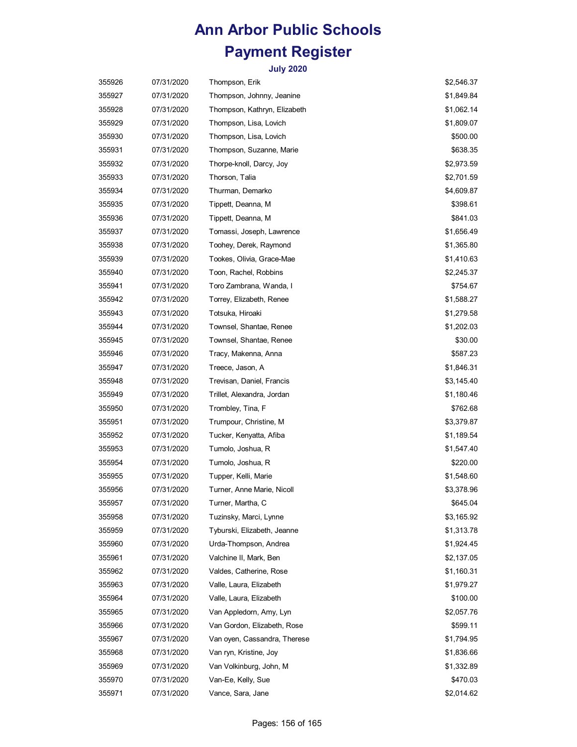| 355926 | 07/31/2020 | Thompson, Erik               | \$2,546.37 |
|--------|------------|------------------------------|------------|
| 355927 | 07/31/2020 | Thompson, Johnny, Jeanine    | \$1,849.84 |
| 355928 | 07/31/2020 | Thompson, Kathryn, Elizabeth | \$1,062.14 |
| 355929 | 07/31/2020 | Thompson, Lisa, Lovich       | \$1,809.07 |
| 355930 | 07/31/2020 | Thompson, Lisa, Lovich       | \$500.00   |
| 355931 | 07/31/2020 | Thompson, Suzanne, Marie     | \$638.35   |
| 355932 | 07/31/2020 | Thorpe-knoll, Darcy, Joy     | \$2,973.59 |
| 355933 | 07/31/2020 | Thorson, Talia               | \$2,701.59 |
| 355934 | 07/31/2020 | Thurman, Demarko             | \$4,609.87 |
| 355935 | 07/31/2020 | Tippett, Deanna, M           | \$398.61   |
| 355936 | 07/31/2020 | Tippett, Deanna, M           | \$841.03   |
| 355937 | 07/31/2020 | Tomassi, Joseph, Lawrence    | \$1,656.49 |
| 355938 | 07/31/2020 | Toohey, Derek, Raymond       | \$1,365.80 |
| 355939 | 07/31/2020 | Tookes, Olivia, Grace-Mae    | \$1,410.63 |
| 355940 | 07/31/2020 | Toon, Rachel, Robbins        | \$2,245.37 |
| 355941 | 07/31/2020 | Toro Zambrana, Wanda, I      | \$754.67   |
| 355942 | 07/31/2020 | Torrey, Elizabeth, Renee     | \$1,588.27 |
| 355943 | 07/31/2020 | Totsuka, Hiroaki             | \$1,279.58 |
| 355944 | 07/31/2020 | Townsel, Shantae, Renee      | \$1,202.03 |
| 355945 | 07/31/2020 | Townsel, Shantae, Renee      | \$30.00    |
| 355946 | 07/31/2020 | Tracy, Makenna, Anna         | \$587.23   |
| 355947 | 07/31/2020 | Treece, Jason, A             | \$1,846.31 |
| 355948 | 07/31/2020 | Trevisan, Daniel, Francis    | \$3,145.40 |
| 355949 | 07/31/2020 | Trillet, Alexandra, Jordan   | \$1,180.46 |
| 355950 | 07/31/2020 | Trombley, Tina, F            | \$762.68   |
| 355951 | 07/31/2020 | Trumpour, Christine, M       | \$3,379.87 |
| 355952 | 07/31/2020 | Tucker, Kenyatta, Afiba      | \$1,189.54 |
| 355953 | 07/31/2020 | Tumolo, Joshua, R            | \$1,547.40 |
| 355954 | 07/31/2020 | Tumolo, Joshua, R            | \$220.00   |
| 355955 | 07/31/2020 | Tupper, Kelli, Marie         | \$1,548.60 |
| 355956 | 07/31/2020 | Turner, Anne Marie, Nicoll   | \$3,378.96 |
| 355957 | 07/31/2020 | Turner, Martha, C            | \$645.04   |
| 355958 | 07/31/2020 | Tuzinsky, Marci, Lynne       | \$3,165.92 |
| 355959 | 07/31/2020 | Tyburski, Elizabeth, Jeanne  | \$1,313.78 |
| 355960 | 07/31/2020 | Urda-Thompson, Andrea        | \$1,924.45 |
| 355961 | 07/31/2020 | Valchine II, Mark, Ben       | \$2,137.05 |
| 355962 | 07/31/2020 | Valdes, Catherine, Rose      | \$1,160.31 |
| 355963 | 07/31/2020 | Valle, Laura, Elizabeth      | \$1,979.27 |
| 355964 | 07/31/2020 | Valle, Laura, Elizabeth      | \$100.00   |
| 355965 | 07/31/2020 | Van Appledorn, Amy, Lyn      | \$2,057.76 |
| 355966 | 07/31/2020 | Van Gordon, Elizabeth, Rose  | \$599.11   |
| 355967 | 07/31/2020 | Van oyen, Cassandra, Therese | \$1,794.95 |
| 355968 | 07/31/2020 | Van ryn, Kristine, Joy       | \$1,836.66 |
| 355969 | 07/31/2020 | Van Volkinburg, John, M      | \$1,332.89 |
| 355970 | 07/31/2020 | Van-Ee, Kelly, Sue           | \$470.03   |
| 355971 | 07/31/2020 | Vance, Sara, Jane            | \$2,014.62 |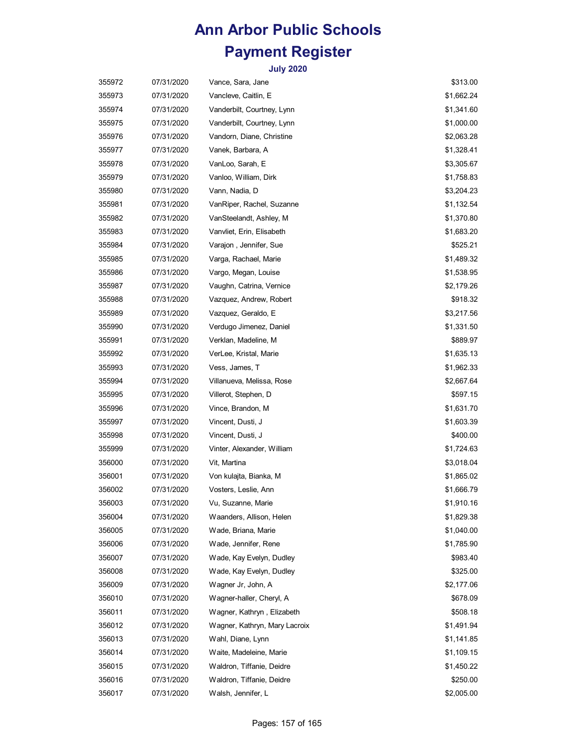| 355972 | 07/31/2020 | Vance, Sara, Jane             | \$313.00   |
|--------|------------|-------------------------------|------------|
| 355973 | 07/31/2020 | Vancleve, Caitlin, E          | \$1,662.24 |
| 355974 | 07/31/2020 | Vanderbilt, Courtney, Lynn    | \$1,341.60 |
| 355975 | 07/31/2020 | Vanderbilt, Courtney, Lynn    | \$1,000.00 |
| 355976 | 07/31/2020 | Vandorn, Diane, Christine     | \$2,063.28 |
| 355977 | 07/31/2020 | Vanek, Barbara, A             | \$1,328.41 |
| 355978 | 07/31/2020 | VanLoo, Sarah, E              | \$3,305.67 |
| 355979 | 07/31/2020 | Vanloo, William, Dirk         | \$1,758.83 |
| 355980 | 07/31/2020 | Vann, Nadia, D                | \$3,204.23 |
| 355981 | 07/31/2020 | VanRiper, Rachel, Suzanne     | \$1,132.54 |
| 355982 | 07/31/2020 | VanSteelandt, Ashley, M       | \$1,370.80 |
| 355983 | 07/31/2020 | Vanvliet, Erin, Elisabeth     | \$1,683.20 |
| 355984 | 07/31/2020 | Varajon, Jennifer, Sue        | \$525.21   |
| 355985 | 07/31/2020 | Varga, Rachael, Marie         | \$1,489.32 |
| 355986 | 07/31/2020 | Vargo, Megan, Louise          | \$1,538.95 |
| 355987 | 07/31/2020 | Vaughn, Catrina, Vernice      | \$2,179.26 |
| 355988 | 07/31/2020 | Vazquez, Andrew, Robert       | \$918.32   |
| 355989 | 07/31/2020 | Vazquez, Geraldo, E           | \$3,217.56 |
| 355990 | 07/31/2020 | Verdugo Jimenez, Daniel       | \$1,331.50 |
| 355991 | 07/31/2020 | Verklan, Madeline, M          | \$889.97   |
| 355992 | 07/31/2020 | VerLee, Kristal, Marie        | \$1,635.13 |
| 355993 | 07/31/2020 | Vess, James, T                | \$1,962.33 |
| 355994 | 07/31/2020 | Villanueva, Melissa, Rose     | \$2,667.64 |
| 355995 | 07/31/2020 | Villerot, Stephen, D          | \$597.15   |
| 355996 | 07/31/2020 | Vince, Brandon, M             | \$1,631.70 |
| 355997 | 07/31/2020 | Vincent, Dusti, J             | \$1,603.39 |
| 355998 | 07/31/2020 | Vincent, Dusti, J             | \$400.00   |
| 355999 | 07/31/2020 | Vinter, Alexander, William    | \$1,724.63 |
| 356000 | 07/31/2020 | Vit, Martina                  | \$3,018.04 |
| 356001 | 07/31/2020 | Von kulajta, Bianka, M        | \$1,865.02 |
| 356002 | 07/31/2020 | Vosters, Leslie, Ann          | \$1,666.79 |
| 356003 | 07/31/2020 | Vu, Suzanne, Marie            | \$1,910.16 |
| 356004 | 07/31/2020 | Waanders, Allison, Helen      | \$1,829.38 |
| 356005 | 07/31/2020 | Wade, Briana, Marie           | \$1,040.00 |
| 356006 | 07/31/2020 | Wade, Jennifer, Rene          | \$1,785.90 |
| 356007 | 07/31/2020 | Wade, Kay Evelyn, Dudley      | \$983.40   |
| 356008 | 07/31/2020 | Wade, Kay Evelyn, Dudley      | \$325.00   |
| 356009 | 07/31/2020 | Wagner Jr, John, A            | \$2,177.06 |
| 356010 | 07/31/2020 | Wagner-haller, Cheryl, A      | \$678.09   |
| 356011 | 07/31/2020 | Wagner, Kathryn, Elizabeth    | \$508.18   |
| 356012 | 07/31/2020 | Wagner, Kathryn, Mary Lacroix | \$1,491.94 |
| 356013 | 07/31/2020 | Wahl, Diane, Lynn             | \$1,141.85 |
| 356014 | 07/31/2020 | Waite, Madeleine, Marie       | \$1,109.15 |
| 356015 | 07/31/2020 | Waldron, Tiffanie, Deidre     | \$1,450.22 |
| 356016 | 07/31/2020 | Waldron, Tiffanie, Deidre     | \$250.00   |
| 356017 | 07/31/2020 | Walsh, Jennifer, L            | \$2,005.00 |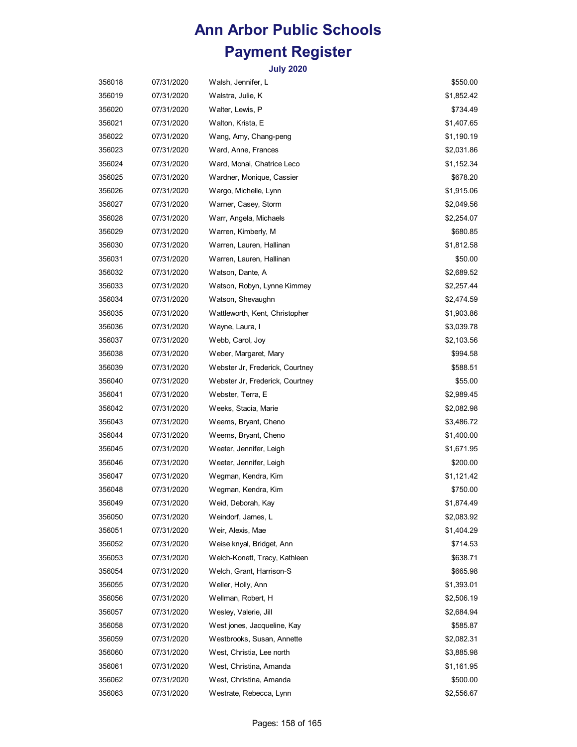| 356018 | 07/31/2020 | Walsh, Jennifer, L              | \$550.00   |
|--------|------------|---------------------------------|------------|
| 356019 | 07/31/2020 | Walstra, Julie, K               | \$1,852.42 |
| 356020 | 07/31/2020 | Walter, Lewis, P                | \$734.49   |
| 356021 | 07/31/2020 | Walton, Krista, E               | \$1,407.65 |
| 356022 | 07/31/2020 | Wang, Amy, Chang-peng           | \$1,190.19 |
| 356023 | 07/31/2020 | Ward, Anne, Frances             | \$2,031.86 |
| 356024 | 07/31/2020 | Ward, Monai, Chatrice Leco      | \$1,152.34 |
| 356025 | 07/31/2020 | Wardner, Monique, Cassier       | \$678.20   |
| 356026 | 07/31/2020 | Wargo, Michelle, Lynn           | \$1,915.06 |
| 356027 | 07/31/2020 | Warner, Casey, Storm            | \$2,049.56 |
| 356028 | 07/31/2020 | Warr, Angela, Michaels          | \$2,254.07 |
| 356029 | 07/31/2020 | Warren, Kimberly, M             | \$680.85   |
| 356030 | 07/31/2020 | Warren, Lauren, Hallinan        | \$1,812.58 |
| 356031 | 07/31/2020 | Warren, Lauren, Hallinan        | \$50.00    |
| 356032 | 07/31/2020 | Watson, Dante, A                | \$2,689.52 |
| 356033 | 07/31/2020 | Watson, Robyn, Lynne Kimmey     | \$2,257.44 |
| 356034 | 07/31/2020 | Watson, Shevaughn               | \$2,474.59 |
| 356035 | 07/31/2020 | Wattleworth, Kent, Christopher  | \$1,903.86 |
| 356036 | 07/31/2020 | Wayne, Laura, I                 | \$3,039.78 |
| 356037 | 07/31/2020 | Webb, Carol, Joy                | \$2,103.56 |
| 356038 | 07/31/2020 | Weber, Margaret, Mary           | \$994.58   |
| 356039 | 07/31/2020 | Webster Jr, Frederick, Courtney | \$588.51   |
| 356040 | 07/31/2020 | Webster Jr, Frederick, Courtney | \$55.00    |
| 356041 | 07/31/2020 | Webster, Terra, E               | \$2,989.45 |
| 356042 | 07/31/2020 | Weeks, Stacia, Marie            | \$2,082.98 |
| 356043 | 07/31/2020 | Weems, Bryant, Cheno            | \$3,486.72 |
| 356044 | 07/31/2020 | Weems, Bryant, Cheno            | \$1,400.00 |
| 356045 | 07/31/2020 | Weeter, Jennifer, Leigh         | \$1,671.95 |
| 356046 | 07/31/2020 | Weeter, Jennifer, Leigh         | \$200.00   |
| 356047 | 07/31/2020 | Wegman, Kendra, Kim             | \$1,121.42 |
| 356048 | 07/31/2020 | Wegman, Kendra, Kim             | \$750.00   |
| 356049 | 07/31/2020 | Weid, Deborah, Kay              | \$1,874.49 |
| 356050 | 07/31/2020 | Weindorf, James, L              | \$2,083.92 |
| 356051 | 07/31/2020 | Weir, Alexis, Mae               | \$1,404.29 |
| 356052 | 07/31/2020 | Weise knyal, Bridget, Ann       | \$714.53   |
| 356053 | 07/31/2020 | Welch-Konett, Tracy, Kathleen   | \$638.71   |
| 356054 | 07/31/2020 | Welch, Grant, Harrison-S        | \$665.98   |
| 356055 | 07/31/2020 | Weller, Holly, Ann              | \$1,393.01 |
| 356056 | 07/31/2020 | Wellman, Robert, H              | \$2,506.19 |
| 356057 | 07/31/2020 | Wesley, Valerie, Jill           | \$2,684.94 |
| 356058 | 07/31/2020 | West jones, Jacqueline, Kay     | \$585.87   |
| 356059 | 07/31/2020 | Westbrooks, Susan, Annette      | \$2,082.31 |
| 356060 | 07/31/2020 | West, Christia, Lee north       | \$3,885.98 |
| 356061 | 07/31/2020 | West, Christina, Amanda         | \$1,161.95 |
| 356062 | 07/31/2020 | West, Christina, Amanda         | \$500.00   |
| 356063 | 07/31/2020 | Westrate, Rebecca, Lynn         | \$2,556.67 |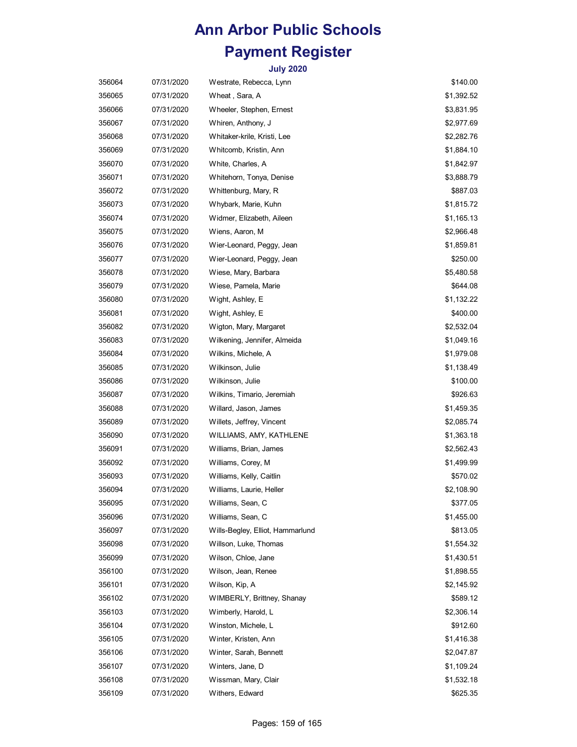| 356064 | 07/31/2020 | Westrate, Rebecca, Lynn          | \$140.00   |
|--------|------------|----------------------------------|------------|
| 356065 | 07/31/2020 | Wheat, Sara, A                   | \$1,392.52 |
| 356066 | 07/31/2020 | Wheeler, Stephen, Ernest         | \$3,831.95 |
| 356067 | 07/31/2020 | Whiren, Anthony, J               | \$2,977.69 |
| 356068 | 07/31/2020 | Whitaker-krile, Kristi, Lee      | \$2,282.76 |
| 356069 | 07/31/2020 | Whitcomb, Kristin, Ann           | \$1,884.10 |
| 356070 | 07/31/2020 | White, Charles, A                | \$1,842.97 |
| 356071 | 07/31/2020 | Whitehorn, Tonya, Denise         | \$3,888.79 |
| 356072 | 07/31/2020 | Whittenburg, Mary, R             | \$887.03   |
| 356073 | 07/31/2020 | Whybark, Marie, Kuhn             | \$1,815.72 |
| 356074 | 07/31/2020 | Widmer, Elizabeth, Aileen        | \$1,165.13 |
| 356075 | 07/31/2020 | Wiens, Aaron, M                  | \$2,966.48 |
| 356076 | 07/31/2020 | Wier-Leonard, Peggy, Jean        | \$1,859.81 |
| 356077 | 07/31/2020 | Wier-Leonard, Peggy, Jean        | \$250.00   |
| 356078 | 07/31/2020 | Wiese, Mary, Barbara             | \$5,480.58 |
| 356079 | 07/31/2020 | Wiese, Pamela, Marie             | \$644.08   |
| 356080 | 07/31/2020 | Wight, Ashley, E                 | \$1,132.22 |
| 356081 | 07/31/2020 | Wight, Ashley, E                 | \$400.00   |
| 356082 | 07/31/2020 | Wigton, Mary, Margaret           | \$2,532.04 |
| 356083 | 07/31/2020 | Wilkening, Jennifer, Almeida     | \$1,049.16 |
| 356084 | 07/31/2020 | Wilkins, Michele, A              | \$1,979.08 |
| 356085 | 07/31/2020 | Wilkinson, Julie                 | \$1,138.49 |
| 356086 | 07/31/2020 | Wilkinson, Julie                 | \$100.00   |
| 356087 | 07/31/2020 | Wilkins, Timario, Jeremiah       | \$926.63   |
| 356088 | 07/31/2020 | Willard, Jason, James            | \$1,459.35 |
| 356089 | 07/31/2020 | Willets, Jeffrey, Vincent        | \$2,085.74 |
| 356090 | 07/31/2020 | WILLIAMS, AMY, KATHLENE          | \$1,363.18 |
| 356091 | 07/31/2020 | Williams, Brian, James           | \$2,562.43 |
| 356092 | 07/31/2020 | Williams, Corey, M               | \$1,499.99 |
| 356093 | 07/31/2020 | Williams, Kelly, Caitlin         | \$570.02   |
| 356094 | 07/31/2020 | Williams, Laurie, Heller         | \$2,108.90 |
| 356095 | 07/31/2020 | Williams, Sean, C                | \$377.05   |
| 356096 | 07/31/2020 | Williams, Sean, C                | \$1,455.00 |
| 356097 | 07/31/2020 | Wills-Begley, Elliot, Hammarlund | \$813.05   |
| 356098 | 07/31/2020 | Willson, Luke, Thomas            | \$1,554.32 |
| 356099 | 07/31/2020 | Wilson, Chloe, Jane              | \$1,430.51 |
| 356100 | 07/31/2020 | Wilson, Jean, Renee              | \$1,898.55 |
| 356101 | 07/31/2020 | Wilson, Kip, A                   | \$2,145.92 |
| 356102 | 07/31/2020 | WIMBERLY, Brittney, Shanay       | \$589.12   |
| 356103 | 07/31/2020 | Wimberly, Harold, L              | \$2,306.14 |
| 356104 | 07/31/2020 | Winston, Michele, L              | \$912.60   |
| 356105 | 07/31/2020 | Winter, Kristen, Ann             | \$1,416.38 |
| 356106 | 07/31/2020 | Winter, Sarah, Bennett           | \$2,047.87 |
| 356107 | 07/31/2020 | Winters, Jane, D                 | \$1,109.24 |
| 356108 | 07/31/2020 | Wissman, Mary, Clair             | \$1,532.18 |
| 356109 | 07/31/2020 | Withers, Edward                  | \$625.35   |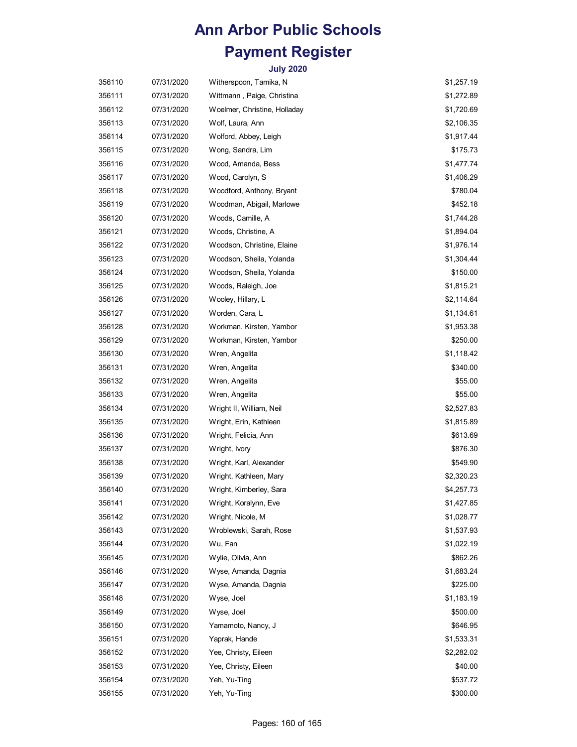| 356110 | 07/31/2020 | Witherspoon, Tamika, N       | \$1,257.19 |
|--------|------------|------------------------------|------------|
| 356111 | 07/31/2020 | Wittmann, Paige, Christina   | \$1,272.89 |
| 356112 | 07/31/2020 | Woelmer, Christine, Holladay | \$1,720.69 |
| 356113 | 07/31/2020 | Wolf, Laura, Ann             | \$2,106.35 |
| 356114 | 07/31/2020 | Wolford, Abbey, Leigh        | \$1,917.44 |
| 356115 | 07/31/2020 | Wong, Sandra, Lim            | \$175.73   |
| 356116 | 07/31/2020 | Wood, Amanda, Bess           | \$1,477.74 |
| 356117 | 07/31/2020 | Wood, Carolyn, S             | \$1,406.29 |
| 356118 | 07/31/2020 | Woodford, Anthony, Bryant    | \$780.04   |
| 356119 | 07/31/2020 | Woodman, Abigail, Marlowe    | \$452.18   |
| 356120 | 07/31/2020 | Woods, Camille, A            | \$1,744.28 |
| 356121 | 07/31/2020 | Woods, Christine, A          | \$1,894.04 |
| 356122 | 07/31/2020 | Woodson, Christine, Elaine   | \$1,976.14 |
| 356123 | 07/31/2020 | Woodson, Sheila, Yolanda     | \$1,304.44 |
| 356124 | 07/31/2020 | Woodson, Sheila, Yolanda     | \$150.00   |
| 356125 | 07/31/2020 | Woods, Raleigh, Joe          | \$1,815.21 |
| 356126 | 07/31/2020 | Wooley, Hillary, L           | \$2,114.64 |
| 356127 | 07/31/2020 | Worden, Cara, L              | \$1,134.61 |
| 356128 | 07/31/2020 | Workman, Kirsten, Yambor     | \$1,953.38 |
| 356129 | 07/31/2020 | Workman, Kirsten, Yambor     | \$250.00   |
| 356130 | 07/31/2020 | Wren, Angelita               | \$1,118.42 |
| 356131 | 07/31/2020 | Wren, Angelita               | \$340.00   |
| 356132 | 07/31/2020 | Wren, Angelita               | \$55.00    |
| 356133 | 07/31/2020 | Wren, Angelita               | \$55.00    |
| 356134 | 07/31/2020 | Wright II, William, Neil     | \$2,527.83 |
| 356135 | 07/31/2020 | Wright, Erin, Kathleen       | \$1,815.89 |
| 356136 | 07/31/2020 | Wright, Felicia, Ann         | \$613.69   |
| 356137 | 07/31/2020 | Wright, Ivory                | \$876.30   |
| 356138 | 07/31/2020 | Wright, Karl, Alexander      | \$549.90   |
| 356139 | 07/31/2020 | Wright, Kathleen, Mary       | \$2,320.23 |
| 356140 | 07/31/2020 | Wright, Kimberley, Sara      | \$4,257.73 |
| 356141 | 07/31/2020 | Wright, Koralynn, Eve        | \$1,427.85 |
| 356142 | 07/31/2020 | Wright, Nicole, M            | \$1,028.77 |
| 356143 | 07/31/2020 | Wroblewski, Sarah, Rose      | \$1,537.93 |
| 356144 | 07/31/2020 | Wu, Fan                      | \$1,022.19 |
| 356145 | 07/31/2020 | Wylie, Olivia, Ann           | \$862.26   |
| 356146 | 07/31/2020 | Wyse, Amanda, Dagnia         | \$1,683.24 |
| 356147 | 07/31/2020 | Wyse, Amanda, Dagnia         | \$225.00   |
| 356148 | 07/31/2020 | Wyse, Joel                   | \$1,183.19 |
| 356149 | 07/31/2020 | Wyse, Joel                   | \$500.00   |
| 356150 | 07/31/2020 | Yamamoto, Nancy, J           | \$646.95   |
| 356151 | 07/31/2020 | Yaprak, Hande                | \$1,533.31 |
| 356152 | 07/31/2020 | Yee, Christy, Eileen         | \$2,282.02 |
| 356153 | 07/31/2020 | Yee, Christy, Eileen         | \$40.00    |
| 356154 | 07/31/2020 | Yeh, Yu-Ting                 | \$537.72   |
| 356155 | 07/31/2020 | Yeh, Yu-Ting                 | \$300.00   |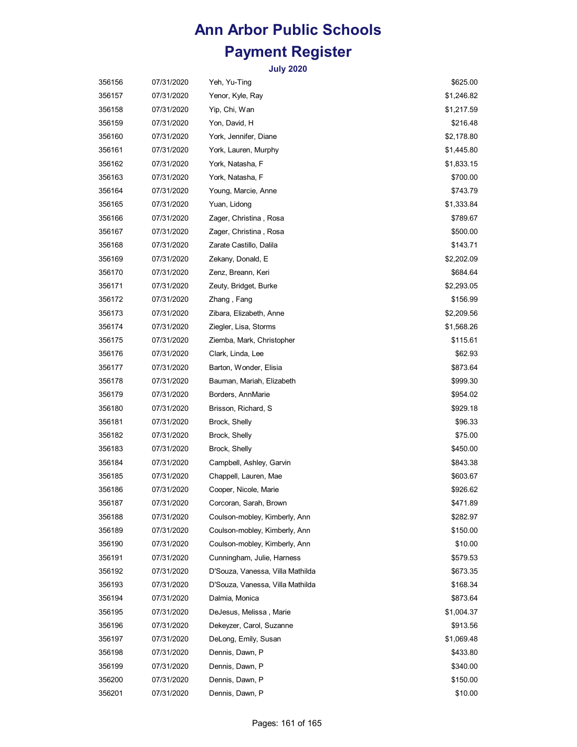| 356156 | 07/31/2020 | Yeh, Yu-Ting                     | \$625.00   |
|--------|------------|----------------------------------|------------|
| 356157 | 07/31/2020 | Yenor, Kyle, Ray                 | \$1,246.82 |
| 356158 | 07/31/2020 | Yip, Chi, Wan                    | \$1,217.59 |
| 356159 | 07/31/2020 | Yon, David, H                    | \$216.48   |
| 356160 | 07/31/2020 | York, Jennifer, Diane            | \$2,178.80 |
| 356161 | 07/31/2020 | York, Lauren, Murphy             | \$1,445.80 |
| 356162 | 07/31/2020 | York, Natasha, F                 | \$1,833.15 |
| 356163 | 07/31/2020 | York, Natasha, F                 | \$700.00   |
| 356164 | 07/31/2020 | Young, Marcie, Anne              | \$743.79   |
| 356165 | 07/31/2020 | Yuan, Lidong                     | \$1,333.84 |
| 356166 | 07/31/2020 | Zager, Christina , Rosa          | \$789.67   |
| 356167 | 07/31/2020 | Zager, Christina, Rosa           | \$500.00   |
| 356168 | 07/31/2020 | Zarate Castillo, Dalila          | \$143.71   |
| 356169 | 07/31/2020 | Zekany, Donald, E                | \$2,202.09 |
| 356170 | 07/31/2020 | Zenz, Breann, Keri               | \$684.64   |
| 356171 | 07/31/2020 | Zeuty, Bridget, Burke            | \$2,293.05 |
| 356172 | 07/31/2020 | Zhang, Fang                      | \$156.99   |
| 356173 | 07/31/2020 | Zibara, Elizabeth, Anne          | \$2,209.56 |
| 356174 | 07/31/2020 | Ziegler, Lisa, Storms            | \$1,568.26 |
| 356175 | 07/31/2020 | Ziemba, Mark, Christopher        | \$115.61   |
| 356176 | 07/31/2020 | Clark, Linda, Lee                | \$62.93    |
| 356177 | 07/31/2020 | Barton, Wonder, Elisia           | \$873.64   |
| 356178 | 07/31/2020 | Bauman, Mariah, Elizabeth        | \$999.30   |
| 356179 | 07/31/2020 | Borders, AnnMarie                | \$954.02   |
| 356180 | 07/31/2020 | Brisson, Richard, S.             | \$929.18   |
| 356181 | 07/31/2020 | Brock, Shelly                    | \$96.33    |
| 356182 | 07/31/2020 | Brock, Shelly                    | \$75.00    |
| 356183 | 07/31/2020 | Brock, Shelly                    | \$450.00   |
| 356184 | 07/31/2020 | Campbell, Ashley, Garvin         | \$843.38   |
| 356185 | 07/31/2020 | Chappell, Lauren, Mae            | \$603.67   |
| 356186 | 07/31/2020 | Cooper, Nicole, Marie            | \$926.62   |
| 356187 | 07/31/2020 | Corcoran, Sarah, Brown           | \$471.89   |
| 356188 | 07/31/2020 | Coulson-mobley, Kimberly, Ann    | \$282.97   |
| 356189 | 07/31/2020 | Coulson-mobley, Kimberly, Ann    | \$150.00   |
| 356190 | 07/31/2020 | Coulson-mobley, Kimberly, Ann    | \$10.00    |
| 356191 | 07/31/2020 | Cunningham, Julie, Harness       | \$579.53   |
| 356192 | 07/31/2020 | D'Souza, Vanessa, Villa Mathilda | \$673.35   |
| 356193 | 07/31/2020 | D'Souza, Vanessa, Villa Mathilda | \$168.34   |
| 356194 | 07/31/2020 | Dalmia, Monica                   | \$873.64   |
| 356195 | 07/31/2020 | DeJesus, Melissa, Marie          | \$1,004.37 |
| 356196 | 07/31/2020 | Dekeyzer, Carol, Suzanne         | \$913.56   |
| 356197 | 07/31/2020 | DeLong, Emily, Susan             | \$1,069.48 |
| 356198 | 07/31/2020 | Dennis, Dawn, P                  | \$433.80   |
| 356199 | 07/31/2020 | Dennis, Dawn, P                  | \$340.00   |
| 356200 | 07/31/2020 | Dennis, Dawn, P                  | \$150.00   |
| 356201 | 07/31/2020 | Dennis, Dawn, P                  | \$10.00    |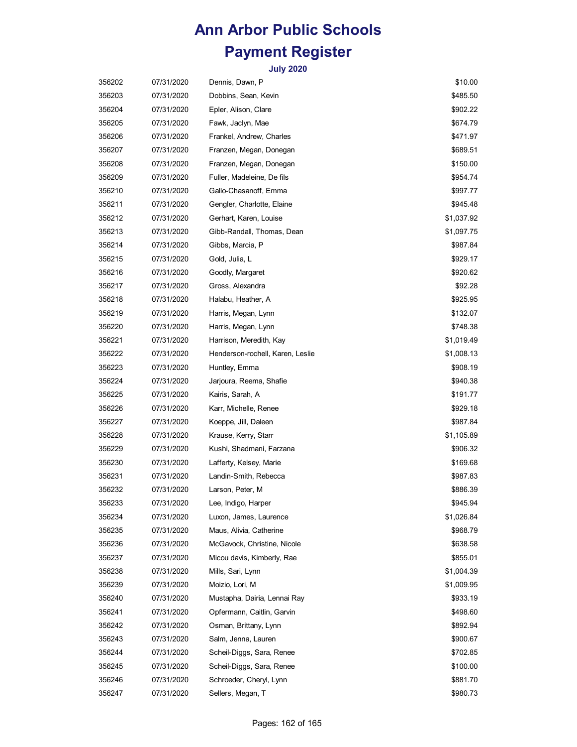| 356202 | 07/31/2020 | Dennis, Dawn, P                  | \$10.00    |
|--------|------------|----------------------------------|------------|
| 356203 | 07/31/2020 | Dobbins, Sean, Kevin             | \$485.50   |
| 356204 | 07/31/2020 | Epler, Alison, Clare             | \$902.22   |
| 356205 | 07/31/2020 | Fawk, Jaclyn, Mae                | \$674.79   |
| 356206 | 07/31/2020 | Frankel, Andrew, Charles         | \$471.97   |
| 356207 | 07/31/2020 | Franzen, Megan, Donegan          | \$689.51   |
| 356208 | 07/31/2020 | Franzen, Megan, Donegan          | \$150.00   |
| 356209 | 07/31/2020 | Fuller, Madeleine, De fils       | \$954.74   |
| 356210 | 07/31/2020 | Gallo-Chasanoff, Emma            | \$997.77   |
| 356211 | 07/31/2020 | Gengler, Charlotte, Elaine       | \$945.48   |
| 356212 | 07/31/2020 | Gerhart, Karen, Louise           | \$1,037.92 |
| 356213 | 07/31/2020 | Gibb-Randall, Thomas, Dean       | \$1,097.75 |
| 356214 | 07/31/2020 | Gibbs, Marcia, P                 | \$987.84   |
| 356215 | 07/31/2020 | Gold, Julia, L                   | \$929.17   |
| 356216 | 07/31/2020 | Goodly, Margaret                 | \$920.62   |
| 356217 | 07/31/2020 | Gross, Alexandra                 | \$92.28    |
| 356218 | 07/31/2020 | Halabu, Heather, A               | \$925.95   |
| 356219 | 07/31/2020 | Harris, Megan, Lynn              | \$132.07   |
| 356220 | 07/31/2020 | Harris, Megan, Lynn              | \$748.38   |
| 356221 | 07/31/2020 | Harrison, Meredith, Kay          | \$1,019.49 |
| 356222 | 07/31/2020 | Henderson-rochell, Karen, Leslie | \$1,008.13 |
| 356223 | 07/31/2020 | Huntley, Emma                    | \$908.19   |
| 356224 | 07/31/2020 | Jarjoura, Reema, Shafie          | \$940.38   |
| 356225 | 07/31/2020 | Kairis, Sarah, A                 | \$191.77   |
| 356226 | 07/31/2020 | Karr, Michelle, Renee            | \$929.18   |
| 356227 | 07/31/2020 | Koeppe, Jill, Daleen             | \$987.84   |
| 356228 | 07/31/2020 | Krause, Kerry, Starr             | \$1,105.89 |
| 356229 | 07/31/2020 | Kushi, Shadmani, Farzana         | \$906.32   |
| 356230 | 07/31/2020 | Lafferty, Kelsey, Marie          | \$169.68   |
| 356231 | 07/31/2020 | Landin-Smith, Rebecca            | \$987.83   |
| 356232 | 07/31/2020 | Larson, Peter, M                 | \$886.39   |
| 356233 | 07/31/2020 | Lee, Indigo, Harper              | \$945.94   |
| 356234 | 07/31/2020 | Luxon, James, Laurence           | \$1,026.84 |
| 356235 | 07/31/2020 | Maus, Alivia, Catherine          | \$968.79   |
| 356236 | 07/31/2020 | McGavock, Christine, Nicole      | \$638.58   |
| 356237 | 07/31/2020 | Micou davis, Kimberly, Rae       | \$855.01   |
| 356238 | 07/31/2020 | Mills, Sari, Lynn                | \$1,004.39 |
| 356239 | 07/31/2020 | Moizio, Lori, M                  | \$1,009.95 |
| 356240 | 07/31/2020 | Mustapha, Dairia, Lennai Ray     | \$933.19   |
| 356241 | 07/31/2020 | Opfermann, Caitlin, Garvin       | \$498.60   |
| 356242 | 07/31/2020 | Osman, Brittany, Lynn            | \$892.94   |
| 356243 | 07/31/2020 | Salm, Jenna, Lauren              | \$900.67   |
| 356244 | 07/31/2020 | Scheil-Diggs, Sara, Renee        | \$702.85   |
| 356245 | 07/31/2020 | Scheil-Diggs, Sara, Renee        | \$100.00   |
| 356246 | 07/31/2020 | Schroeder, Cheryl, Lynn          | \$881.70   |
| 356247 | 07/31/2020 | Sellers, Megan, T                | \$980.73   |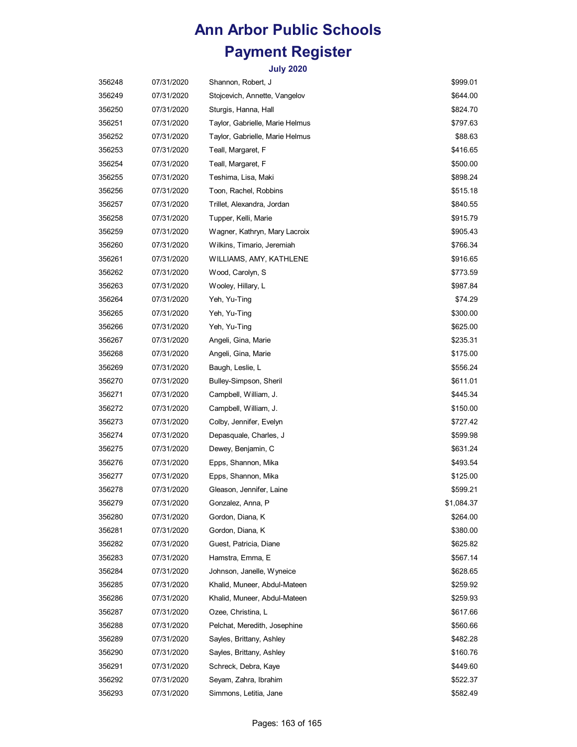| 356248 | 07/31/2020 | Shannon, Robert, J              | \$999.01   |
|--------|------------|---------------------------------|------------|
| 356249 | 07/31/2020 | Stojcevich, Annette, Vangelov   | \$644.00   |
| 356250 | 07/31/2020 | Sturgis, Hanna, Hall            | \$824.70   |
| 356251 | 07/31/2020 | Taylor, Gabrielle, Marie Helmus | \$797.63   |
| 356252 | 07/31/2020 | Taylor, Gabrielle, Marie Helmus | \$88.63    |
| 356253 | 07/31/2020 | Teall, Margaret, F              | \$416.65   |
| 356254 | 07/31/2020 | Teall, Margaret, F              | \$500.00   |
| 356255 | 07/31/2020 | Teshima, Lisa, Maki             | \$898.24   |
| 356256 | 07/31/2020 | Toon, Rachel, Robbins           | \$515.18   |
| 356257 | 07/31/2020 | Trillet, Alexandra, Jordan      | \$840.55   |
| 356258 | 07/31/2020 | Tupper, Kelli, Marie            | \$915.79   |
| 356259 | 07/31/2020 | Wagner, Kathryn, Mary Lacroix   | \$905.43   |
| 356260 | 07/31/2020 | Wilkins, Timario, Jeremiah      | \$766.34   |
| 356261 | 07/31/2020 | WILLIAMS, AMY, KATHLENE         | \$916.65   |
| 356262 | 07/31/2020 | Wood, Carolyn, S                | \$773.59   |
| 356263 | 07/31/2020 | Wooley, Hillary, L              | \$987.84   |
| 356264 | 07/31/2020 | Yeh, Yu-Ting                    | \$74.29    |
| 356265 | 07/31/2020 | Yeh, Yu-Ting                    | \$300.00   |
| 356266 | 07/31/2020 | Yeh, Yu-Ting                    | \$625.00   |
| 356267 | 07/31/2020 | Angeli, Gina, Marie             | \$235.31   |
| 356268 | 07/31/2020 | Angeli, Gina, Marie             | \$175.00   |
| 356269 | 07/31/2020 | Baugh, Leslie, L                | \$556.24   |
| 356270 | 07/31/2020 | Bulley-Simpson, Sheril          | \$611.01   |
| 356271 | 07/31/2020 | Campbell, William, J.           | \$445.34   |
| 356272 | 07/31/2020 | Campbell, William, J.           | \$150.00   |
| 356273 | 07/31/2020 | Colby, Jennifer, Evelyn         | \$727.42   |
| 356274 | 07/31/2020 | Depasquale, Charles, J          | \$599.98   |
| 356275 | 07/31/2020 | Dewey, Benjamin, C              | \$631.24   |
| 356276 | 07/31/2020 | Epps, Shannon, Mika             | \$493.54   |
| 356277 | 07/31/2020 | Epps, Shannon, Mika             | \$125.00   |
| 356278 | 07/31/2020 | Gleason, Jennifer, Laine        | \$599.21   |
| 356279 | 07/31/2020 | Gonzalez, Anna, P               | \$1,084.37 |
| 356280 | 07/31/2020 | Gordon, Diana, K                | \$264.00   |
| 356281 | 07/31/2020 | Gordon, Diana, K                | \$380.00   |
| 356282 | 07/31/2020 | Guest, Patricia, Diane          | \$625.82   |
| 356283 | 07/31/2020 | Hamstra, Emma, E                | \$567.14   |
| 356284 | 07/31/2020 | Johnson, Janelle, Wyneice       | \$628.65   |
| 356285 | 07/31/2020 | Khalid, Muneer, Abdul-Mateen    | \$259.92   |
| 356286 | 07/31/2020 | Khalid, Muneer, Abdul-Mateen    | \$259.93   |
| 356287 | 07/31/2020 | Ozee, Christina, L              | \$617.66   |
| 356288 | 07/31/2020 | Pelchat, Meredith, Josephine    | \$560.66   |
| 356289 | 07/31/2020 | Sayles, Brittany, Ashley        | \$482.28   |
| 356290 | 07/31/2020 | Sayles, Brittany, Ashley        | \$160.76   |
| 356291 | 07/31/2020 | Schreck, Debra, Kaye            | \$449.60   |
| 356292 | 07/31/2020 | Seyam, Zahra, Ibrahim           | \$522.37   |
| 356293 | 07/31/2020 | Simmons, Letitia, Jane          | \$582.49   |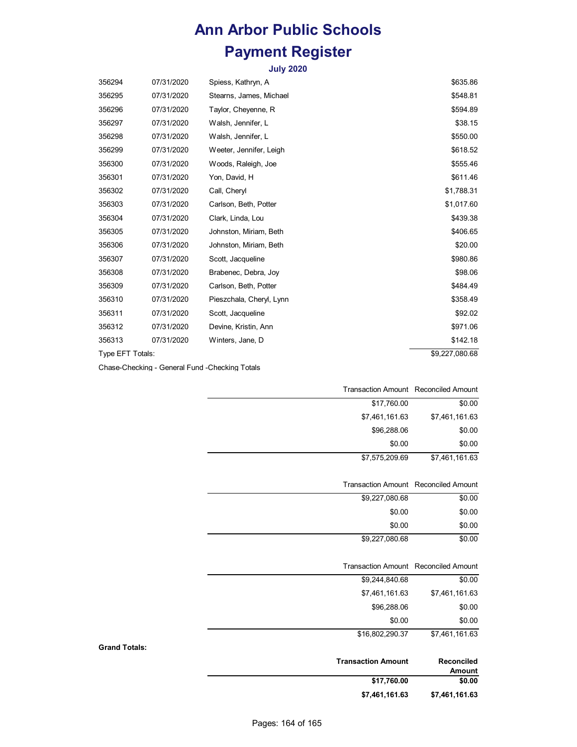**July 2020**

| 356294           | 07/31/2020 | Spiess, Kathryn, A       | \$635.86       |
|------------------|------------|--------------------------|----------------|
| 356295           | 07/31/2020 | Stearns, James, Michael  | \$548.81       |
| 356296           | 07/31/2020 | Taylor, Cheyenne, R      | \$594.89       |
| 356297           | 07/31/2020 | Walsh, Jennifer, L       | \$38.15        |
| 356298           | 07/31/2020 | Walsh, Jennifer, L       | \$550.00       |
| 356299           | 07/31/2020 | Weeter, Jennifer, Leigh  | \$618.52       |
| 356300           | 07/31/2020 | Woods, Raleigh, Joe      | \$555.46       |
| 356301           | 07/31/2020 | Yon, David, H            | \$611.46       |
| 356302           | 07/31/2020 | Call, Cheryl             | \$1,788.31     |
| 356303           | 07/31/2020 | Carlson, Beth, Potter    | \$1,017.60     |
| 356304           | 07/31/2020 | Clark, Linda, Lou        | \$439.38       |
| 356305           | 07/31/2020 | Johnston, Miriam, Beth   | \$406.65       |
| 356306           | 07/31/2020 | Johnston, Miriam, Beth   | \$20.00        |
| 356307           | 07/31/2020 | Scott, Jacqueline        | \$980.86       |
| 356308           | 07/31/2020 | Brabenec, Debra, Joy     | \$98.06        |
| 356309           | 07/31/2020 | Carlson, Beth, Potter    | \$484.49       |
| 356310           | 07/31/2020 | Pieszchala, Cheryl, Lynn | \$358.49       |
| 356311           | 07/31/2020 | Scott, Jacqueline        | \$92.02        |
| 356312           | 07/31/2020 | Devine, Kristin, Ann     | \$971.06       |
| 356313           | 07/31/2020 | Winters, Jane, D         | \$142.18       |
| Type EFT Totals: |            |                          | \$9,227,080.68 |

Chase-Checking - General Fund -Checking Totals

**Grand Totals:**

| <b>Transaction Amount</b> | <b>Reconciled Amount</b>    |
|---------------------------|-----------------------------|
| \$17,760.00               | \$0.00                      |
| \$7,461,161.63            | \$7,461,161.63              |
| \$96,288.06               | \$0.00                      |
| \$0.00                    | \$0.00                      |
| \$7,575,209.69            | \$7,461,161.63              |
| <b>Transaction Amount</b> | <b>Reconciled Amount</b>    |
|                           |                             |
| \$9,227,080.68            | \$0.00                      |
| \$0.00                    | \$0.00                      |
| \$0.00                    | \$0.00                      |
| \$9,227,080.68            | \$0.00                      |
| <b>Transaction Amount</b> | <b>Reconciled Amount</b>    |
| \$9,244,840.68            | \$0.00                      |
| \$7,461,161.63            | \$7,461,161.63              |
| \$96,288.06               | \$0.00                      |
| \$0.00                    | \$0.00                      |
| \$16,802,290.37           | \$7,461,161.63              |
| <b>Transaction Amount</b> | Reconciled<br><b>Amount</b> |
| \$17,760.00               | \$0.00                      |

**\$7,461,161.63**

**\$7,461,161.63**